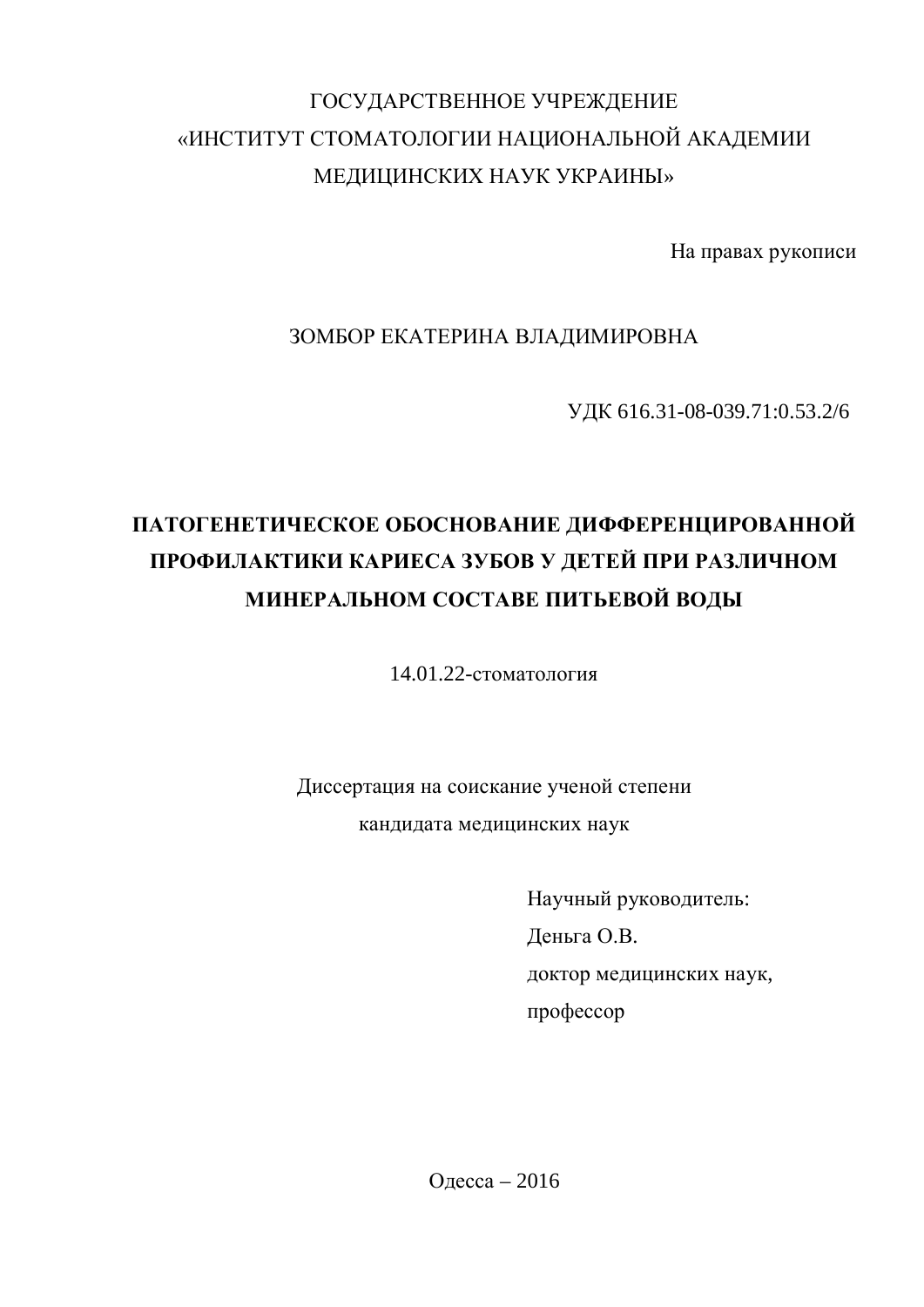# ГОСУДАРСТВЕННОЕ УЧРЕЖДЕНИЕ «ИНСТИТУТ СТОМАТОЛОГИИ НАЦИОНАЛЬНОЙ АКАДЕМИИ МЕДИЦИНСКИХ НАУК УКРАИНЫ»

На правах рукописи

#### ЗОМБОР ЕКАТЕРИНА ВЛАДИМИРОВНА

ɍȾɄ 616.31-08-039.71:0.53.2/6

# ПАТОГЕНЕТИЧЕСКОЕ ОБОСНОВАНИЕ ДИФФЕРЕНЦИРОВАННОЙ ПРОФИЛАКТИКИ КАРИЕСА ЗУБОВ У ДЕТЕЙ ПРИ РАЗЛИЧНОМ **МИНЕРАЛЬНОМ СОСТАВЕ ПИТЬЕВОЙ ВОДЫ**

14.01.22-стоматология

Диссертация на соискание ученой степени кандидата медицинских наук

> Научный руководитель: Деньга О.В. доктор медицинских наук, профессор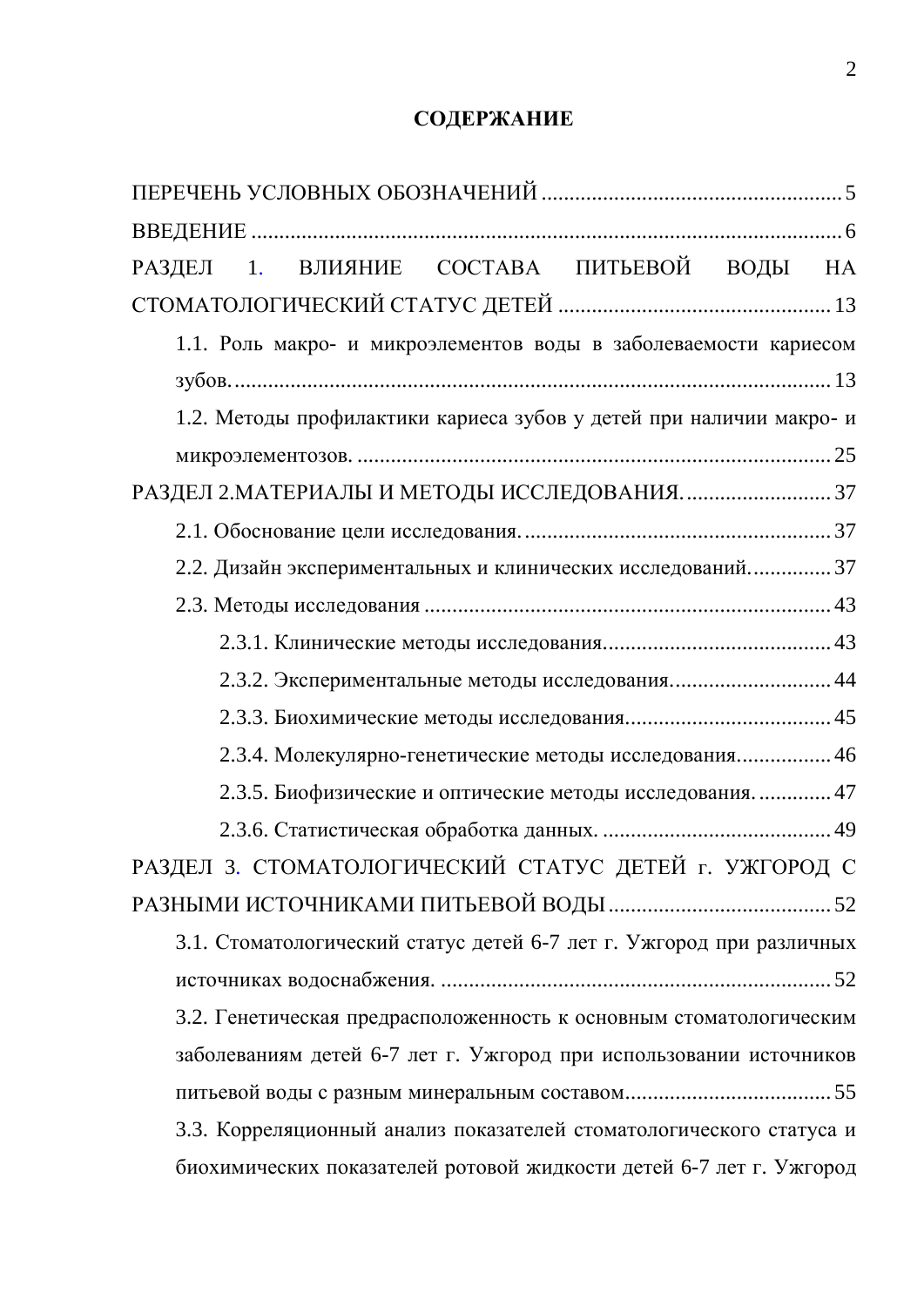## СОДЕРЖАНИЕ

| РАЗДЕЛ 1. ВЛИЯНИЕ СОСТАВА ПИТЬЕВОЙ ВОДЫ НА                           |
|----------------------------------------------------------------------|
|                                                                      |
| 1.1. Роль макро- и микроэлементов воды в заболеваемости кариесом     |
|                                                                      |
| 1.2. Методы профилактики кариеса зубов у детей при наличии макро-и   |
|                                                                      |
| РАЗДЕЛ 2. МАТЕРИАЛЫ И МЕТОДЫ ИССЛЕДОВАНИЯ 37                         |
|                                                                      |
| 2.2. Дизайн экспериментальных и клинических исследований 37          |
|                                                                      |
|                                                                      |
| 2.3.2. Экспериментальные методы исследования 44                      |
|                                                                      |
| 2.3.4. Молекулярно-генетические методы исследования 46               |
| 2.3.5. Биофизические и оптические методы исследования 47             |
|                                                                      |
| РАЗДЕЛ 3. СТОМАТОЛОГИЧЕСКИЙ СТАТУС ДЕТЕЙ г. УЖГОРОД С                |
|                                                                      |
| 3.1. Стоматологический статус детей 6-7 лет г. Ужгород при различных |
|                                                                      |
| 3.2. Генетическая предрасположенность к основным стоматологическим   |
| заболеваниям детей 6-7 лет г. Ужгород при использовании источников   |
|                                                                      |
| 3.3. Корреляционный анализ показателей стоматологического статуса и  |
| биохимических показателей ротовой жидкости детей 6-7 лет г. Ужгород  |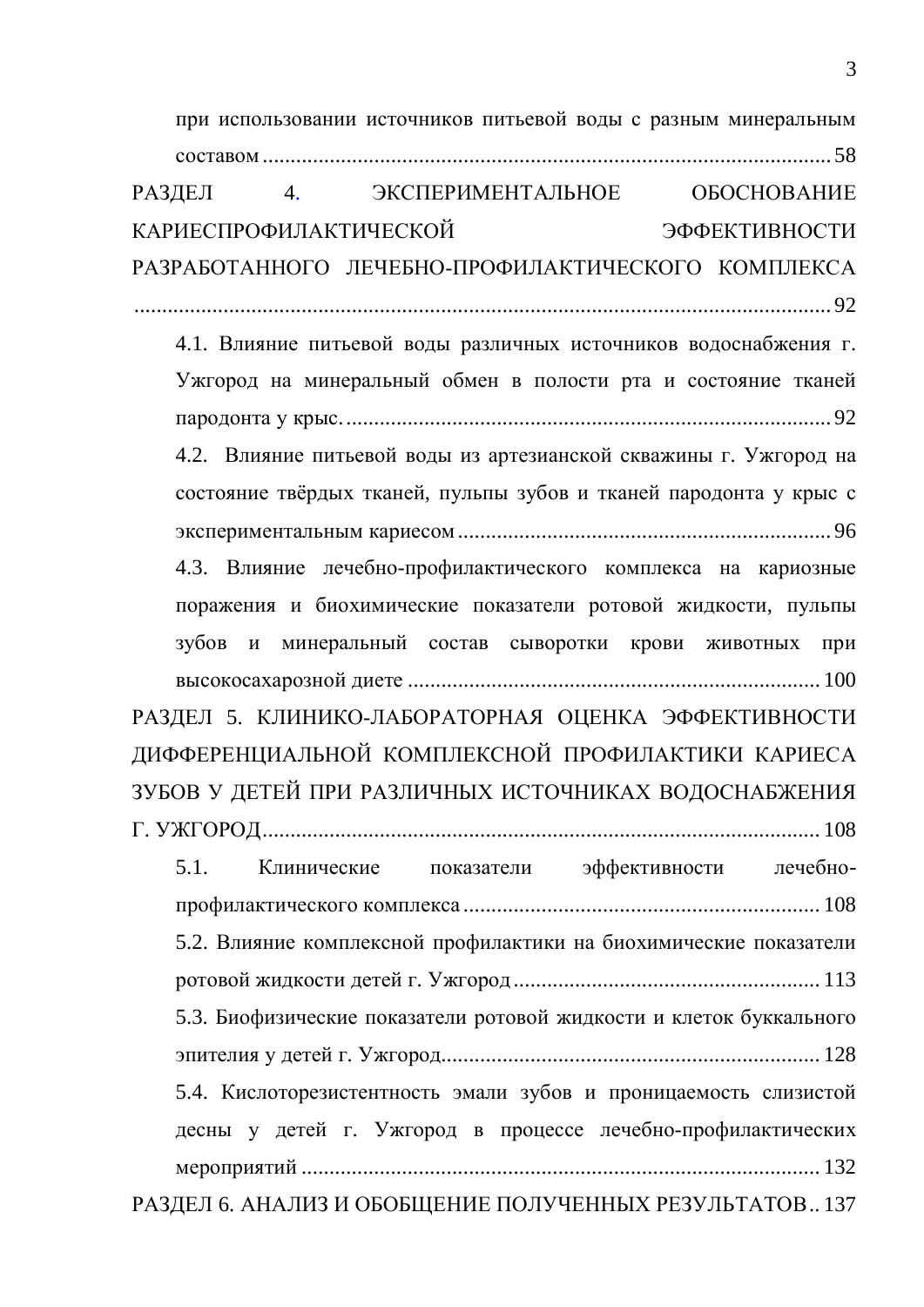| при использовании источников питьевой воды с разным минеральным     |
|---------------------------------------------------------------------|
|                                                                     |
| 4. ЭКСПЕРИМЕНТАЛЬНОЕ ОБОСНОВАНИЕ<br>РАЗДЕЛ                          |
| <b>КАРИЕСПРОФИЛАКТИЧЕСКОЙ</b><br>ЭФФЕКТИВНОСТИ                      |
| РАЗРАБОТАННОГО ЛЕЧЕБНО-ПРОФИЛАКТИЧЕСКОГО КОМПЛЕКСА                  |
|                                                                     |
| 4.1. Влияние питьевой воды различных источников водоснабжения г.    |
| Ужгород на минеральный обмен в полости рта и состояние тканей       |
|                                                                     |
| 4.2. Влияние питьевой воды из артезианской скважины г. Ужгород на   |
| состояние твёрдых тканей, пульпы зубов и тканей пародонта у крыс с  |
|                                                                     |
| 4.3. Влияние лечебно-профилактического комплекса на кариозные       |
| поражения и биохимические показатели ротовой жидкости, пульпы       |
| зубов и минеральный состав сыворотки крови животных при             |
|                                                                     |
| РАЗДЕЛ 5. КЛИНИКО-ЛАБОРАТОРНАЯ ОЦЕНКА ЭФФЕКТИВНОСТИ                 |
|                                                                     |
| ДИФФЕРЕНЦИАЛЬНОЙ КОМПЛЕКСНОЙ ПРОФИЛАКТИКИ КАРИЕСА                   |
| ЗУБОВ У ДЕТЕЙ ПРИ РАЗЛИЧНЫХ ИСТОЧНИКАХ ВОДОСНАБЖЕНИЯ                |
|                                                                     |
| Клинические показатели эффективности лечебно-<br>5.1.               |
|                                                                     |
| 5.2. Влияние комплексной профилактики на биохимические показатели   |
|                                                                     |
| 5.3. Биофизические показатели ротовой жидкости и клеток буккального |
|                                                                     |
| 5.4. Кислоторезистентность эмали зубов и проницаемость слизистой    |
| десны у детей г. Ужгород в процессе лечебно-профилактических        |
|                                                                     |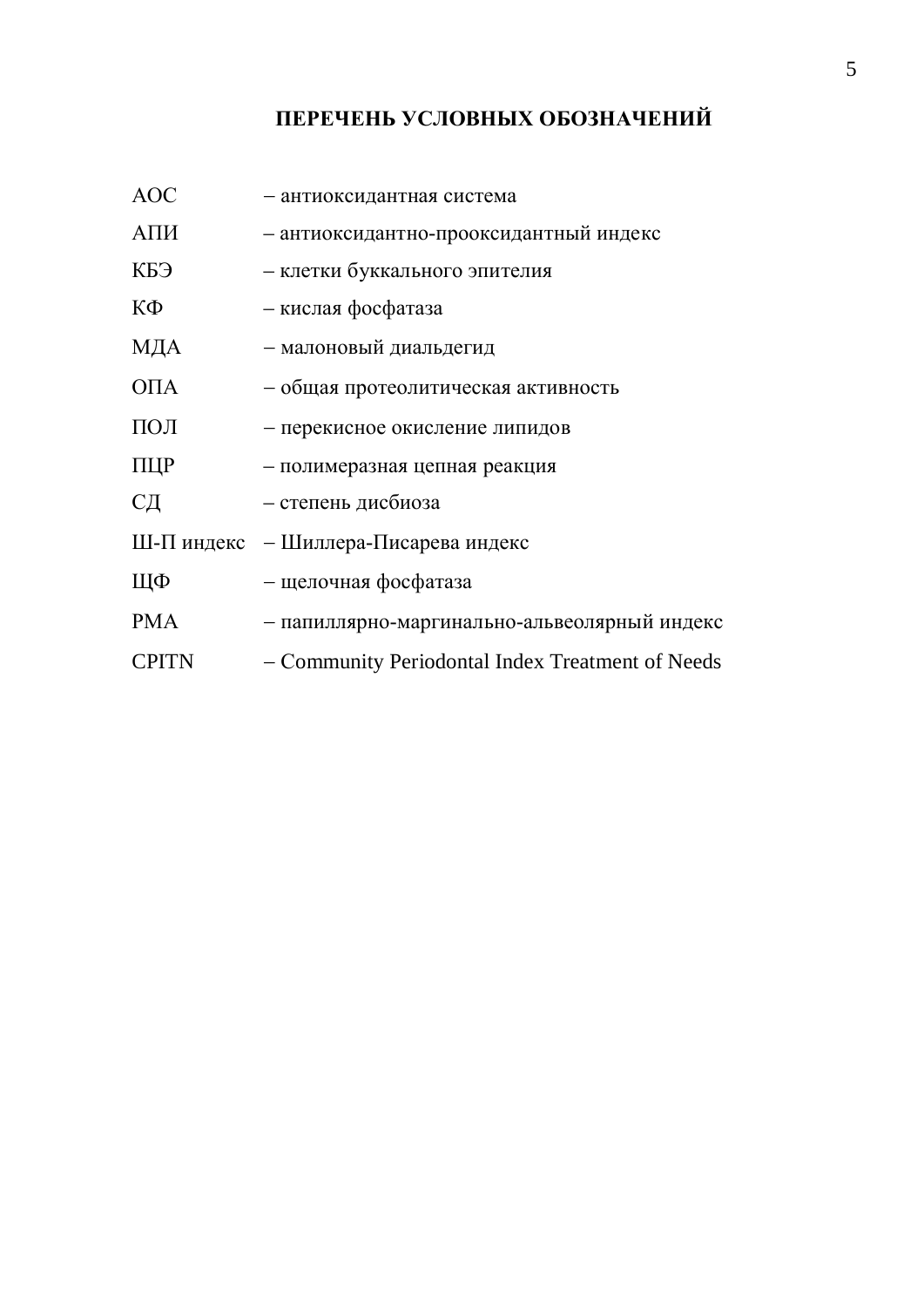### ПЕРЕЧЕНЬ УСЛОВНЫХ ОБОЗНАЧЕНИЙ

| <b>AOC</b>        | - антиоксидантная система                        |
|-------------------|--------------------------------------------------|
| АПИ               | - антиоксидантно-прооксидантный индекс           |
| КБЭ               | – клетки буккального эпителия                    |
| КФ                | - кислая фосфатаза                               |
| МДА               | - малоновый диальдегид                           |
| O <sub>II</sub> A | - общая протеолитическая активность              |
| ПОЛ               | - перекисное окисление липидов                   |
| ПЦР               | - полимеразная цепная реакция                    |
| CД                | - степень дисбиоза                               |
|                   | Ш-П индекс – Шиллера-Писарева индекс             |
| ЩФ                | - щелочная фосфатаза                             |
| <b>PMA</b>        | - папиллярно-маргинально-альвеолярный индекс     |
| <b>CPITN</b>      | - Community Periodontal Index Treatment of Needs |
|                   |                                                  |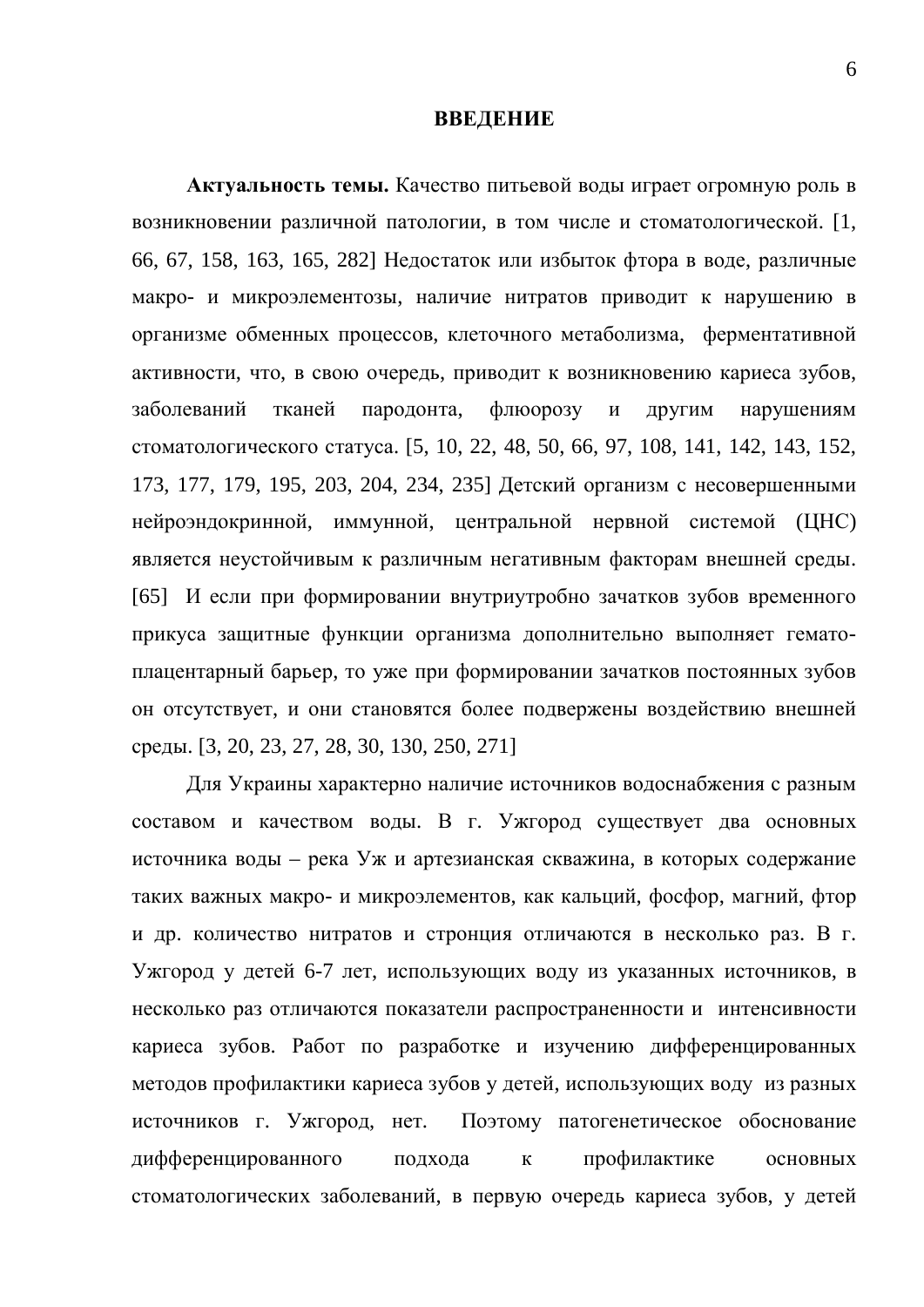#### **ВВЕДЕНИЕ**

Актуальность темы. Качество питьевой воды играет огромную роль в возникновении различной патологии, в том числе и стоматологической. [1, 66, 67, 158, 163, 165, 282] Недостаток или избыток фтора в воде, различные макро- и микроэлементозы, наличие нитратов приводит к нарушению в организме обменных процессов, клеточного метаболизма, ферментативной активности, что, в свою очередь, приводит к возникновению кариеса зубов, заболеваний тканей пародонта, флюорозу и другим нарушениям стоматологического статуса. [5, 10, 22, 48, 50, 66, 97, 108, 141, 142, 143, 152, 173, 177, 179, 195, 203, 204, 234, 235] Детский организм с несовершенными нейроэндокринной, иммунной, центральной нервной системой (ЦНС) является неустойчивым к различным негативным факторам внешней среды. [65] И если при формировании внутриутробно зачатков зубов временного прикуса защитные функции организма дополнительно выполняет гематоплацентарный барьер, то уже при формировании зачатков постоянных зубов он отсутствует, и они становятся более подвержены воздействию внешней среды. [3, 20, 23, 27, 28, 30, 130, 250, 271]

Для Украины характерно наличие источников водоснабжения с разным составом и качеством воды. В г. Ужгород существует два основных источника воды – река Уж и артезианская скважина, в которых содержание таких важных макро- и микроэлементов, как кальций, фосфор, магний, фтор и др. количество нитратов и стронция отличаются в несколько раз. В г. Ужгород у детей 6-7 лет, использующих воду из указанных источников, в несколько раз отличаются показатели распространенности и интенсивности кариеса зубов. Работ по разработке и изучению дифференцированных методов профилактики кариеса зубов у детей, использующих воду из разных источников г. Ужгород, нет. Поэтому патогенетическое обоснование дифференцированного подхода к профилактике основных стоматологических заболеваний, в первую очередь кариеса зубов, у детей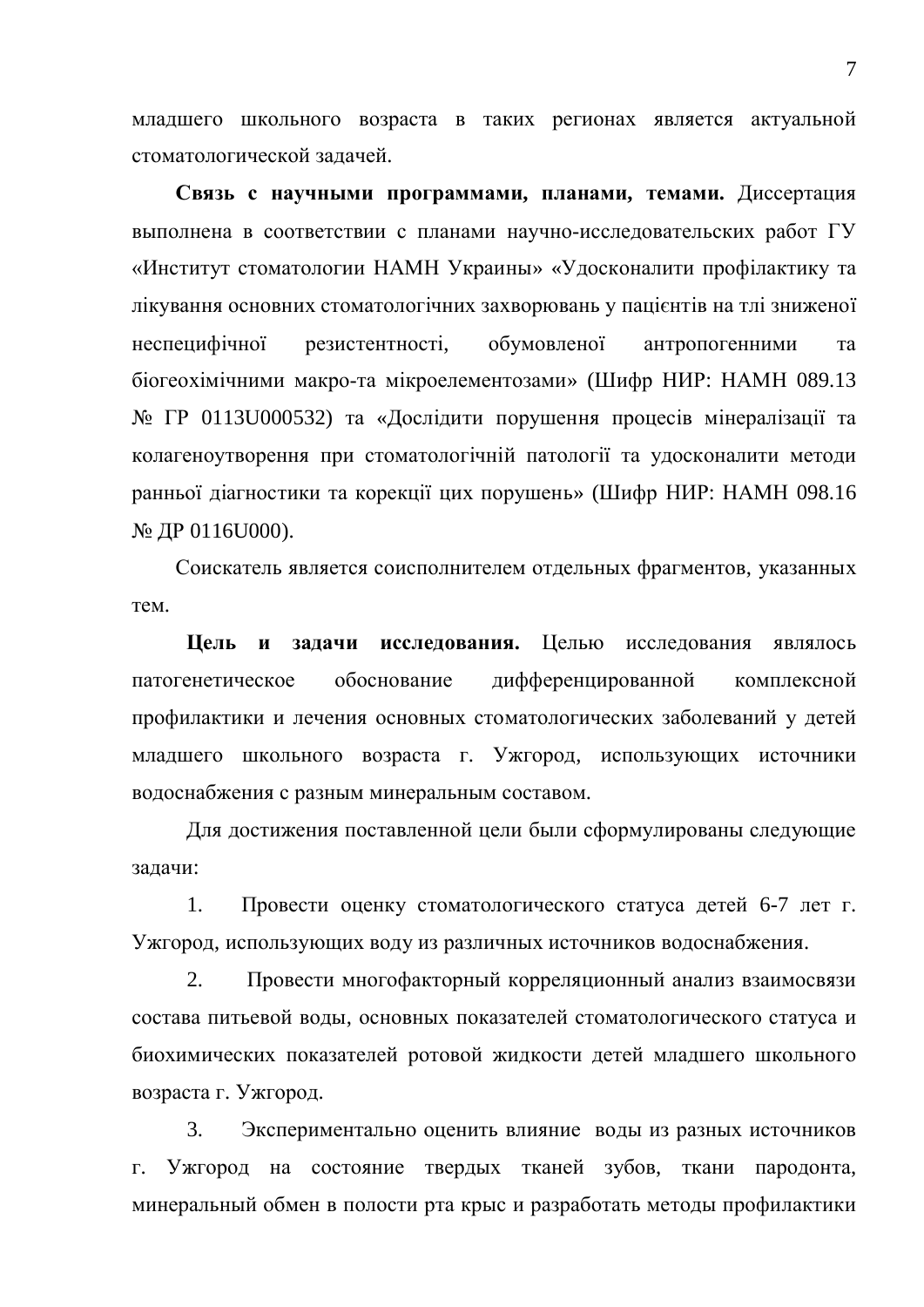младшего школьного возраста в таких регионах является актуальной стоматологической задачей.

Связь с научными программами, планами, темами. Диссертация выполнена в соответствии с планами научно-исследовательских работ ГУ «Институт стоматологии НАМН Украины» «Удосконалити профілактику та лікування основних стоматологічних захворювань у пацієнтів на тлі зниженої неспецифічної резистентності, обумовленої антропогенними та біогеохімічними макро-та мікроелементозами» (Шифр НИР: НАМН 089.13  $\mathbb{N}_2$  ГР 0113U000532) та «Дослідити порушення процесів мінералізації та колагеноутворення при стоматологічній патології та удосконалити методи ранньої діагностики та корекції цих порушень» (Шифр НИР: НАМН 098.16  $\mathcal{N}_$ <sup>o</sup> ДР 0116U000).

Соискатель является соисполнителем отдельных фрагментов, указанных Tem.

**Цель и задачи исследования.** Целью исследования являлось патогенетическое обоснование дифференцированной комплексной профилактики и лечения основных стоматологических заболеваний у детей младшего школьного возраста г. Ужгород, использующих источники водоснабжения с разным минеральным составом.

Для достижения поставленной цели были сформулированы следующие залачи:

1. Провести оценку стоматологического статуса детей 6-7 лет г. Ужгород, использующих воду из различных источников водоснабжения.

2. Провести многофакторный корреляционный анализ взаимосвязи состава питьевой воды, основных показателей стоматологического статуса и биохимических показателей ротовой жидкости детей младшего школьного возраста г. Ужгород.

3. Экспериментально оценить влияние воды из разных источников г. Ужгород на состояние твердых тканей зубов, ткани пародонта, минеральный обмен в полости рта крыс и разработать методы профилактики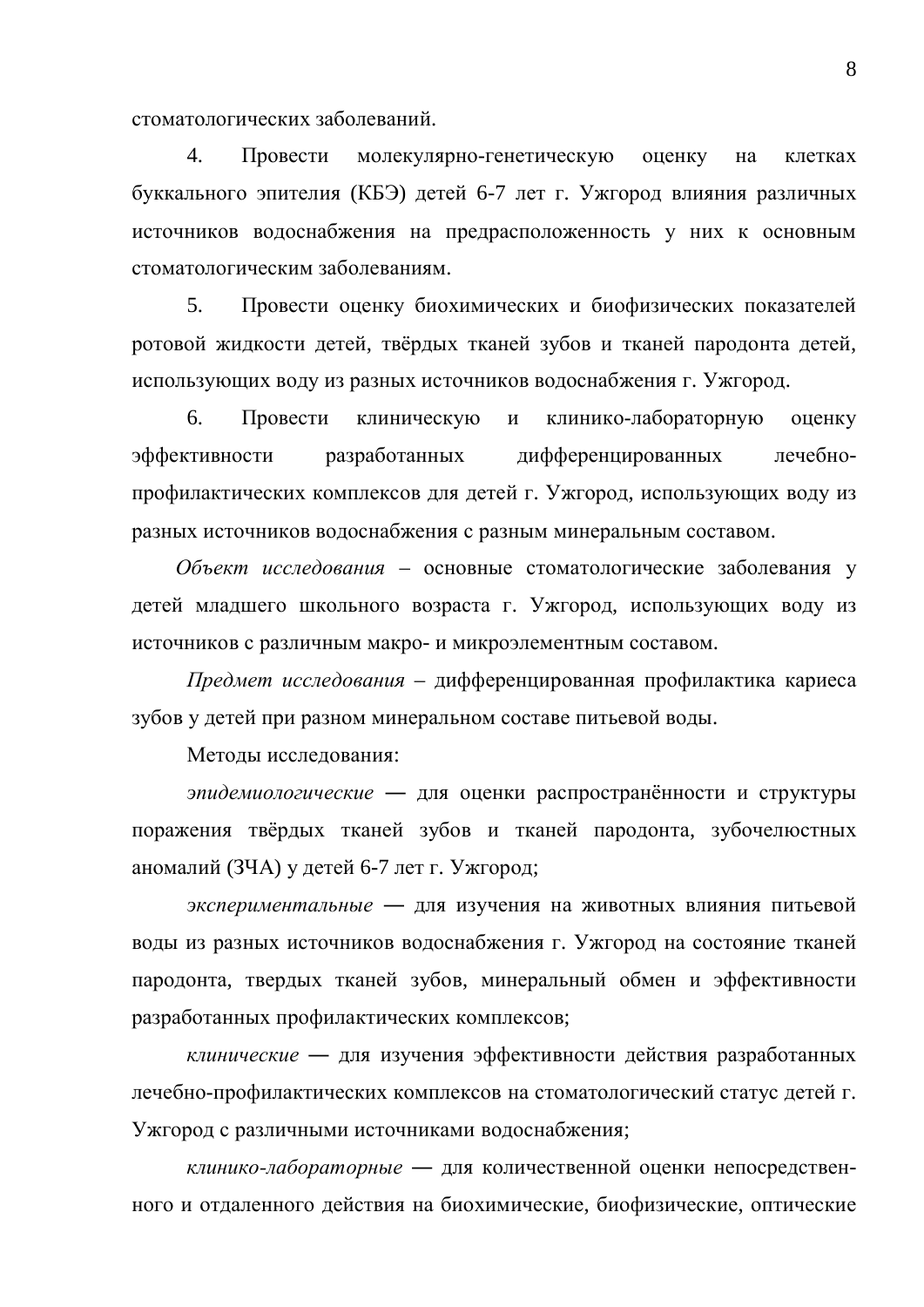стоматологических заболеваний.

4. Провести молекулярно-генетическую оценку на клетках буккального эпителия (КБЭ) детей 6-7 лет г. Ужгород влияния различных источников водоснабжения на предрасположенность у них к основным стоматологическим заболеваниям.

5. Провести оценку биохимических и биофизических показателей ротовой жидкости детей, твёрдых тканей зубов и тканей пародонта детей, использующих воду из разных источников водоснабжения г. Ужгород.

6. Провести клиническую и клинико-лабораторную оценку эффективности разработанных дифференцированных лечебнопрофилактических комплексов для детей г. Ужгород, использующих воду из разных источников водоснабжения с разным минеральным составом.

Объект исследования – основные стоматологические заболевания у детей младшего школьного возраста г. Ужгород, использующих воду из источников с различным макро- и микроэлементным составом.

*Предмет исследования* – дифференцированная профилактика кариеса зубов у детей при разном минеральном составе питьевой воды.

Методы исследования:

эпидемиологические - для оценки распространённости и структуры поражения твёрдых тканей зубов и тканей пародонта, зубочелюстных аномалий (ЗЧА) у детей 6-7 лет г. Ужгород;

экспериментальные - для изучения на животных влияния питьевой воды из разных источников водоснабжения г. Ужгород на состояние тканей пародонта, твердых тканей зубов, минеральный обмен и эффективности разработанных профилактических комплексов;

клинические - для изучения эффективности действия разработанных лечебно-профилактических комплексов на стоматологический статус детей г. Ужгород с различными источниками водоснабжения;

клинико-лабораторные - для количественной оценки непосредственного и отдаленного действия на биохимические, биофизические, оптические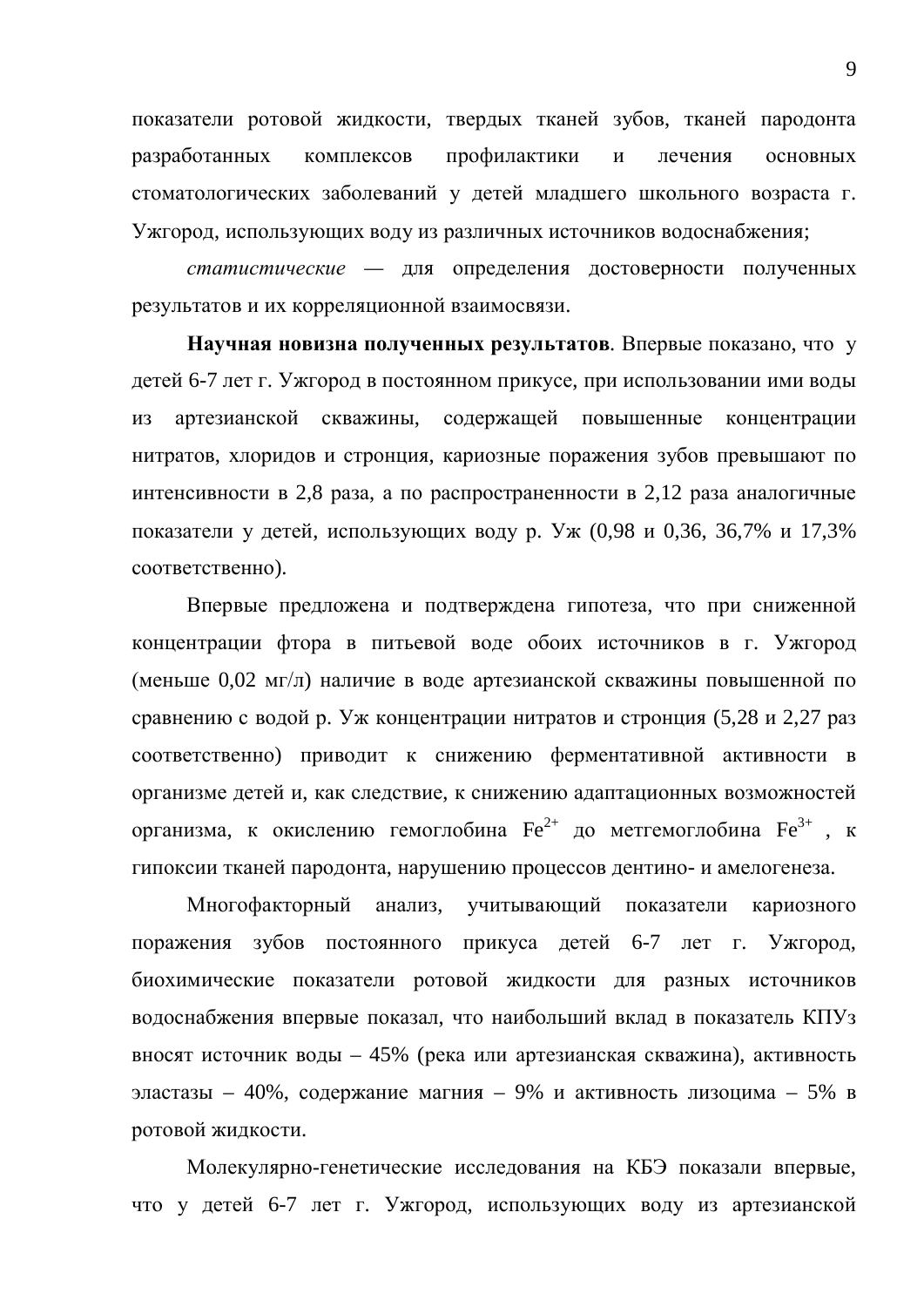показатели ротовой жидкости, твердых тканей зубов, тканей пародонта разработанных комплексов профилактики и лечения основных стоматологических заболеваний у детей младшего школьного возраста г. Ужгород, использующих воду из различных источников водоснабжения;

*статистические* — для определения достоверности полученных результатов и их корреляционной взаимосвязи.

**Научная новизна полученных результатов.** Впервые показано, что у детей 6-7 лет г. Ужгород в постоянном прикусе, при использовании ими воды из артезианской скважины, содержащей повышенные концентрации нитратов, хлоридов и стронция, кариозные поражения зубов превышают по интенсивности в 2,8 раза, а по распространенности в 2,12 раза аналогичные показатели у детей, использующих воду р. Уж (0,98 и 0,36, 36,7% и 17,3% соответственно).

Впервые предложена и подтверждена гипотеза, что при сниженной концентрации фтора в питьевой воде обоих источников в г. Ужгород (меньше 0,02 мг/л) наличие в воде артезианской скважины повышенной по сравнению с водой р. Уж концентрации нитратов и стронция (5,28 и 2,27 раз соответственно) приводит к снижению ферментативной активности в организме детей и, как следствие, к снижению адаптационных возможностей организма, к окислению гемоглобина  $\mathrm{Fe}^{2+}$  до метгемоглобина  $\mathrm{Fe}^{3+}$  , к гипоксии тканей пародонта, нарушению процессов дентино- и амелогенеза.

Многофакторный анализ, учитывающий показатели кариозного поражения зубов постоянного прикуса детей 6-7 лет г. Ужгород, биохимические показатели ротовой жидкости для разных источников водоснабжения впервые показал, что наибольший вклад в показатель КПУз вносят источник воды – 45% (река или артезианская скважина), активность эластазы – 40%, содержание магния – 9% и активность лизоцима – 5% в ротовой жидкости.

Молекулярно-генетические исследования на КБЭ показали впервые, что у детей 6-7 лет г. Ужгород, использующих воду из артезианской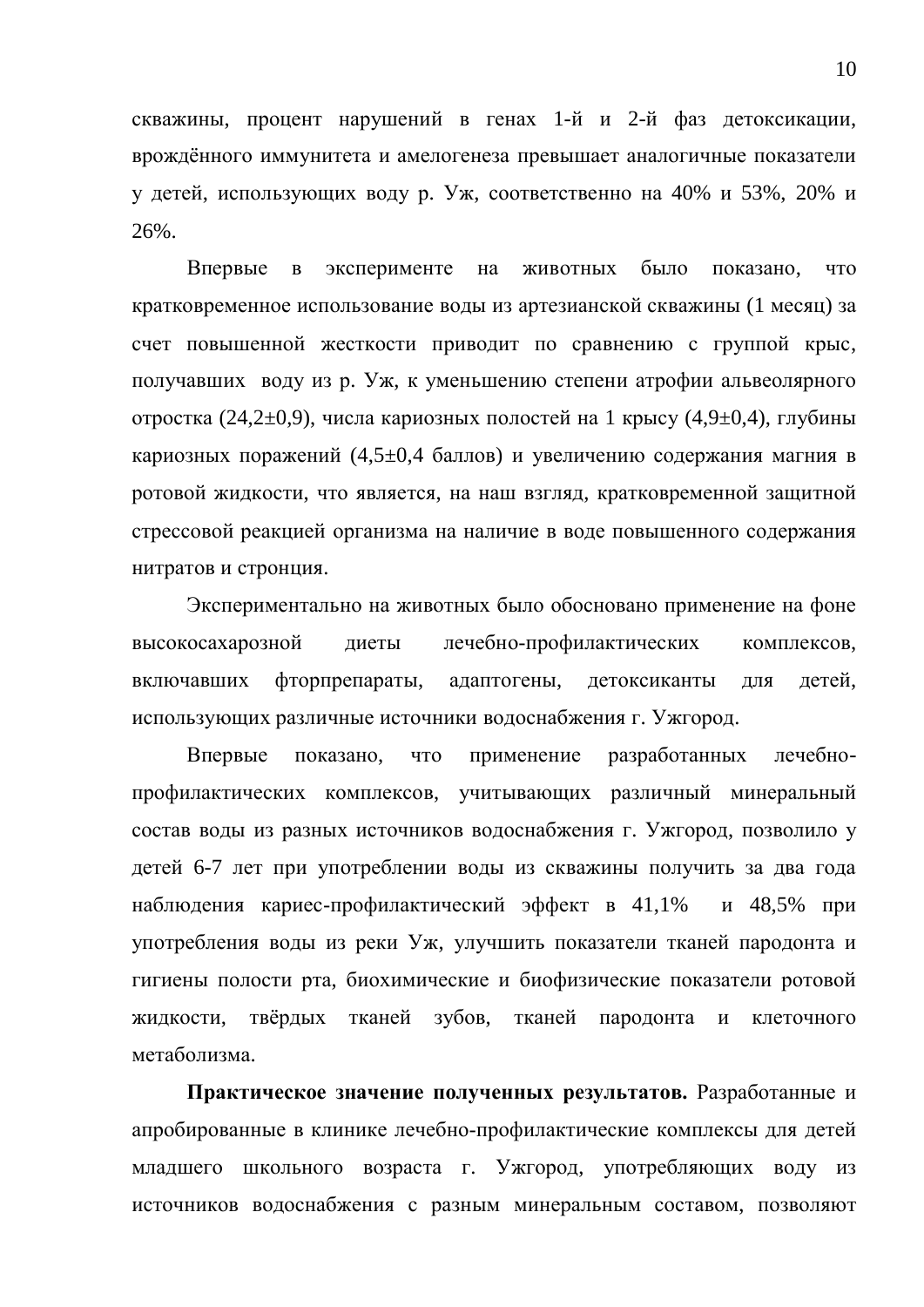скважины, процент нарушений в генах 1-й и 2-й фаз детоксикации, врождённого иммунитета и амелогенеза превышает аналогичные показатели у детей, использующих воду р. Уж, соответственно на 40% и 53%, 20% и 26%.

Впервые в эксперименте на животных было показано, что кратковременное использование воды из артезианской скважины (1 месяц) за счет повышенной жесткости приводит по сравнению с группой крыс, получавших воду из р. Уж, к уменьшению степени атрофии альвеолярного отростка (24,2 $\pm$ 0,9), числа кариозных полостей на 1 крысу (4,9 $\pm$ 0,4), глубины кариозных поражений (4,5 $\pm$ 0,4 баллов) и увеличению содержания магния в ротовой жидкости, что является, на наш взгляд, кратковременной защитной стрессовой реакцией организма на наличие в воде повышенного содержания нитратов и стронция.

Экспериментально на животных было обосновано применение на фоне высокосахарозной диеты лечебно-профилактических комплексов, включавших фторпрепараты, адаптогены, детоксиканты для детей, использующих различные источники водоснабжения г. Ужгород.

Впервые показано, что применение разработанных лечебнопрофилактических комплексов, учитывающих различный минеральный состав воды из разных источников водоснабжения г. Ужгород, позволило у детей 6-7 лет при употреблении воды из скважины получить за два года наблюдения кариес-профилактический эффект в 41,1% и 48,5% при употребления воды из реки Уж, улучшить показатели тканей пародонта и гигиены полости рта, биохимические и биофизические показатели ротовой жидкости, твёрдых тканей зубов, тканей пародонта и клеточного метаболизма.

Практическое значение полученных результатов. Разработанные и апробированные в клинике лечебно-профилактические комплексы для детей младшего школьного возраста г. Ужгород, употребляющих воду из источников водоснабжения с разным минеральным составом, позволяют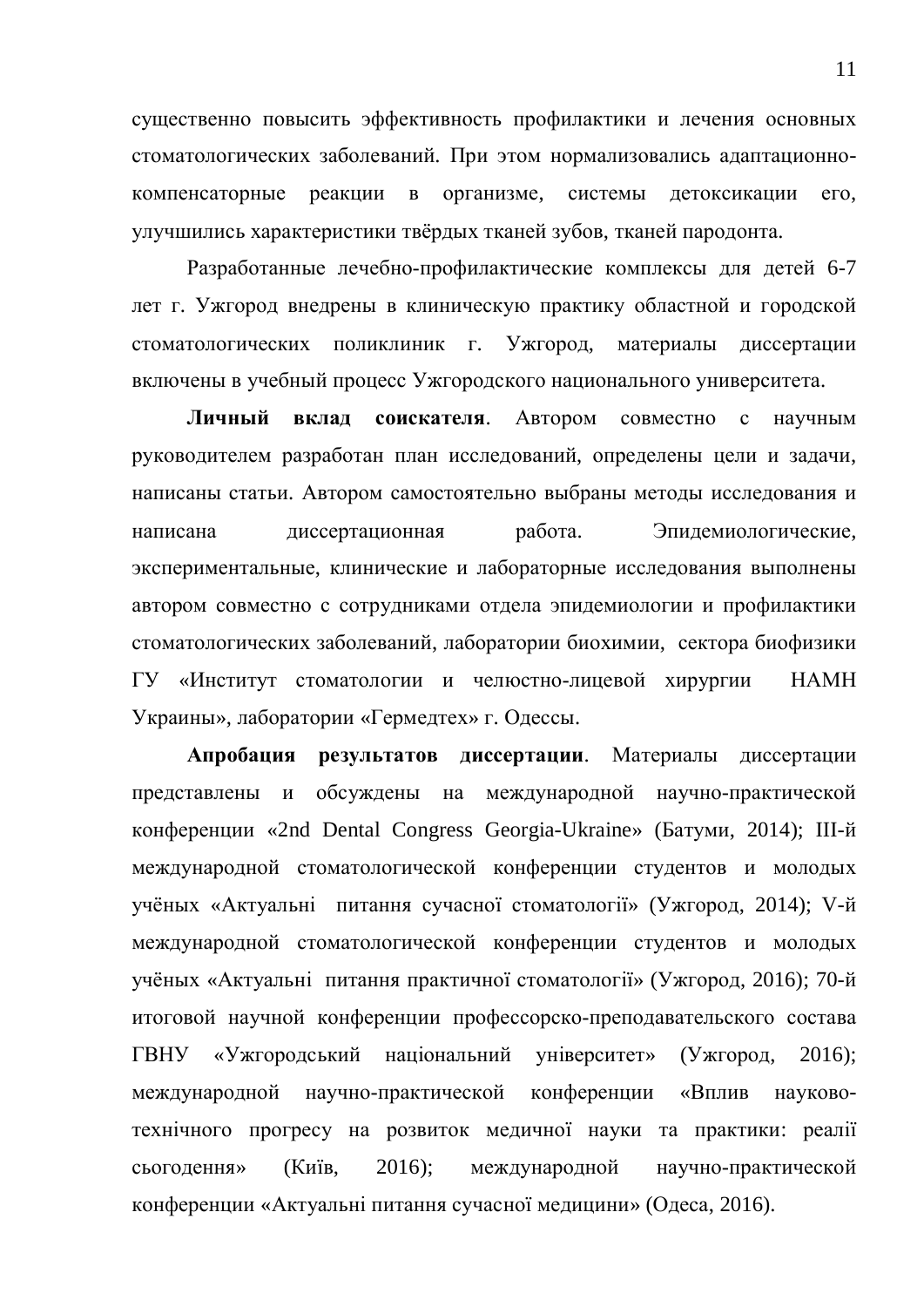существенно повысить эффективность профилактики и лечения основных стоматологических заболеваний. При этом нормализовались адаптационнокомпенсаторные реакции в организме, системы детоксикации его, улучшились характеристики твёрдых тканей зубов, тканей пародонта.

Разработанные лечебно-профилактические комплексы для детей 6-7 лет г. Ужгород внедрены в клиническую практику областной и городской стоматологических поликлиник г. Ужгород, материалы диссертации включены в учебный процесс Ужгородского национального университета.

**Личный вклад соискателя.** Автором совместно с научным руководителем разработан план исследований, определены цели и задачи, написаны статьи. Автором самостоятельно выбраны методы исследования и написана диссертационная работа. Эпидемиологические, экспериментальные, клинические и лабораторные исследования выполнены автором совместно с сотрудниками отдела эпидемиологии и профилактики стоматологических заболеваний, лаборатории биохимии, сектора биофизики ГУ «Институт стоматологии и челюстно-лицевой хирургии НАМН Украины», лаборатории «Гермедтех» г. Одессы.

Апробация результатов диссертации. Материалы диссертации представлены и обсуждены на международной научно-практической конференции «2nd Dental Congress Georgia-Ukraine» (Батуми, 2014); III-й международной стоматологической конференции студентов и молодых учёных «Актуальні питання сучасної стоматології» (Ужгород, 2014); V-й международной стоматологической конференции студентов и молодых учёных «Актуальні питання практичної стоматології» (Ужгород, 2016); 70-й итоговой научной конференции профессорско-преподавательского состава ГВНУ «Ужгородський національний університет» (Ужгород, 2016); международной научно-практической конференции «Вплив науковотехнічного прогресу на розвиток медичної науки та практики: реалії сьогодення» (Київ, 2016); международной научно-практической конференции «Актуальні питання сучасної медицини» (Одеса, 2016).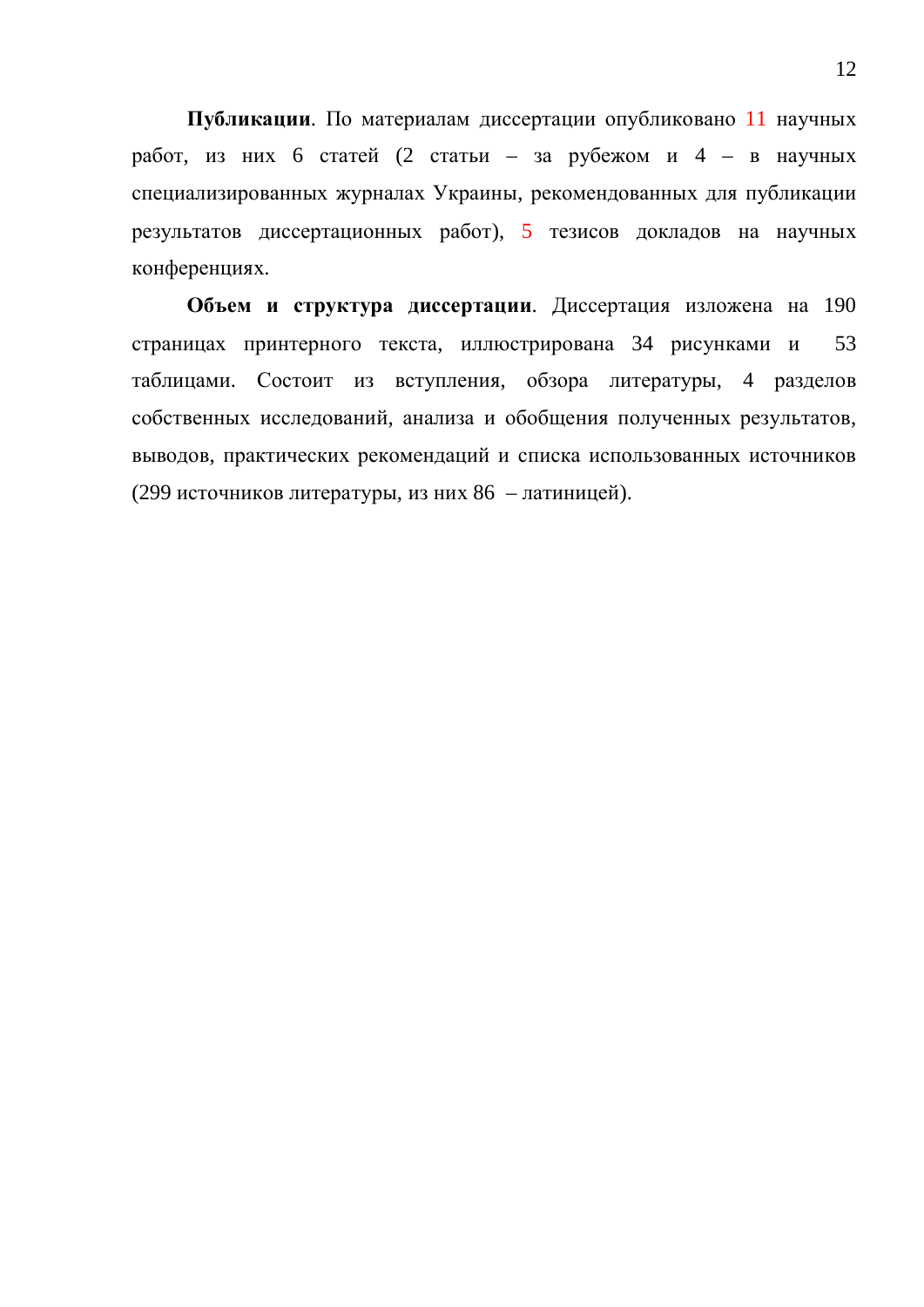Публикации. По материалам диссертации опубликовано 11 научных работ, из них 6 статей (2 статьи – за рубежом и 4 – в научных специализированных журналах Украины, рекомендованных для публикации результатов диссертационных работ), 5 тезисов докладов на научных конференциях.

Объем и структура диссертации. Диссертация изложена на 190 страницах принтерного текста, иллюстрирована 34 рисунками и 53 таблицами. Состоит из вступления, обзора литературы, 4 разделов собственных исследований, анализа и обобщения полученных результатов, выводов, практических рекомендаций и списка использованных источников (299 источников литературы, из них 86 – латиницей).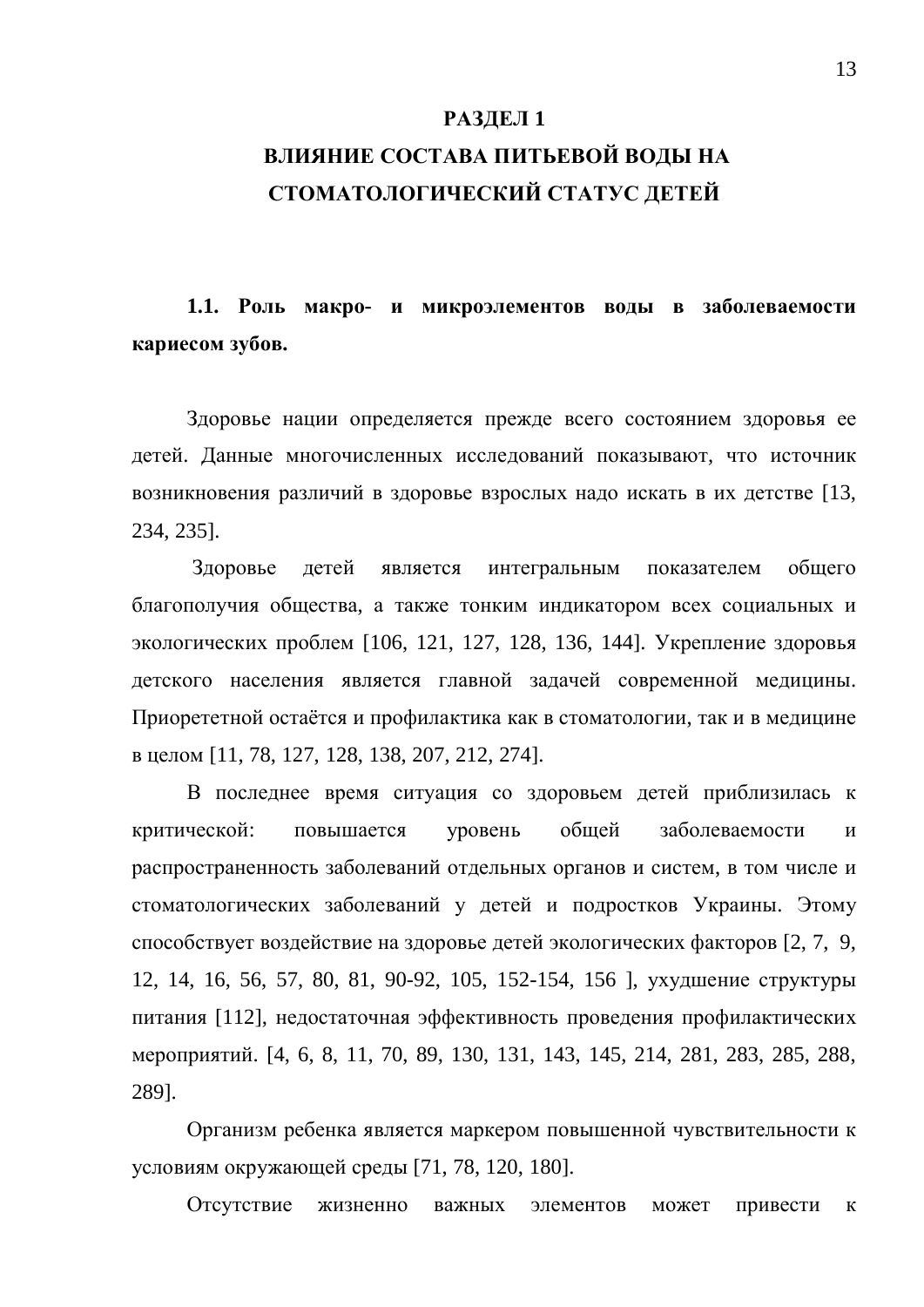#### **РАЗДЕЛ 1**

## ВЛИЯНИЕ СОСТАВА ПИТЬЕВОЙ ВОДЫ НА СТОМАТОЛОГИЧЕСКИЙ СТАТУС ДЕТЕЙ

1.1. Роль макро- и микроэлементов воды в заболеваемости кариесом зубов.

Здоровье нации определяется прежде всего состоянием здоровья ее детей. Данные многочисленных исследований показывают, что источник возникновения различий в здоровье взрослых надо искать в их детстве [13, 234, 235].

Здоровье детей является интегральным показателем общего благополучия общества, а также тонким индикатором всех социальных и экологических проблем [106, 121, 127, 128, 136, 144]. Укрепление здоровья детского населения является главной задачей современной медицины. Приорететной остаётся и профилактика как в стоматологии, так и в медицине ɜɰɟɥɨɦ [11, 78, 127, 128, 138, 207, 212, 274].

В последнее время ситуация со здоровьем детей приблизилась к критической: повышается уровень обшей заболеваемости и распространенность заболеваний отдельных органов и систем, в том числе и стоматологических заболеваний у детей и подростков Украины. Этому способствует воздействие на здоровье детей экологических факторов [2, 7, 9, 12, 14, 16, 56, 57, 80, 81, 90-92, 105, 152-154, 156 ], ухудшение структуры питания [112], недостаточная эффективность проведения профилактических мероприятий. [4, 6, 8, 11, 70, 89, 130, 131, 143, 145, 214, 281, 283, 285, 288, 289].

Организм ребенка является маркером повышенной чувствительности к условиям окружающей среды [71, 78, 120, 180].

Отсутствие жизненно важных элементов может привести к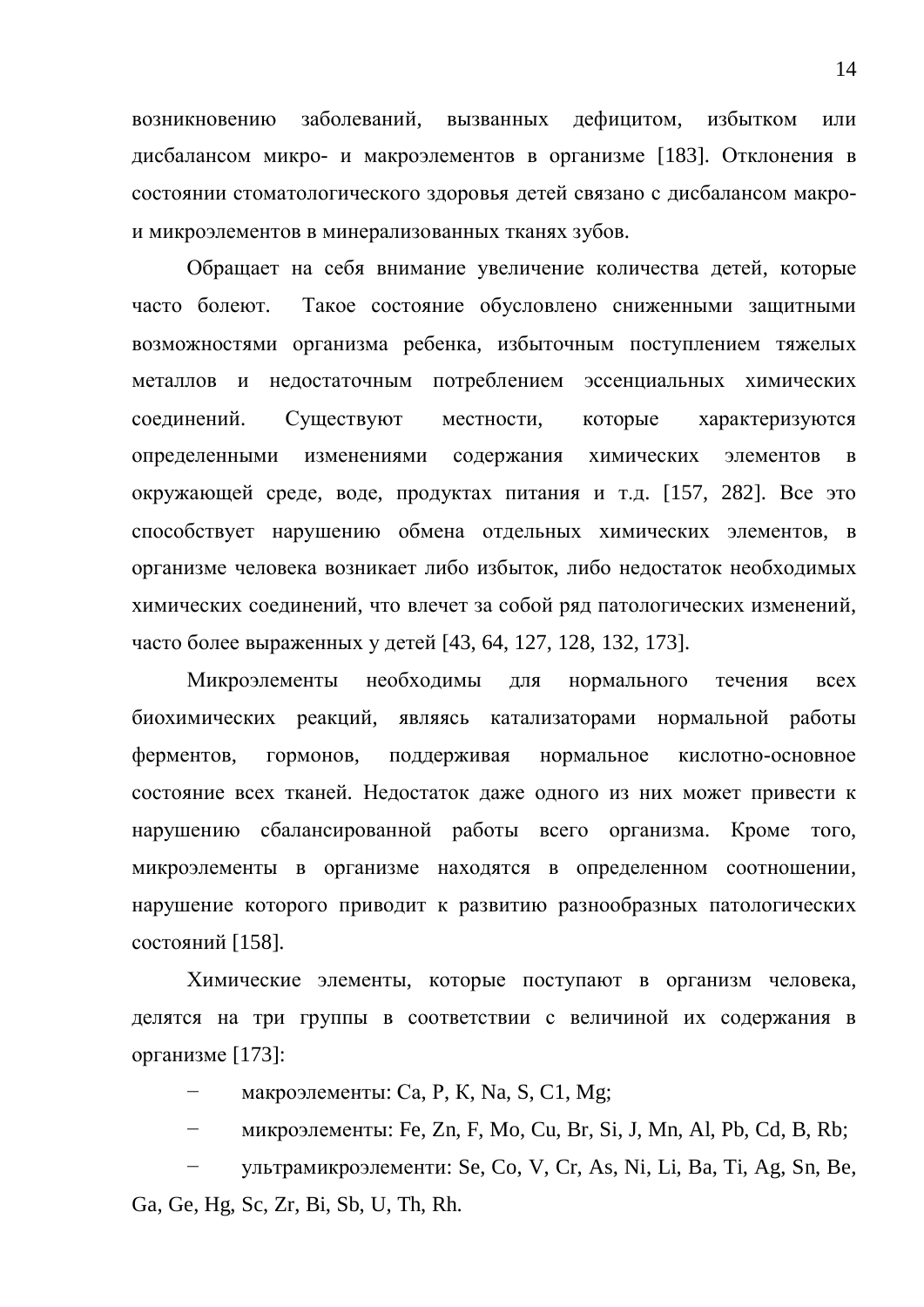возникновению заболеваний, вызванных дефицитом, избытком или дисбалансом микро- и макроэлементов в организме [183]. Отклонения в состоянии стоматологического здоровья детей связано с дисбалансом макрои микроэлементов в минерализованных тканях зубов.

Обращает на себя внимание увеличение количества детей, которые часто болеют. Такое состояние обусловлено сниженными защитными возможностями организма ребенка, избыточным поступлением тяжелых металлов и недостаточным потреблением эссенциальных химических соединений. Существуют местности, которые характеризуются определенными изменениями содержания химических элементов в окружающей среде, воде, продуктах питания и т.д. [157, 282]. Все это способствует нарушению обмена отдельных химических элементов, в организме человека возникает либо избыток, либо недостаток необходимых химических соединений, что влечет за собой ряд патологических изменений, часто более выраженных у детей [43, 64, 127, 128, 132, 173].

Микроэлементы необходимы для нормального течения всех биохимических реакций, являясь катализаторами нормальной работы ферментов, гормонов, поддерживая нормальное кислотно-основное состояние всех тканей. Недостаток даже одного из них может привести к нарушению сбалансированной работы всего организма. Кроме того, микроэлементы в организме находятся в определенном соотношении, нарушение которого приводит к развитию разнообразных патологических состояний [158].

Химические элементы, которые поступают в организм человека, делятся на три группы в соответствии с величиной их содержания в организме [173]:

– макроэлементы: Са, Р, К, Na, S, С1, Mg;

<sup>-</sup> микроэлементы: Fe, Zn, F, Mo, Cu, Br, Si, J, Mn, Al, Pb, Cd, B, Rb;

vльтрамикроэлементи: Se, Co, V, Cr, As, Ni, Li, Ba, Ti, Ag, Sn, Be, Ga, Ge, Hg, Sc, Zr, Bi, Sb, U, Th, Rh.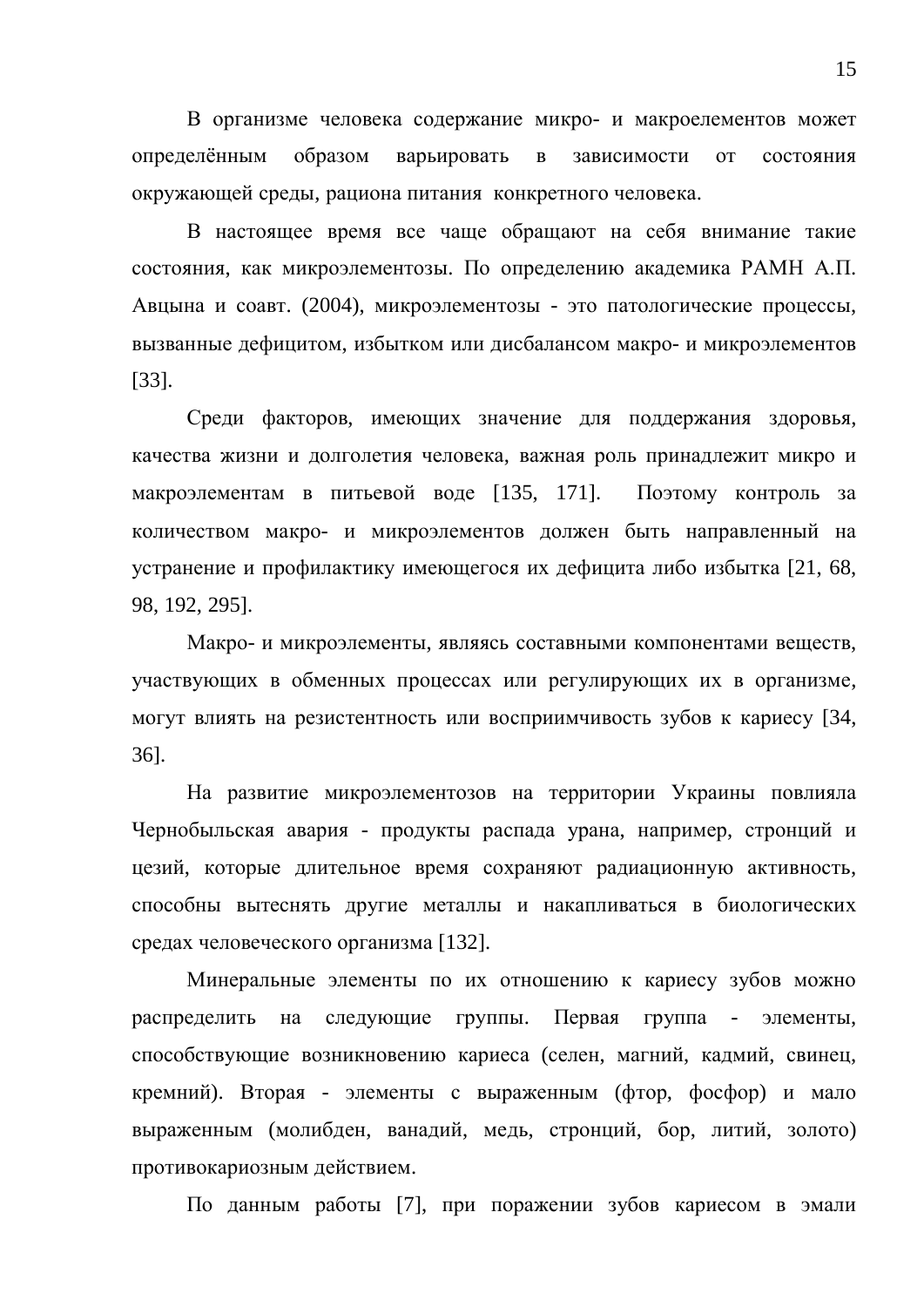В организме человека содержание микро- и макроелементов может определённым образом варьировать в зависимости от состояния окружающей среды, рациона питания конкретного человека.

В настоящее время все чаще обращают на себя внимание такие состояния, как микроэлементозы. По определению академика РАМН А.П. Авцына и соавт. (2004), микроэлементозы - это патологические процессы, вызванные дефицитом, избытком или дисбалансом макро- и микроэлементов [33].

Среди факторов, имеющих значение для поддержания здоровья, качества жизни и долголетия человека, важная роль принадлежит микро и макроэлементам в питьевой воде [135, 171]. Поэтому контроль за количеством макро- и микроэлементов должен быть направленный на устранение и профилактику имеющегося их дефицита либо избытка [21, 68, 98, 192, 295].

Макро- и микроэлементы, являясь составными компонентами веществ, участвующих в обменных процессах или регулирующих их в организме, могут влиять на резистентность или восприимчивость зубов к кариесу [34, 36].

На развитие микроэлементозов на территории Украины повлияла Чернобыльская авария - продукты распада урана, например, стронций и цезий, которые длительное время сохраняют радиационную активность, способны вытеснять другие металлы и накапливаться в биологических средах человеческого организма [132].

Минеральные элементы по их отношению к кариесу зубов можно распределить на следующие группы. Первая группа - элементы, способствующие возникновению кариеса (селен, магний, кадмий, свинец, кремний). Вторая - элементы с выраженным (фтор, фосфор) и мало выраженным (молибден, ванадий, медь, стронций, бор, литий, золото) противокариозным действием.

По данным работы [7], при поражении зубов кариесом в эмали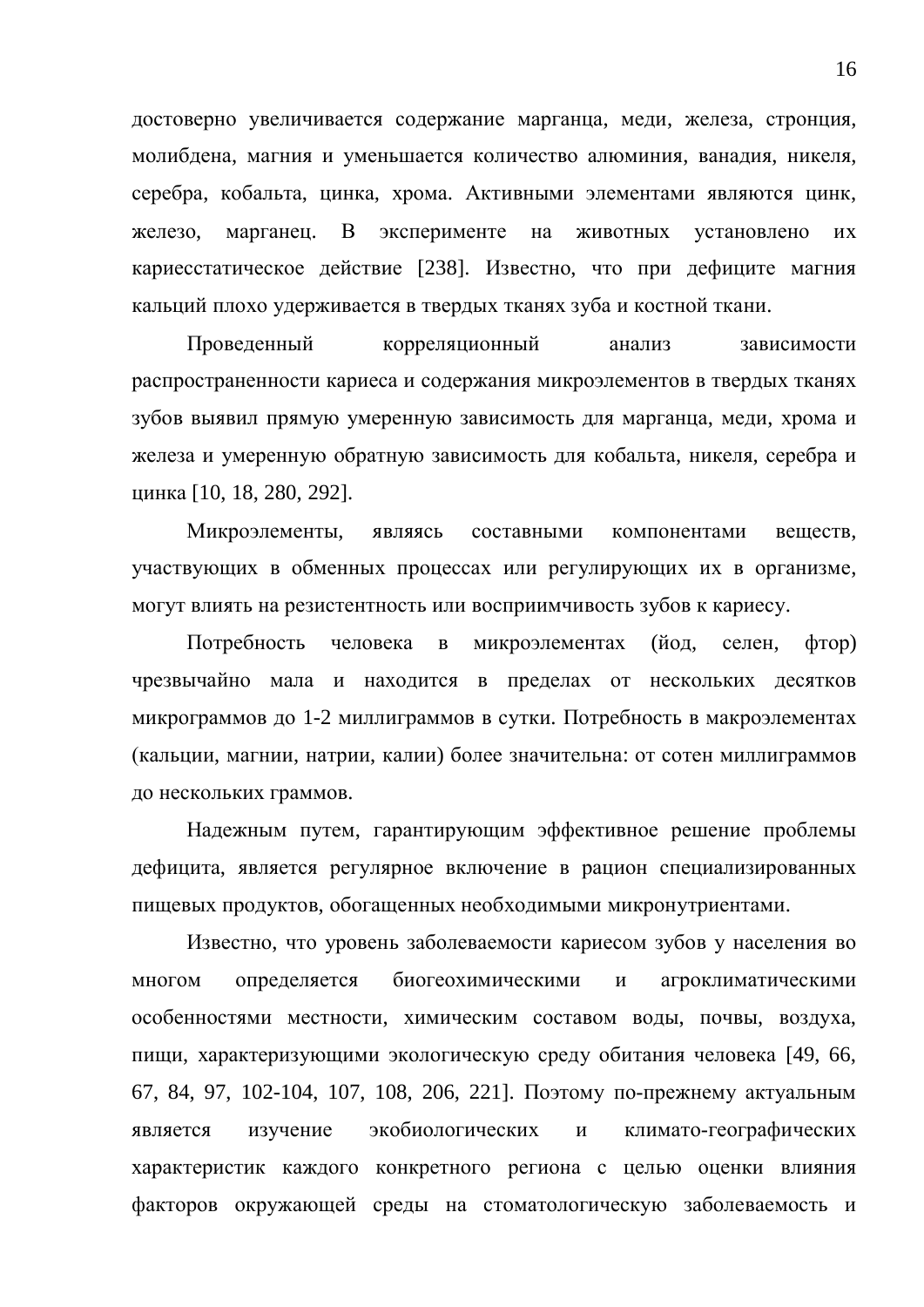достоверно увеличивается содержание марганца, меди, железа, стронция, молибдена, магния и уменьшается количество алюминия, ванадия, никеля, серебра, кобальта, цинка, хрома. Активными элементами являются цинк, железо, марганец. В эксперименте на животных установлено их кариесстатическое действие [238]. Известно, что при дефиците магния кальций плохо удерживается в твердых тканях зуба и костной ткани.

Проведенный корреляционный анализ зависимости распространенности кариеса и содержания микроэлементов в твердых тканях зубов выявил прямую умеренную зависимость для марганца, меди, хрома и железа и умеренную обратную зависимость для кобальта, никеля, серебра и ɰɢɧɤɚ [10, 18, 280, 292].

Микроэлементы, являясь составными компонентами веществ, участвующих в обменных процессах или регулирующих их в организме, могут влиять на резистентность или восприимчивость зубов к кариесу.

Потребность человека в микроэлементах (йод, селен, фтор) чрезвычайно мала и находится в пределах от нескольких десятков микрограммов до 1-2 миллиграммов в сутки. Потребность в макроэлементах (кальции, магнии, натрии, калии) более значительна: от сотен миллиграммов до нескольких граммов.

Надежным путем, гарантирующим эффективное решение проблемы дефицита, является регулярное включение в рацион специализированных пищевых продуктов, обогащенных необходимыми микронутриентами.

Известно, что уровень заболеваемости кариесом зубов у населения во многом определяется биогеохимическими и агроклиматическими особенностями местности, химическим составом воды, почвы, воздуха, пищи, характеризующими экологическую среду обитания человека [49, 66, 67, 84, 97, 102-104, 107, 108, 206, 221]. Поэтому по-прежнему актуальным является изучение экобиологических и климато-географических характеристик каждого конкретного региона с целью оценки влияния факторов окружающей среды на стоматологическую заболеваемость и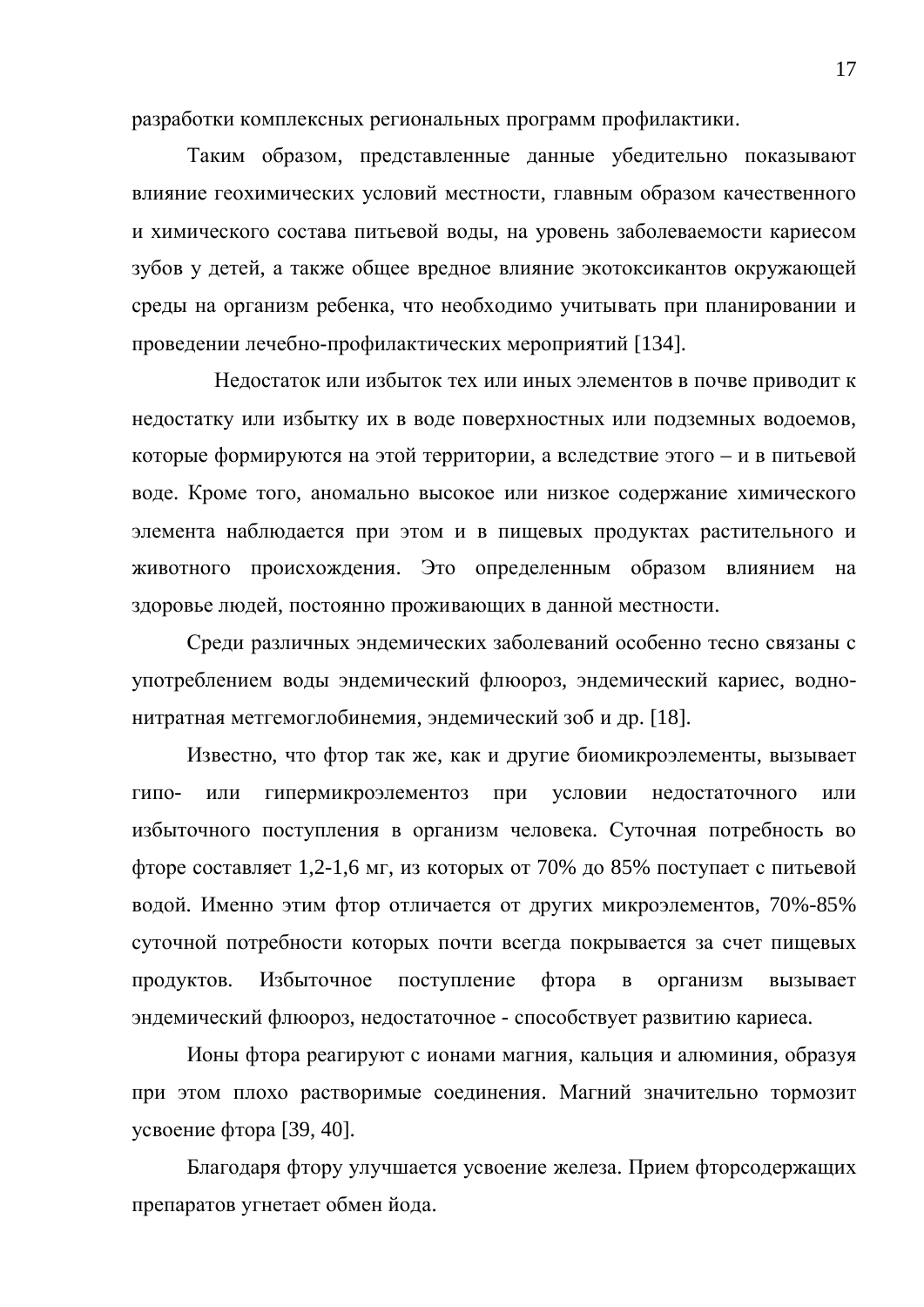разработки комплексных региональных программ профилактики.

Таким образом, представленные данные убедительно показывают влияние геохимических условий местности, главным образом качественного и химического состава питьевой воды, на уровень заболеваемости кариесом зубов у детей, а также общее вредное влияние экотоксикантов окружающей среды на организм ребенка, что необходимо учитывать при планировании и проведении лечебно-профилактических мероприятий [134].

Недостаток или избыток тех или иных элементов в почве приводит к недостатку или избытку их в воде поверхностных или подземных водоемов, которые формируются на этой территории, а вследствие этого – и в питьевой воде. Кроме того, аномально высокое или низкое содержание химического элемента наблюдается при этом и в пищевых продуктах растительного и животного происхождения. Это определенным образом влиянием на здоровье людей, постоянно проживающих в данной местности.

Среди различных эндемических заболеваний особенно тесно связаны с употреблением воды эндемический флюороз, эндемический кариес, воднонитратная метгемоглобинемия, эндемический зоб и др. [18].

Известно, что фтор так же, как и другие биомикроэлементы, вызывает гипо- или гипермикроэлементоз при условии недостаточного или избыточного поступления в организм человека. Суточная потребность во фторе составляет 1,2-1,6 мг, из которых от 70% до 85% поступает с питьевой водой. Именно этим фтор отличается от других микроэлементов, 70%-85% суточной потребности которых почти всегда покрывается за счет пищевых продуктов. Избыточное поступление фтора в организм вызывает эндемический флюороз, недостаточное - способствует развитию кариеса.

Ионы фтора реагируют с ионами магния, кальция и алюминия, образуя при этом плохо растворимые соединения. Магний значительно тормозит усвоение фтора [39, 40].

Благодаря фтору улучшается усвоение железа. Прием фторсодержащих препаратов угнетает обмен йода.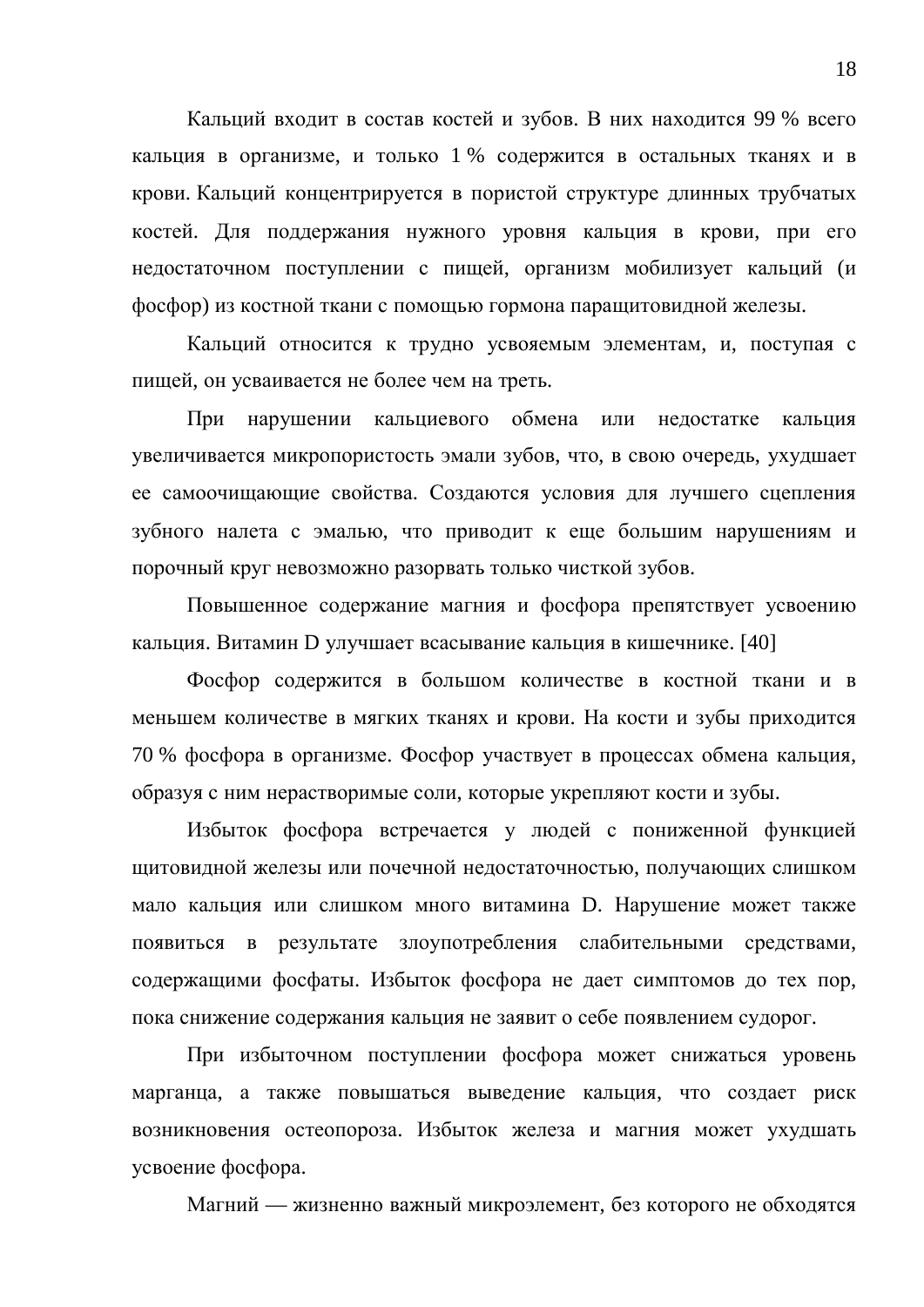Кальций входит в состав костей и зубов. В них находится 99 % всего кальция в организме, и только 1 % содержится в остальных тканях и в крови. Кальций концентрируется в пористой структуре длинных трубчатых костей. Для поддержания нужного уровня кальция в крови, при его недостаточном поступлении с пищей, организм мобилизует кальций (и фосфор) из костной ткани с помощью гормона паращитовидной железы.

Кальций относится к трудно усвояемым элементам, и, поступая с пищей, он усваивается не более чем на треть.

При нарушении кальшиевого обмена или нелостатке кальшия увеличивается микропористость эмали зубов, что, в свою очередь, ухудшает ее самоочищающие свойства. Создаются условия для лучшего сцепления зубного налета с эмалью, что приводит к еще большим нарушениям и порочный круг невозможно разорвать только чисткой зубов.

Повышенное содержание магния и фосфора препятствует усвоению кальция. Витамин D улучшает всасывание кальция в кишечнике. [40]

Фосфор содержится в большом количестве в костной ткани и в меньшем количестве в мягких тканях и крови. На кости и зубы приходится 70 % фосфора в организме. Фосфор участвует в процессах обмена кальция, образуя с ним нерастворимые соли, которые укрепляют кости и зубы.

Избыток фосфора встречается у людей с пониженной функцией щитовидной железы или почечной недостаточностью, получающих слишком мало кальция или слишком много витамина D. Нарушение может также появиться в результате злоупотребления слабительными средствами, содержащими фосфаты. Избыток фосфора не дает симптомов до тех пор, пока снижение содержания кальция не заявит о себе появлением судорог.

При избыточном поступлении фосфора может снижаться уровень марганца, а также повышаться выведение кальция, что создает риск возникновения остеопороза. Избыток железа и магния может ухудшать усвоение фосфора.

Магний — жизненно важный микроэлемент, без которого не обходятся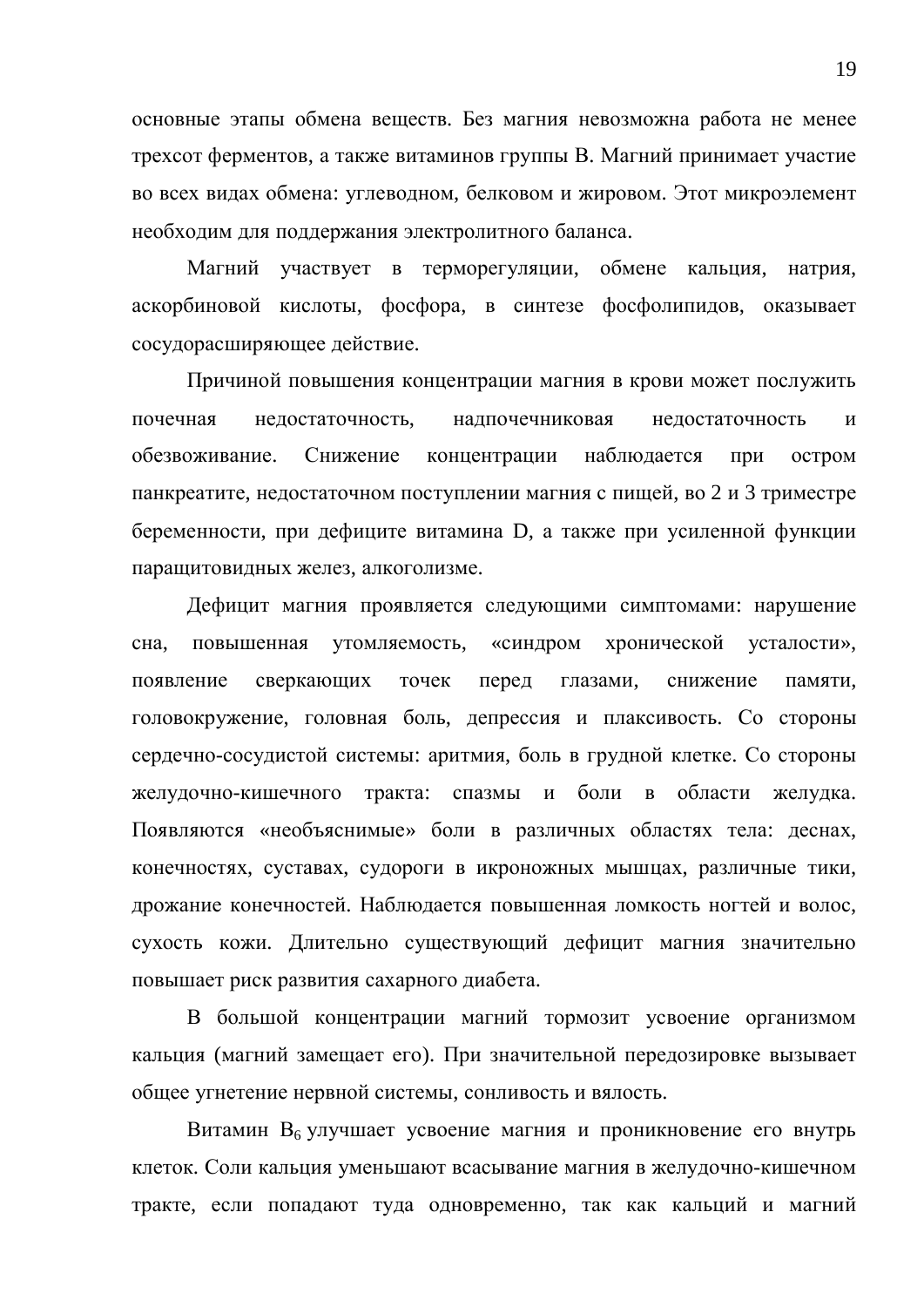основные этапы обмена веществ. Без магния невозможна работа не менее трехсот ферментов, а также витаминов группы В. Магний принимает участие во всех видах обмена: углеводном, белковом и жировом. Этот микроэлемент необходим для поддержания электролитного баланса.

Магний участвует в терморегуляции, обмене кальция, натрия, аскорбиновой кислоты, фосфора, в синтезе фосфолипидов, оказывает сосудорасширяющее действие.

Причиной повышения концентрации магния в крови может послужить почечная нелостаточность, налпочечниковая нелостаточность и обезвоживание. Снижение концентрации наблюдается при остром панкреатите, недостаточном поступлении магния с пищей, во 2 и 3 триместре беременности, при дефиците витамина D, а также при усиленной функции паращитовидных желез, алкоголизме.

Дефицит магния проявляется следующими симптомами: нарушение сна, повышенная утомляемость, «синдром хронической усталости», появление сверкающих точек перед глазами, снижение памяти, головокружение, головная боль, депрессия и плаксивость. Со стороны сердечно-сосудистой системы: аритмия, боль в грудной клетке. Со стороны желудочно-кишечного тракта: спазмы и боли в области желудка. Появляются «необъяснимые» боли в различных областях тела: деснах, конечностях, суставах, судороги в икроножных мышцах, различные тики, дрожание конечностей. Наблюдается повышенная ломкость ногтей и волос, сухость кожи. Длительно существующий дефицит магния значительно повышает риск развития сахарного диабета.

В большой концентрации магний тормозит усвоение организмом кальция (магний замещает его). При значительной передозировке вызывает общее угнетение нервной системы, сонливость и вялость.

Витамин В<sub>6</sub> улучшает усвоение магния и проникновение его внутрь клеток. Соли кальция уменьшают всасывание магния в желудочно-кишечном тракте, если попадают туда одновременно, так как кальций и магний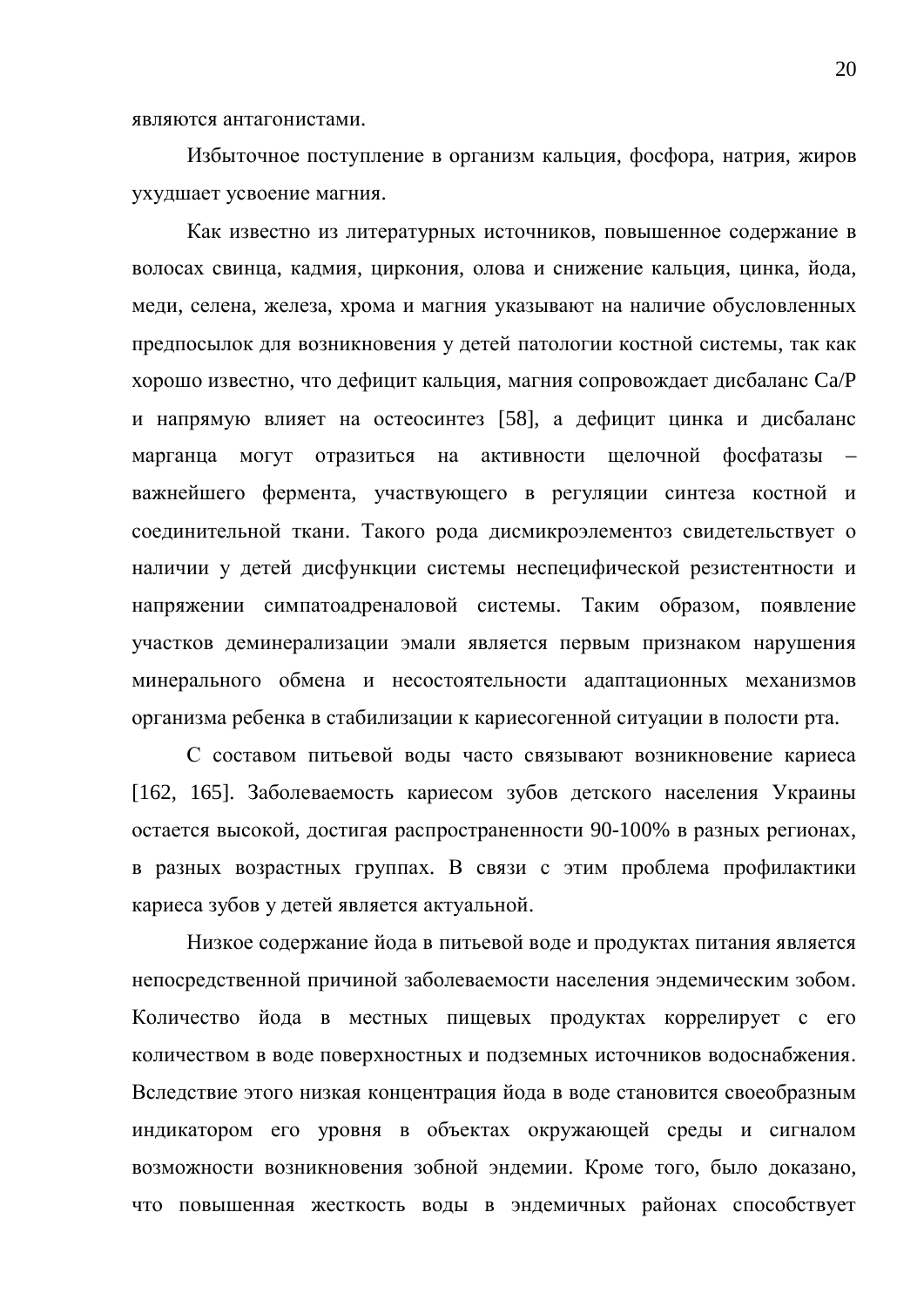Избыточное поступление в организм кальция, фосфора, натрия, жиров ухудшает усвоение магния.

Как известно из литературных источников, повышенное содержание в волосах свинца, кадмия, циркония, олова и снижение кальция, цинка, йода, меди, селена, железа, хрома и магния указывают на наличие обусловленных предпосылок для возникновения у детей патологии костной системы, так как хорошо известно, что дефицит кальция, магния сопровождает дисбаланс Са/Р и напрямую влияет на остеосинтез [58], а дефицит цинка и дисбаланс марганца могут отразиться на активности щелочной фосфатазы – важнейшего фермента, участвующего в регуляции синтеза костной и соединительной ткани. Такого рода дисмикроэлементоз свидетельствует о наличии у детей дисфункции системы неспецифической резистентности и напряжении симпатоадреналовой системы. Таким образом, появление участков деминерализации эмали является первым признаком нарушения минерального обмена и несостоятельности адаптационных механизмов организма ребенка в стабилизации к кариесогенной ситуации в полости рта.

С составом питьевой воды часто связывают возникновение кариеса [162, 165]. Заболеваемость кариесом зубов детского населения Украины остается высокой, достигая распространенности 90-100% в разных регионах, в разных возрастных группах. В связи с этим проблема профилактики кариеса зубов у детей является актуальной.

Низкое содержание йода в питьевой воде и продуктах питания является непосредственной причиной заболеваемости населения эндемическим зобом. Количество йода в местных пищевых продуктах коррелирует с его количеством в воде поверхностных и подземных источников водоснабжения. Вследствие этого низкая концентрация йода в воде становится своеобразным индикатором его уровня в объектах окружающей среды и сигналом возможности возникновения зобной эндемии. Кроме того, было доказано, что повышенная жесткость воды в эндемичных районах способствует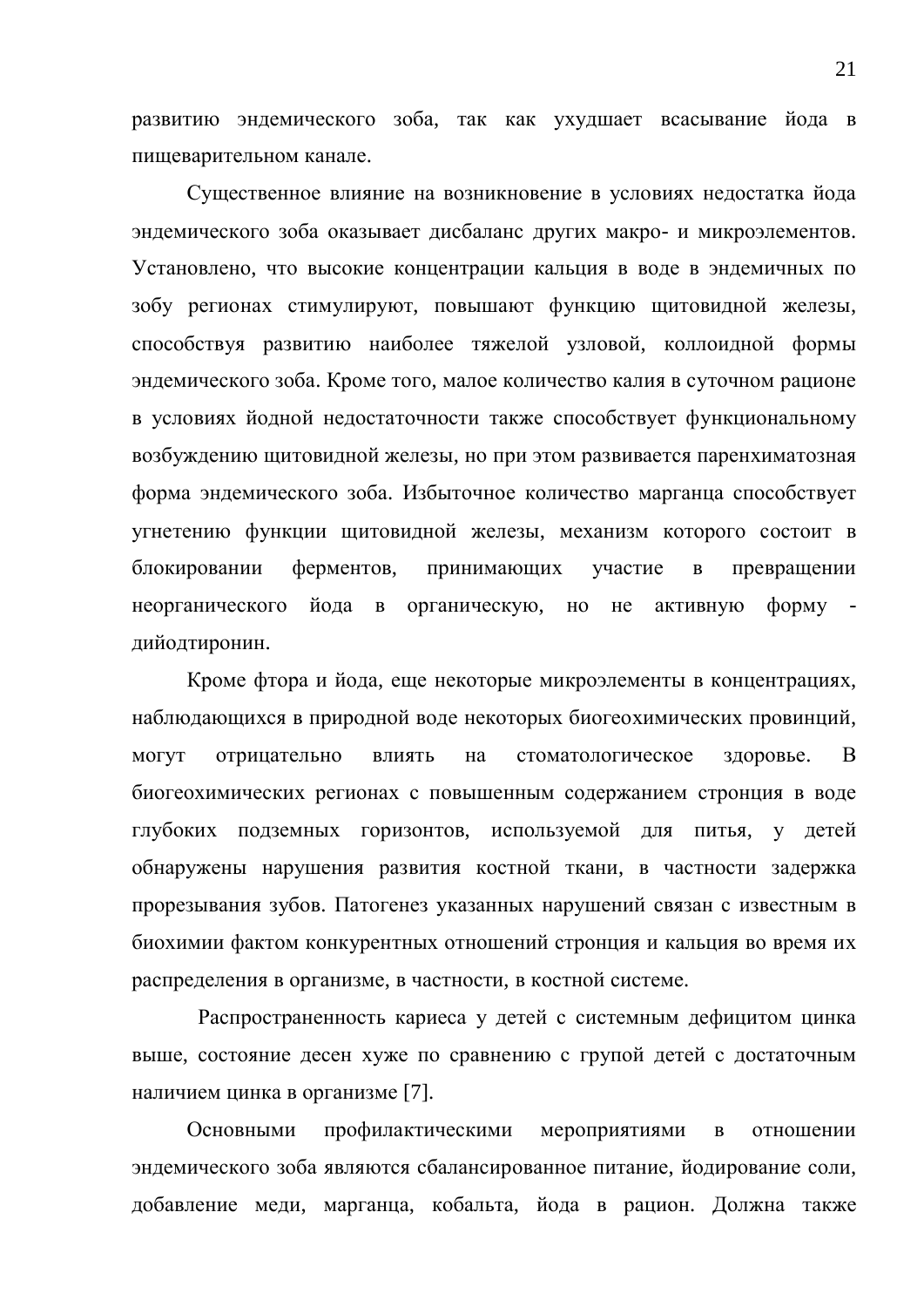развитию эндемического зоба, так как ухудшает всасывание йода в пищеварительном канале.

Существенное влияние на возникновение в условиях недостатка йода эндемического зоба оказывает дисбаланс других макро- и микроэлементов. Установлено, что высокие концентрации кальция в воде в эндемичных по зобу регионах стимулируют, повышают функцию щитовидной железы, способствуя развитию наиболее тяжелой узловой, коллоидной формы эндемического зоба. Кроме того, малое количество калия в суточном рационе в условиях йодной недостаточности также способствует функциональному возбуждению щитовидной железы, но при этом развивается паренхиматозная форма эндемического зоба. Избыточное количество марганца способствует угнетению функции щитовидной железы, механизм которого состоит в блокировании ферментов, принимающих участие в превращении неорганического йода в органическую, но не активную форму дийодтиронин.

Кроме фтора и йода, еще некоторые микроэлементы в концентрациях, наблюдающихся в природной воде некоторых биогеохимических провинций, могут отрицательно влиять на стоматологическое здоровье. В биогеохимических регионах с повышенным содержанием стронция в воде глубоких подземных горизонтов, используемой для питья, у детей обнаружены нарушения развития костной ткани, в частности задержка прорезывания зубов. Патогенез указанных нарушений связан с известным в биохимии фактом конкурентных отношений стронция и кальция во время их распределения в организме, в частности, в костной системе.

Распространенность кариеса у детей с системным дефицитом цинка выше, состояние десен хуже по сравнению с групой детей с достаточным наличием цинка в организме [7].

Основными профилактическими мероприятиями в отношении эндемического зоба являются сбалансированное питание, йодирование соли, добавление меди, марганца, кобальта, йода в рацион. Должна также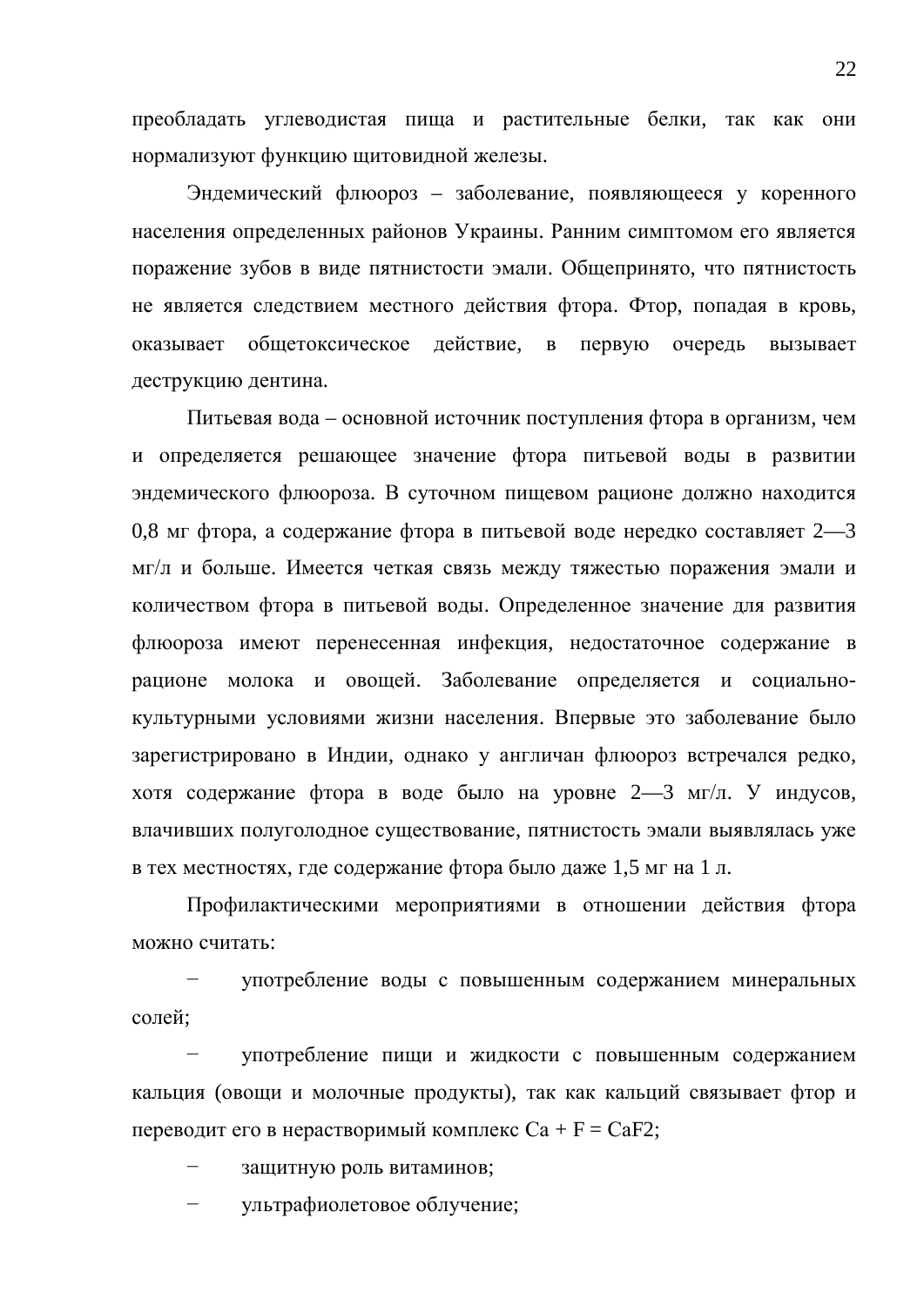преобладать углеводистая пища и растительные белки, так как они нормализуют функцию щитовидной железы.

Эндемический флюороз – заболевание, появляющееся у коренного населения определенных районов Украины. Ранним симптомом его является поражение зубов в виде пятнистости эмали. Общепринято, что пятнистость не является следствием местного действия фтора. Фтор, попадая в кровь, оказывает общетоксическое действие, в первую очередь вызывает деструкцию дентина.

Питьевая вода – основной источник поступления фтора в организм, чем и определяется решающее значение фтора питьевой воды в развитии эндемического флюороза. В суточном пищевом рационе должно находится 0,8 мг фтора, а содержание фтора в питьевой воде нередко составляет 2—3 мг/л и больше. Имеется четкая связь между тяжестью поражения эмали и количеством фтора в питьевой воды. Определенное значение для развития флюороза имеют перенесенная инфекция, недостаточное содержание в рационе молока и овощей. Заболевание определяется и социальнокультурными условиями жизни населения. Впервые это заболевание было зарегистрировано в Индии, однако у англичан флюороз встречался редко, хотя содержание фтора в воде было на уровне 2—3 мг/л. У индусов, влачивших полуголодное существование, пятнистость эмали выявлялась уже в тех местностях, где содержание фтора было даже 1,5 мг на 1 л.

Профилактическими мероприятиями в отношении действия фтора можно считать:

употребление воды с повышенным содержанием минеральных солей:

употребление пищи и жидкости с повышенным содержанием кальция (овощи и молочные продукты), так как кальций связывает фтор и переводит его в нерастворимый комплекс  $Ca + F = CaF2$ ;

защитную роль витаминов;

ультрафиолетовое облучение;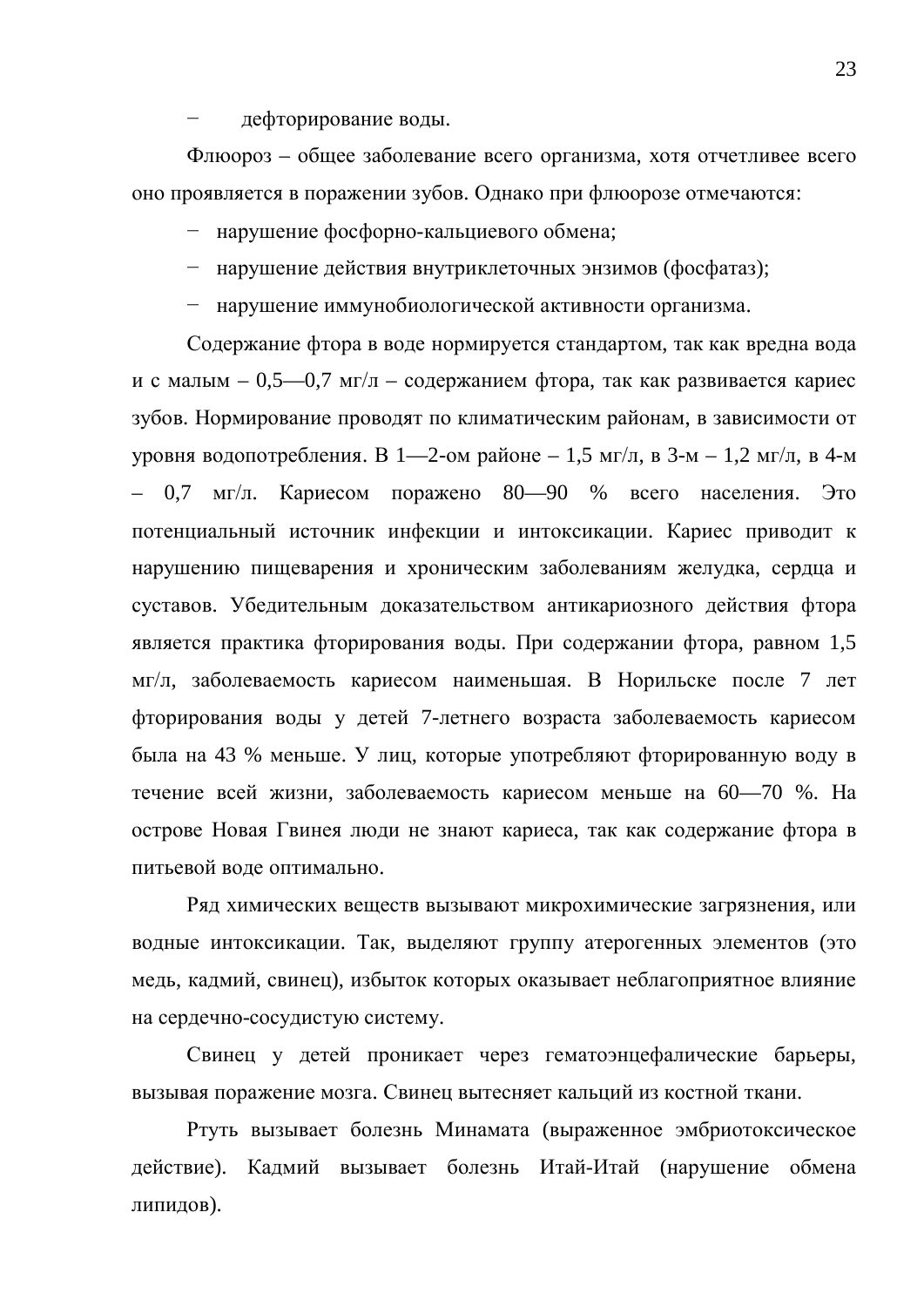дефторирование воды.

Флюороз – общее заболевание всего организма, хотя отчетливее всего оно проявляется в поражении зубов. Однако при флюорозе отмечаются:

– нарушение фосфорно-кальциевого обмена;

- нарушение действия внутриклеточных энзимов (фосфатаз);
- нарушение иммунобиологической активности организма.

Содержание фтора в воде нормируется стандартом, так как вредна вода и с малым – 0,5—0,7 мг/л – содержанием фтора, так как развивается кариес зубов. Нормирование проводят по климатическим районам, в зависимости от уровня водопотребления. В 1—2-ом районе – 1,5 мг/л, в 3-м – 1,2 мг/л, в 4-м 0,7 мг/л. Кариесом поражено 80—90 % всего населения. Это потенциальный источник инфекции и интоксикации. Кариес приводит к нарушению пищеварения и хроническим заболеваниям желудка, сердца и суставов. Убедительным доказательством антикариозного действия фтора является практика фторирования воды. При содержании фтора, равном 1,5 мг/л, заболеваемость кариесом наименьшая. В Норильске после 7 лет фторирования воды у детей 7-летнего возраста заболеваемость кариесом была на 43 % меньше. У лиц, которые употребляют фторированную воду в течение всей жизни, заболеваемость кариесом меньше на 60—70 %. На острове Новая Гвинея люди не знают кариеса, так как содержание фтора в питьевой воле оптимально.

Ряд химических веществ вызывают микрохимические загрязнения, или водные интоксикации. Так, выделяют группу атерогенных элементов (это медь, кадмий, свинец), избыток которых оказывает неблагоприятное влияние на сердечно-сосудистую систему.

Свинец у детей проникает через гематоэнцефалические барьеры, вызывая поражение мозга. Свинец вытесняет кальций из костной ткани.

Ртуть вызывает болезнь Минамата (выраженное эмбриотоксическое действие). Кадмий вызывает болезнь Итай-Итай (нарушение обмена липидов).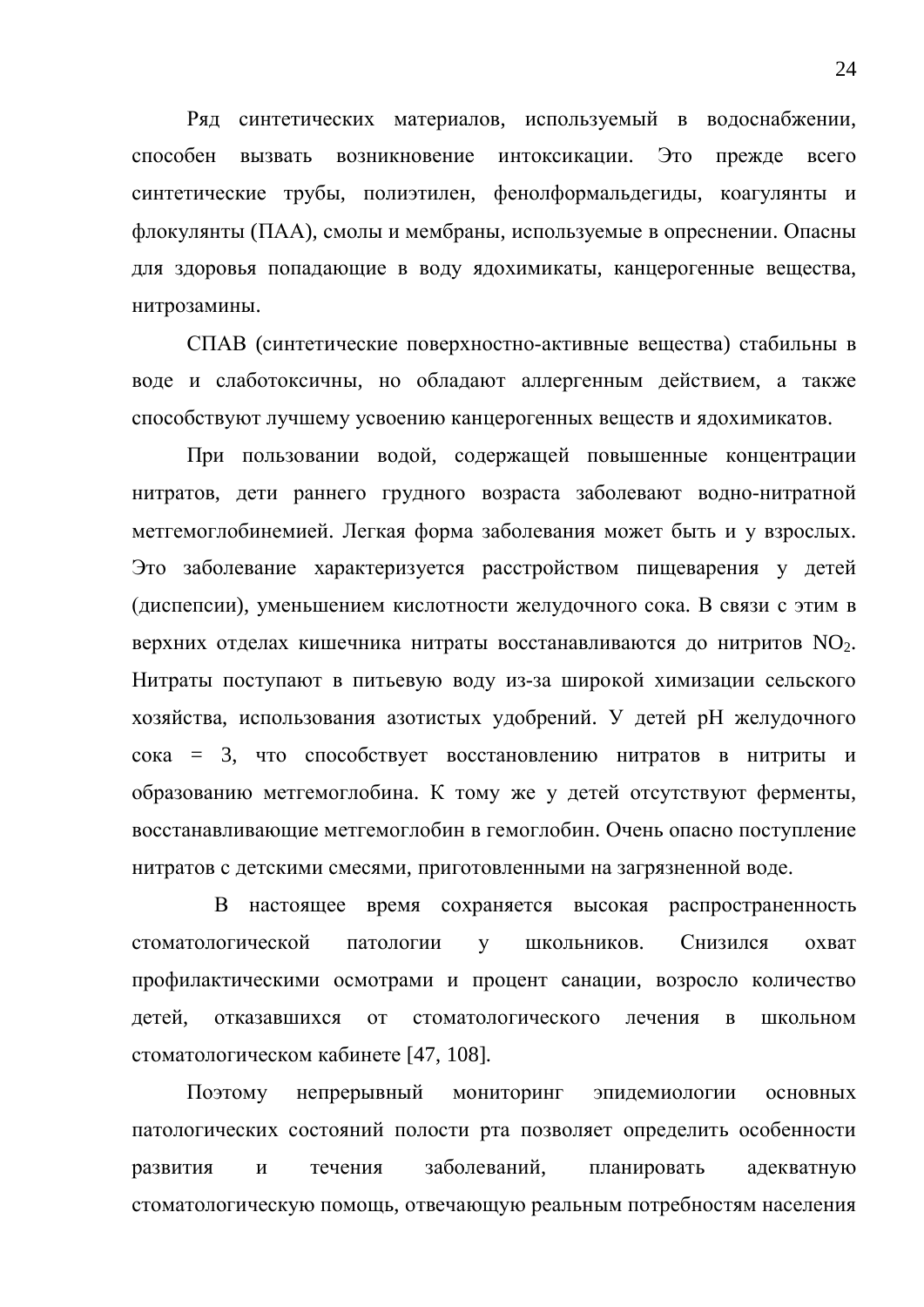Ряд синтетических материалов, используемый в водоснабжении, способен вызвать возникновение интоксикации. Это прежде всего синтетические трубы, полиэтилен, фенолформальдегиды, коагулянты и флокулянты (ПАА), смолы и мембраны, используемые в опреснении. Опасны для здоровья попадающие в воду ядохимикаты, канцерогенные вещества, нитрозамины.

СПАВ (синтетические поверхностно-активные вещества) стабильны в воде и слаботоксичны, но обладают аллергенным действием, а также способствуют лучшему усвоению канцерогенных вешеств и ялохимикатов.

При пользовании водой, содержащей повышенные концентрации нитратов, дети раннего грудного возраста заболевают водно-нитратной метгемоглобинемией. Легкая форма заболевания может быть и у взрослых. Это заболевание характеризуется расстройством пищеварения у детей (диспепсии), уменьшением кислотности желудочного сока. В связи с этим в верхних отделах кишечника нитраты восстанавливаются до нитритов  $NO<sub>2</sub>$ . Нитраты поступают в питьевую воду из-за широкой химизации сельского хозяйства, использования азотистых удобрений. У детей рН желудочного  $\cot \alpha = 3$ , что способствует восстановлению нитратов в нитриты и образованию метгемоглобина. К тому же у детей отсутствуют ферменты, восстанавливающие метгемоглобин в гемоглобин. Очень опасно поступление нитратов с детскими смесями, приготовленными на загрязненной воде.

В настоящее время сохраняется высокая распространенность стоматологической патологии у школьников. Снизился охват профилактическими осмотрами и процент санации, возросло количество детей, отказавшихся от стоматологического лечения в школьном стоматологическом кабинете [47, 108].

Поэтому непрерывный мониторинг эпидемиологии основных патологических состояний полости рта позволяет определить особенности развития и течения заболеваний, планировать адекватную стоматологическую помощь, отвечающую реальным потребностям населения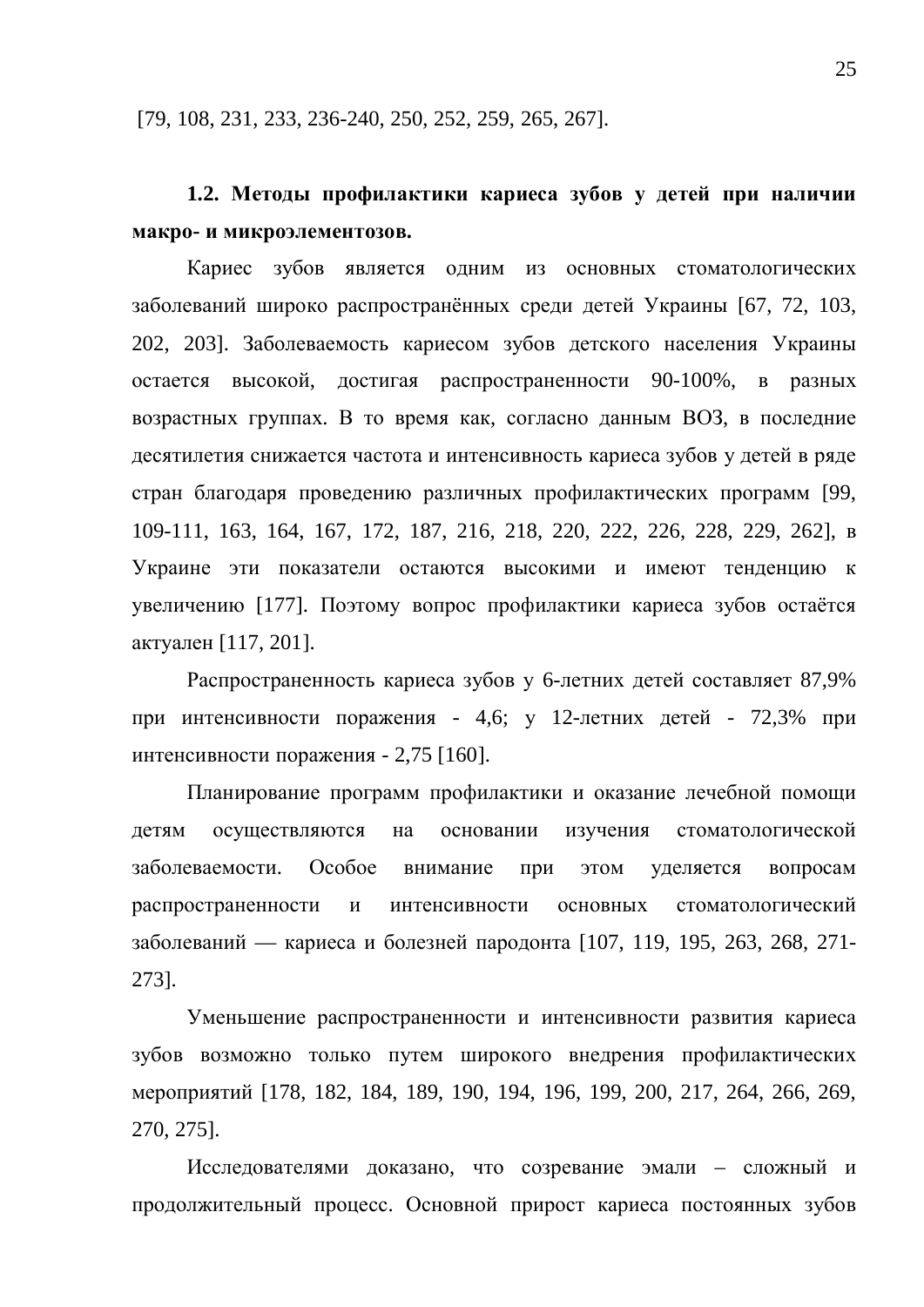[79, 108, 231, 233, 236-240, 250, 252, 259, 265, 267].

### **1.2. Методы профилактики кариеса зубов у детей при наличии макро- и микроэлементозов.**

Кариес зубов является одним из основных стоматологических заболеваний широко распространённых среди детей Украины [67, 72, 103, 202, 203]. Заболеваемость кариесом зубов детского населения Украины остается высокой, достигая распространенности 90-100%, в разных возрастных группах. В то время как, согласно данным ВОЗ, в последние десятилетия снижается частота и интенсивность кариеса зубов у детей в ряде стран благодаря проведению различных профилактических программ [99, 109-111, 163, 164, 167, 172, 187, 216, 218, 220, 222, 226, 228, 229, 262], ɜ Украине эти показатели остаются высокими и имеют тенденцию к увеличению [177]. Поэтому вопрос профилактики кариеса зубов остаётся актуален [117, 201].

Распространенность кариеса зубов у 6-летних детей составляет 87,9% при интенсивности поражения - 4,6; у 12-летних детей - 72,3% при интенсивности поражения - 2,75 [160].

Планирование программ профилактики и оказание лечебной помощи детям осуществляются на основании изучения стоматологической заболеваемости. Особое внимание при этом уделяется вопросам распространенности и интенсивности основных стоматологический заболеваний — кариеса и болезней пародонта [107, 119, 195, 263, 268, 271-273].

Уменьшение распространенности и интенсивности развития кариеса зубов возможно только путем широкого внедрения профилактических мероприятий [178, 182, 184, 189, 190, 194, 196, 199, 200, 217, 264, 266, 269, 270, 275].

Исследователями доказано, что созревание эмали – сложный и продолжительный процесс. Основной прирост кариеса постоянных зубов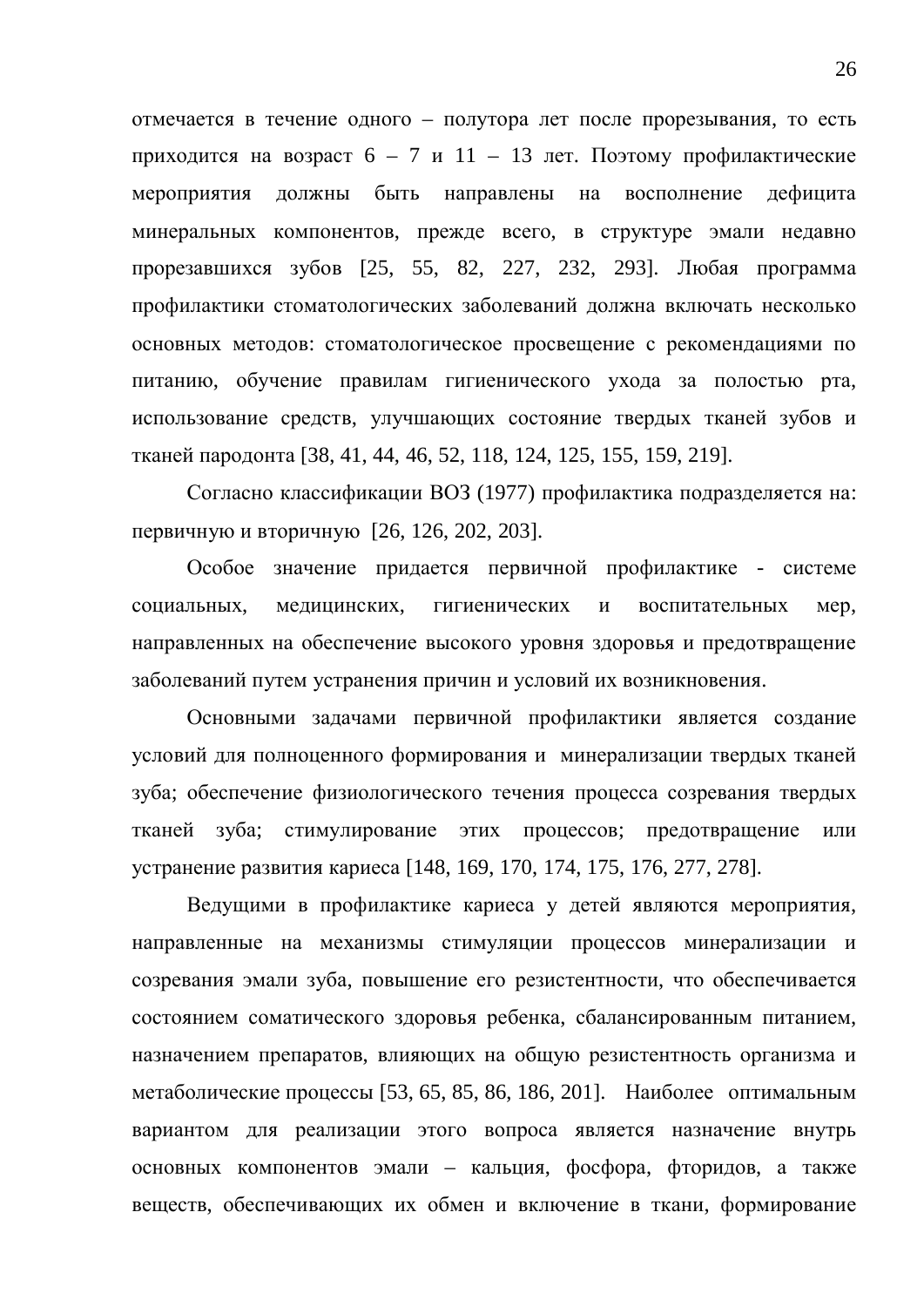отмечается в течение одного – полутора лет после прорезывания, то есть приходится на возраст  $6 - 7$  и  $11 - 13$  лет. Поэтому профилактические мероприятия должны быть направлены на восполнение дефицита минеральных компонентов, прежде всего, в структуре эмали недавно прорезавшихся зубов [25, 55, 82, 227, 232, 293]. Любая программа профилактики стоматологических заболеваний должна включать несколько основных методов: стоматологическое просвещение с рекомендациями по питанию, обучение правилам гигиенического ухода за полостью рта, использование средств, улучшающих состояние твердых тканей зубов и тканей пародонта [38, 41, 44, 46, 52, 118, 124, 125, 155, 159, 219].

Согласно классификации ВОЗ (1977) профилактика подразделяется на: первичную и вторичную [26, 126, 202, 203].

Особое значение придается первичной профилактике - системе социальных, медицинских, гигиенических и воспитательных мер, направленных на обеспечение высокого уровня здоровья и предотвращение заболеваний путем устранения причин и условий их возникновения.

Основными задачами первичной профилактики является создание условий для полноценного формирования и минерализации твердых тканей зуба; обеспечение физиологического течения процесса созревания твердых тканей зуба; стимулирование этих процессов; предотвращение или устранение развития кариеса [148, 169, 170, 174, 175, 176, 277, 278].

Ведущими в профилактике кариеса у детей являются мероприятия, направленные на механизмы стимуляции процессов минерализации и созревания эмали зуба, повышение его резистентности, что обеспечивается состоянием соматического здоровья ребенка, сбалансированным питанием, назначением препаратов, влияющих на общую резистентность организма и метаболические процессы [53, 65, 85, 86, 186, 201]. Наиболее оптимальным вариантом для реализации этого вопроса является назначение внутрь основных компонентов эмали – кальция, фосфора, фторидов, а также веществ, обеспечивающих их обмен и включение в ткани, формирование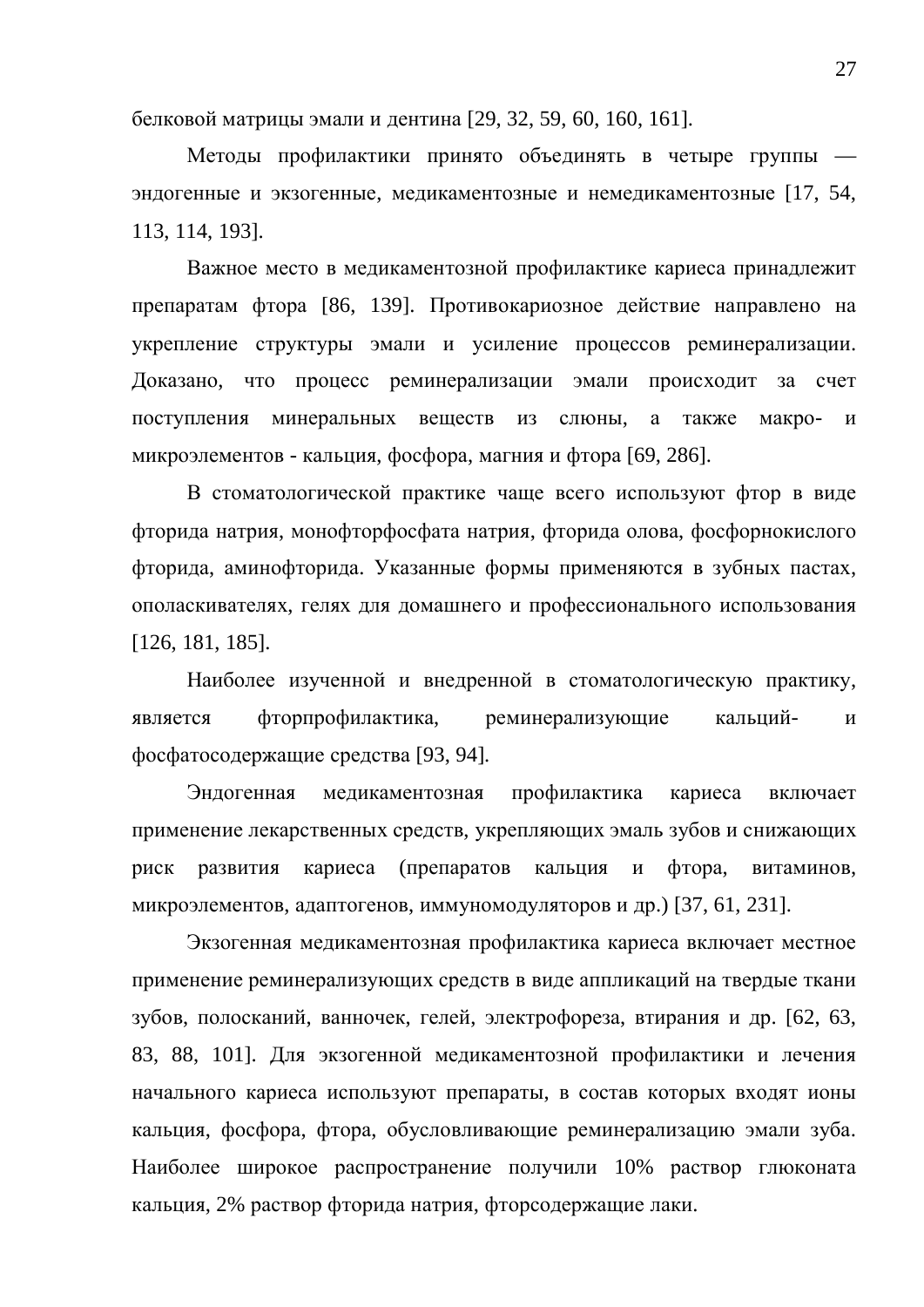белковой матрицы эмали и дентина [29, 32, 59, 60, 160, 161].

Методы профилактики принято объединять в четыре группы эндогенные и экзогенные, медикаментозные и немедикаментозные [17, 54, 113, 114, 193].

Важное место в медикаментозной профилактике кариеса принадлежит препаратам фтора [86, 139]. Противокариозное действие направлено на укрепление структуры эмали и усиление процессов реминерализации. Доказано, что процесс реминерализации эмали происходит за счет поступления минеральных вешеств из слюны, а также макро- и микроэлементов - кальция, фосфора, магния и фтора [69, 286].

В стоматологической практике чаще всего используют фтор в виде фторида натрия, монофторфосфата натрия, фторида олова, фосфорнокислого фторида, аминофторида. Указанные формы применяются в зубных пастах, ополаскивателях, гелях для домашнего и профессионального использования [126, 181, 185].

Наиболее изученной и внедренной в стоматологическую практику, является фторпрофилактика, реминерализующие кальций- и фосфатосодержащие средства [93, 94].

Эндогенная медикаментозная профилактика кариеса включает применение лекарственных средств, укрепляющих эмаль зубов и снижающих риск развития кариеса (препаратов кальция и фтора, витаминов, микроэлементов, адаптогенов, иммуномодуляторов и др.) [37, 61, 231].

Экзогенная медикаментозная профилактика кариеса включает местное применение реминерализующих средств в виде аппликаций на твердые ткани зубов, полосканий, ванночек, гелей, электрофореза, втирания и др. [62, 63, 83, 88, 101]. Для экзогенной медикаментозной профилактики и лечения начального кариеса используют препараты, в состав которых входят ионы кальция, фосфора, фтора, обусловливающие реминерализацию эмали зуба. Наиболее широкое распространение получили 10% раствор глюконата кальция, 2% раствор фторида натрия, фторсодержащие лаки.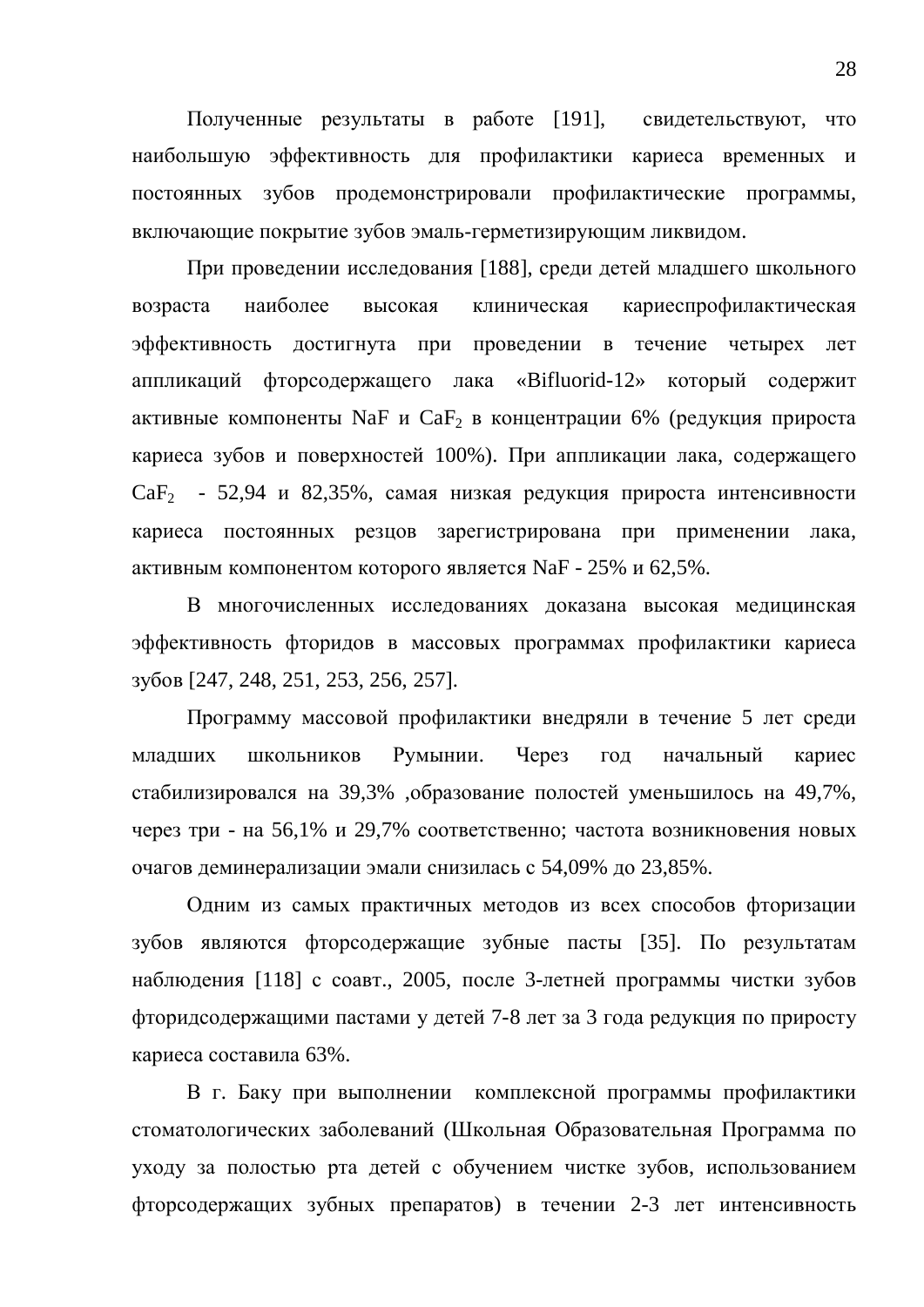Полученные результаты в работе [191], свидетельствуют, что наибольшую эффективность для профилактики кариеса временных и постоянных зубов продемонстрировали профилактические программы, включающие покрытие зубов эмаль-герметизирующим ликвидом.

При проведении исследования [188], среди детей младшего школьного возраста наиболее высокая клиническая кариеспрофилактическая эффективность достигнута при проведении в течение четырех лет аппликаций фторсодержащего лака «Bifluorid-12» который содержит активные компоненты NaF и CaF<sub>2</sub> в концентрации 6% (редукция прироста кариеса зубов и поверхностей 100%). При аппликации лака, содержащего  $CaF<sub>2</sub>$  - 52,94 и 82,35%, самая низкая редукция прироста интенсивности кариеса постоянных резцов зарегистрирована при применении лака, активным компонентом которого является NaF - 25% и 62,5%.

В многочисленных исследованиях доказана высокая медицинская эффективность фторидов в массовых программах профилактики кариеса зубов [247, 248, 251, 253, 256, 257].

Программу массовой профилактики внедряли в течение 5 лет среди младших школьников Румынии. Через год начальный кариес стабилизировался на 39,3% ,образование полостей уменьшилось на 49,7%, через три - на 56,1% и 29,7% соответственно; частота возникновения новых очагов деминерализации эмали снизилась с 54,09% до 23,85%.

Одним из самых практичных методов из всех способов фторизации зубов являются фторсодержащие зубные пасты [35]. По результатам наблюдения [118] с соавт., 2005, после 3-летней программы чистки зубов фторидсодержащими пастами у детей 7-8 лет за 3 года редукция по приросту кариеса составила 63%.

В г. Баку при выполнении комплексной программы профилактики стоматологических заболеваний (Школьная Образовательная Программа по уходу за полостью рта детей с обучением чистке зубов, использованием фторсодержащих зубных препаратов) в течении 2-3 лет интенсивность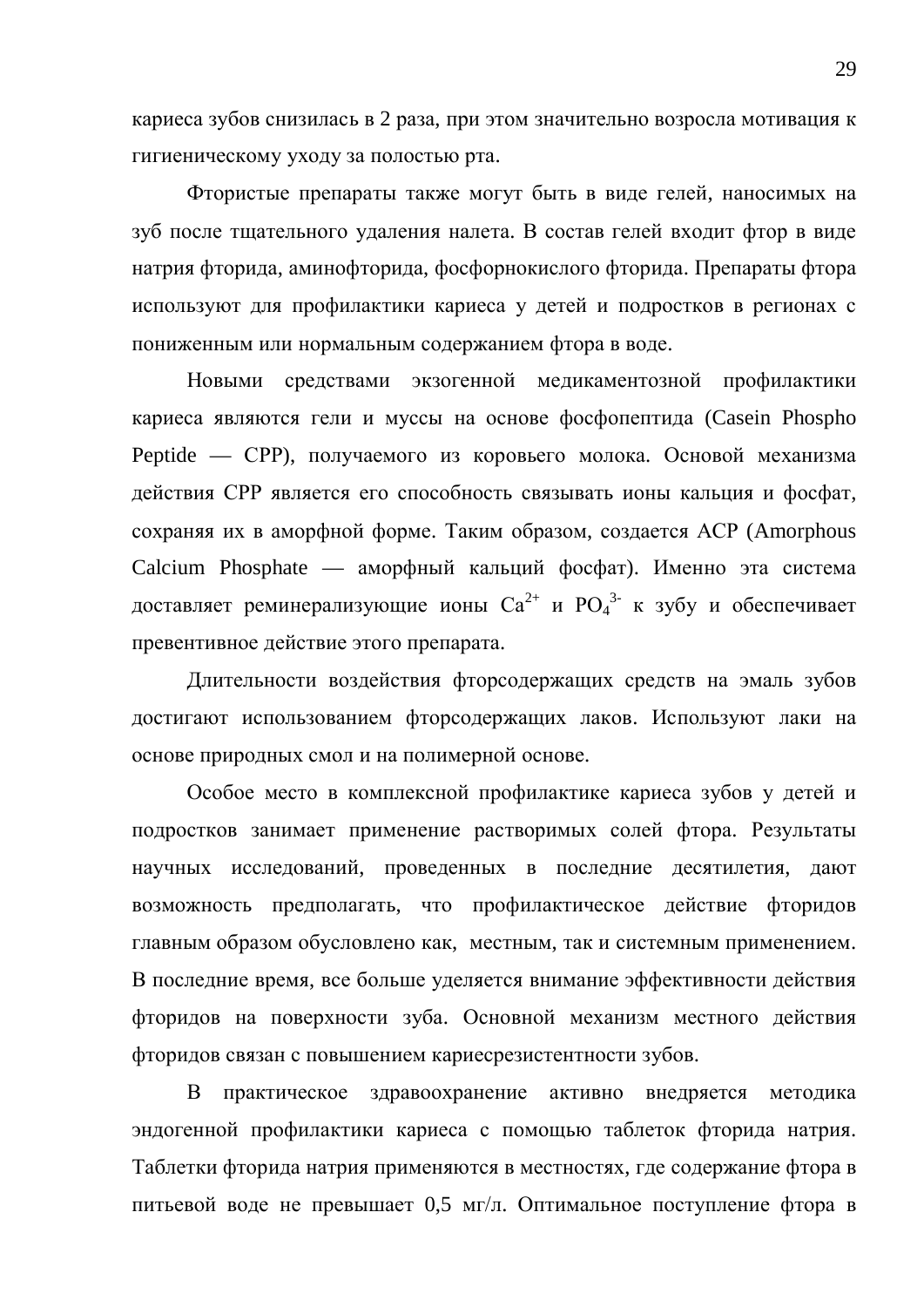кариеса зубов снизилась в 2 раза, при этом значительно возросла мотивация к гигиеническому уходу за полостью рта.

Фтористые препараты также могут быть в виде гелей, наносимых на зуб после тщательного удаления налета. В состав гелей входит фтор в виде натрия фторида, аминофторида, фосфорнокислого фторида. Препараты фтора используют для профилактики кариеса у детей и подростков в регионах с пониженным или нормальным содержанием фтора в воде.

Новыми средствами экзогенной медикаментозной профилактики кариеса являются гели и муссы на основе фосфопептида (Casein Phospho Peptide — СРР), получаемого из коровьего молока. Основой механизма действия СРР является его способность связывать ионы кальция и фосфат, сохраняя их в аморфной форме. Таким образом, создается ACP (Amorphous Calcium Phosphate — аморфный кальций фосфат). Именно эта система доставляет реминерализующие ионы  $\mathrm{Ca}^{2+}$  и  $\mathrm{PO_4}^{3-}$  к зубу и обеспечивает превентивное действие этого препарата.

Длительности воздействия фторсодержащих средств на эмаль зубов достигают использованием фторсодержащих лаков. Используют лаки на основе природных смол и на полимерной основе.

Особое место в комплексной профилактике кариеса зубов у детей и подростков занимает применение растворимых солей фтора. Результаты научных исследований, проведенных в последние десятилетия, дают возможность предполагать, что профилактическое действие фторидов главным образом обусловлено как, местным, так и системным применением. В последние время, все больше уделяется внимание эффективности действия фторидов на поверхности зуба. Основной механизм местного действия фторидов связан с повышением кариесрезистентности зубов.

В практическое здравоохранение активно внедряется методика эндогенной профилактики кариеса с помощью таблеток фторида натрия. Таблетки фторида натрия применяются в местностях, где содержание фтора в питьевой воде не превышает 0,5 мг/л. Оптимальное поступление фтора в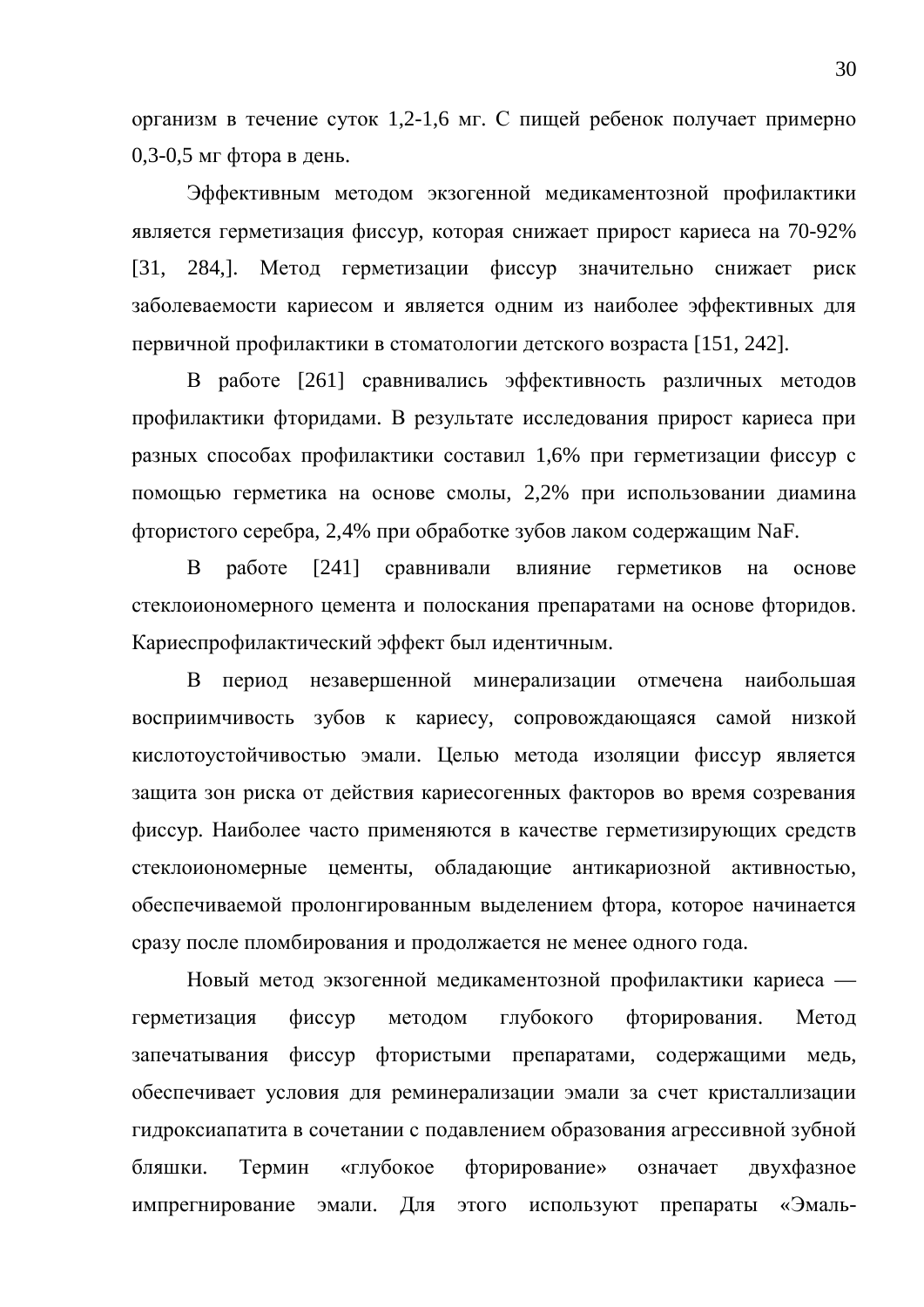организм в течение суток 1,2-1,6 мг. С пищей ребенок получает примерно  $0,3-0,5$  мг фтора в день.

Эффективным методом экзогенной медикаментозной профилактики является герметизация фиссур, которая снижает прирост кариеса на 70-92% [31, 284,]. Метод герметизации фиссур значительно снижает риск заболеваемости кариесом и является одним из наиболее эффективных для первичной профилактики в стоматологии детского возраста [151, 242].

В работе [261] сравнивались эффективность различных методов профилактики фторидами. В результате исследования прирост кариеса при разных способах профилактики составил 1,6% при герметизации фиссур с помощью герметика на основе смолы, 2,2% при использовании диамина фтористого серебра, 2,4% при обработке зубов лаком содержащим NaF.

В работе [241] сравнивали влияние герметиков на основе стеклоиономерного цемента и полоскания препаратами на основе фторидов. Кариеспрофилактический эффект был идентичным.

В период незавершенной минерализации отмечена наибольшая восприимчивость зубов к кариесу, сопровождающаяся самой низкой кислотоустойчивостью эмали. Целью метода изоляции фиссур является защита зон риска от действия кариесогенных факторов во время созревания фиссур. Наиболее часто применяются в качестве герметизирующих средств стеклоиономерные цементы, обладающие антикариозной активностью, обеспечиваемой пролонгированным выделением фтора, которое начинается сразу после пломбирования и продолжается не менее одного года.

Новый метод экзогенной медикаментозной профилактики кариеса герметизация фиссур методом глубокого фторирования. Метод запечатывания фиссур фтористыми препаратами, содержащими медь, обеспечивает условия для реминерализации эмали за счет кристаллизации гидроксиапатита в сочетании с подавлением образования агрессивной зубной бляшки. Термин «глубокое фторирование» означает двухфазное импрегнирование эмали. Для этого используют препараты «Эмаль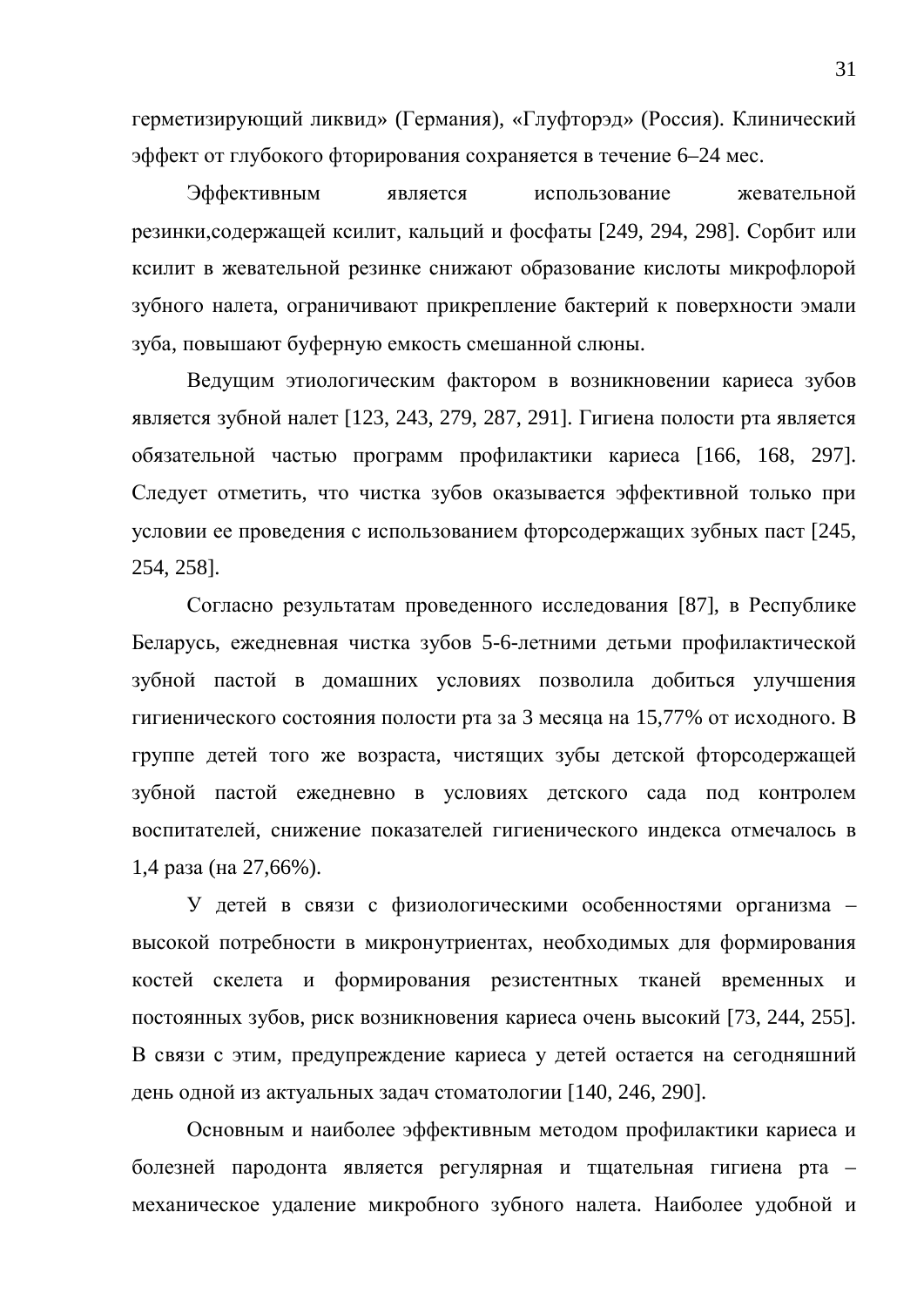герметизирующий ликвид» (Германия), «Глуфторэд» (Россия). Клинический эффект от глубокого фторирования сохраняется в течение 6–24 мес.

Эффективным является использование жевательной резинки, содержащей ксилит, кальций и фосфаты [249, 294, 298]. Сорбит или ксилит в жевательной резинке снижают образование кислоты микрофлорой зубного налета, ограничивают прикрепление бактерий к поверхности эмали зуба, повышают буферную емкость смешанной слюны.

Ведущим этиологическим фактором в возникновении кариеса зубов является зубной налет [123, 243, 279, 287, 291]. Гигиена полости рта является обязательной частью программ профилактики кариеса [166, 168, 297]. Следует отметить, что чистка зубов оказывается эффективной только при условии ее проведения с использованием фторсодержащих зубных паст [245, 254, 258].

Согласно результатам проведенного исследования [87], в Республике Беларусь, ежедневная чистка зубов 5-6-летними детьми профилактической зубной пастой в домашних условиях позволила добиться улучшения гигиенического состояния полости рта за 3 месяца на 15,77% от исходного. В группе детей того же возраста, чистящих зубы детской фторсодержащей зубной пастой ежедневно в условиях детского сада под контролем воспитателей, снижение показателей гигиенического индекса отмечалось в  $1,4$  pasa (на 27,66%).

У детей в связи с физиологическими особенностями организма высокой потребности в микронутриентах, необходимых для формирования костей скелета и формирования резистентных тканей временных и постоянных зубов, риск возникновения кариеса очень высокий [73, 244, 255]. В связи с этим, предупреждение кариеса у детей остается на сегодняшний день одной из актуальных задач стоматологии [140, 246, 290].

Основным и наиболее эффективным методом профилактики кариеса и болезней пародонта является регулярная и тщательная гигиена рта – механическое удаление микробного зубного налета. Наиболее удобной и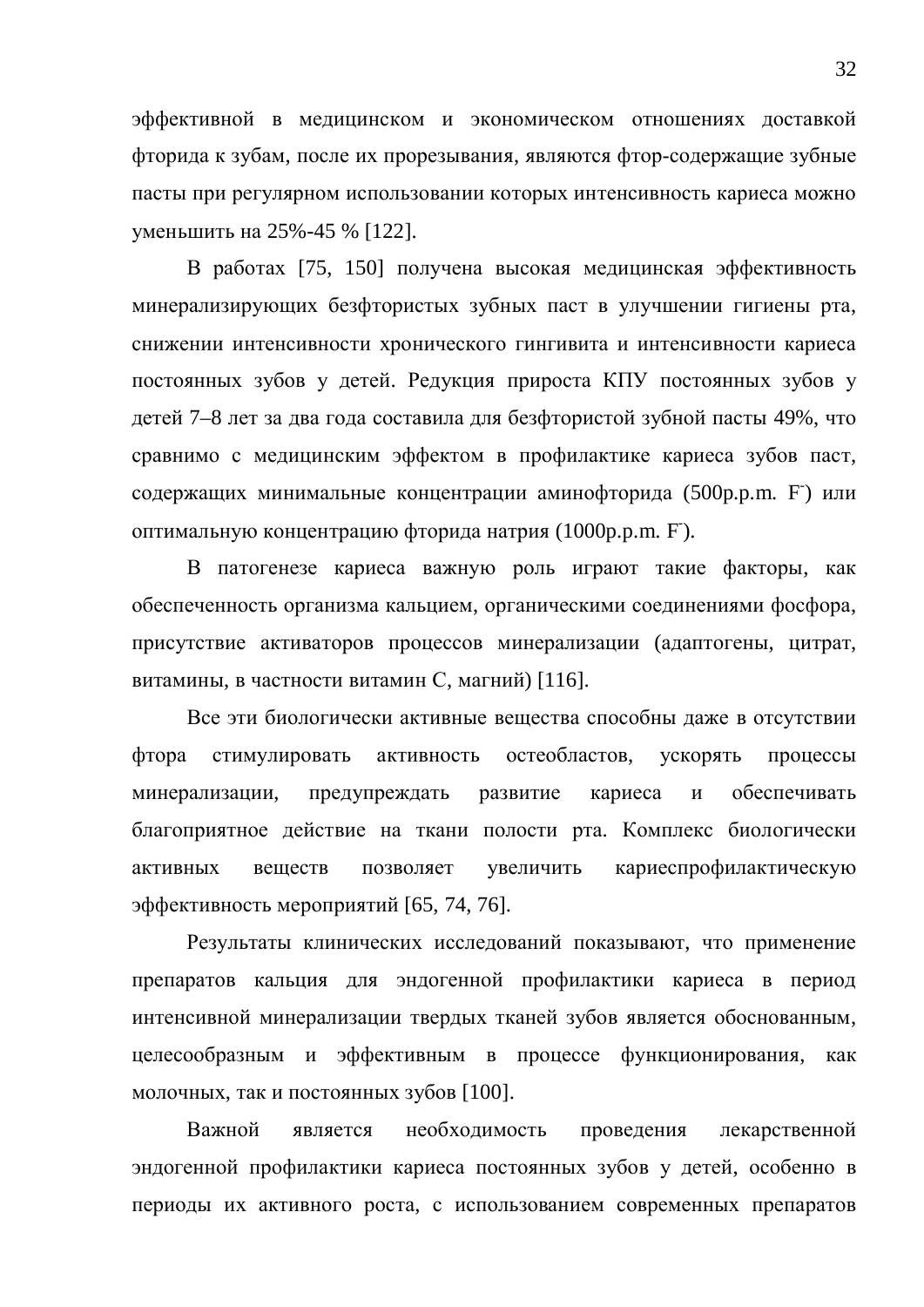эффективной в медицинском и экономическом отношениях доставкой фторида к зубам, после их прорезывания, являются фтор-содержащие зубные пасты при регулярном использовании которых интенсивность кариеса можно үменьшить на 25%-45 % [122].

В работах [75, 150] получена высокая медицинская эффективность минерализирующих безфтористых зубных паст в улучшении гигиены рта, снижении интенсивности хронического гингивита и интенсивности кариеса постоянных зубов у детей. Редукция прироста КПУ постоянных зубов у детей 7–8 лет за два года составила для безфтористой зубной пасты 49%, что сравнимо с медицинским эффектом в профилактике кариеса зубов паст, содержащих минимальные концентрации аминофторида (500p.p.m. F) или оптимальную концентрацию фторида натрия (1000p.p.m. F).

В патогенезе кариеса важную роль играют такие факторы, как обеспеченность организма кальцием, органическими соединениями фосфора, присутствие активаторов процессов минерализации (адаптогены, цитрат, витамины, в частности витамин С, магний) [116].

Все эти биологически активные вещества способны даже в отсутствии фтора стимулировать активность остеобластов, ускорять процессы минерализации, предупреждать развитие кариеса и обеспечивать благоприятное действие на ткани полости рта. Комплекс биологически активных веществ позволяет увеличить кариеспрофилактическую эффективность мероприятий [65, 74, 76].

Результаты клинических исследований показывают, что применение препаратов кальция для эндогенной профилактики кариеса в период интенсивной минерализации твердых тканей зубов является обоснованным, целесообразным и эффективным в процессе функционирования, как молочных, так и постоянных зубов [100].

Важной является необходимость проведения лекарственной эндогенной профилактики кариеса постоянных зубов у детей, особенно в периоды их активного роста, с использованием современных препаратов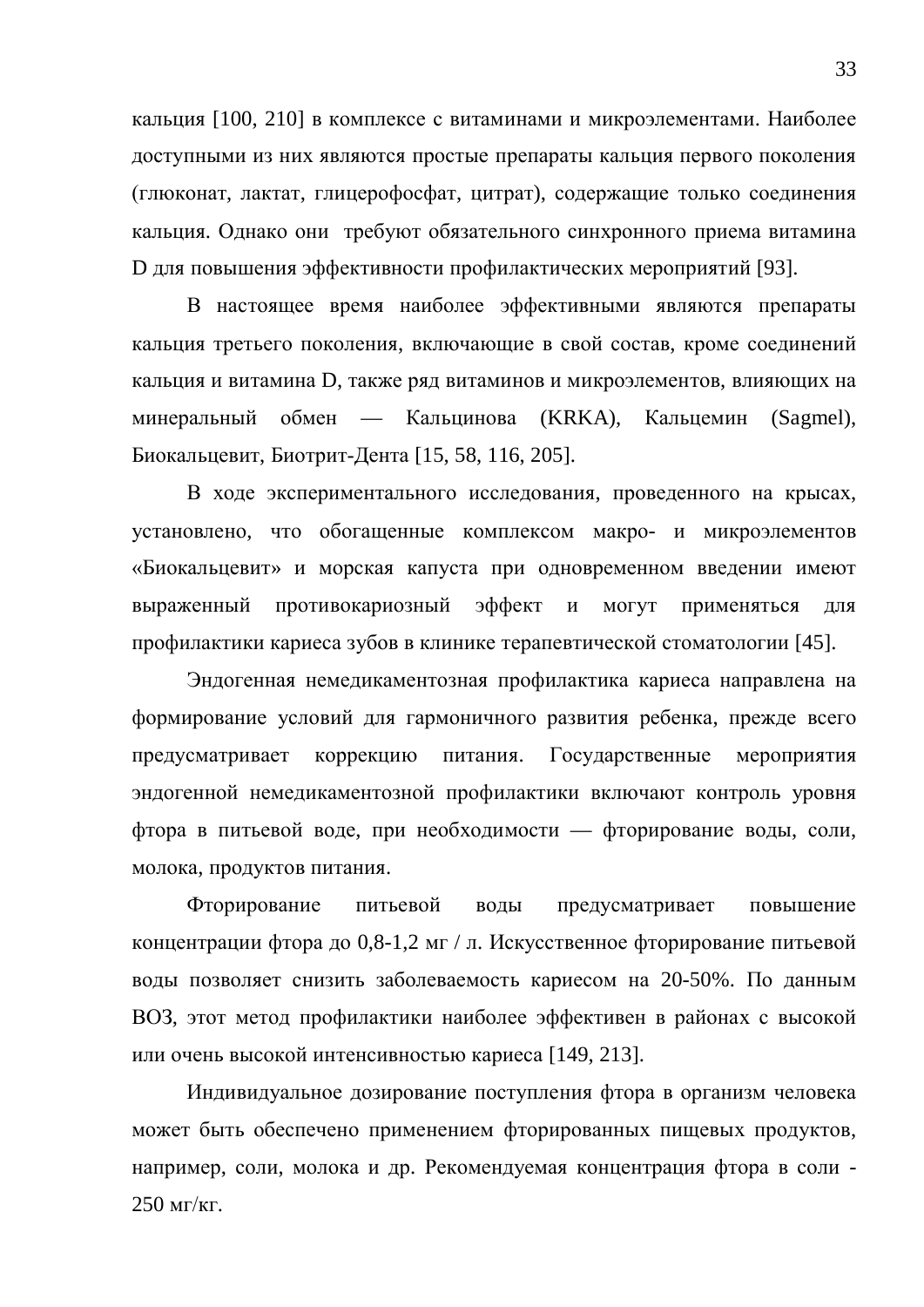кальция [100, 210] в комплексе с витаминами и микроэлементами. Наиболее доступными из них являются простые препараты кальция первого поколения (глюконат, лактат, глицерофосфат, цитрат), содержащие только соединения кальция. Однако они требуют обязательного синхронного приема витамина D для повышения эффективности профилактических мероприятий [93].

В настоящее время наиболее эффективными являются препараты кальция третьего поколения, включающие в свой состав, кроме соединений кальция и витамина D, также ряд витаминов и микроэлементов, влияющих на минеральный обмен — Кальцинова (KRKA), Кальцемин (Sagmel), Биокальцевит, Биотрит-Дента [15, 58, 116, 205].

В ходе экспериментального исследования, проведенного на крысах, установлено, что обогащенные комплексом макро- и микроэлементов «Биокальцевит» и морская капуста при одновременном введении имеют выраженный противокариозный эффект и могут применяться для профилактики кариеса зубов в клинике терапевтической стоматологии [45].

Эндогенная немедикаментозная профилактика кариеса направлена на формирование условий для гармоничного развития ребенка, прежде всего предусматривает коррекцию питания. Государственные мероприятия эндогенной немедикаментозной профилактики включают контроль уровня фтора в питьевой воде, при необходимости — фторирование воды, соли, молока, продуктов питания.

Фторирование питьевой воды предусматривает повышение концентрации фтора до 0,8-1,2 мг / л. Искусственное фторирование питьевой воды позволяет снизить заболеваемость кариесом на 20-50%. По данным ВОЗ, этот метод профилактики наиболее эффективен в районах с высокой или очень высокой интенсивностью кариеса [149, 213].

Индивидуальное дозирование поступления фтора в организм человека может быть обеспечено применением фторированных пищевых продуктов, например, соли, молока и др. Рекомендуемая концентрация фтора в соли - $250$  MT/KT.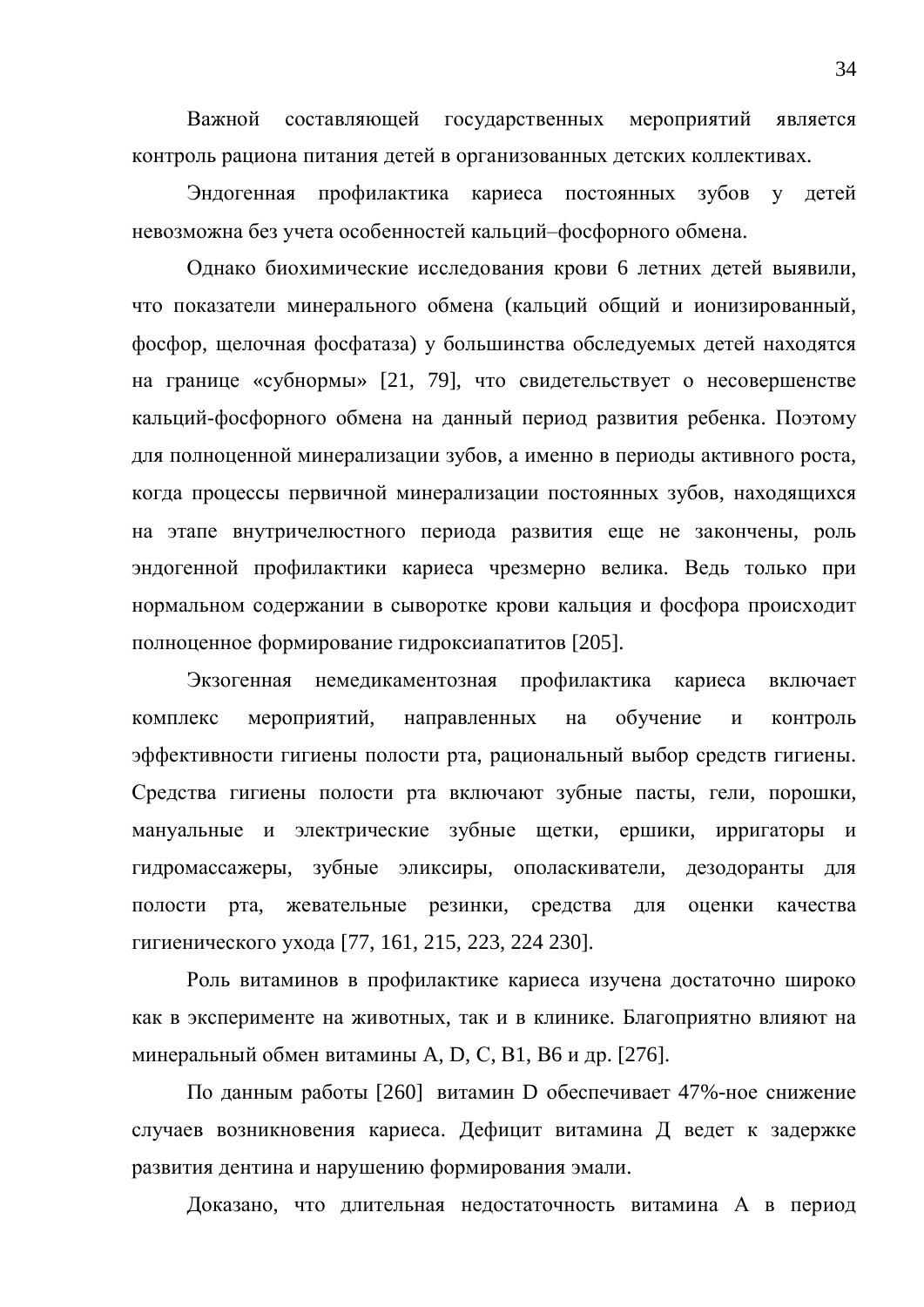Важной составляющей государственных мероприятий является контроль рациона питания детей в организованных детских коллективах.

Эндогенная профилактика кариеса постоянных зубов у детей невозможна без учета особенностей кальций-фосфорного обмена.

Однако биохимические исследования крови 6 летних детей выявили, что показатели минерального обмена (кальций общий и ионизированный, фосфор, щелочная фосфатаза) у большинства обследуемых детей находятся на границе «субнормы» [21, 79], что свидетельствует о несовершенстве кальций-фосфорного обмена на данный период развития ребенка. Поэтому для полноценной минерализации зубов, а именно в периоды активного роста, когда процессы первичной минерализации постоянных зубов, находящихся на этапе внутричелюстного периода развития еще не закончены, роль эндогенной профилактики кариеса чрезмерно велика. Ведь только при нормальном содержании в сыворотке крови кальция и фосфора происходит полноценное формирование гидроксиапатитов [205].

Экзогенная немедикаментозная профилактика кариеса включает комплекс мероприятий, направленных на обучение и контроль эффективности гигиены полости рта, рациональный выбор средств гигиены. Средства гигиены полости рта включают зубные пасты, гели, порошки, мануальные и электрические зубные щетки, ершики, ирригаторы и гидромассажеры, зубные эликсиры, ополаскиватели, дезодоранты для полости рта, жевательные резинки, средства для оценки качества гигиенического ухода [77, 161, 215, 223, 224 230].

Роль витаминов в профилактике кариеса изучена достаточно широко как в эксперименте на животных, так и в клинике. Благоприятно влияют на минеральный обмен витамины A, D, C, B1, B6 и др. [276].

По данным работы [260] витамин D обеспечивает 47%-ное снижение случаев возникновения кариеса. Дефицит витамина Д ведет к задержке развития дентина и нарушению формирования эмали.

Доказано, что длительная недостаточность витамина А в период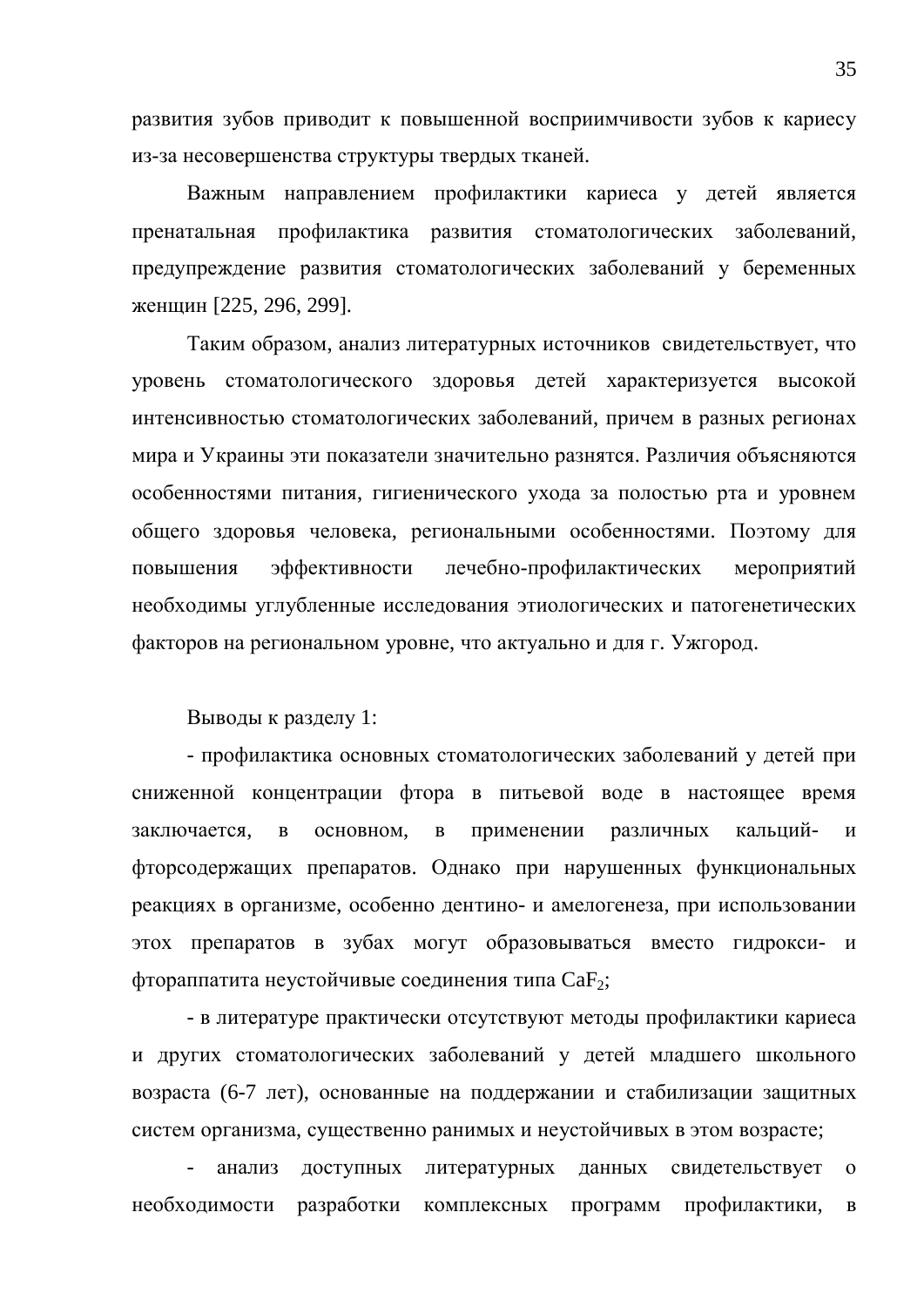развития зубов приводит к повышенной восприимчивости зубов к кариесу из-за несовершенства структуры твердых тканей.

Важным направлением профилактики кариеса у детей является пренатальная профилактика развития стоматологических заболеваний. предупреждение развития стоматологических заболеваний у беременных женщин [225, 296, 299].

Таким образом, анализ литературных источников свидетельствует, что уровень стоматологического здоровья детей характеризуется высокой интенсивностью стоматологических заболеваний, причем в разных регионах мира и Украины эти показатели значительно разнятся. Различия объясняются особенностями питания, гигиенического ухода за полостью рта и уровнем общего здоровья человека, региональными особенностями. Поэтому для повышения эффективности лечебно-профилактических мероприятий необходимы углубленные исследования этиологических и патогенетических факторов на региональном уровне, что актуально и для г. Ужгород.

Выводы к разделу 1:

- профилактика основных стоматологических заболеваний у детей при сниженной концентрации фтора в питьевой воде в настоящее время заключается, в основном, в применении различных кальций- и фторсодержащих препаратов. Однако при нарушенных функциональных реакциях в организме, особенно дентино- и амелогенеза, при использовании этох препаратов в зубах могут образовываться вместо гидрокси- и фтораппатита неустойчивые соединения типа CaF<sub>2</sub>;

- в литературе практически отсутствуют методы профилактики кариеса и других стоматологических заболеваний у детей младшего школьного возраста (6-7 лет), основанные на поддержании и стабилизации защитных систем организма, существенно ранимых и неустойчивых в этом возрасте;

анализ доступных литературных данных свидетельствует о необходимости разработки комплексных программ профилактики, в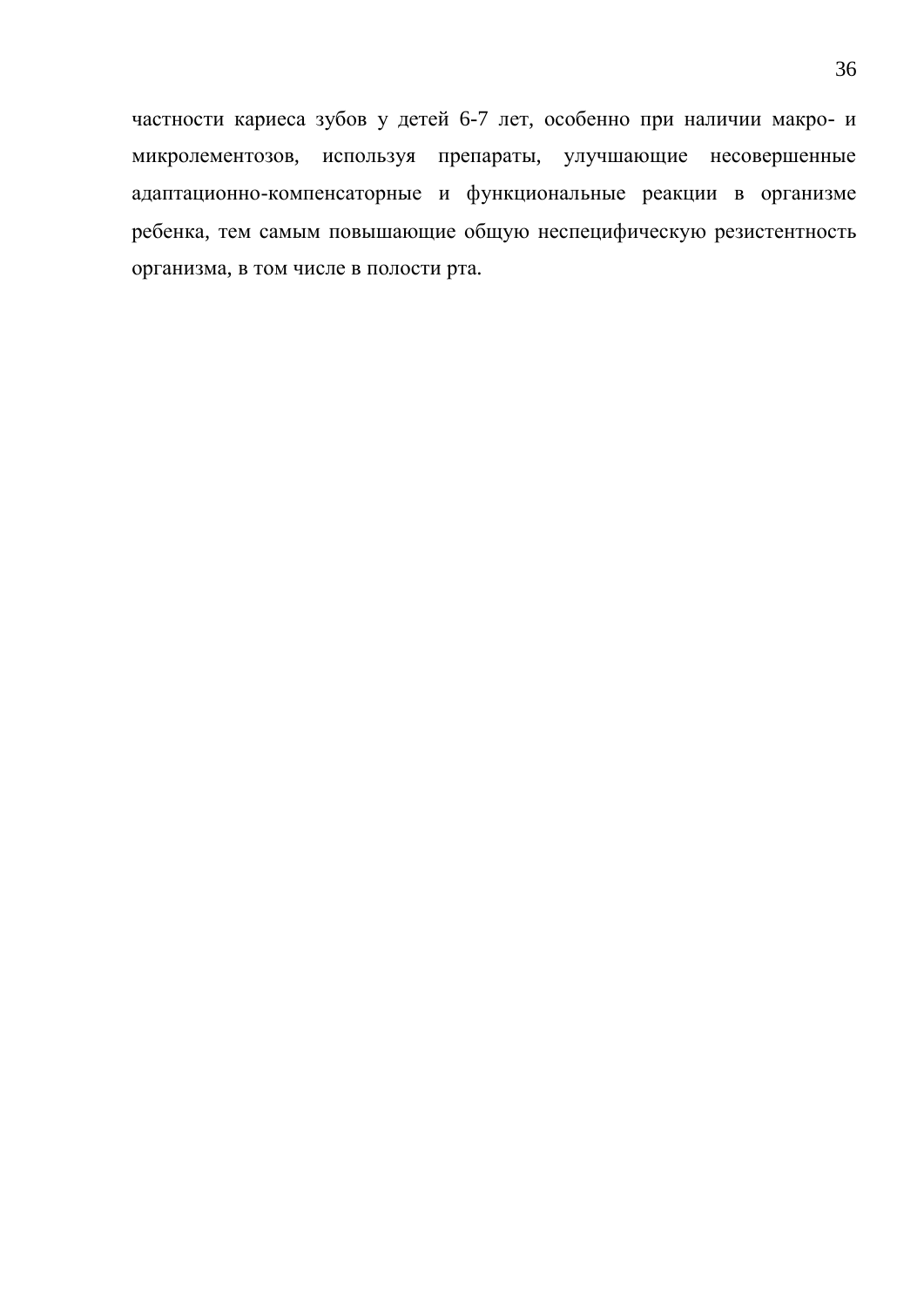частности кариеса зубов у детей 6-7 лет, особенно при наличии макро- и микролементозов, используя препараты, улучшающие несовершенные адаптационно-компенсаторные и функциональные реакции в организме ребенка, тем самым повышающие общую неспецифическую резистентность организма, в том числе в полости рта.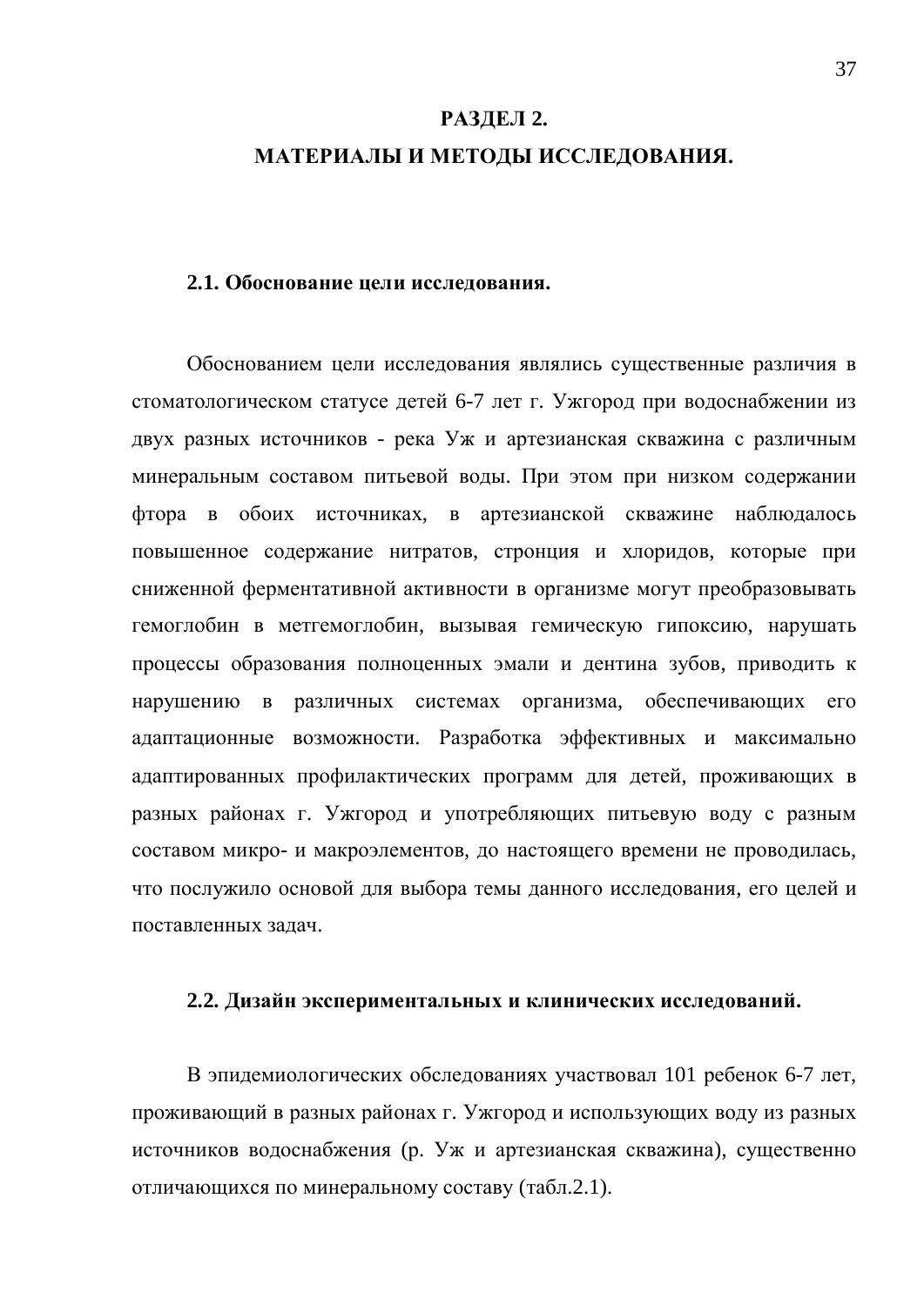# РАЗДЕЛ 2. МАТЕРИАЛЫ И МЕТОДЫ ИССЛЕДОВАНИЯ.

#### **2.1. Обоснование цели исслелования.**

Обоснованием цели исследования являлись существенные различия в стоматологическом статусе детей 6-7 лет г. Ужгород при водоснабжении из двух разных источников - река Уж и артезианская скважина с различным минеральным составом питьевой воды. При этом при низком содержании фтора в обоих источниках, в артезианской скважине наблюдалось повышенное содержание нитратов, стронция и хлоридов, которые при сниженной ферментативной активности в организме могут преобразовывать гемоглобин в метгемоглобин, вызывая гемическую гипоксию, нарушать процессы образования полноценных эмали и дентина зубов, приводить к нарушению в различных системах организма, обеспечивающих его адаптационные возможности. Разработка эффективных и максимально адаптированных профилактических программ для детей, проживающих в разных районах г. Ужгород и употребляющих питьевую воду с разным составом микро- и макроэлементов, до настоящего времени не проводилась, что послужило основой для выбора темы данного исследования, его целей и поставленных задач.

#### 2.2. Дизайн экспериментальных и клинических исследований.

В эпидемиологических обследованиях участвовал 101 ребенок 6-7 лет, проживающий в разных районах г. Ужгород и использующих воду из разных источников водоснабжения (р. Уж и артезианская скважина), существенно отличающихся по минеральному составу (табл.2.1).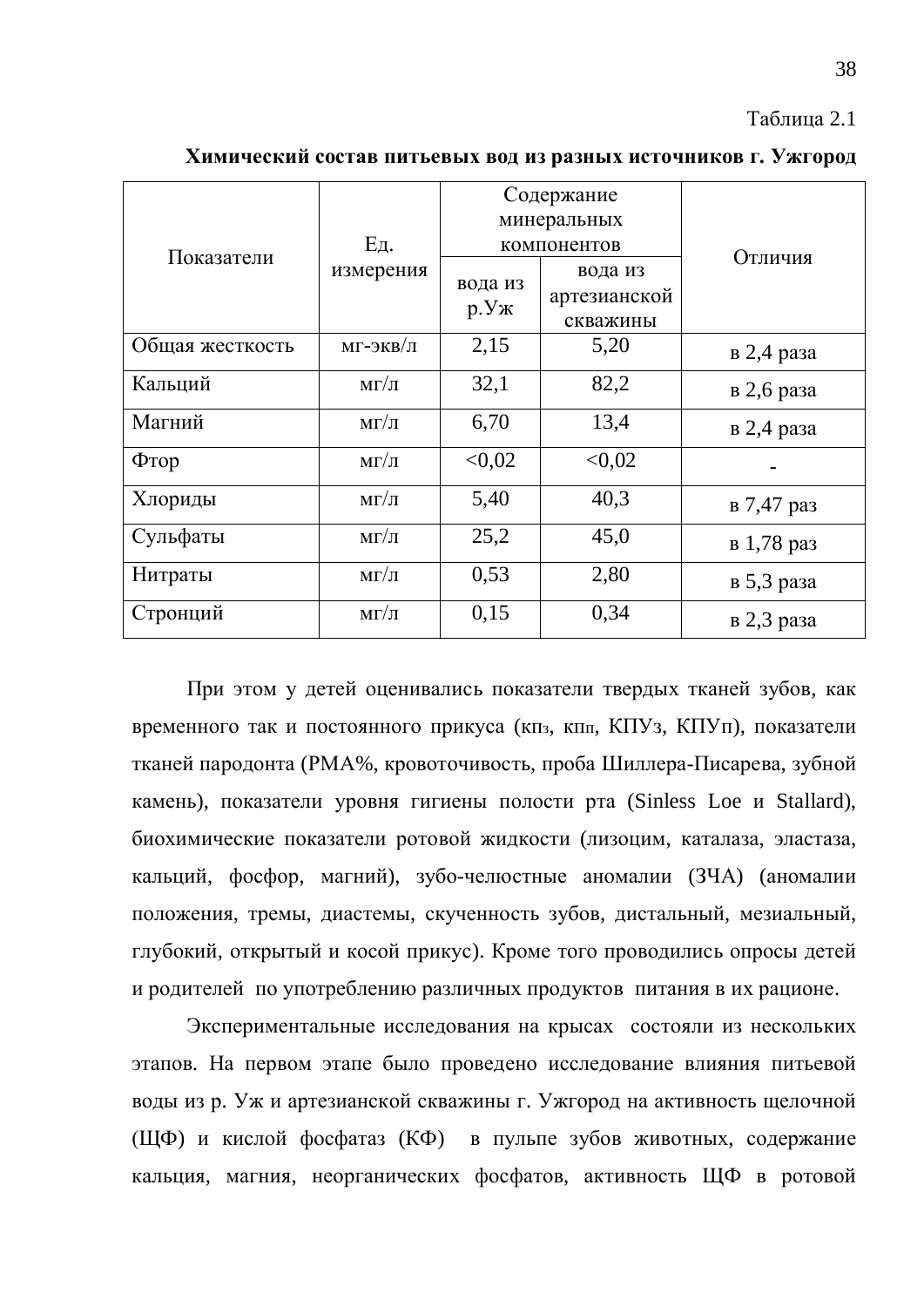#### Таблица 2.1

|                 |                       |         | Содержание   |            |
|-----------------|-----------------------|---------|--------------|------------|
|                 |                       |         | минеральных  |            |
| Показатели      | Eд.                   |         | компонентов  | Отличия    |
|                 | измерения             | вода из | вода из      |            |
|                 |                       |         | артезианской |            |
|                 |                       | p.Yx    | скважины     |            |
| Общая жесткость | $M\Gamma$ -ЭКВ $/\Pi$ | 2,15    | 5,20         | в 2,4 раза |
| Кальций         | $M\Gamma/\Pi$         | 32,1    | 82,2         | в 2,6 раза |
| Магний          | $M\Gamma/\Pi$         | 6,70    | 13,4         | в 2,4 раза |
| Фтор            | $M\Gamma/\Pi$         | < 0.02  | < 0,02       |            |
| Хлориды         | $M\Gamma/\Pi$         | 5,40    | 40,3         | в 7,47 раз |
| Сульфаты        | $M\Gamma/\Pi$         | 25,2    | 45,0         | в 1,78 раз |
| Нитраты         | $M\Gamma/\Pi$         | 0,53    | 2,80         | в 5,3 раза |
| Стронций        | $M\Gamma/\Pi$         | 0,15    | 0,34         | в 2,3 раза |

**ɏɢɦɢɱɟɫɤɢɣɫɨɫɬɚɜɩɢɬɶɟɜɵɯɜɨɞɢɡɪɚɡɧɵɯɢɫɬɨɱɧɢɤɨɜɝ. ɍɠɝɨɪɨɞ**

При этом у детей оценивались показатели твердых тканей зубов, как временного так и постоянного прикуса (кп<sub>з</sub>, кп<sub>п</sub>, КПУ<sub>3</sub>, КПУп), показатели тканей пародонта (РМА%, кровоточивость, проба Шиллера-Писарева, зубной камень), показатели уровня гигиены полости рта (Sinless Loe и Stallard), биохимические показатели ротовой жидкости (лизоцим, каталаза, эластаза, кальций, фосфор, магний), зубо-челюстные аномалии (ЗЧА) (аномалии положения, тремы, диастемы, скученность зубов, дистальный, мезиальный, глубокий, открытый и косой прикус). Кроме того проводились опросы детей и родителей по употреблению различных продуктов питания в их рационе.

Экспериментальные исследования на крысах состояли из нескольких этапов. На первом этапе было проведено исследование влияния питьевой воды из р. Уж и артезианской скважины г. Ужгород на активность щелочной (ЩФ) и кислой фосфатаз (КФ) в пульпе зубов животных, содержание кальция, магния, неорганических фосфатов, активность ЩФ в ротовой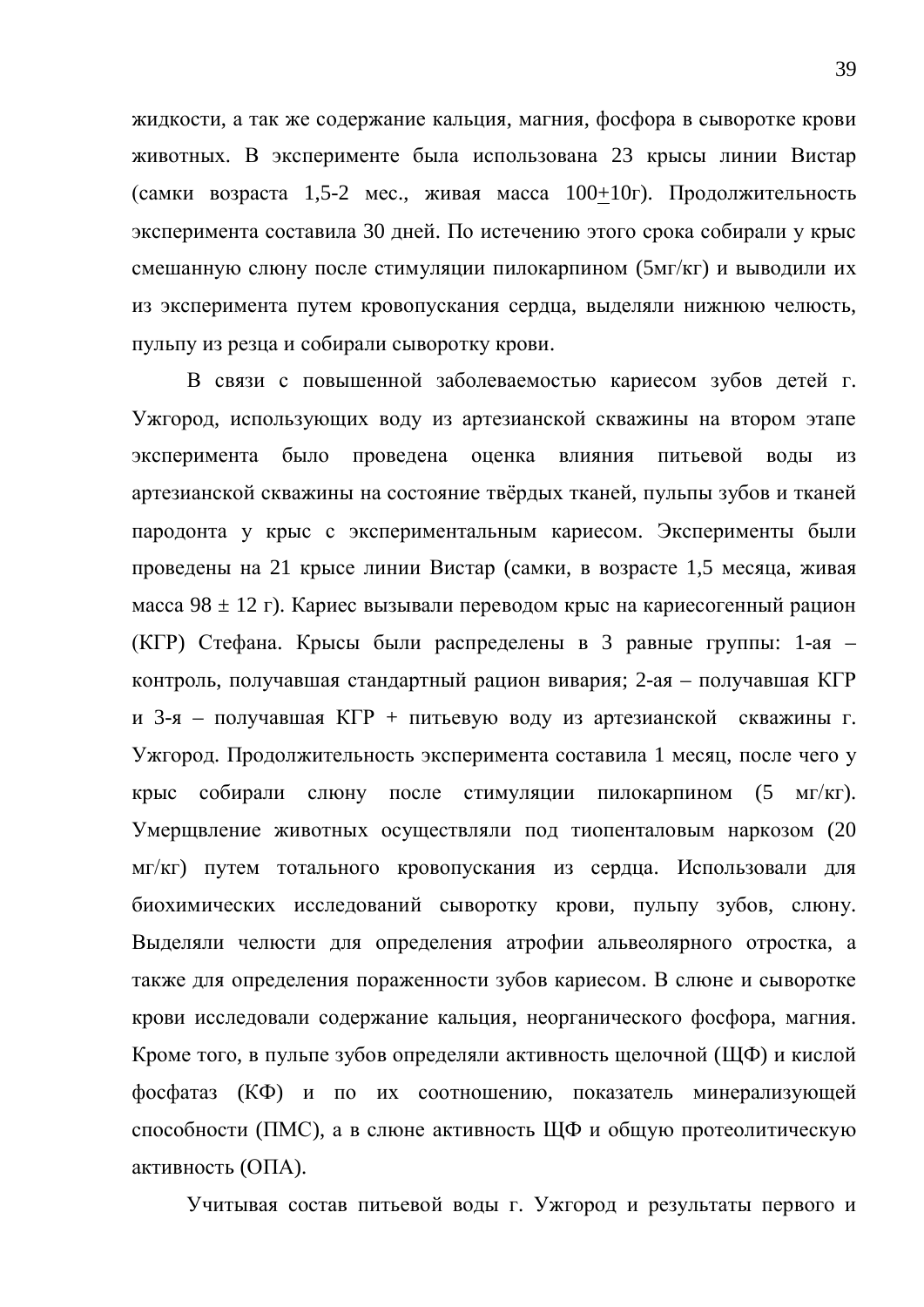жидкости, а так же содержание кальция, магния, фосфора в сыворотке крови животных. В эксперименте была использована 23 крысы линии Вистар (самки возраста 1,5-2 мес., живая масса  $100+10r$ ). Продолжительность эксперимента составила 30 дней. По истечению этого срока собирали у крыс смешанную слюну после стимуляции пилокарпином (5мг/кг) и выводили их из эксперимента путем кровопускания сердца, выделяли нижнюю челюсть, пульпу из резца и собирали сыворотку крови.

В связи с повышенной заболеваемостью кариесом зубов детей г. Ужгород, использующих воду из артезианской скважины на втором этапе эксперимента было проведена оценка влияния питьевой воды из артезианской скважины на состояние твёрдых тканей, пульпы зубов и тканей пародонта у крыс с экспериментальным кариесом. Эксперименты были проведены на 21 крысе линии Вистар (самки, в возрасте 1,5 месяца, живая масса 98  $\pm$  12 г). Кариес вызывали переводом крыс на кариесогенный рацион (КГР) Стефана. Крысы были распределены в 3 равные группы: 1-ая – контроль, получавшая стандартный рацион вивария; 2-ая – получавшая КГР и 3-я – получавшая КГР + питьевую воду из артезианской скважины г. Ужгород. Продолжительность эксперимента составила 1 месяц, после чего у крыс собирали слюну после стимуляции пилокарпином (5 мг/кг). Умерщвление животных осуществляли под тиопенталовым наркозом (20 мг/кг) путем тотального кровопускания из сердца. Использовали для биохимических исследований сыворотку крови, пульпу зубов, слюну. Выделяли челюсти для определения атрофии альвеолярного отростка, а также для определения пораженности зубов кариесом. В слюне и сыворотке крови исследовали содержание кальция, неорганического фосфора, магния. Кроме того, в пульпе зубов определяли активность щелочной (ЩФ) и кислой фосфатаз (КФ) и по их соотношению, показатель минерализующей способности (ПМС), а в слюне активность ЩФ и общую протеолитическую активность (ОПА).

Учитывая состав питьевой воды г. Ужгород и результаты первого и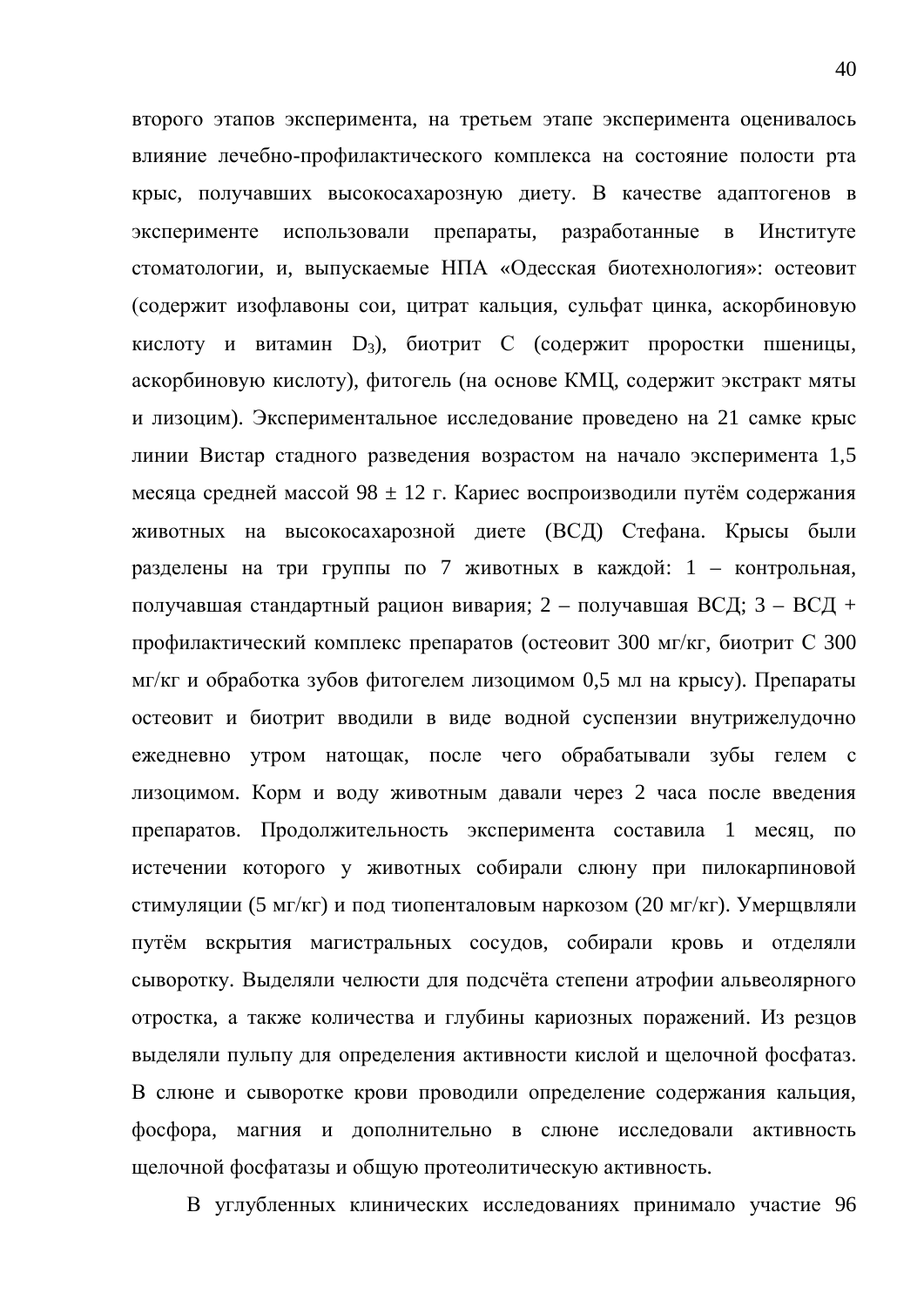второго этапов эксперимента, на третьем этапе эксперимента оценивалось влияние лечебно-профилактического комплекса на состояние полости рта крыс, получавших высокосахарозную диету. В качестве адаптогенов в эксперименте использовали препараты, разработанные в Институте стоматологии, и, выпускаемые НПА «Одесская биотехнология»: остеовит (содержит изофлавоны сои, цитрат кальция, сульфат цинка, аскорбиновую кислоту и витамин D<sub>3</sub>), биотрит С (содержит проростки пшеницы, аскорбиновую кислоту), фитогель (на основе КМЦ, содержит экстракт мяты и лизоцим). Экспериментальное исследование проведено на 21 самке крыс линии Вистар стадного разведения возрастом на начало эксперимента 1,5 месяца средней массой 98 ± 12 г. Кариес воспроизводили путём содержания животных на высокосахарозной диете (ВСД) Стефана. Крысы были разделены на три группы по 7 животных в каждой: 1 – контрольная, получавшая стандартный рацион вивария; 2 – получавшая ВСД; 3 – ВСД + профилактический комплекс препаратов (остеовит 300 мг/кг, биотрит С 300  $\text{MT}/\text{KT}$  и обработка зубов фитогелем лизоцимом 0,5 мл на крысу). Препараты остеовит и биотрит вводили в виде водной суспензии внутрижелудочно ежедневно утром натощак, после чего обрабатывали зубы гелем с лизоцимом. Корм и воду животным давали через 2 часа после введения препаратов. Продолжительность эксперимента составила 1 месяц, по истечении которого у животных собирали слюну при пилокарпиновой стимуляции (5 мг/кг) и под тиопенталовым наркозом (20 мг/кг). Умерщвляли путём вскрытия магистральных сосудов, собирали кровь и отделяли сыворотку. Выделяли челюсти для подсчёта степени атрофии альвеолярного отростка, а также количества и глубины кариозных поражений. Из резцов выделяли пульпу для определения активности кислой и щелочной фосфатаз. В слюне и сыворотке крови проводили определение содержания кальция, фосфора, магния и дополнительно в слюне исследовали активность щелочной фосфатазы и общую протеолитическую активность.

В углубленных клинических исследованиях принимало участие 96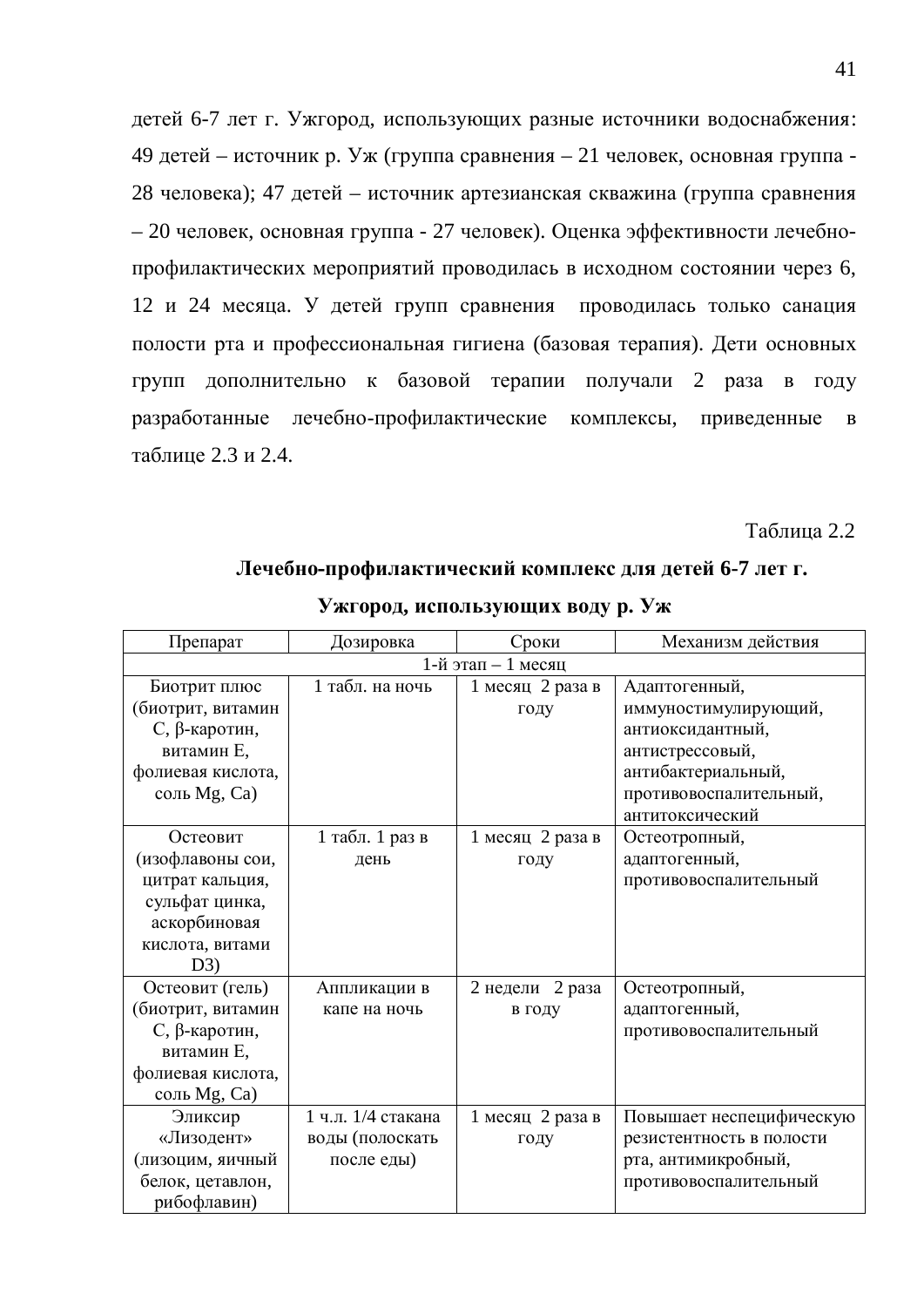детей 6-7 лет г. Ужгород, использующих разные источники водоснабжения: 49 детей – источник р. Уж (группа сравнения – 21 человек, основная группа -28 человека); 47 детей – источник артезианская скважина (группа сравнения – 20 человек, основная группа - 27 человек). Оценка эффективности лечебнопрофилактических мероприятий проводилась в исходном состоянии через 6, 12 и 24 месяца. У детей групп сравнения проводилась только санация полости рта и профессиональная гигиена (базовая терапия). Дети основных групп дополнительно к базовой терапии получали 2 раза в году разработанные лечебно-профилактические комплексы, приведенные в таблице 2.3 и 2.4.

Таблица 2.2

| Механизм действия<br>Препарат<br>Дозировка<br>Сроки<br>1-й этап - 1 месяц<br>1 табл. на ночь<br>Биотрит плюс<br>Адаптогенный,<br>1 месяц 2 раза в<br>(биотрит, витамин<br>иммуностимулирующий,<br>году<br>С, β-каротин,<br>антиоксидантный,<br>витамин Е,<br>антистрессовый,<br>антибактериальный,<br>фолиевая кислота,<br>противовоспалительный,<br>соль Mg, Ca)<br>антитоксический<br>1 табл. 1 раз в<br>1 месяц 2 раза в<br>Остеовит<br>Остеотропный,<br>(изофлавоны сои,<br>адаптогенный,<br>году<br>день<br>противовоспалительный<br>цитрат кальция,<br>сульфат цинка,<br>аскорбиновая<br>кислота, витами<br>D3)<br>2 недели 2 раза<br>Остеотропный,<br>Остеовит (гель)<br>Аппликации в<br>(биотрит, витамин<br>адаптогенный,<br>капе на ночь<br>в году<br>С, β-каротин,<br>противовоспалительный<br>витамин Е,<br>фолиевая кислота,<br>соль Mg, Ca)<br>1 ч.л. 1/4 стакана<br>Эликсир<br>1 месяц 2 раза в<br>Повышает неспецифическую<br>«Лизодент»<br>воды (полоскать<br>резистентность в полости<br>году<br>(лизоцим, яичный<br>рта, антимикробный,<br>после еды)<br>белок, цетавлон,<br>противовоспалительный<br>рибофлавин) | у жгород, использующих боду р. <i>у</i> ж |  |  |  |  |  |  |  |  |  |
|--------------------------------------------------------------------------------------------------------------------------------------------------------------------------------------------------------------------------------------------------------------------------------------------------------------------------------------------------------------------------------------------------------------------------------------------------------------------------------------------------------------------------------------------------------------------------------------------------------------------------------------------------------------------------------------------------------------------------------------------------------------------------------------------------------------------------------------------------------------------------------------------------------------------------------------------------------------------------------------------------------------------------------------------------------------------------------------------------------------------------------------|-------------------------------------------|--|--|--|--|--|--|--|--|--|
|                                                                                                                                                                                                                                                                                                                                                                                                                                                                                                                                                                                                                                                                                                                                                                                                                                                                                                                                                                                                                                                                                                                                      |                                           |  |  |  |  |  |  |  |  |  |
|                                                                                                                                                                                                                                                                                                                                                                                                                                                                                                                                                                                                                                                                                                                                                                                                                                                                                                                                                                                                                                                                                                                                      |                                           |  |  |  |  |  |  |  |  |  |
|                                                                                                                                                                                                                                                                                                                                                                                                                                                                                                                                                                                                                                                                                                                                                                                                                                                                                                                                                                                                                                                                                                                                      |                                           |  |  |  |  |  |  |  |  |  |
|                                                                                                                                                                                                                                                                                                                                                                                                                                                                                                                                                                                                                                                                                                                                                                                                                                                                                                                                                                                                                                                                                                                                      |                                           |  |  |  |  |  |  |  |  |  |
|                                                                                                                                                                                                                                                                                                                                                                                                                                                                                                                                                                                                                                                                                                                                                                                                                                                                                                                                                                                                                                                                                                                                      |                                           |  |  |  |  |  |  |  |  |  |
|                                                                                                                                                                                                                                                                                                                                                                                                                                                                                                                                                                                                                                                                                                                                                                                                                                                                                                                                                                                                                                                                                                                                      |                                           |  |  |  |  |  |  |  |  |  |
|                                                                                                                                                                                                                                                                                                                                                                                                                                                                                                                                                                                                                                                                                                                                                                                                                                                                                                                                                                                                                                                                                                                                      |                                           |  |  |  |  |  |  |  |  |  |
|                                                                                                                                                                                                                                                                                                                                                                                                                                                                                                                                                                                                                                                                                                                                                                                                                                                                                                                                                                                                                                                                                                                                      |                                           |  |  |  |  |  |  |  |  |  |
|                                                                                                                                                                                                                                                                                                                                                                                                                                                                                                                                                                                                                                                                                                                                                                                                                                                                                                                                                                                                                                                                                                                                      |                                           |  |  |  |  |  |  |  |  |  |
|                                                                                                                                                                                                                                                                                                                                                                                                                                                                                                                                                                                                                                                                                                                                                                                                                                                                                                                                                                                                                                                                                                                                      |                                           |  |  |  |  |  |  |  |  |  |
|                                                                                                                                                                                                                                                                                                                                                                                                                                                                                                                                                                                                                                                                                                                                                                                                                                                                                                                                                                                                                                                                                                                                      |                                           |  |  |  |  |  |  |  |  |  |
|                                                                                                                                                                                                                                                                                                                                                                                                                                                                                                                                                                                                                                                                                                                                                                                                                                                                                                                                                                                                                                                                                                                                      |                                           |  |  |  |  |  |  |  |  |  |
|                                                                                                                                                                                                                                                                                                                                                                                                                                                                                                                                                                                                                                                                                                                                                                                                                                                                                                                                                                                                                                                                                                                                      |                                           |  |  |  |  |  |  |  |  |  |
|                                                                                                                                                                                                                                                                                                                                                                                                                                                                                                                                                                                                                                                                                                                                                                                                                                                                                                                                                                                                                                                                                                                                      |                                           |  |  |  |  |  |  |  |  |  |
|                                                                                                                                                                                                                                                                                                                                                                                                                                                                                                                                                                                                                                                                                                                                                                                                                                                                                                                                                                                                                                                                                                                                      |                                           |  |  |  |  |  |  |  |  |  |
|                                                                                                                                                                                                                                                                                                                                                                                                                                                                                                                                                                                                                                                                                                                                                                                                                                                                                                                                                                                                                                                                                                                                      |                                           |  |  |  |  |  |  |  |  |  |
|                                                                                                                                                                                                                                                                                                                                                                                                                                                                                                                                                                                                                                                                                                                                                                                                                                                                                                                                                                                                                                                                                                                                      |                                           |  |  |  |  |  |  |  |  |  |
|                                                                                                                                                                                                                                                                                                                                                                                                                                                                                                                                                                                                                                                                                                                                                                                                                                                                                                                                                                                                                                                                                                                                      |                                           |  |  |  |  |  |  |  |  |  |
|                                                                                                                                                                                                                                                                                                                                                                                                                                                                                                                                                                                                                                                                                                                                                                                                                                                                                                                                                                                                                                                                                                                                      |                                           |  |  |  |  |  |  |  |  |  |
|                                                                                                                                                                                                                                                                                                                                                                                                                                                                                                                                                                                                                                                                                                                                                                                                                                                                                                                                                                                                                                                                                                                                      |                                           |  |  |  |  |  |  |  |  |  |
|                                                                                                                                                                                                                                                                                                                                                                                                                                                                                                                                                                                                                                                                                                                                                                                                                                                                                                                                                                                                                                                                                                                                      |                                           |  |  |  |  |  |  |  |  |  |
|                                                                                                                                                                                                                                                                                                                                                                                                                                                                                                                                                                                                                                                                                                                                                                                                                                                                                                                                                                                                                                                                                                                                      |                                           |  |  |  |  |  |  |  |  |  |
|                                                                                                                                                                                                                                                                                                                                                                                                                                                                                                                                                                                                                                                                                                                                                                                                                                                                                                                                                                                                                                                                                                                                      |                                           |  |  |  |  |  |  |  |  |  |
|                                                                                                                                                                                                                                                                                                                                                                                                                                                                                                                                                                                                                                                                                                                                                                                                                                                                                                                                                                                                                                                                                                                                      |                                           |  |  |  |  |  |  |  |  |  |
|                                                                                                                                                                                                                                                                                                                                                                                                                                                                                                                                                                                                                                                                                                                                                                                                                                                                                                                                                                                                                                                                                                                                      |                                           |  |  |  |  |  |  |  |  |  |
|                                                                                                                                                                                                                                                                                                                                                                                                                                                                                                                                                                                                                                                                                                                                                                                                                                                                                                                                                                                                                                                                                                                                      |                                           |  |  |  |  |  |  |  |  |  |
|                                                                                                                                                                                                                                                                                                                                                                                                                                                                                                                                                                                                                                                                                                                                                                                                                                                                                                                                                                                                                                                                                                                                      |                                           |  |  |  |  |  |  |  |  |  |

#### **Лечебно-профилактический комплекс для детей 6-7 лет г.**

**ɍɠɝɨɪɨɞ, ɢɫɩɨɥɶɡɭɸɳɢɯɜɨɞɭɪ. ɍɠ**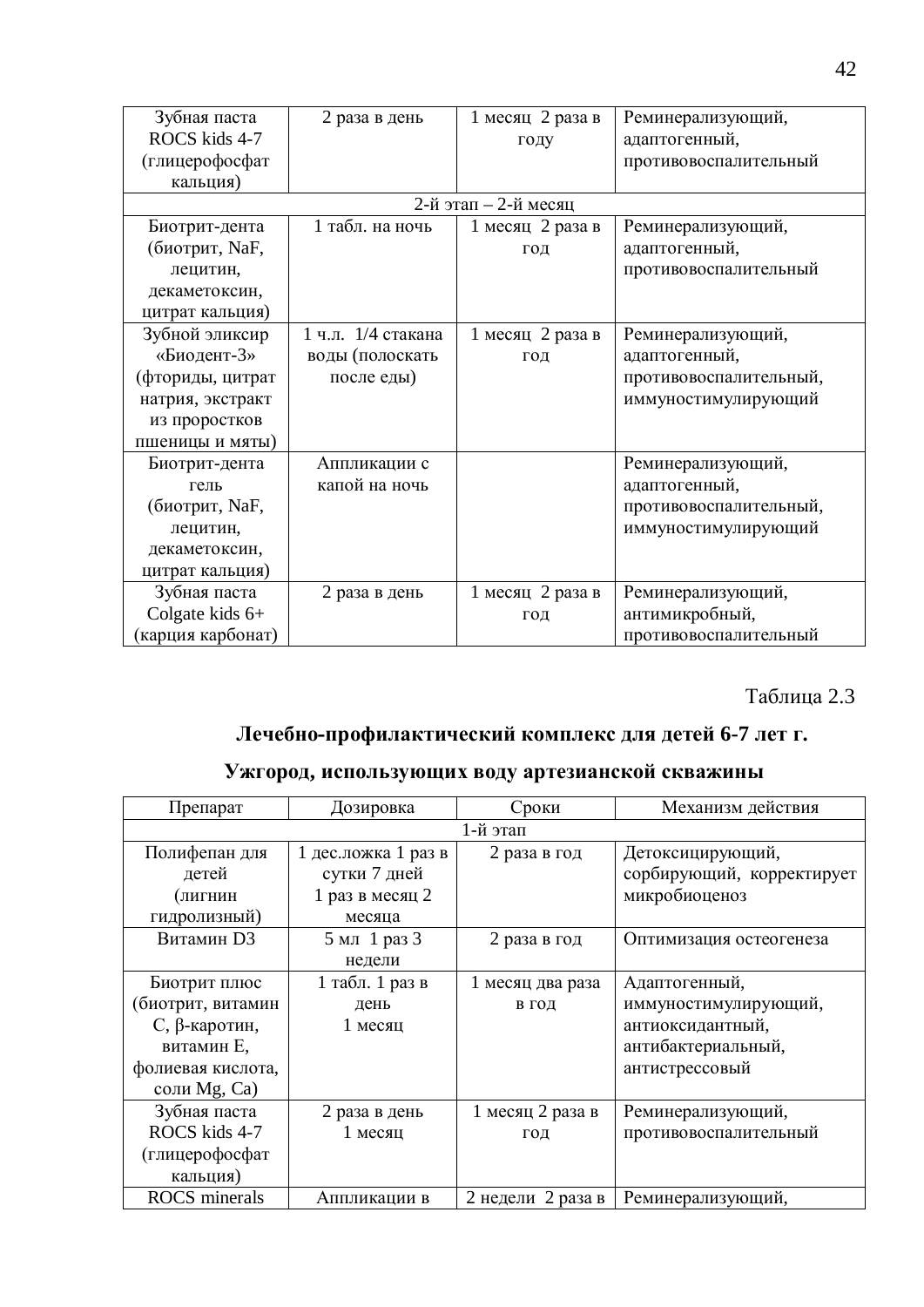| Зубная паста     | 2 раза в день      | 1 месяц 2 раза в       | Реминерализующий,      |
|------------------|--------------------|------------------------|------------------------|
| ROCS kids 4-7    |                    | году                   | адаптогенный,          |
| (глицерофосфат   |                    |                        | противовоспалительный  |
| кальция)         |                    |                        |                        |
|                  |                    | 2-й этап $-2$ -й месяц |                        |
| Биотрит-дента    | 1 табл. на ночь    | 1 месяц 2 раза в       | Реминерализующий,      |
| (биотрит, NaF,   |                    | ГОД                    | адаптогенный,          |
| лецитин,         |                    |                        | противовоспалительный  |
| декаметоксин,    |                    |                        |                        |
| цитрат кальция)  |                    |                        |                        |
| Зубной эликсир   | 1 ч.л. 1/4 стакана | 1 месяц 2 раза в       | Реминерализующий,      |
| «Биодент-3»      | воды (полоскать    | ГОД                    | адаптогенный,          |
| (фториды, цитрат | после еды)         |                        | противовоспалительный, |
| натрия, экстракт |                    |                        | иммуностимулирующий    |
| из проростков    |                    |                        |                        |
| пшеницы и мяты)  |                    |                        |                        |
| Биотрит-дента    | Аппликации с       |                        | Реминерализующий,      |
| гель             | капой на ночь      |                        | адаптогенный,          |
| (биотрит, NaF,   |                    |                        | противовоспалительный, |
| лецитин,         |                    |                        | иммуностимулирующий    |
| декаметоксин,    |                    |                        |                        |
| цитрат кальция)  |                    |                        |                        |
| Зубная паста     | 2 раза в день      | 1 месяц 2 раза в       | Реминерализующий,      |
| Colgate kids 6+  |                    | ГОД                    | антимикробный,         |
| карция карбонат) |                    |                        | противовоспалительный  |

Таблица 2.3

## Лечебно-профилактический комплекс для детей 6-7 лет г.

## Ужгород, использующих воду артезианской скважины

| Препарат             | Дозировка           | Сроки             | Механизм действия         |
|----------------------|---------------------|-------------------|---------------------------|
|                      |                     | 1-й этап          |                           |
| Полифепан для        | 1 дес.ложка 1 раз в | 2 раза в год      | Детоксицирующий,          |
| детей                | сутки 7 дней        |                   | сорбирующий, корректирует |
| (лигнин              | 1 раз в месяц 2     |                   | микробиоценоз             |
| гидролизный)         | месяца              |                   |                           |
| <b>Витамин D3</b>    | 5 мл 1 раз 3        | 2 раза в год      | Оптимизация остеогенеза   |
|                      | недели              |                   |                           |
| Биотрит плюс         | 1 табл. 1 раз в     | 1 месяц два раза  | Адаптогенный,             |
| (биотрит, витамин    | день                | в год             | иммуностимулирующий,      |
| С, $\beta$ -каротин, | 1 месяц             |                   | антиоксидантный,          |
| витамин Е,           |                     |                   | антибактериальный,        |
| фолиевая кислота,    |                     |                   | антистрессовый            |
| соли Mg, Ca)         |                     |                   |                           |
| Зубная паста         | 2 раза в день       | 1 месяц 2 раза в  | Реминерализующий,         |
| ROCS kids 4-7        | 1 месяц             | ГОД               | противовоспалительный     |
| (глицерофосфат       |                     |                   |                           |
| кальция)             |                     |                   |                           |
| <b>ROCS</b> minerals | Аппликации в        | 2 недели 2 раза в | Реминерализующий,         |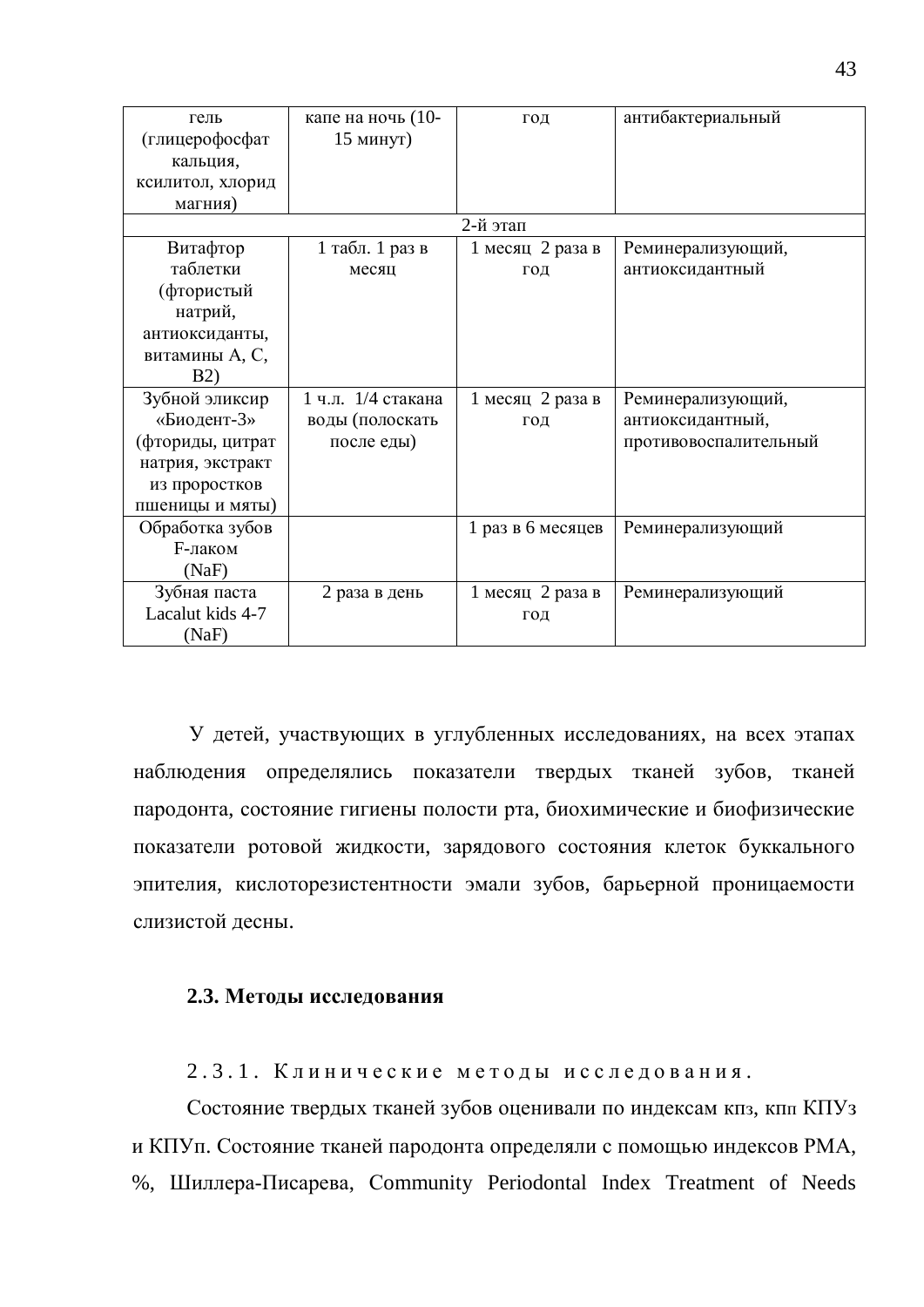| гель<br>(глицерофосфат | капе на ночь (10-<br>15 минут) | ГОД               | антибактериальный     |
|------------------------|--------------------------------|-------------------|-----------------------|
| кальция,               |                                |                   |                       |
| ксилитол, хлорид       |                                |                   |                       |
| магния)                |                                |                   |                       |
|                        |                                | 2-й этап          |                       |
| Витафтор               | 1 табл. 1 раз в                | 1 месяц 2 раза в  | Реминерализующий,     |
| таблетки               | месяц                          | ГОД               | антиоксидантный       |
| (фтористый             |                                |                   |                       |
| натрий,                |                                |                   |                       |
| антиоксиданты,         |                                |                   |                       |
| витамины А, С,         |                                |                   |                       |
| <b>B2</b> )            |                                |                   |                       |
| Зубной эликсир         | 1 ч.л. 1/4 стакана             | 1 месяц 2 раза в  | Реминерализующий,     |
| «Биодент-3»            | воды (полоскать                | ГОД               | антиоксидантный,      |
| (фториды, цитрат       | после еды)                     |                   | противовоспалительный |
| натрия, экстракт       |                                |                   |                       |
| из проростков          |                                |                   |                       |
| пшеницы и мяты)        |                                |                   |                       |
| Обработка зубов        |                                | 1 раз в 6 месяцев | Реминерализующий      |
| <b>F-лаком</b>         |                                |                   |                       |
| (NaF)                  |                                |                   |                       |
| Зубная паста           | 2 раза в день                  | 1 месяц 2 раза в  | Реминерализующий      |
| Lacalut kids 4-7       |                                | ГОД               |                       |
| (NaF)                  |                                |                   |                       |

У детей, участвующих в углубленных исследованиях, на всех этапах наблюдения определялись показатели твердых тканей зубов, тканей пародонта, состояние гигиены полости рта, биохимические и биофизические показатели ротовой жидкости, зарядового состояния клеток буккального эпителия, кислоторезистентности эмали зубов, барьерной проницаемости слизистой десны.

#### 2.3. Методы исследования

2.3.1. Клинические методы исследования.

Состояние твердых тканей зубов оценивали по индексам кпз, кпл КПУз и КПУп. Состояние тканей пародонта определяли с помощью индексов РМА, %, Шиллера-Писарева, Community Periodontal Index Treatment of Needs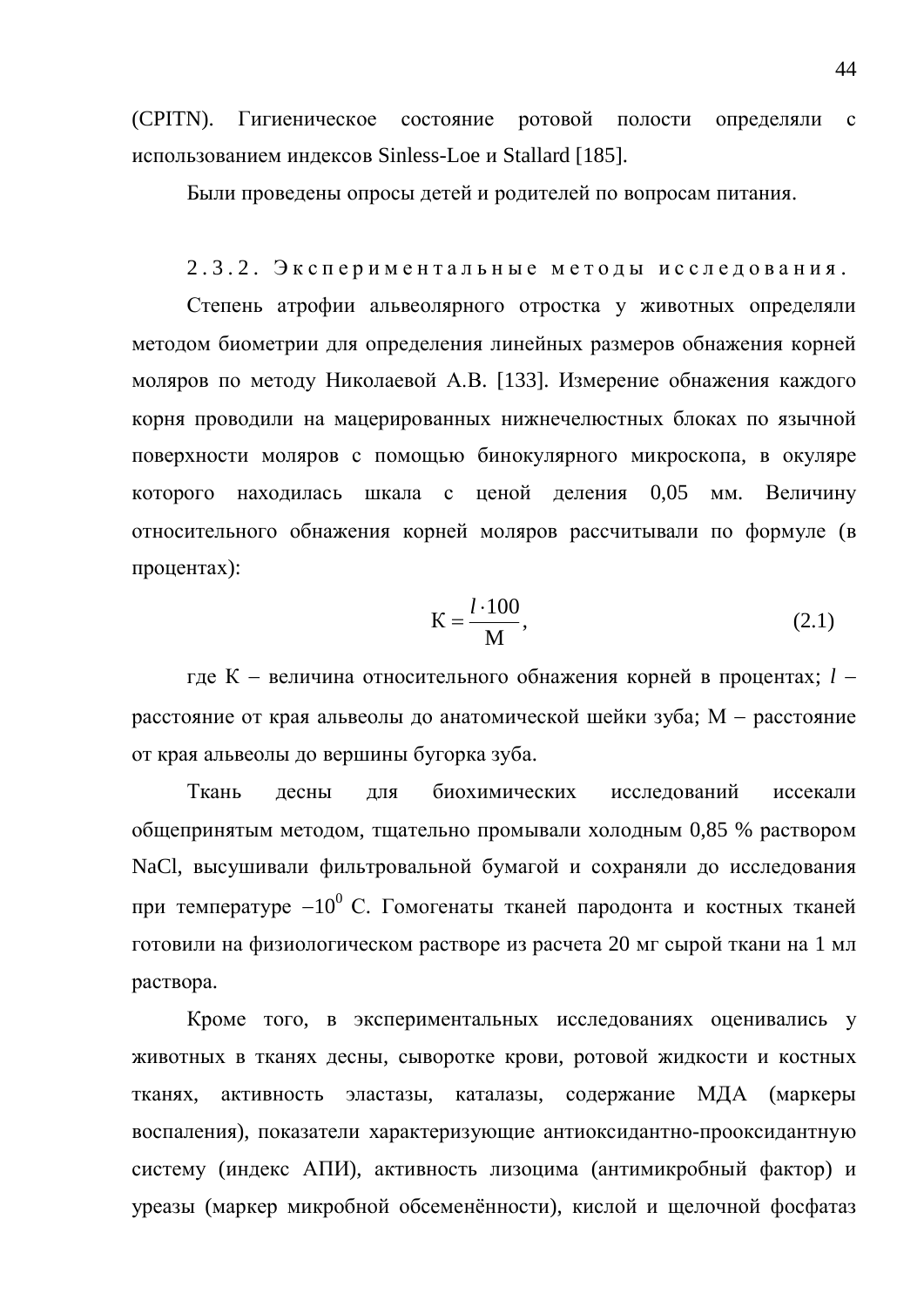(CPITN). Гигиеническое состояние ротовой полости определяли с использованием индексов Sinless-Loe и Stallard [185].

Были проведены опросы детей и родителей по вопросам питания.

#### 2.3.2. Экспериментальные методы исследования.

Степень атрофии альвеолярного отростка у животных определяли методом биометрии для определения линейных размеров обнажения корней моляров по методу Николаевой А.В. [133]. Измерение обнажения каждого корня проводили на мацерированных нижнечелюстных блоках по язычной поверхности моляров с помощью бинокулярного микроскопа, в окуляре которого находилась шкала с ценой деления 0,05 мм. Величину относительного обнажения корней моляров рассчитывали по формуле (в процентах):

$$
K = \frac{l \cdot 100}{M},\tag{2.1}
$$

где К – величина относительного обнажения корней в процентах; *l* – расстояние от края альвеолы до анатомической шейки зуба; М - расстояние от края альвеолы до вершины бугорка зуба.

Ткань лесны лля биохимических исслелований иссекали общепринятым методом, тщательно промывали холодным 0,85 % раствором NaCl, высушивали фильтровальной бумагой и сохраняли до исследования при температуре  $-10^0$  С. Гомогенаты тканей пародонта и костных тканей готовили на физиологическом растворе из расчета 20 мг сырой ткани на 1 мл раствора.

Кроме того, в экспериментальных исследованиях оценивались у животных в тканях десны, сыворотке крови, ротовой жидкости и костных тканях, активность эластазы, каталазы, содержание МДА (маркеры воспаления), показатели характеризующие антиоксидантно-прооксидантную систему (индекс АПИ), активность лизоцима (антимикробный фактор) и уреазы (маркер микробной обсеменённости), кислой и щелочной фосфатаз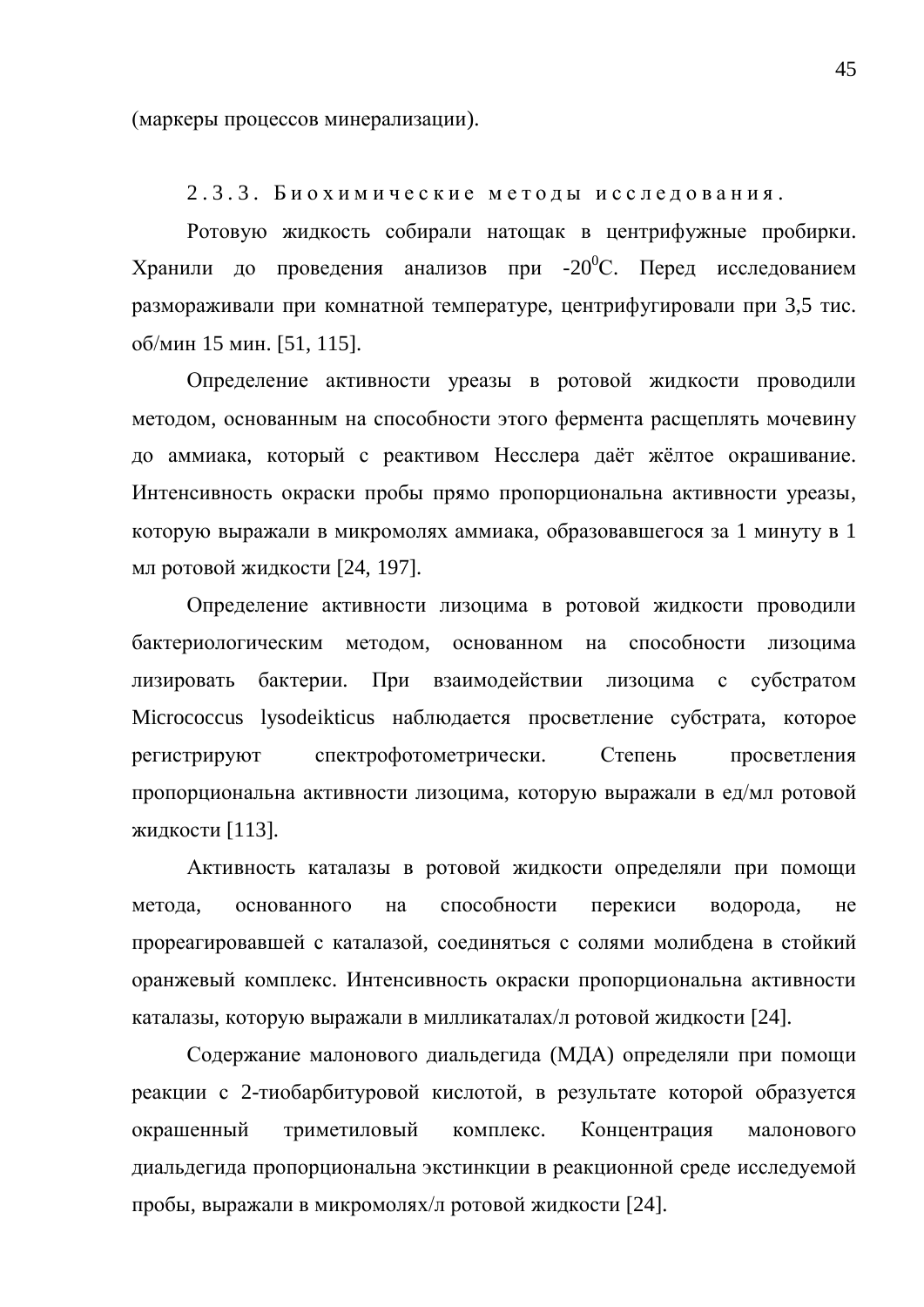(маркеры процессов минерализации).

2.3.3. Биохимические методы исследования.

Ротовую жидкость собирали натощак в центрифужные пробирки. Хранили до проведения анализов при -20<sup>0</sup>С. Перед исследованием размораживали при комнатной температуре, центрифугировали при 3,5 тис. об/мин 15 мин. [51, 115].

Определение активности уреазы в ротовой жидкости проводили методом, основанным на способности этого фермента расщеплять мочевину до аммиака, который с реактивом Несслера даёт жёлтое окрашивание. Интенсивность окраски пробы прямо пропорциональна активности уреазы, которую выражали в микромолях аммиака, образовавшегося за 1 минуту в 1 мл ротовой жидкости [24, 197].

Определение активности лизоцима в ротовой жидкости проводили бактериологическим методом, основанном на способности лизоцима лизировать бактерии. При взаимодействии лизоцима с субстратом Micrococcus lysodeikticus наблюдается просветление субстрата, которое регистрируют спектрофотометрически. Степень просветления пропорциональна активности лизоцима, которую выражали в ед/мл ротовой жидкости [113].

Активность каталазы в ротовой жидкости определяли при помощи метода, основанного на способности перекиси водорода, не прореагировавшей с каталазой, соединяться с солями молибдена в стойкий оранжевый комплекс. Интенсивность окраски пропорциональна активности каталазы, которую выражали в милликаталах/л ротовой жидкости [24].

Содержание малонового диальдегида (МДА) определяли при помощи реакции с 2-тиобарбитуровой кислотой, в результате которой образуется окрашенный триметиловый комплекс. Концентрация малонового диальдегида пропорциональна экстинкции в реакционной среде исследуемой пробы, выражали в микромолях/л ротовой жидкости [24].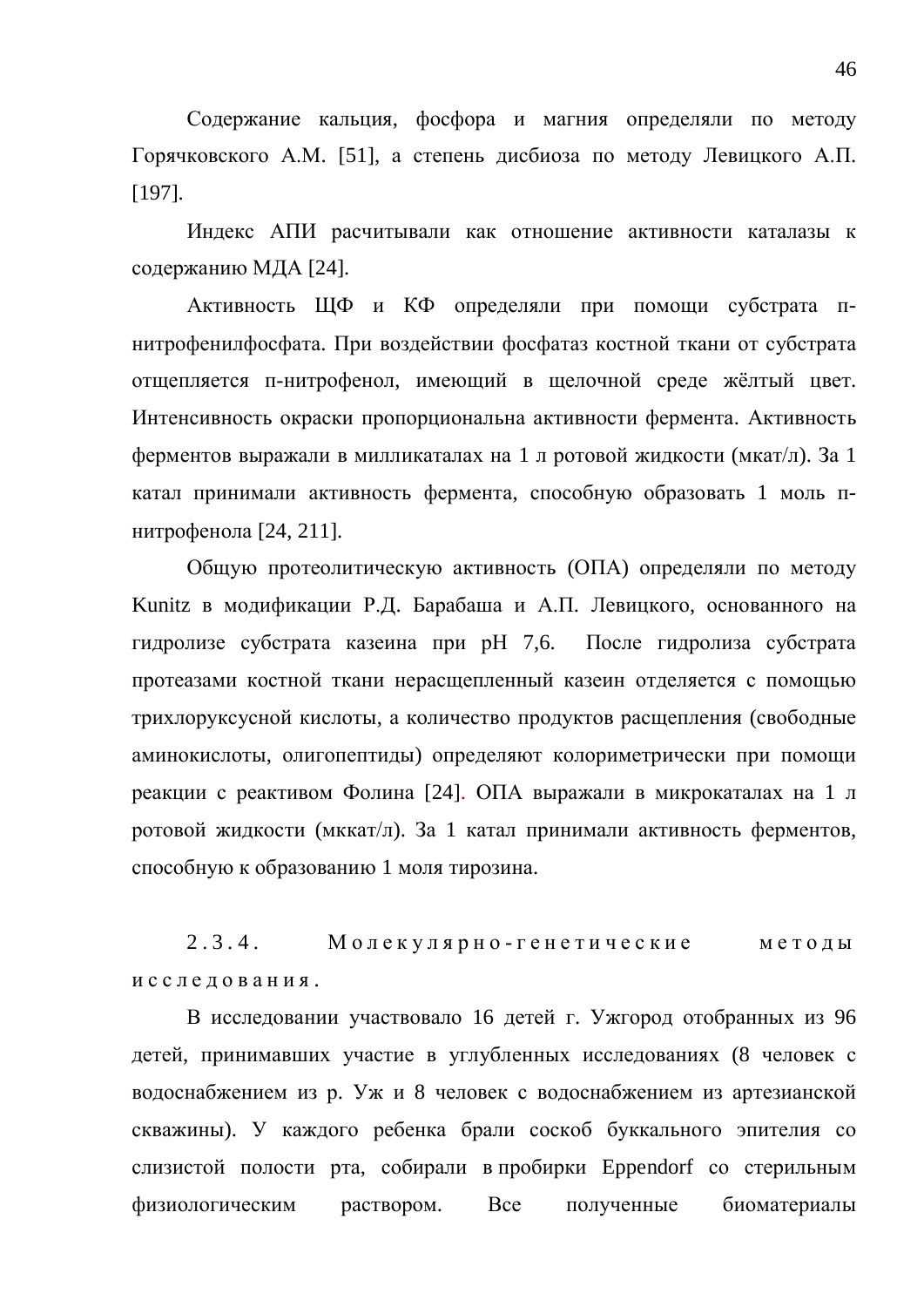Содержание кальция, фосфора и магния определяли по методу Горячковского А.М. [51], а степень дисбиоза по методу Левицкого А.П. [197].

Индекс АПИ расчитывали как отношение активности каталазы к содержанию МДА [24].

Активность ЩФ и КФ определяли при помощи субстрата пнитрофенилфосфата. При воздействии фосфатаз костной ткани от субстрата отщепляется п-нитрофенол, имеющий в щелочной среде жёлтый цвет. Интенсивность окраски пропорциональна активности фермента. Активность ферментов выражали в милликаталах на 1 л ротовой жидкости (мкат/л). За 1 катал принимали активность фермента, способную образовать 1 моль пнитрофенола [24, 211].

Общую протеолитическую активность (ОПА) определяли по методу Kunitz в модификации Р.Д. Барабаша и А.П. Левицкого, основанного на гидролизе субстрата казеина при рН 7,6. После гидролиза субстрата протеазами костной ткани нерасщепленный казеин отделяется с помощью трихлоруксусной кислоты, а количество продуктов расщепления (свободные аминокислоты, олигопептиды) определяют колориметрически при помощи реакции с реактивом Фолина [24]. ОПА выражали в микрокаталах на 1 л ротовой жидкости (мккат/л). За 1 катал принимали активность ферментов, способную к образованию 1 моля тирозина.

 $2.3.4.$  Молекулярно-генетические методы исследования.

В исследовании участвовало 16 детей г. Ужгород отобранных из 96 детей, принимавших участие в углубленных исследованиях (8 человек с водоснабжением из р. Уж и 8 человек с водоснабжением из артезианской скважины). У каждого ребенка брали соскоб буккального эпителия со слизистой полости рта, собирали в пробирки Eppendorf со стерильным физиологическим раствором. Все полученные биоматериалы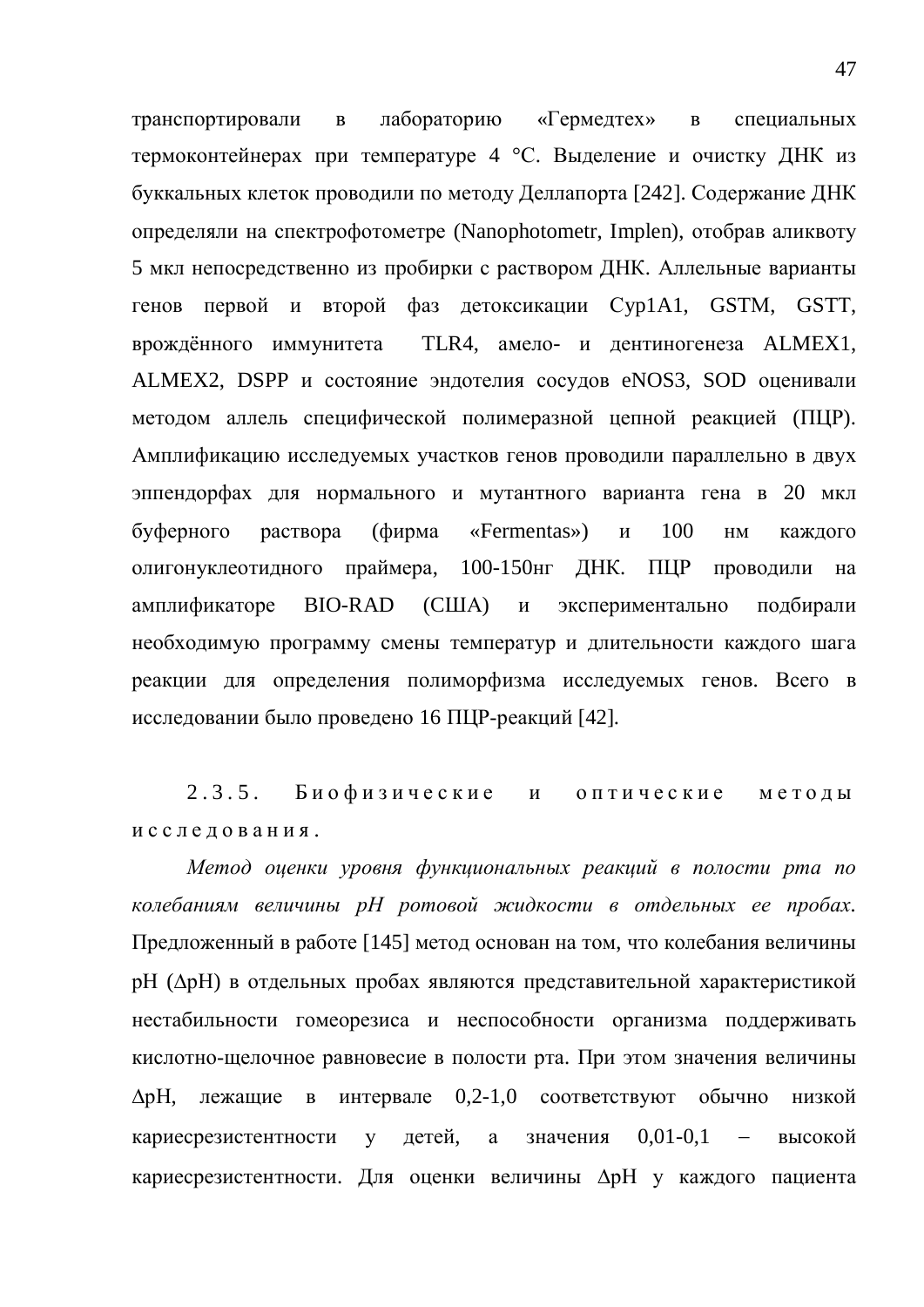транспортировали в лабораторию «Гермедтех» в специальных термоконтейнерах при температуре 4 °С. Выделение и очистку ДНК из буккальных клеток проводили по методу Деллапорта [242]. Содержание ДНК определяли на спектрофотометре (Nanophotometr, Implen), отобрав аликвоту 5 мкл непосредственно из пробирки с раствором ДНК. Аллельные варианты генов первой и второй фаз детоксикации Cyp1A1, GSTM, GSTT, врождённого иммунитета TLR4, амело- и дентиногенеза ALMEX1, ALMEX2, DSPP и состояние эндотелия сосудов eNOS3, SOD оценивали метолом аллель специфической полимеразной цепной реакцией (ПЦР). Амплификацию исследуемых участков генов проводили параллельно в двух эппендорфах для нормального и мутантного варианта гена в 20 мкл буферного раствора (фирма «Fermentas») и 100 нм каждого олигонуклеотидного праймера, 100-150нг ДНК. ПЦР проводили на амплификаторе ВІО-RAD (США) и экспериментально подбирали необходимую программу смены температур и длительности каждого шага реакции для определения полиморфизма исследуемых генов. Всего в исследовании было проведено 16 ПЦР-реакций [42].

2.3.5. Биофизические и оптические методы исследования.

Метод оценки уровня функциональных реакций в полости рта по колебаниям величины pH ротовой жидкости в отдельных ее пробах. Предложенный в работе [145] метод основан на том, что колебания величины рН (ДрН) в отдельных пробах являются представительной характеристикой нестабильности гомеорезиса и неспособности организма поддерживать кислотно-щелочное равновесие в полости рта. При этом значения величины ДрН, лежащие в интервале 0,2-1,0 соответствуют обычно низкой кариесрезистентности у детей, а значения  $0,01-0,1$  – высокой кариесрезистентности. Для оценки величины  $\Delta$ рН у каждого пациента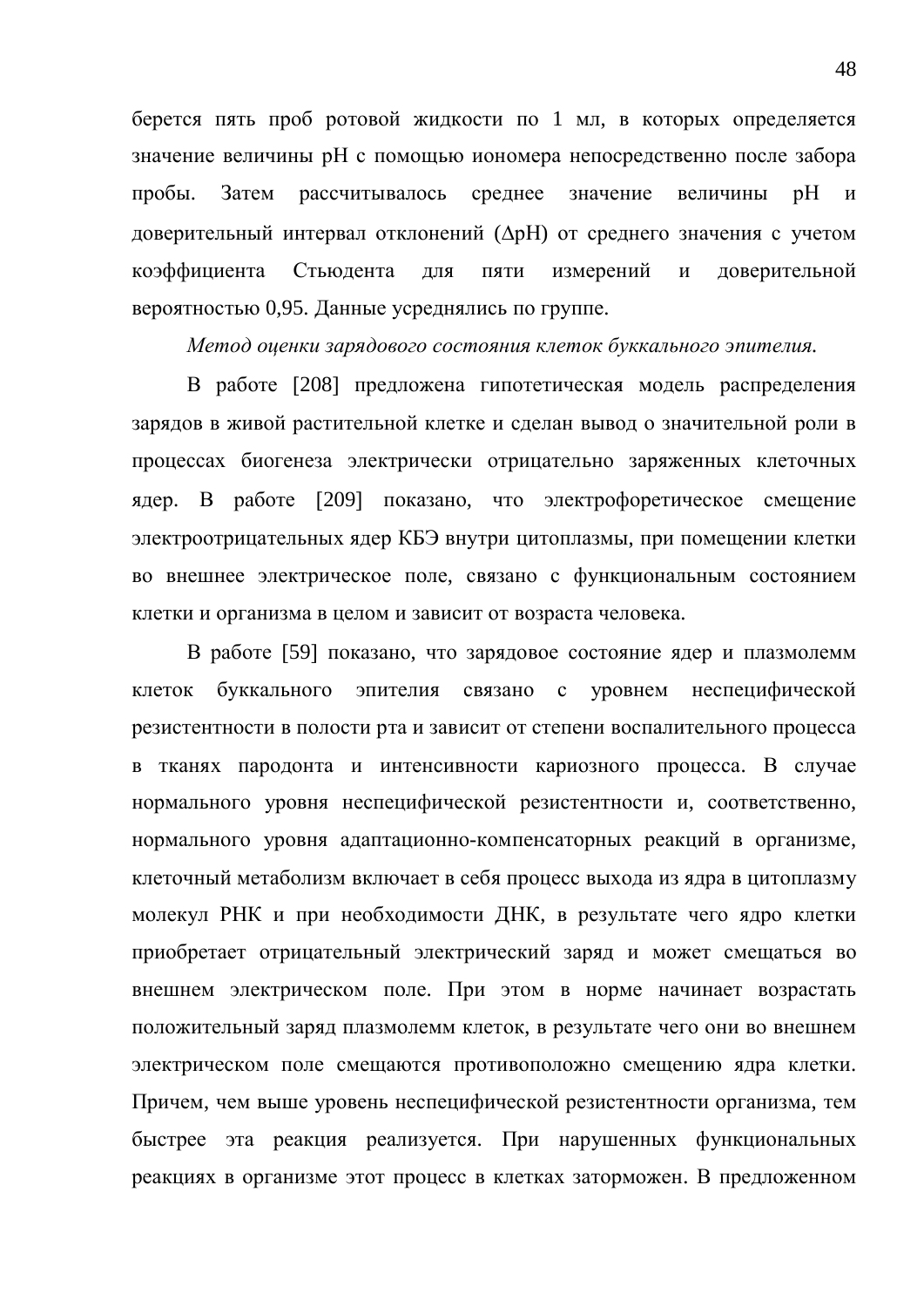берется пять проб ротовой жидкости по 1 мл, в которых определяется значение величины рН с помощью иономера непосредственно после забора пробы. Затем рассчитывалось среднее значение величины рН и доверительный интервал отклонений ( $\Delta$ рН) от среднего значения с учетом коэффициента Стьюдента для пяти измерений и доверительной вероятностью 0,95. Данные усреднялись по группе.

*Метод оценки зарядового состояния клеток буккального эпителия.* 

В работе [208] предложена гипотетическая модель распределения зарядов в живой растительной клетке и сделан вывод о значительной роли в процессах биогенеза электрически отрицательно заряженных клеточных ядер. В работе [209] показано, что электрофоретическое смещение электроотрицательных ядер КБЭ внутри цитоплазмы, при помещении клетки во внешнее электрическое поле, связано с функциональным состоянием клетки и организма в целом и зависит от возраста человека.

В работе [59] показано, что зарядовое состояние ядер и плазмолемм клеток буккального эпителия связано с уровнем неспецифической резистентности в полости рта и зависит от степени воспалительного процесса в тканях пародонта и интенсивности кариозного процесса. В случае нормального уровня неспецифической резистентности и, соответственно, нормального уровня адаптационно-компенсаторных реакций в организме, клеточный метаболизм включает в себя процесс выхода из ядра в цитоплазму молекул РНК и при необходимости ДНК, в результате чего ядро клетки приобретает отрицательный электрический заряд и может смещаться во внешнем электрическом поле. При этом в норме начинает возрастать положительный заряд плазмолемм клеток, в результате чего они во внешнем электрическом поле смещаются противоположно смещению ядра клетки. Причем, чем выше уровень неспецифической резистентности организма, тем быстрее эта реакция реализуется. При нарушенных функциональных реакциях в организме этот процесс в клетках заторможен. В предложенном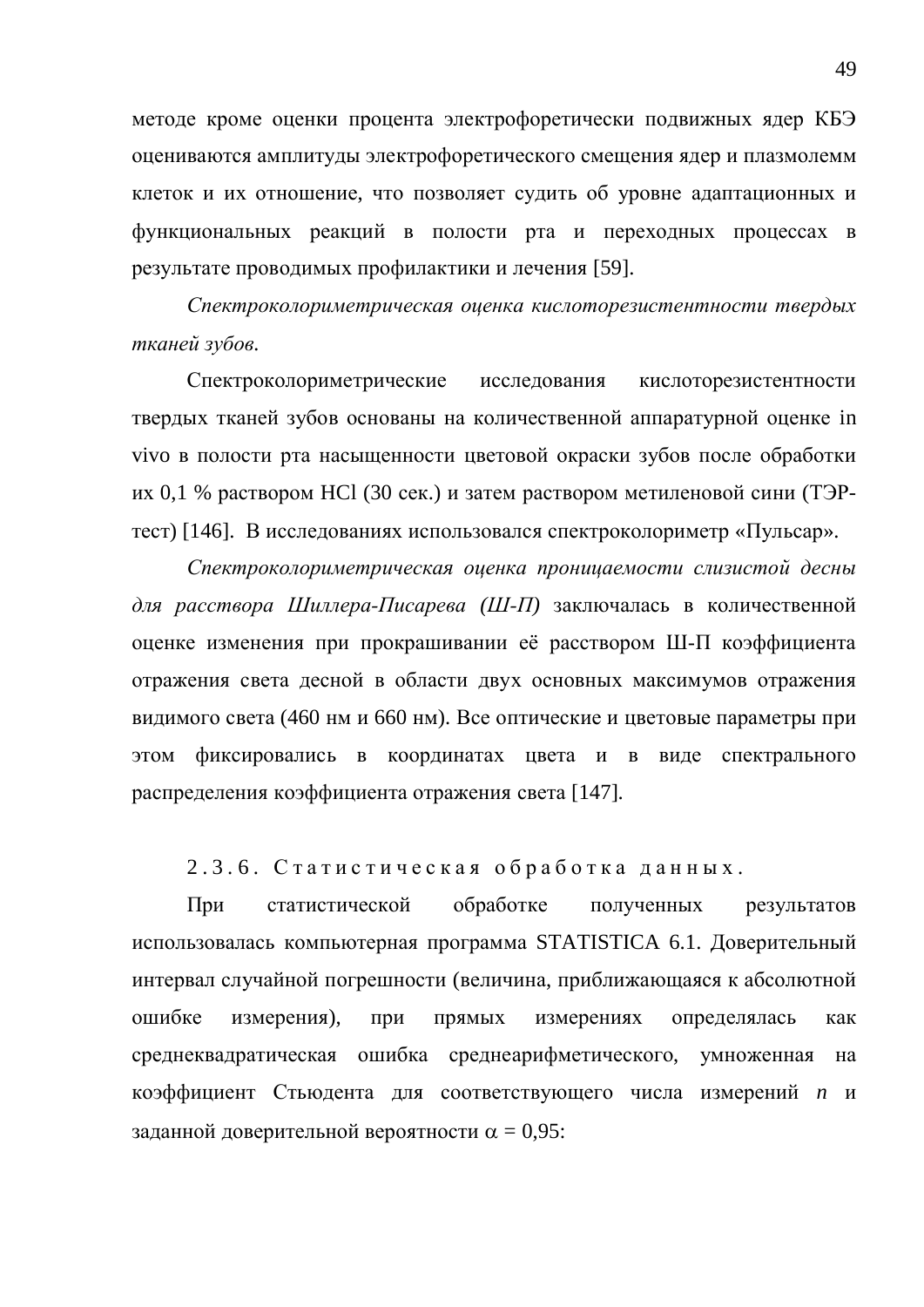методе кроме оценки процента электрофоретически подвижных ядер КБЭ оцениваются амплитуды электрофоретического смещения ядер и плазмолемм клеток и их отношение, что позволяет судить об уровне адаптационных и функциональных реакций в полости рта и переходных процессах в результате проводимых профилактики и лечения [59].

Спектроколориметрическая оценка кислоторезистентности твердых *тканей зубов.* 

Спектроколориметрические исследования кислоторезистентности твердых тканей зубов основаны на количественной аппаратурной оценке in vivo в полости рта насыщенности цветовой окраски зубов после обработки их 0,1 % раствором HCl (30 сек.) и затем раствором метиленовой сини (ТЭРтест) [146]. В исследованиях использовался спектроколориметр «Пульсар».

Спектроколориметрическая оценка проницаемости слизистой десны для расствора Шиллера-Писарева (Ш-П) заключалась в количественной оценке изменения при прокрашивании её расствором Ш-П коэффициента отражения света десной в области двух основных максимумов отражения видимого света (460 нм и 660 нм). Все оптические и цветовые параметры при этом фиксировались в координатах цвета и в виде спектрального распределения коэффициента отражения света [147].

2.3.6. Статистическая обработка данных.

При статистической обработке полученных результатов использовалась компьютерная программа STATISTICA 6.1. Доверительный интервал случайной погрешности (величина, приближающаяся к абсолютной ошибке измерения), при прямых измерениях определялась как среднеквадратическая ошибка среднеарифметического, умноженная на коэффициент Стьюдента для соответствующего числа измерений *n* и заланной доверительной вероятности  $\alpha = 0.95$ :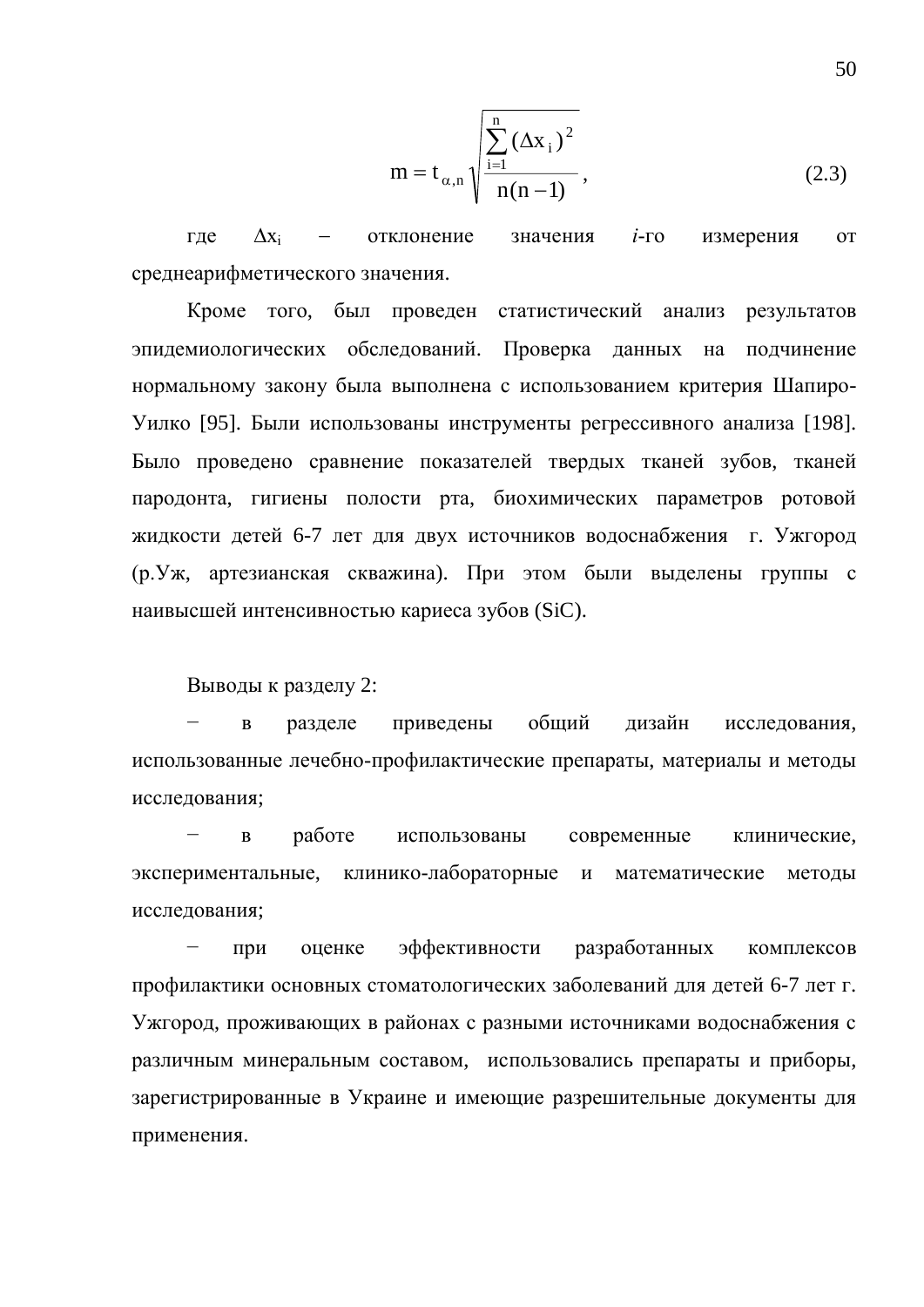$$
m = t_{\alpha,n} \sqrt{\frac{\sum_{i=1}^{n} (\Delta x_i)^2}{n(n-1)}},
$$
\n(2.3)

где  $\Delta x_i$  – отклонение значения *i*-го измерения от среднеарифметического значения.

Кроме того, был проведен статистический анализ результатов эпидемиологических обследований. Проверка данных на подчинение нормальному закону была выполнена с использованием критерия Шапиро-Уилко [95]. Были использованы инструменты регрессивного анализа [198]. Было проведено сравнение показателей твердых тканей зубов, тканей пародонта, гигиены полости рта, биохимических параметров ротовой жилкости летей 6-7 лет для двух источников волоснабжения г. Ужгород (р. Уж, артезианская скважина). При этом были выделены группы с наивысшей интенсивностью кариеса зубов (SiC).

Выводы к разделу 2:

в разделе приведены общий дизайн исследования, использованные лечебно-профилактические препараты, материалы и методы исследования;

в работе использованы современные клинические, экспериментальные, клинико-лабораторные и математические методы исследования;

при оценке эффективности разработанных комплексов профилактики основных стоматологических заболеваний для детей 6-7 лет г. Ужгород, проживающих в районах с разными источниками водоснабжения с различным минеральным составом, использовались препараты и приборы, зарегистрированные в Украине и имеющие разрешительные документы для применения.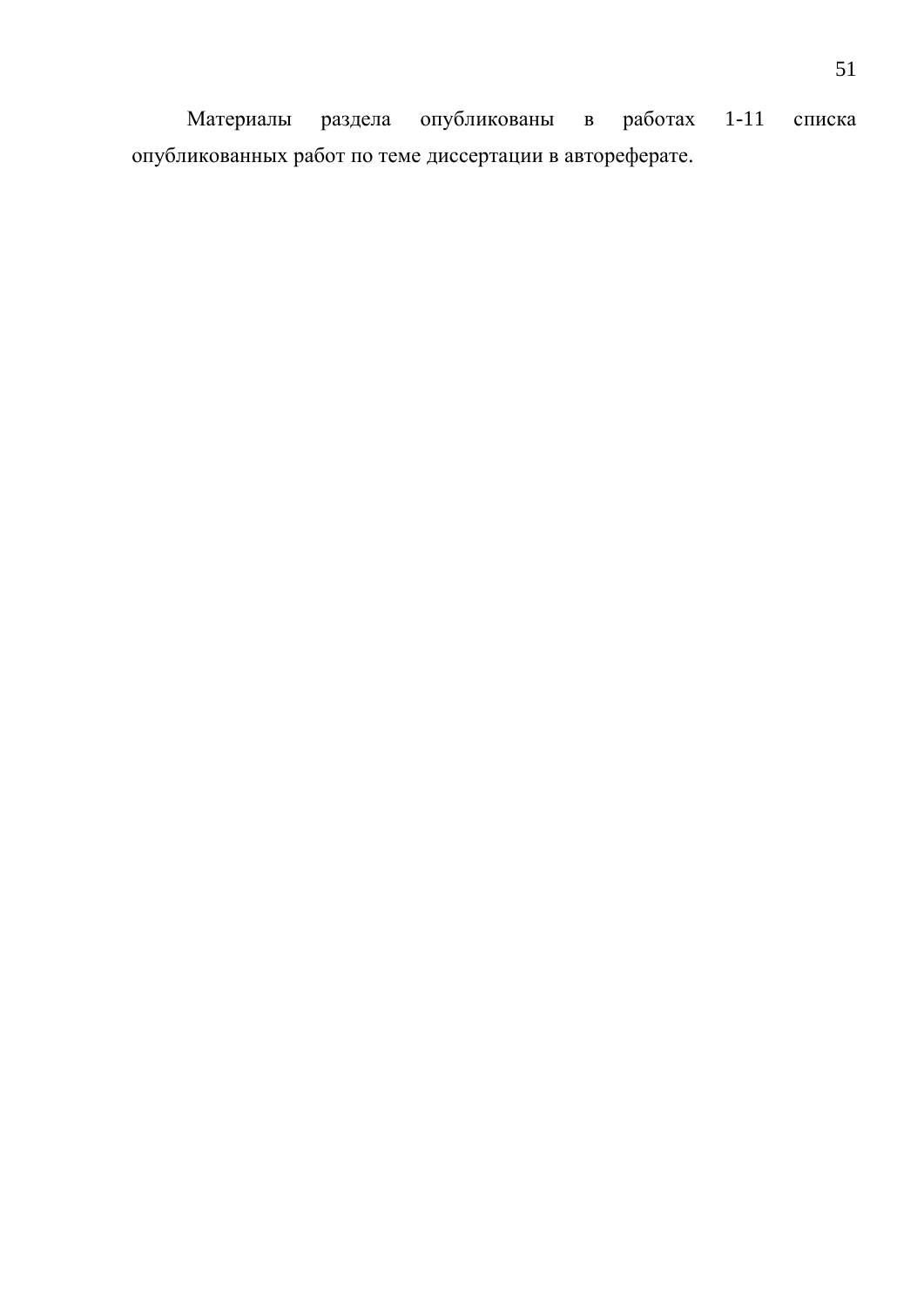Материалы раздела опубликованы в работах 1-11 списка опубликованных работ по теме диссертации в автореферате.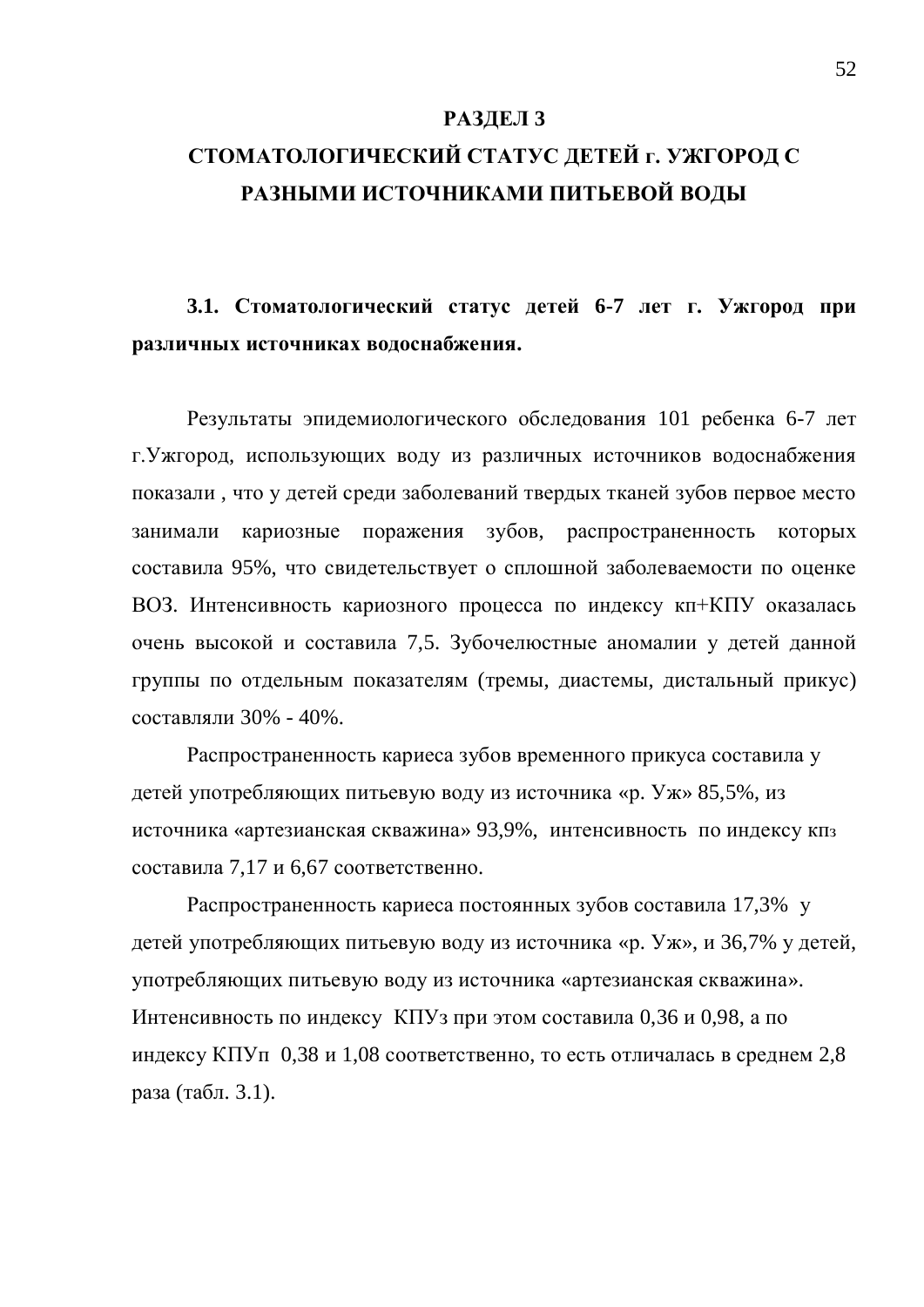#### РАЗДЕЛ 3

# СТОМАТОЛОГИЧЕСКИЙ СТАТУС ДЕТЕЙ Г. УЖГОРОД С РАЗНЫМИ ИСТОЧНИКАМИ ПИТЬЕВОЙ ВОДЫ

3.1. Стоматологический статус детей 6-7 лет г. Ужгород при **изличных источниках водоснабжения.** 

Результаты эпидемиологического обследования 101 ребенка 6-7 лет г. Ужгород, использующих воду из различных источников водоснабжения показали, что у детей среди заболеваний твердых тканей зубов первое место занимали кариозные поражения зубов, распространенность которых составила 95%, что свидетельствует о сплошной заболеваемости по оценке ВОЗ. Интенсивность кариозного процесса по индексу кп+КПУ оказалась очень высокой и составила 7,5. Зубочелю стные аномалии у детей данной группы по отдельным показателям (тремы, диастемы, дистальный прикус) составляли 30% - 40%.

Распространенность кариеса зубов временного прикуса составила у детей употребляющих питьевую воду из источника «р. Уж» 85,5%, из источника «артезианская скважина» 93,9%, интенсивность по индексу кпз составила 7,17 и 6,67 соответственно.

Распространенность кариеса постоянных зубов составила 17,3% у детей употребляющих питьевую воду из источника «р. Уж», и 36,7% у детей, употребляющих питьевую воду из источника «артезианская скважина». Интенсивность по индексу КПУз при этом составила 0,36 и 0,98, а по индексу КПУп 0,38 и 1,08 соответственно, то есть отличалась в среднем 2,8 раза (табл. 3.1).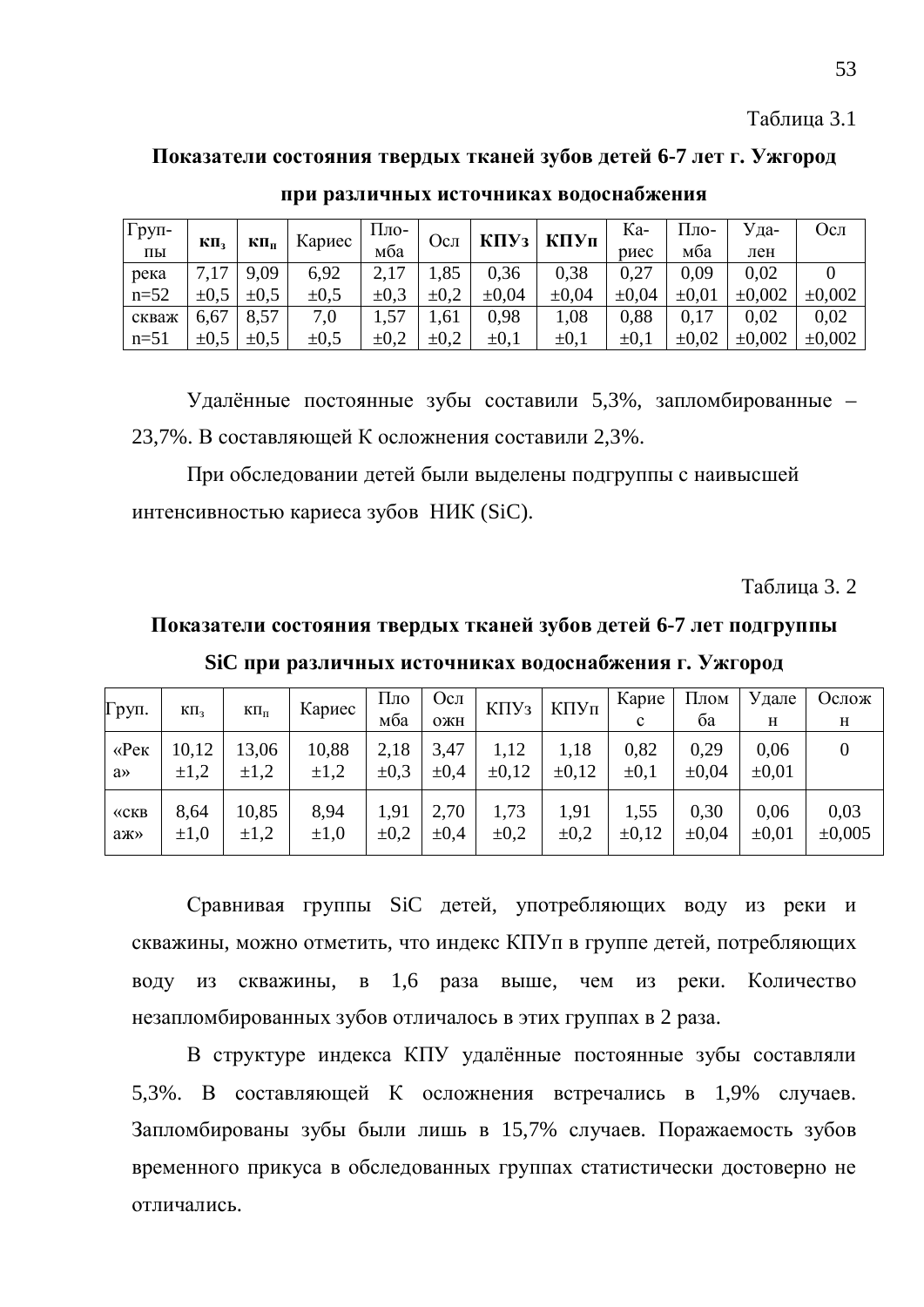Таблица 3.1

#### Показатели состояния твердых тканей зубов детей 6-7 лет г. Ужгород

| Груп-  |           |           | Кариес    | Пло-      | Осл       | K <sub>II</sub> Y <sub>3</sub> | КПУп      | Ka-        | -оц11      | Уда-        | Осл         |
|--------|-----------|-----------|-----------|-----------|-----------|--------------------------------|-----------|------------|------------|-------------|-------------|
| ПЫ     | КП,       | КПп       |           | мба       |           |                                |           | риес       | мба        | лен         |             |
| река   |           | 9,09      | 6,92      |           | 1,85      | 0.36                           | 0,38      | 0,27       | 0.09       | 0.02        |             |
| $n=52$ | $\pm 0.5$ | $\pm 0.5$ | $\pm 0.5$ | $\pm 0.3$ | $\pm 0.2$ | $\pm 0.04$                     | ±0.04     | $\pm 0.04$ | $\pm 0.01$ | $\pm 0.002$ | $\pm 0.002$ |
| скваж  | 6,67      | 8.57      | 7,0       |           | 1.61      | 0.98                           | 1,08      | 0.88       | 0,17       | 0.02        | 0.02        |
| $n=51$ | $\pm 0.5$ | $\pm 0.5$ | $\pm 0.5$ | $\pm 0.2$ | $\pm 0.2$ | $\pm 0.1$                      | $\pm 0.1$ | $\pm 0.1$  | $\pm 0.02$ | $\pm 0.002$ | $\pm 0.002$ |

при различных источниках водоснабжения

Удалённые постоянные зубы составили 5,3%, запломбированные -23,7%. В составляющей К осложнения составили 2,3%.

При обследовании детей были выделены подгруппы с наивысшей интенсивностью кариеса зубов НИК (SiC).

**Таблина 3. 2.** 

# Показатели состояния твердых тканей зубов детей 6-7 лет подгруппы SiC при различных источниках водоснабжения г. Ужгород

| Груп.                 | $K\Pi_3$          | $K\Pi_{\Pi}$       | Кариес            | Пло<br>мба        | Oc <sub>II</sub><br>ОЖН | $K\Pi Y_3$        | КПУп              | Карие<br>c         | Плом<br>ба    | Удале<br>H         | Ослож<br>Н          |
|-----------------------|-------------------|--------------------|-------------------|-------------------|-------------------------|-------------------|-------------------|--------------------|---------------|--------------------|---------------------|
| $\langle$ e $\rangle$ | 10,12             | 13,06              | 10,88             | 2,18              | 3,47                    | 1,12              | 1,18              | 0,82               | 0,29          | 0,06               |                     |
| $a \rightarrow$       | $\pm 1,2$         | $\pm 1.2$          | $\pm 1,2$         | $\pm 0.3$         | $\pm 0.4$               | $\pm 0.12$        | $\pm 0.12$        | $\pm 0.1$          | ±0,04         | $\pm 0.01$         |                     |
| $\langle$ CKB<br>аж»  | 8.64<br>$\pm 1,0$ | 10,85<br>$\pm 1,2$ | 8.94<br>$\pm 1.0$ | 1,91<br>$\pm 0.2$ | 2,70<br>$\pm 0.4$       | 1,73<br>$\pm 0.2$ | 1,91<br>$\pm 0.2$ | 1,55<br>$\pm 0.12$ | 0.30<br>±0,04 | 0.06<br>$\pm 0.01$ | 0,03<br>$\pm 0.005$ |

Сравнивая группы SiC детей, употребляющих воду из реки и скважины, можно отметить, что индекс КПУп в группе детей, потребляющих воду из скважины, в 1,6 раза выше, чем из реки. Количество незапломбированных зубов отличалось в этих группах в 2 раза.

В структуре индекса КПУ удалённые постоянные зубы составляли 5,3%. В составляющей К осложнения встречались в 1,9% случаев. Запломбированы зубы были лишь в 15,7% случаев. Поражаемость зубов временного прикуса в обследованных группах статистически достоверно не отличались.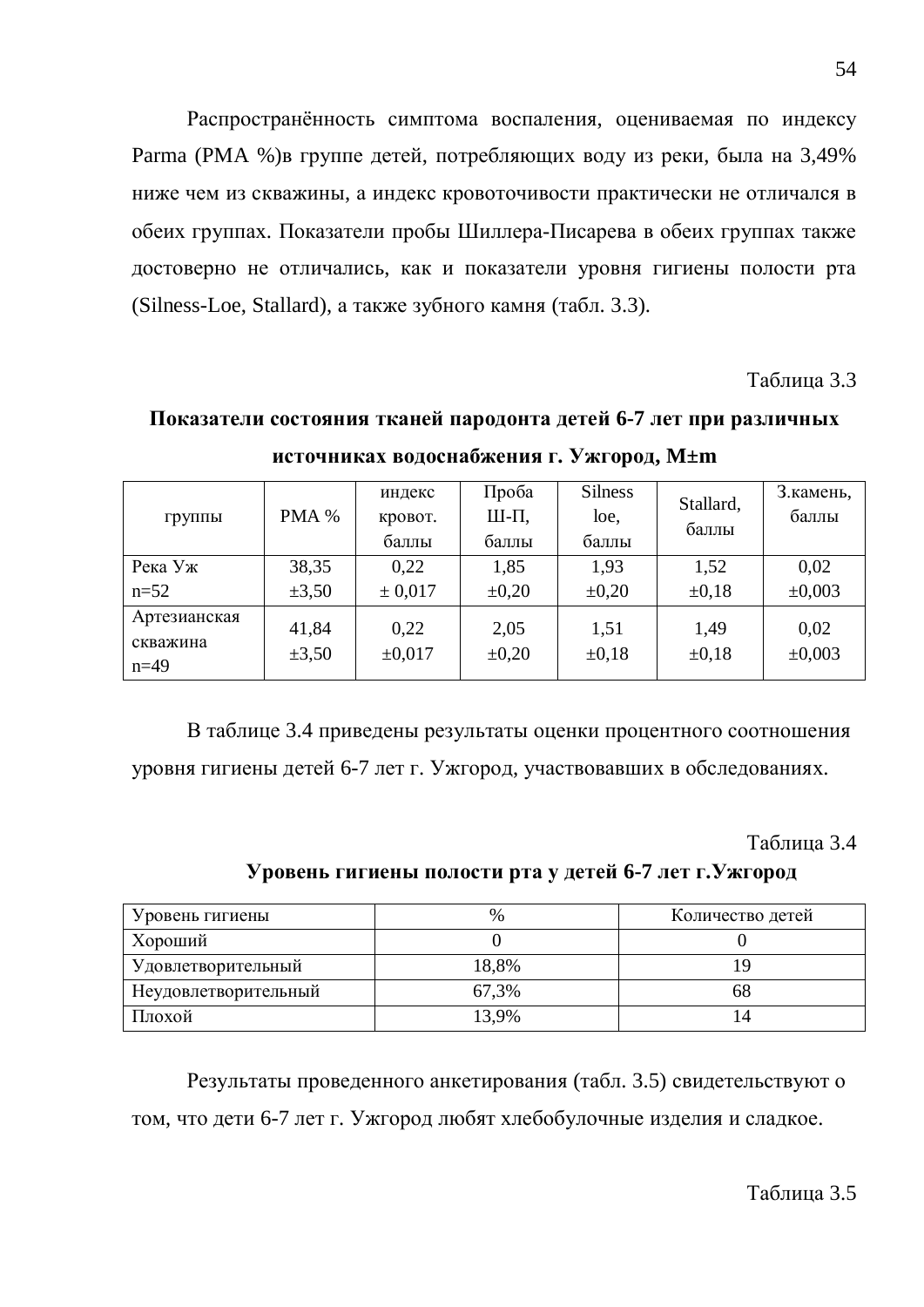Распространённость симптома воспаления, оцениваемая по индексу Parma (РМА %)в группе детей, потребляющих воду из реки, была на 3,49% ниже чем из скважины, а индекс кровоточивости практически не отличался в обеих группах. Показатели пробы Шиллера-Писарева в обеих группах также достоверно не отличались, как и показатели уровня гигиены полости рта (Silness-Loe, Stallard), а также зубного камня (табл. 3.3).

Таблица 3.3

Показатели состояния тканей пародонта детей 6-7 лет при различных **ИСТОЧНИКАХ ВОДОСНА БЖЕНИЯ Г. УЖГОРОД, М±m** 

| <b>Группы</b>                      | PMA %               | индекс<br>кровот.   | Проба<br>Ш-П,      | <b>Silness</b><br>loe, | Stallard,          | 3. камень,<br>баллы |
|------------------------------------|---------------------|---------------------|--------------------|------------------------|--------------------|---------------------|
|                                    |                     | баллы               | баллы              | баллы                  | баллы              |                     |
| Река Уж                            | 38,35               | 0.22                | 1,85               | 1.93                   | 1,52               | 0,02                |
| $n=52$                             | $\pm 3,50$          | ± 0,017             | $\pm 0.20$         | $\pm 0,20$             | $\pm 0.18$         | $\pm 0,003$         |
| Артезианская<br>скважина<br>$n=49$ | 41,84<br>$\pm 3,50$ | 0.22<br>$\pm 0.017$ | 2,05<br>$\pm 0.20$ | 1,51<br>$\pm 0.18$     | 1,49<br>$\pm 0.18$ | 0,02<br>$\pm 0,003$ |

В таблице 3.4 приведены результаты оценки процентного соотношения уровня гигиены детей 6-7 лет г. Ужгород, участвовавших в обследованиях.

Таблица 3.4

#### **Уровень гигиены полости рта у детей 6-7 лет г. Ужгород**

| Уровень гигиены      | $\%$  | Количество детей |
|----------------------|-------|------------------|
| Хороший              |       |                  |
| Удовлетворительный   | 18,8% |                  |
| Неудовлетворительный | 67,3% | 68               |
| Плохой               | 13.9% | 14               |

Результаты проведенного анкетирования (табл. 3.5) свидетельствуют о том, что дети 6-7 лет г. Ужгород любят хлебобулочные изделия и сладкое.

54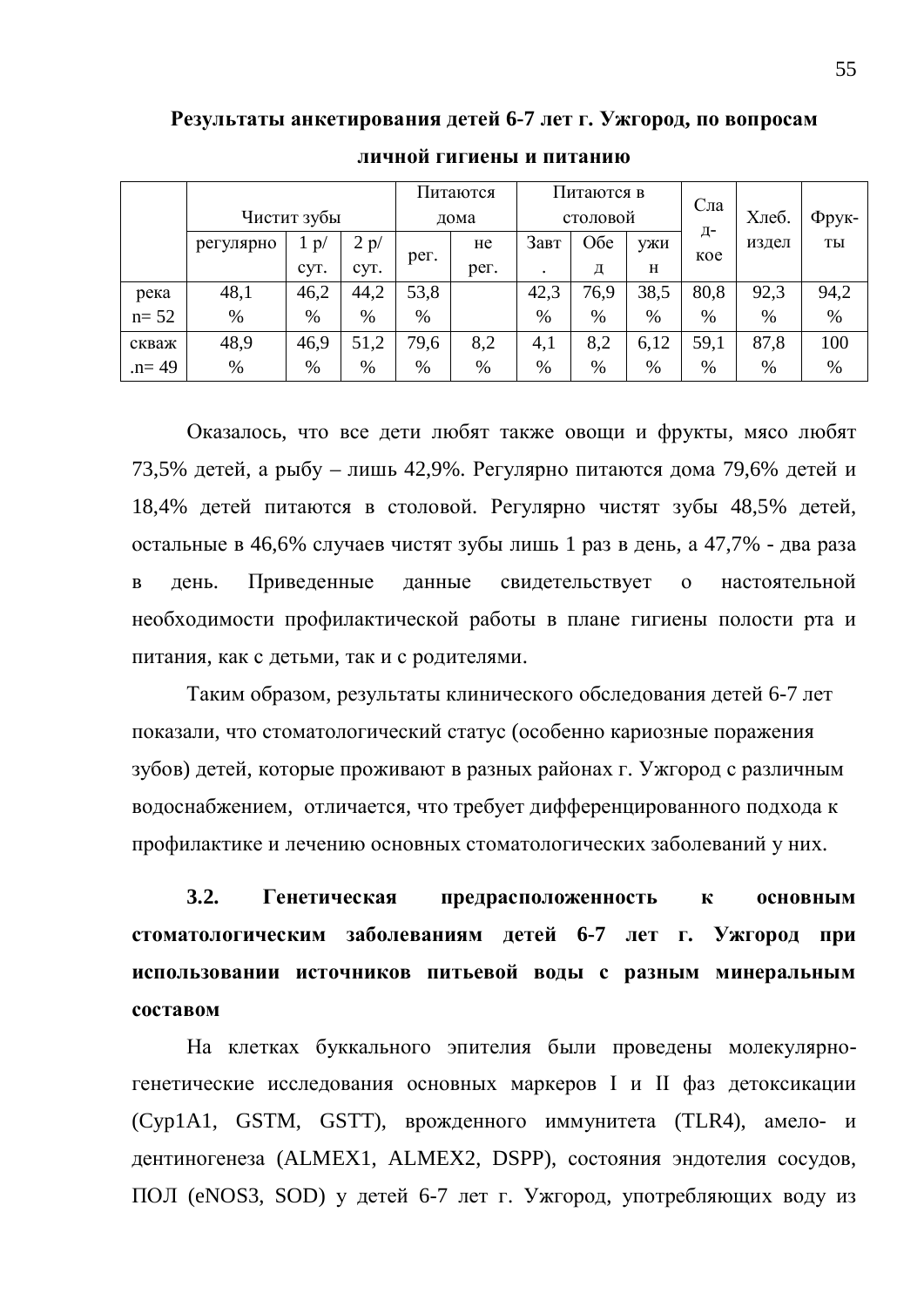|           |           |             |      | Питаются |      | Питаются в |      |      |           |       |       |
|-----------|-----------|-------------|------|----------|------|------------|------|------|-----------|-------|-------|
|           |           | Чистит зубы |      |          | дома | столовой   |      |      | Сла       | Хлеб. | Фрук- |
|           | регулярно | p/          | 2 p/ |          | He   | Завт       | Обе  | УЖИ  | Д-<br>koe | издел | TЫ    |
|           |           | CVT.        | CVT. | рег.     | рег. | $\bullet$  | Д    | H    |           |       |       |
| река      | 48,1      | 46,2        | 44,2 | 53,8     |      | 42,3       | 76,9 | 38,5 | 80,8      | 92,3  | 94,2  |
| $n = 52$  | %         | %           | %    | $\%$     |      | $\%$       | $\%$ | $\%$ | $\%$      | $\%$  | %     |
| скваж     | 48,9      | 46,9        | 51,2 | 79,6     | 8,2  | 4,1        | 8,2  | 6,12 | 59,1      | 87,8  | 100   |
| $.n = 49$ | %         | %           | $\%$ | %        | $\%$ | %          | %    | $\%$ | $\%$      | $\%$  | %     |

дичной гигиены и питанию

Оказалось, что все дети любят также овощи и фрукты, мясо любят 73,5% детей, а рыбу – лишь 42,9%. Регулярно питаются дома 79,6% детей и 18,4% детей питаются в столовой. Регулярно чистят зубы 48,5% детей, остальные в 46,6% случаев чистят зубы лишь 1 раз в день, а 47,7% - два раза в день. Приведенные данные свидетельствует о настоятельной необходимости профилактической работы в плане гигиены полости рта и питания, как с детьми, так и с родителями.

Таким образом, результаты клинического обследования детей 6-7 лет показали, что стоматологический статус (особенно кариозные поражения зубов) детей, которые проживают в разных районах г. Ужгород с различным водоснабжением, отличается, что требует дифференцированного подхода к профилактике и лечению основных стоматологических заболеваний у них.

3.2. Генетическая предрасположенность к основным **ктоматологическим заболеваниям детей 6-7 лет г. Ужгород при** использовании источников питьевой воды с разным минеральным **COCTABOM** 

На клетках буккального эпителия были проведены молекулярногенетические исследования основных маркеров I и II фаз детоксикации  $(Cyp1A1, GSTM, GSTT), BDожденного иммунитета (TLR4), американо- и$ дентиногенеза (ALMEX1, ALMEX2, DSPP), состояния эндотелия сосудов, ПОЛ (eNOS3, SOD) у детей 6-7 лет г. Ужгород, употребляющих воду из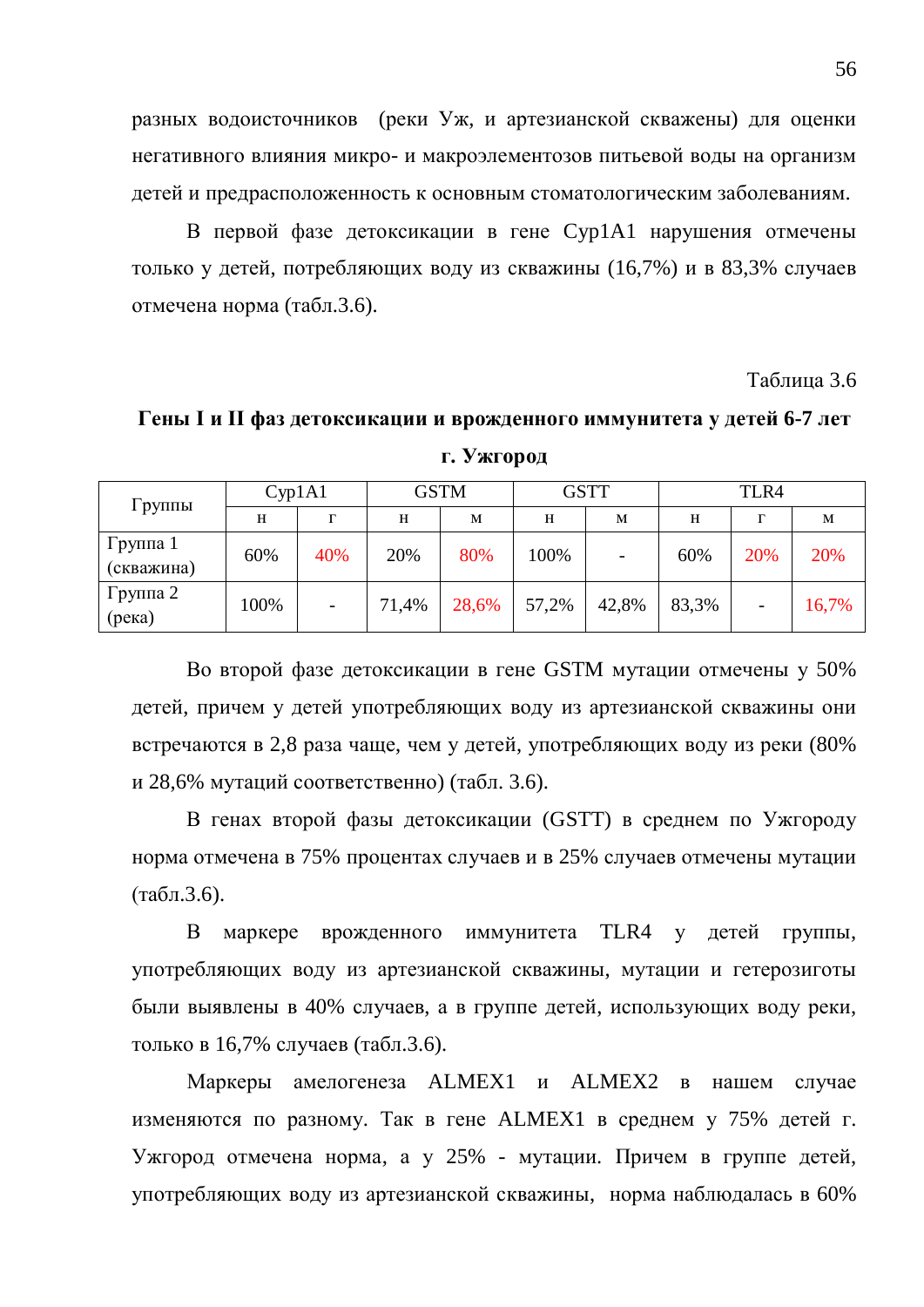разных водоисточников (реки Уж, и артезианской скважены) для оценки негативного влияния микро- и макроэлементозов питьевой воды на организм детей и предрасположенность к основным стоматологическим заболеваниям.

В первой фазе детоксикации в гене Сур1А1 нарушения отмечены только у детей, потребляющих воду из скважины (16,7%) и в 83,3% случаев отмечена норма (табл.3.6).

Таблица 3.6

Гены I и II фаз детоксикации и врожденного иммунитета у детей 6-7 лет

| Группы                 | Cyp1A1 |     | <b>GSTM</b> |       | <b>GSTT</b> |       | TLR4  |     |       |
|------------------------|--------|-----|-------------|-------|-------------|-------|-------|-----|-------|
|                        | H      | г   | H           | M     | H           | M     | H     | г   | M     |
| Группа 1<br>(скважина) | 60%    | 40% | 20%         | 80%   | 100%        | -     | 60%   | 20% | 20%   |
| Группа 2<br>(peka)     | 100%   | -   | 71,4%       | 28,6% | 57,2%       | 42,8% | 83,3% | -   | 16,7% |

**Г. Ужгород** 

Во второй фазе детоксикации в гене GSTM мутации отмечены у 50% детей, причем у детей употребляющих воду из артезианской скважины они встречаются в 2,8 раза чаще, чем у детей, употребляющих воду из реки (80% и 28,6% мутаций соответственно) (табл. 3.6).

В генах второй фазы детоксикации (GSTT) в среднем по Ужгороду норма отмечена в 75% процентах случаев и в 25% случаев отмечены мутации  $(Ta\overline{0}n.3.6).$ 

В маркере врожденного иммунитета TLR4 у детей группы, употребляющих воду из артезианской скважины, мутации и гетерозиготы были выявлены в 40% случаев, а в группе детей, использующих воду реки, только в 16,7% случаев (табл.3.6).

Маркеры амелогенеза ALMEX1 и ALMEX2 в нашем случае изменяются по разному. Так в гене ALMEX1 в среднем у 75% детей г. Ужгород отмечена норма, а у 25% - мутации. Причем в группе детей, употребляющих воду из артезианской скважины, норма наблюдалась в 60%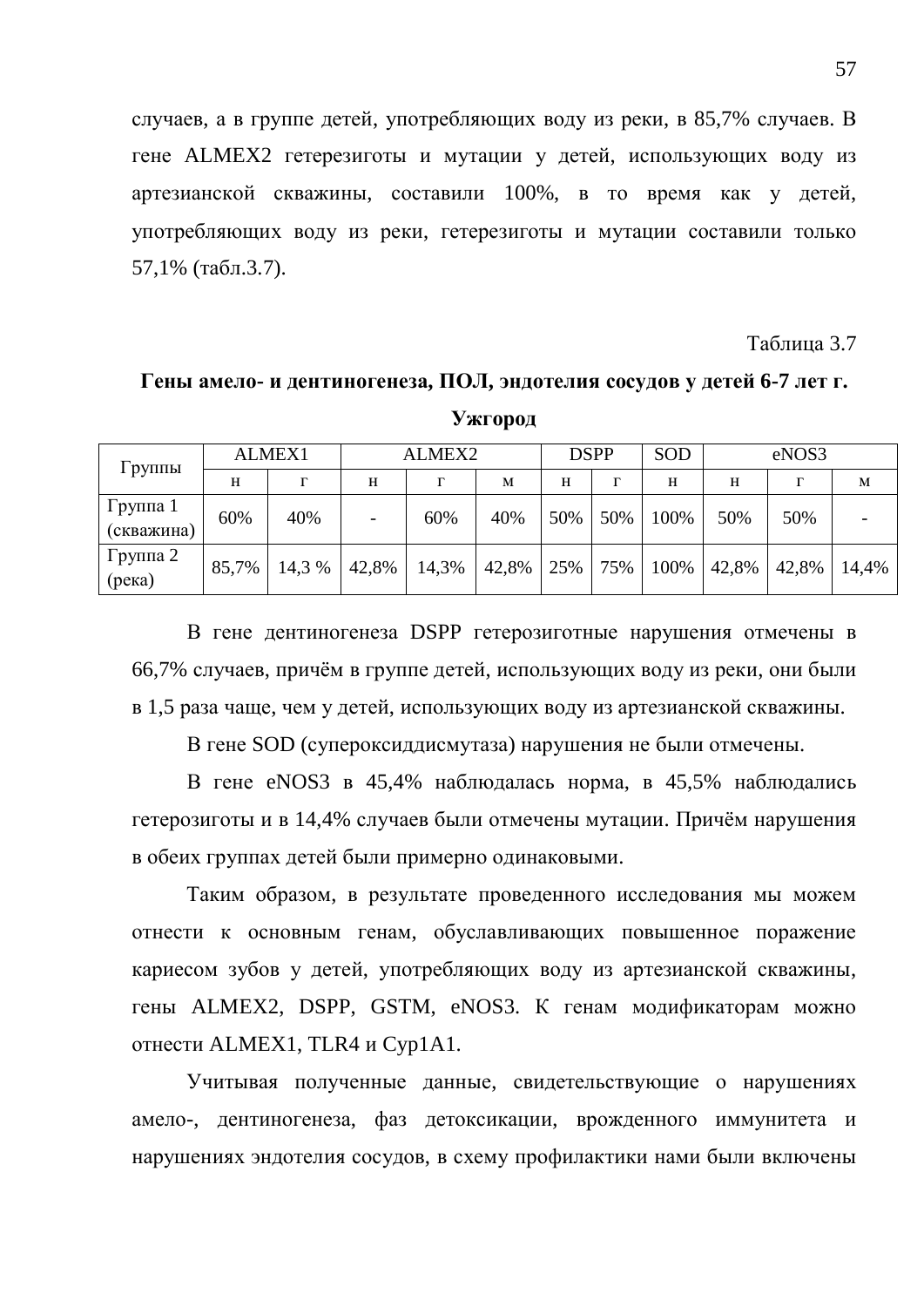случаев, а в группе детей, употребляющих воду из реки, в 85,7% случаев. В гене ALMEX2 гетерезиготы и мутации у детей, использующих воду из артезианской скважины, составили 100%, в то время как у детей, употребляющих воду из реки, гетерезиготы и мутации составили только  $57.1\%$  (табл.3.7).

Таблица 3.7

# Гены амело- и дентиногенеза, ПОЛ, эндотелия сосудов у детей 6-7 лет г.

| Ужгород |  |  |
|---------|--|--|
|---------|--|--|

| Группы                 | <b>ALMEX1</b> |        | ALMEX2 |       | <b>DSPP</b> |     | SOD | eNOS3 |       |       |       |
|------------------------|---------------|--------|--------|-------|-------------|-----|-----|-------|-------|-------|-------|
|                        | H             | г      | H      | Г     | M           | H   | г   | H     | H     |       | M     |
| Группа 1<br>(скважина) | 60%           | 40%    |        | 60%   | 40%         | 50% | 50% | 100%  | 50%   | 50%   |       |
| Группа 2<br>(peka)     | 85,7%         | 14,3 % | 42,8%  | 14,3% | 42,8%       | 25% | 75% | 100%  | 42,8% | 42,8% | 14,4% |

В гене дентиногенеза DSPP гетерозиготные нарушения отмечены в 66,7% случаев, причём в группе детей, использующих воду из реки, они были в 1,5 раза чаще, чем у детей, использующих воду из артезианской скважины.

В гене SOD (супероксиддисмутаза) нарушения не были отмечены.

В гене eNOS3 в 45,4% наблюдалась норма, в 45,5% наблюдались гетерозиготы и в 14,4% случаев были отмечены мутации. Причём нарушения в обеих группах детей были примерно одинаковыми.

Таким образом, в результате проведенного исследования мы можем отнести к основным генам, обуславливающих повышенное поражение кариесом зубов у детей, употребляющих воду из артезианской скважины, гены ALMEX2, DSPP, GSTM, eNOS3. К генам модификаторам можно отнести ALMEX1, TLR4 и Cyp1A1.

Учитывая полученные данные, свидетельствующие о нарушениях амело-, дентиногенеза, фаз детоксикации, врожденного иммунитета и нарушениях эндотелия сосудов, в схему профилактики нами были включены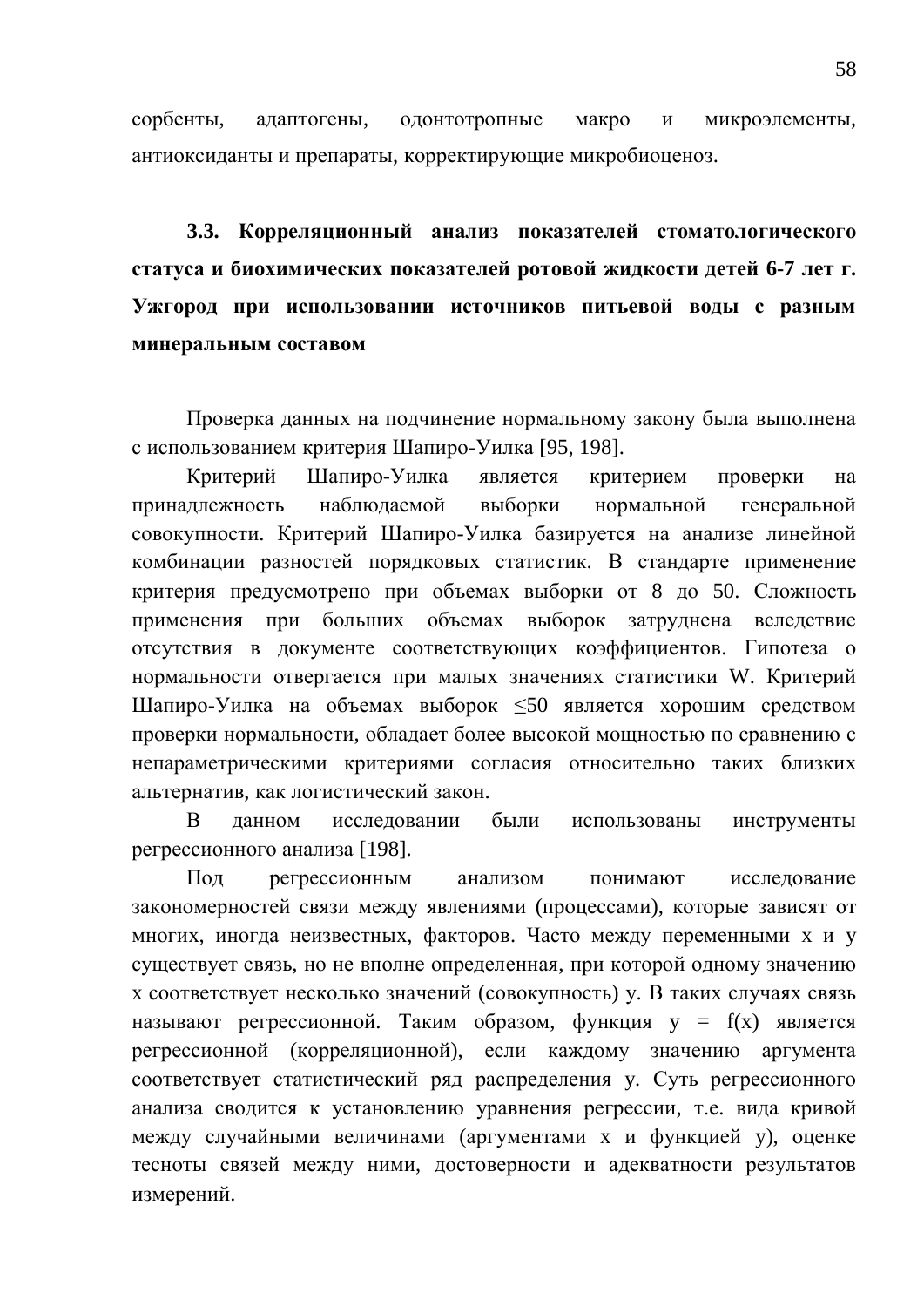сорбенты, адаптогены, одонтотропные макро и микроэлементы, антиоксиданты и препараты, корректирующие микробиоценоз.

3.3. Корреляционный анализ показателей стоматологического **ктатуса и биохимических показателей ротовой жидкости детей 6-7 лет г.** Ужгород при использовании источников питьевой воды с разным **МИНЕРАЛЬНЫМ СОСТАВОМ** 

Проверка данных на подчинение нормальному закону была выполнена с использованием критерия Шапиро-Уилка [95, 198].

Критерий Шапиро-Уилка является критерием проверки на принадлежность наблюдаемой выборки нормальной генеральной совокупности. Критерий Шапиро-Уилка базируется на анализе линейной комбинации разностей порядковых статистик. В стандарте применение критерия предусмотрено при объемах выборки от 8 до 50. Сложность применения при больших объемах выборок затруднена вследствие отсутствия в документе соответствующих коэффициентов. Гипотеза о нормальности отвергается при малых значениях статистики W. Критерий Шапиро-Уилка на объемах выборок ≤50 является хорошим средством проверки нормальности, обладает более высокой мощностью по сравнению с непараметрическими критериями согласия относительно таких близких альтернатив, как логистический закон.

В данном исследовании были использованы инструменты регрессионного анализа [198].

Под регрессионным анализом понимают исследование закономерностей связи между явлениями (процессами), которые зависят от многих, иногда неизвестных, факторов. Часто между переменными х и у существует связь, но не вполне определенная, при которой одному значению х соответствует несколько значений (совокупность) у. В таких случаях связь называют регрессионной. Таким образом, функция  $y = f(x)$  является регрессионной (корреляционной), если каждому значению аргумента соответствует статистический ряд распределения у. Суть регрессионного анализа сводится к установлению уравнения регрессии, т.е. вида кривой между случайными величинами (аргументами х и функцией у), оценке тесноты связей между ними, достоверности и адекватности результатов измерений.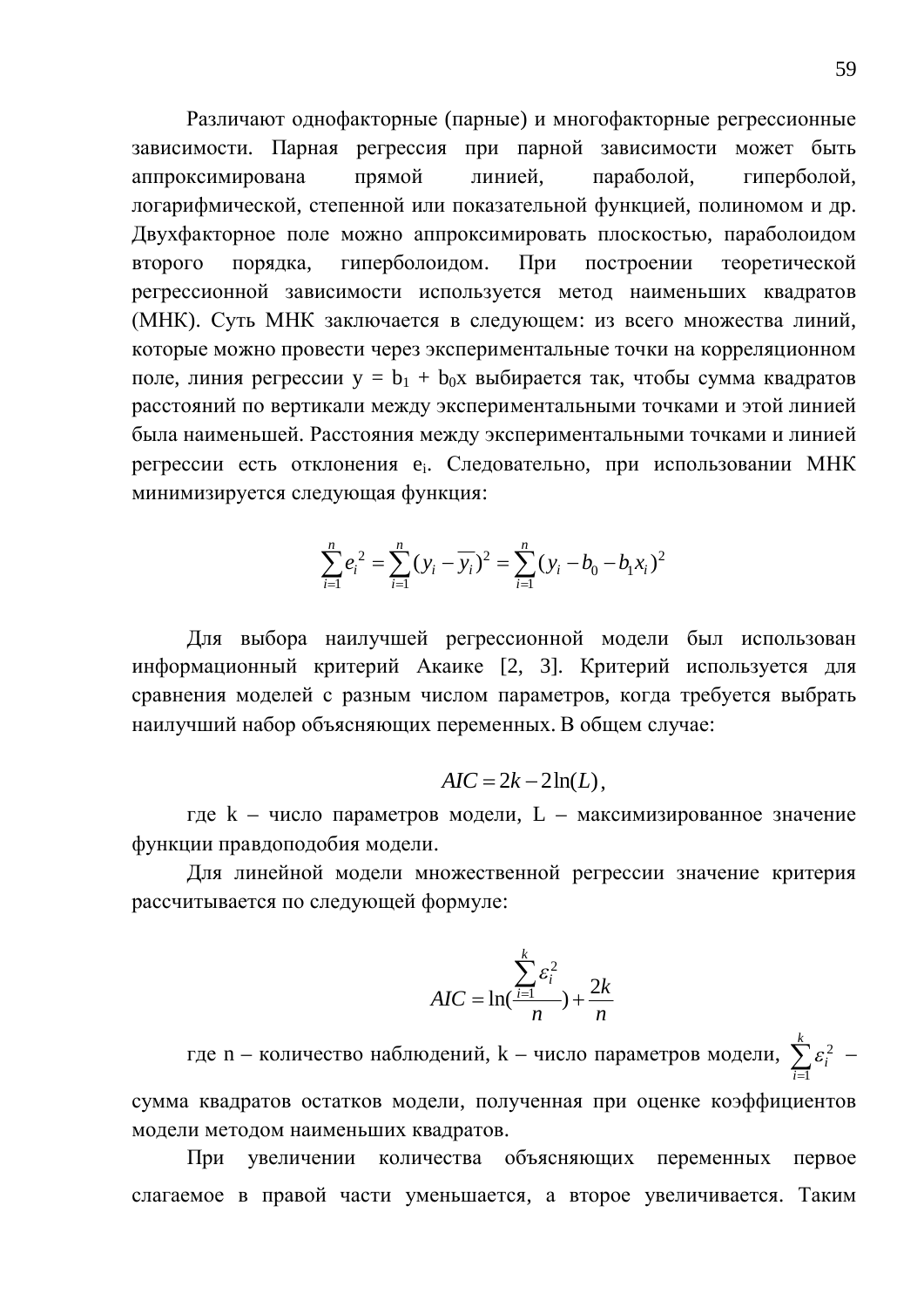Различают однофакторные (парные) и многофакторные регрессионные зависимости. Парная регрессия при парной зависимости может быть аппроксимирована прямой линией, параболой, гиперболой, логарифмической, степенной или показательной функцией, полиномом и др. Двухфакторное поле можно аппроксимировать плоскостью, параболоидом второго порядка, гиперболоидом. При построении теоретической регрессионной зависимости используется метод наименьших квадратов (МНК). Суть МНК заключается в следующем: из всего множества линий, которые можно провести через экспериментальные точки на корреляционном поле, линия регрессии  $y = b_1 + b_0x$  выбирается так, чтобы сумма квадратов расстояний по вертикали между экспериментальными точками и этой линией была наименьшей. Расстояния между экспериментальными точками и линией регрессии есть отклонения е<sub>і</sub>. Следовательно, при использовании МНК минимизируется следующая функция:

$$
\sum_{i=1}^{n} e_i^2 = \sum_{i=1}^{n} (y_i - \overline{y_i})^2 = \sum_{i=1}^{n} (y_i - b_0 - b_1 x_i)^2
$$

Для выбора наилучшей регрессионной модели был использован информационный критерий Акаике [2, 3]. Критерий используется для сравнения моделей с разным числом параметров, когда требуется выбрать наилучший набор объясняющих переменных. В общем случае:

$$
AIC = 2k - 2\ln(L),
$$

где  $k$  – число параметров модели,  $L$  – максимизированное значение функции правдоподобия модели.

Для линейной модели множественной регрессии значение критерия рассчитывается по следующей формуле:

$$
AIC = \ln(\frac{\sum_{i=1}^{k} \varepsilon_i^2}{n}) + \frac{2k}{n}
$$

где n – количество наблюдений, k – число параметров модели,  $\sum_{i=1}^{k} \varepsilon_i^2$ 1  $\sum_i \varepsilon_i^2$  – *i*  $\equiv$ сумма квадратов остатков модели, полученная при оценке коэффициентов модели методом наименьших квадратов.

При увеличении количества объясняющих переменных первое слагаемое в правой части уменьшается, а второе увеличивается. Таким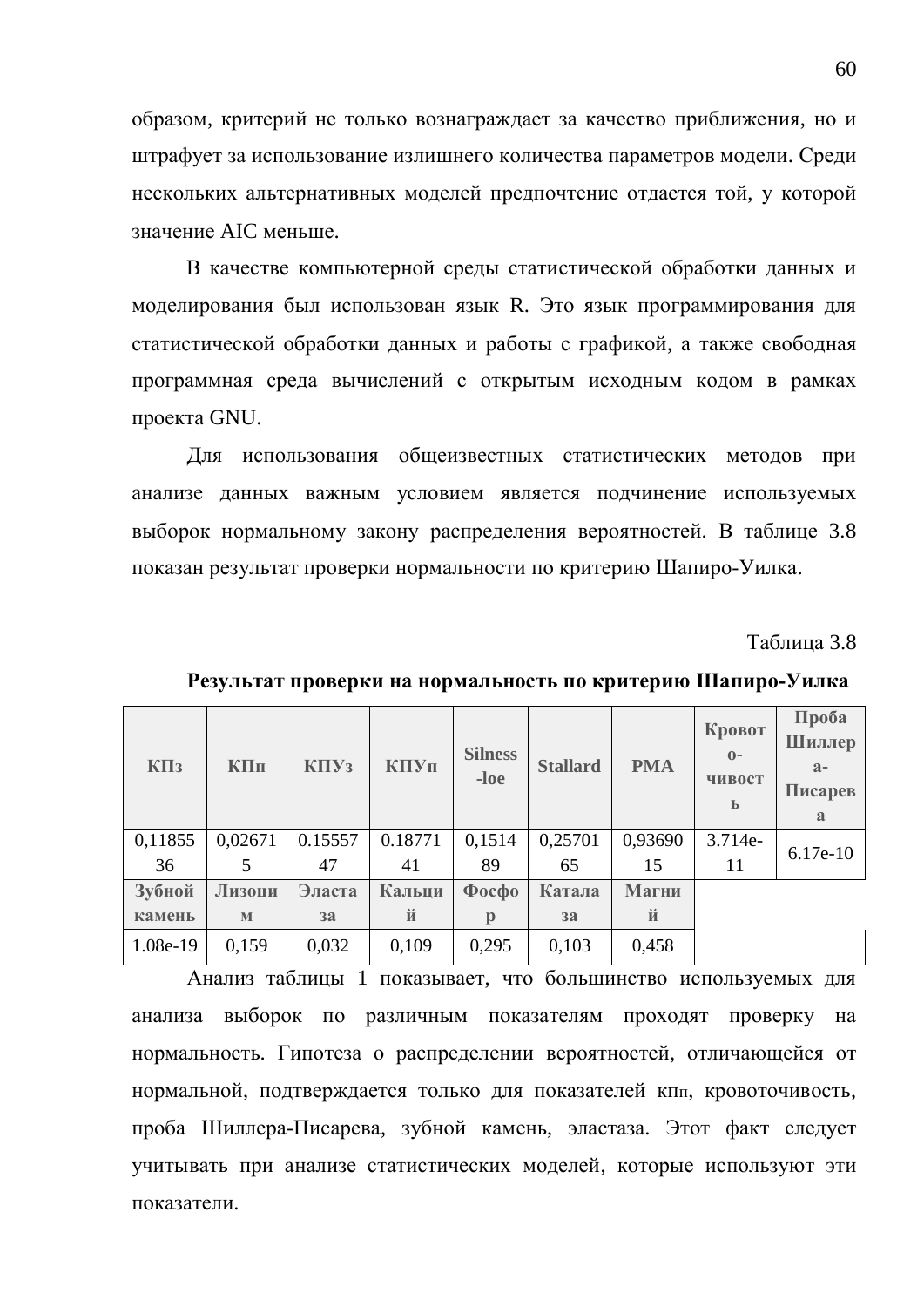образом, критерий не только вознаграждает за качество приближения, но и штрафует за использование излишнего количества параметров модели. Среди нескольких альтернативных моделей предпочтение отдается той, у которой значение AIC меньше.

В качестве компьютерной среды статистической обработки данных и моделирования был использован язык R. Это язык программирования для статистической обработки данных и работы с графикой, а также свободная программная среда вычислений с открытым исходным кодом в рамках проекта GNU.

Для использования общеизвестных статистических методов при анализе данных важным условием является подчинение используемых выборок нормальному закону распределения вероятностей. В таблице 3.8 показан результат проверки нормальности по критерию Шапиро-Уилка.

Таблина 3.8

| $K\Pi$ <sub>3</sub> | КПп     | K <sub>II</sub> Y <sub>3</sub> | КПУп    | <b>Silness</b><br>$-loc$ | <b>Stallard</b> | <b>PMA</b> | Кровот<br>$\mathbf{O}$ –<br>чивост<br>Ь | Проба<br>Шиллер<br>$a -$<br>Писарев<br>a |
|---------------------|---------|--------------------------------|---------|--------------------------|-----------------|------------|-----------------------------------------|------------------------------------------|
| 0,11855             | 0,02671 | 0.15557                        | 0.18771 | 0,1514                   | 0,25701         | 0,93690    | 3.714e-                                 | $6.17e-10$                               |
| 36                  | 5       | 47                             | 41      | 89                       | 65              | 15         | 11                                      |                                          |
| Зубной              | Лизоци  | Эласта                         | Кальци  | $\Phi$ oc $\Phi$ o       | Катала          | Магни      |                                         |                                          |
| камень              | M       | 3a                             | й       | р                        | 3a              | й          |                                         |                                          |
| 1.08e-19            | 0,159   | 0,032                          | 0,109   | 0,295                    | 0,103           | 0,458      |                                         |                                          |

Результат проверки на нормальность по критерию Шапиро-Уилка

Анализ таблицы 1 показывает, что большинство используемых для анализа выборок по различным показателям проходят проверку на нормальность. Гипотеза о распределении вероятностей, отличающейся от нормальной, подтверждается только для показателей кпп, кровоточивость, проба Шиллера-Писарева, зубной камень, эластаза. Этот факт следует учитывать при анализе статистических моделей, которые используют эти показатели.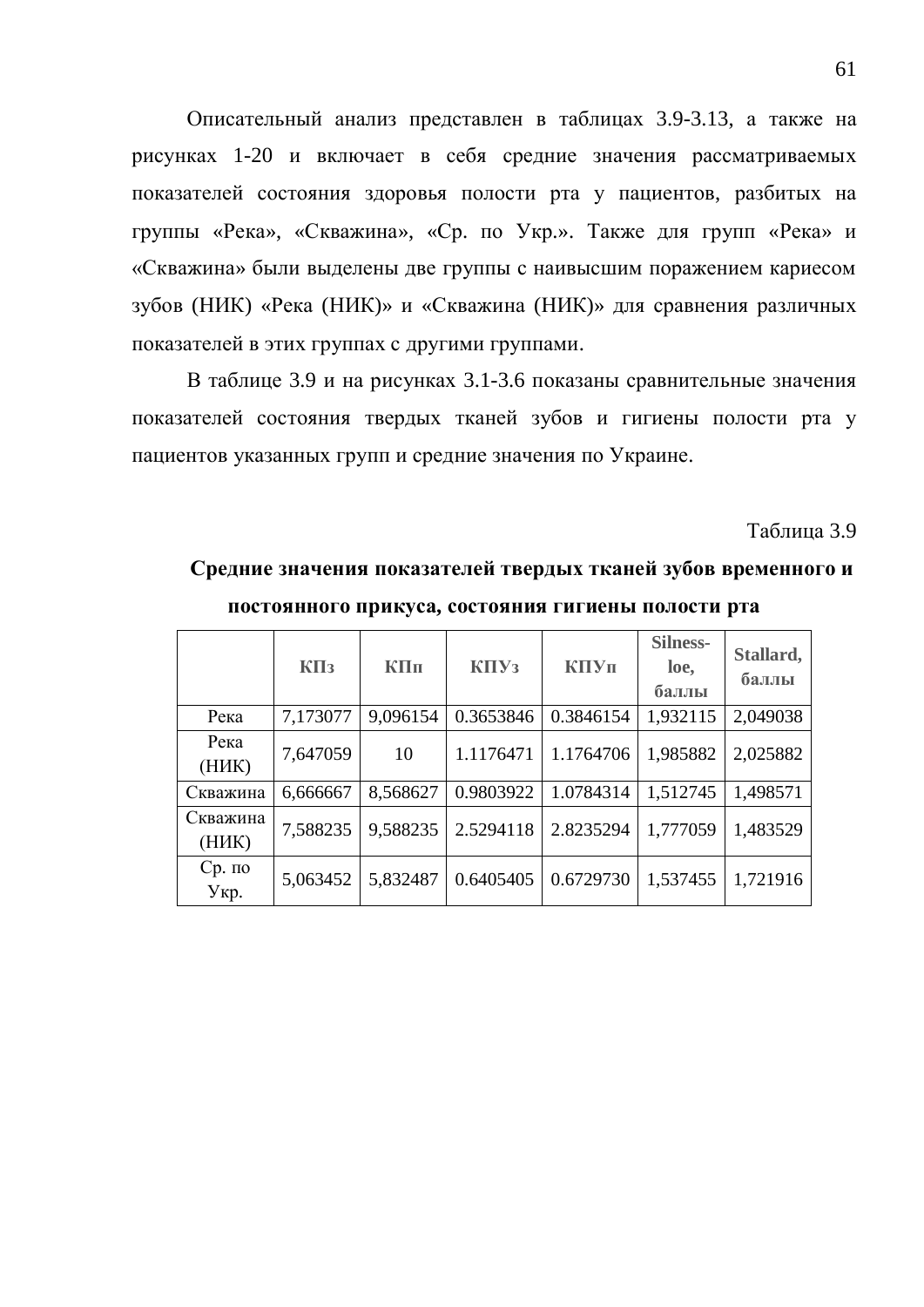Описательный анализ представлен в таблицах 3.9-3.13, а также на рисунках 1-20 и включает в себя средние значения рассматриваемых показателей состояния здоровья полости рта у пациентов, разбитых на группы «Река», «Скважина», «Ср. по Укр.». Также для групп «Река» и «Скважина» были выделены две группы с наивысшим поражением кариесом зубов (НИК) «Река (НИК)» и «Скважина (НИК)» для сравнения различных показателей в этих группах с другими группами.

В таблице 3.9 и на рисунках 3.1-3.6 показаны сравнительные значения показателей состояния твердых тканей зубов и гигиены полости рта у пациентов указанных групп и средние значения по Украине.

Таблина 3.9

### Средние значения показателей твердых тканей зубов временного и

| постоянного прикуса, состояния гигиены полости рта |  |  |  |
|----------------------------------------------------|--|--|--|
|                                                    |  |  |  |

|                   | $K\Pi$ <sub>3</sub> | КПп      | K <sub>II</sub> Y <sub>3</sub> | КПУп      | <b>Silness-</b><br>loe,<br>баллы | Stallard,<br>баллы |
|-------------------|---------------------|----------|--------------------------------|-----------|----------------------------------|--------------------|
| Река              | 7,173077            | 9,096154 | 0.3653846                      | 0.3846154 | 1,932115                         | 2,049038           |
| Река<br>(HHK)     | 7,647059            | 10       | 1.1176471                      | 1.1764706 | 1,985882                         | 2,025882           |
| Скважина          | 6,666667            | 8,568627 | 0.9803922                      | 1.0784314 | 1,512745                         | 1,498571           |
| Скважина<br>(HHK) | 7,588235            | 9,588235 | 2.5294118                      | 2.8235294 | 1,777059                         | 1,483529           |
| $Cp.$ по<br>Укр.  | 5,063452            | 5,832487 | 0.6405405                      | 0.6729730 | 1,537455                         | 1,721916           |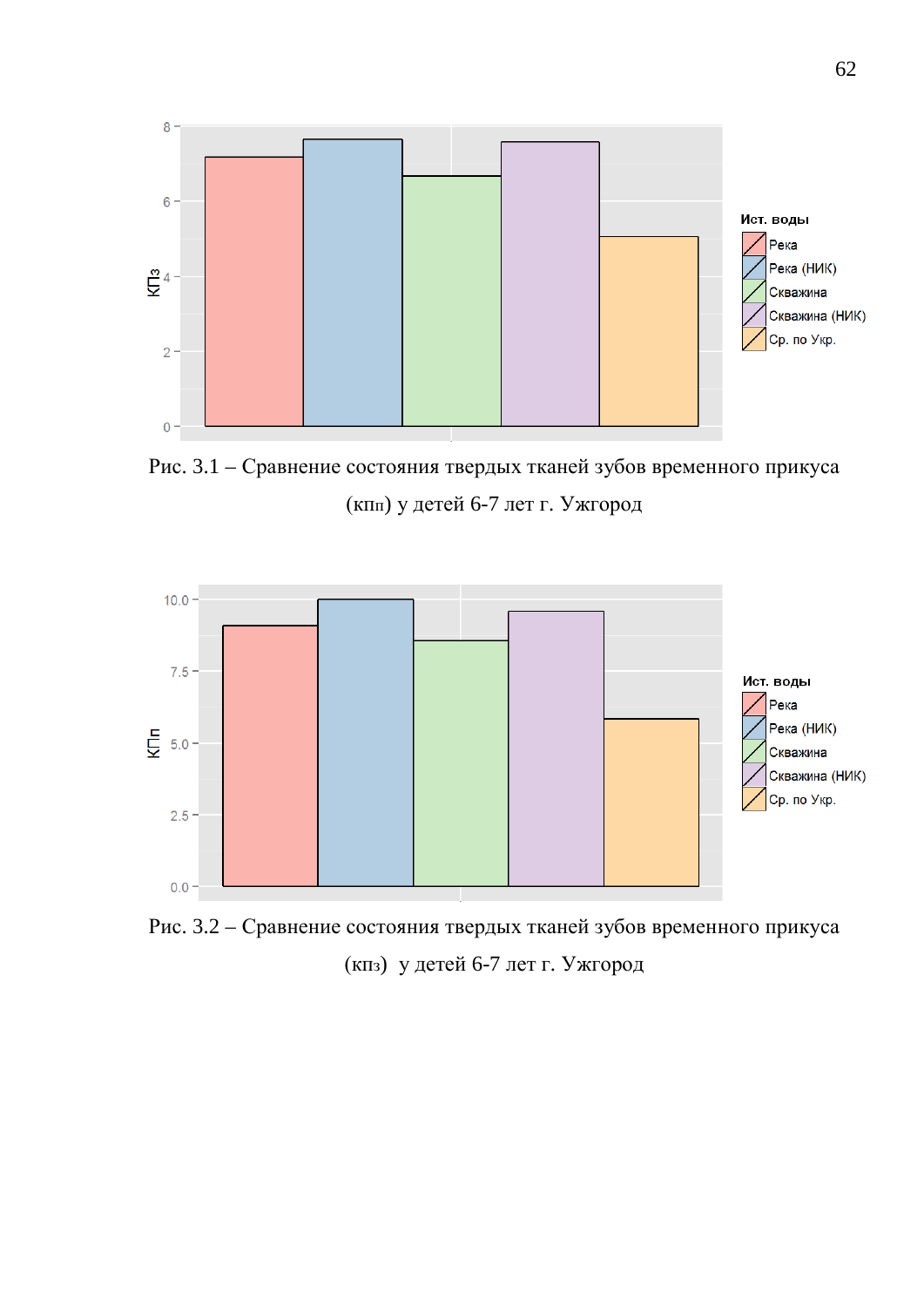

Рис. 3.1 – Сравнение состояния твердых тканей зубов временного прикуса (кпп) у детей 6-7 лет г. Ужгород



Рис. 3.2 – Сравнение состояния твердых тканей зубов временного прикуса (кпз) у детей 6-7 лет г. Ужгород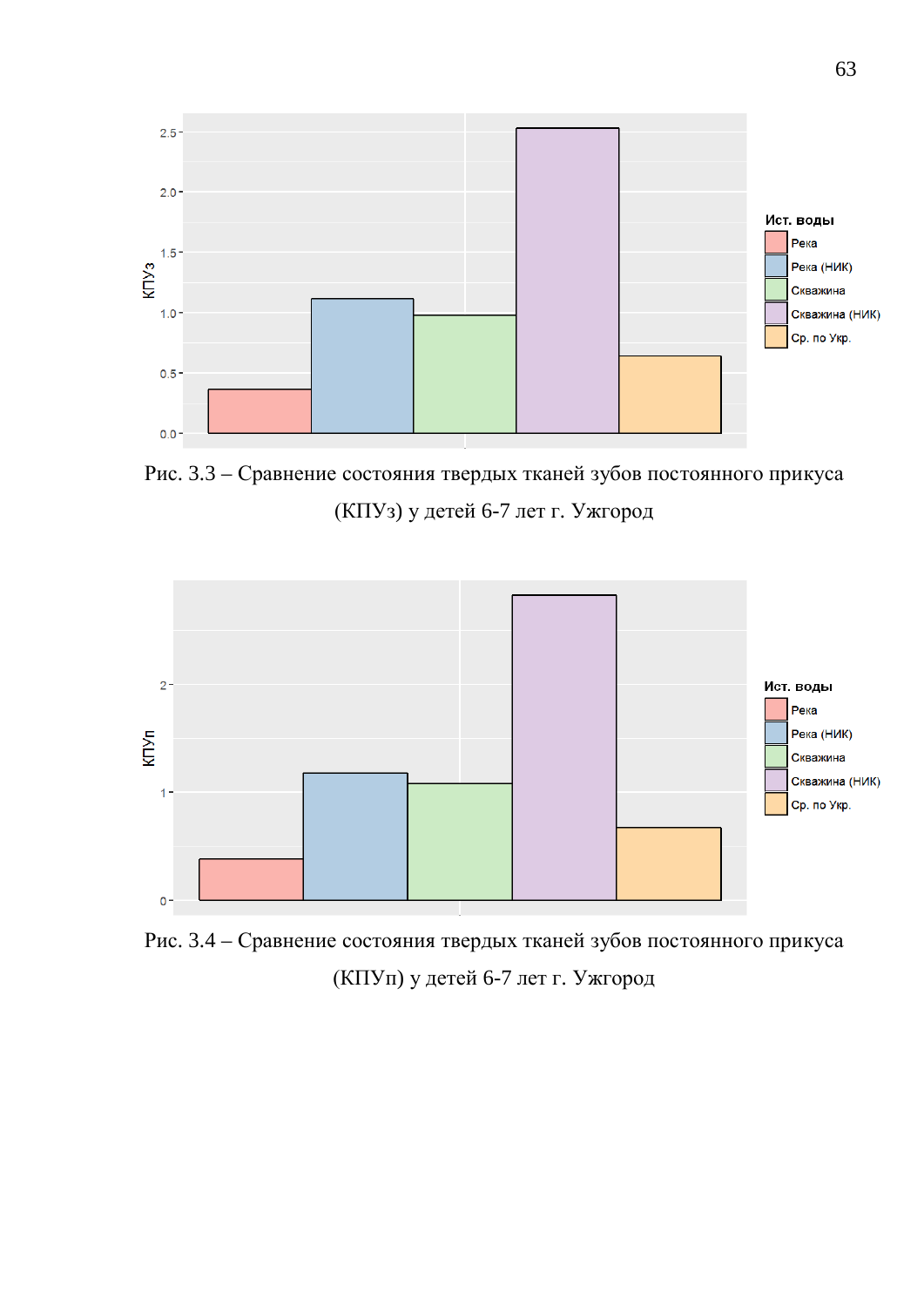

Рис. 3.3 – Сравнение состояния твердых тканей зубов постоянного прикуса (КПУз) у детей 6-7 лет г. Ужгород



Рис. 3.4 – Сравнение состояния твердых тканей зубов постоянного прикуса (КПУп) у детей 6-7 лет г. Ужгород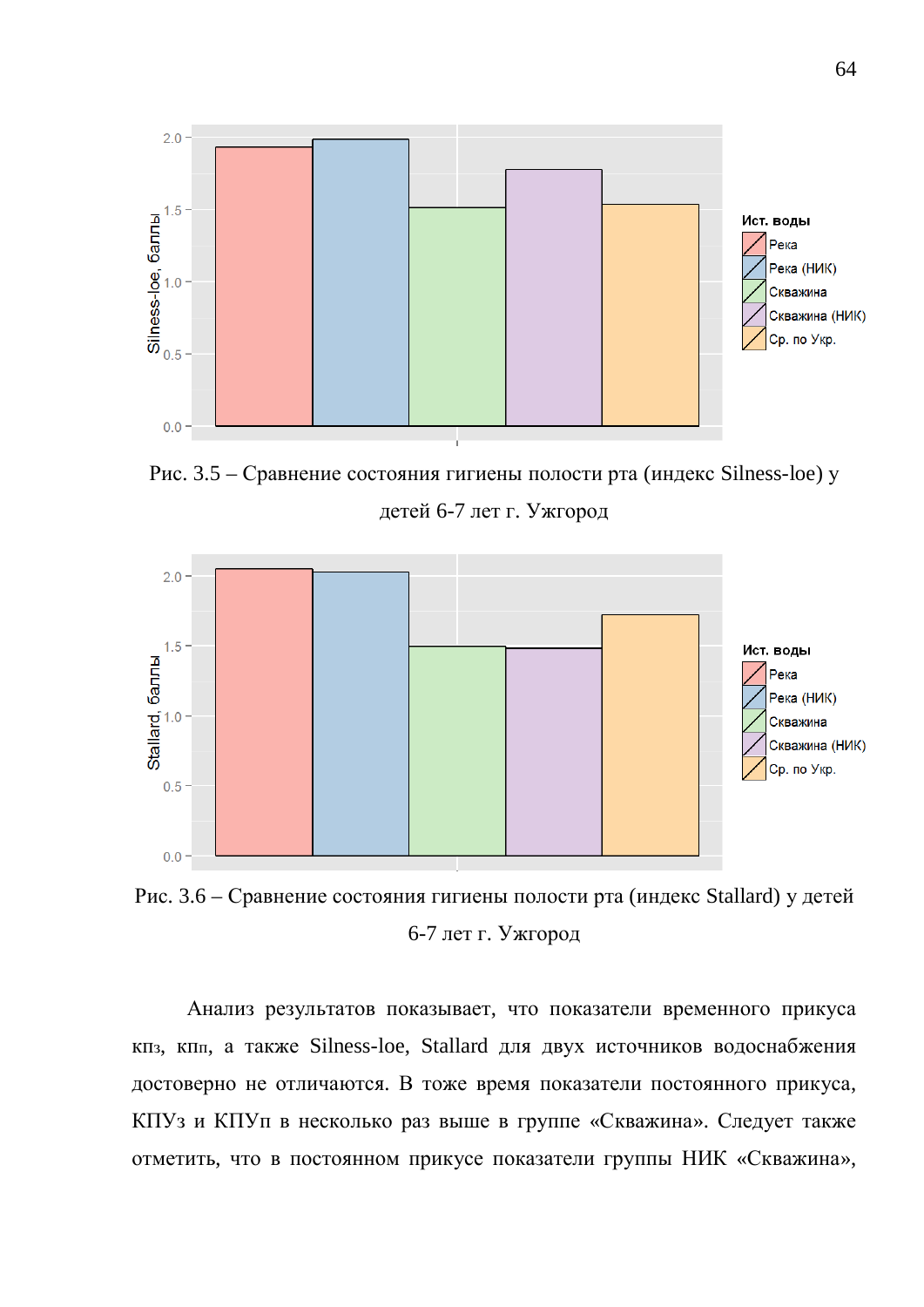

Рис. 3.5 – Сравнение состояния гигиены полости рта (индекс Silness-loe) у детей 6-7 лет г. Ужгород



Рис. 3.6 – Сравнение состояния гигиены полости рта (индекс Stallard) у детей 6-7 лет г. Ужгород

Анализ результатов показывает, что показатели временного прикуса кпз, кпп, а также Silness-loe, Stallard для двух источников водоснабжения достоверно не отличаются. В тоже время показатели постоянного прикуса, КПУз и КПУп в несколько раз выше в группе «Скважина». Следует также отметить, что в постоянном прикусе показатели группы НИК «Скважина»,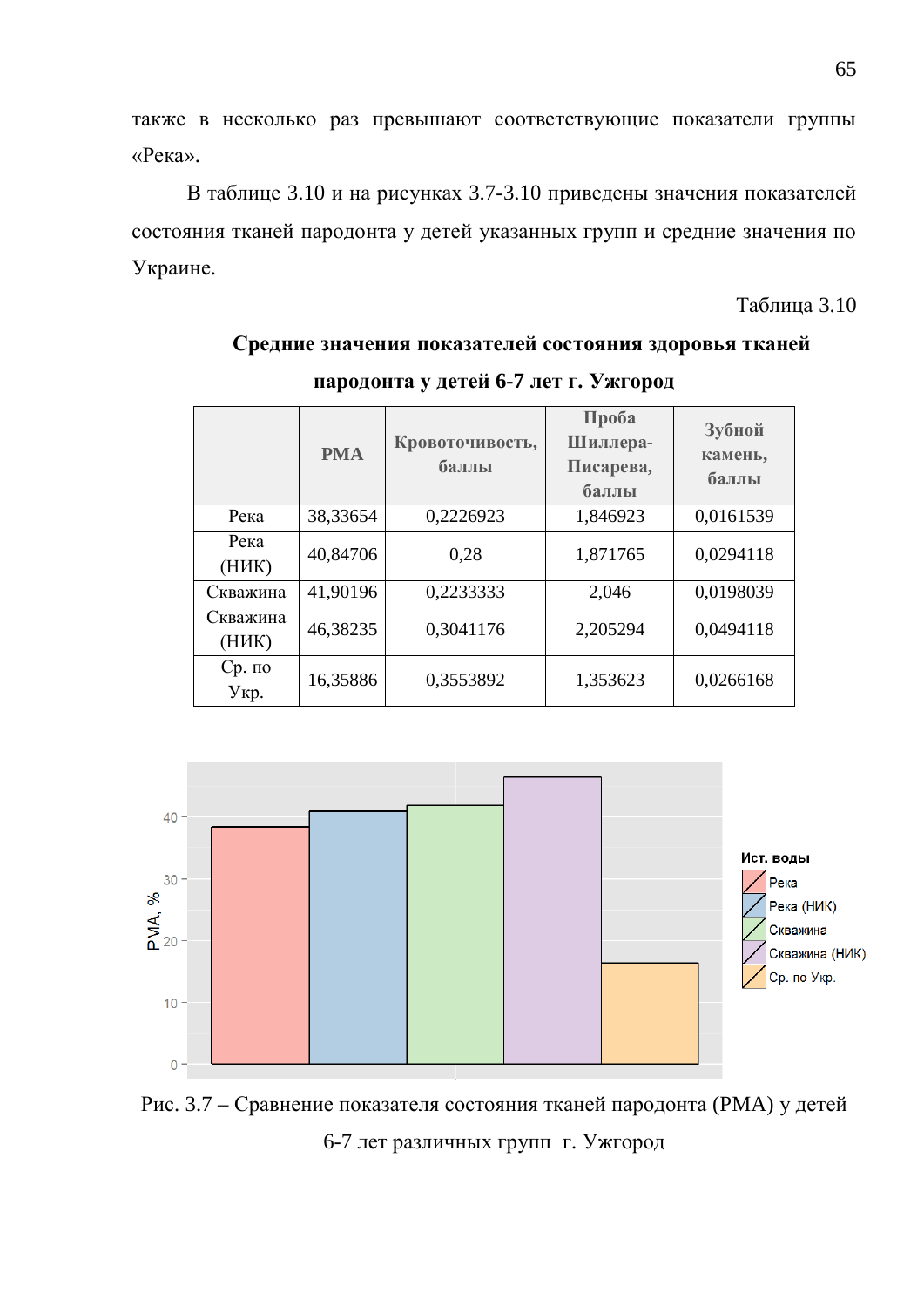также в несколько раз превышают соответствующие показатели группы «Река».

В таблице 3.10 и на рисунках 3.7-3.10 приведены значения показателей состояния тканей пародонта у детей указанных групп и средние значения по Украине.

Таблица 3.10

|                   | <b>PMA</b> | Кровоточивость, | Проба<br>Шиллера-  | Зубной<br>камень, |  |
|-------------------|------------|-----------------|--------------------|-------------------|--|
|                   |            | баллы           | Писарева,<br>баллы | баллы             |  |
| Река              | 38,33654   | 0,2226923       | 1,846923           | 0.0161539         |  |
| Река<br>(HHK)     | 40,84706   | 0,28            | 1,871765           | 0,0294118         |  |
| Скважина          | 41,90196   | 0,2233333       | 2,046              | 0,0198039         |  |
| Скважина<br>(НИК) | 46,38235   | 0,3041176       | 2,205294           | 0,0494118         |  |
| $Cp.$ по<br>Укр.  | 16,35886   | 0,3553892       | 1,353623           | 0,0266168         |  |

# Средние значения показателей состояния здоровья тканей пародонта у детей 6-7 лет г. Ужгород



Рис. 3.7 – Сравнение показателя состояния тканей пародонта (РМА) у детей 6-7 лет различных групп г. Ужгород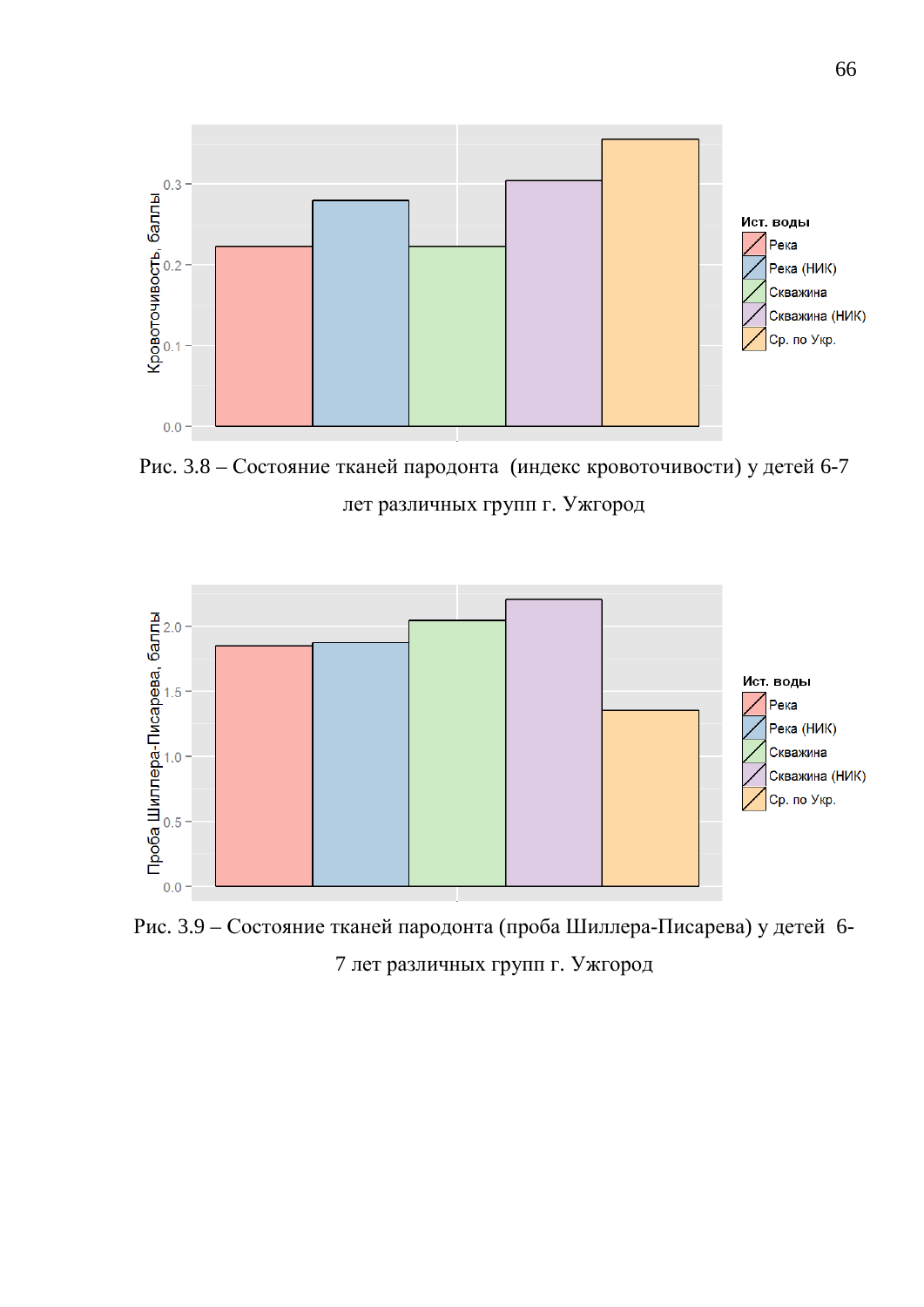

Рис. 3.8 – Состояние тканей пародонта (индекс кровоточивости) у детей 6-7 лет различных групп г. Ужгород



Рис. 3.9 – Состояние тканей пародонта (проба Шиллера-Писарева) у детей 6-7 лет различных групп г. Ужгород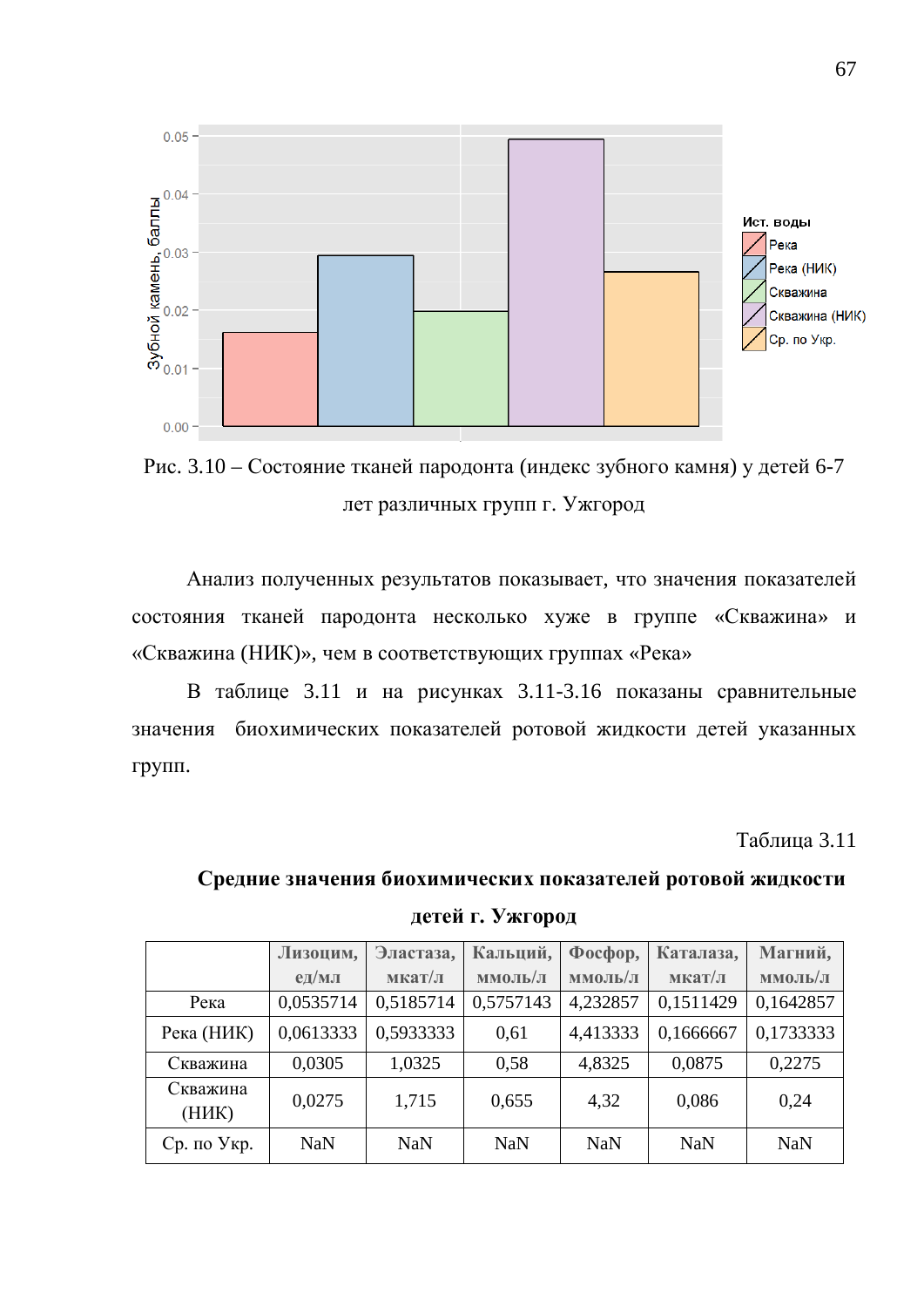

Рис. 3.10 – Состояние тканей пародонта (индекс зубного камня) у детей 6-7 лет различных групп г. Ужгород

Анализ полученных результатов показывает, что значения показателей состояния тканей пародонта несколько хуже в группе «Скважина» и «Скважина (НИК)», чем в соответствующих группах «Река»

В таблице 3.11 и на рисунках 3.11-3.16 показаны сравнительные значения биохимических показателей ротовой жидкости детей указанных групп.

**Таблина 3.11** 

# Средние значения биохимических показателей ротовой жидкости детей г. Ужгород

|                   | Лизоцим,   | Эластаза,  | Кальций,   | $\Phi$ oc $\Phi$ op, | Каталаза,  | Магний,    |
|-------------------|------------|------------|------------|----------------------|------------|------------|
|                   | $e$ д/мл   | мкат/л     | ммоль/л    | ммоль/л              | мкат/л     | ммоль/л    |
| Река              | 0,0535714  | 0,5185714  | 0,5757143  | 4,232857             | 0,1511429  | 0,1642857  |
| Река (НИК)        | 0,0613333  | 0,5933333  | 0,61       | 4,413333             | 0,1666667  | 0,1733333  |
| Скважина          | 0,0305     | 1,0325     | 0,58       | 4,8325               | 0,0875     | 0,2275     |
| Скважина<br>(НИК) | 0,0275     | 1,715      | 0,655      | 4,32                 | 0,086      | 0,24       |
| Ср. по Укр.       | <b>NaN</b> | <b>NaN</b> | <b>NaN</b> | <b>NaN</b>           | <b>NaN</b> | <b>NaN</b> |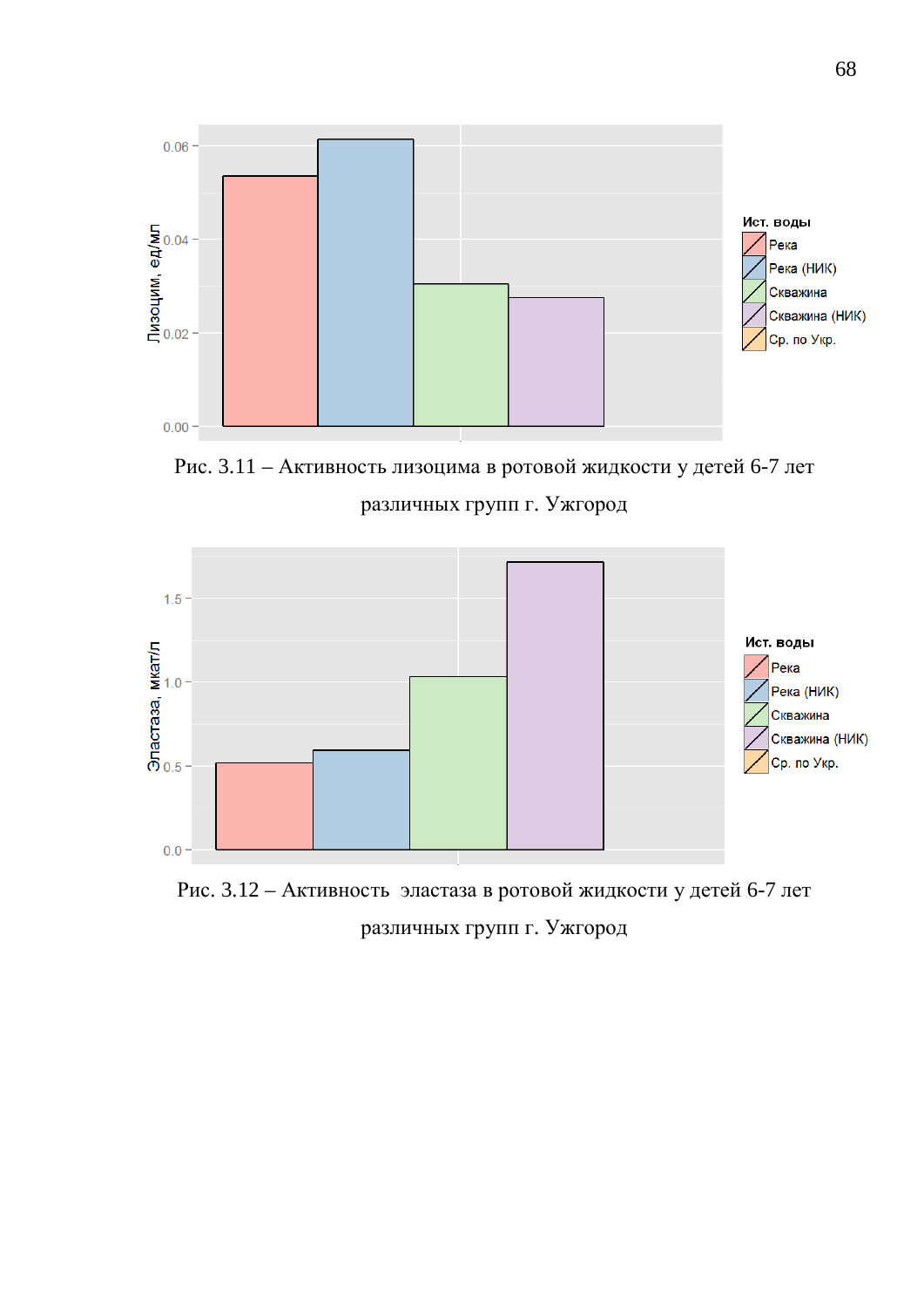

Рис. 3.11 – Активность лизоцима в ротовой жидкости у детей 6-7 лет различных групп г. Ужгород



Рис. 3.12 – Активность эластаза в ротовой жидкости у детей 6-7 лет различных групп г. Ужгород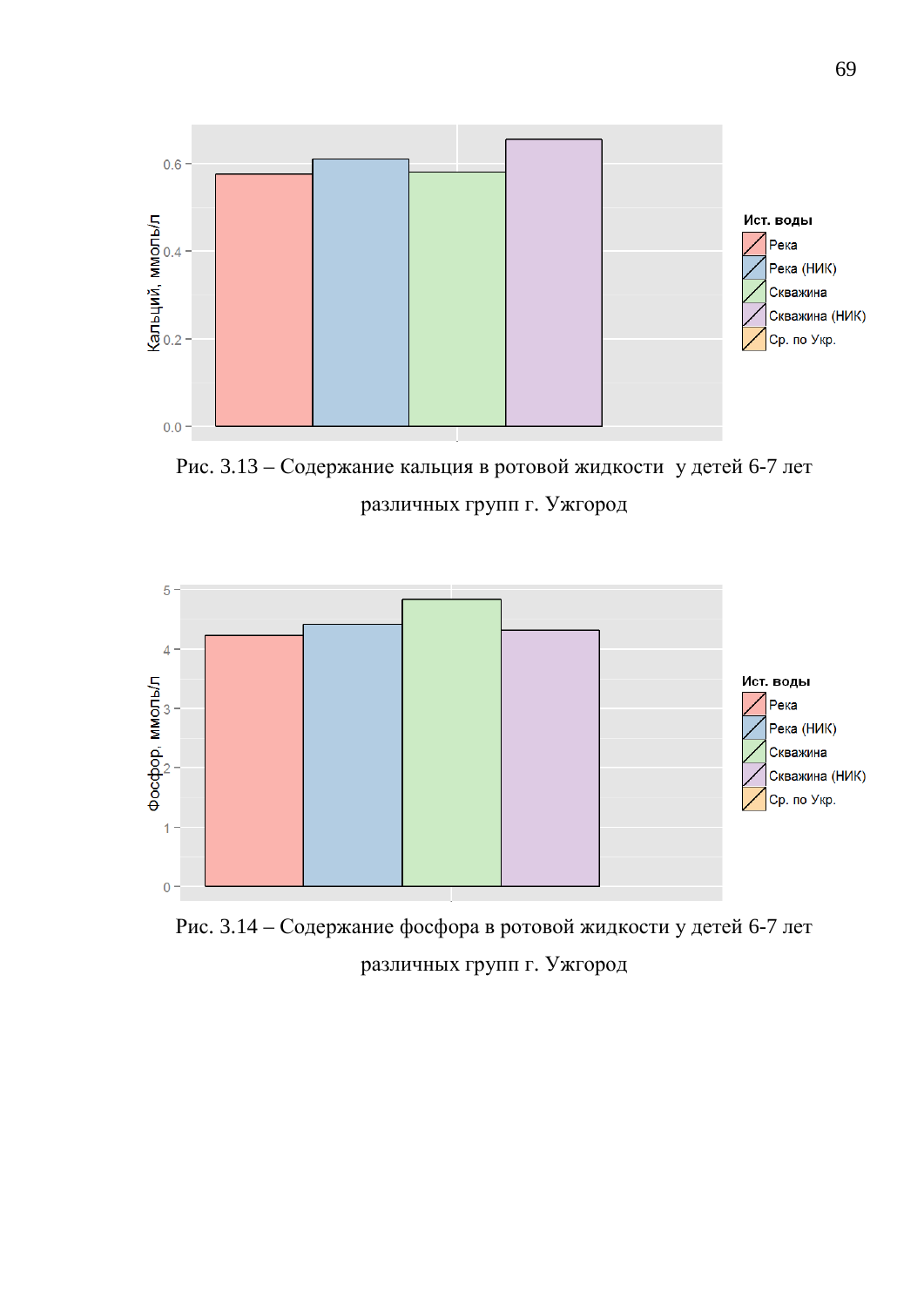

Рис. 3.13 – Содержание кальция в ротовой жидкости у детей 6-7 лет различных групп г. Ужгород



Рис. 3.14 – Содержание фосфора в ротовой жидкости у детей 6-7 лет различных групп г. Ужгород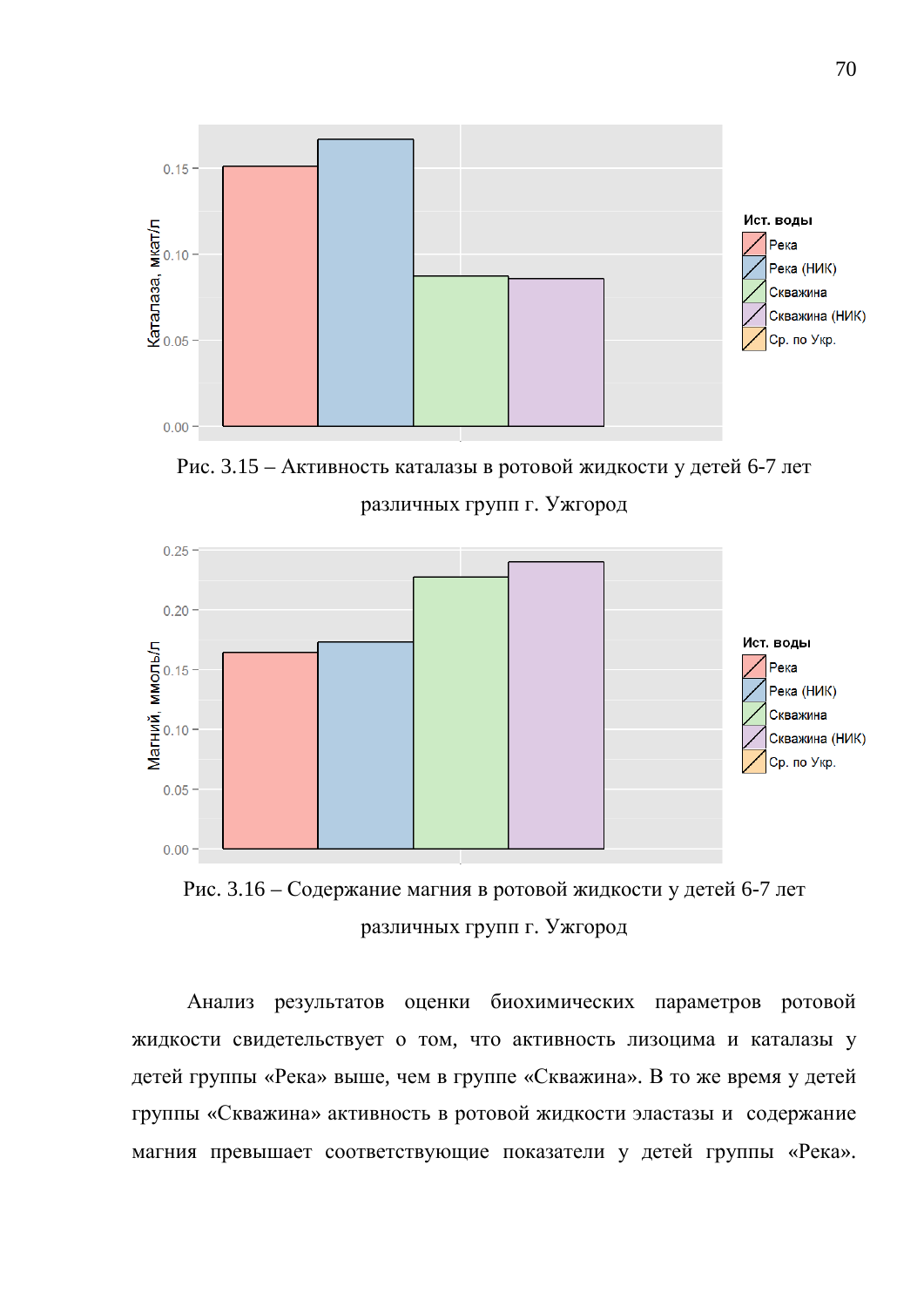

Рис. 3.15 – Активность каталазы в ротовой жидкости у детей 6-7 лет различных групп г. Ужгород



Рис. 3.16 – Содержание магния в ротовой жидкости у детей 6-7 лет различных групп г. Ужгород

Анализ результатов оценки биохимических параметров ротовой жидкости свидетельствует о том, что активность лизоцима и каталазы у детей группы «Река» выше, чем в группе «Скважина». В то же время у детей группы «Скважина» активность в ротовой жидкости эластазы и содержание магния превышает соответствующие показатели у детей группы «Река».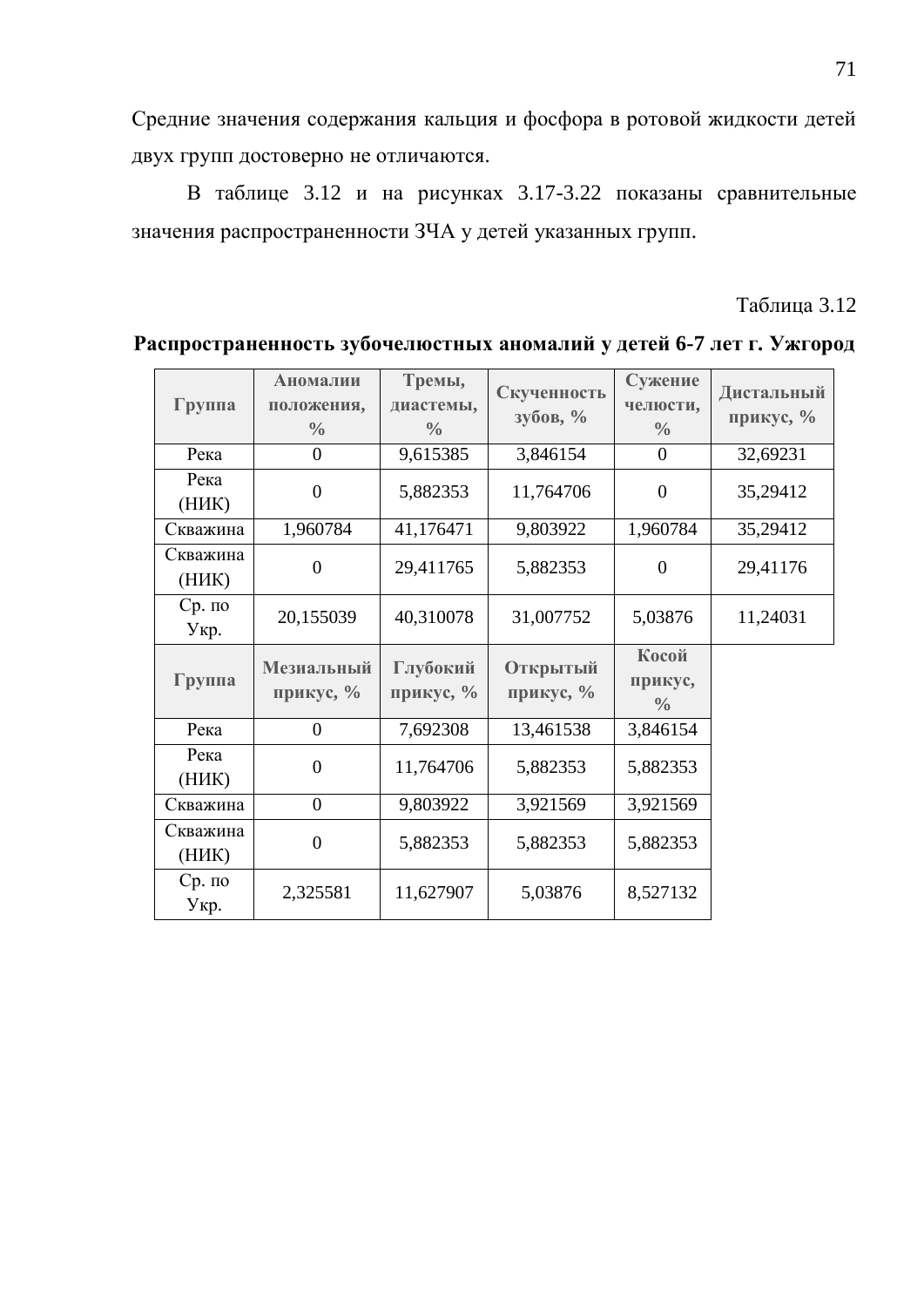Средние значения содержания кальция и фосфора в ротовой жидкости детей двух групп достоверно не отличаются.

В таблице 3.12 и на рисунках 3.17-3.22 показаны сравнительные значения распространенности ЗЧА у детей указанных групп.

Таблица 3.12

| Группа            | Аномалии<br>положения,<br>$\frac{0}{0}$ | Тремы,<br>диастемы,<br>$\frac{0}{0}$ | Скученность<br>$3y\overline{0}$ <sub>0</sub> B, $\%$ | Сужение<br>челюсти,<br>$\frac{0}{0}$ | Дистальный<br>прикус, % |
|-------------------|-----------------------------------------|--------------------------------------|------------------------------------------------------|--------------------------------------|-------------------------|
| Река              | $\overline{0}$                          | 9,615385                             | 3,846154                                             | $\overline{0}$                       | 32,69231                |
| Река<br>(HHK)     | $\overline{0}$                          | 5,882353                             | 11,764706                                            | $\theta$                             | 35,29412                |
| Скважина          | 1,960784                                | 41,176471                            | 9,803922                                             | 1,960784                             | 35,29412                |
| Скважина<br>(HHK) | $\theta$                                | 29,411765                            | 5,882353                                             | $\overline{0}$                       | 29,41176                |
| $Cp.$ по<br>Укр.  | 20,155039                               | 40,310078                            | 31,007752                                            | 5,03876                              | 11,24031                |
| Группа            | Мезиальный<br>прикус, %                 | Глубокий<br>прикус, %                | Открытый<br>прикус, %                                | Косой<br>прикус,<br>$\frac{0}{0}$    |                         |
| Река              | $\overline{0}$                          | 7,692308                             | 13,461538                                            | 3,846154                             |                         |
| Река<br>(HHK)     | $\overline{0}$                          | 11,764706                            | 5,882353                                             | 5,882353                             |                         |
| Скважина          | $\overline{0}$                          | 9,803922                             | 3,921569                                             | 3,921569                             |                         |
| Скважина<br>(HHK) | $\overline{0}$                          | 5,882353                             | 5,882353                                             | 5,882353                             |                         |
| $Cp.$ по<br>Укр.  | 2,325581                                | 11,627907                            | 5,03876                                              | 8,527132                             |                         |

Распространенность зубочелюстных аномалий у детей 6-7 лет г. Ужгород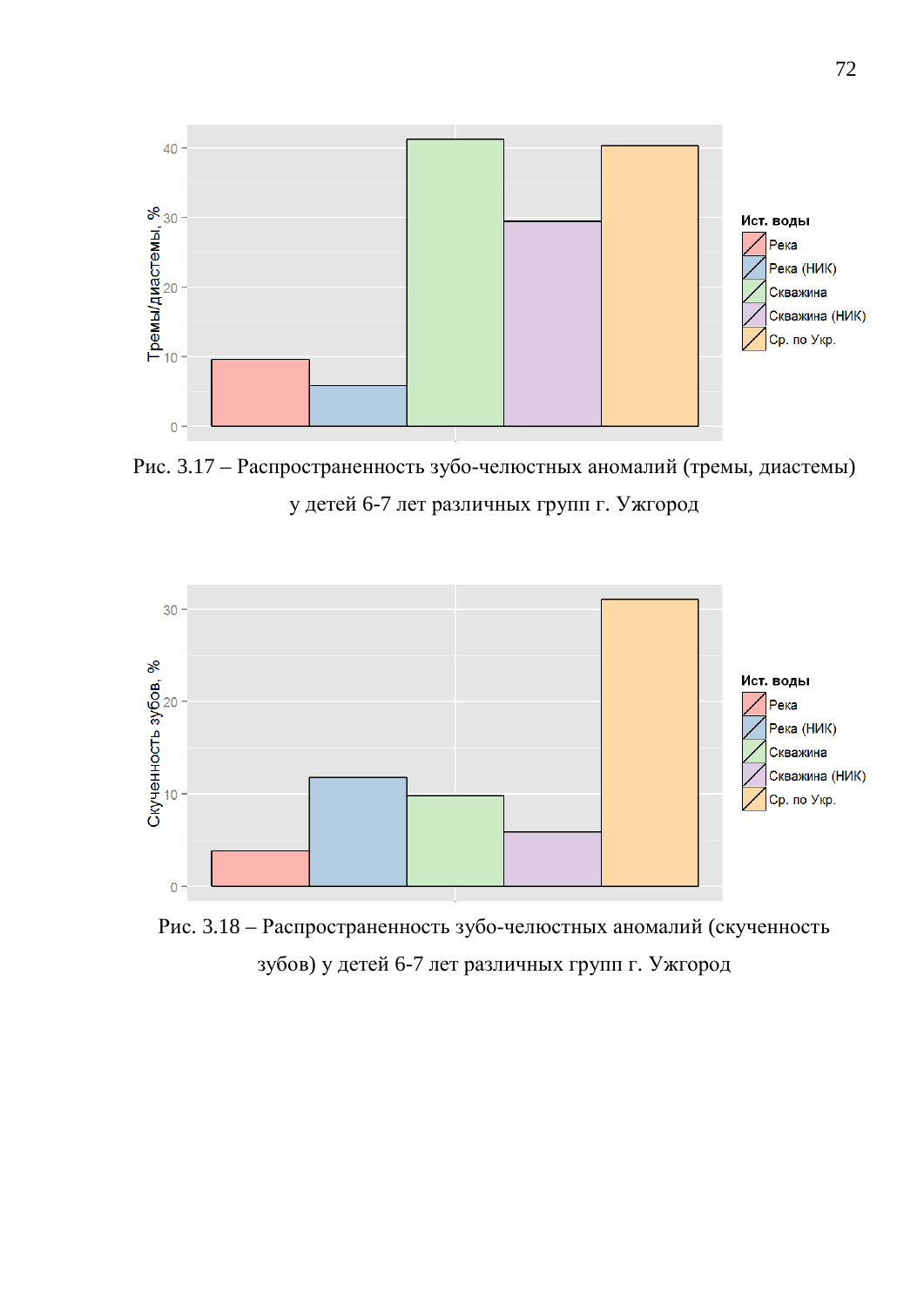

Рис. 3.17 – Распространенность зубо-челюстных аномалий (тремы, диастемы) у детей 6-7 лет различных групп г. Ужгород



Рис. 3.18 – Распространенность зубо-челюстных аномалий (скученность зубов) у детей 6-7 лет различных групп г. Ужгород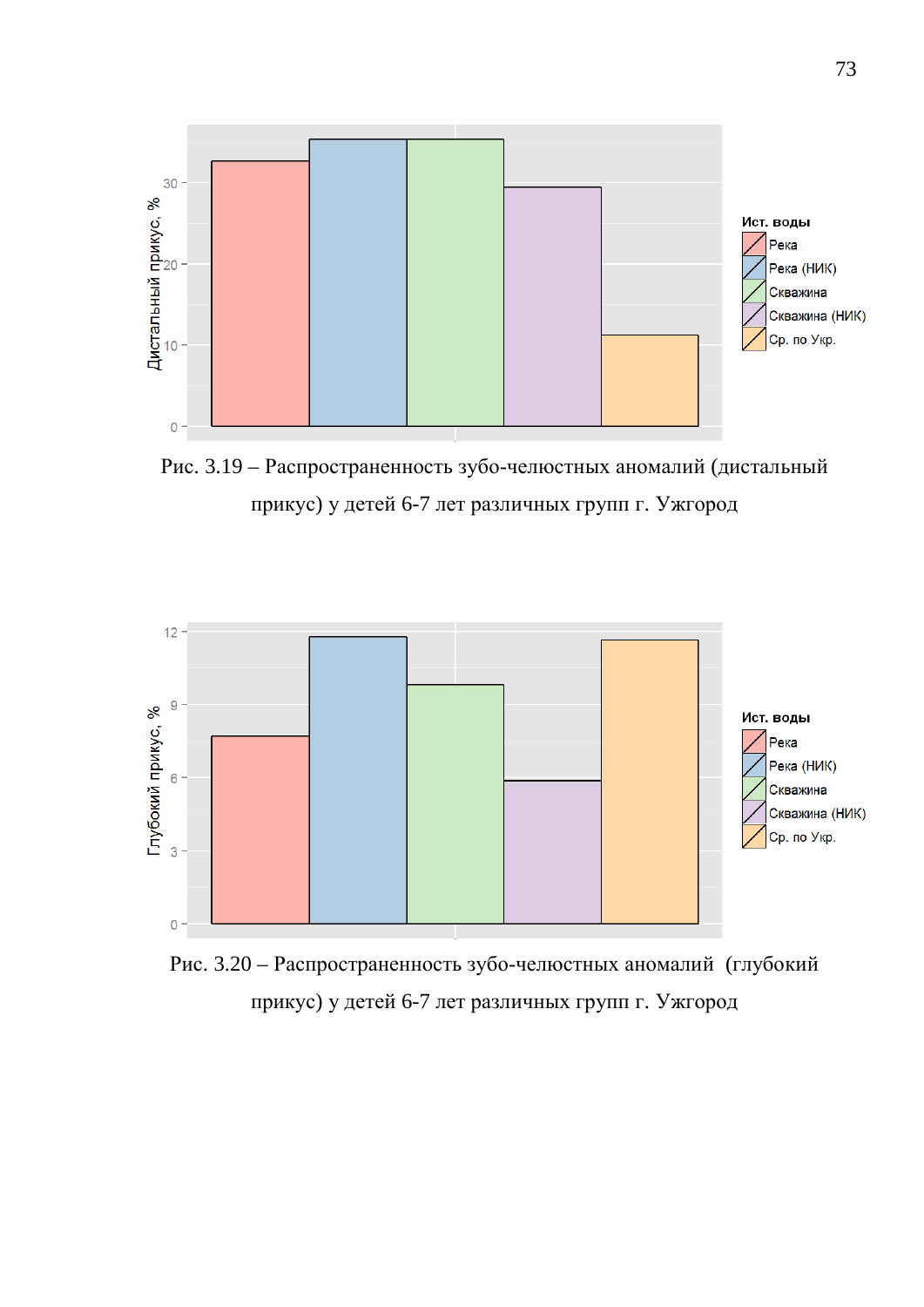

Рис. 3.19 – Распространенность зубо-челюстных аномалий (дистальный прикус) у детей 6-7 лет различных групп г. Ужгород



Рис. 3.20 – Распространенность зубо-челюстных аномалий (глубокий прикус) у детей 6-7 лет различных групп г. Ужгород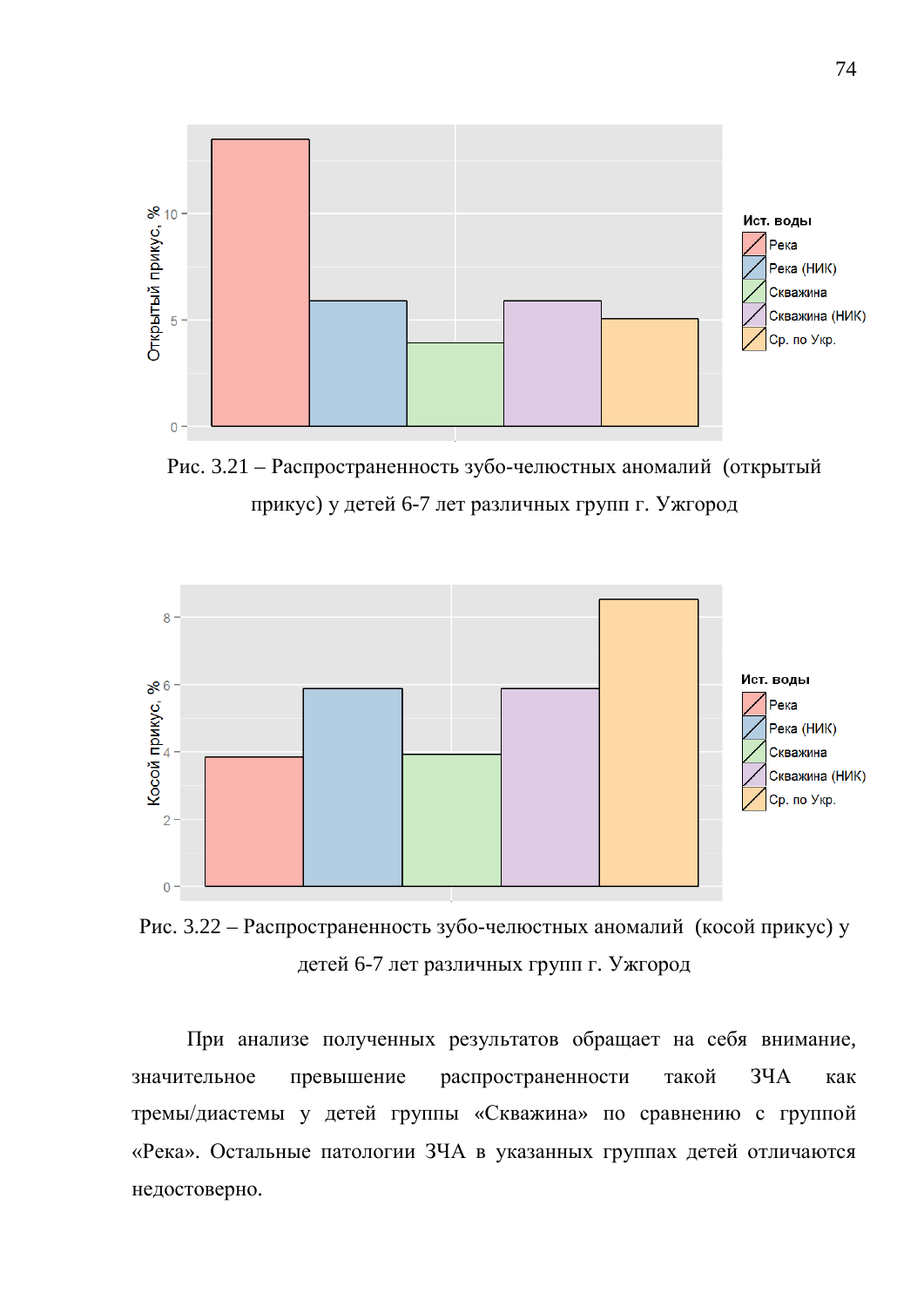

Рис. 3.21 – Распространенность зубо-челюстных аномалий (открытый прикус) у детей 6-7 лет различных групп г. Ужгород



Рис. 3.22 – Распространенность зубо-челюстных аномалий (косой прикус) у детей 6-7 лет различных групп г. Ужгород

При анализе полученных результатов обращает на себя внимание, значительное превышение распространенности такой ЗЧА как тремы/диастемы у детей группы «Скважина» по сравнению с группой «Река». Остальные патологии ЗЧА в указанных группах детей отличаются недостоверно.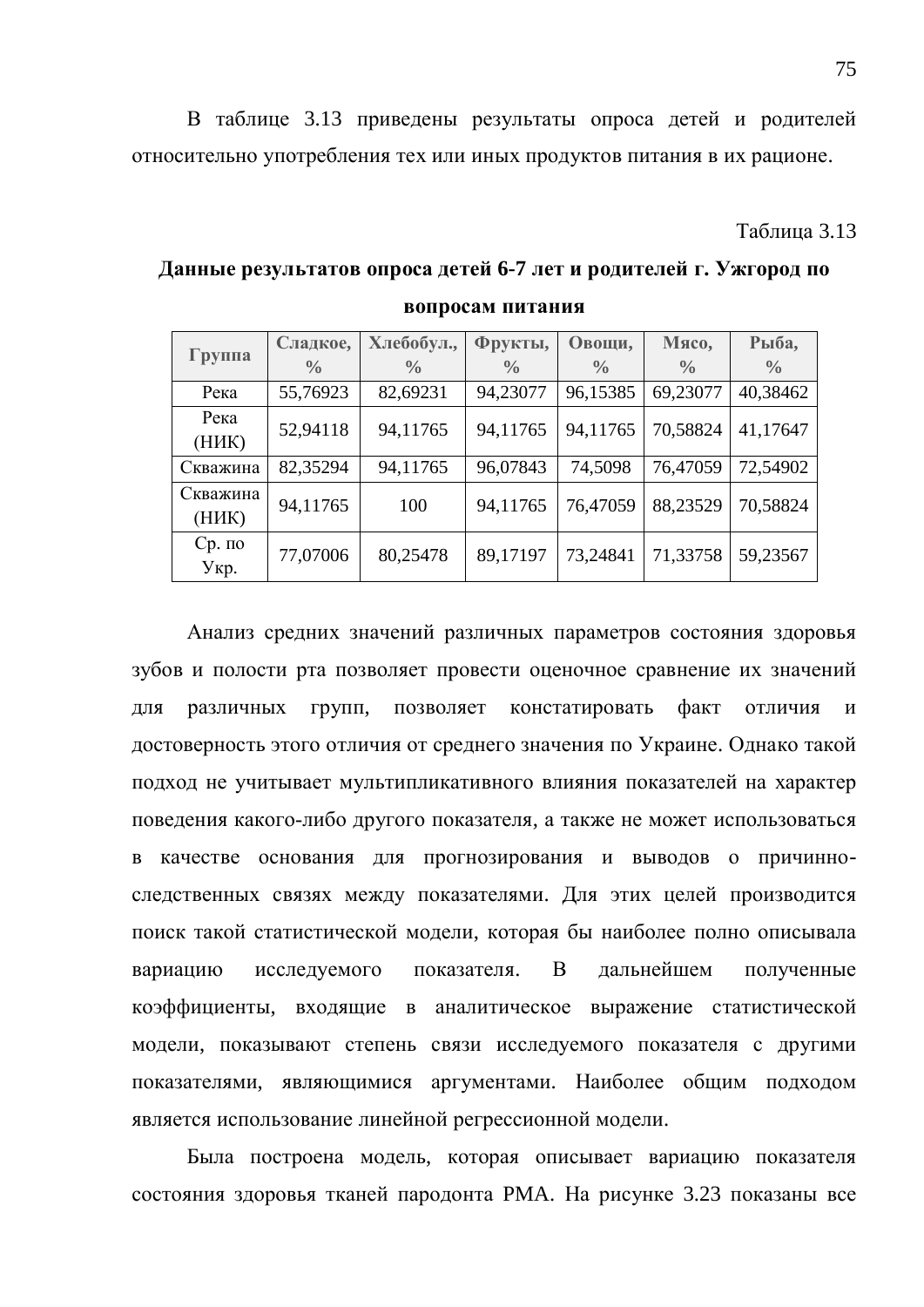В таблице 3.13 приведены результаты опроса детей и родителей относительно употребления тех или иных продуктов питания в их рационе.

**Таблина** 3.13

**Данные результатов опроса детей 6-7 лет и родителей г. Ужгород по вопросам питания** 

|                   | Сладкое,      | Хлебобул.,    | Фрукты,       | Овощи,        | Мясо,         | Рыба,         |
|-------------------|---------------|---------------|---------------|---------------|---------------|---------------|
| Группа            | $\frac{0}{0}$ | $\frac{0}{0}$ | $\frac{0}{0}$ | $\frac{0}{0}$ | $\frac{0}{0}$ | $\frac{0}{0}$ |
| Река              | 55,76923      | 82,69231      | 94,23077      | 96,15385      | 69,23077      | 40,38462      |
| Река<br>(HHK)     | 52,94118      | 94,11765      | 94,11765      | 94,11765      | 70,58824      | 41,17647      |
| Скважина          | 82,35294      | 94,11765      | 96,07843      | 74,5098       | 76,47059      | 72,54902      |
| Скважина<br>(HHK) | 94,11765      | 100           | 94,11765      | 76,47059      | 88,23529      | 70,58824      |
| $Cp.$ по<br>Укр.  | 77,07006      | 80,25478      | 89,17197      | 73,24841      | 71,33758      | 59,23567      |

Анализ средних значений различных параметров состояния здоровья зубов и полости рта позволяет провести оценочное сравнение их значений для различных групп, позволяет констатировать факт отличия и достоверность этого отличия от среднего значения по Украине. Однако такой подход не учитывает мультипликативного влияния показателей на характер поведения какого-либо другого показателя, а также не может использоваться в качестве основания для прогнозирования и выводов о причинноследственных связях между показателями. Для этих целей производится поиск такой статистической модели, которая бы наиболее полно описывала вариацию исследуемого показателя. В дальнейшем полученные коэффициенты, входящие в аналитическое выражение статистической модели, показывают степень связи исследуемого показателя с другими показателями, являющимися аргументами. Наиболее общим подходом является использование линейной регрессионной модели.

Была построена модель, которая описывает вариацию показателя состояния здоровья тканей пародонта РМА. На рисунке 3.23 показаны все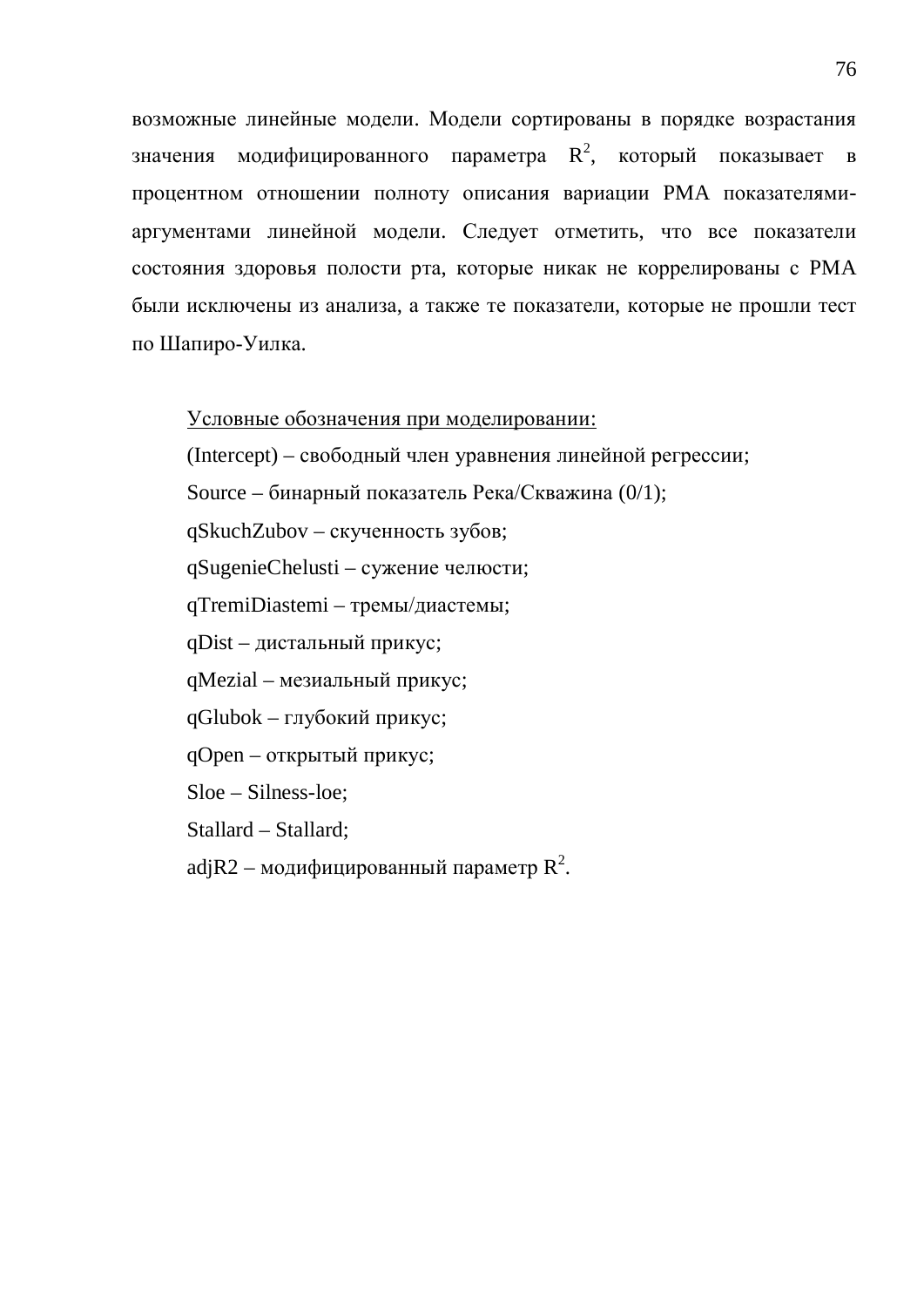возможные линейные модели. Модели сортированы в порядке возрастания значения модифицированного параметра  $R^2$ , который показывает в процентном отношении полноту описания вариации РМА показателямиаргументами линейной модели. Следует отметить, что все показатели состояния здоровья полости рта, которые никак не коррелированы с РМА были исключены из анализа, а также те показатели, которые не прошли тест по Шапиро-Уилка.

#### Условные обозначения при моделировании:

(Intercept) – свободный член уравнения линейной регрессии;

Source – бинарный показатель Река/Скважина (0/1);

qSkuchZubov – скученность зубов;

qSugenieChelusti – сужение челюсти;

qTremiDiastemi – тремы/диастемы;

qDist – дистальный прикус;

qMezial – мезиальный прикус;

 $qGlubok - r\pi y6$ окий прикус;

qOpen – открытый прикус;

Sloe – Silness-loe;

Stallard – Stallard;

adj $\mathsf{R}2$  – модифицированный параметр  $\mathsf{R}^2$ .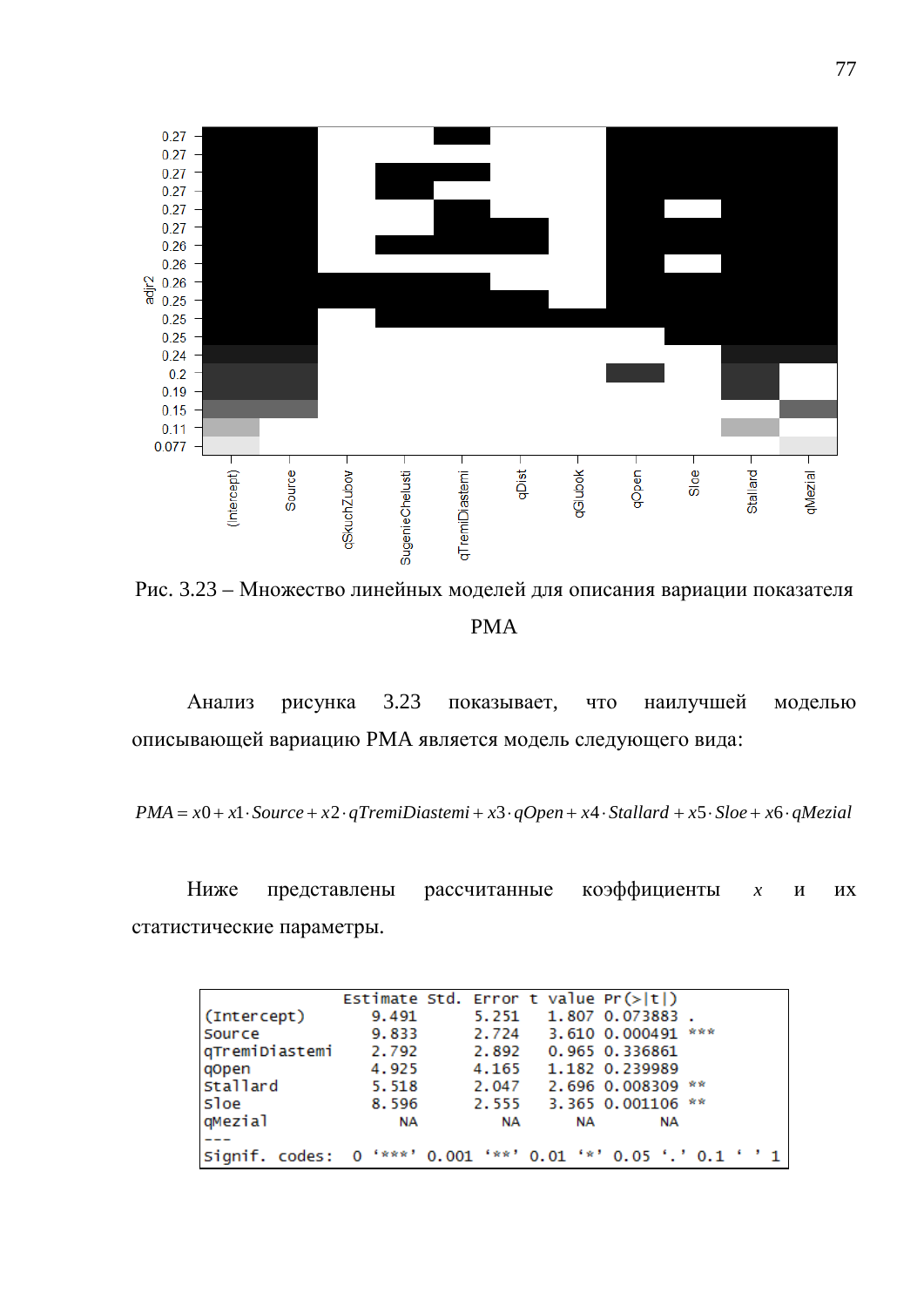

Рис. 3.23 – Множество линейных моделей для описания вариации показателя PMA

Анализ рисунка 3.23 показывает, что наилучшей моделью описывающей вариацию PMA является модель следующего вида:

 $PMA = x0 + x1 \cdot Source + x2 \cdot qTremiDiastemi + x3 \cdot qOpen + x4 \cdot Stallard + x5 \cdot Sloe + x6 \cdot qMezial$ 

Ниже представлены рассчитанные коэффициенты *х* и их статистические параметры.

|                                                               | Estimate Std. Error t value $Pr(> t )$ |           |           |                    |  |  |
|---------------------------------------------------------------|----------------------------------------|-----------|-----------|--------------------|--|--|
| (Intercept)                                                   | 9.491                                  | 5.251     |           | 1.807 0.073883.    |  |  |
| Source                                                        | 9.833                                  | 2.724     |           | 3.610 0.000491 *** |  |  |
| qTremiDiastemi                                                | 2.792                                  | 2.892     |           | 0.965 0.336861     |  |  |
| qopen                                                         | 4.925                                  | 4.165     |           | 1.182 0.239989     |  |  |
| Stallard                                                      | 5.518                                  | 2.047     |           | 2.696 0.008309 **  |  |  |
| sloe                                                          | 8.596                                  | 2.555     |           | 3.365 0.001106 **  |  |  |
| qMezial                                                       | NА                                     | <b>NA</b> | <b>NA</b> | <b>NA</b>          |  |  |
|                                                               |                                        |           |           |                    |  |  |
| Signif. codes: 0 '***' 0.001 '**' 0.01 '*' 0.05 '.' 0.1 ' ' 1 |                                        |           |           |                    |  |  |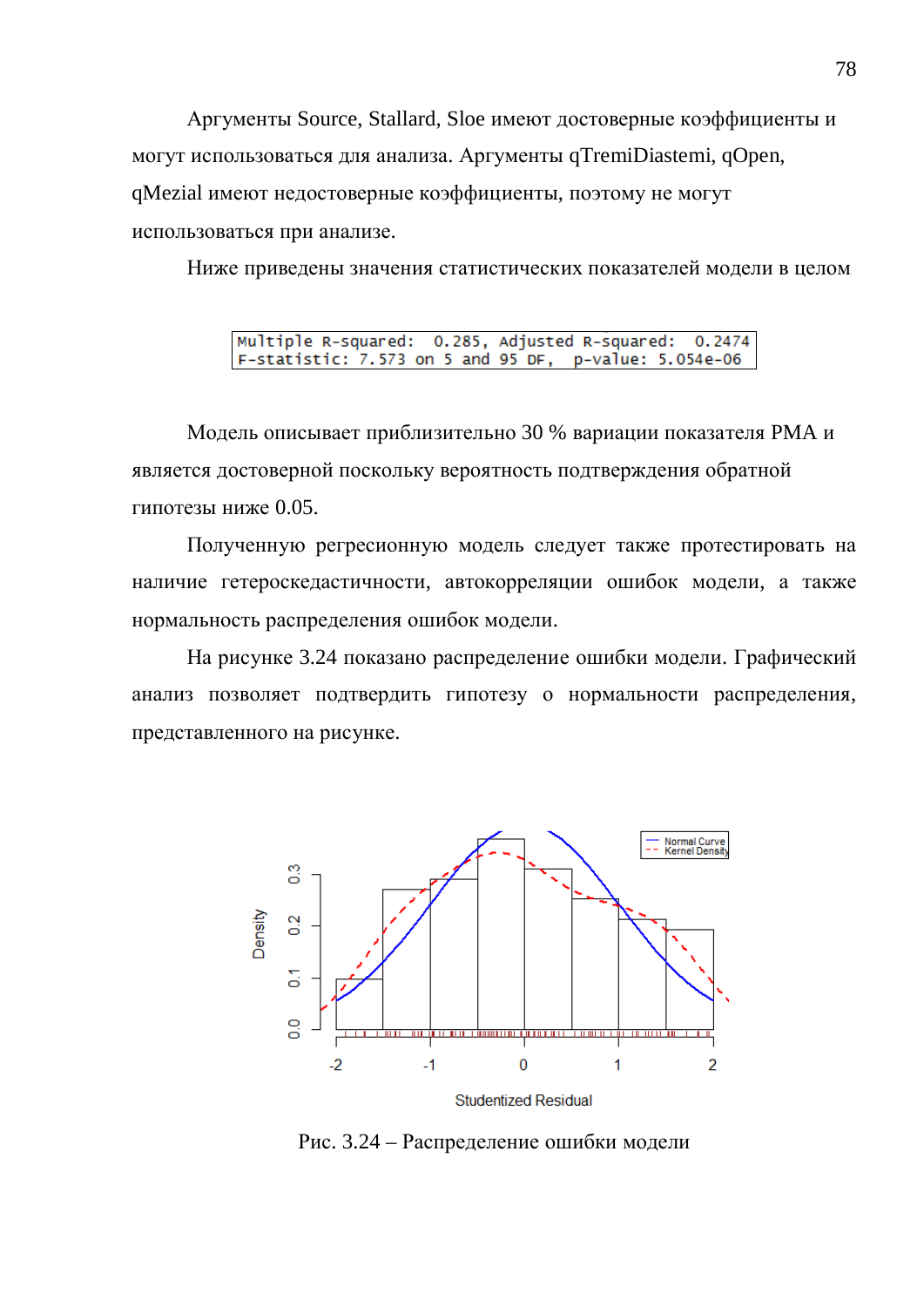Аргументы Source, Stallard, Sloe имеют достоверные коэффициенты и могут использоваться для анализа. Аргументы qTremiDiastemi, qOpen, qMezial имеют недостоверные коэффициенты, поэтому не могут использоваться при анализе.

Ниже приведены значения статистических показателей модели в целом

0.285, Adjusted R-squared: 0.2474 Multiple R-squared: F-statistic: 7.573 on 5 and 95 DF, p-value: 5.054e-06

Модель описывает приблизительно 30 % вариации показателя РМА и является достоверной поскольку вероятность подтверждения обратной гипотезы ниже 0.05.

Полученную регресионную модель следует также протестировать на наличие гетероскедастичности, автокорреляции ошибок модели, а также нормальность распределения ошибок модели.

На рисунке 3.24 показано распределение ошибки модели. Графический анализ позволяет подтвердить гипотезу о нормальности распределения, представленного на рисунке.



Рис. 3.24 – Распределение ошибки модели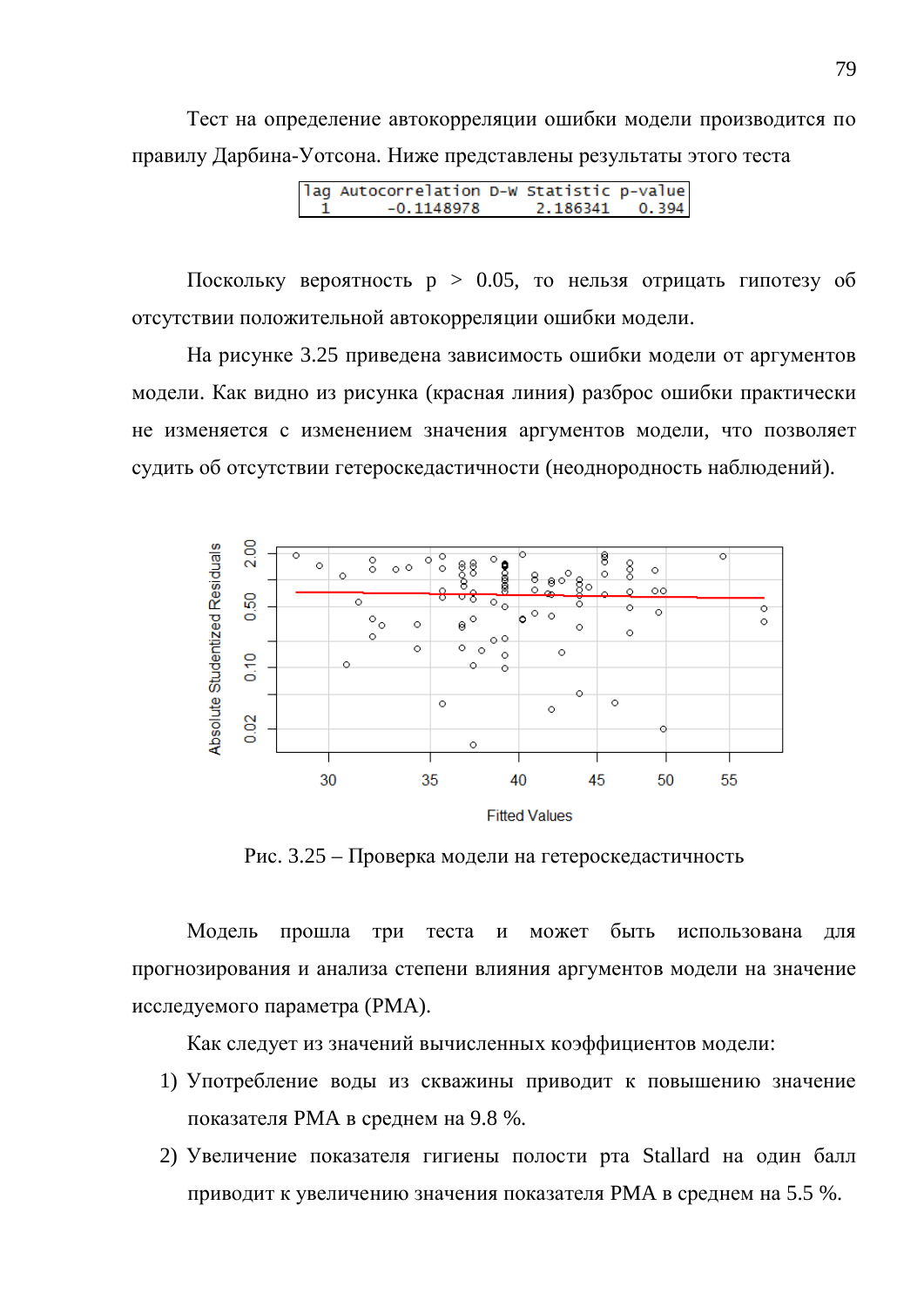Тест на определение автокорреляции ошибки модели производится по правилу Дарбина-Уотсона. Ниже представлены результаты этого теста

| lag Autocorrelation D-W Statistic p-value |                |  |
|-------------------------------------------|----------------|--|
| $-0.1148978$                              | 2.186341 0.394 |  |

Поскольку вероятность  $p > 0.05$ , то нельзя отрицать гипотезу об отсутствии положительной автокорреляции ошибки модели.

На рисунке 3.25 приведена зависимость ошибки модели от аргументов модели. Как видно из рисунка (красная линия) разброс ошибки практически не изменяется с изменением значения аргументов модели, что позволяет судить об отсутствии гетероскедастичности (неоднородность наблюдений).



Рис. 3.25 – Проверка модели на гетероскедастичность

Модель прошла три теста и может быть использована для прогнозирования и анализа степени влияния аргументов модели на значение исследуемого параметра (РМА).

Как следует из значений вычисленных коэффициентов модели:

- 1) Употребление воды из скважины приводит к повышению значение показателя РМА в среднем на 9.8 %.
- 2) Увеличение показателя гигиены полости рта Stallard на один балл приводит к увеличению значения показателя РМА в среднем на 5.5 %.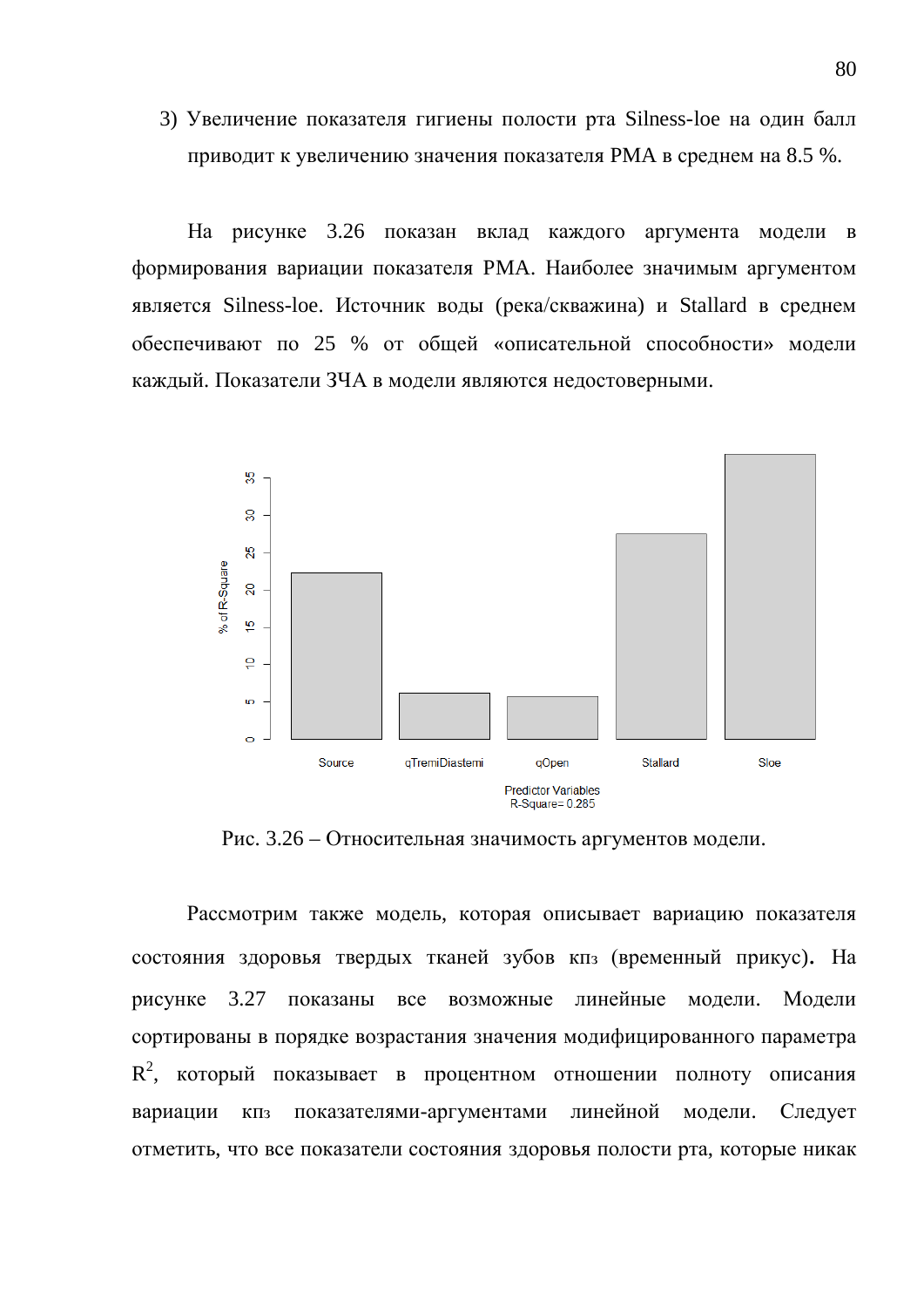3) Увеличение показателя гигиены полости рта Silness-loe на один балл приводит к увеличению значения показателя РМА в среднем на 8.5 %.

На рисунке 3.26 показан вклад каждого аргумента модели в формирования вариации показателя РМА. Наиболее значимым аргументом является Silness-loe. Источник воды (река/скважина) и Stallard в среднем обеспечивают по 25 % от общей «описательной способности» модели каждый. Показатели ЗЧА в модели являются недостоверными.



Рис. 3.26 – Относительная значимость аргументов модели.

Рассмотрим также модель, которая описывает вариацию показателя состояния здоровья твердых тканей зубов кпз (временный прикус). На рисунке 3.27 показаны все возможные линейные модели. Модели сортированы в порядке возрастания значения модифицированного параметра  $R^2$ , который показывает в процентном отношении полноту описания вариации кпз показателями-аргументами линейной модели. Следует отметить, что все показатели состояния здоровья полости рта, которые никак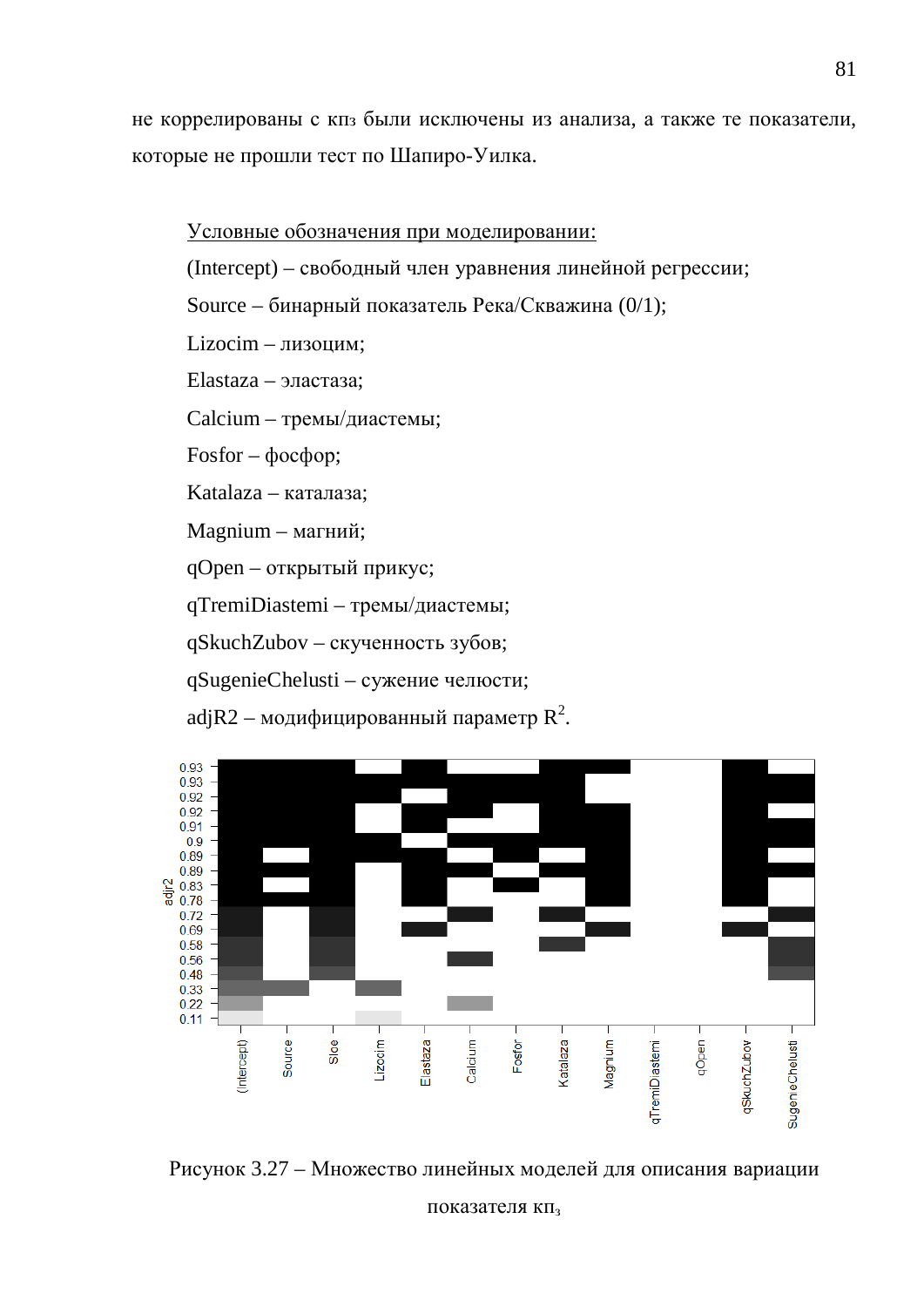не коррелированы с кпз были исключены из анализа, а также те показатели, которые не прошли тест по Шапиро-Уилка.

Условные обозначения при моделировании: (Intercept) – свободный член уравнения линейной регрессии; Source – бинарный показатель Река/Скважина (0/1);  $Lizocim - J(xouu)$ Elastaza – эластаза; Calcium – тремы/диастемы;  $Fosfor - \phi$ <sub>oc</sub> $\phi$ <sub>op</sub>; Katalaza – каталаза; Magnium – магний; qOpen – открытый прикус; qTremiDiastemi – тремы/диастемы; qSkuchZubov – скученность зубов; qSugenieChelusti – сужение челюсти; adjR2 – модифицированный параметр  $R^2$ .



Рисунок 3.27 – Множество линейных моделей для описания вариации

показателя кп,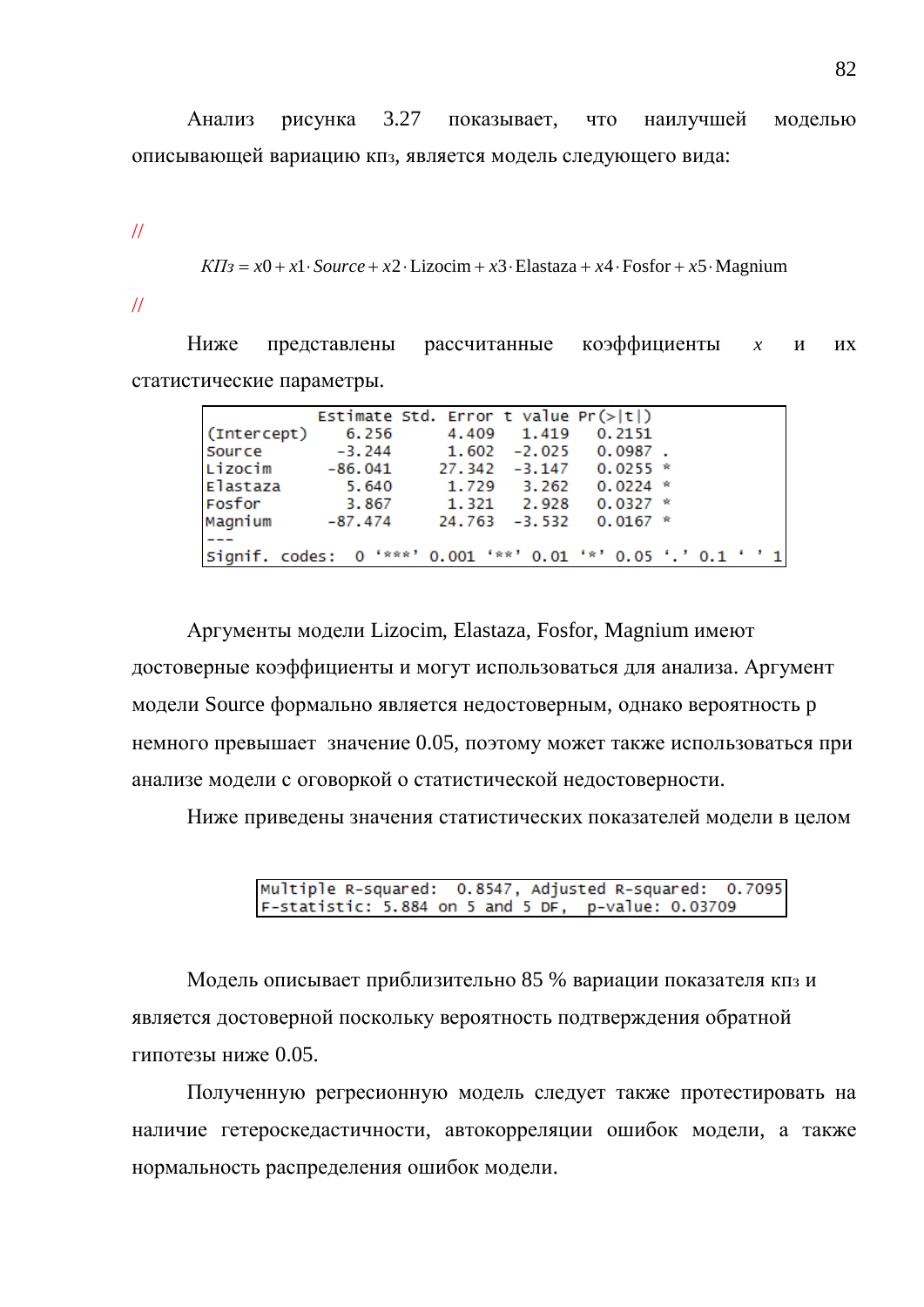Анализ рисунка 3.27 показывает, что наилучшей моделью описывающей вариацию кпз, является модель следующего вида:

//

 $KII_3 = x0 + x1 \cdot Source + x2 \cdot Lizocim + x3 \cdot Elastaza + x4 \cdot Fosfor + x5 \cdot Magnium$ 

//

Ниже представлены рассчитанные коэффициенты *х* и их статистические параметры.

| 6.256       |       |       | 0.2151                                            |                                        |                                                                                              |                                                               |
|-------------|-------|-------|---------------------------------------------------|----------------------------------------|----------------------------------------------------------------------------------------------|---------------------------------------------------------------|
| $-3.244$    |       |       |                                                   |                                        |                                                                                              |                                                               |
| $-86.041$   |       |       |                                                   |                                        |                                                                                              |                                                               |
| 5.640       | 1.729 |       |                                                   |                                        |                                                                                              |                                                               |
| 3.867       |       | 2.928 |                                                   |                                        |                                                                                              |                                                               |
| $-87.474$   |       |       |                                                   |                                        |                                                                                              |                                                               |
|             |       |       |                                                   |                                        |                                                                                              |                                                               |
|             |       |       |                                                   |                                        |                                                                                              |                                                               |
| (Intercept) |       |       | 4.409 1.419<br>3.262<br>1.321<br>$24.763 - 3.532$ | Estimate Std. Error t value $Pr(> t )$ | $1.602 -2.025 0.0987$ .<br>$27.342 -3.147 0.0255$ *<br>$0.0224$ *<br>$0.0327*$<br>$0.0167$ * | Signif. codes: 0 '***' 0.001 '**' 0.01 '*' 0.05 '.' 0.1 ' ' 1 |

Аргументы модели Lizocim, Elastaza, Fosfor, Magnium имеют достоверные коэффициенты и могут использоваться для анализа. Аргумент модели Source формально является недостоверным, однако вероятность р немного превышает значение 0.05, поэтому может также использоваться при анализе модели с оговоркой о статистической недостоверности.

Ниже приведены значения статистических показателей модели в целом

| Multiple R-squared: 0.8547, Adjusted R-squared: 0.7095 |  |  |
|--------------------------------------------------------|--|--|
| F-statistic: 5.884 on 5 and 5 DF, p-value: 0.03709     |  |  |

Модель описывает приблизительно 85 % вариации показателя кпз и является достоверной поскольку вероятность подтверждения обратной гипотезы ниже 0.05.

Полученную регресионную модель следует также протестировать на наличие гетероскедастичности, автокорреляции ошибок модели, а также нормальность распределения ошибок модели.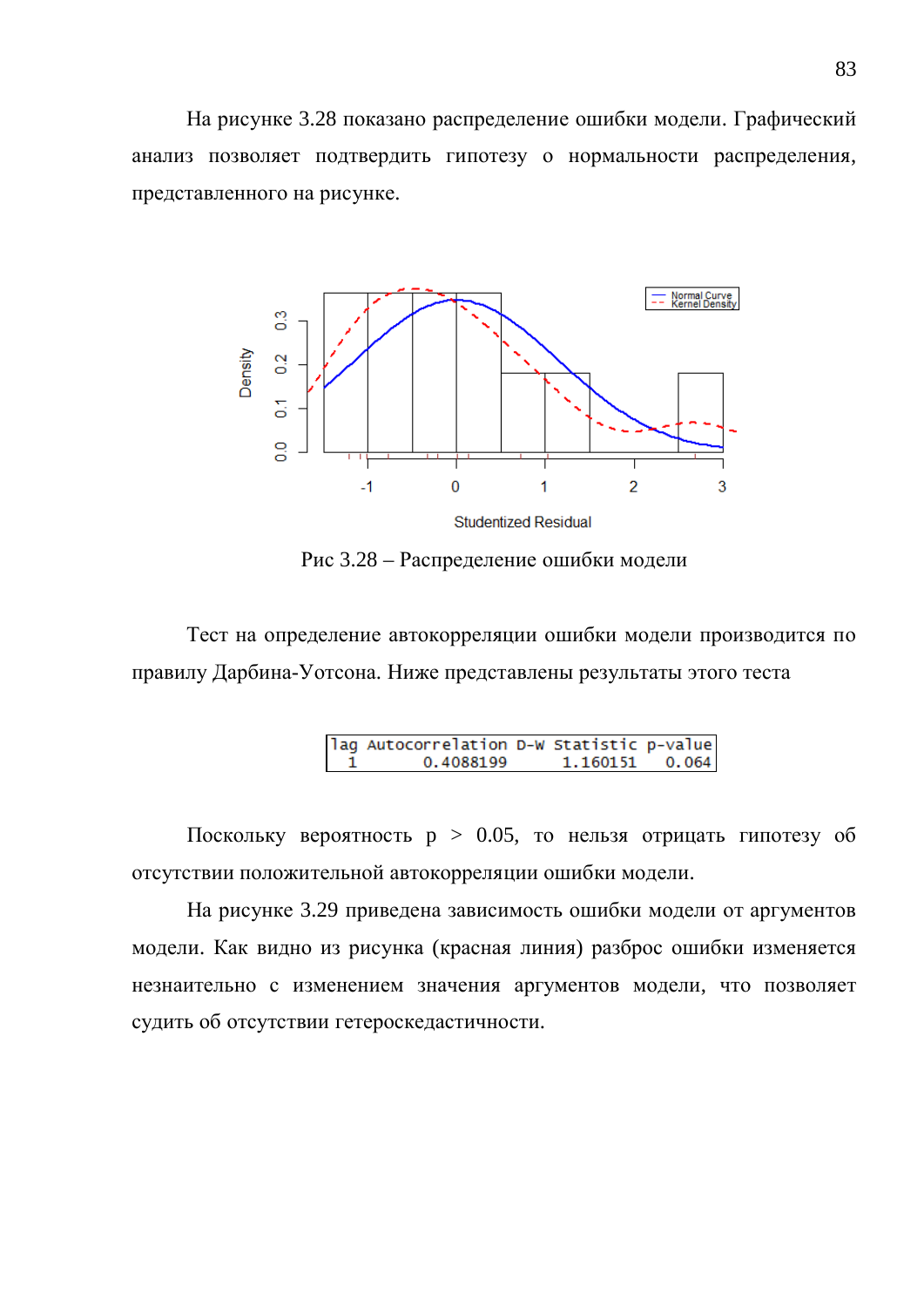На рисунке 3.28 показано распределение ошибки модели. Графический анализ позволяет подтвердить гипотезу о нормальности распределения, представленного на рисунке.



Рис 3.28 – Распределение ошибки модели

Тест на определение автокорреляции ошибки модели производится по правилу Дарбина-Уотсона. Ниже представлены результаты этого теста

| lag Autocorrelation D-W Statistic p-value |                  |  |
|-------------------------------------------|------------------|--|
| 0.4088199                                 | $1.160151$ 0.064 |  |

Поскольку вероятность  $p > 0.05$ , то нельзя отрицать гипотезу об отсутствии положительной автокорреляции ошибки модели.

На рисунке 3.29 приведена зависимость ошибки модели от аргументов модели. Как видно из рисунка (красная линия) разброс ошибки изменяется незнаительно с изменением значения аргументов модели, что позволяет судить об отсутствии гетероскедастичности.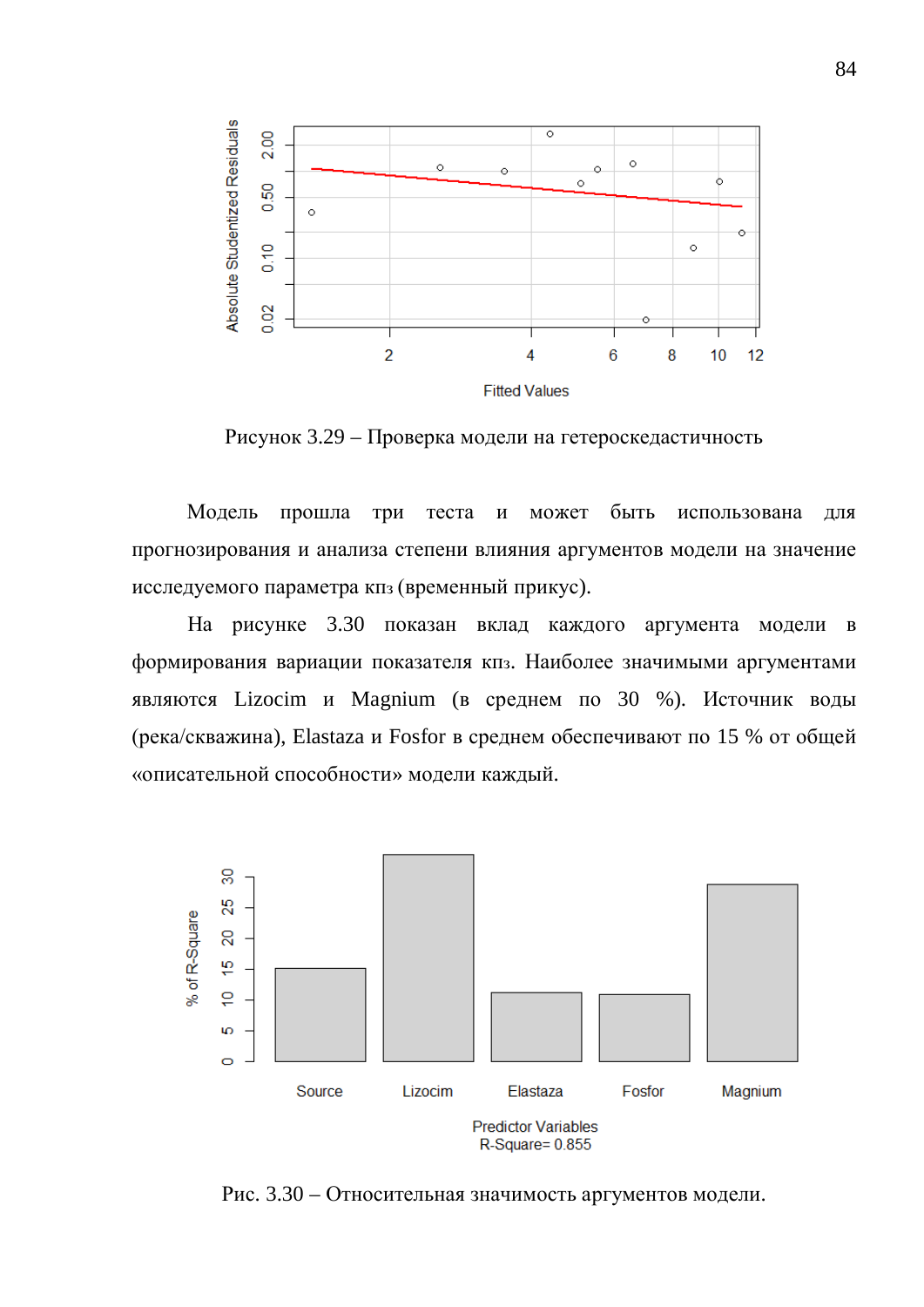

Рисунок 3.29 – Проверка модели на гетероскедастичность

Модель прошла три теста и может быть использована для прогнозирования и анализа степени влияния аргументов модели на значение исследуемого параметра кпз (временный прикус).

На рисунке 3.30 показан вклад каждого аргумента модели в формирования вариации показателя кпз. Наиболее значимыми аргументами являются Lizocim и Magnium (в среднем по 30 %). Источник воды (река/скважина), Elastaza и Fosfor в среднем обеспечивают по 15 % от общей «описательной способности» модели каждый.



Рис. 3.30 – Относительная значимость аргументов модели.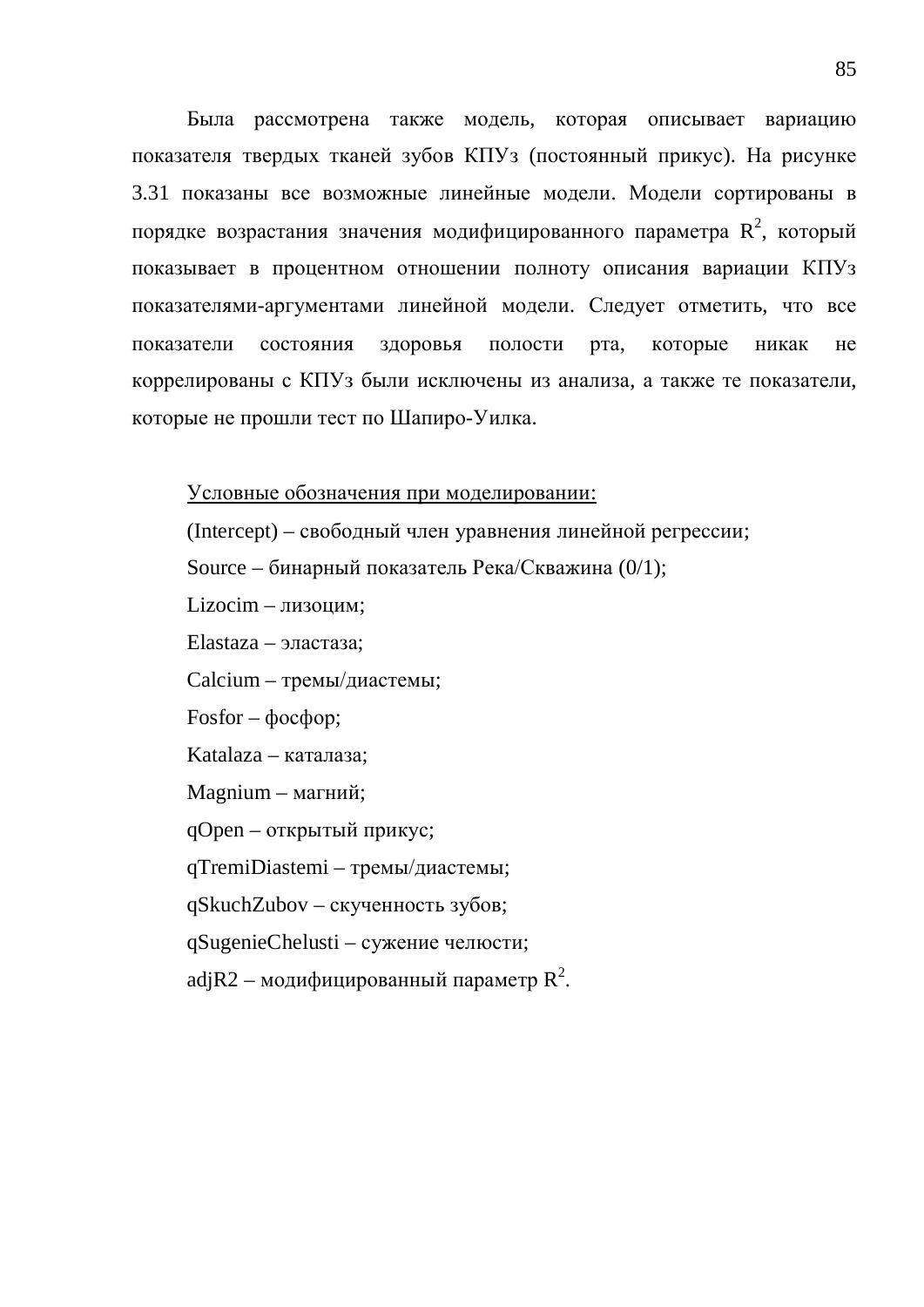Была рассмотрена также модель, которая описывает вариацию показателя твердых тканей зубов КПУз (постоянный прикус). На рисунке 3.31 показаны все возможные линейные модели. Модели сортированы в порядке возрастания значения модифицированного параметра  $\boldsymbol{\mathsf{R}}^2$ , который показывает в процентном отношении полноту описания вариации КПУз показателями-аргументами линейной модели. Следует отметить, что все показатели состояния здоровья полости рта, которые никак не коррелированы с КПУз были исключены из анализа, а также те показатели, которые не прошли тест по Шапиро-Уилка.

Условные обозначения при моделировании:

(Intercept) – свободный член уравнения линейной регрессии;

Source – бинарный показатель Река/Скважина (0/1);

 $Lizocim - J(xouu)$ 

Elastaza – эластаза;

Calcium – тремы/диастемы;

 $Fosfor - \phi$ <sub>oc</sub> $\phi$ <sub>op</sub>;

Katalaza – каталаза;

Magnium – магний;

qOpen – открытый прикус;

qTremiDiastemi – тремы/диастемы;

qSkuchZubov – скученность зубов;

qSugenieChelusti – сужение челюсти;

adj $\rm R2$  — модифицированный параметр  $\rm R^2$ .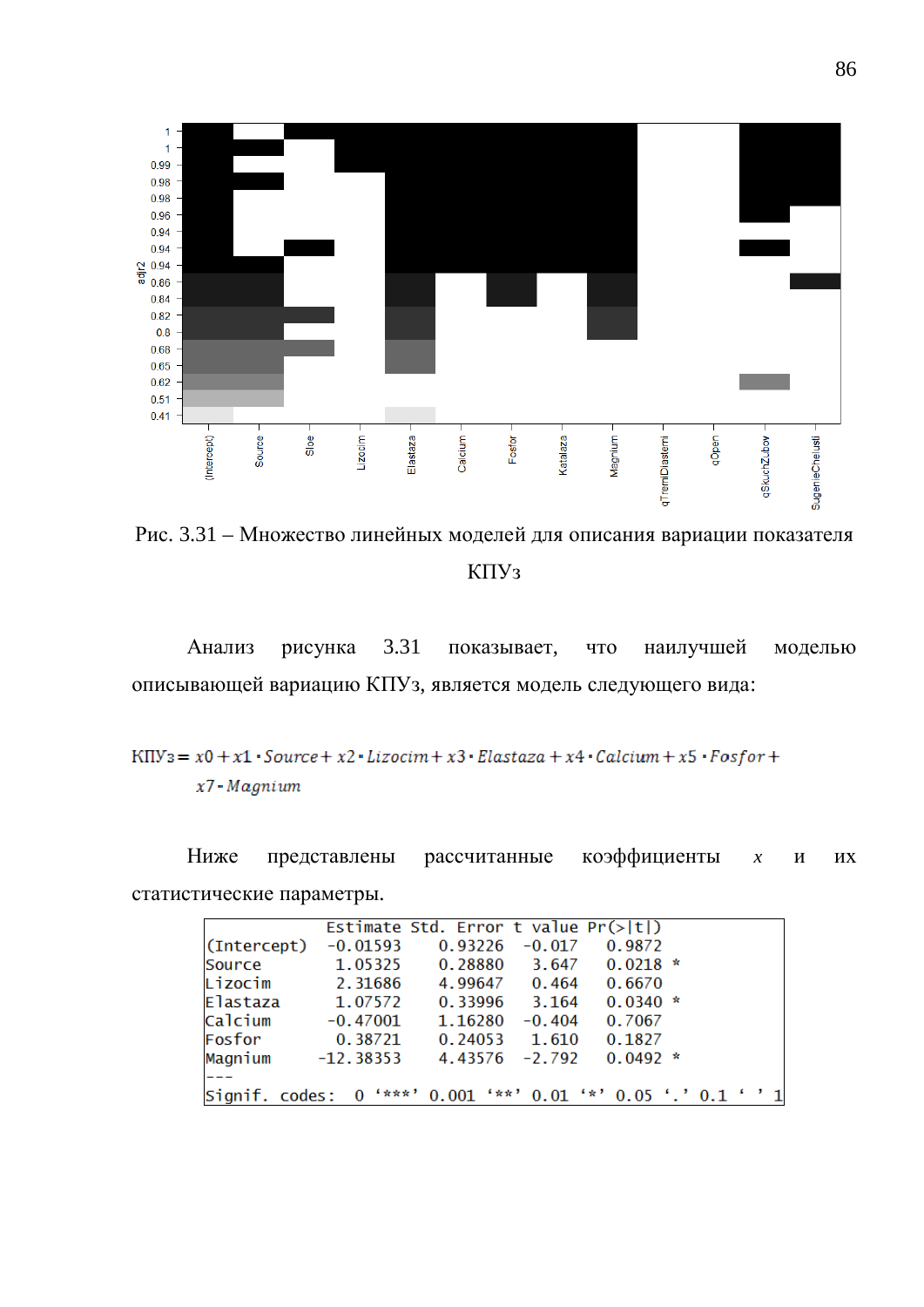

Рис. 3.31 – Множество линейных моделей для описания вариации показателя КПУ<sub>3</sub>

Анализ рисунка 3.31 показывает, что наилучшей моделью описывающей вариацию КПУз, является модель следующего вида:

```
KIIV<sub>3</sub> = x0 + x1 \cdotSource + x2 \cdotLizocim + x3 \cdotElastaza + x4 \cdotCalcium + x5 \cdotFosfor +
x7 \cdot Magnium
```
Ниже представлены рассчитанные коэффициенты *х* и их статистические параметры.

|             |                                                               | Estimate Std. Error t value $Pr(> t )$ |          |            |  |  |  |
|-------------|---------------------------------------------------------------|----------------------------------------|----------|------------|--|--|--|
| (Intercept) | $-0.01593$                                                    | 0.93226                                | $-0.017$ | 0.9872     |  |  |  |
| Source      | 1.05325                                                       | 0.28880                                | 3.647    | $0.0218$ * |  |  |  |
| Lizocim     | 2.31686                                                       | 4.99647                                | 0.464    | 0.6670     |  |  |  |
| Elastaza    | 1.07572                                                       | 0.33996                                | 3.164    | $0.0340*$  |  |  |  |
| Calcium     | $-0.47001$                                                    | 1.16280                                | $-0.404$ | 0.7067     |  |  |  |
| Fosfor      | 0.38721                                                       | 0.24053                                | 1.610    | 0.1827     |  |  |  |
| Magnium     | $-12.38353$                                                   | 4.43576                                | $-2.792$ | $0.0492 *$ |  |  |  |
|             |                                                               |                                        |          |            |  |  |  |
|             | Signif. codes: 0 '***' 0.001 '**' 0.01 '*' 0.05 '.' 0.1 ' ' 1 |                                        |          |            |  |  |  |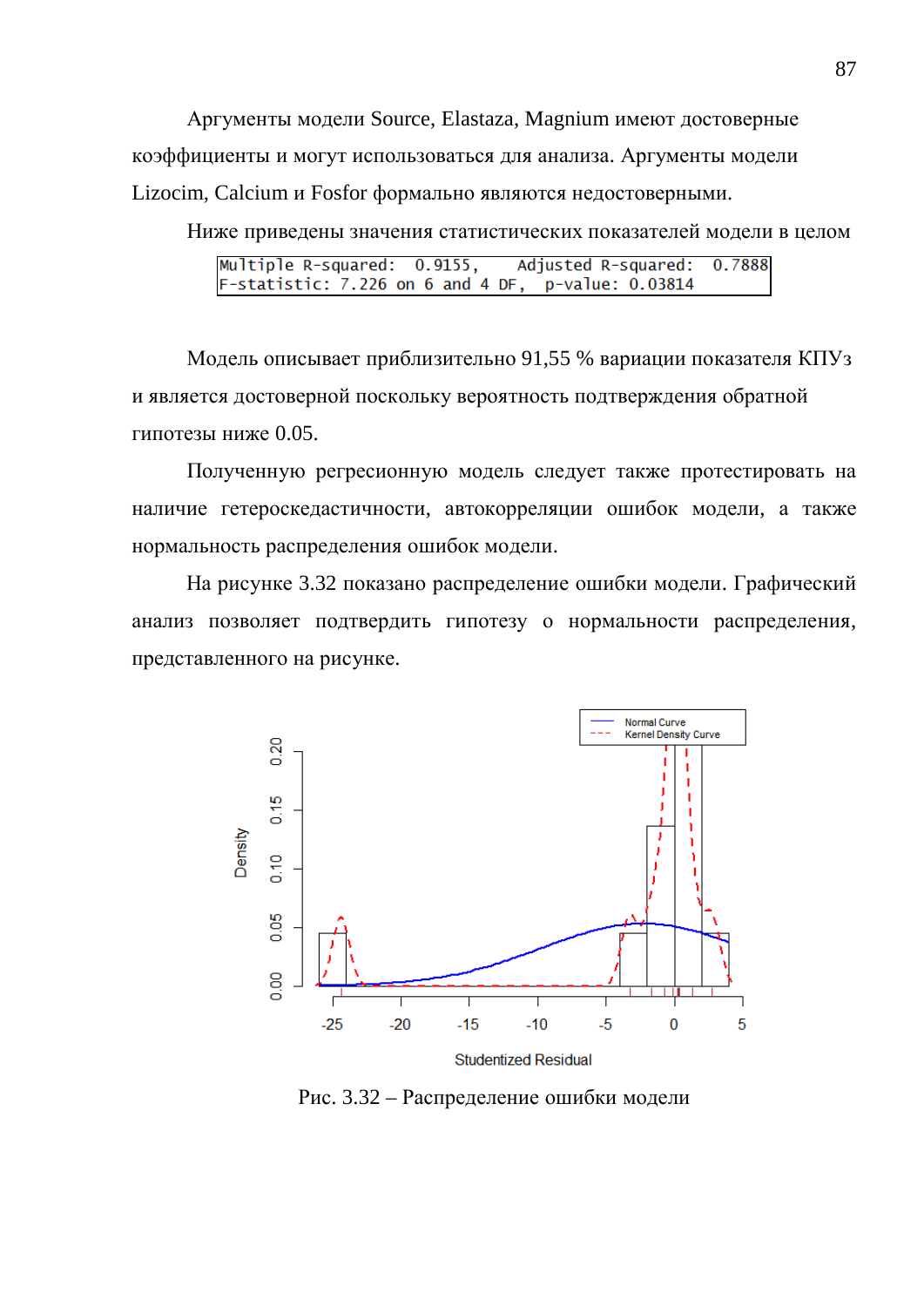Аргументы модели Source, Elastaza, Magnium имеют достоверные коэффициенты и могут использоваться для анализа. Аргументы модели Lizocim, Calcium и Fosfor формально являются недостоверными.

Ниже приведены значения статистических показателей модели в целом

|  | Multiple R-squared: 0.9155, Adjusted R-squared: 0.7888 |  |
|--|--------------------------------------------------------|--|
|  | $F$ -statistic: 7.226 on 6 and 4 DF, p-value: 0.03814  |  |

Модель описывает приблизительно 91,55 % вариации показателя КПУз и является достоверной поскольку вероятность подтверждения обратной гипотезы ниже 0.05.

Полученную регресионную модель следует также протестировать на наличие гетероскедастичности, автокорреляции ошибок модели, а также нормальность распределения ошибок модели.

На рисунке 3.32 показано распределение ошибки модели. Графический анализ позволяет подтвердить гипотезу о нормальности распределения, представленного на рисунке.



Рис. 3.32 – Распределение ошибки модели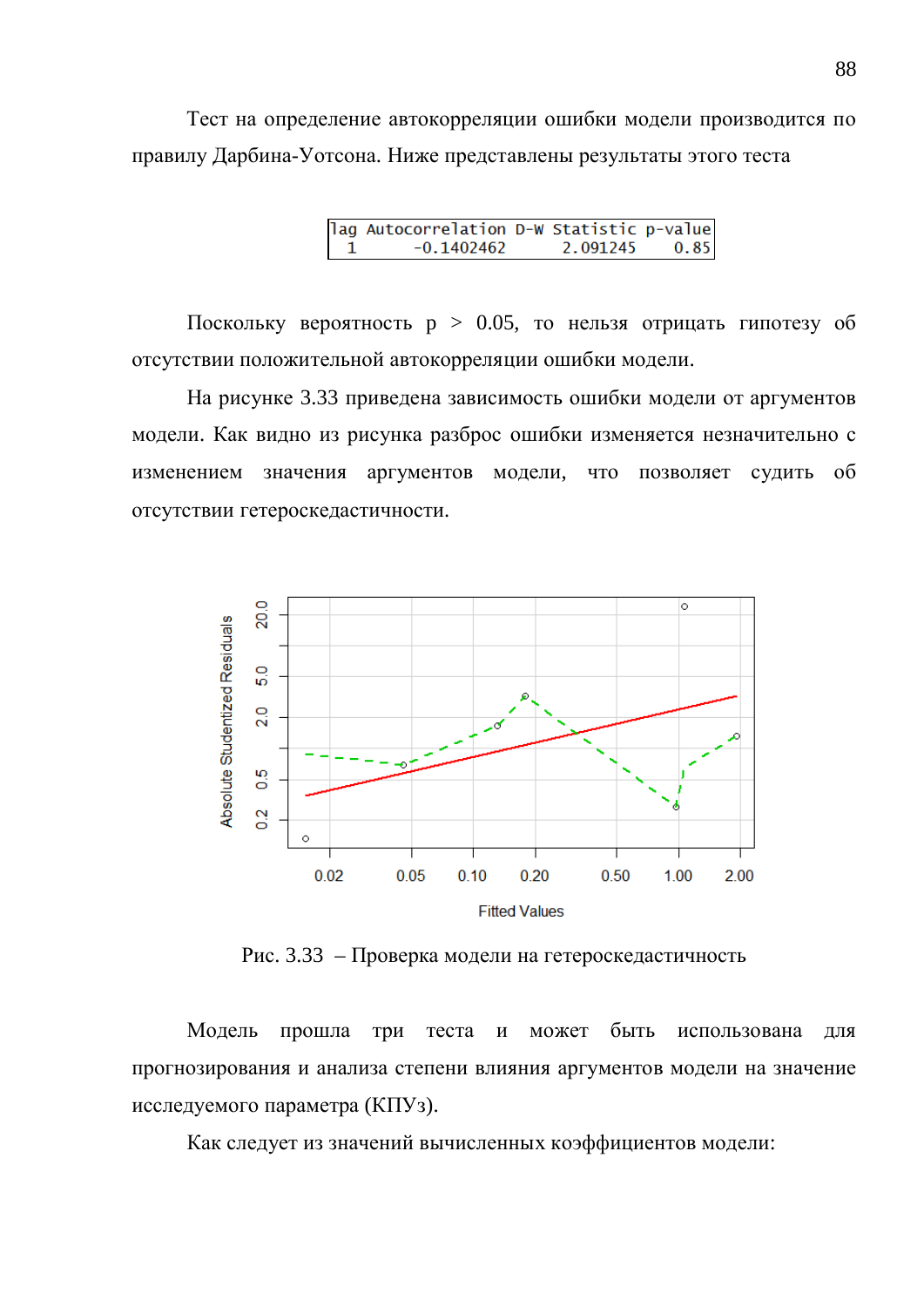Тест на определение автокорреляции ошибки модели производится по правилу Дарбина-Уотсона. Ниже представлены результаты этого теста

> lag Autocorrelation D-W Statistic p-value  $-0.1402462$ 2.091245 0.85  $\mathbf{1}$

Поскольку вероятность  $p > 0.05$ , то нельзя отрицать гипотезу об отсутствии положительной автокорреляции ошибки модели.

На рисунке 3.33 приведена зависимость ошибки модели от аргументов модели. Как видно из рисунка разброс ошибки изменяется незначительно с изменением значения аргументов модели, что позволяет судить об отсутствии гетероскедастичности.



Рис. 3.33 – Проверка модели на гетероскедастичность

Модель прошла три теста и может быть использована для прогнозирования и анализа степени влияния аргументов модели на значение исследуемого параметра (КПУз).

Как следует из значений вычисленных коэффициентов модели: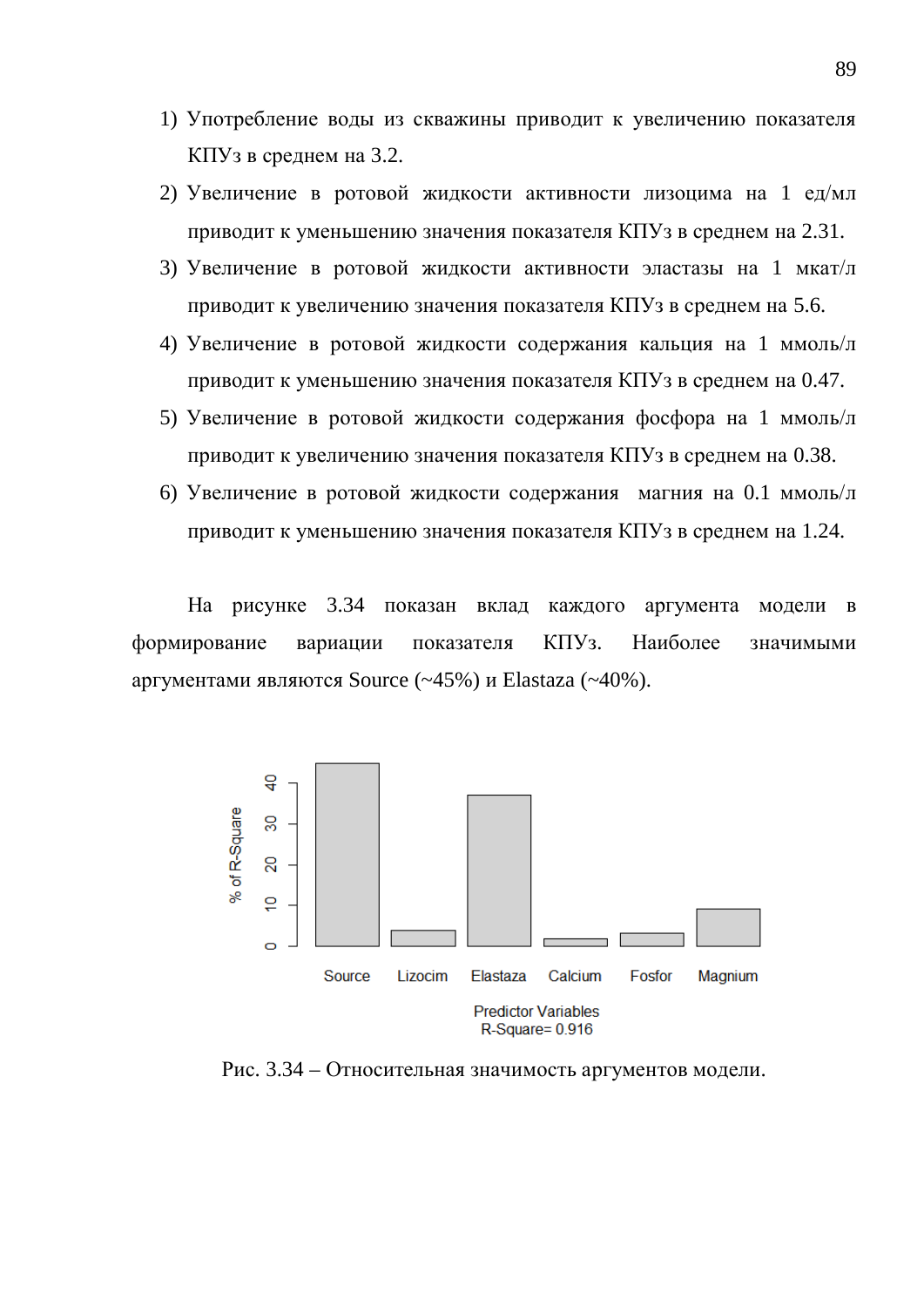- 1) Употребление воды из скважины приводит к увеличению показателя КПУз в среднем на 3.2.
- 2) Увеличение в ротовой жидкости активности лизоцима на 1 ед/мл приводит к уменьшению значения показателя КПУз в среднем на 2.31.
- 3) Увеличение в ротовой жидкости активности эластазы на 1 мкат/л приводит к увеличению значения показателя КПУз в среднем на 5.6.
- 4) Увеличение в ротовой жидкости содержания кальция на 1 ммоль/л приводит к уменьшению значения показателя КПУз в среднем на 0.47.
- 5) Увеличение в ротовой жидкости содержания фосфора на 1 ммоль/л приводит к увеличению значения показателя КПУз в среднем на 0.38.
- 6) Увеличение в ротовой жидкости содержания магния на 0.1 ммоль/л приводит к уменьшению значения показателя КПУз в среднем на 1.24.

На рисунке 3.34 показан вклад каждого аргумента модели в формирование вариации показателя КПУз. Наиболее значимыми аргументами являются Source  $(-45%)$  и Elastaza  $(-40%)$ .



Рис. 3.34 – Относительная значимость аргументов модели.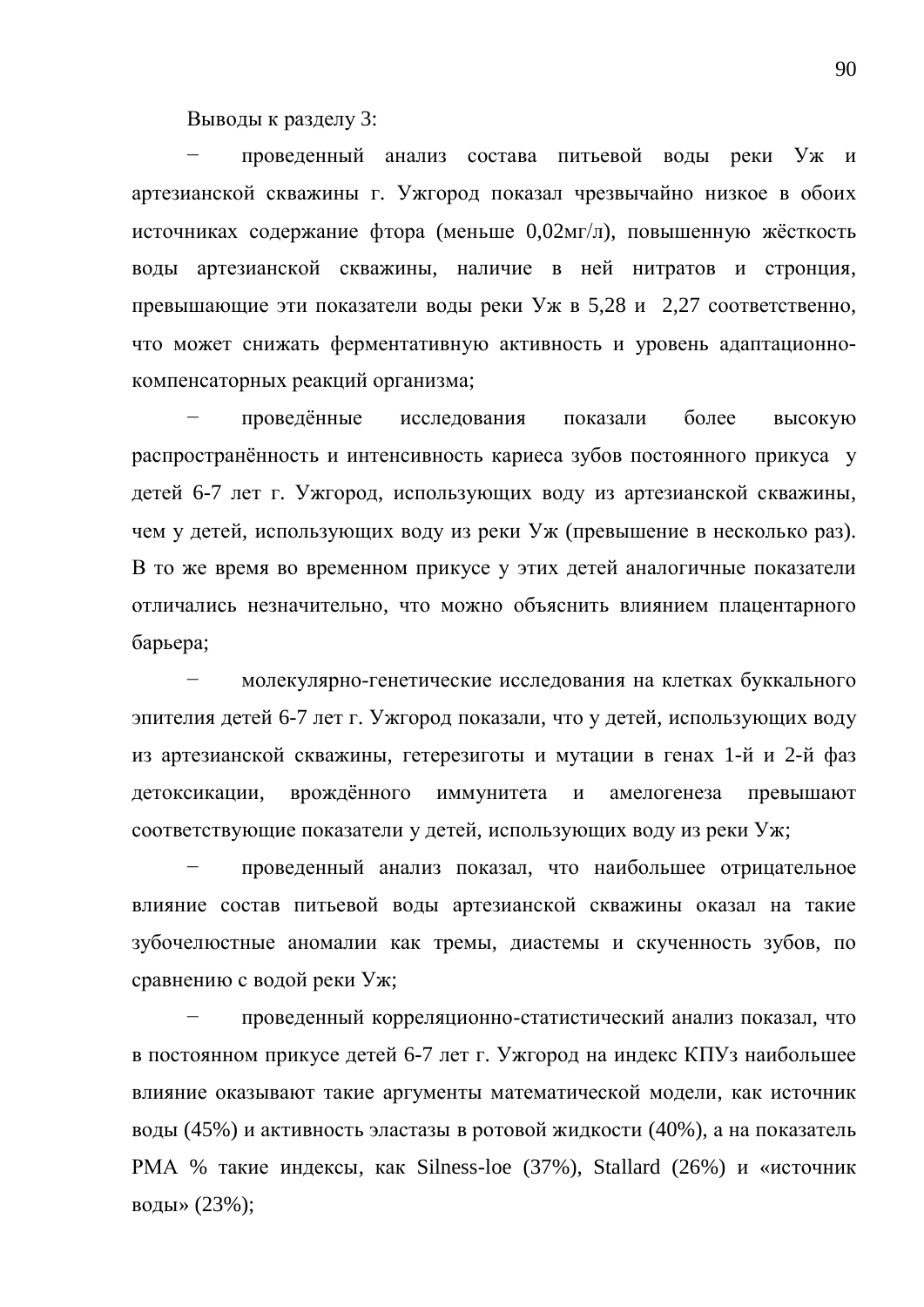Выводы к разделу 3:

проведенный анализ состава питьевой воды реки Уж и артезианской скважины г. Ужгород показал чрезвычайно низкое в обоих источниках содержание фтора (меньше 0,02мг/л), повышенную жёсткость воды артезианской скважины, наличие в ней нитратов и стронция, превышающие эти показатели воды реки Уж в 5,28 и 2,27 соответственно, что может снижать ферментативную активность и уровень адаптационнокомпенсаторных реакций организма;

проведённые исследования показали более высокую распространённость и интенсивность кариеса зубов постоянного прикуса у детей 6-7 лет г. Ужгород, использующих воду из артезианской скважины, чем у детей, использующих воду из реки Уж (превышение в несколько раз). В то же время во временном прикусе у этих детей аналогичные показатели отличались незначительно, что можно объяснить влиянием плацентарного барьера;

молекулярно-генетические исследования на клетках буккального эпителия детей 6-7 лет г. Ужгород показали, что у детей, использующих воду из артезианской скважины, гетерезиготы и мутации в генах 1-й и 2-й фаз детоксикации, врождённого иммунитета и амелогенеза превышают соответствующие показатели у детей, использующих воду из реки Уж;

проведенный анализ показал, что наибольшее отрицательное влияние состав питьевой воды артезианской скважины оказал на такие зубочелюстные аномалии как тремы, диастемы и скученность зубов, по сравнению с водой реки Уж;

проведенный корреляционно-статистический анализ показал, что в постоянном прикусе детей 6-7 лет г. Ужгород на индекс КПУз наибольшее влияние оказывают такие аргументы математической модели, как источник воды (45%) и активность эластазы в ротовой жидкости (40%), а на показатель PMA % такие индексы, как Silness-loe (37%), Stallard (26%) и «источник воды» (23%);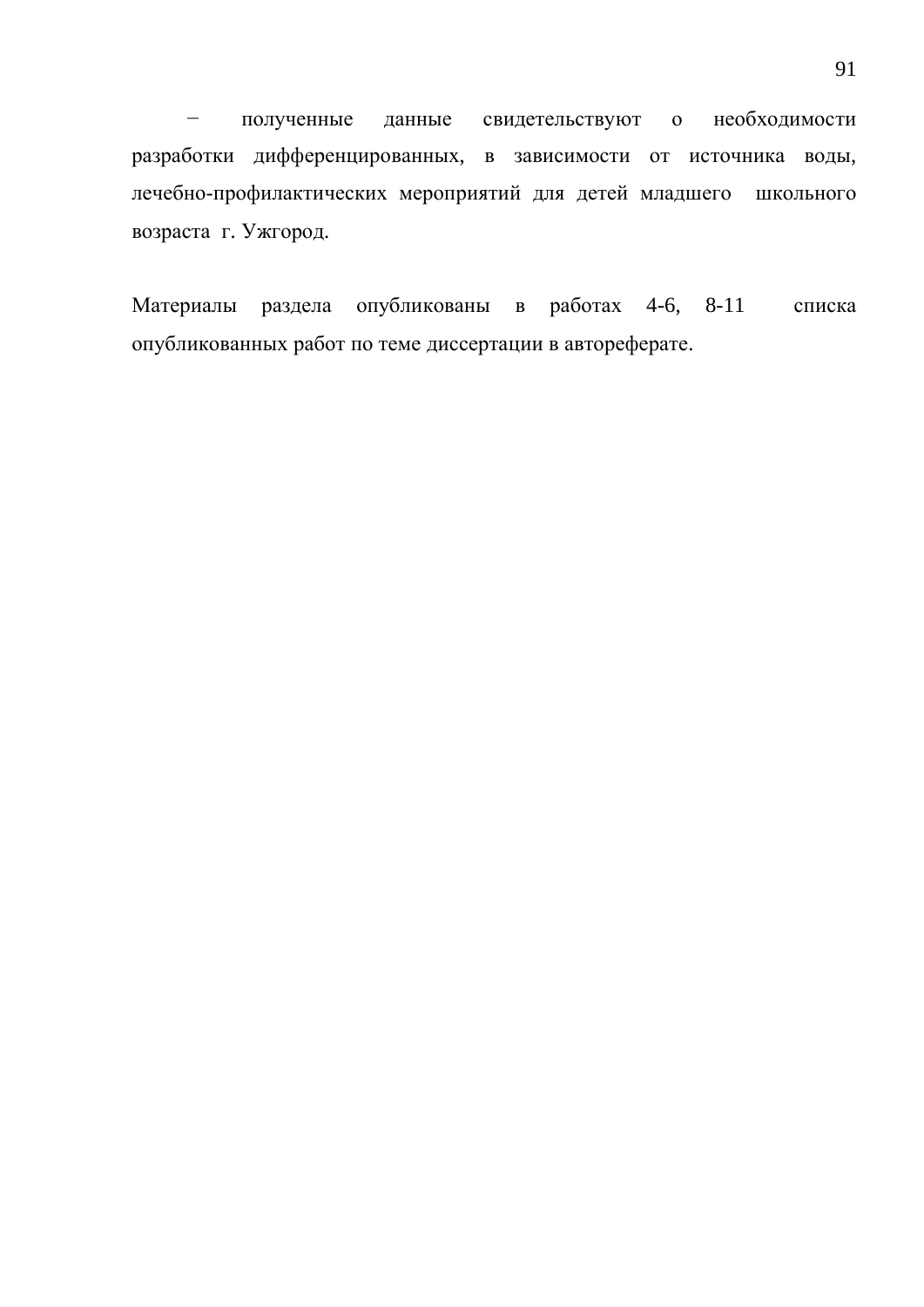- полученные данные свидетельствуют о необходимости разработки дифференцированных, в зависимости от источника воды, лечебно-профилактических мероприятий для детей младшего школьного возраста г. Ужгород.

Материалы раздела опубликованы в работах 4-6, 8-11 списка опубликованных работ по теме диссертации в автореферате.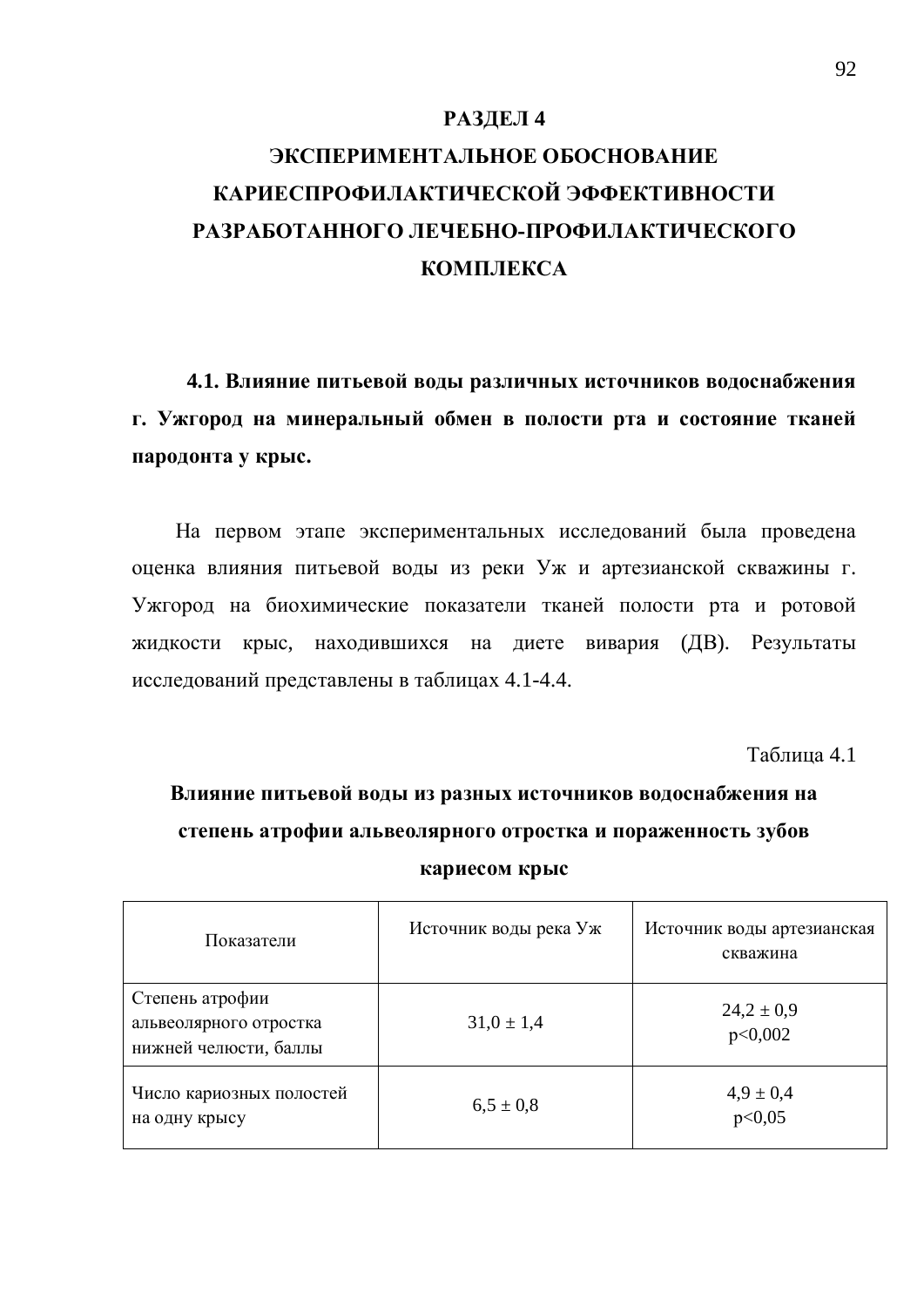#### РАЗДЕЛ 4

# ЭКСПЕРИМЕНТАЛЬНОЕ ОБОСНОВАНИЕ КАРИЕСПРОФИЛАКТИЧЕСКОЙ ЭФФЕКТИВНОСТИ РАЗРАБОТАННОГО ЛЕЧЕБНО-ПРОФИЛАКТИЧЕСКОГО **KOMILJIEKCA**

4.1. Влияние питьевой воды различных источников водоснабжения г. Ужгород на минеральный обмен в полости рта и состояние тканей пародонта у крыс.

На первом этапе экспериментальных исследований была проведена оценка влияния питьевой воды из реки Уж и артезианской скважины г. Ужгород на биохимические показатели тканей полости рта и ротовой жидкости крыс, находившихся на диете вивария (ДВ). Результаты исследований представлены в таблицах 4.1-4.4.

Таблица 4.1

Влияние питьевой воды из разных источников водоснабжения на степень атрофии альвеолярного отростка и пораженность зубов **кариесом крыс** 

| Показатели                                                         | Источник воды река Уж | Источник воды артезианская<br>скважина |
|--------------------------------------------------------------------|-----------------------|----------------------------------------|
| Степень атрофии<br>альвеолярного отростка<br>нижней челюсти, баллы | $31,0 \pm 1,4$        | $24.2 \pm 0.9$<br>p<0,002              |
| Число кариозных полостей<br>на одну крысу                          | $6,5 \pm 0.8$         | $4.9 \pm 0.4$<br>p<0,05                |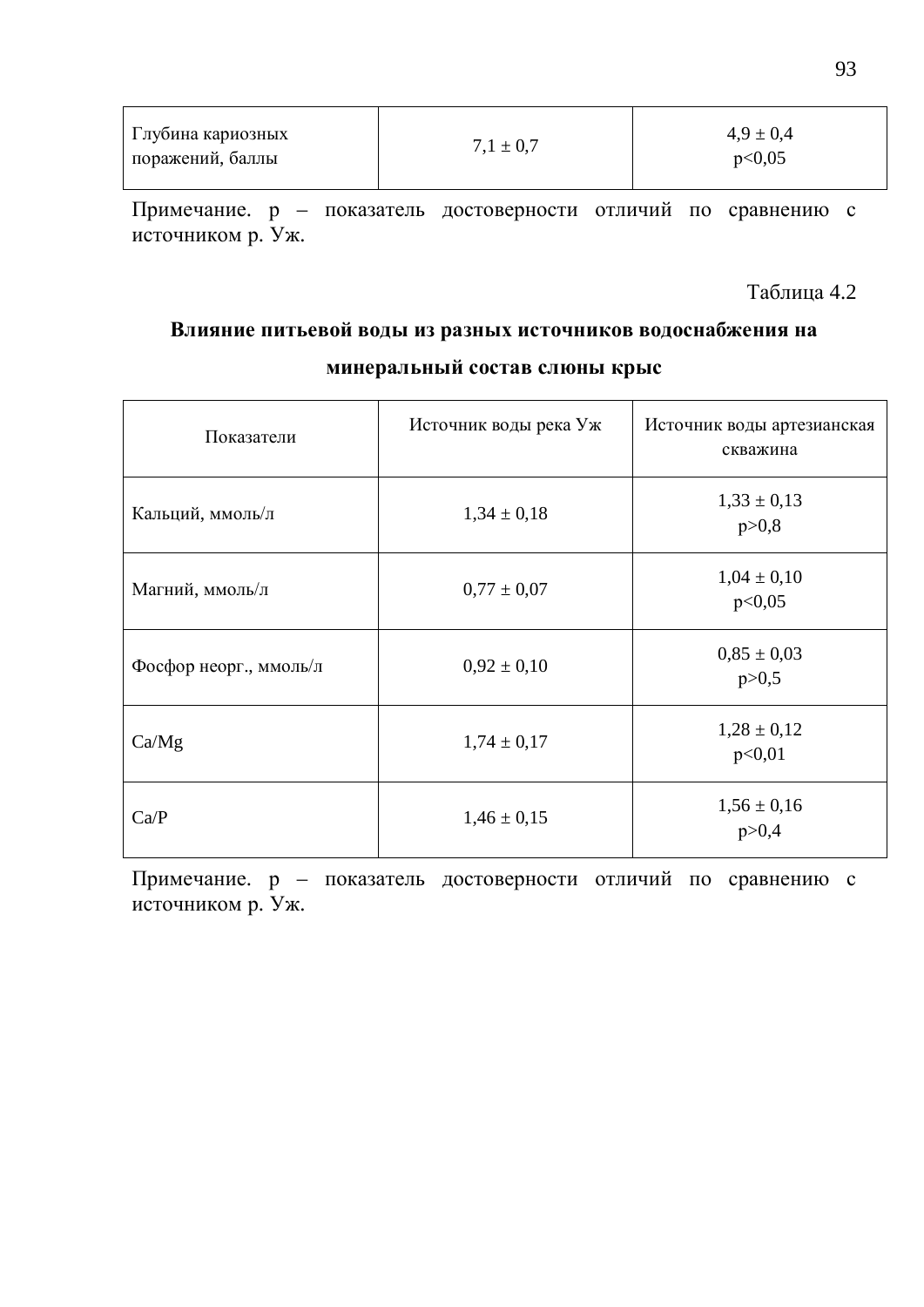| Глубина кариозных<br>поражений, баллы | $7.1 \pm 0.7$ | $4.9 \pm 0.4$<br>p<0,05 |
|---------------------------------------|---------------|-------------------------|
|---------------------------------------|---------------|-------------------------|

Примечание. р – показатель достоверности отличий по сравнению с источником р. Уж.

Таблица 4.2

### Влияние питьевой воды из разных источников водоснабжения на минеральный состав слюны крыс

| Показатели             | Источник воды река Уж | Источник воды артезианская<br>скважина |
|------------------------|-----------------------|----------------------------------------|
| Кальций, ммоль/л       | $1,34 \pm 0,18$       | $1,33 \pm 0,13$<br>p > 0,8             |
| Магний, ммоль/л        | $0.77 \pm 0.07$       | $1,04 \pm 0,10$<br>p<0,05              |
| Фосфор неорг., ммоль/л | $0.92 \pm 0.10$       | $0.85 \pm 0.03$<br>p > 0, 5            |
| Ca/Mg                  | $1,74 \pm 0,17$       | $1,28 \pm 0,12$<br>p<0,01              |
| Ca/P                   | $1,46 \pm 0,15$       | $1,56 \pm 0,16$<br>p > 0,4             |

Примечание. р – показатель достоверности отличий по сравнению с источником р. Уж.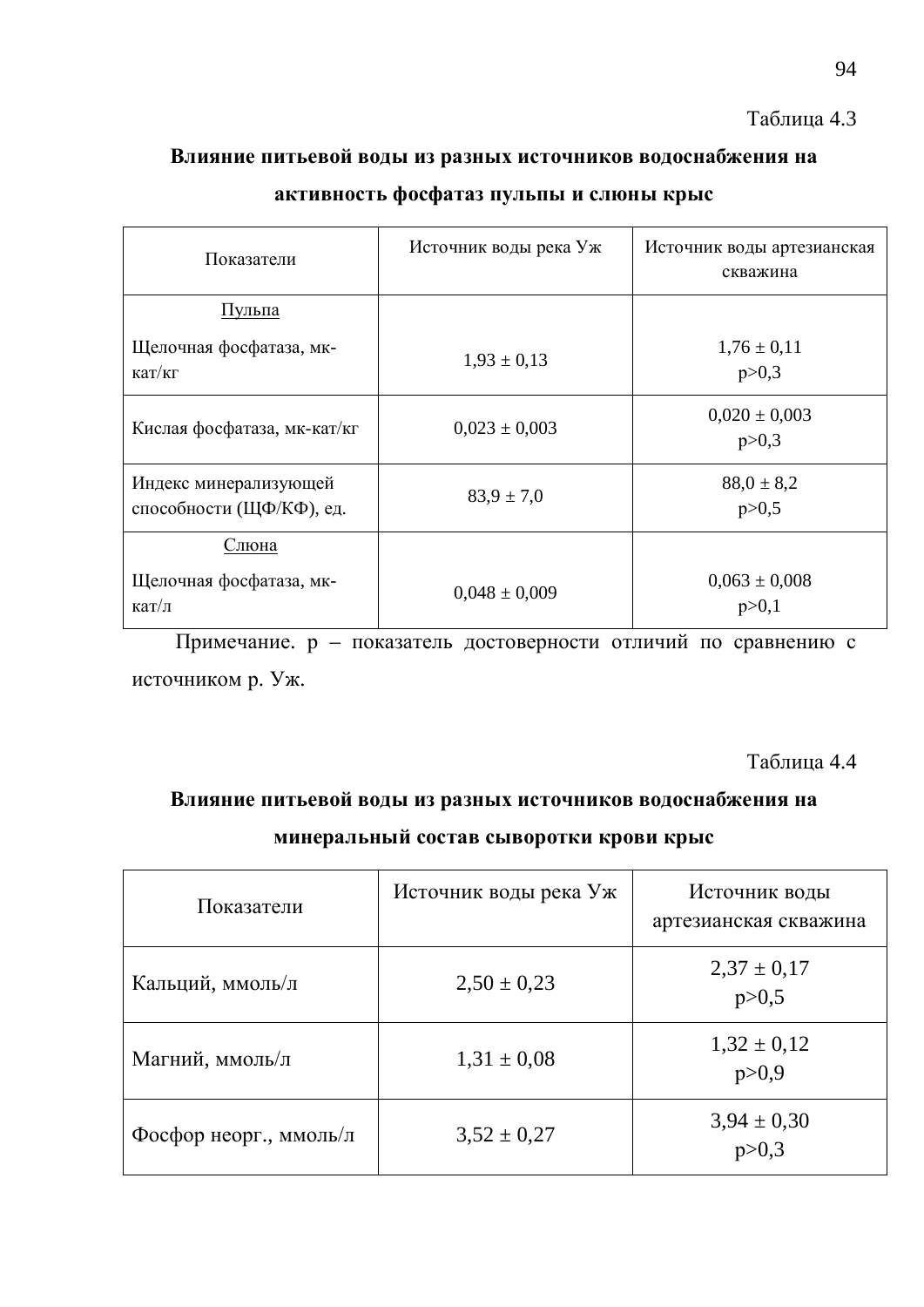### Таблица 4.3

### Влияние питьевой воды из разных источников водоснабжения на

### активность фосфатаз пульпы и слюны крыс

| Показатели                                                 | Источник воды река Уж | Источник воды артезианская<br>скважина |
|------------------------------------------------------------|-----------------------|----------------------------------------|
| Пульпа                                                     |                       |                                        |
| Щелочная фосфатаза, мк-<br>$\kappa a$ T/ $\kappa$ $\Gamma$ | $1,93 \pm 0,13$       | $1,76 \pm 0,11$<br>p > 0,3             |
| Кислая фосфатаза, мк-кат/кг                                | $0,023 \pm 0,003$     | $0,020 \pm 0,003$<br>p > 0,3           |
| Индекс минерализующей<br>способности (ЩФ/КФ), ед.          | $83.9 \pm 7.0$        | $88,0 \pm 8,2$<br>p > 0, 5             |
| Слюна<br>Щелочная фосфатаза, мк-<br>кат/л                  | $0.048 \pm 0.009$     | $0,063 \pm 0,008$<br>p > 0,1           |

Примечание. р – показатель достоверности отличий по сравнению с источником р. Уж.

Таблица 4.4

### Влияние питьевой воды из разных источников водоснабжения на **минеральный состав сыворотки крови крыс**

| Показатели             | Источник воды река Уж | Источник воды<br>артезианская скважина |
|------------------------|-----------------------|----------------------------------------|
| Кальций, ммоль/л       | $2,50 \pm 0,23$       | $2,37 \pm 0,17$<br>p > 0, 5            |
| Магний, ммоль/л        | $1,31 \pm 0,08$       | $1,32 \pm 0,12$<br>p > 0.9             |
| Фосфор неорг., ммоль/л | $3,52 \pm 0,27$       | $3,94 \pm 0,30$                        |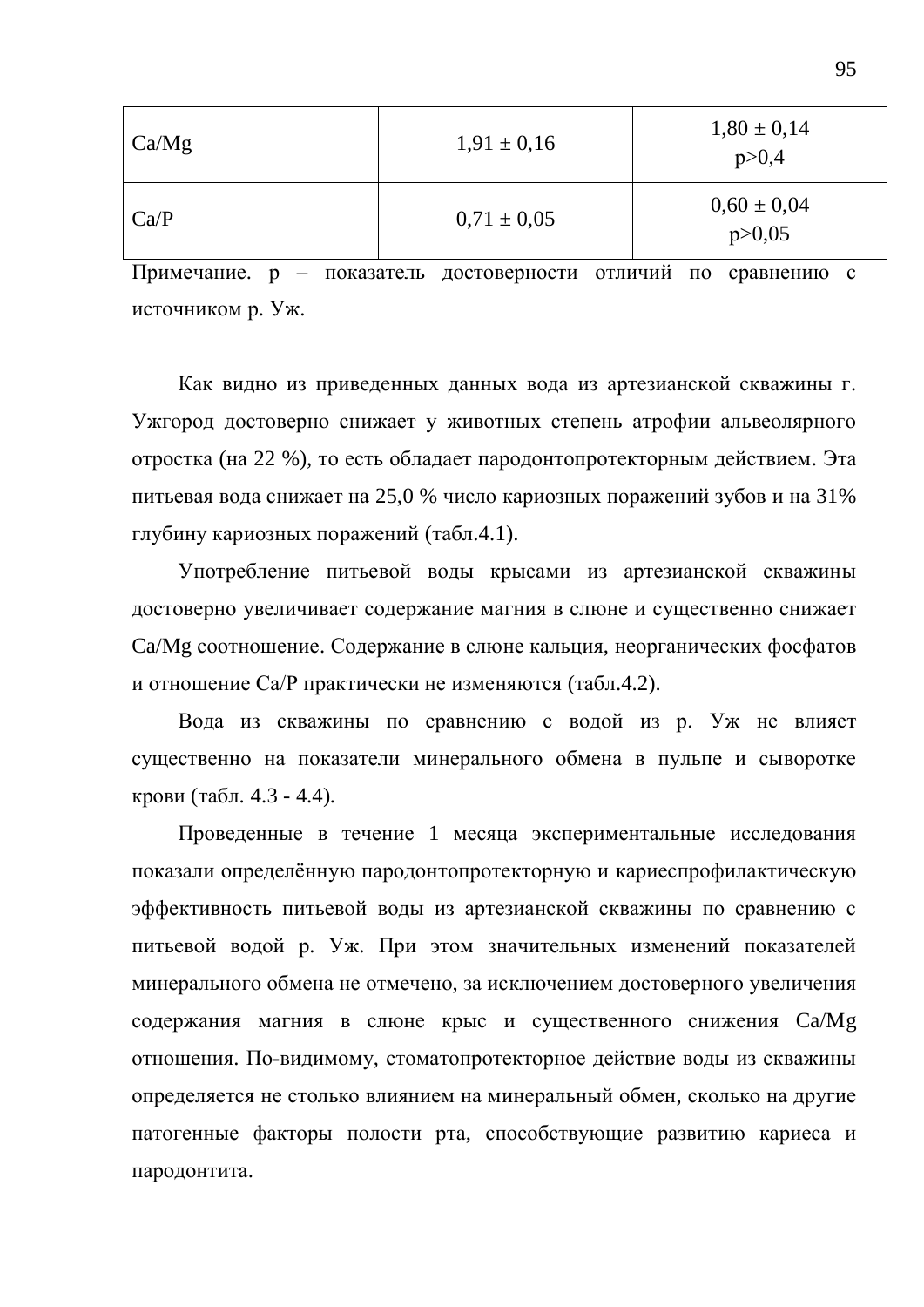| Ca/Mg | $1,91 \pm 0,16$ | $1,80 \pm 0,14$<br>p > 0,4  |
|-------|-----------------|-----------------------------|
| Ca/P  | $0.71 \pm 0.05$ | $0,60 \pm 0,04$<br>p > 0,05 |

Примечание. р – показатель достоверности отличий по сравнению с источником р. Уж.

Как видно из приведенных данных вода из артезианской скважины г. Ужгород достоверно снижает у животных степень атрофии альвеолярного отростка (на 22 %), то есть обладает пародонтопротекторным действием. Эта питьевая вода снижает на 25,0 % число кариозных поражений зубов и на 31% глубину кариозных поражений (табл.4.1).

Употребление питьевой воды крысами из артезианской скважины достоверно увеличивает содержание магния в слюне и существенно снижает Са/Мg соотношение. Содержание в слюне кальция, неорганических фосфатов и отношение Са/Р практически не изменяются (табл.4.2).

Вода из скважины по сравнению с водой из р. Уж не влияет существенно на показатели минерального обмена в пульпе и сыворотке крови (табл. 4.3 - 4.4).

Проведенные в течение 1 месяца экспериментальные исследования показали определённую пародонтопротекторную и кариеспрофилактическую эффективность питьевой воды из артезианской скважины по сравнению с питьевой водой р. Уж. При этом значительных изменений показателей минерального обмена не отмечено, за исключением достоверного увеличения содержания магния в слюне крыс и существенного снижения Ca/Mg отношения. По-видимому, стоматопротекторное действие воды из скважины определяется не столько влиянием на минеральный обмен, сколько на другие патогенные факторы полости рта, способствующие развитию кариеса и пародонтита.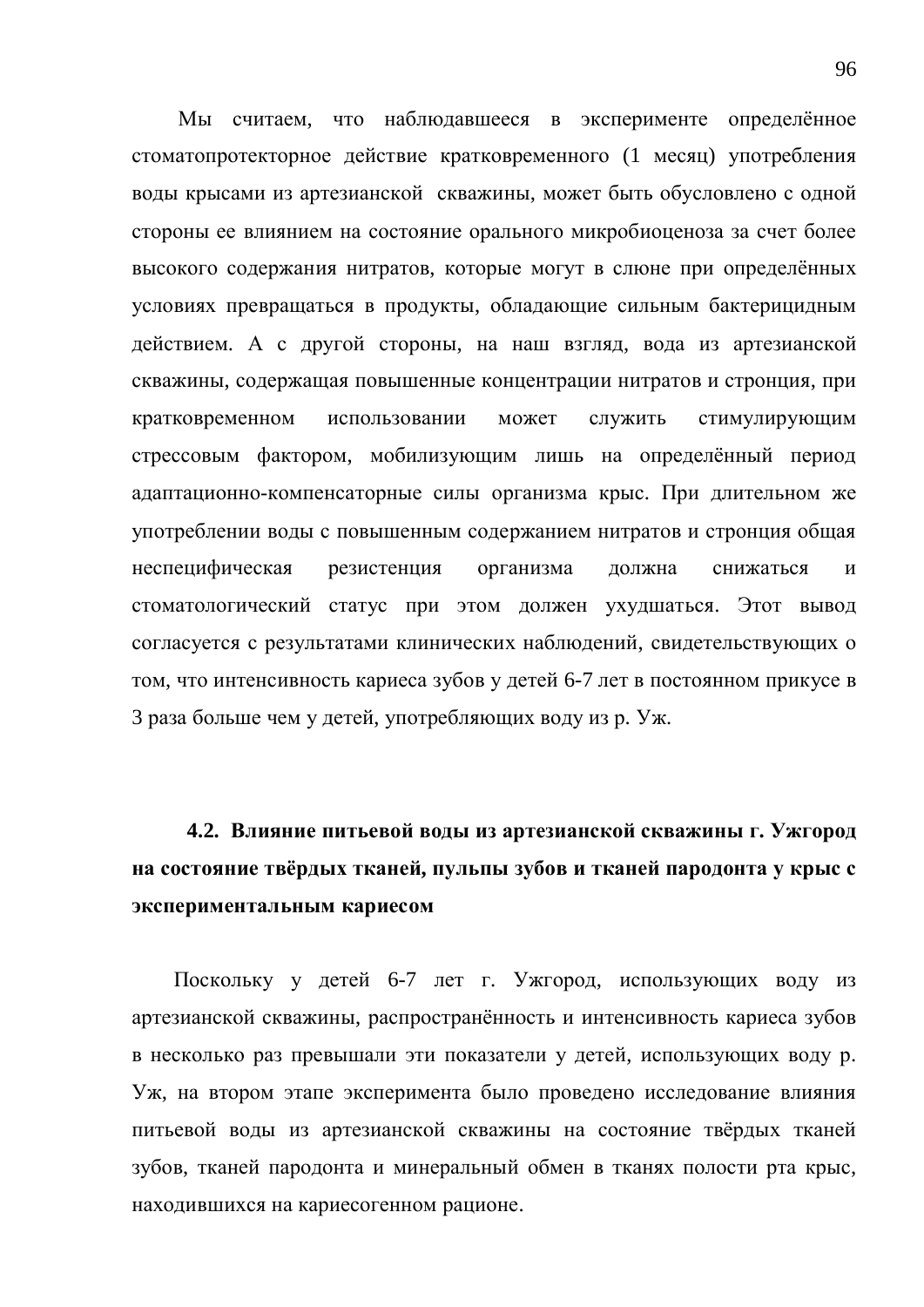Мы считаем, что наблюдавшееся в эксперименте определённое стоматопротекторное действие кратковременного (1 месяц) употребления воды крысами из артезианской скважины, может быть обусловлено с одной стороны ее влиянием на состояние орального микробиоценоза за счет более высокого содержания нитратов, которые могут в слюне при определённых условиях превращаться в продукты, обладающие сильным бактерицидным действием. А с другой стороны, на наш взгляд, вода из артезианской скважины, содержащая повышенные концентрации нитратов и стронция, при кратковременном использовании может служить стимулирующим стрессовым фактором, мобилизующим лишь на определённый период адаптационно-компенсаторные силы организма крыс. При длительном же употреблении воды с повышенным содержанием нитратов и стронция общая неспецифическая резистенция организма должна снижаться и стоматологический статус при этом должен ухудшаться. Этот вывод согласуется с результатами клинических наблюдений, свидетельствующих о том, что интенсивность кариеса зубов у детей 6-7 лет в постоянном прикусе в 3 раза больше чем у детей, употребляющих воду из р. Уж.

4.2. Влияние питьевой воды из артезианской скважины г. Ужгород на состояние твёрдых тканей, пульпы зубов и тканей пародонта у крыс с **ЭКСПЕРИМЕНТАЛЬНЫМ КАРИЕСОМ** 

Поскольку у детей 6-7 лет г. Ужгород, использующих воду из артезианской скважины, распространённость и интенсивность кариеса зубов в несколько раз превышали эти показатели у детей, использующих воду р. Уж, на втором этапе эксперимента было проведено исследование влияния питьевой воды из артезианской скважины на состояние твёрдых тканей зубов, тканей пародонта и минеральный обмен в тканях полости рта крыс, находившихся на кариесогенном рационе.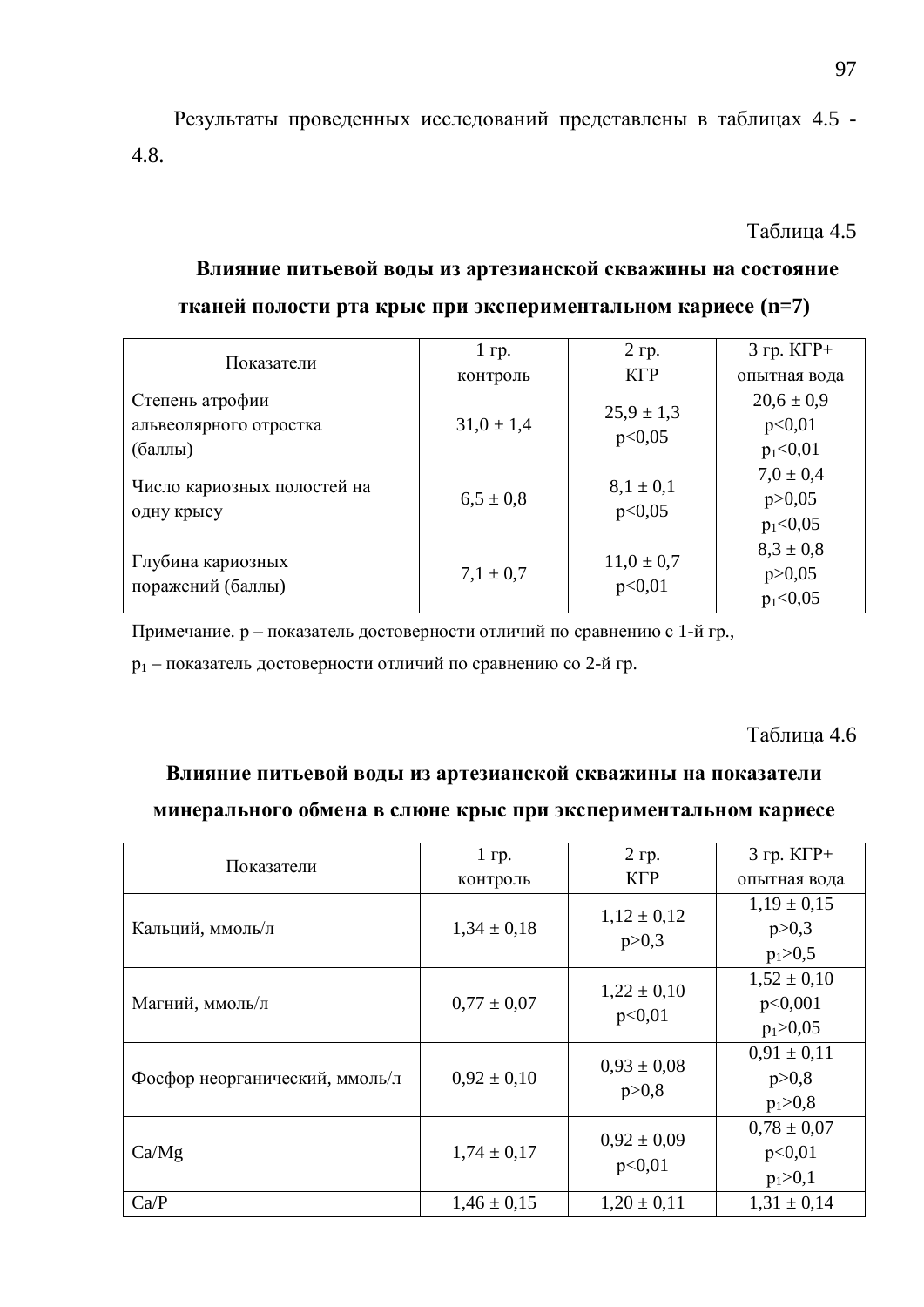Результаты проведенных исследований представлены в таблицах 4.5 -4.8.

Таблина 4.5

### Влияние питьевой воды из артезианской скважины на состояние

| Показатели                  | $1$ rp.        | $2$ гр.        | $3$ rp. $K\Gamma P+$ |
|-----------------------------|----------------|----------------|----------------------|
|                             | контроль       | $K\Gamma P$    | опытная вода         |
| Степень атрофии             |                | $25.9 \pm 1.3$ | $20,6 \pm 0.9$       |
| альвеолярного отростка      | $31,0 \pm 1,4$ | p<0,05         | p<0,01               |
| (баллы)                     |                |                | $p_1<0,01$           |
|                             |                | $8,1 \pm 0,1$  | $7.0 \pm 0.4$        |
| Число кариозных полостей на | $6,5 \pm 0.8$  | p<0,05         | p > 0,05             |
| одну крысу                  |                |                | $p_1<0,05$           |
|                             |                | $11,0 \pm 0.7$ | $8,3 \pm 0.8$        |
| Глубина кариозных           | $7.1 \pm 0.7$  |                | p > 0,05             |
| поражений (баллы)           |                | p<0,01         | $p_1<0,05$           |

#### тканей полости рта крыс при экспериментальном кариесе (n=7)

Примечание. р – показатель достоверности отличий по сравнению с 1-й гр.,

 $p_1$  – показатель достоверности отличий по сравнению со 2-й гр.

#### Таблица 4.6

#### Влияние питьевой воды из артезианской скважины на показатели

#### минерального обмена в слюне крыс при экспериментальном кариесе

| Показатели                     | $1$ rp.         | 2 гр.                      | $3$ rp. $K\Gamma P+$       |
|--------------------------------|-----------------|----------------------------|----------------------------|
|                                | контроль        | KГP                        | опытная вода               |
| Кальций, ммоль/л               | $1,34 \pm 0,18$ | $1,12 \pm 0,12$<br>p > 0,3 | $1,19 \pm 0,15$<br>p > 0,3 |
|                                |                 |                            | $p_1 > 0, 5$               |
|                                |                 | $1,22 \pm 0,10$            | $1,52 \pm 0,10$            |
| Магний, ммоль/л                | $0.77 \pm 0.07$ | p<0,01                     | p<0,001                    |
|                                |                 |                            | $p_1 > 0,05$               |
|                                |                 | $0.93 \pm 0.08$            | $0.91 \pm 0.11$            |
| Фосфор неорганический, ммоль/л | $0.92 \pm 0.10$ | p > 0,8                    | p > 0,8                    |
|                                |                 |                            | $p_1 > 0,8$                |
|                                |                 | $0.92 \pm 0.09$            | $0.78 \pm 0.07$            |
| Ca/Mg                          | $1,74 \pm 0,17$ | p<0,01                     | p<0,01                     |
|                                |                 |                            | $p_1 > 0,1$                |
| Ca/P                           | $1,46 \pm 0,15$ | $1,20 \pm 0,11$            | $1,31 \pm 0,14$            |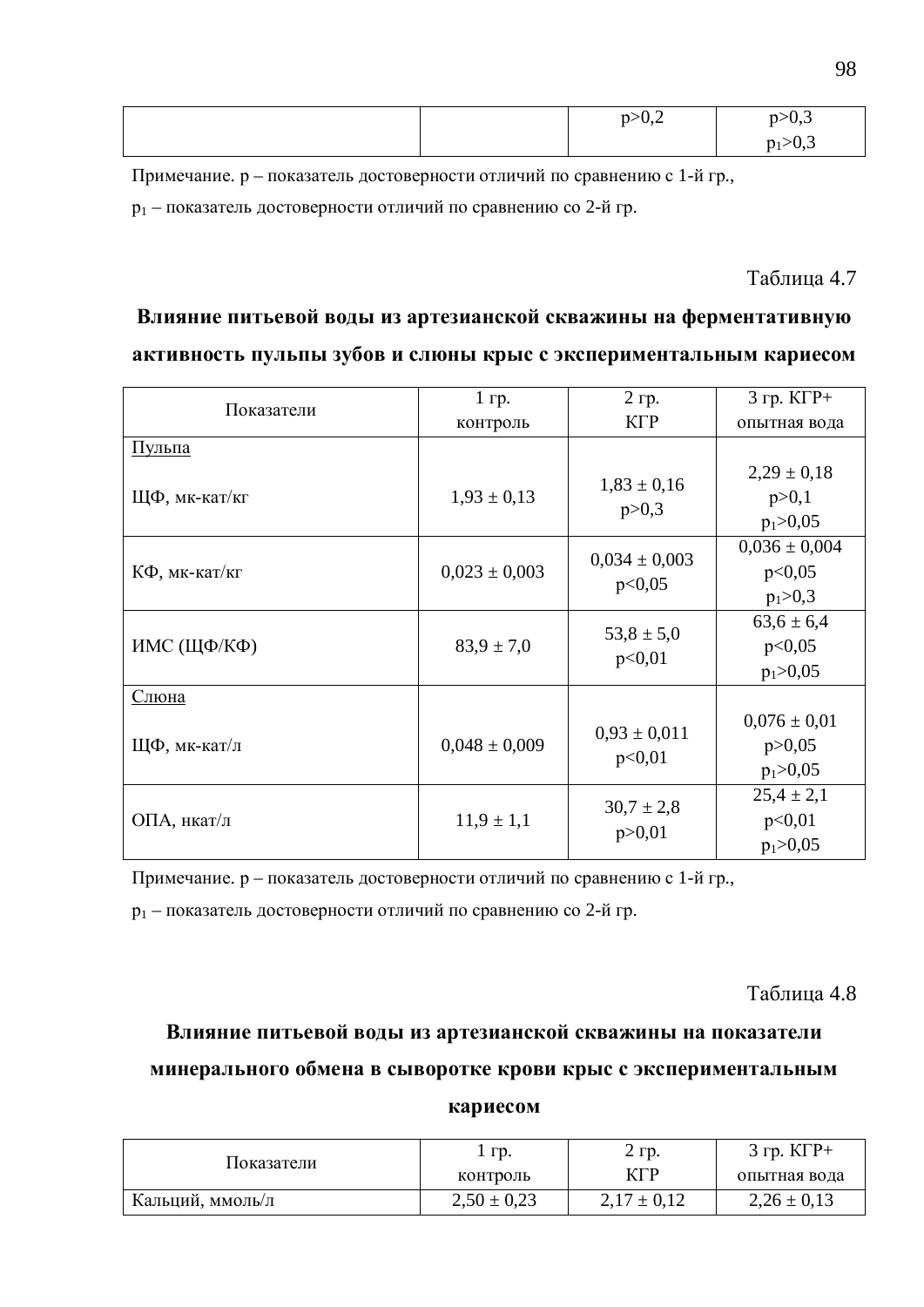|  | $D > 0, \mathcal{L}$<br>$\overline{\phantom{a}}$ | 220,3<br>. .                |
|--|--------------------------------------------------|-----------------------------|
|  |                                                  | $n \sim 11$<br>$\cup, \cup$ |

Примечание. р – показатель достоверности отличий по сравнению с 1-й гр.,

 $p_1$  – показатель достоверности отличий по сравнению со 2-й гр.

Таблина 4.7

### Влияние питьевой воды из артезианской скважины на ферментативную активность пульпы зубов и слюны крыс с экспериментальным кариесом

| Показатели    | $1$ rp.           | 2 гр.                       | $3$ гр. $K\Gamma P+$                         |
|---------------|-------------------|-----------------------------|----------------------------------------------|
|               | контроль          | $K\Gamma P$                 | опытная вода                                 |
| <u>Пульпа</u> |                   |                             |                                              |
| ЩФ, мк-кат/кг | $1,93 \pm 0,13$   | $1,83 \pm 0,16$<br>p > 0,3  | $2,29 \pm 0,18$<br>p > 0,1<br>$p_1 > 0,05$   |
| КФ, мк-кат/кг | $0,023 \pm 0,003$ | $0,034 \pm 0,003$<br>p<0,05 | $0,036 \pm 0,004$<br>p<0,05<br>$p_1 > 0,3$   |
| ИМС (ЩФ/КФ)   | $83,9 \pm 7,0$    | $53,8 \pm 5,0$<br>p<0,01    | $63,6 \pm 6,4$<br>p<0,05<br>$p_1 > 0,05$     |
| Слюна         |                   |                             |                                              |
| ЩФ, мк-кат/л  | $0,048 \pm 0,009$ | $0.93 \pm 0.011$<br>p<0,01  | $0,076 \pm 0,01$<br>p > 0,05<br>$p_1 > 0,05$ |
| ОПА, нкат/л   | $11,9 \pm 1,1$    | $30,7 \pm 2,8$<br>p > 0.01  | $25,4 \pm 2,1$<br>p<0,01<br>$p_1 > 0,05$     |

Примечание. р – показатель достоверности отличий по сравнению с 1-й гр.,

 $p_1$  – показатель достоверности отличий по сравнению со 2-й гр.

Таблица 4.8

## Влияние питьевой воды из артезианской скважины на показатели минерального обмена в сыворотке крови крыс с экспериментальным

#### кариесом

| Показатели       | 1 гр.           | $2$ $rp$ .      | $3$ rp. $K\Gamma P+$ |
|------------------|-----------------|-----------------|----------------------|
|                  | контроль        | KГP             | опытная вода         |
| Кальций, ммоль/л | $2,50 \pm 0,23$ | $2,17 \pm 0,12$ | $2,26 \pm 0,13$      |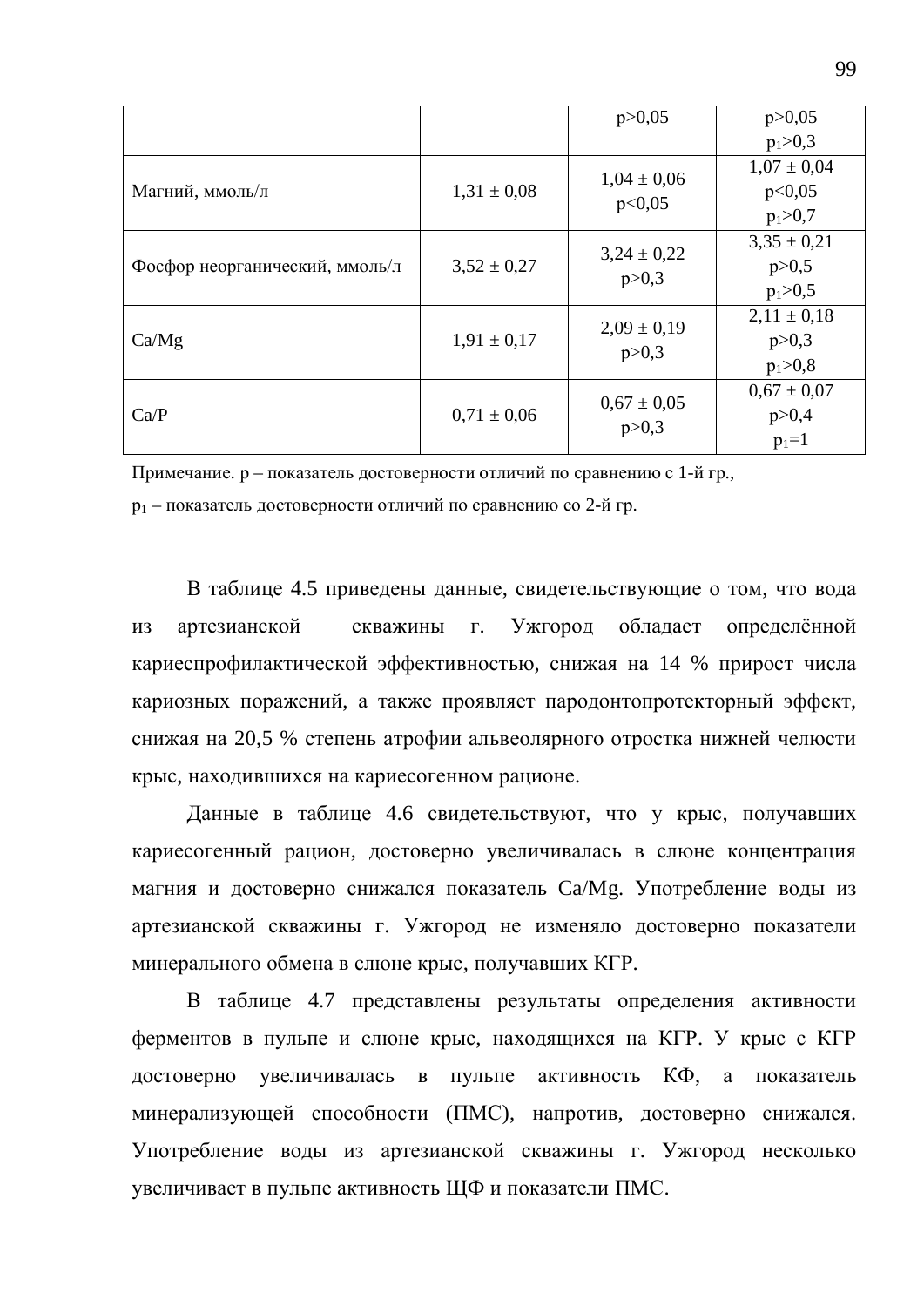|                                |                 | p > 0,05        | p > 0,05        |
|--------------------------------|-----------------|-----------------|-----------------|
|                                |                 |                 | $p_1 > 0,3$     |
|                                |                 | $1,04 \pm 0,06$ | $1,07 \pm 0,04$ |
| Магний, ммоль/л                | $1,31 \pm 0,08$ | p<0,05          | p<0,05          |
|                                |                 |                 | $p_1 > 0,7$     |
|                                |                 | $3,24 \pm 0,22$ | $3,35 \pm 0,21$ |
| Фосфор неорганический, ммоль/л | $3,52 \pm 0.27$ | p > 0,3         | p > 0, 5        |
|                                |                 |                 | $p_1 > 0, 5$    |
|                                |                 | $2,09 \pm 0,19$ | $2,11 \pm 0,18$ |
| Ca/Mg                          | $1,91 \pm 0,17$ | p > 0,3         | p > 0,3         |
|                                |                 |                 | $p_1 > 0,8$     |
|                                |                 | $0.67 \pm 0.05$ | $0.67 \pm 0.07$ |
| Ca/P                           | $0.71 \pm 0.06$ |                 | p > 0,4         |
|                                |                 | p > 0,3         | $p_1=1$         |

Примечание. р – показатель достоверности отличий по сравнению с 1-й гр.,

 $p_1$  – показатель достоверности отличий по сравнению со 2-й гр.

В таблице 4.5 приведены данные, свидетельствующие о том, что вода из артезианской скважины г. Ужгород обладает определённой кариеспрофилактической эффективностью, снижая на 14 % прирост числа кариозных поражений, а также проявляет пародонтопротекторный эффект, снижая на 20,5 % степень атрофии альвеолярного отростка нижней челюсти крыс, находившихся на кариесогенном рационе.

Данные в таблице 4.6 свидетельствуют, что у крыс, получавших кариесогенный рацион, достоверно увеличивалась в слюне концентрация магния и достоверно снижался показатель Са/Мg. Употребление воды из артезианской скважины г. Ужгород не изменяло достоверно показатели минерального обмена в слюне крыс, получавших КГР.

В таблице 4.7 представлены результаты определения активности ферментов в пульпе и слюне крыс, находящихся на КГР. У крыс с КГР достоверно увеличивалась в пульпе активность КФ, а показатель минерализующей способности (ПМС), напротив, достоверно снижался. Употребление воды из артезианской скважины г. Ужгород несколько увеличивает в пульпе активность ЩФ и показатели ПМС.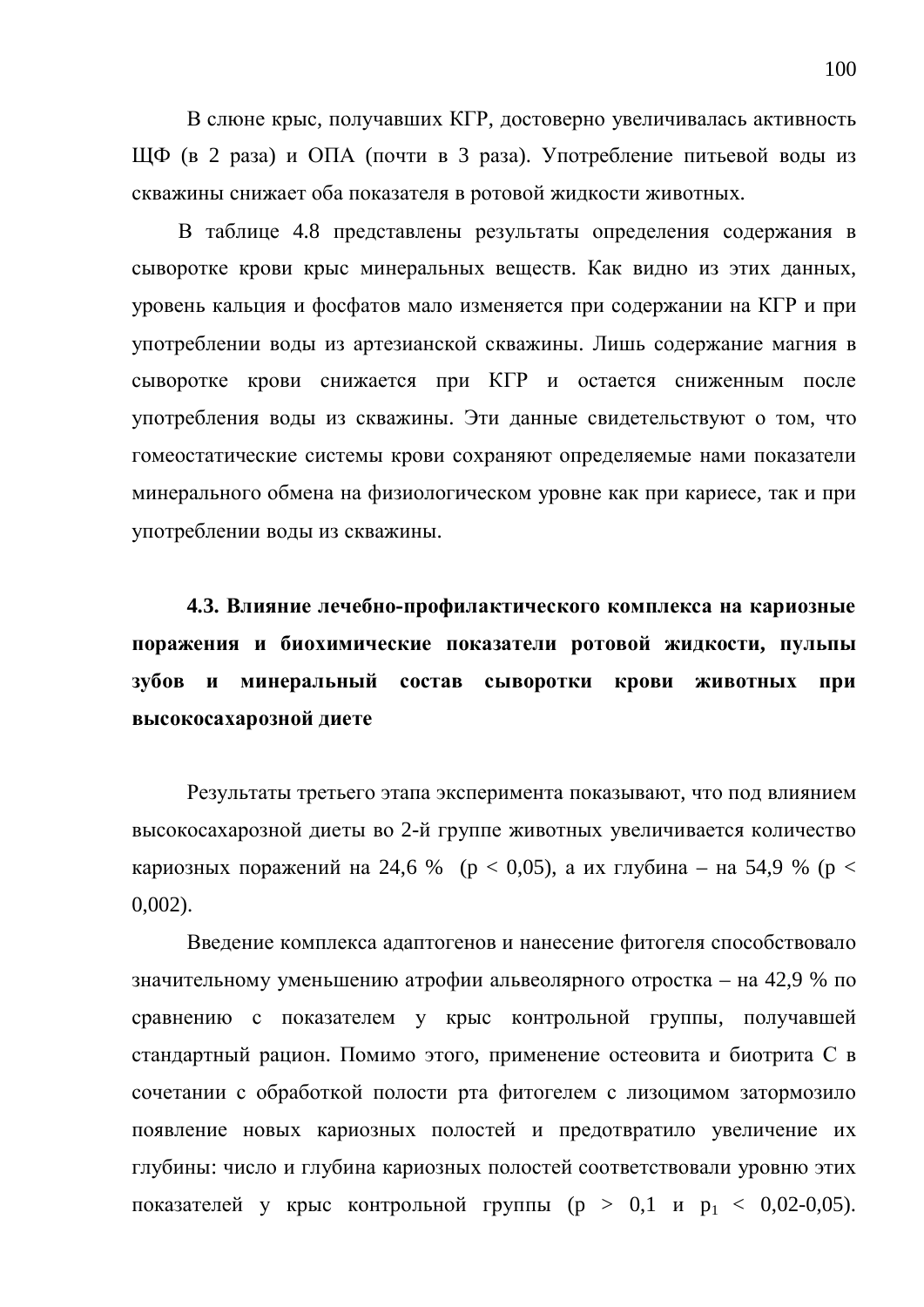В слюне крыс, получавших КГР, достоверно увеличивалась активность ЩФ (в 2 раза) и ОПА (почти в 3 раза). Употребление питьевой воды из скважины снижает оба показателя в ротовой жидкости животных.

В таблице 4.8 представлены результаты определения содержания в сыворотке крови крыс минеральных веществ. Как видно из этих данных, уровень кальция и фосфатов мало изменяется при содержании на КГР и при употреблении воды из артезианской скважины. Лишь содержание магния в сыворотке крови снижается при КГР и остается сниженным после употребления воды из скважины. Эти данные свидетельствуют о том, что гомеостатические системы крови сохраняют определяемые нами показатели минерального обмена на физиологическом уровне как при кариесе, так и при употреблении воды из скважины.

4.3. Влияние лечебно-профилактического комплекса на кариозные поражения и биохимические показатели ротовой жидкости, пульпы зубов и минеральный состав сыворотки крови животных при **высокосахарозной диете** 

Результаты третьего этапа эксперимента показывают, что под влиянием высокосахарозной диеты во 2-й группе животных увеличивается количество кариозных поражений на 24,6 % (р < 0,05), а их глубина – на 54,9 % (р < 0,002).

Введение комплекса адаптогенов и нанесение фитогеля способствовало значительному уменьшению атрофии альвеолярного отростка – на 42,9 % по сравнению с показателем у крыс контрольной группы, получавшей стандартный рацион. Помимо этого, применение остеовита и биотрита С в сочетании с обработкой полости рта фитогелем с лизоцимом затормозило появление новых кариозных полостей и предотвратило увеличение их глубины: число и глубина кариозных полостей соответствовали уровню этих показателей у крыс контрольной группы  $(p > 0, 1 \text{ } n \text{ } p_1 < 0, 02-0, 05)$ .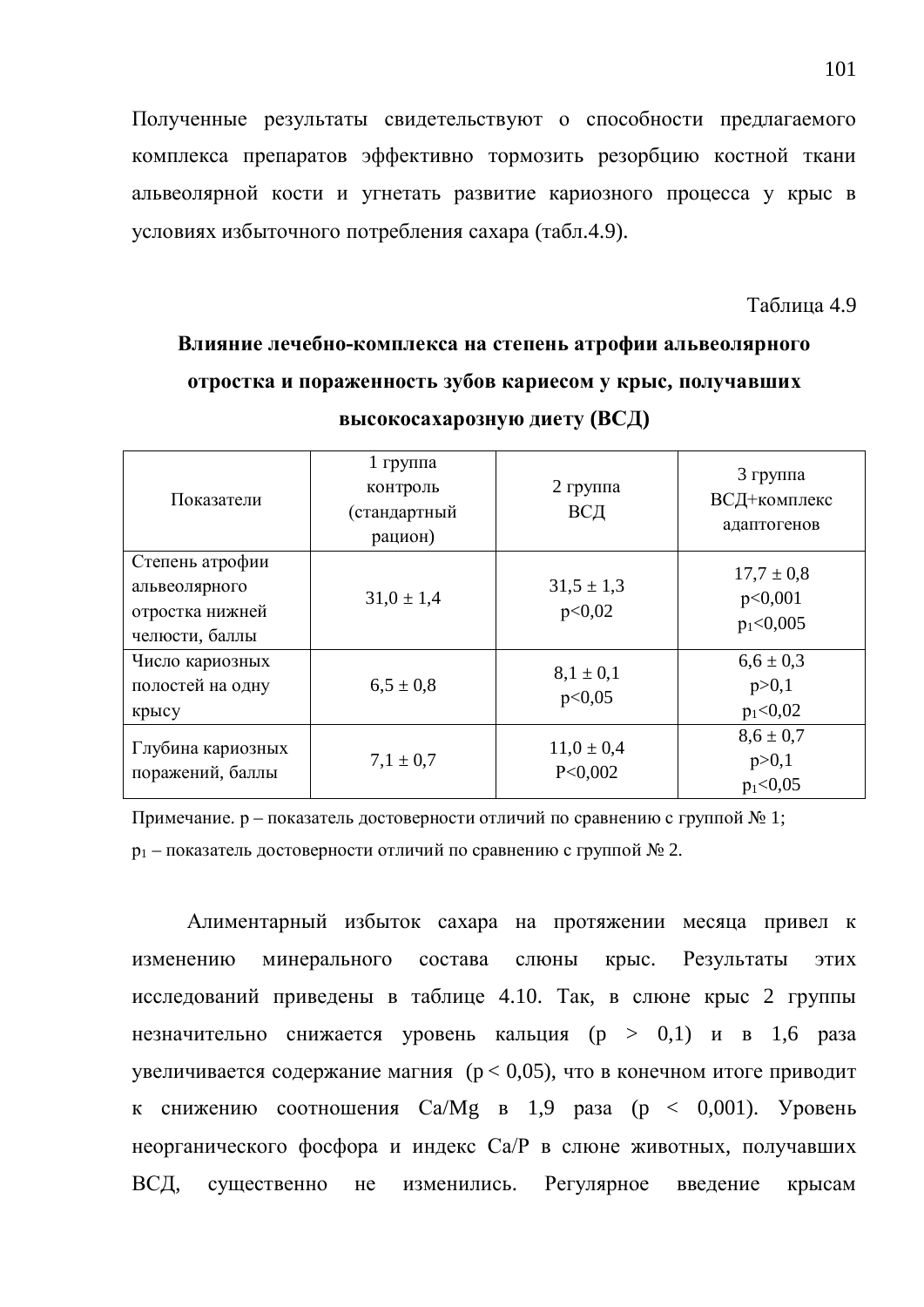Полученные результаты свидетельствуют о способности предлагаемого комплекса препаратов эффективно тормозить резорбцию костной ткани альвеолярной кости и угнетать развитие кариозного процесса у крыс в условиях избыточного потребления сахара (табл.4.9).

Таблица 4.9

### Влияние лечебно-комплекса на степень атрофии альвеолярного **утростка и пораженность зубов кариесом у крыс, получавших высокосахарозную диету (ВСД)**

| Показатели                                                            | $1$ группа<br>контроль<br>(стандартный<br>рацион) | $2$ группа<br>ВСД         | 3 группа<br>ВСД+комплекс<br>адаптогенов  |
|-----------------------------------------------------------------------|---------------------------------------------------|---------------------------|------------------------------------------|
| Степень атрофии<br>альвеолярного<br>отростка нижней<br>челюсти, баллы | $31.0 \pm 1.4$                                    | $31,5 \pm 1,3$<br>p<0,02  | $17.7 \pm 0.8$<br>p<0,001<br>$p_1<0,005$ |
| Число кариозных<br>полостей на одну<br>крысу                          | $6.5 \pm 0.8$                                     | $8,1 \pm 0,1$<br>p<0,05   | $6,6 \pm 0,3$<br>p > 0,1<br>$p_1<0,02$   |
| Глубина кариозных<br>поражений, баллы                                 | $7,1 \pm 0.7$                                     | $11,0 \pm 0,4$<br>P<0,002 | $8,6 \pm 0.7$<br>p > 0,1<br>$p_1<0,05$   |

Примечание. р – показатель достоверности отличий по сравнению с группой № 1;

 $p_1$  – показатель достоверности отличий по сравнению с группой  $\mathcal{N}_2$  2.

Алиментарный избыток сахара на протяжении месяца привел к изменению минерального состава слюны крыс. Результаты этих исследований приведены в таблице 4.10. Так, в слюне крыс 2 группы незначительно снижается уровень кальция (р > 0,1) и в 1,6 раза увеличивается содержание магния ( $p < 0.05$ ), что в конечном итоге приводит к снижению соотношения  $Ca/Mg$  в 1,9 раза (р < 0,001). Уровень неорганического фосфора и индекс Са/Р в слюне животных, получавших ВСД, существенно не изменились. Регулярное введение крысам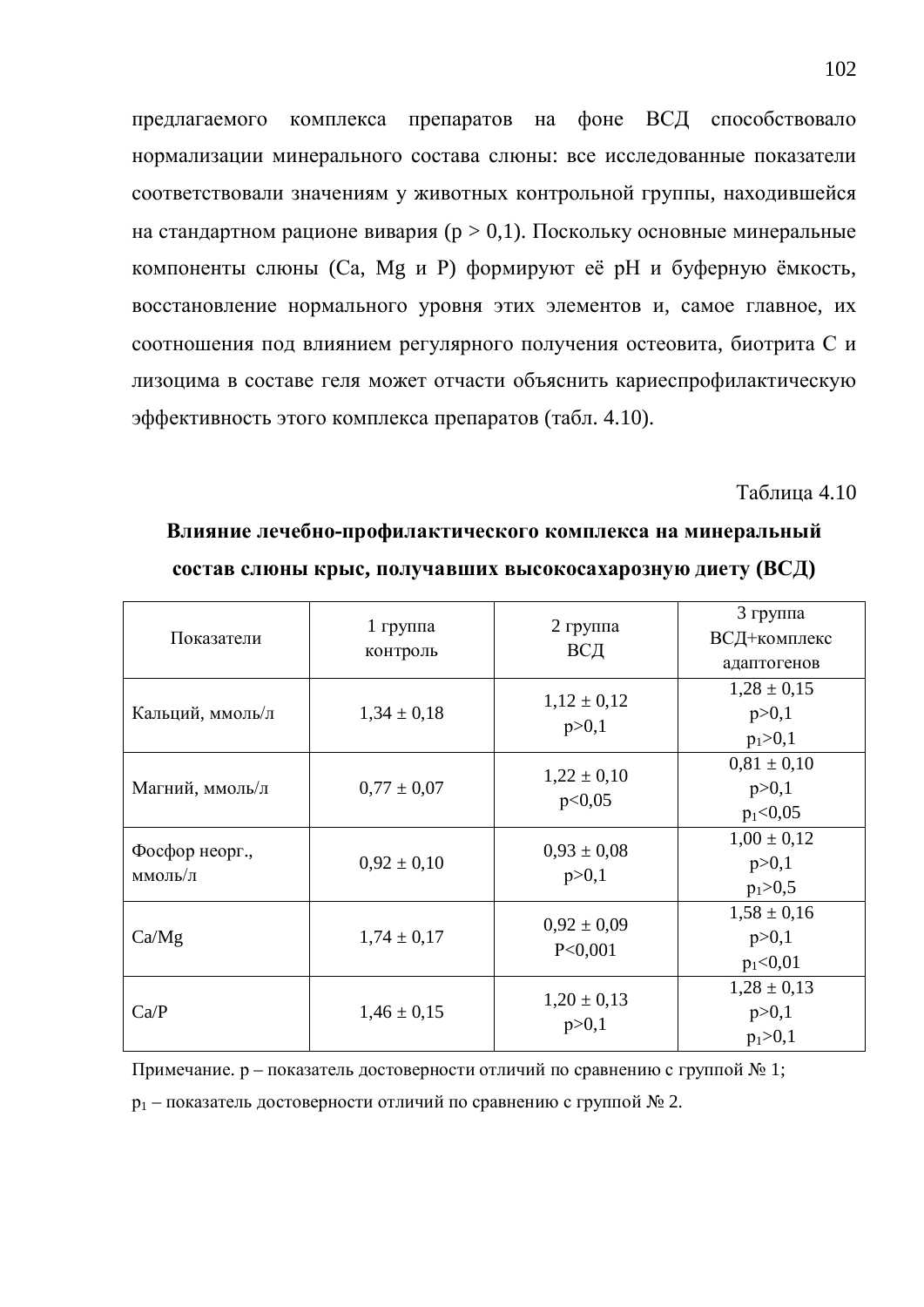предлагаемого комплекса препаратов на фоне ВСД способствовало нормализации минерального состава слюны: все исследованные показатели соответствовали значениям у животных контрольной группы, находившейся на стандартном рационе вивария ( $p > 0,1$ ). Поскольку основные минеральные компоненты слюны (Са, Мg и Р) формируют её рН и буферную ёмкость, восстановление нормального уровня этих элементов и, самое главное, их соотношения под влиянием регулярного получения остеовита, биотрита С и лизоцима в составе геля может отчасти объяснить кариеспрофилактическую эффективность этого комплекса препаратов (табл. 4.10).

Таблица 4.10

| Показатели                | $1$ группа<br>контроль | 2 группа<br>ВСД            | 3 группа<br>ВСД+комплекс<br>адаптогенов    |
|---------------------------|------------------------|----------------------------|--------------------------------------------|
| Кальций, ммоль/л          | $1,34 \pm 0,18$        | $1,12 \pm 0,12$<br>p > 0,1 | $1,28 \pm 0,15$<br>p > 0,1<br>$p_1 > 0,1$  |
| Магний, ммоль/л           | $0,77 \pm 0,07$        | $1,22 \pm 0,10$<br>p<0,05  | $0.81 \pm 0.10$<br>p > 0,1<br>$p_1<0,05$   |
| Фосфор неорг.,<br>ммоль/л | $0.92 \pm 0.10$        | $0.93 \pm 0.08$<br>p > 0,1 | $1,00 \pm 0,12$<br>p > 0,1<br>$p_1 > 0, 5$ |
| Ca/Mg                     | $1,74 \pm 0,17$        | $0,92 \pm 0,09$<br>P<0,001 | $1,58 \pm 0,16$<br>p > 0,1<br>$p_1<0,01$   |
| Ca/P                      | $1,46 \pm 0,15$        | $1,20 \pm 0,13$<br>p > 0,1 | $1,28 \pm 0,13$<br>p>0,1<br>$p_1 > 0, 1$   |

Влияние лечебно-профилактического комплекса на минеральный **состав слюны крыс, получавших высокосахарозную диету (ВСД)** 

Примечание. р – показатель достоверности отличий по сравнению с группой № 1;

 $p_1$  – показатель достоверности отличий по сравнению с группой  $\mathcal{N}_2$ .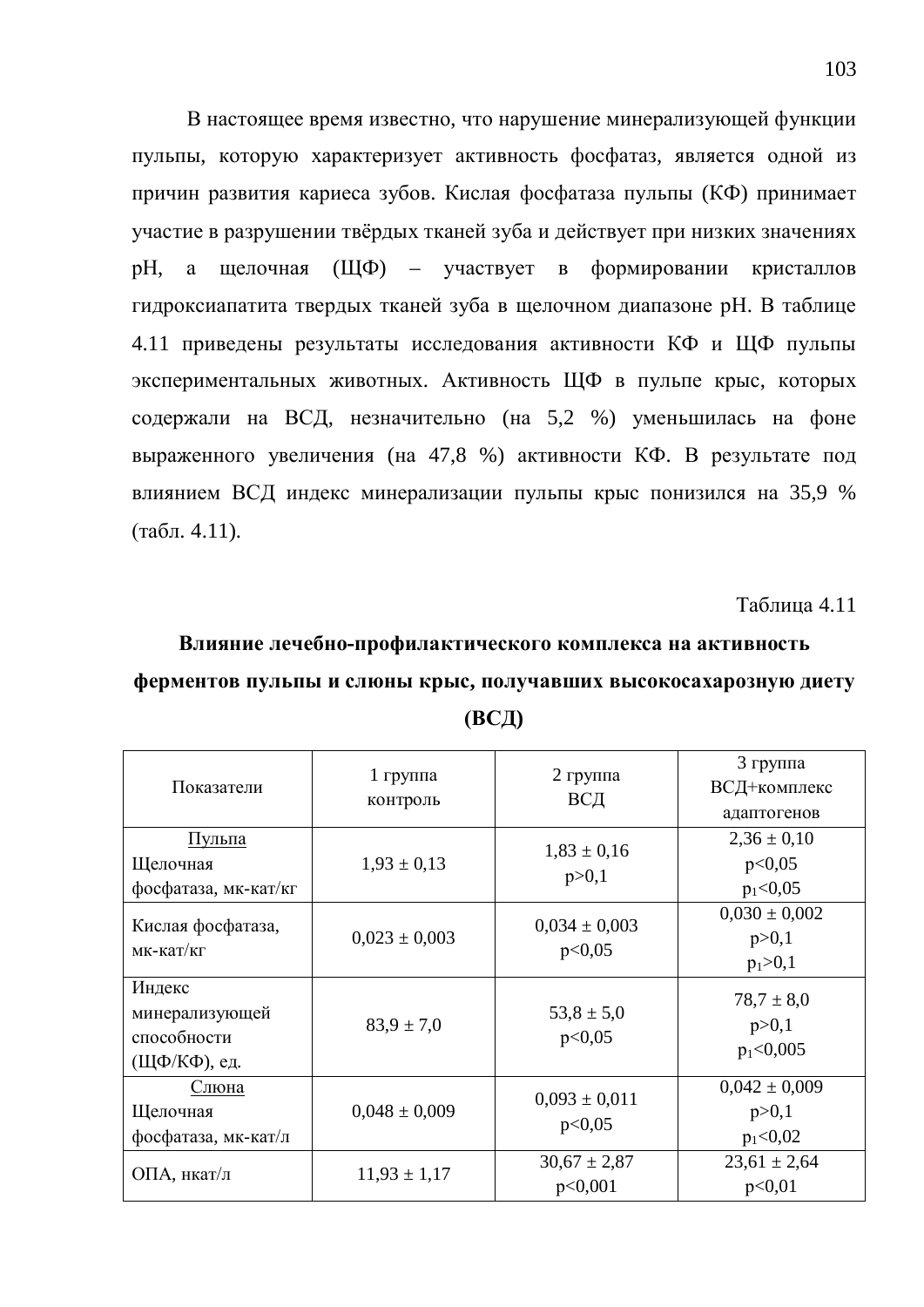В настоящее время известно, что нарушение минерализующей функции пульпы, которую характеризует активность фосфатаз, является одной из причин развития кариеса зубов. Кислая фосфатаза пульпы (КФ) принимает участие в разрушении твёрдых тканей зуба и действует при низких значениях рН, а щелочная (ЩФ) – участвует в формировании кристаллов гидроксиапатита твердых тканей зуба в щелочном диапазоне рН. В таблице 4.11 приведены результаты исследования активности КФ и ЩФ пульпы экспериментальных животных. Активность ЩФ в пульпе крыс, которых содержали на ВСД, незначительно (на 5,2 %) уменьшилась на фоне выраженного увеличения (на 47,8 %) активности КФ. В результате под влиянием ВСД индекс минерализации пульпы крыс понизился на 35,9 %  $(\text{табл. } 4.11).$ 

Таблица 4.11

### Влияние лечебно-профилактического комплекса на активность ферментов пульпы и слюны крыс, получавших высокосахарозную диету **ȼɋȾ)**

| Показатели                                              | $1$ группа<br>контроль | $2$ группа<br>ВСД           | 3 группа<br>ВСД+комплекс<br>адаптогенов     |
|---------------------------------------------------------|------------------------|-----------------------------|---------------------------------------------|
| <u>Пульпа</u><br>Щелочная<br>фосфатаза, мк-кат/кг       | $1,93 \pm 0,13$        | $1,83 \pm 0,16$<br>p > 0,1  | $2,36 \pm 0,10$<br>p<0,05<br>$p_1<0,05$     |
| Кислая фосфатаза,<br>мк-кат/кг                          | $0,023 \pm 0,003$      | $0,034 \pm 0,003$<br>p<0,05 | $0,030 \pm 0,002$<br>p > 0,1<br>$p_1 > 0,1$ |
| Индекс<br>минерализующей<br>способности<br>(ЩФ/КФ), ед. | $83.9 \pm 7.0$         | $53,8 \pm 5,0$<br>p<0,05    | $78.7 \pm 8.0$<br>p > 0,1<br>$p_1<0,005$    |
| Слюна<br>Щелочная<br>фосфатаза, мк-кат/л                | $0,048 \pm 0,009$      | $0,093 \pm 0,011$<br>p<0,05 | $0,042 \pm 0,009$<br>p > 0,1<br>$p_1<0,02$  |
| ОПА, нкат/л                                             | $11,93 \pm 1,17$       | $30,67 \pm 2,87$<br>p<0,001 | $23,61 \pm 2,64$<br>p<0,01                  |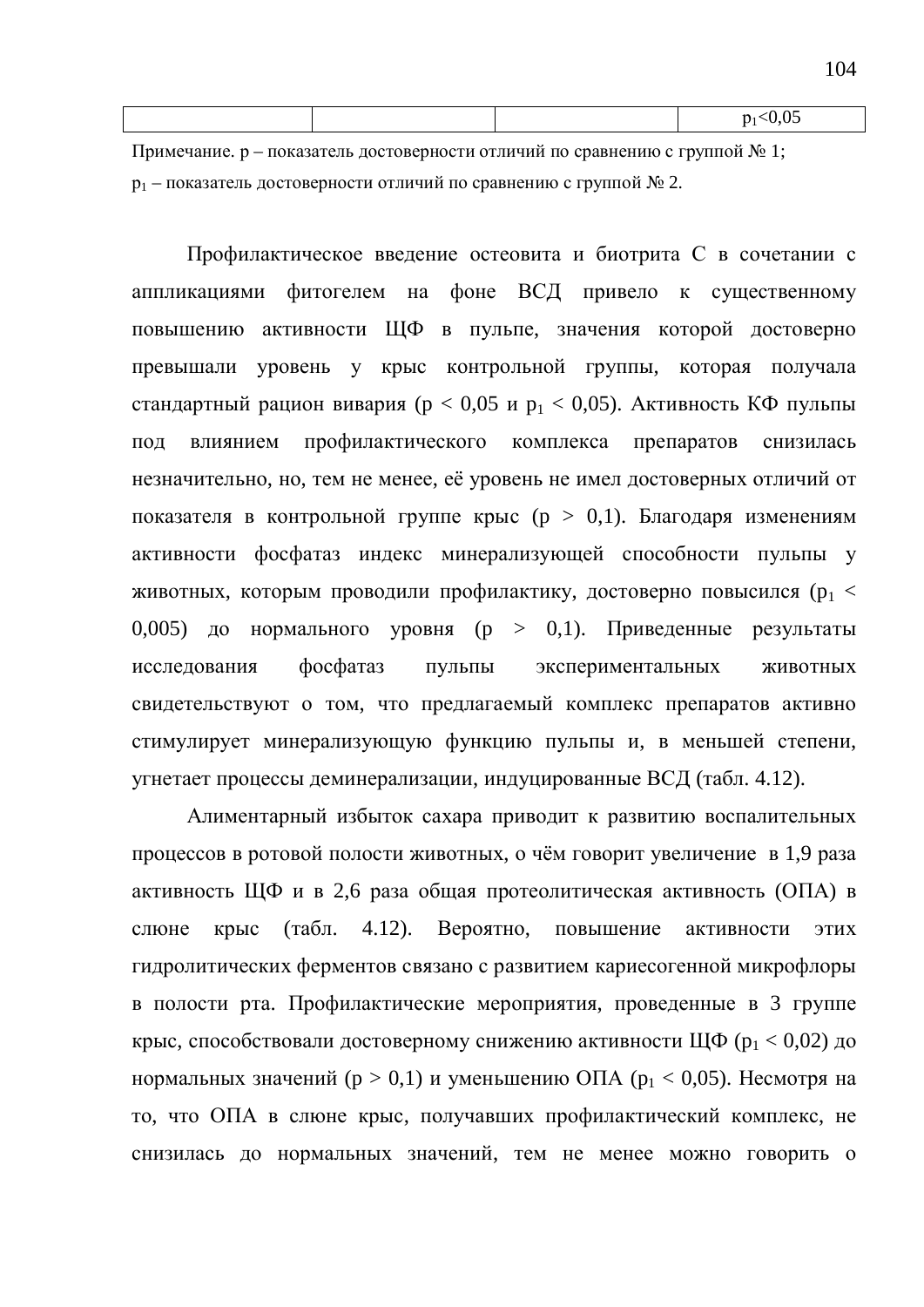|  | $\sim$<br>-- |
|--|--------------|
|  |              |
|  |              |

Примечание. р – показатель достоверности отличий по сравнению с группой № 1;  $p_1$  – показатель достоверности отличий по сравнению с группой  $\mathcal{N}_2$  2.

Профилактическое введение остеовита и биотрита С в сочетании с аппликациями фитогелем на фоне ВСД привело к существенному повышению активности ЩФ в пульпе, значения которой достоверно превышали уровень у крыс контрольной группы, которая получала стандартный рацион вивария (р < 0,05 и р<sub>1</sub> < 0,05). Активность КФ пульпы под влиянием профилактического комплекса препаратов снизилась незначительно, но, тем не менее, её уровень не имел достоверных отличий от показателя в контрольной группе крыс ( $p > 0,1$ ). Благодаря изменениям активности фосфатаз индекс минерализующей способности пульпы у животных, которым проводили профилактику, достоверно повысился ( $p_1 <$ 0,005) до нормального уровня (р > 0,1). Приведенные результаты исследования фосфатаз пульпы экспериментальных животных свидетельствуют о том, что предлагаемый комплекс препаратов активно стимулирует минерализующую функцию пульпы и, в меньшей степени, угнетает процессы деминерализации, индуцированные ВСД (табл. 4.12).

Алиментарный избыток сахара приводит к развитию воспалительных процессов в ротовой полости животных, о чём говорит увеличение в 1,9 раза активность ЩФ и в 2,6 раза общая протеолитическая активность (ОПА) в слюне крыс (табл. 4.12). Вероятно, повышение активности этих гидролитических ферментов связано с развитием кариесогенной микрофлоры в полости рта. Профилактические мероприятия, проведенные в 3 группе крыс, способствовали достоверному снижению активности ЩФ ( $p_1 < 0.02$ ) до нормальных значений ( $p > 0,1$ ) и уменьшению ОПА ( $p_1 < 0,05$ ). Несмотря на то, что ОПА в слюне крыс, получавших профилактический комплекс, не снизилась до нормальных значений, тем не менее можно говорить о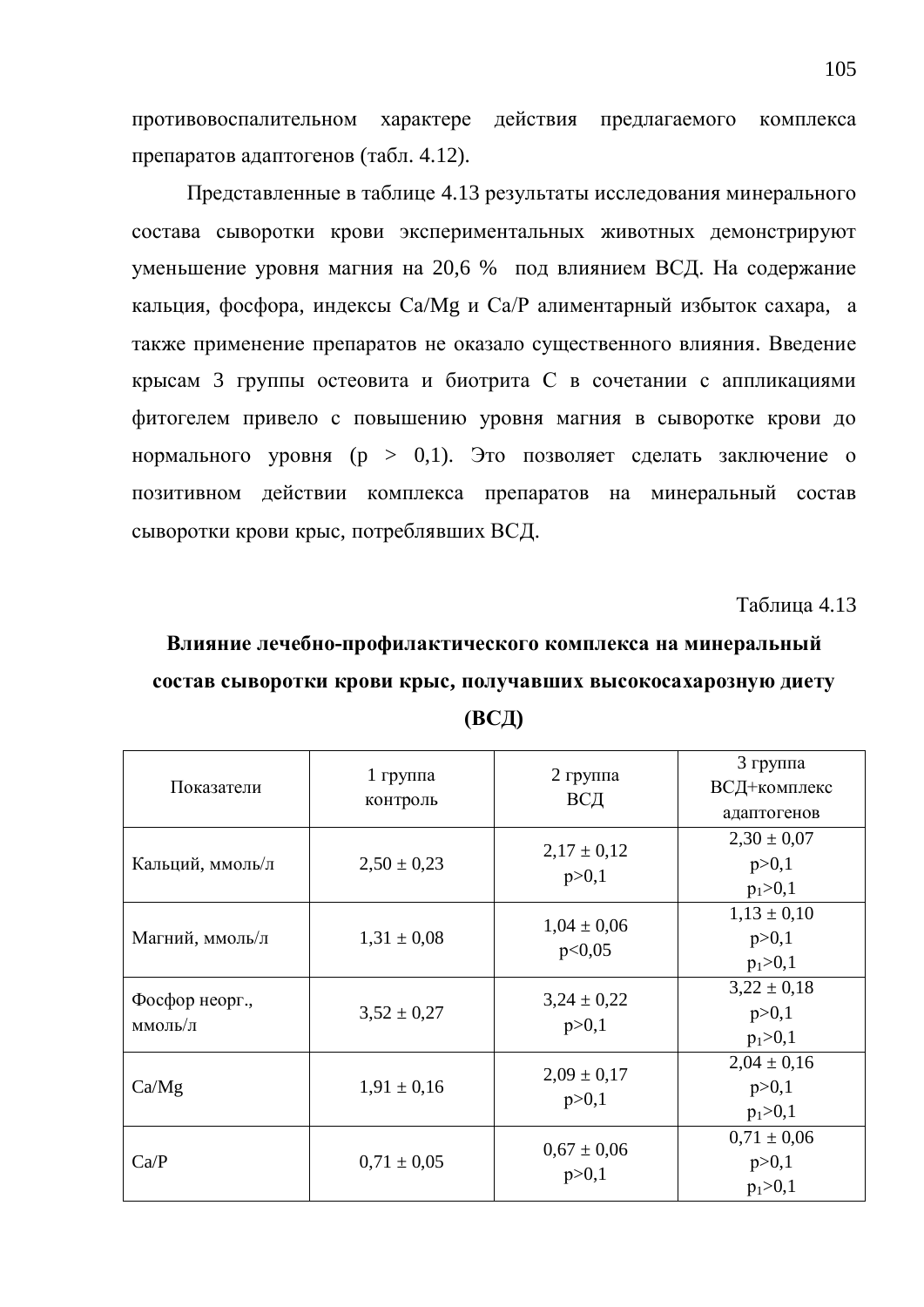противовоспалительном характере действия предлагаемого комплекса препаратов адаптогенов (табл. 4.12).

Представленные в таблице 4.13 результаты исследования минерального состава сыворотки крови экспериментальных животных демонстрируют уменьшение уровня магния на 20,6 % под влиянием ВСД. На содержание кальция, фосфора, индексы Са/Мg и Са/Р алиментарный избыток сахара, а также применение препаратов не оказало существенного влияния. Введение крысам 3 группы остеовита и биотрита С в сочетании с аппликациями фитогелем привело с повышению уровня магния в сыворотке крови до нормального уровня (р > 0,1). Это позволяет сделать заключение о позитивном действии комплекса препаратов на минеральный состав сыворотки крови крыс, потреблявших ВСД.

Таблица 4.13

### Влияние лечебно-профилактического комплекса на минеральный состав сыворотки крови крыс, получавших высокосахарозную диету **ȼɋȾ)**

| Показатели                | $1$ группа<br>контроль | $2$ группа<br>ВСД          | 3 группа<br>ВСД+комплекс<br>адаптогенов   |  |
|---------------------------|------------------------|----------------------------|-------------------------------------------|--|
| Кальций, ммоль/л          | $2,50 \pm 0,23$        | $2,17 \pm 0,12$<br>p > 0,1 | $2,30 \pm 0,07$<br>p > 0,1<br>$p_1 > 0,1$ |  |
| Магний, ммоль/л           | $1,31 \pm 0.08$        | $1,04 \pm 0,06$<br>p<0,05  | $1,13 \pm 0,10$<br>p > 0,1<br>$p_1 > 0,1$ |  |
| Фосфор неорг.,<br>ммоль/л | $3,52 \pm 0,27$        | $3,24 \pm 0,22$<br>p > 0,1 | $3,22 \pm 0,18$<br>p > 0,1<br>$p_1 > 0,1$ |  |
| Ca/Mg                     | $1,91 \pm 0,16$        | $2,09 \pm 0,17$<br>p > 0,1 | $2,04 \pm 0,16$<br>p > 0,1<br>$p_1 > 0,1$ |  |
| Ca/P                      | $0.71 \pm 0.05$        | $0.67 \pm 0.06$<br>p > 0,1 | $0,71 \pm 0,06$<br>p > 0,1<br>$p_1 > 0,1$ |  |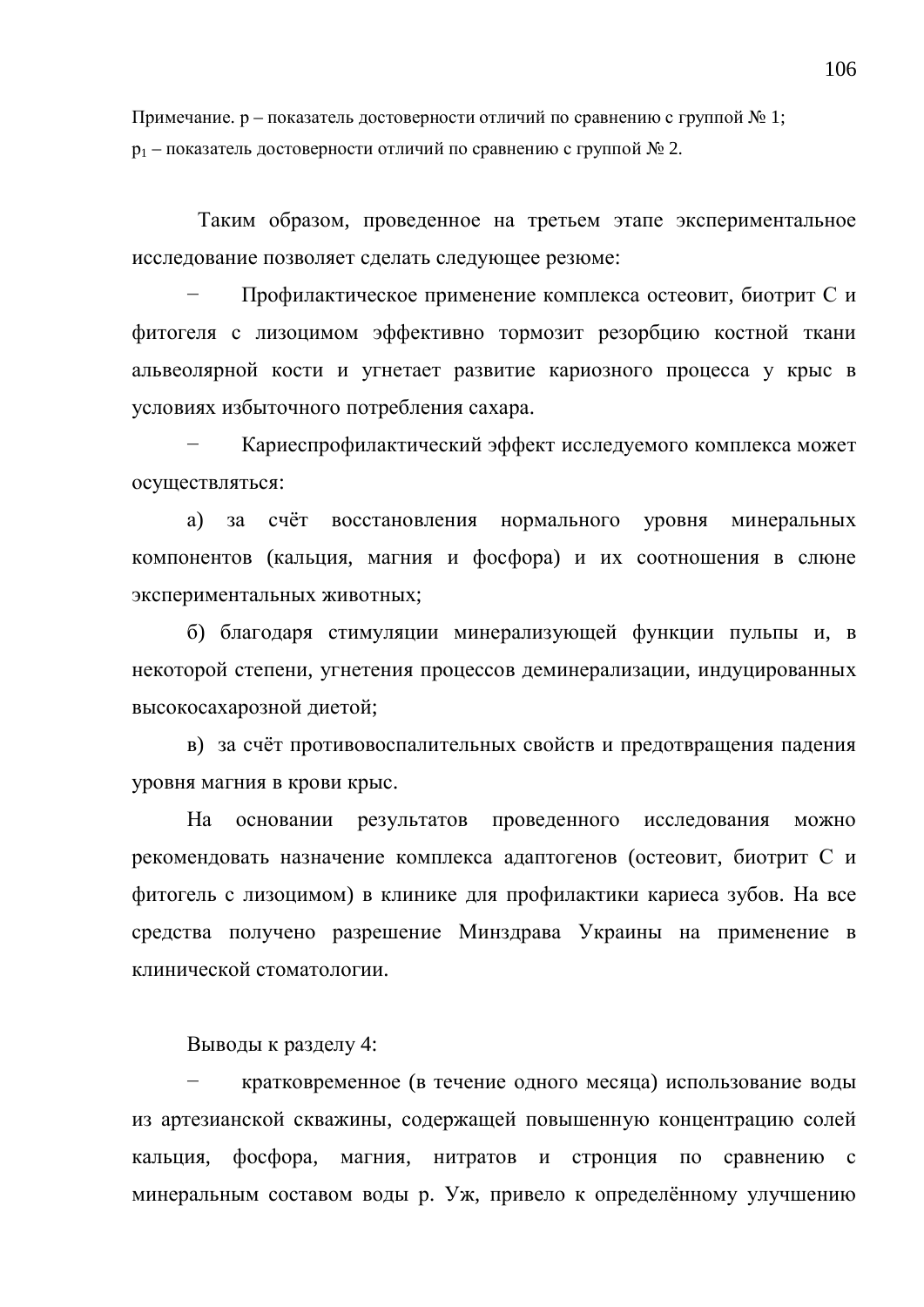Примечание. р – показатель достоверности отличий по сравнению с группой № 1;  $p_1$  – показатель достоверности отличий по сравнению с группой  $\mathcal{N}_2$  2.

Таким образом, проведенное на третьем этапе экспериментальное исследование позволяет сделать следующее резюме:

Профилактическое применение комплекса остеовит, биотрит С и фитогеля с лизоцимом эффективно тормозит резорбцию костной ткани альвеолярной кости и угнетает развитие кариозного процесса у крыс в условиях избыточного потребления сахара.

Кариеспрофилактический эффект исследуемого комплекса может осуществляться:

а) за счёт восстановления нормального уровня минеральных компонентов (кальция, магния и фосфора) и их соотношения в слюне экспериментальных животных;

б) благодаря стимуляции минерализующей функции пульпы и, в некоторой степени, угнетения процессов деминерализации, индуцированных высокосахарозной диетой;

в) за счёт противовоспалительных свойств и предотвращения падения уровня магния в крови крыс.

На основании результатов проведенного исследования можно рекомендовать назначение комплекса адаптогенов (остеовит, биотрит С и фитогель с лизоцимом) в клинике для профилактики кариеса зубов. На все средства получено разрешение Минздрава Украины на применение в клинической стоматологии.

Выводы к разделу 4:

кратковременное (в течение одного месяца) использование воды из артезианской скважины, содержащей повышенную концентрацию солей кальция, фосфора, магния, нитратов и стронция по сравнению с минеральным составом воды р. Уж, привело к определённому улучшению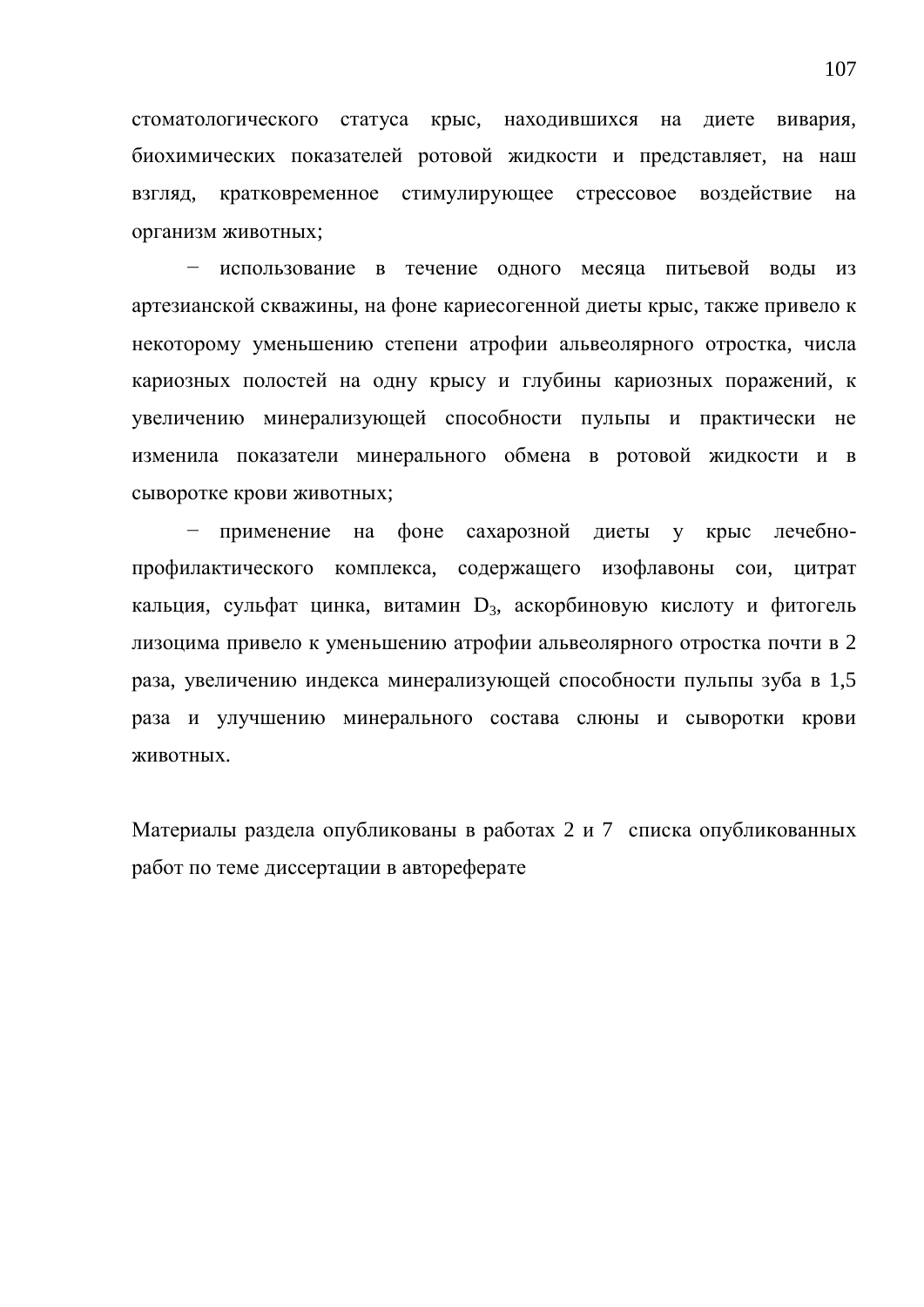стоматологического статуса крыс, находившихся на диете вивария, биохимических показателей ротовой жидкости и представляет, на наш взгляд, кратковременное стимулирующее стрессовое воздействие на организм животных:

– использование в течение одного месяца питьевой воды из артезианской скважины, на фоне кариесогенной диеты крыс, также привело к некоторому уменьшению степени атрофии альвеолярного отростка, числа кариозных полостей на одну крысу и глубины кариозных поражений, к увеличению минерализующей способности пульпы и практически не изменила показатели минерального обмена в ротовой жидкости и в сыворотке крови животных;

применение на фоне сахарозной диеты у крыс лечебнопрофилактического комплекса, содержащего изофлавоны сои, цитрат кальция, сульфат цинка, витамин D<sub>3</sub>, аскорбиновую кислоту и фитогель лизоцима привело к уменьшению атрофии альвеолярного отростка почти в 2 раза, увеличению индекса минерализующей способности пульпы зуба в 1,5 раза и улучшению минерального состава слюны и сыворотки крови ЖИВОТНЫХ.

Материалы раздела опубликованы в работах 2 и 7 списка опубликованных работ по теме диссертации в автореферате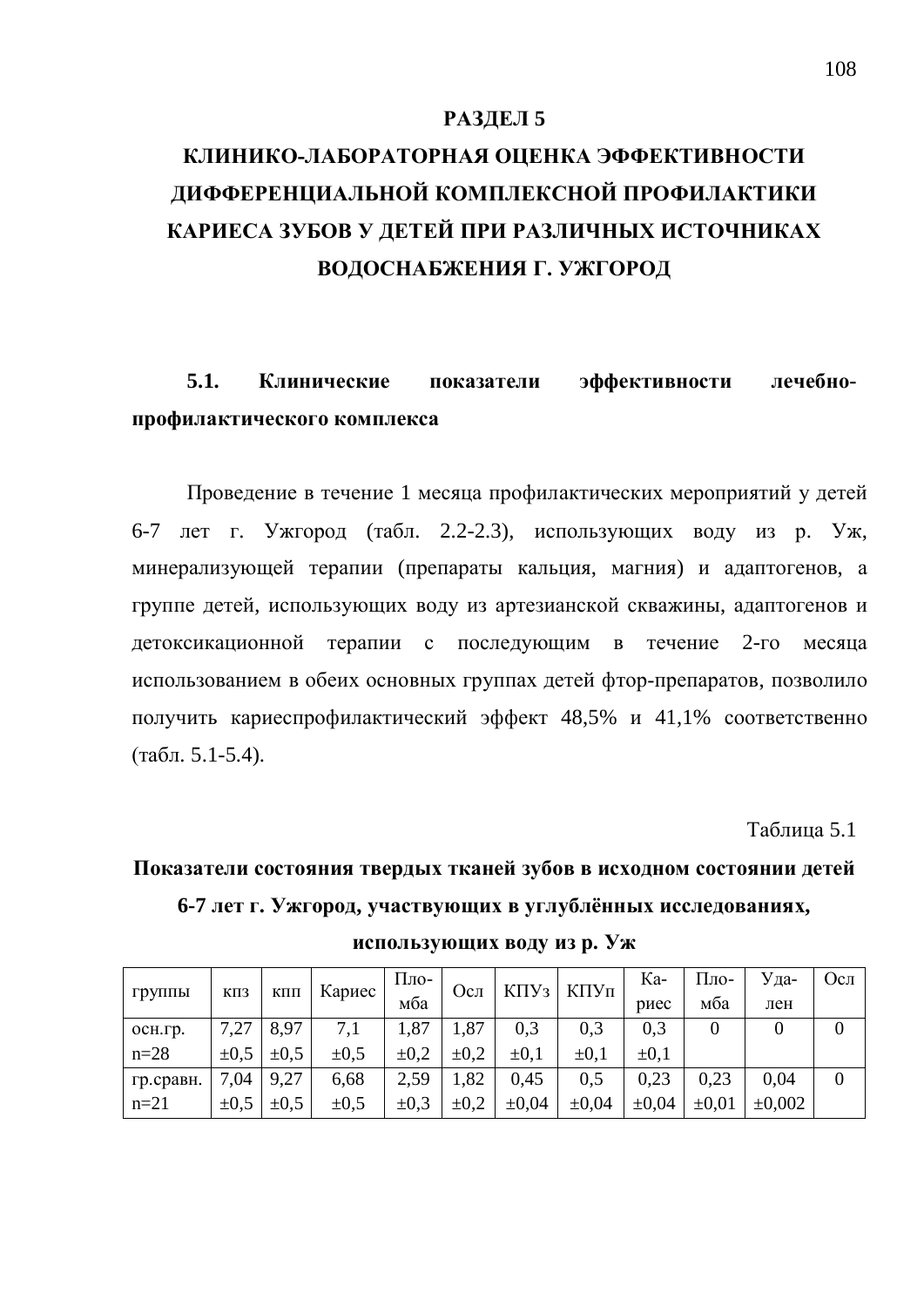#### РАЗДЕЛ 5

# КЛИНИКО-ЛАБОРАТОРНАЯ ОЦЕНКА ЭФФЕКТИВНОСТИ ДИФФЕРЕНЦИАЛЬНОЙ КОМПЛЕКСНОЙ ПРОФИЛАКТИКИ КАРИЕСА ЗУБОВ У ДЕТЕЙ ПРИ РАЗЛИЧНЫХ ИСТОЧНИКАХ ВОДОСНАБЖЕНИЯ Г. УЖГОРОД

5.1. Клинические показатели эффективности лечебнопрофилактического комплекса

Проведение в течение 1 месяца профилактических мероприятий у детей 6-7 лет г. Ужгород (табл. 2.2-2.3), использующих воду из р. Уж, минерализующей терапии (препараты кальция, магния) и адаптогенов, а группе детей, использующих воду из артезианской скважины, адаптогенов и детоксикационной терапии с последующим в течение 2-го месяца использованием в обеих основных группах детей фтор-препаратов, позволило получить кариеспрофилактический эффект 48,5% и 41,1% соответственно  $(\text{табл. } 5.1 - 5.4).$ 

**Таблина** 5.1

# Показатели состояния твердых тканей зубов в исходном состоянии детей **6-7 лет г. Ужгород, участвующих в углублённых исследованиях,**

| группы    | КПЗ       |           | Кариес<br>КПП | $\Pi$ ло- | Осл       | $K\Pi Y_3$ | КПУп       | Ka-        | Пло-       | Уда-   | Осл |
|-----------|-----------|-----------|---------------|-----------|-----------|------------|------------|------------|------------|--------|-----|
|           |           |           |               | мба       |           |            |            | риес       | мба        | лен    |     |
| осн.гр.   | 7,27      | 8,97      | 7,1           | 1,87      | 1,87      | 0,3        | 0,3        | 0,3        |            |        |     |
| $n = 28$  | $\pm 0.5$ | $\pm 0.5$ | $\pm 0.5$     | $\pm 0.2$ | $\pm 0.2$ | $\pm 0.1$  | $\pm 0.1$  | $\pm 0.1$  |            |        |     |
| гр.сравн. | 7,04      | 9,27      | 6,68          | 2,59      | 1,82      | 0.45       | 0.5        | 0,23       | 0.23       | 0.04   |     |
| $n=21$    | $\pm 0.5$ | $\pm 0.5$ | $\pm 0.5$     | $\pm 0.3$ | $\pm 0.2$ | $\pm 0.04$ | $\pm 0.04$ | $\pm 0.04$ | $\pm 0.01$ | ±0,002 |     |

использующих воду из р. Уж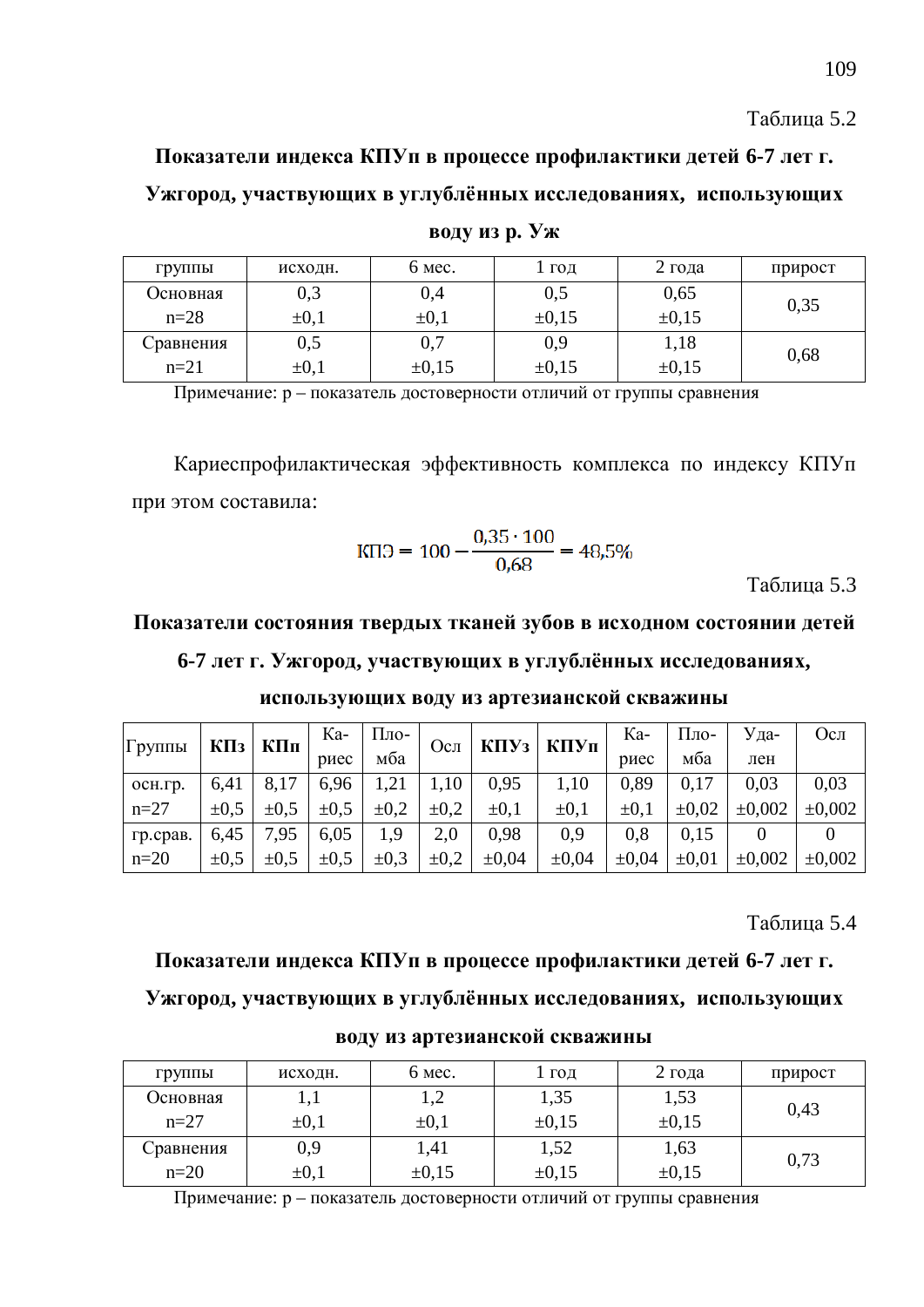Показатели индекса КПУп в процессе профилактики детей 6-7 лет г. Ужгород, участвующих в углублённых исследованиях, использующих

| группы    | исходн.      | 6 мес.     | ГОД        | 2 года     | прирост |  |
|-----------|--------------|------------|------------|------------|---------|--|
| Основная  | 0,3          | 0,4        | 0,5        | 0,65       |         |  |
| $n=28$    | $\pm 0,1$    | $\pm 0,1$  | $\pm 0.15$ | $\pm 0.15$ | 0,35    |  |
| Сравнения | $_{\rm 0,5}$ | $_{0,7}$   | 0,9        | 1,18       |         |  |
| $n=21$    | $\pm 0,1$    | $\pm 0.15$ | $\pm 0.15$ | $\pm 0.15$ | 0,68    |  |

**воду** из р. Уж

Примечание: р – показатель достоверности отличий от группы сравнения

Кариеспрофилактическая эффективность комплекса по индексу КПУп при этом составила:

$$
K\Pi 3 = 100 - \frac{0.35 \cdot 100}{0.68} = 48.5\%
$$

Таблица 5.3

#### Показатели состояния твердых тканей зубов в исходном состоянии детей

#### **6-7 ɥɟɬɝ. ɍɠɝɨɪɨɞ, ɭɱɚɫɬɜɭɸɳɢɯɜɭɝɥɭɛɥɺɧɧɵɯɢɫɫɥɟɞɨɜɚɧɢɹɯ,**

| $\Gamma$ руппы |           | $K\Pi$ з КПп | Ka-       | Пло-      | Осл       |            | $K\Pi Y_3$   $K\Pi Y_\Pi$ | Ka-        | $\Pi$ ло-  | Уда-   | Осл         |
|----------------|-----------|--------------|-----------|-----------|-----------|------------|---------------------------|------------|------------|--------|-------------|
|                |           | риес         | мба       |           |           |            | риес                      | мба        | лен        |        |             |
| OCH.TD.        | 6,41      | 8,17         | 6.96      | 1,21      | 1,10      | 0,95       | 1,10                      | 0.89       | 0.17       | 0.03   | 0,03        |
| $n=27$         | $\pm 0.5$ | $\pm 0.5$    | $\pm 0.5$ | $\pm 0.2$ | $\pm 0.2$ | $\pm 0.1$  | $\pm 0.1$                 | $\pm 0.1$  | $\pm 0.02$ | ±0,002 | $\pm 0,002$ |
| гр.срав.       | 6.45      | 7,95         | 6.05      | 1,9       | 2,0       | 0,98       | 0.9                       | 0.8        | 0.15       |        |             |
| $n=20$         | $\pm 0.5$ | $\pm 0.5$    | $\pm 0.5$ | $\pm 0.3$ | $\pm 0.2$ | $\pm 0.04$ | $\pm 0.04$                | $\pm 0.04$ | $\pm 0.01$ | ±0,002 | $\pm 0,002$ |

использующих воду из артезианской скважины

Таблина 5.4

#### Показатели индекса КПУп в процессе профилактики детей 6-7 лет г.

#### Ужгород, участвующих в углублённых исследованиях, использующих

| <b>Группы</b> | исходн.   | 6 мес.     | I год      | $2$ года   | прирост |  |
|---------------|-----------|------------|------------|------------|---------|--|
| Основная      |           | 1,∠        | 1,35       | 1,53       |         |  |
| $n=27$        | $\pm 0.1$ | $\pm 0.1$  | $\pm 0.15$ | $\pm 0.15$ | 0,43    |  |
| Сравнения     | 0,9       | 1,41       | 1,52       | 1,63       |         |  |
| $n=20$        | $\pm 0,1$ | $\pm 0.15$ | $\pm 0,15$ | $\pm 0.15$ | 0,73    |  |

**воду из артезианской скважины** 

Примечание: р – показатель достоверности отличий от группы сравнения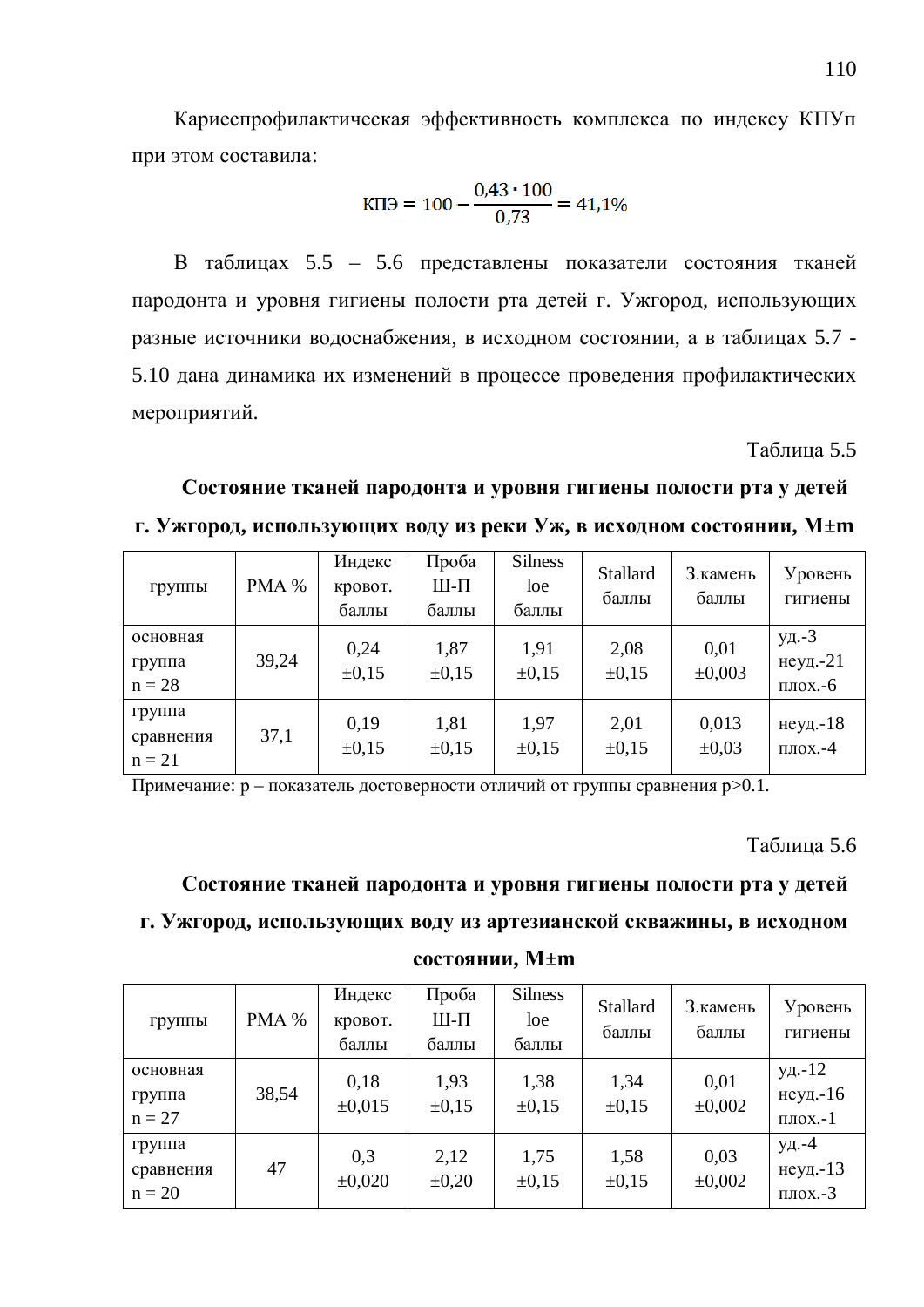Кариеспрофилактическая эффективность комплекса по индексу КПУп при этом составила:

$$
K\Pi 3 = 100 - \frac{0.43 \cdot 100}{0.73} = 41.1\%
$$

В таблицах 5.5 – 5.6 представлены показатели состояния тканей пародонта и уровня гигиены полости рта детей г. Ужгород, использующих разные источники водоснабжения, в исходном состоянии, а в таблицах 5.7 -5.10 дана динамика их изменений в процессе проведения профилактических мероприятий.

Таблица 5.5

Состояние тканей пародонта и уровня гигиены полости рта у детей  $\mathbf{F}$ . Ужгород, использующих воду из реки Уж, в исходном состоянии, М±m

| группы                          | PMA % | Индекс<br>кровот.<br>баллы | Проба<br>Ш-П<br>баллы | <b>Silness</b><br>loe<br>баллы | Stallard<br>баллы  | 3. камень<br>баллы  | Уровень<br>гигиены                   |
|---------------------------------|-------|----------------------------|-----------------------|--------------------------------|--------------------|---------------------|--------------------------------------|
| основная<br>группа<br>$n = 28$  | 39,24 | 0,24<br>$\pm 0.15$         | 1,87<br>$\pm 0.15$    | 1,91<br>$\pm 0.15$             | 2,08<br>$\pm 0.15$ | 0,01<br>±0,003      | уд.-3<br>неуд. $-21$<br>$\pi$ лох.-6 |
| группа<br>сравнения<br>$n = 21$ | 37,1  | 0,19<br>$\pm 0.15$         | 1,81<br>$\pm 0.15$    | 1,97<br>$\pm 0.15$             | 2,01<br>$\pm 0.15$ | 0,013<br>$\pm 0.03$ | неуд.-18<br>$\Pi$ ЛОХ.- $4$          |

Примечание: р – показатель достоверности отличий от группы сравнения р>0.1.

Таблица 5.6

Состояние тканей пародонта и уровня гигиены полости рта у детей Г. Ужгород, использующих воду из артезианской скважины, в исходном

#### **состоянии, М±m**

| группы                          | PMA % | Индекс<br>кровот.<br>баллы | Проба<br>Ш-П<br>баллы | <b>Silness</b><br>loe<br>баллы | Stallard<br>баллы  | 3. камень<br>баллы | Уровень<br>гигиены                   |
|---------------------------------|-------|----------------------------|-----------------------|--------------------------------|--------------------|--------------------|--------------------------------------|
| основная<br>группа<br>$n = 27$  | 38,54 | 0,18<br>$\pm 0.015$        | 1,93<br>$\pm 0.15$    | 1,38<br>$\pm 0.15$             | 1,34<br>$\pm 0.15$ | 0,01<br>±0,002     | уд.-12<br>неуд.-16<br>$\pi$ лох.-1   |
| группа<br>сравнения<br>$n = 20$ | 47    | 0,3<br>±0,020              | 2,12<br>$\pm 0.20$    | 1,75<br>$\pm 0.15$             | 1,58<br>$\pm 0.15$ | 0,03<br>±0,002     | уд.-4<br>неуд.-13<br>$\Pi$ лох. $-3$ |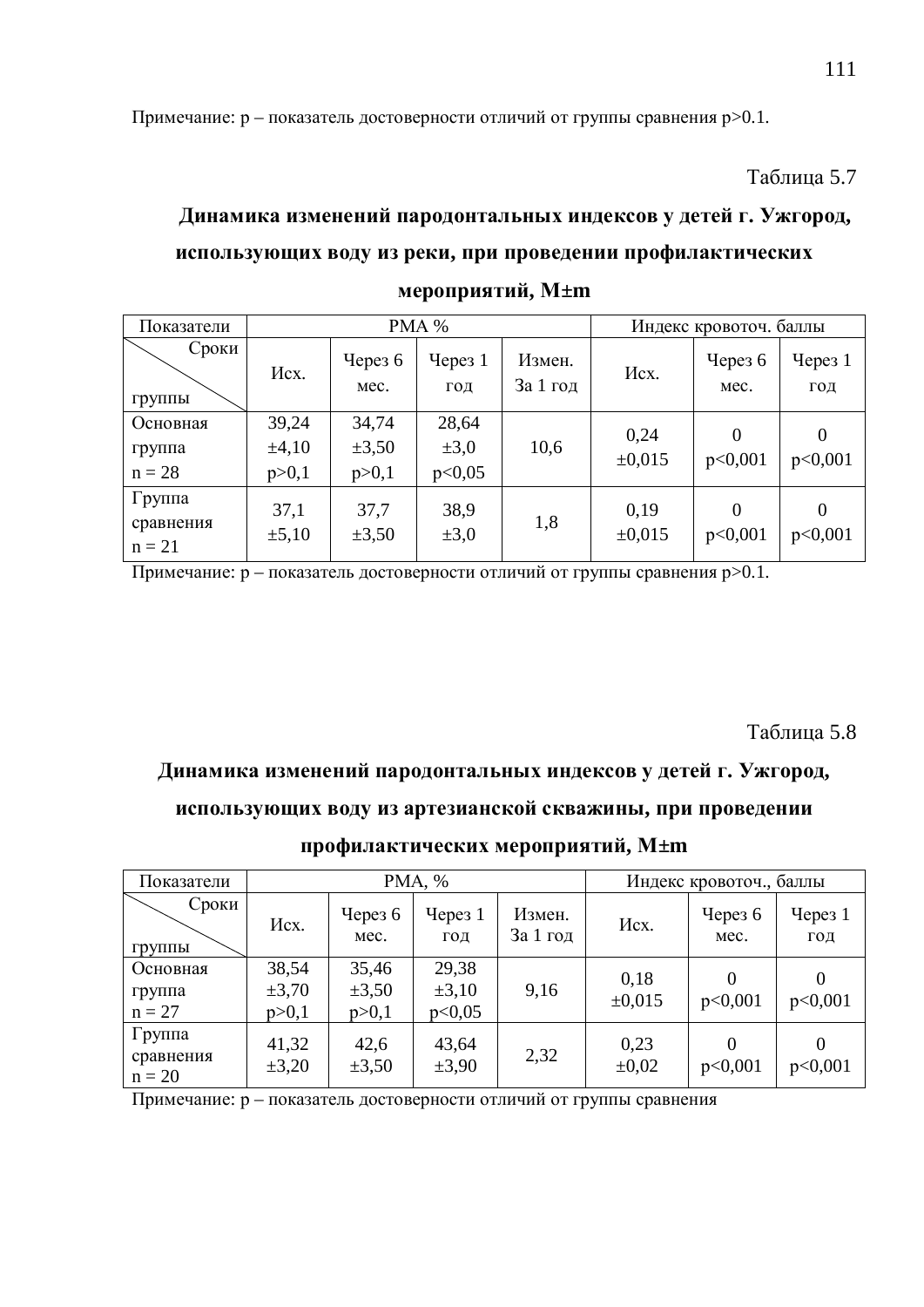Примечание: р – показатель достоверности отличий от группы сравнения р>0.1.

Таблица 5.7

# Динамика изменений пародонтальных индексов у детей г. Ужгород, использующих воду из реки, при проведении профилактических  $M \pm m$

| Показатели                      |                                |                                | PMA %                        |                    | Индекс кровоточ. баллы |                     |                           |  |
|---------------------------------|--------------------------------|--------------------------------|------------------------------|--------------------|------------------------|---------------------|---------------------------|--|
| Сроки<br>группы                 | Hcx.                           | Через $6$<br>Mec.              | Yepeg1<br>ГОД                | Измен.<br>За 1 год | Hcx.                   | Через $6$<br>Mec.   | Yepes <sub>1</sub><br>ГОД |  |
| Основная<br>группа<br>$n = 28$  | 39,24<br>$\pm 4,10$<br>p > 0,1 | 34,74<br>$\pm 3,50$<br>p > 0,1 | 28,64<br>$\pm 3,0$<br>p<0,05 | 10,6               | 0,24<br>±0,015         | $\Omega$<br>p<0,001 | $\theta$<br>p<0,001       |  |
| Группа<br>сравнения<br>$n = 21$ | 37,1<br>$\pm 5,10$             | 37,7<br>$\pm 3,50$             | 38,9<br>$\pm 3,0$            | 1,8                | 0,19<br>±0,015         | $\Omega$<br>p<0,001 | $\Omega$<br>p<0,001       |  |

Примечание:  $p - \text{пokазатель}\,\text{достоверности отличий от группы сравнения}\,\text{р}>0.1.$ 

#### Таблица 5.8

#### **Ⱦɢɧɚɦɢɤɚɢɡɦɟɧɟɧɢɣɩɚɪɨɞɨɧɬɚɥɶɧɵɯɢɧɞɟɤɫɨɜɭɞɟɬɟɣɝ. ɍɠɝɨɪɨɞ,**

#### использующих воду из артезианской скважины, при проведении

#### профилактических мероприятий, М±m

| Показатели                      |                                |                                | PMA, %                        |                    | Индекс кровоточ., баллы |                     |                  |  |
|---------------------------------|--------------------------------|--------------------------------|-------------------------------|--------------------|-------------------------|---------------------|------------------|--|
| Сроки<br><b>ГРУППЫ</b>          | Hcx.                           | Через $6$<br>Mec.              | $T$ Через 1<br>ГОД            | Измен.<br>За 1 год | Hcx.                    | Через $6$<br>Mec.   | Через $1$<br>ГОД |  |
| Основная<br>группа<br>$n = 27$  | 38,54<br>$\pm 3,70$<br>p > 0,1 | 35,46<br>$\pm 3,50$<br>p > 0,1 | 29,38<br>$\pm 3,10$<br>p<0,05 | 9,16               | 0,18<br>$\pm 0.015$     | 0<br>p<0,001        | p<0,001          |  |
| Группа<br>сравнения<br>$n = 20$ | 41,32<br>$\pm 3,20$            | 42,6<br>$\pm 3,50$             | 43,64<br>$\pm 3.90$           | 2,32               | 0,23<br>$\pm 0.02$      | $\Omega$<br>p<0,001 | p<0,001          |  |

Примечание: р – показатель достоверности отличий от группы сравнения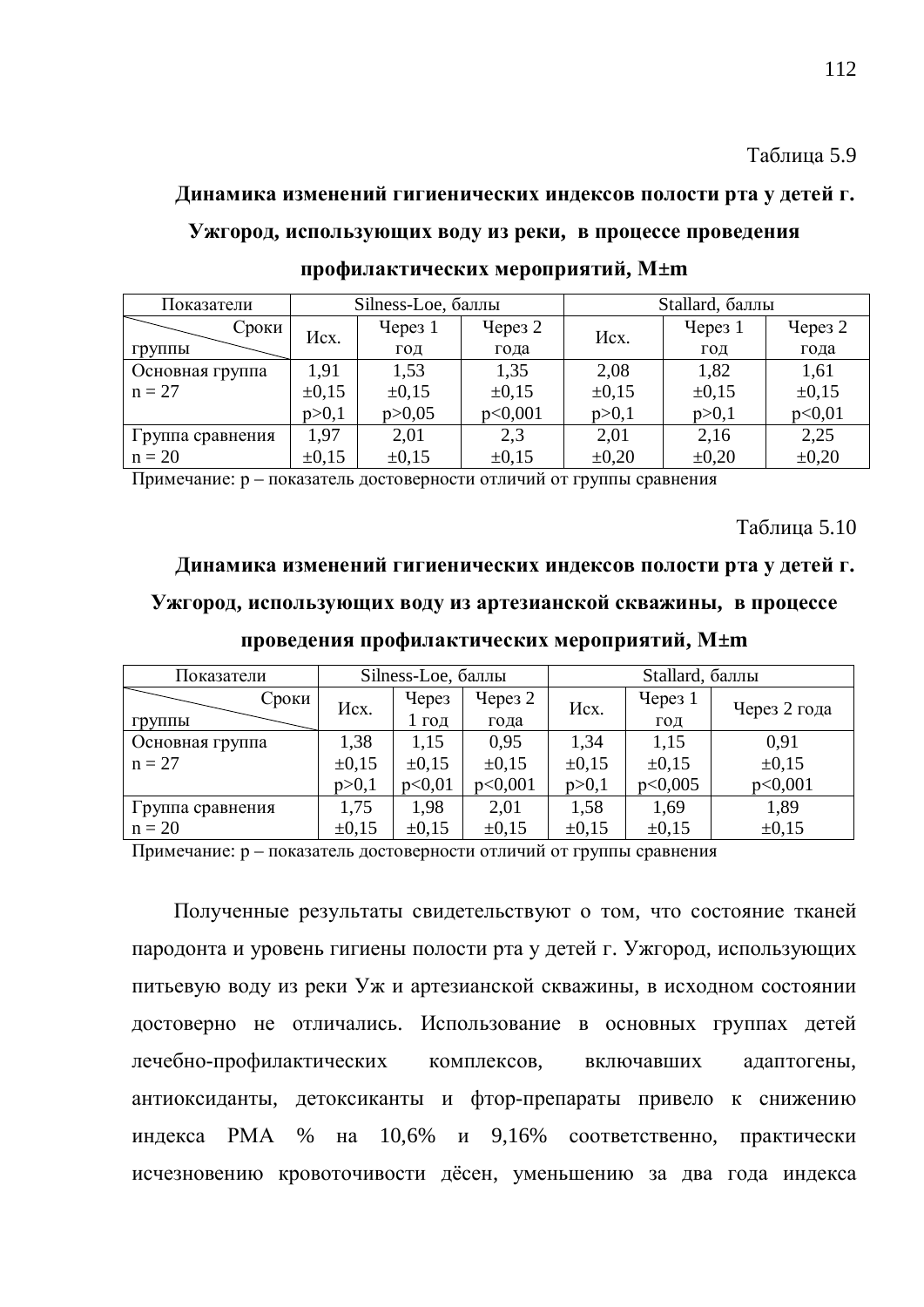# Динамика изменений гигиенических индексов полости рта у детей г. Ужгород, использующих воду из реки, в процессе проведения профилактических мероприятий, М±m

| Показатели       |            | Silness-Loe, баллы |            | Stallard, баллы |            |            |  |
|------------------|------------|--------------------|------------|-----------------|------------|------------|--|
| Сроки            | Hcx.       | Yepeg1             | Через $2$  | Hcx.            | Через $1$  | Через 2    |  |
| группы           |            | ГОД                | года       |                 | ГОД        | года       |  |
| Основная группа  | 1.91       | 1,53               | 1,35       | 2,08            | 1,82       | 1,61       |  |
| $n = 27$         | $\pm 0.15$ | $\pm 0.15$         | $\pm 0.15$ | $\pm 0.15$      | $\pm 0.15$ | $\pm 0.15$ |  |
|                  | p > 0,1    | p > 0.05           | p<0,001    | p > 0,1         | p > 0,1    | p<0,01     |  |
| Группа сравнения | 1,97       | 2,01               | 2,3        | 2,01            | 2,16       | 2,25       |  |
| $n = 20$         | $\pm 0.15$ | $\pm 0.15$         | $\pm 0.15$ | $\pm 0.20$      | $\pm 0,20$ | $\pm 0.20$ |  |

Примечание: р – показатель достоверности отличий от группы сравнения

**Таблина 5.10** 

# **Ⱦɢɧɚɦɢɤɚɢɡɦɟɧɟɧɢɣɝɢɝɢɟɧɢɱɟɫɤɢɯɢɧɞɟɤɫɨɜɩɨɥɨɫɬɢɪɬɚɭɞɟɬɟɣɝ.** Ужгород, использующих воду из артезианской скважины, в процессе

| Показатели       |            | Silness-Loe, баллы |            | Stallard, баллы |            |              |  |
|------------------|------------|--------------------|------------|-----------------|------------|--------------|--|
| Сроки            | Hcx.       | Через              | Через $2$  | Hcx.            | Через $1$  | Через 2 года |  |
| Группы           |            | ГОД                | года       |                 | ГОД        |              |  |
| Основная группа  | 1,38       | 1,15               | 0,95       | 1,34            | 1,15       | 0,91         |  |
| $n = 27$         | $\pm 0.15$ | $\pm 0.15$         | $\pm 0.15$ | $\pm 0.15$      | $\pm 0.15$ | $\pm 0.15$   |  |
|                  | p > 0,1    | p<0,01             | p<0,001    | p > 0,1         | p<0,005    | p<0,001      |  |
| Группа сравнения | 1,75       | 1,98               | 2,01       | 1,58            | 1,69       | 1,89         |  |
| $n = 20$         | $\pm 0.15$ | $\pm 0.15$         | $\pm 0.15$ | $\pm 0.15$      | $\pm 0.15$ | $\pm 0.15$   |  |

проведения профилактических мероприятий, М±m

Примечание: р – показатель достоверности отличий от группы сравнения

Полученные результаты свидетельствуют о том, что состояние тканей пародонта и уровень гигиены полости рта у детей г. Ужгород, использующих питьевую воду из реки Уж и артезианской скважины, в исходном состоянии достоверно не отличались. Использование в основных группах детей лечебно-профилактических комплексов, включавших адаптогены, антиоксиданты, детоксиканты и фтор-препараты привело к снижению индекса РМА % на  $10.6\%$  и  $9.16\%$  соответственно, практически исчезновению кровоточивости дёсен, уменьшению за два года индекса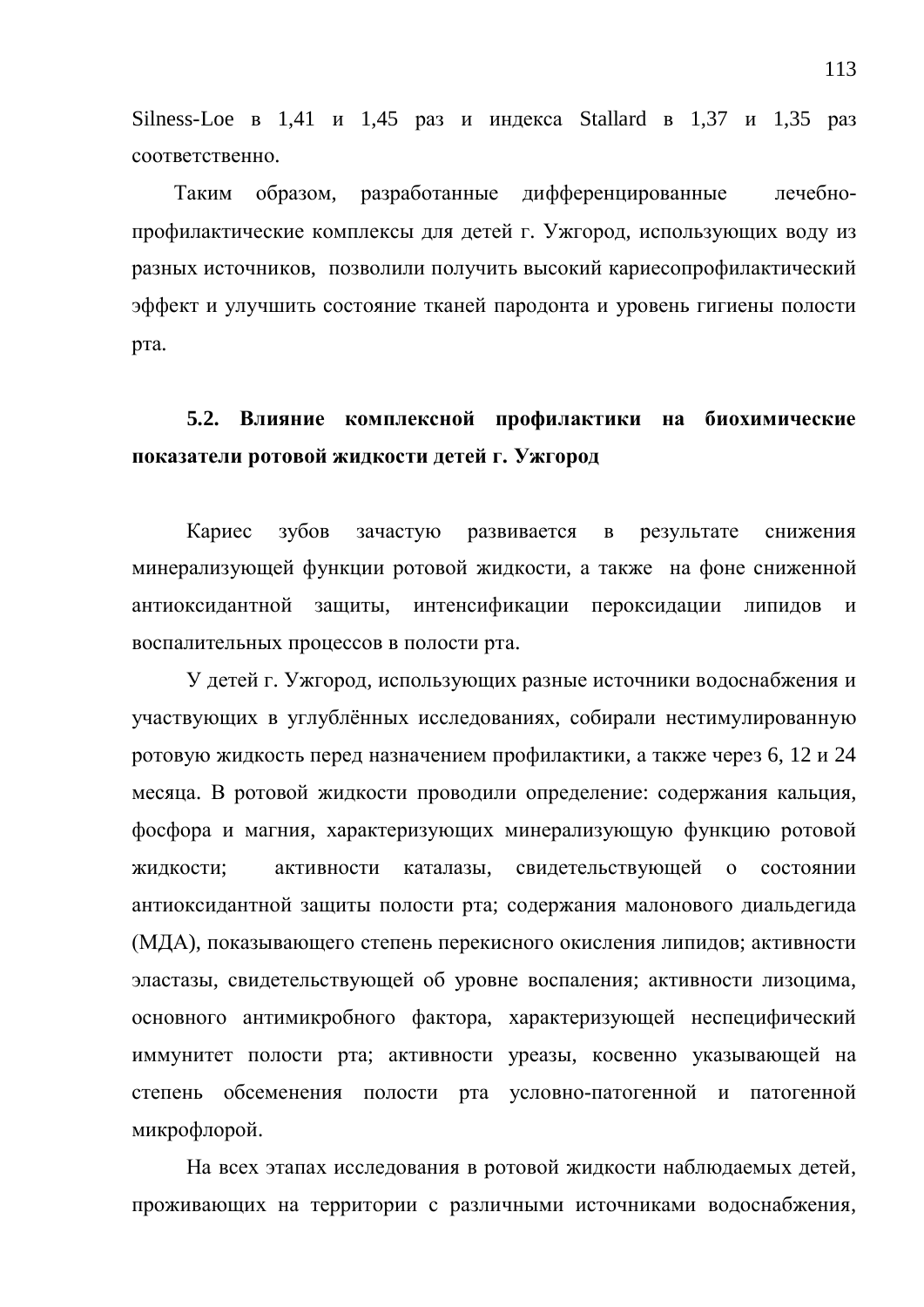Silness-Loe  $\overline{B}$  1,41  $\overline{H}$  1,45  $\overline{P}$  pas  $\overline{H}$   $\overline{H}$   $\overline{H}$  and  $\overline{H}$   $\overline{B}$  and  $\overline{S}$   $\overline{B}$  and  $\overline{S}$   $\overline{B}$  and  $\overline{S}$   $\overline{B}$  and  $\overline{S}$   $\overline{B}$  and  $\overline{S}$   $\overline{B}$  and  $\overline{$ соответственно.

Таким образом, разработанные дифференцированные лечебнопрофилактические комплексы для детей г. Ужгород, использующих воду из разных источников, позволили получить высокий кариесопрофилактический эффект и улучшить состояние тканей пародонта и уровень гигиены полости рта.

### 5.2. Влияние комплексной профилактики на биохимические показатели ротовой жидкости детей г. Ужгород

Кариес зубов зачастую развивается в результате снижения минерализующей функции ротовой жидкости, а также на фоне сниженной антиоксидантной защиты, интенсификации пероксидации липидов и воспалительных процессов в полости рта.

У детей г. Ужгород, использующих разные источники водоснабжения и участвующих в углублённых исследованиях, собирали нестимулированную ротовую жидкость перед назначением профилактики, а также через 6, 12 и 24 месяца. В ротовой жидкости проводили определение: содержания кальция, фосфора и магния, характеризующих минерализующую функцию ротовой жидкости; активности каталазы, свидетельствующей о состоянии антиоксидантной защиты полости рта; содержания малонового диальдегида (МДА), показывающего степень перекисного окисления липидов; активности эластазы, свидетельствующей об уровне воспаления; активности лизоцима, основного антимикробного фактора, характеризующей неспецифический иммунитет полости рта; активности уреазы, косвенно указывающей на степень обсеменения полости рта условно-патогенной и патогенной микрофлорой.

На всех этапах исследования в ротовой жидкости наблюдаемых детей, проживающих на территории с различными источниками водоснабжения,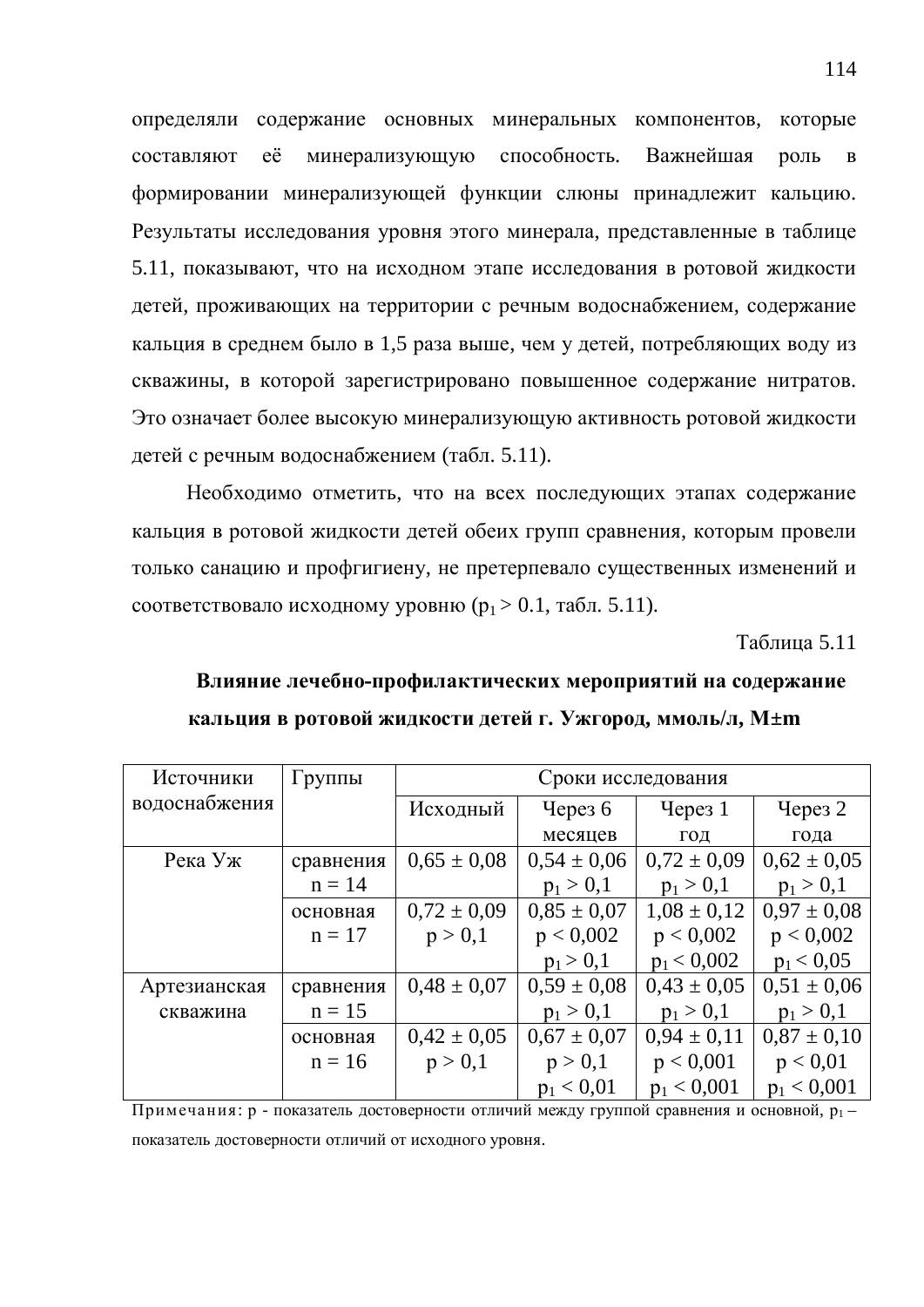определяли содержание основных минеральных компонентов, которые составляют её минерализующую способность. Важнейшая роль в формировании минерализующей функции слюны принадлежит кальцию. Результаты исследования уровня этого минерала, представленные в таблице 5.11, показывают, что на исходном этапе исследования в ротовой жидкости детей, проживающих на территории с речным водоснабжением, содержание кальция в среднем было в 1,5 раза выше, чем у детей, потребляющих воду из скважины, в которой зарегистрировано повышенное содержание нитратов. Это означает более высокую минерализующую активность ротовой жидкости детей с речным водоснабжением (табл. 5.11).

Необходимо отметить, что на всех последующих этапах содержание кальция в ротовой жидкости детей обеих групп сравнения, которым провели только санацию и профгигиену, не претерпевало существенных изменений и соответствовало исходному уровню ( $p_1 > 0.1$ , табл. 5.11).

Таблица 5.11

# Влияние лечебно-профилактических мероприятий на содержание **кальция в ротовой жидкости детей г. Ужгород, ммоль/л, М±m**

| Источники     | Группы    | Сроки исследования |                 |                 |                    |  |  |  |
|---------------|-----------|--------------------|-----------------|-----------------|--------------------|--|--|--|
| водоснабжения |           | Исходный           | Через $6$       | Через 1         | Yepes <sub>2</sub> |  |  |  |
|               |           |                    | месяцев         | ГОД             | года               |  |  |  |
| Река Уж       | сравнения | $0.65 \pm 0.08$    | $0,54 \pm 0,06$ | $0.72 \pm 0.09$ | $0.62 \pm 0.05$    |  |  |  |
|               | $n = 14$  |                    | $p_1 > 0,1$     | $p_1 > 0,1$     | $p_1 > 0,1$        |  |  |  |
|               | основная  | $0.72 \pm 0.09$    | $0.85 \pm 0.07$ | $1,08 \pm 0,12$ | $0.97 \pm 0.08$    |  |  |  |
|               | $n = 17$  | p > 0,1            | p < 0,002       | p < 0,002       | p < 0,002          |  |  |  |
|               |           |                    | $p_1 > 0,1$     | $p_1 < 0,002$   | $p_1 < 0.05$       |  |  |  |
| Артезианская  | сравнения | $0.48 \pm 0.07$    | $0,59 \pm 0,08$ | $0.43 \pm 0.05$ | $0.51 \pm 0.06$    |  |  |  |
| скважина      | $n = 15$  |                    | $p_1 > 0,1$     | $p_1 > 0,1$     | $p_1 > 0,1$        |  |  |  |
|               | основная  | $0.42 \pm 0.05$    | $0.67 \pm 0.07$ | $0.94 \pm 0.11$ | $0.87 \pm 0.10$    |  |  |  |
|               | $n = 16$  | p > 0,1            | p > 0,1         | p < 0,001       | p < 0.01           |  |  |  |
|               |           |                    | $p_1 < 0.01$    | $p_1 < 0,001$   | $p_1 < 0,001$      |  |  |  |

Примечания: р - показатель достоверности отличий между группой сравнения и основной,  $p_1$ показатель достоверности отличий от исходного уровня.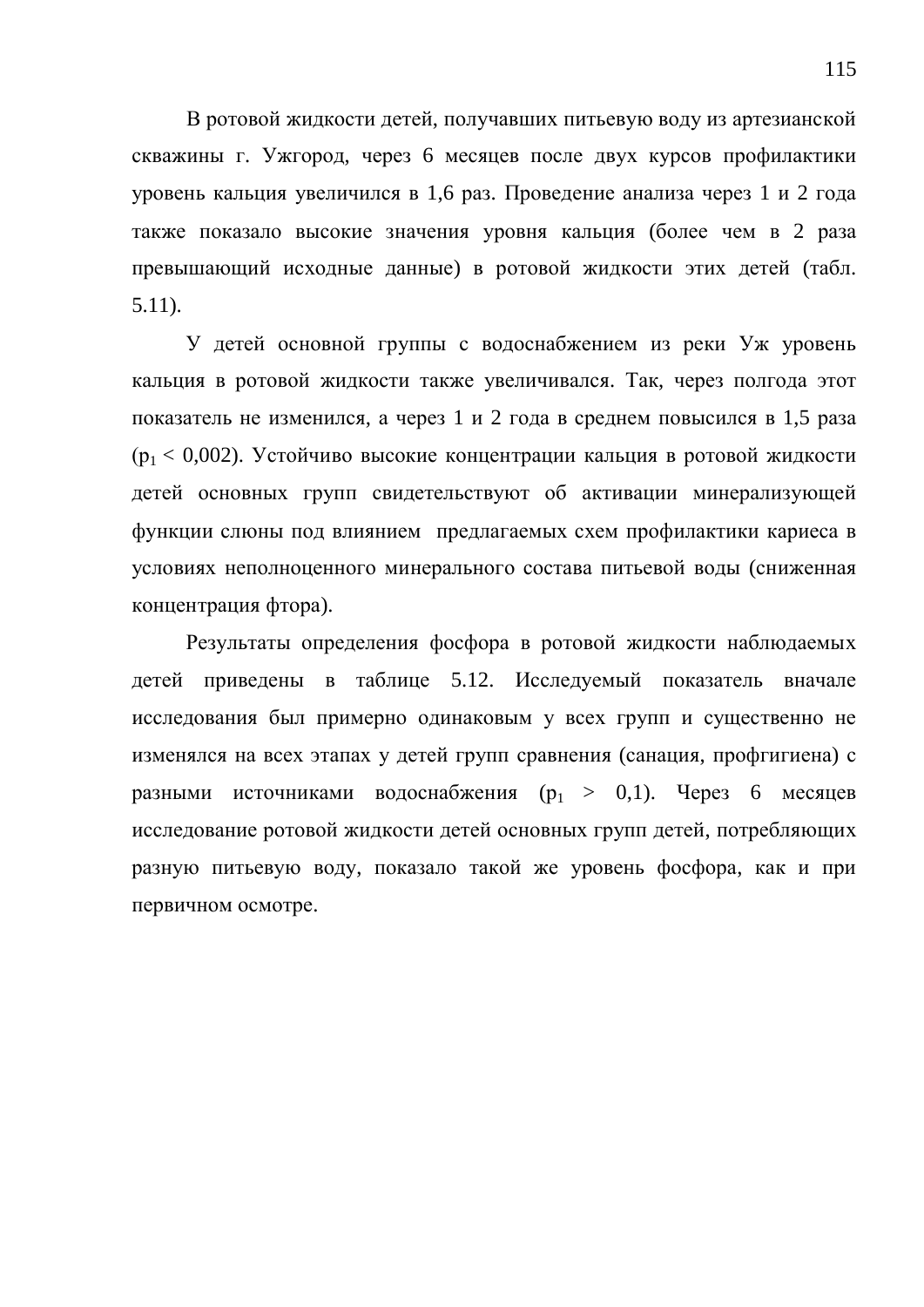В ротовой жидкости детей, получавших питьевую воду из артезианской скважины г. Ужгород, через 6 месяцев после двух курсов профилактики уровень кальция увеличился в 1,6 раз. Проведение анализа через 1 и 2 года также показало высокие значения уровня кальция (более чем в 2 раза превышающий исходные данные) в ротовой жидкости этих детей (табл. 5.11).

У детей основной группы с водоснабжением из реки Уж уровень кальция в ротовой жидкости также увеличивался. Так, через полгода этот показатель не изменился, а через 1 и 2 года в среднем повысился в 1,5 раза  $(p_1 < 0.002)$ . Устойчиво высокие концентрации кальция в ротовой жидкости детей основных групп свидетельствуют об активации минерализующей функции слюны под влиянием предлагаемых схем профилактики кариеса в условиях неполноценного минерального состава питьевой воды (сниженная концентрация фтора).

Результаты определения фосфора в ротовой жидкости наблюдаемых детей приведены в таблице 5.12. Исследуемый показатель вначале исследования был примерно одинаковым у всех групп и существенно не изменялся на всех этапах у детей групп сравнения (санация, профгигиена) с разными источниками водоснабжения ( $p_1 > 0,1$ ). Через 6 месяцев исследование ротовой жидкости детей основных групп детей, потребляющих разную питьевую воду, показало такой же уровень фосфора, как и при первичном осмотре.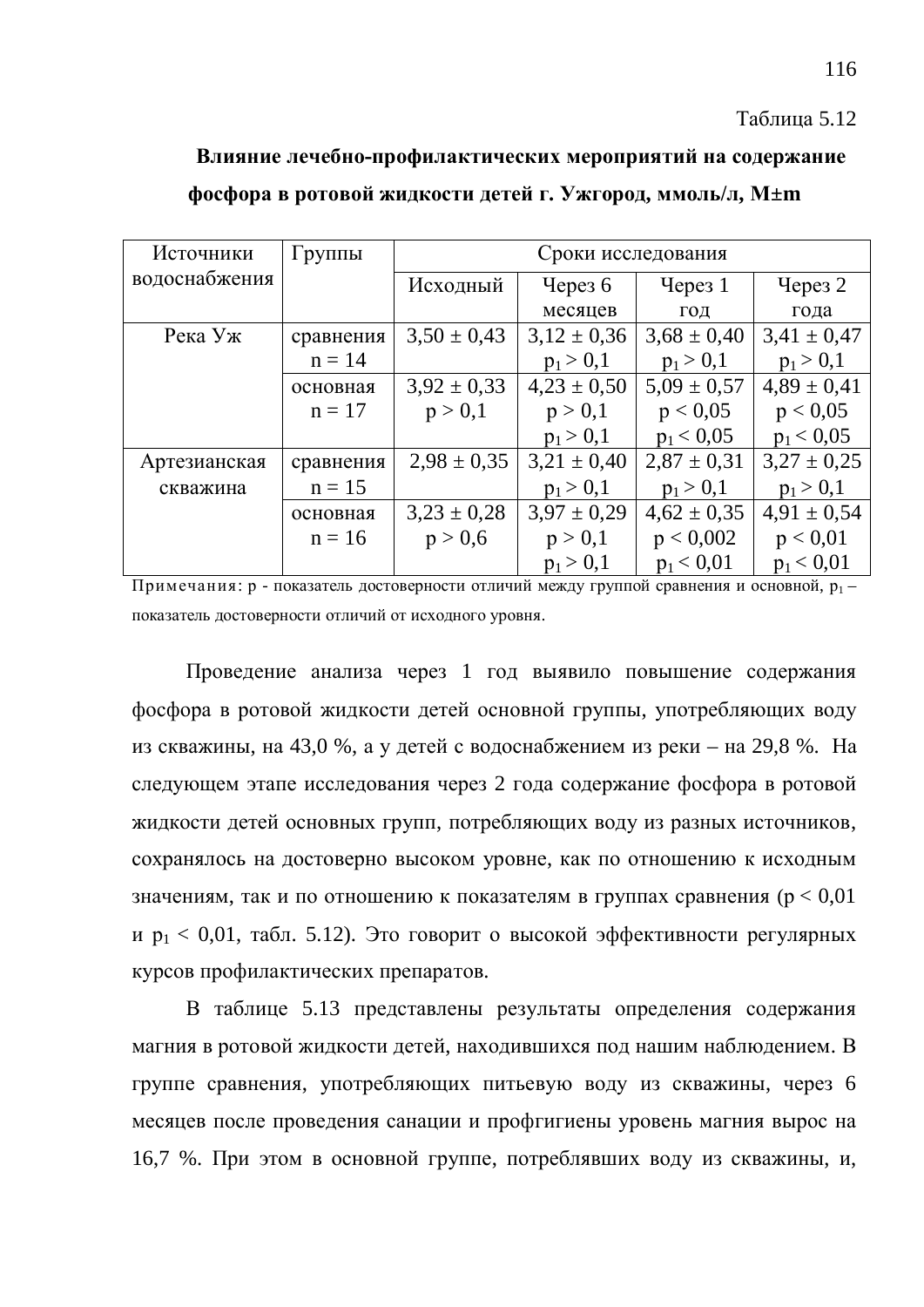#### Таблица 5.12

# Влияние лечебно-профилактических мероприятий на содержание **фосфора в ротовой жидкости детей г. Ужгород, ммоль/л, М±m**

| Источники     | Группы    |                 | Сроки исследования |                  |                 |
|---------------|-----------|-----------------|--------------------|------------------|-----------------|
| водоснабжения |           | Исходный        | Через $6$          | $\gamma$ Hepes 1 | Через 2         |
|               |           |                 | месяцев            | ГОД              | года            |
| Река Уж       | сравнения | $3,50 \pm 0,43$ | $3,12 \pm 0,36$    | $3,68 \pm 0,40$  | $3,41 \pm 0,47$ |
|               | $n = 14$  |                 | $p_1 > 0,1$        | $p_1 > 0,1$      | $p_1 > 0,1$     |
|               | основная  | $3,92 \pm 0,33$ | $4,23 \pm 0,50$    | $5,09 \pm 0,57$  | $4,89 \pm 0,41$ |
|               | $n = 17$  | p > 0,1         | p > 0,1            | p < 0.05         | p < 0.05        |
|               |           |                 | $p_1 > 0,1$        | $p_1 < 0.05$     | $p_1 < 0.05$    |
| Артезианская  | сравнения | $2,98 \pm 0,35$ | $3,21 \pm 0,40$    | $2,87 \pm 0,31$  | $3,27 \pm 0.25$ |
| скважина      | $n = 15$  |                 | $p_1 > 0,1$        | $p_1 > 0,1$      | $p_1 > 0,1$     |
|               | основная  | $3,23 \pm 0,28$ | $3.97 \pm 0.29$    | $4,62 \pm 0,35$  | $4,91 \pm 0,54$ |
|               | $n = 16$  | p > 0,6         | p > 0,1            | p < 0,002        | p < 0.01        |
|               |           |                 | $p_1 > 0,1$        | $p_1 < 0.01$     | $p_1 < 0.01$    |

Примечания: р - показатель достоверности отличий между группой сравнения и основной,  $p_1$ показатель достоверности отличий от исходного уровня.

Проведение анализа через 1 год выявило повышение содержания фосфора в ротовой жилкости летей основной группы, употребляющих волу из скважины, на 43,0 %, а у детей с водоснабжением из реки – на 29,8 %. На следующем этапе исследования через 2 года содержание фосфора в ротовой жидкости детей основных групп, потребляющих воду из разных источников, сохранялось на достоверно высоком уровне, как по отношению к исходным значениям, так и по отношению к показателям в группах сравнения ( $p < 0.01$ ) и  $p_1 < 0.01$ , табл. 5.12). Это говорит о высокой эффективности регулярных курсов профилактических препаратов.

В таблице 5.13 представлены результаты определения содержания магния в ротовой жидкости детей, находившихся под нашим наблюдением. В группе сравнения, употребляющих питьевую воду из скважины, через 6 месяцев после проведения санации и профгигиены уровень магния вырос на 16,7 %. При этом в основной группе, потреблявших воду из скважины, и,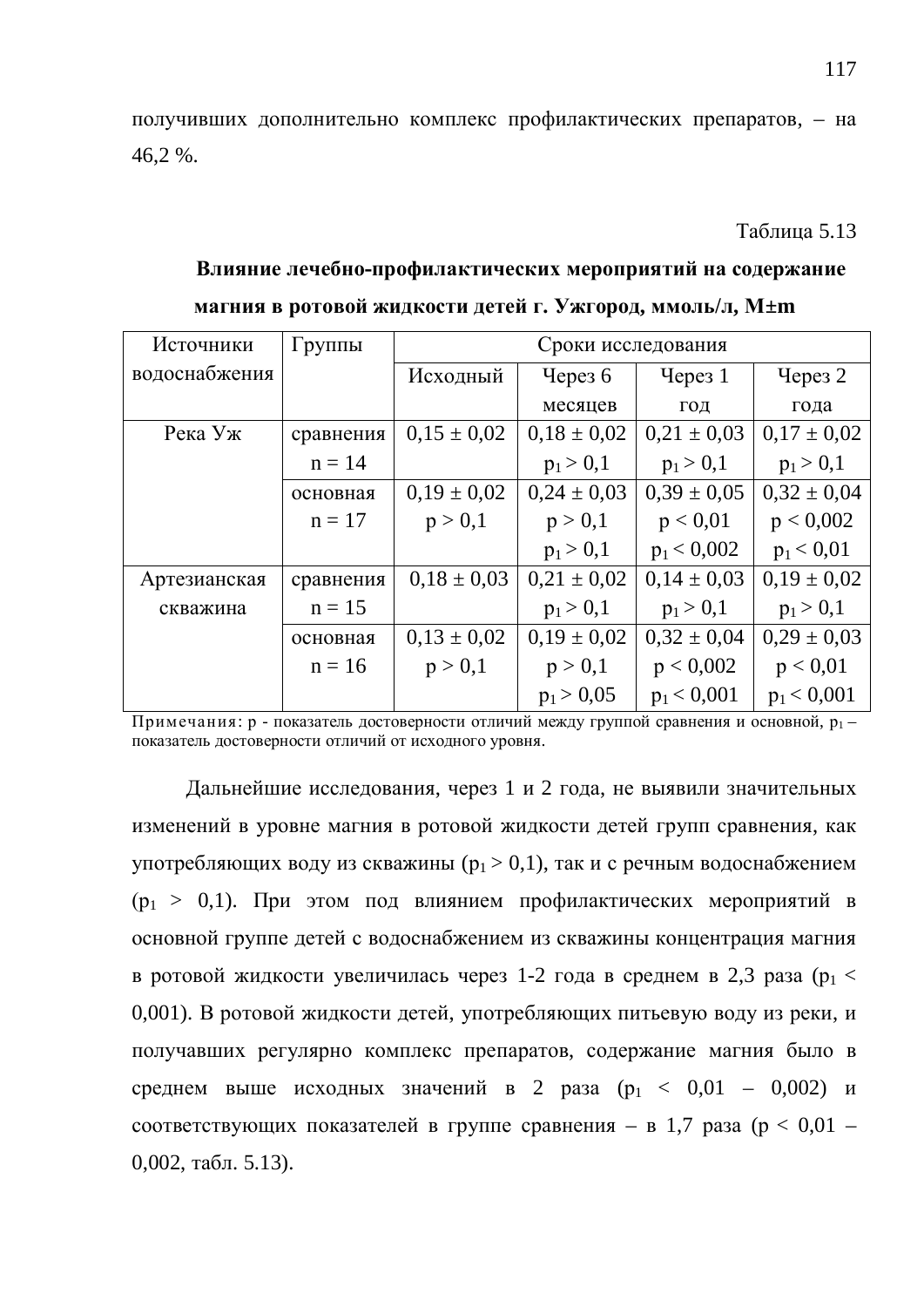получивших дополнительно комплекс профилактических препаратов, – на 46,2 %.

**Таблина 5.13** 

# Влияние лечебно-профилактических мероприятий на содержание **магния в ротовой жидкости детей г. Ужгород, ммоль/л, М±m**

| Источники     | Группы    |                 | Сроки исследования |                 |                    |
|---------------|-----------|-----------------|--------------------|-----------------|--------------------|
| водоснабжения |           | Исходный        | Через $6$          | Через 1         | Yepes <sub>2</sub> |
|               |           |                 | месяцев            | ГОД             | года               |
| Река Уж       | сравнения | $0.15 \pm 0.02$ | $0.18 \pm 0.02$    | $0,21 \pm 0,03$ | $0,17 \pm 0,02$    |
|               | $n = 14$  |                 | $p_1 > 0,1$        | $p_1 > 0,1$     | $p_1 > 0,1$        |
|               | основная  | $0.19 \pm 0.02$ | $0.24 \pm 0.03$    | $0,39 \pm 0,05$ | $0.32 \pm 0.04$    |
|               | $n = 17$  | p > 0,1         | p > 0,1            | p < 0.01        | p < 0,002          |
|               |           |                 | $p_1 > 0,1$        | $p_1 < 0,002$   | $p_1 < 0.01$       |
| Артезианская  | сравнения | $0.18 \pm 0.03$ | $0.21 \pm 0.02$    | $0.14 \pm 0.03$ | $0.19 \pm 0.02$    |
| скважина      | $n = 15$  |                 | $p_1 > 0,1$        | $p_1 > 0,1$     | $p_1 > 0,1$        |
|               | основная  | $0,13 \pm 0,02$ | $0.19 \pm 0.02$    | $0.32 \pm 0.04$ | $0.29 \pm 0.03$    |
|               | $n = 16$  | p > 0,1         | p > 0,1            | p < 0,002       | p < 0.01           |
|               |           |                 | $p_1 > 0.05$       | $p_1 < 0,001$   | $p_1 < 0,001$      |

Примечания: р - показатель достоверности отличий между группой сравнения и основной,  $p_1$ показатель достоверности отличий от исходного уровня.

Дальнейшие исследования, через 1 и 2 года, не выявили значительных изменений в уровне магния в ротовой жидкости детей групп сравнения, как употребляющих воду из скважины ( $p_1 > 0,1$ ), так и с речным водоснабжением  $(p_1 > 0,1)$ . При этом под влиянием профилактических мероприятий в основной группе детей с водоснабжением из скважины концентрация магния в ротовой жидкости увеличилась через 1-2 года в среднем в 2,3 раза ( $p_1 <$ 0,001). В ротовой жидкости детей, употребляющих питьевую воду из реки, и получавших регулярно комплекс препаратов, содержание магния было в среднем выше исходных значений в 2 раза  $(p_1 < 0.01 - 0.002)$  и соответствующих показателей в группе сравнения – в 1,7 раза ( $p < 0.01$  –  $0,002$ , табл. 5.13).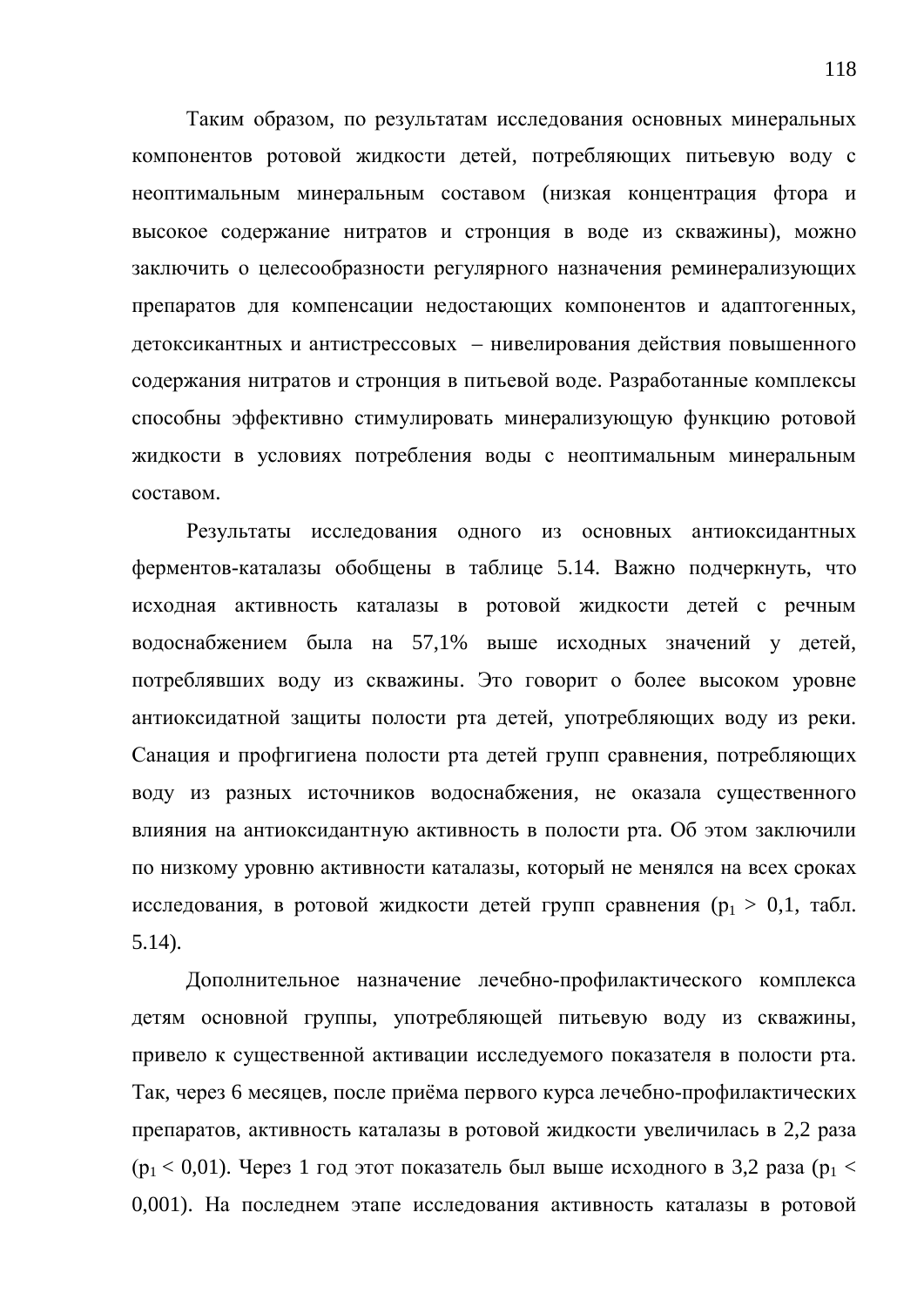Таким образом, по результатам исследования основных минеральных компонентов ротовой жидкости детей, потребляющих питьевую воду с неоптимальным минеральным составом (низкая концентрация фтора и высокое содержание нитратов и стронция в воде из скважины), можно заключить о целесообразности регулярного назначения реминерализующих препаратов для компенсации недостающих компонентов и адаптогенных, детоксикантных и антистрессовых – нивелирования действия повышенного содержания нитратов и стронция в питьевой воде. Разработанные комплексы способны эффективно стимулировать минерализующую функцию ротовой жидкости в условиях потребления воды с неоптимальным минеральным составом.

Результаты исследования одного из основных антиоксидантных ферментов-каталазы обобщены в таблице 5.14. Важно подчеркнуть, что исходная активность каталазы в ротовой жидкости детей с речным водоснабжением была на 57,1% выше исходных значений у детей, потреблявших воду из скважины. Это говорит о более высоком уровне антиоксидатной защиты полости рта детей, употребляющих воду из реки. Санация и профгигиена полости рта детей групп сравнения, потребляющих воду из разных источников водоснабжения, не оказала существенного влияния на антиоксидантную активность в полости рта. Об этом заключили по низкому уровню активности каталазы, который не менялся на всех сроках исследования, в ротовой жидкости детей групп сравнения ( $p_1 > 0, 1$ , табл. 5.14).

Дополнительное назначение лечебно-профилактического комплекса детям основной группы, употребляющей питьевую воду из скважины, привело к существенной активации исследуемого показателя в полости рта. Так, через 6 месяцев, после приёма первого курса лечебно-профилактических препаратов, активность каталазы в ротовой жидкости увеличилась в 2,2 раза  $(p_1 < 0.01)$ . Через 1 год этот показатель был выше исходного в 3,2 раза ( $p_1 <$ 0,001). На последнем этапе исследования активность каталазы в ротовой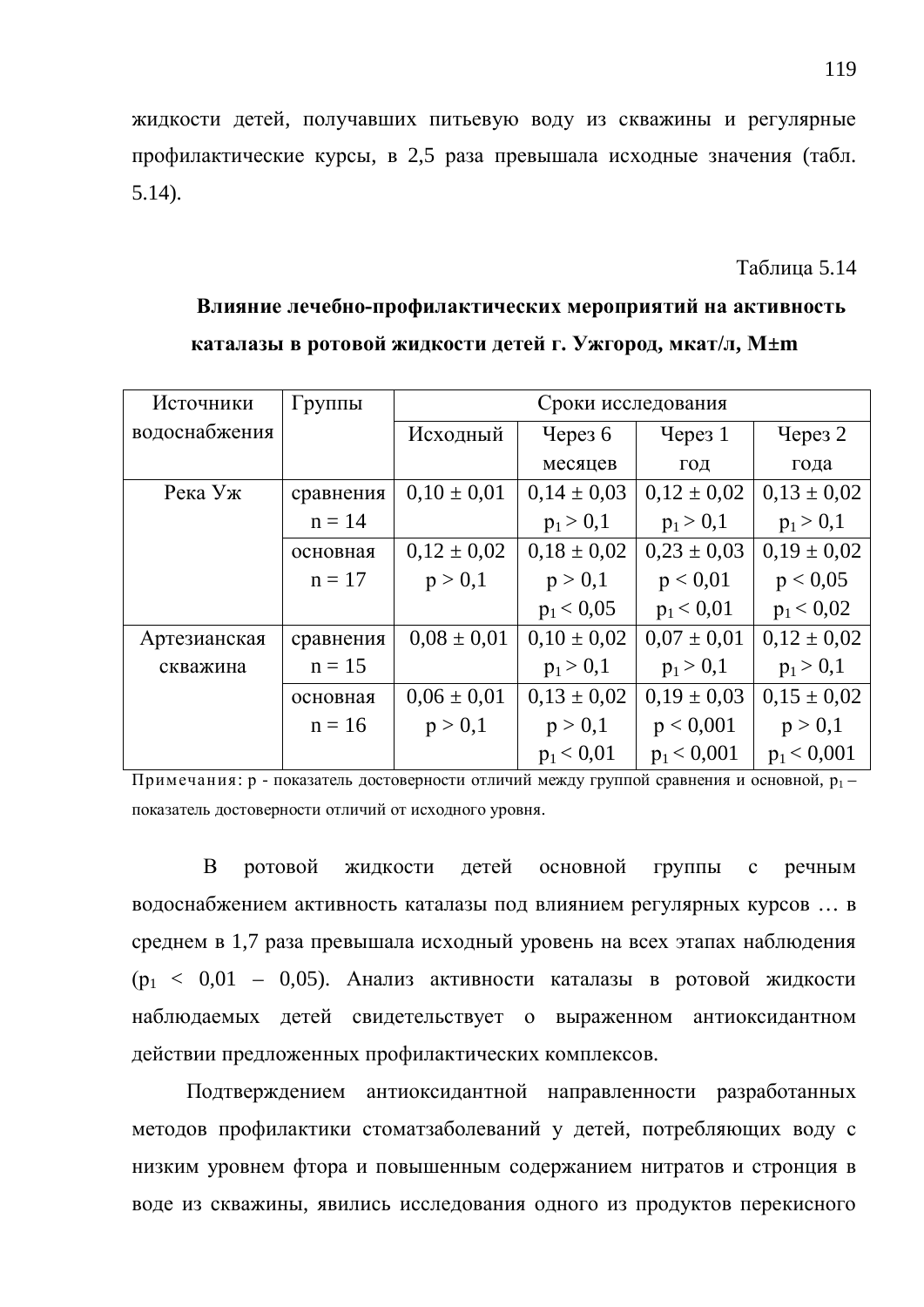жидкости детей, получавших питьевую воду из скважины и регулярные профилактические курсы, в 2,5 раза превышала исходные значения (табл. 5.14).

**Таблина 5.14** 

## Влияние лечебно-профилактических мероприятий на активность **каталазы в ротовой жидкости детей г. Ужгород, мкат/л, М±m**

| Источники     | Группы    | Сроки исследования |                 |                    |                 |  |
|---------------|-----------|--------------------|-----------------|--------------------|-----------------|--|
| водоснабжения |           | Исходный           | Через $6$       | Iepes <sub>1</sub> | Через 2         |  |
|               |           |                    | месяцев         | ГОД                | года            |  |
| Река Уж       | сравнения | $0,10 \pm 0,01$    | $0,14 \pm 0,03$ | $0,12 \pm 0,02$    | $0,13 \pm 0,02$ |  |
|               | $n = 14$  |                    | $p_1 > 0,1$     | $p_1 > 0,1$        | $p_1 > 0,1$     |  |
|               | основная  | $0,12 \pm 0,02$    | $0.18 \pm 0.02$ | $0,23 \pm 0,03$    | $0,19 \pm 0,02$ |  |
|               | $n = 17$  | p > 0,1            | p > 0,1         | p < 0.01           | p < 0.05        |  |
|               |           |                    | $p_1 < 0.05$    | $p_1 < 0.01$       | $p_1 < 0.02$    |  |
| Артезианская  | сравнения | $0.08 \pm 0.01$    | $0,10 \pm 0,02$ | $0.07 \pm 0.01$    | $0.12 \pm 0.02$ |  |
| скважина      | $n = 15$  |                    | $p_1 > 0,1$     | $p_1 > 0,1$        | $p_1 > 0,1$     |  |
|               | основная  | $0.06 \pm 0.01$    | $0.13 \pm 0.02$ | $0.19 \pm 0.03$    | $0.15 \pm 0.02$ |  |
|               | $n = 16$  | p > 0,1            | p > 0,1         | p < 0,001          | p > 0,1         |  |
|               |           |                    | $p_1 < 0.01$    | $p_1 < 0.001$      | $p_1 < 0,001$   |  |

 $\Pi$ римечания: р - показатель достоверности отличий между группой сравнения и основной,  $p_1$ показатель достоверности отличий от исходного уровня.

В ротовой жидкости детей основной группы с речным водоснабжением активность каталазы под влиянием регулярных курсов ... в среднем в 1,7 раза превышала исходный уровень на всех этапах наблюдения  $(p_1 < 0.01 - 0.05)$ . Анализ активности каталазы в ротовой жидкости наблюдаемых детей свидетельствует о выраженном антиоксидантном действии предложенных профилактических комплексов.

Подтверждением антиоксидантной направленности разработанных методов профилактики стоматзаболеваний у детей, потребляющих воду с низким уровнем фтора и повышенным содержанием нитратов и стронция в воде из скважины, явились исследования одного из продуктов перекисного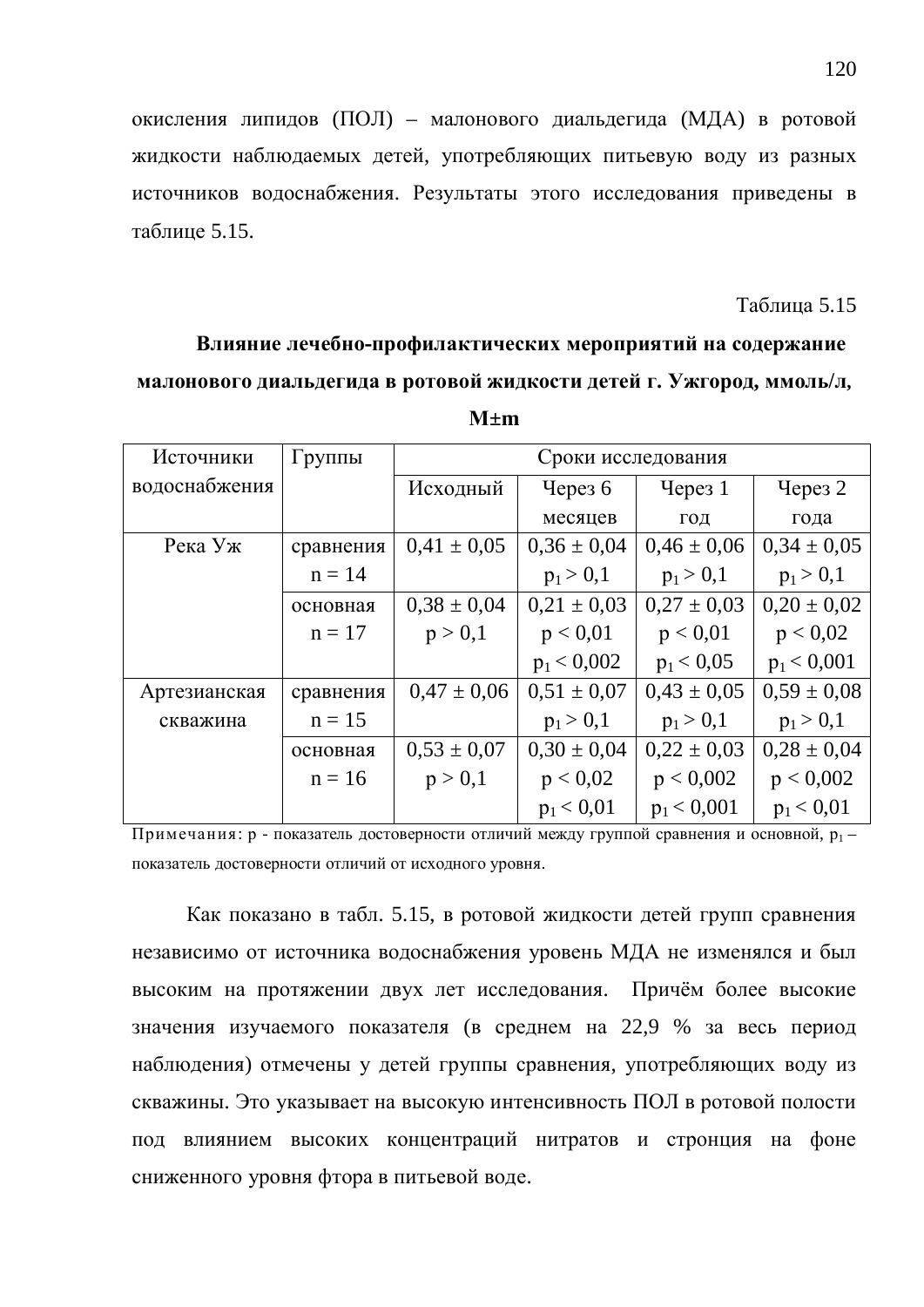окисления липидов (ПОЛ) – малонового диальдегида (МДА) в ротовой жидкости наблюдаемых детей, употребляющих питьевую воду из разных источников водоснабжения. Результаты этого исследования приведены в таблине 5.15.

#### **Таблина** 5.15

### Влияние лечебно-профилактических мероприятий на содержание **малонового диальдегида в ротовой жидкости детей г. Ужгород, ммоль/л,**

| Источники     | Группы    | Сроки исследования    |                 |                    |                 |  |
|---------------|-----------|-----------------------|-----------------|--------------------|-----------------|--|
| водоснабжения |           | Исходный<br>Через $6$ |                 | Yepes <sub>1</sub> | Через $2$       |  |
|               |           |                       | месяцев         | ГОД                | года            |  |
| Река Уж       | сравнения | $0.41 \pm 0.05$       | $0,36 \pm 0,04$ | $0,46 \pm 0,06$    | $0,34 \pm 0,05$ |  |
|               | $n = 14$  |                       | $p_1 > 0,1$     | $p_1 > 0,1$        | $p_1 > 0,1$     |  |
|               | основная  | $0,38 \pm 0,04$       | $0,21 \pm 0,03$ | $0.27 \pm 0.03$    | $0,20 \pm 0,02$ |  |
|               | $n = 17$  | p > 0,1               | p < 0.01        | p < 0.01           | p < 0.02        |  |
|               |           |                       | $p_1 < 0,002$   | $p_1 < 0.05$       | $p_1 < 0,001$   |  |
| Артезианская  | сравнения | $0.47 \pm 0.06$       | $0.51 \pm 0.07$ | $0.43 \pm 0.05$    | $0.59 \pm 0.08$ |  |
| скважина      | $n = 15$  |                       | $p_1 > 0,1$     | $p_1 > 0,1$        | $p_1 > 0,1$     |  |
|               | основная  | $0,53 \pm 0,07$       | $0,30 \pm 0,04$ | $0.22 \pm 0.03$    | $0.28 \pm 0.04$ |  |
|               | $n = 16$  | p > 0,1               | p < 0.02        | p < 0,002          | p < 0,002       |  |
|               |           |                       | $p_1 < 0.01$    | $p_1 < 0.001$      | $p_1 < 0.01$    |  |

|--|--|

Примечания: р - показатель достоверности отличий между группой сравнения и основной,  $p_1$ показатель достоверности отличий от исходного уровня.

Как показано в табл. 5.15, в ротовой жидкости детей групп сравнения независимо от источника водоснабжения уровень МДА не изменялся и был высоким на протяжении двух лет исследования. Причём более высокие значения изучаемого показателя (в среднем на 22,9 % за весь период наблюдения) отмечены у детей группы сравнения, употребляющих воду из скважины. Это указывает на высокую интенсивность ПОЛ в ротовой полости под влиянием высоких концентраций нитратов и стронция на фоне сниженного уровня фтора в питьевой воде.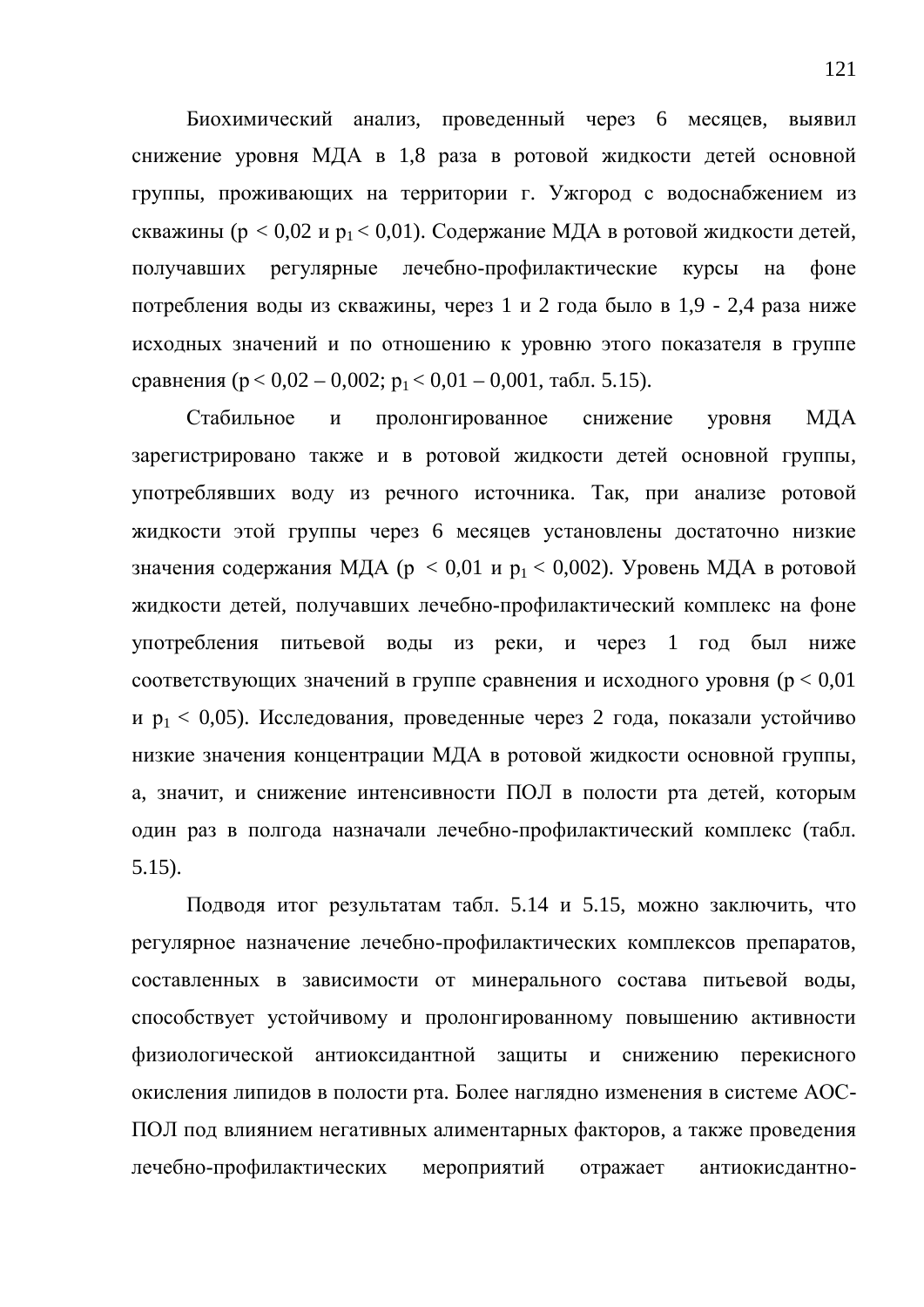Биохимический анализ, проведенный через 6 месяцев, выявил снижение уровня МДА в 1,8 раза в ротовой жидкости детей основной группы, проживающих на территории г. Ужгород с водоснабжением из скважины ( $p < 0.02$  и  $p_1 < 0.01$ ). Содержание МДА в ротовой жидкости детей, получавших регулярные лечебно-профилактические курсы на фоне потребления воды из скважины, через 1 и 2 года было в 1,9 - 2,4 раза ниже исходных значений и по отношению к уровню этого показателя в группе сравнения ( $p < 0.02 - 0.002$ ;  $p_1 < 0.01 - 0.001$ , табл. 5.15).

Стабильное и пролонгированное снижение уровня МЛА зарегистрировано также и в ротовой жидкости детей основной группы, употреблявших воду из речного источника. Так, при анализе ротовой жидкости этой группы через 6 месяцев установлены достаточно низкие значения содержания МДА ( $p < 0.01$  и  $p_1 < 0.002$ ). Уровень МДА в ротовой жидкости детей, получавших лечебно-профилактический комплекс на фоне употребления питьевой воды из реки, и через 1 год был ниже соответствующих значений в группе сравнения и исходного уровня ( $p < 0.01$ ) и  $p_1 < 0.05$ ). Исследования, проведенные через 2 года, показали устойчиво низкие значения концентрации МДА в ротовой жидкости основной группы, а, значит, и снижение интенсивности ПОЛ в полости рта детей, которым один раз в полгода назначали лечебно-профилактический комплекс (табл. 5.15).

Подводя итог результатам табл. 5.14 и 5.15, можно заключить, что регулярное назначение лечебно-профилактических комплексов препаратов, составленных в зависимости от минерального состава питьевой воды, способствует устойчивому и пролонгированному повышению активности физиологической антиоксидантной защиты и снижению перекисного окисления липидов в полости рта. Более наглядно изменения в системе АОС-ПОЛ под влиянием негативных алиментарных факторов, а также проведения лечебно-профилактических мероприятий отражает антиокисдантно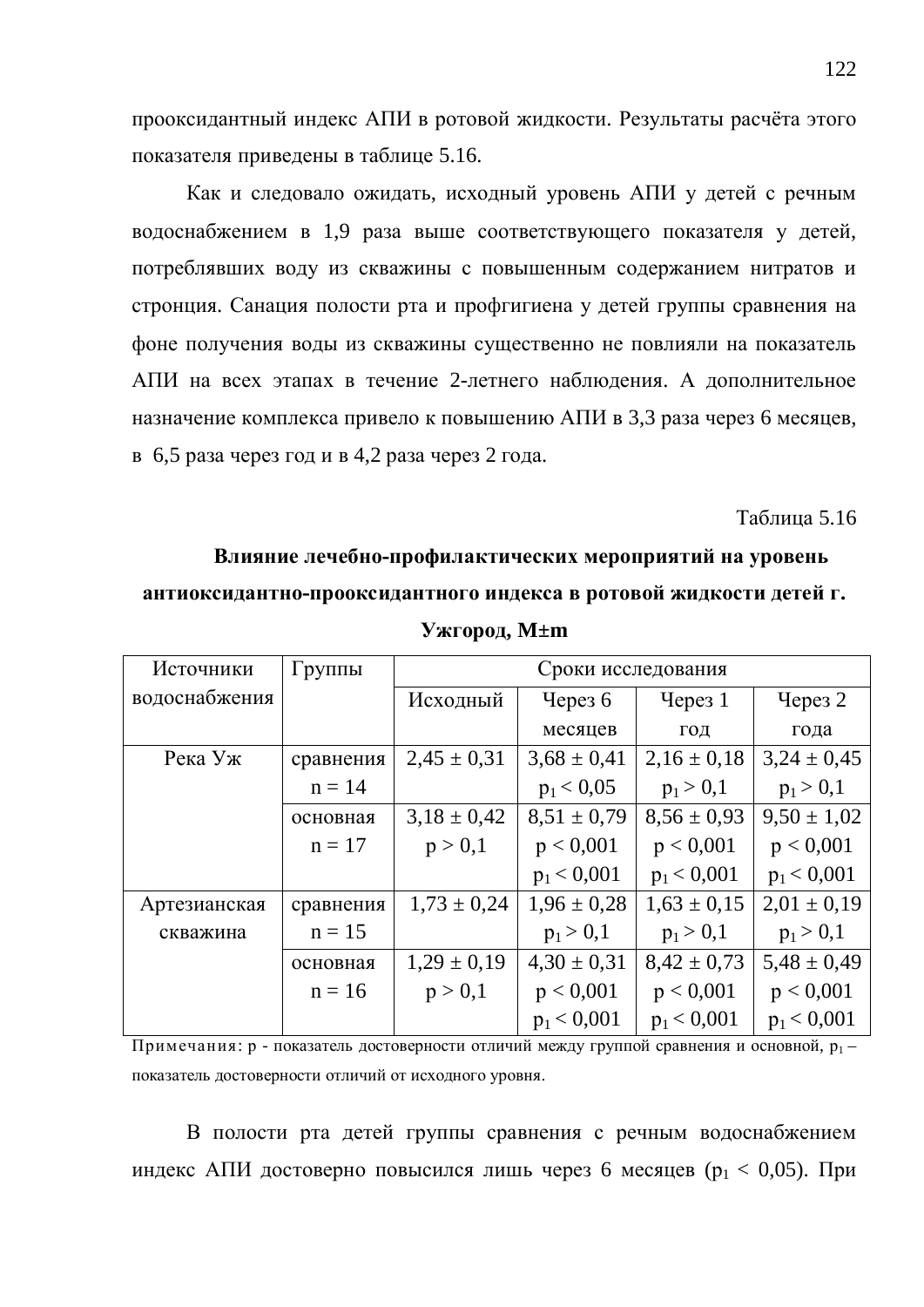прооксидантный индекс АПИ в ротовой жидкости. Результаты расчёта этого показателя приведены в таблице 5.16.

Как и следовало ожидать, исходный уровень АПИ у детей с речным водоснабжением в 1,9 раза выше соответствующего показателя у детей, потреблявших воду из скважины с повышенным содержанием нитратов и стронция. Санация полости рта и профгигиена у детей группы сравнения на фоне получения воды из скважины существенно не повлияли на показатель АПИ на всех этапах в течение 2-летнего наблюдения. А дополнительное назначение комплекса привело к повышению АПИ в 3,3 раза через 6 месяцев, в 6,5 раза через год и в 4,2 раза через 2 года.

#### **Таблица 5.16**

#### Влияние лечебно-профилактических мероприятий на уровень

#### антиоксидантно-прооксидантного индекса в ротовой жидкости детей г.

| Источники     | $\Gamma$ руппы | Сроки исследования |                 |                 |                 |  |
|---------------|----------------|--------------------|-----------------|-----------------|-----------------|--|
| водоснабжения |                | Исходный           | Через $6$       | Yepeg1          | Через 2         |  |
|               |                |                    | месяцев         | ГОД             | года            |  |
| Река Уж       | сравнения      | $2,45 \pm 0,31$    | $3,68 \pm 0,41$ | $2,16 \pm 0,18$ | $3,24 \pm 0,45$ |  |
|               | $n = 14$       |                    | $p_1 < 0.05$    | $p_1 > 0,1$     | $p_1 > 0,1$     |  |
|               | основная       | $3,18 \pm 0,42$    | $8,51 \pm 0.79$ | $8.56 \pm 0.93$ | $9,50 \pm 1,02$ |  |
|               | $n = 17$       | p > 0,1            | p < 0,001       | p < 0,001       | p < 0,001       |  |
|               |                |                    | $p_1 < 0,001$   | $p_1 < 0.001$   | $p_1 < 0,001$   |  |
| Артезианская  | сравнения      | $1,73 \pm 0,24$    | $1,96 \pm 0,28$ | $1,63 \pm 0,15$ | $2,01 \pm 0,19$ |  |
| скважина      | $n = 15$       |                    | $p_1 > 0,1$     | $p_1 > 0,1$     | $p_1 > 0,1$     |  |
|               | основная       | $1,29 \pm 0,19$    | $4,30 \pm 0,31$ | $8,42 \pm 0,73$ | $5,48 \pm 0,49$ |  |
|               | $n = 16$       | p > 0,1            | p < 0,001       | p < 0,001       | p < 0,001       |  |
|               |                |                    | $p_1 < 0.001$   | $p_1 < 0.001$   | $p_1 < 0.001$   |  |

**ɍɠɝɨɪɨɞ, M±m**

Примечания: р - показатель достоверности отличий между группой сравнения и основной, р<sub>1</sub> – показатель достоверности отличий от исходного уровня.

В полости рта детей группы сравнения с речным водоснабжением индекс АПИ достоверно повысился лишь через 6 месяцев ( $p_1 < 0.05$ ). При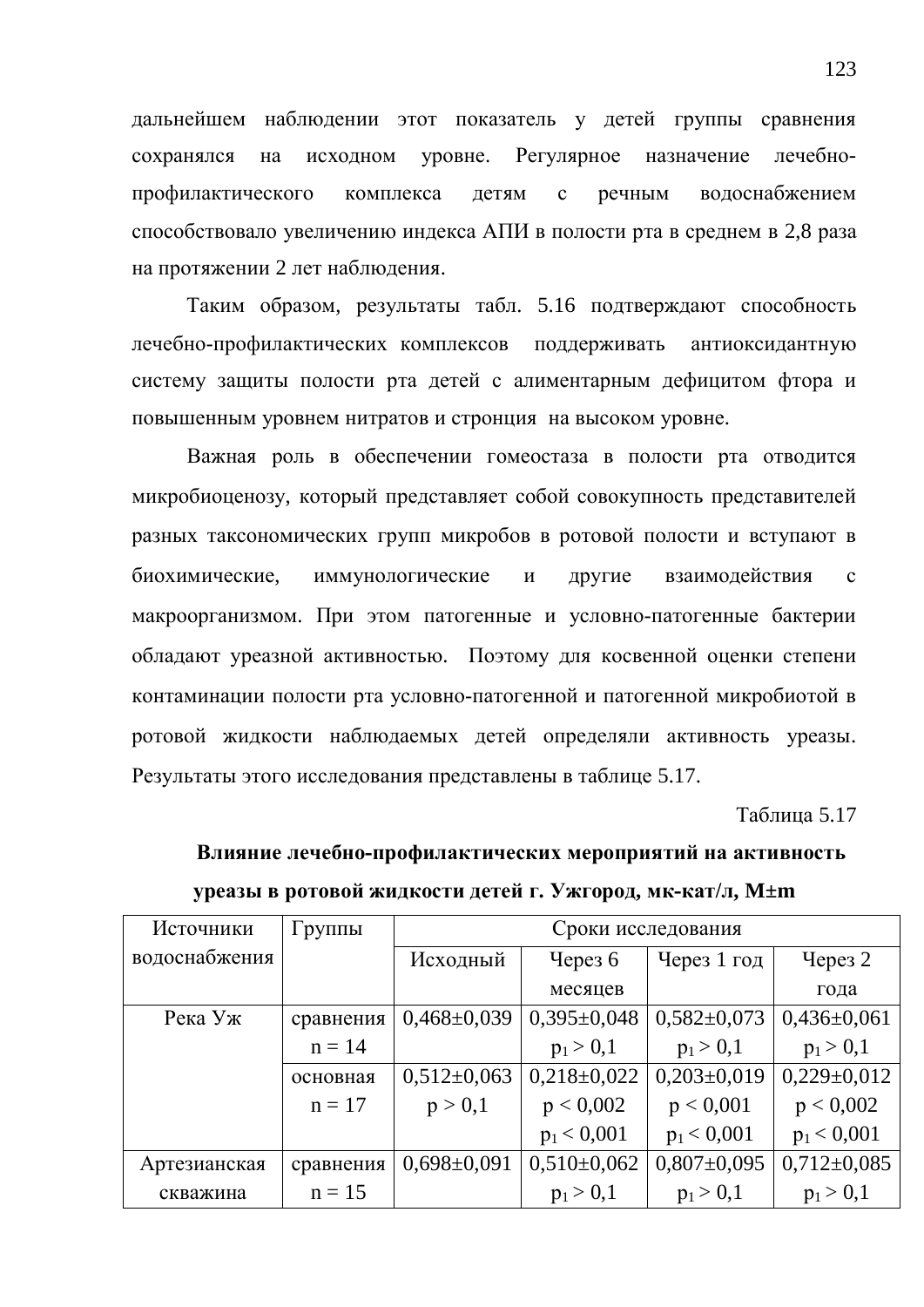дальнейшем наблюдении этот показатель у детей группы сравнения сохранялся на исходном уровне. Регулярное назначение лечебнопрофилактического комплекса детям с речным водоснабжением способствовало увеличению индекса АПИ в полости рта в среднем в 2,8 раза на протяжении 2 лет наблюдения.

Таким образом, результаты табл. 5.16 подтверждают способность лечебно-профилактических комплексов поддерживать антиоксидантную систему защиты полости рта детей с алиментарным дефицитом фтора и повышенным уровнем нитратов и стронция на высоком уровне.

Важная роль в обеспечении гомеостаза в полости рта отводится микробиоценозу, который представляет собой совокупность представителей разных таксономических групп микробов в ротовой полости и вступают в биохимические, иммунологические и другие взаимодействия с макроорганизмом. При этом патогенные и условно-патогенные бактерии обладают уреазной активностью. Поэтому для косвенной оценки степени контаминации полости рта условно-патогенной и патогенной микробиотой в ротовой жидкости наблюдаемых детей определяли активность уреазы. Результаты этого исследования представлены в таблице 5.17.

**Таблина 5.17** 

Влияние лечебно-профилактических мероприятий на активность **УРССАЗЫ В РОТОВОЙ ЖИДКОСТИ ДЕТЕЙ Г. УЖГОРОД, МК-КАТ/Л, М±m** 

| Источники     | Группы    | Сроки исследования    |                 |                 |                 |  |
|---------------|-----------|-----------------------|-----------------|-----------------|-----------------|--|
| водоснабжения |           | Исходный<br>Через $6$ |                 | Через 1 год     | Через 2         |  |
|               |           |                       | месяцев         |                 | года            |  |
| Река Уж       | сравнения | $0,468\pm0,039$       | $0,395\pm0,048$ | $0,582\pm0,073$ | $0,436\pm0,061$ |  |
|               | $n = 14$  |                       | $p_1 > 0,1$     | $p_1 > 0,1$     | $p_1 > 0,1$     |  |
|               | основная  | $0,512\pm0,063$       | $0,218\pm0,022$ | $0,203\pm0,019$ | $0,229\pm0,012$ |  |
|               | $n = 17$  | p > 0,1               | p < 0,002       | p < 0,001       | p < 0,002       |  |
|               |           |                       | $p_1 < 0,001$   | $p_1 < 0,001$   | $p_1 < 0,001$   |  |
| Артезианская  | сравнения | $0,698 \pm 0,091$     | $0,510\pm0,062$ | $0,807\pm0,095$ | $0,712\pm0,085$ |  |
| скважина      | $n = 15$  |                       | $p_1 > 0,1$     | $p_1 > 0,1$     | $p_1 > 0,1$     |  |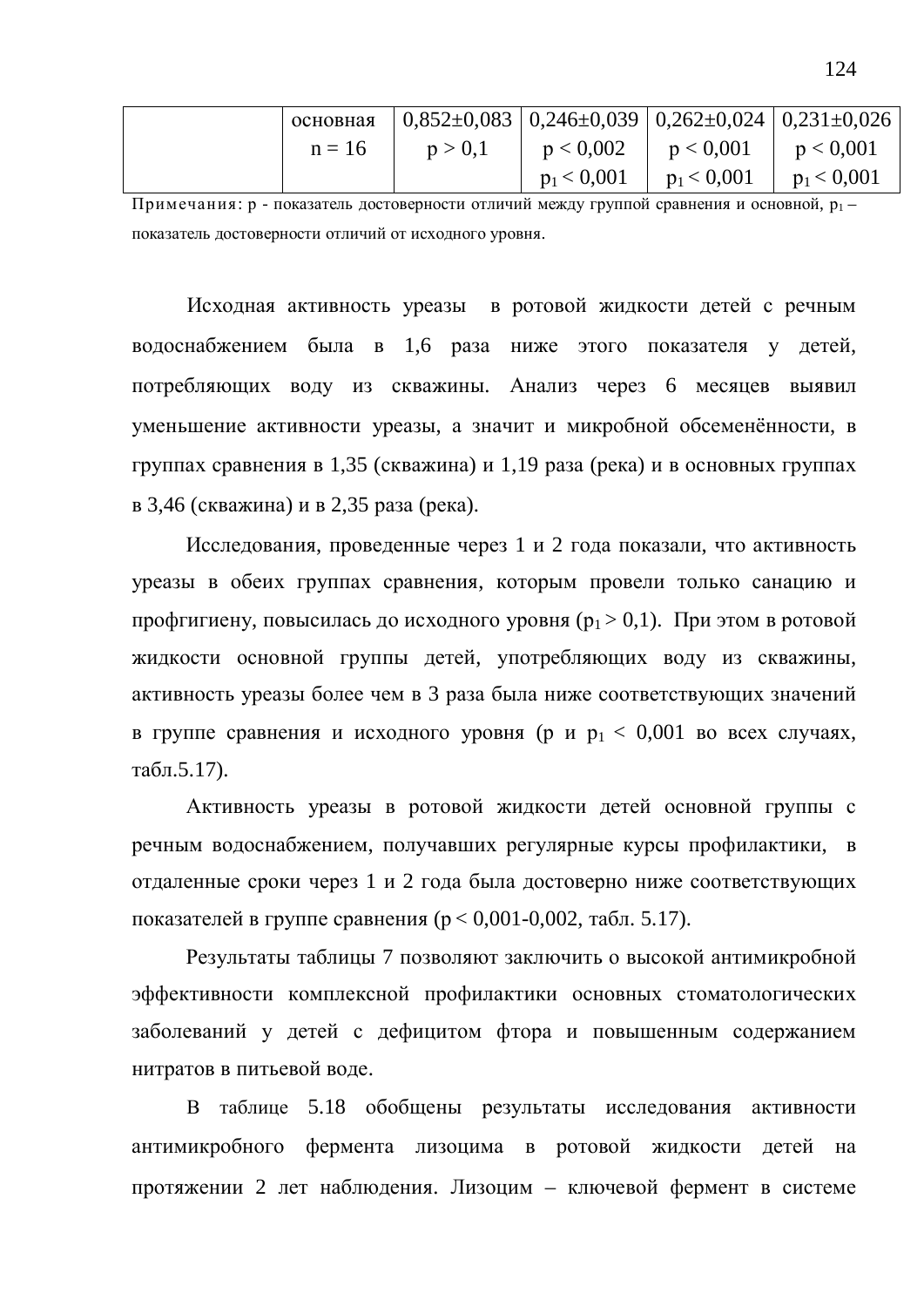|          | основная $ 0,852\pm0,083 0,246\pm0,039 0,262\pm0,024 0,231\pm0,026$ |                                               |  |
|----------|---------------------------------------------------------------------|-----------------------------------------------|--|
| $n = 16$ | p > 0,1                                                             | $p < 0.002$   $p < 0.001$   $p < 0.001$       |  |
|          |                                                                     | $p_1 < 0.001$   $p_1 < 0.001$   $p_1 < 0.001$ |  |

Примечания: р - показатель достоверности отличий между группой сравнения и основной,  $p_1$ показатель достоверности отличий от исходного уровня.

Исходная активность уреазы в ротовой жидкости детей с речным водоснабжением была в 1,6 раза ниже этого показателя у детей, потребляющих воду из скважины. Анализ через 6 месяцев выявил уменьшение активности уреазы, а значит и микробной обсеменённости, в группах сравнения в 1,35 (скважина) и 1,19 раза (река) и в основных группах в 3,46 (скважина) и в 2,35 раза (река).

Исследования, проведенные через 1 и 2 года показали, что активность уреазы в обеих группах сравнения, которым провели только санацию и профгигиену, повысилась до исходного уровня  $(p_1 > 0,1)$ . При этом в ротовой жидкости основной группы детей, употребляющих воду из скважины, активность уреазы более чем в 3 раза была ниже соответствующих значений в группе сравнения и исходного уровня (р и  $p_1 < 0.001$  во всех случаях, табл. $5.17$ ).

Активность уреазы в ротовой жидкости детей основной группы с речным водоснабжением, получавших регулярные курсы профилактики, в отдаленные сроки через 1 и 2 года была достоверно ниже соответствующих показателей в группе сравнения ( $p < 0.001$ -0.002, табл. 5.17).

Результаты таблицы 7 позволяют заключить о высокой антимикробной эффективности комплексной профилактики основных стоматологических заболеваний у детей с дефицитом фтора и повышенным содержанием нитратов в питьевой воде.

В таблице 5.18 обобщены результаты исследования активности антимикробного фермента лизоцима в ротовой жидкости детей на протяжении 2 лет наблюдения. Лизоцим – ключевой фермент в системе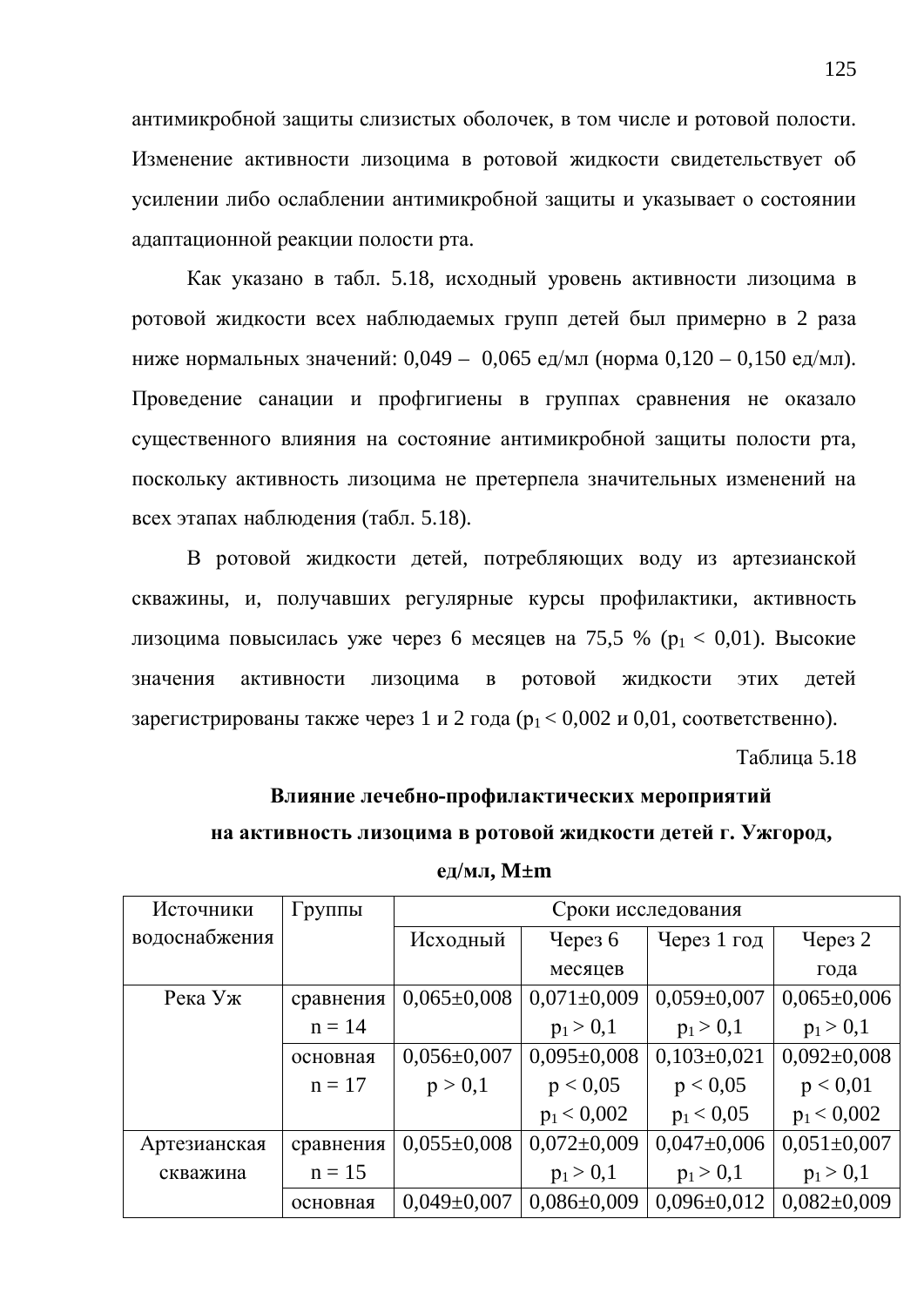антимикробной защиты слизистых оболочек, в том числе и ротовой полости. Изменение активности лизоцима в ротовой жидкости свидетельствует об усилении либо ослаблении антимикробной защиты и указывает о состоянии адаптационной реакции полости рта.

Как указано в табл. 5.18, исходный уровень активности лизоцима в ротовой жидкости всех наблюдаемых групп детей был примерно в 2 раза ниже нормальных значений: 0,049 – 0,065 ед/мл (норма 0,120 – 0,150 ед/мл). Проведение санации и профгигиены в группах сравнения не оказало существенного влияния на состояние антимикробной защиты полости рта, поскольку активность лизоцима не претерпела значительных изменений на всех этапах наблюдения (табл. 5.18).

В ротовой жидкости детей, потребляющих воду из артезианской скважины, и, получавших регулярные курсы профилактики, активность лизоцима повысилась уже через 6 месяцев на 75,5 % ( $p_1 < 0.01$ ). Высокие значения активности лизоцима в ротовой жидкости этих детей зарегистрированы также через 1 и 2 года ( $p_1 < 0.002$  и 0.01, соответственно).

 $Ta$ блина 5.18

### Влияние лечебно-профилактических мероприятий **на активность лизоцима в ротовой жидкости детей г. Ужгород,**

| Группы    | Сроки исследования |                   |                   |                   |  |
|-----------|--------------------|-------------------|-------------------|-------------------|--|
|           | Исходный           | Через $6$         | Через 1 год       | Через 2           |  |
|           |                    | месяцев           |                   | года              |  |
| сравнения | $0,065 \pm 0,008$  | $0,071 \pm 0,009$ | $0,059\pm0,007$   | $0,065 \pm 0,006$ |  |
| $n = 14$  |                    | $p_1 > 0,1$       | $p_1 > 0,1$       | $p_1 > 0,1$       |  |
| основная  | $0,056 \pm 0,007$  | $0,095 \pm 0,008$ | $0,103\pm0,021$   | $0,092\pm0,008$   |  |
| $n = 17$  | p > 0,1            | p < 0.05          | p < 0.05          | p < 0.01          |  |
|           |                    | $p_1 < 0,002$     | $p_1 < 0.05$      | $p_1 < 0,002$     |  |
| сравнения | $0,055\pm0,008$    | $0,072\pm0,009$   | $0,047\pm0,006$   | $0,051 \pm 0,007$ |  |
| $n = 15$  |                    | $p_1 > 0,1$       | $p_1 > 0,1$       | $p_1 > 0,1$       |  |
| основная  | $0.049 \pm 0.007$  | $0.086 \pm 0.009$ | $0,096 \pm 0,012$ | $0.082 \pm 0.009$ |  |
|           |                    |                   |                   |                   |  |

**ед/мл, M±m**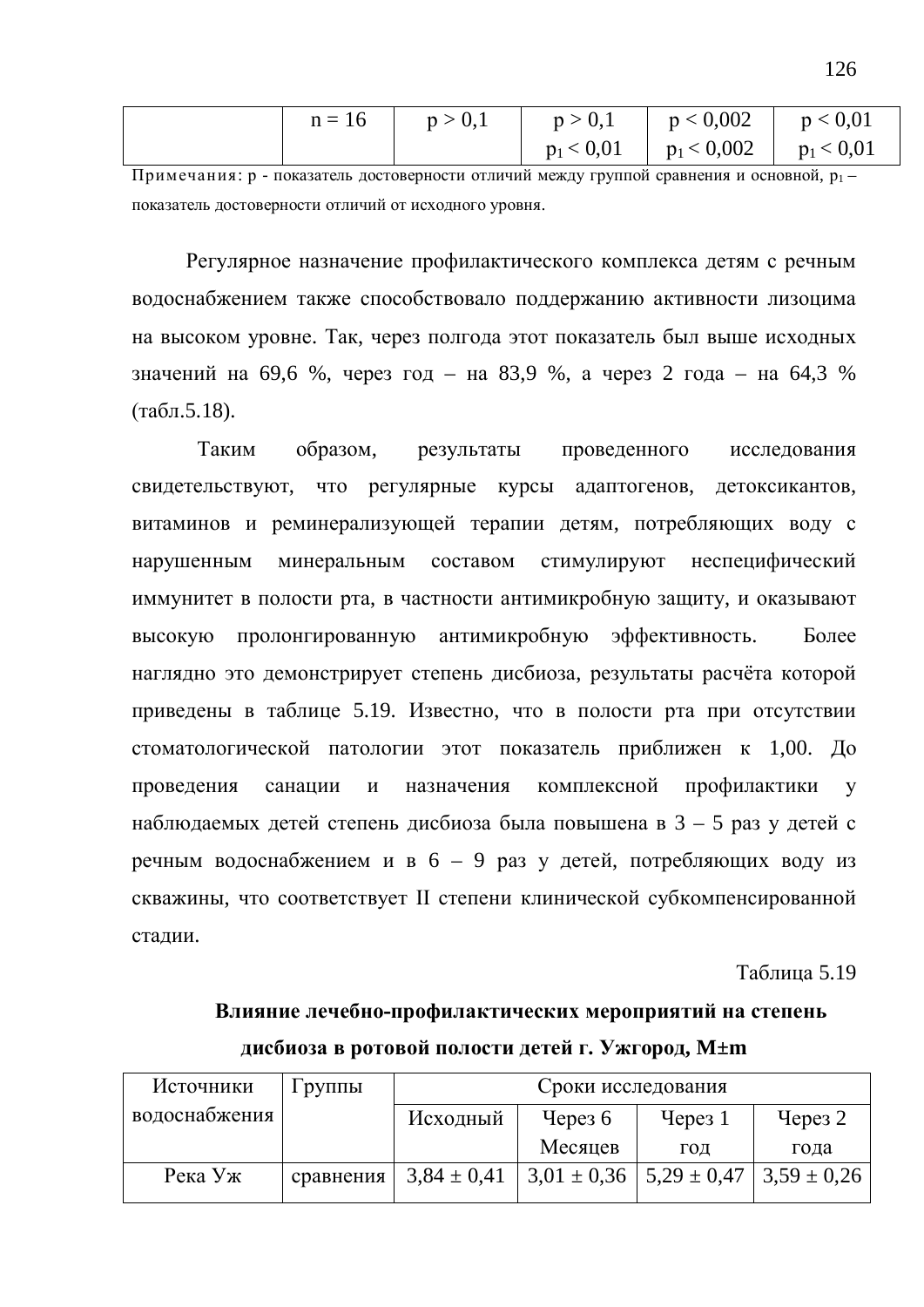|  | $n = 16$ $p > 0,1$ | $p > 0,1$ $p < 0,002$ $p < 0,01$            |  |
|--|--------------------|---------------------------------------------|--|
|  |                    | $p_1 < 0.01$   $p_1 < 0.002$   $p_1 < 0.01$ |  |

Примечания: р - показатель достоверности отличий между группой сравнения и основной, р<sub>1</sub> – показатель достоверности отличий от исходного уровня.

Регулярное назначение профилактического комплекса детям с речным водоснабжением также способствовало поддержанию активности лизоцима на высоком уровне. Так, через полгода этот показатель был выше исходных значений на 69,6 %, через год – на 83,9 %, а через 2 года – на 64,3 %  $(\text{табл.5.18}).$ 

Таким образом, результаты проведенного исследования свидетельствуют, что регулярные курсы адаптогенов, детоксикантов, витаминов и реминерализующей терапии детям, потребляющих воду с нарушенным минеральным составом стимулируют неспецифический иммунитет в полости рта, в частности антимикробную защиту, и оказывают высокую пролонгированную антимикробную эффективность. Более наглядно это демонстрирует степень дисбиоза, результаты расчёта которой приведены в таблице 5.19. Известно, что в полости рта при отсутствии стоматологической патологии этот показатель приближен к 1,00. До проведения санации и назначения комплексной профилактики у наблюдаемых детей степень дисбиоза была повышена в  $3 - 5$  раз у детей с речным водоснабжением и в 6 – 9 раз у детей, потребляющих воду из скважины, что соответствует II степени клинической субкомпенсированной стадии.

#### Таблица 5.19

## Влияние лечебно-профилактических мероприятий на степень дисбиоза в ротовой полости детей г. Ужгород, М±m

| Источники     | Группы    | Сроки исследования    |                                                     |        |           |
|---------------|-----------|-----------------------|-----------------------------------------------------|--------|-----------|
| водоснабжения |           | Исходный<br>Через $6$ |                                                     | Yepeg1 | Через $2$ |
|               |           |                       | Месяцев                                             | ГОД    | года      |
| Река Уж       | сравнения | $3,84 \pm 0,41$       | $3,01 \pm 0,36$   5,29 $\pm$ 0,47   3,59 $\pm$ 0,26 |        |           |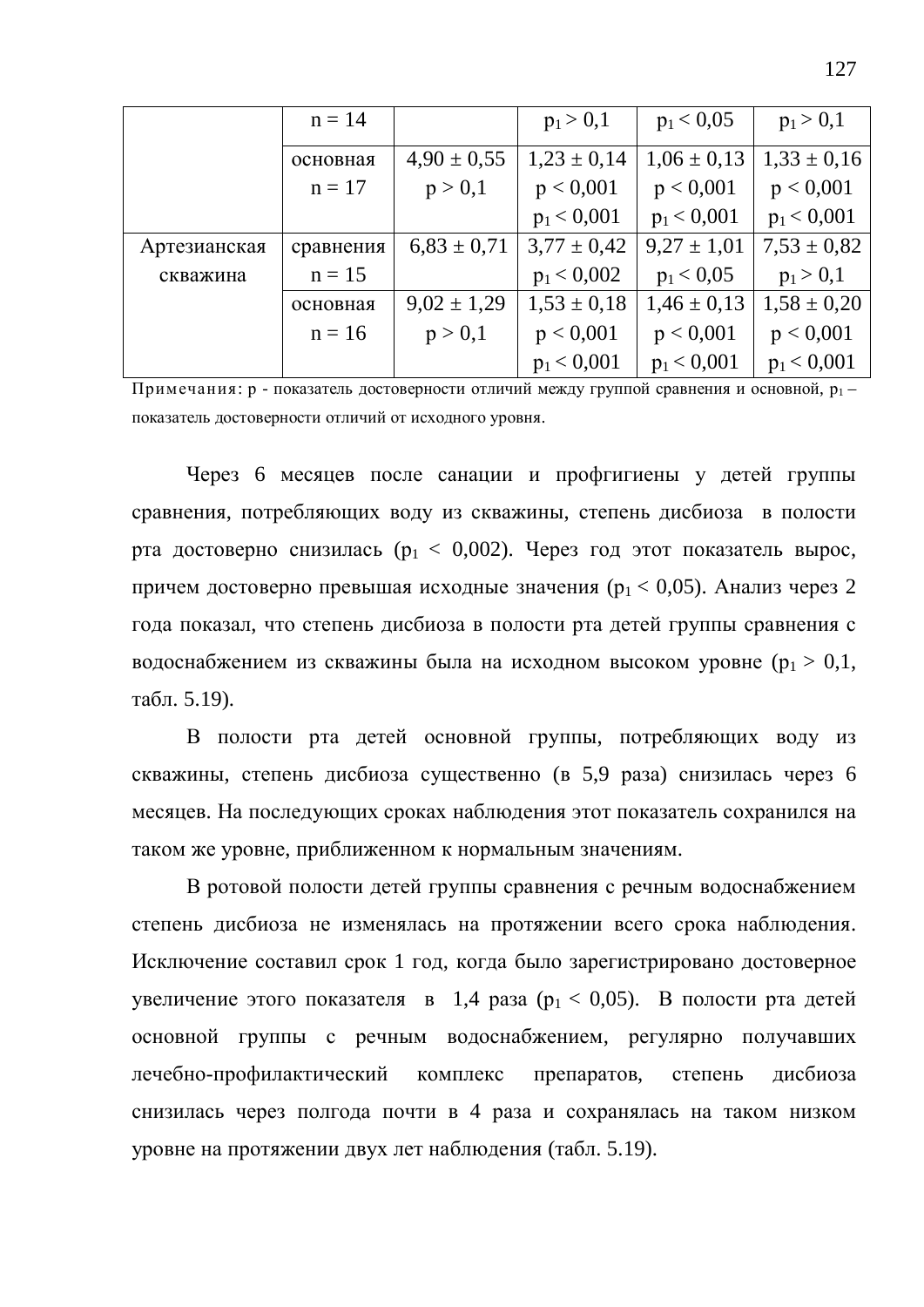|              | $n = 14$  |                 | $p_1 > 0,1$     | $p_1 < 0.05$    | $p_1 > 0,1$     |
|--------------|-----------|-----------------|-----------------|-----------------|-----------------|
|              | основная  | $4,90 \pm 0,55$ | $1,23 \pm 0,14$ | $1,06 \pm 0,13$ | $1,33 \pm 0,16$ |
|              | $n = 17$  | p > 0,1         | p < 0,001       | p < 0,001       | p < 0,001       |
|              |           |                 | $p_1 < 0,001$   | $p_1 < 0,001$   | $p_1 < 0,001$   |
| Артезианская | сравнения | $6,83 \pm 0,71$ | $3,77 \pm 0,42$ | $9,27 \pm 1,01$ | $7,53 \pm 0,82$ |
| скважина     | $n = 15$  |                 | $p_1 < 0,002$   | $p_1 < 0.05$    | $p_1 > 0,1$     |
|              | основная  | $9,02 \pm 1,29$ | $1,53 \pm 0,18$ | $1,46 \pm 0,13$ | $1,58 \pm 0,20$ |
|              | $n = 16$  | p > 0,1         | p < 0,001       | p < 0,001       | p < 0,001       |
|              |           |                 | $p_1 < 0,001$   | $p_1 < 0.001$   | $p_1 < 0,001$   |

Примечания: р - показатель достоверности отличий между группой сравнения и основной,  $p_1$ показатель достоверности отличий от исходного уровня.

Через 6 месяцев после санации и профгигиены у детей группы сравнения, потребляющих воду из скважины, степень дисбиоза в полости рта достоверно снизилась ( $p_1 < 0.002$ ). Через год этот показатель вырос, причем достоверно превышая исходные значения ( $p_1 < 0.05$ ). Анализ через 2 года показал, что степень дисбиоза в полости рта детей группы сравнения с водоснабжением из скважины была на исходном высоком уровне ( $p_1 > 0, 1$ , табл. 5.19).

В полости рта детей основной группы, потребляющих воду из скважины, степень дисбиоза существенно (в 5,9 раза) снизилась через 6 месяцев. На последующих сроках наблюдения этот показатель сохранился на таком же уровне, приближенном к нормальным значениям.

В ротовой полости детей группы сравнения с речным водоснабжением степень дисбиоза не изменялась на протяжении всего срока наблюдения. Исключение составил срок 1 год, когда было зарегистрировано достоверное увеличение этого показателя в 1,4 раза ( $p_1 < 0.05$ ). В полости рта детей основной группы с речным водоснабжением, регулярно получавших лечебно-профилактический комплекс препаратов, степень дисбиоза снизилась через полгода почти в 4 раза и сохранялась на таком низком уровне на протяжении двух лет наблюдения (табл. 5.19).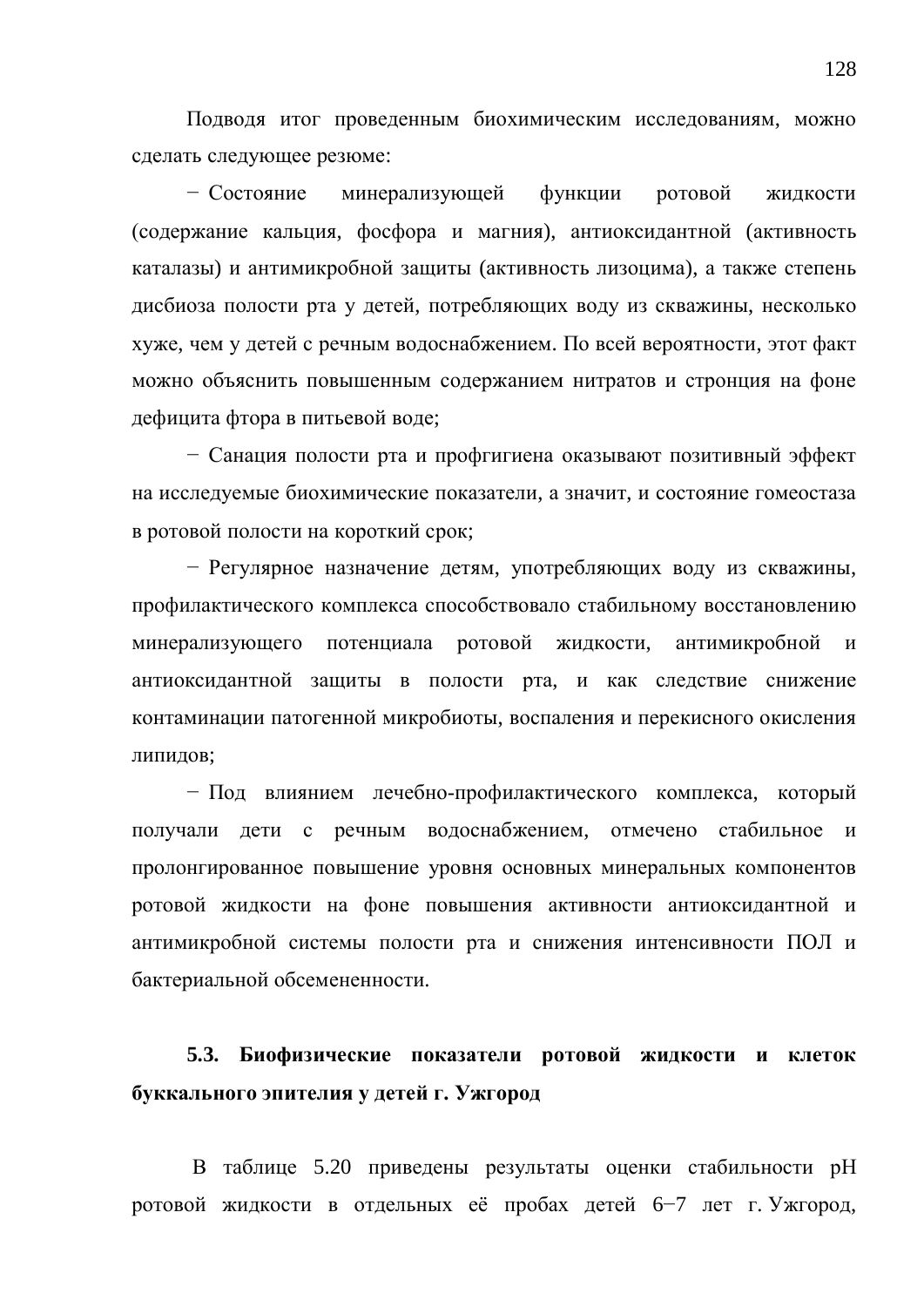Подводя итог проведенным биохимическим исследованиям, можно сделать следующее резюме:

– Состояние минерализующей функции ротовой жидкости (содержание кальция, фосфора и магния), антиоксидантной (активность каталазы) и антимикробной защиты (активность лизоцима), а также степень дисбиоза полости рта у детей, потребляющих воду из скважины, несколько хуже, чем у детей с речным водоснабжением. По всей вероятности, этот факт можно объяснить повышенным содержанием нитратов и стронция на фоне дефицита фтора в питьевой воде:

– Санация полости рта и профгигиена оказывают позитивный эффект на исследуемые биохимические показатели, а значит, и состояние гомеостаза в ротовой полости на короткий срок;

– Регулярное назначение детям, употребляющих воду из скважины, профилактического комплекса способствовало стабильному восстановлению минерализующего потенциала ротовой жидкости, антимикробной и антиоксидантной защиты в полости рта, и как следствие снижение контаминации патогенной микробиоты, воспаления и перекисного окисления липидов;

– Под влиянием лечебно-профилактического комплекса, который получали дети с речным водоснабжением, отмечено стабильное и пролонгированное повышение уровня основных минеральных компонентов ротовой жидкости на фоне повышения активности антиоксидантной и антимикробной системы полости рта и снижения интенсивности ПОЛ и бактериальной обсемененности.

## 5.3. Биофизические показатели ротовой жидкости и клеток буккального эпителия у детей г. Ужгород

В таблице 5.20 приведены результаты оценки стабильности рН ротовой жидкости в отдельных её пробах детей 6–7 лет г. Ужгород,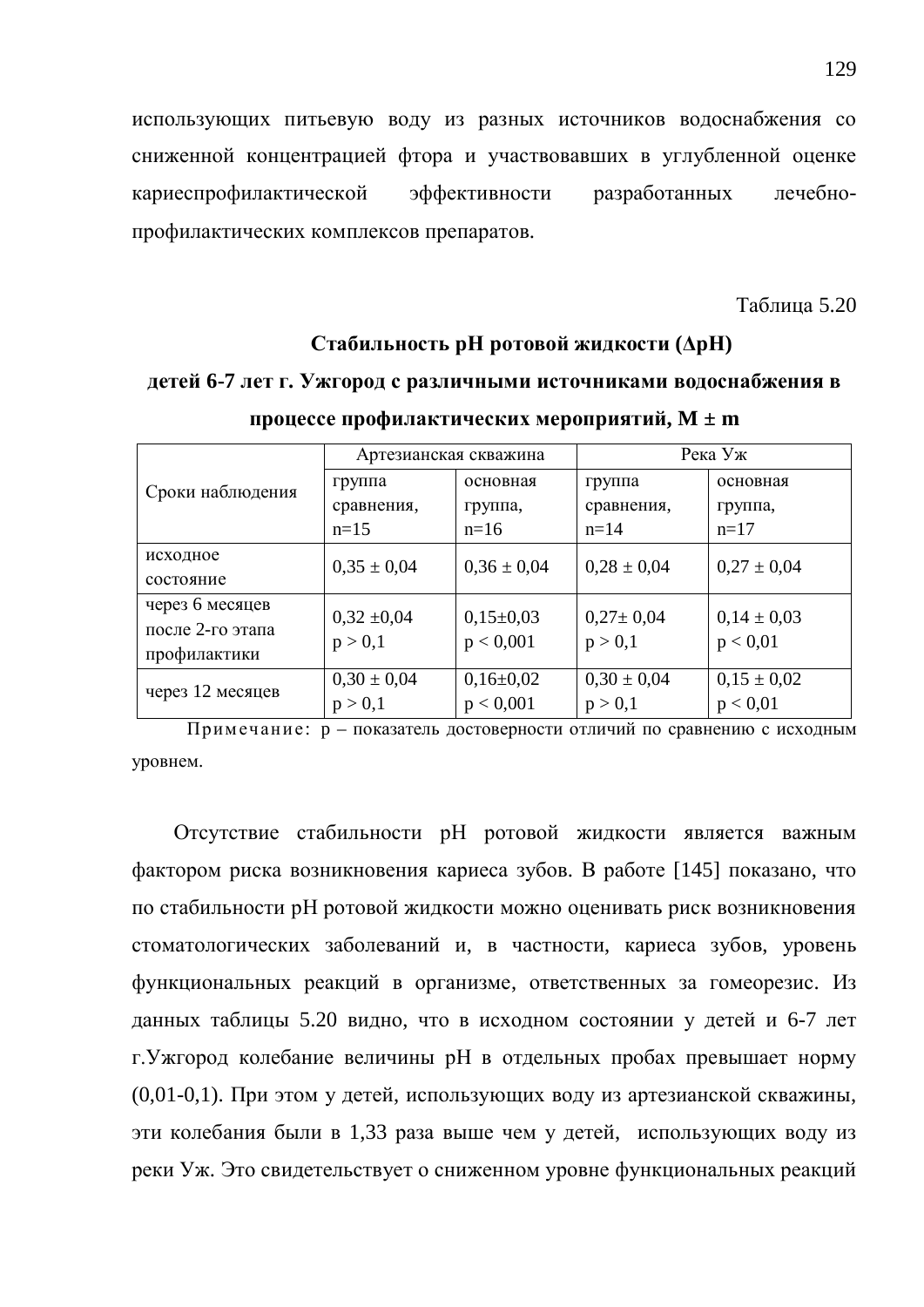использующих питьевую воду из разных источников водоснабжения со сниженной концентрацией фтора и участвовавших в углубленной оценке кариеспрофилактической эффективности разработанных лечебнопрофилактических комплексов препаратов.

Таблина 5.20

### **Стабильность рН ротовой жидкости (** $\Delta$ **рН)** детей 6-7 лет г. Ужгород с различными источниками водоснабжения в

|                  | Артезианская скважина |                 | Река Уж         |                 |  |
|------------------|-----------------------|-----------------|-----------------|-----------------|--|
| Сроки наблюдения | группа                | основная        | группа          | основная        |  |
|                  | сравнения,            | группа,         | сравнения,      | группа,         |  |
|                  | $n=15$                | $n=16$          | $n=14$          | $n=17$          |  |
| исходное         | $0,35 \pm 0,04$       | $0,36 \pm 0,04$ | $0,28 \pm 0,04$ | $0,27 \pm 0,04$ |  |
| состояние        |                       |                 |                 |                 |  |
| через 6 месяцев  | $0,32 \pm 0,04$       | $0,15\pm0,03$   | $0,27 \pm 0,04$ | $0,14 \pm 0,03$ |  |
| после 2-го этапа |                       |                 |                 |                 |  |
| профилактики     | p > 0,1               | p < 0,001       | p > 0,1         | p < 0.01        |  |
|                  | $0,30 \pm 0,04$       | $0,16\pm0,02$   | $0,30 \pm 0,04$ | $0,15 \pm 0,02$ |  |
| через 12 месяцев | p > 0,1               | p < 0,001       | p > 0,1         | p < 0.01        |  |

процессе профилактических мероприятий, M ± m

Примечание: р – показатель достоверности отличий по сравнению с исходным уровнем.

Отсутствие стабильности рН ротовой жидкости является важным фактором риска возникновения кариеса зубов. В работе [145] показано, что по стабильности рН ротовой жидкости можно оценивать риск возникновения стоматологических заболеваний и, в частности, кариеса зубов, уровень функциональных реакций в организме, ответственных за гомеорезис. Из данных таблицы 5.20 видно, что в исходном состоянии у детей и 6-7 лет г. Ужгород колебание величины рН в отдельных пробах превышает норму  $(0.01-0.1)$ . При этом у детей, использующих воду из артезианской скважины, эти колебания были в 1,33 раза выше чем у детей, использующих воду из реки Уж. Это свидетельствует о сниженном уровне функциональных реакций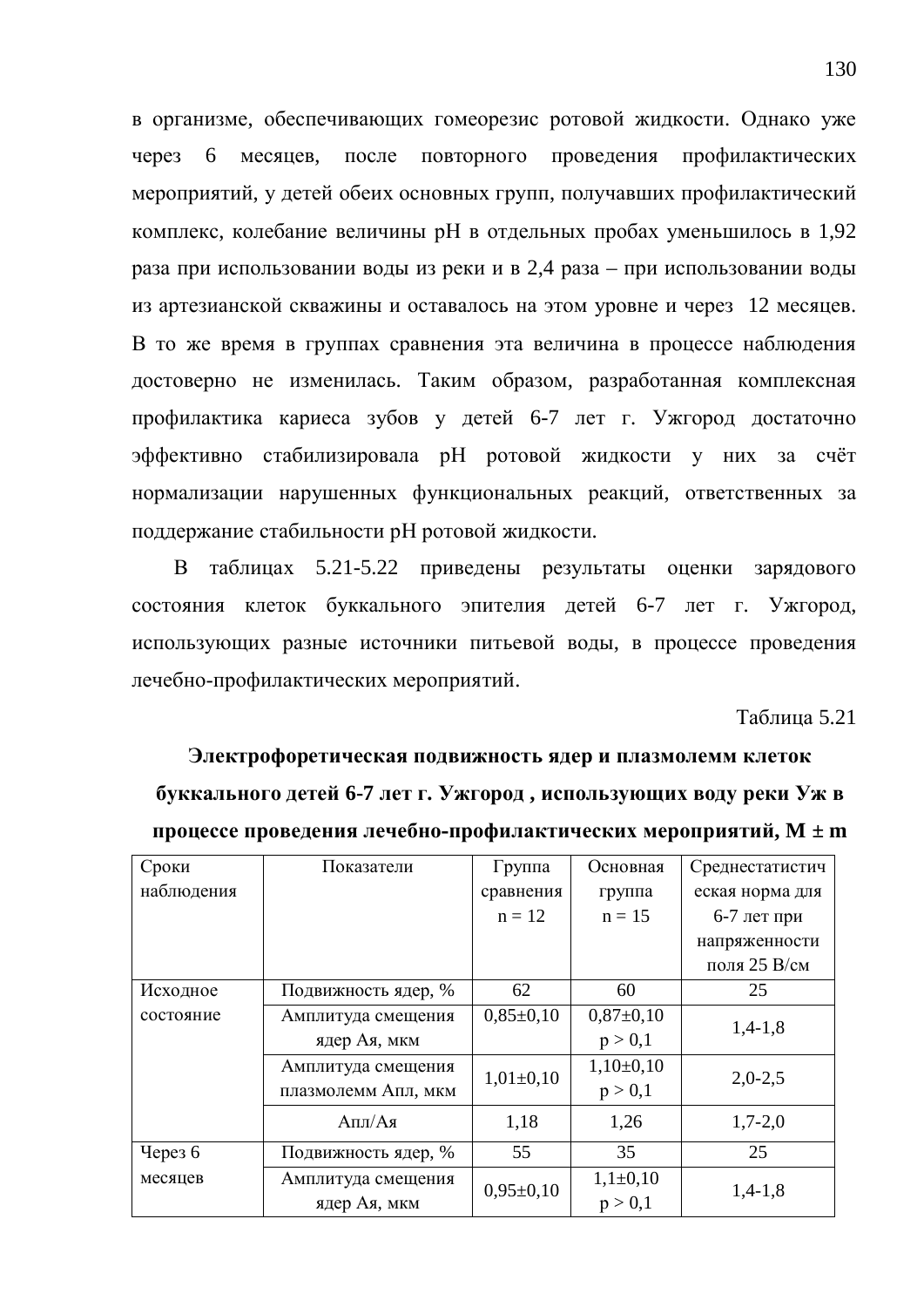в организме, обеспечивающих гомеорезис ротовой жидкости. Однако уже через 6 месяцев, после повторного проведения профилактических мероприятий, у детей обеих основных групп, получавших профилактический комплекс, колебание величины рН в отдельных пробах уменьшилось в 1,92 раза при использовании воды из реки и в 2,4 раза – при использовании воды из артезианской скважины и оставалось на этом уровне и через 12 месяцев. В то же время в группах сравнения эта величина в процессе наблюдения достоверно не изменилась. Таким образом, разработанная комплексная профилактика кариеса зубов у детей 6-7 лет г. Ужгород достаточно эффективно стабилизировала рН ротовой жидкости у них за счёт нормализации нарушенных функциональных реакций, ответственных за поддержание стабильности рН ротовой жидкости.

В таблицах 5.21-5.22 приведены результаты оценки зарядового состояния клеток буккального эпителия детей 6-7 лет г. Ужгород, использующих разные источники питьевой воды, в процессе проведения лечебно-профилактических мероприятий.

Таблина 5.21

Электрофоретическая подвижность ядер и плазмолемм клеток **буккального детей 6-7 лет г. Ужгород, использующих воду реки Уж в** процессе проведения лечебно-профилактических мероприятий, M ± m

| Сроки      | Показатели          | Группа        | Основная      | Среднестатистич |
|------------|---------------------|---------------|---------------|-----------------|
| наблюдения |                     | сравнения     | группа        | еская норма для |
|            |                     | $n = 12$      | $n = 15$      | $6-7$ лет при   |
|            |                     |               |               | напряженности   |
|            |                     |               |               | поля 25 В/см    |
| Исходное   | Подвижность ядер, % | 62            | 60            | 25              |
| состояние  | Амплитуда смещения  | $0,85\pm0,10$ | $0,87\pm0,10$ | $1,4-1,8$       |
|            | ядер Ая, мкм        |               | p > 0,1       |                 |
|            | Амплитуда смещения  | $1,01\pm0,10$ | $1,10\pm0,10$ | $2,0-2,5$       |
|            | плазмолемм Апл, мкм |               | p > 0,1       |                 |
|            | Апл/Ая              | 1,18          | 1,26          | $1,7-2,0$       |
| Через 6    | Подвижность ядер, % | 55            | 35            | 25              |
| месяцев    | Амплитуда смещения  | $0,95\pm0,10$ | $1,1\pm0,10$  |                 |
|            | ядер Ая, мкм        |               | p > 0,1       | $1,4-1,8$       |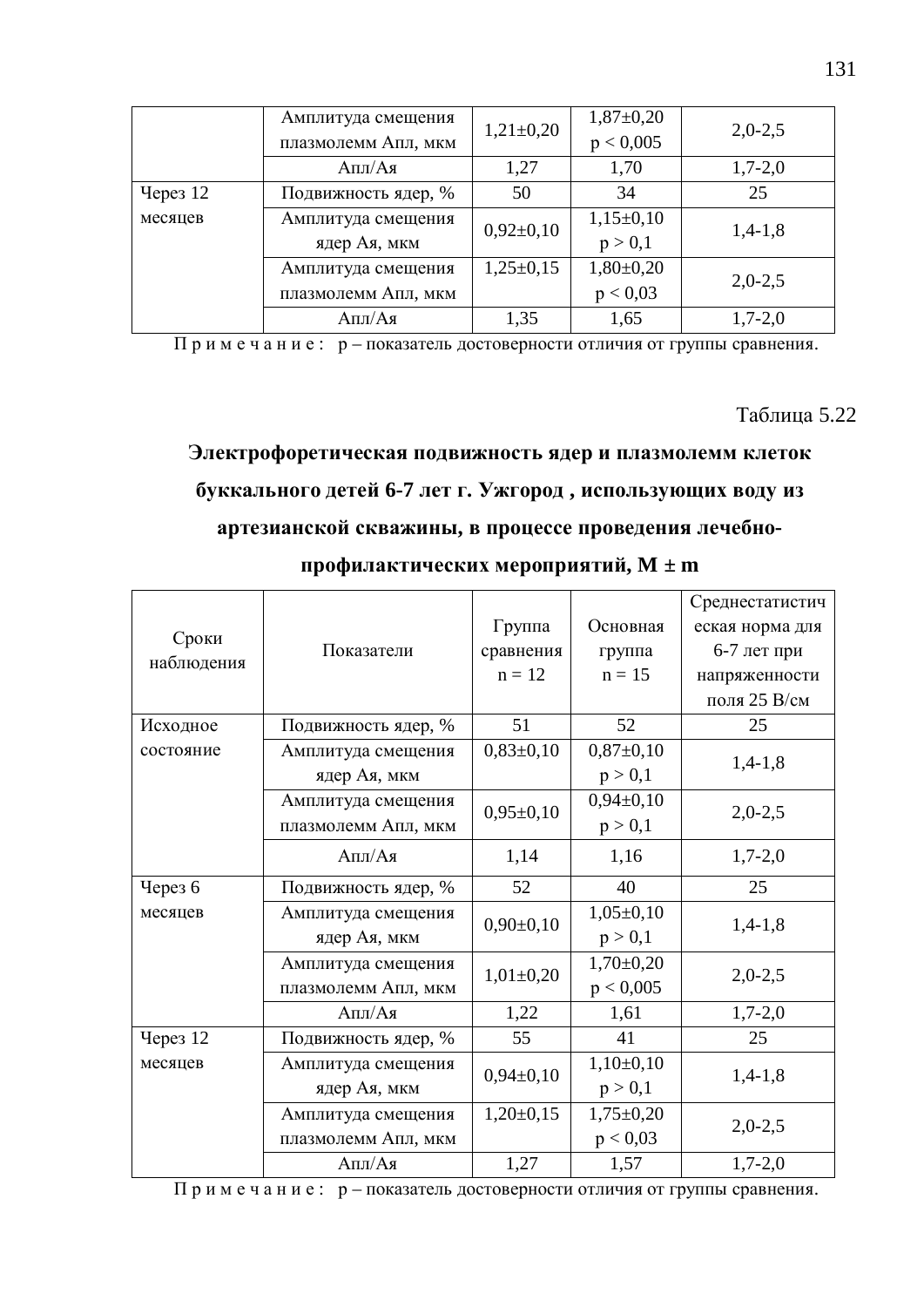|            | Амплитуда смещения<br>плазмолемм Апл, мкм | $1,21\pm0,20$                            | $1,87+0,20$<br>p < 0,005 | $2,0-2,5$ |
|------------|-------------------------------------------|------------------------------------------|--------------------------|-----------|
|            | Апл/Ая                                    | 1,27                                     | 1,70                     | $1,7-2,0$ |
| Через $12$ | 50<br>34<br>Подвижность ядер, %           |                                          |                          | 25        |
| месяцев    | Амплитуда смещения<br>ядер Ая, мкм        | $0,92\pm0,10$                            | $1,15\pm0,10$<br>p > 0,1 | $1,4-1,8$ |
|            | Амплитуда смещения<br>плазмолемм Апл, мкм | $1,25\pm0,15$<br>$1,80+0,20$<br>p < 0.03 |                          | $2,0-2,5$ |
|            | Апл/Ая                                    | 1,35                                     | 1,65                     | $1,7-2,0$ |

Примечание: р – показатель достоверности отличия от группы сравнения.

Таблица 5.22

# Электрофоретическая подвижность ядер и плазмолемм клеток **буккального детей 6-7 лет г. Ужгород, использующих воду из** артезианской скважины, в процессе проведения лечебно-

|                     |                     |                              |                 | Среднестатистич |  |
|---------------------|---------------------|------------------------------|-----------------|-----------------|--|
| Сроки<br>наблюдения |                     | Группа                       | Основная        | еская норма для |  |
|                     | Показатели          | сравнения                    | группа          | 6-7 лет при     |  |
|                     |                     | $n = 12$                     | $n = 15$        | напряженности   |  |
|                     |                     |                              |                 | поля 25 В/см    |  |
| Исходное            | Подвижность ядер, % | 51                           | 52              | 25              |  |
| состояние           | Амплитуда смещения  | $0,83\pm0,10$<br>$0,87+0,10$ |                 | $1,4-1,8$       |  |
|                     | ядер Ая, мкм        |                              | p > 0,1         |                 |  |
|                     | Амплитуда смещения  | $0,95\pm0,10$                | $0,94\pm0,10$   | $2,0-2,5$       |  |
|                     | плазмолемм Апл, мкм |                              | p > 0,1         |                 |  |
|                     | Апл/Ая              | 1,14                         | 1,16            | $1,7-2,0$       |  |
| Через 6             | Подвижность ядер, % | 52                           | 40              | 25              |  |
| месяцев             | Амплитуда смещения  | $0,90\pm0,10$                | $1,05\pm0,10$   | $1,4-1,8$       |  |
|                     | ядер Ая, мкм        |                              | p > 0,1         |                 |  |
|                     | Амплитуда смещения  | $1,01\pm0,20$                | $1,70\pm0,20$   | $2,0-2,5$       |  |
|                     | плазмолемм Апл, мкм |                              | p < 0,005       |                 |  |
|                     | Апл/Ая              | 1,22                         | 1,61            | $1,7-2,0$       |  |
| <b>Через 12</b>     | Подвижность ядер, % | 55                           | 41              | 25              |  |
| месяцев             | Амплитуда смещения  | $0,94\pm0,10$                | $1,10\pm0,10$   | $1,4-1,8$       |  |
|                     | ядер Ая, мкм        |                              | p > 0,1         |                 |  |
|                     | Амплитуда смещения  | $1,20\pm0,15$                | $1,75 \pm 0,20$ | $2,0-2,5$       |  |
|                     | плазмолемм Апл, мкм |                              | p < 0.03        |                 |  |
|                     | Апл/Ая              | 1,27                         | 1,57            | $1,7-2,0$       |  |

профилактических мероприятий, М ± m

Примечание: р – показатель достоверности отличия от группы сравнения.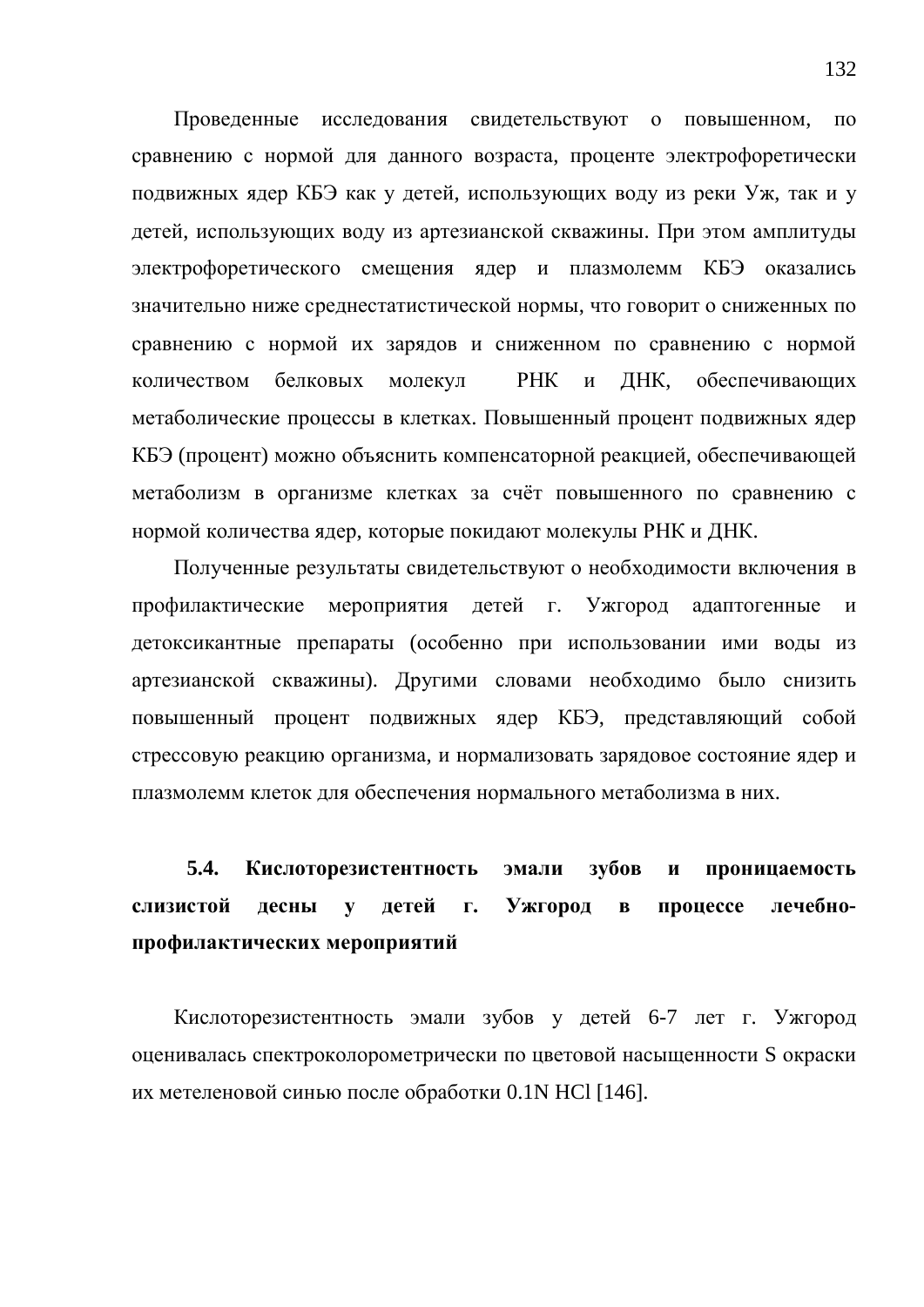Проведенные исследования свидетельствуют о повышенном, по сравнению с нормой для данного возраста, проценте электрофоретически подвижных ядер КБЭ как у детей, использующих воду из реки Уж, так и у детей, использующих воду из артезианской скважины. При этом амплитулы электрофоретического смещения ядер и плазмолемм КБЭ оказались значительно ниже среднестатистической нормы, что говорит о сниженных по сравнению с нормой их зарядов и сниженном по сравнению с нормой количеством белковых молекул РНК и ДНК, обеспечивающих метаболические процессы в клетках. Повышенный процент подвижных ядер КБЭ (процент) можно объяснить компенсаторной реакцией, обеспечивающей метаболизм в организме клетках за счёт повышенного по сравнению с нормой количества ядер, которые покидают молекулы РНК и ДНК.

Полученные результаты свидетельствуют о необходимости включения в профилактические мероприятия детей г. Ужгород адаптогенные и детоксикантные препараты (особенно при использовании ими воды из артезианской скважины). Другими словами необходимо было снизить повышенный процент подвижных ядер КБЭ, представляющий собой стрессовую реакцию организма, и нормализовать зарядовое состояние ядер и плазмолемм клеток для обеспечения нормального метаболизма в них.

# 5.4. Кислоторезистентность эмали зубов и проницаемость слизистой десны у детей г. Ужгород в процессе лечебнопрофилактических мероприятий

Кислоторезистентность эмали зубов у детей 6-7 лет г. Ужгород оценивалась спектроколорометрически по цветовой насыщенности S окраски их метеленовой синью после обработки 0.1N HCl [146].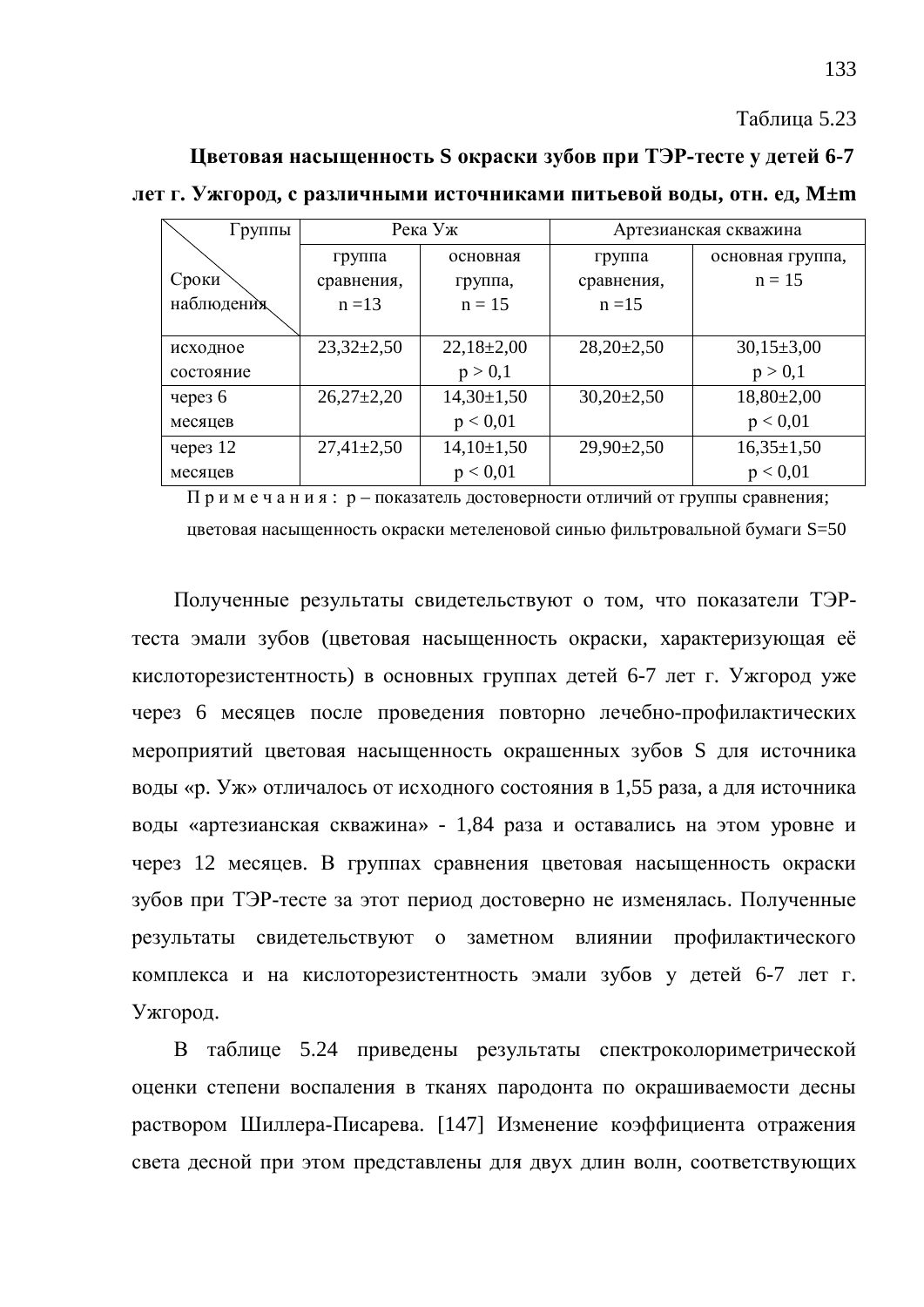#### Таблица 5.23

**Шветовая насыщенность S окраски зубов при ТЭР-тесте у детей 6-7** 

дет г. Ужгород, с различными источниками питьевой воды, отн. ед, М±m

| Группы     | Река Уж          |                | Артезианская скважина |                  |  |
|------------|------------------|----------------|-----------------------|------------------|--|
|            | группа           | основная       | группа                | основная группа, |  |
| Сроки      | сравнения,       | группа,        | сравнения,            | $n = 15$         |  |
| наблюдения | $n = 13$         | $n = 15$       | $n = 15$              |                  |  |
|            |                  |                |                       |                  |  |
| исходное   | $23,32\pm2,50$   | $22,18\pm2,00$ | $28,20\pm2,50$        | $30,15\pm3,00$   |  |
| состояние  |                  | p > 0,1        |                       | p > 0,1          |  |
| через 6    | $26,27\pm2,20$   | $14,30\pm1,50$ | $30,20\pm2,50$        | $18,80\pm2,00$   |  |
| месяцев    |                  | p < 0.01       |                       | p < 0.01         |  |
| через $12$ | $27,41 \pm 2,50$ | $14,10\pm1,50$ | $29,90 \pm 2,50$      | $16,35\pm1,50$   |  |
| месяцев    |                  | p < 0.01       |                       | p < 0.01         |  |

 $\Pi$  римечания: р – показатель достоверности отличий от группы сравнения;

цветовая насыщенность окраски метеленовой синью фильтровальной бумаги S=50

Полученные результаты свидетельствуют о том, что показатели ТЭРтеста эмали зубов (цветовая насыщенность окраски, характеризующая её кислоторезистентность) в основных группах детей 6-7 лет г. Ужгород уже через 6 месяцев после проведения повторно лечебно-профилактических мероприятий цветовая насыщенность окрашенных зубов S для источника воды «р. Уж» отличалось от исходного состояния в 1,55 раза, а для источника воды «артезианская скважина» - 1,84 раза и оставались на этом уровне и через 12 месяцев. В группах сравнения цветовая насыщенность окраски зубов при ТЭР-тесте за этот период достоверно не изменялась. Полученные результаты свидетельствуют о заметном влиянии профилактического комплекса и на кислоторезистентность эмали зубов у детей 6-7 лет г. Ужгород.

В таблице 5.24 приведены результаты спектроколориметрической оценки степени воспаления в тканях пародонта по окрашиваемости десны раствором Шиллера-Писарева. [147] Изменение коэффициента отражения света десной при этом представлены для двух длин волн, соответствующих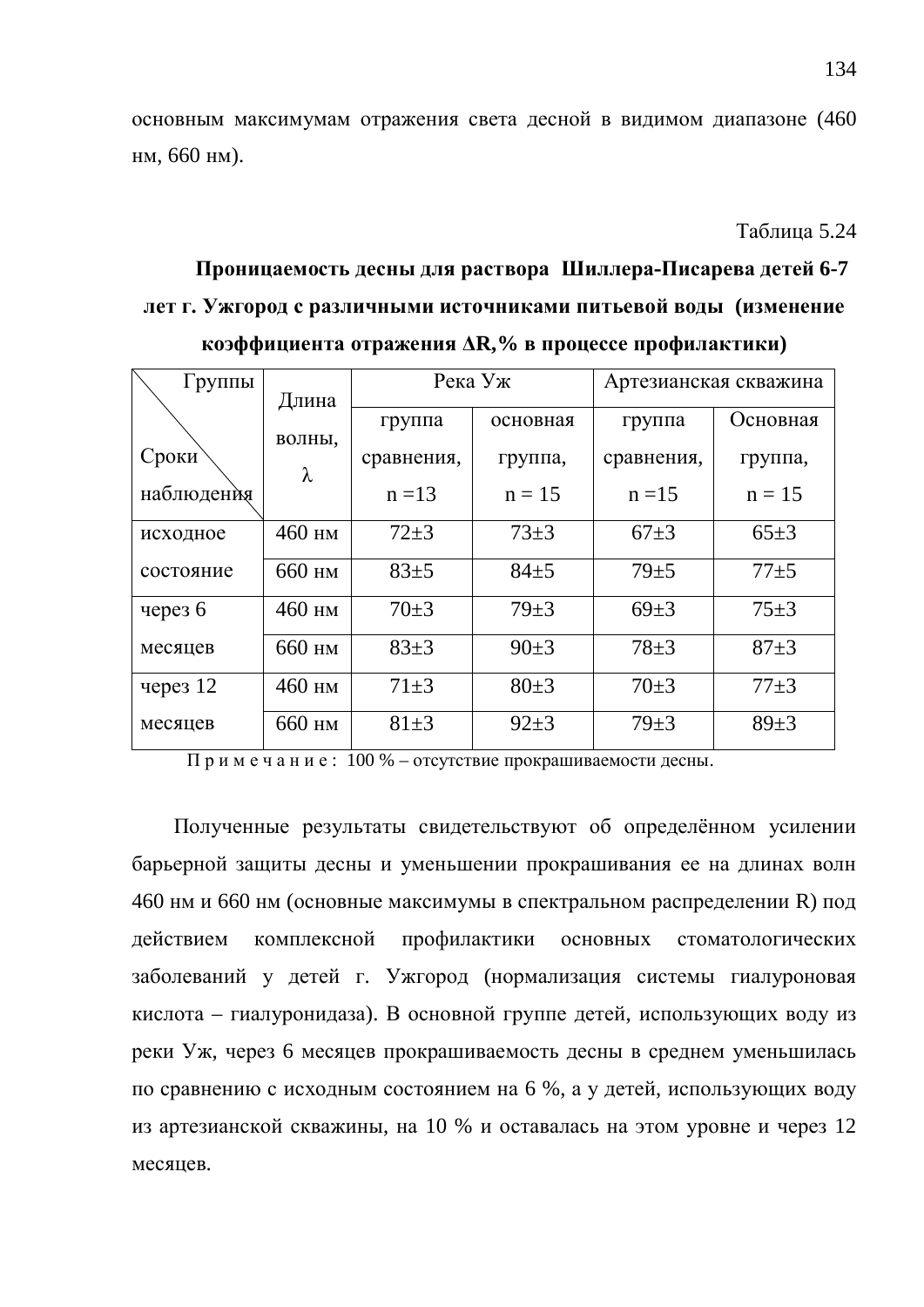основным максимумам отражения света десной в видимом диапазоне (460 нм, 660 нм).

**Таблина** 5.24

# Проницаемость десны для раствора Шиллера-Писарева детей 6-7 дет г. Ужгород с различными источниками питьевой воды (изменение **коэффициента отражения**  $\Delta R$ **,% в процессе профилактики**)

| Группы     | Длина    | Река Уж    |            | Артезианская скважина |            |
|------------|----------|------------|------------|-----------------------|------------|
|            | ВОЛНЫ,   | группа     | основная   | группа                | Основная   |
| Сроки      | λ        | сравнения, | группа,    | сравнения,            | группа,    |
| наблюдения |          | $n = 13$   | $n = 15$   | $n = 15$              | $n = 15$   |
| исходное   | $460$ HM | $72 + 3$   | $73 \pm 3$ | $67+3$                | $65 \pm 3$ |
| состояние  | 660 нм   | $83+5$     | $84+5$     | $79 + 5$              | $77 + 5$   |
| через 6    | 460 нм   | $70 \pm 3$ | $79 + 3$   | $69 \pm 3$            | $75 \pm 3$ |
| месяцев    | 660 нм   | $83+3$     | $90 \pm 3$ | $78 + 3$              | $87 + 3$   |
| через $12$ | 460 нм   | $71 \pm 3$ | $80+3$     | $70 \pm 3$            | $77 + 3$   |
| месяцев    | 660 нм   | $81 \pm 3$ | $92 \pm 3$ | $79 + 3$              | $89 + 3$   |

 $\Pi$  р и м е ч а н и е : 100 % – отсутствие прокрашиваемости десны.

Полученные результаты свидетельствуют об определённом усилении барьерной защиты десны и уменьшении прокрашивания ее на длинах волн 460 нм и 660 нм (основные максимумы в спектральном распределении R) под действием комплексной профилактики основных стоматологических заболеваний у детей г. Ужгород (нормализация системы гиалуроновая кислота – гиалуронидаза). В основной группе детей, использующих воду из реки Уж, через 6 месяцев прокрашиваемость десны в среднем уменьшилась по сравнению с исходным состоянием на 6 %, а у детей, использующих воду из артезианской скважины, на 10 % и оставалась на этом уровне и через 12 месяцев.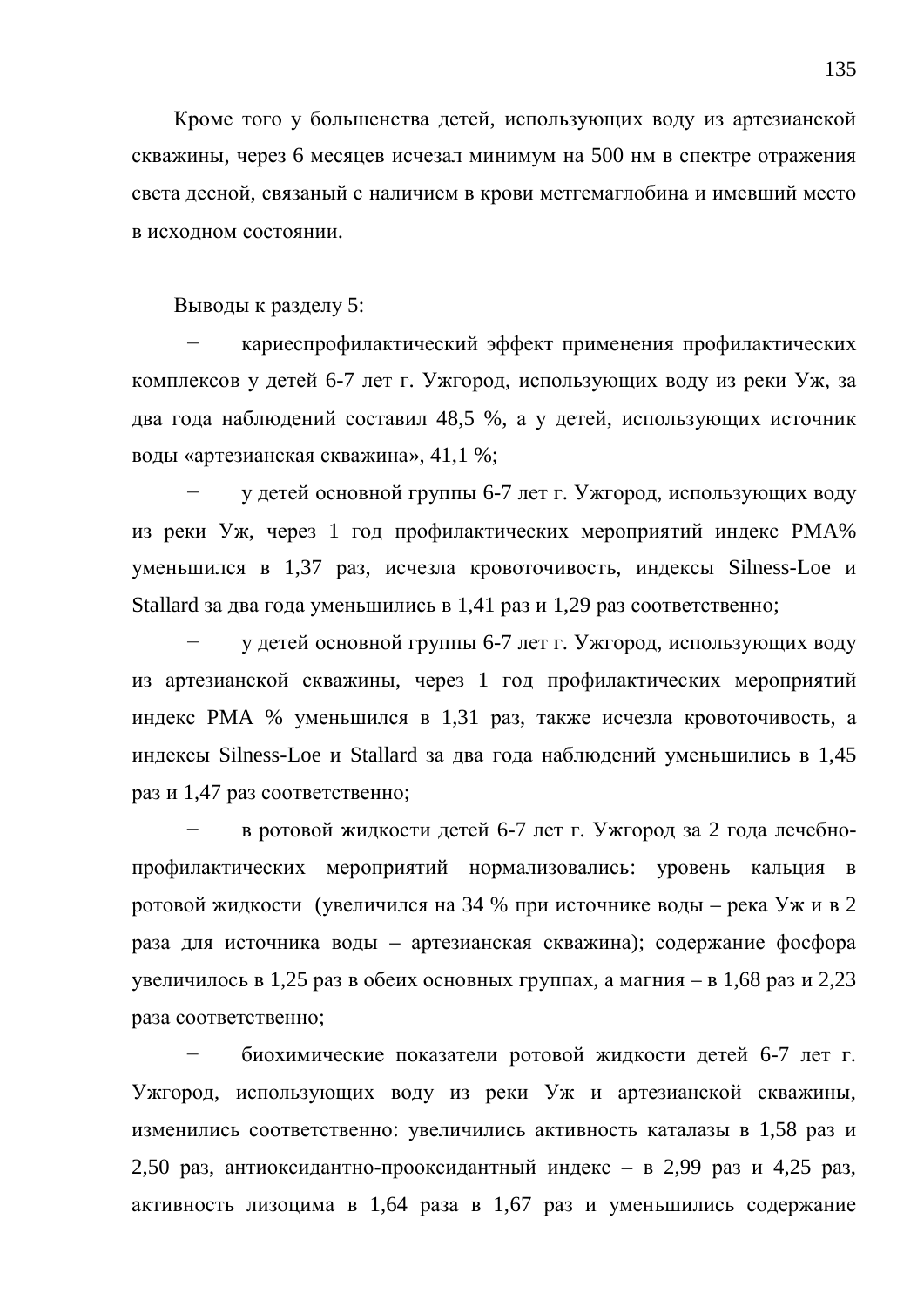Кроме того у большенства детей, использующих воду из артезианской скважины, через 6 месяцев исчезал минимум на 500 нм в спектре отражения света десной, связаный с наличием в крови метгемаглобина и имевший место в исхолном состоянии.

Выводы к разделу 5:

кариеспрофилактический эффект применения профилактических комплексов у детей 6-7 лет г. Ужгород, использующих воду из реки Уж, за два года наблюдений составил 48,5 %, а у детей, использующих источник воды «артезианская скважина», 41,1 %;

у детей основной группы 6-7 лет г. Ужгород, использующих воду из реки Уж, через 1 год профилактических мероприятий индекс РМА% уменьшился в 1,37 раз, исчезла кровоточивость, индексы Silness-Loe и Stallard за два года уменьшились в 1,41 раз и 1,29 раз соответственно;

у детей основной группы 6-7 лет г. Ужгород, использующих воду из артезианской скважины, через 1 год профилактических мероприятий индекс РМА % уменьшился в 1,31 раз, также исчезла кровоточивость, а индексы Silness-Loe и Stallard за два года наблюдений уменьшились в 1,45 раз и 1,47 раз соответственно;

в ротовой жидкости детей 6-7 лет г. Ужгород за 2 года лечебнопрофилактических мероприятий нормализовались: уровень кальция в ротовой жидкости (увеличился на 34 % при источнике воды – река Уж и в 2 раза для источника воды – артезианская скважина); содержание фосфора увеличилось в 1,25 раз в обеих основных группах, а магния – в 1,68 раз и 2,23 раза соответственно;

биохимические показатели ротовой жидкости детей 6-7 лет г. Ужгород, использующих воду из реки Уж и артезианской скважины, изменились соответственно: увеличились активность каталазы в 1,58 раз и 2,50 раз, антиоксидантно-прооксидантный индекс – в 2,99 раз и 4,25 раз, активность лизоцима в 1,64 раза в 1,67 раз и уменьшились содержание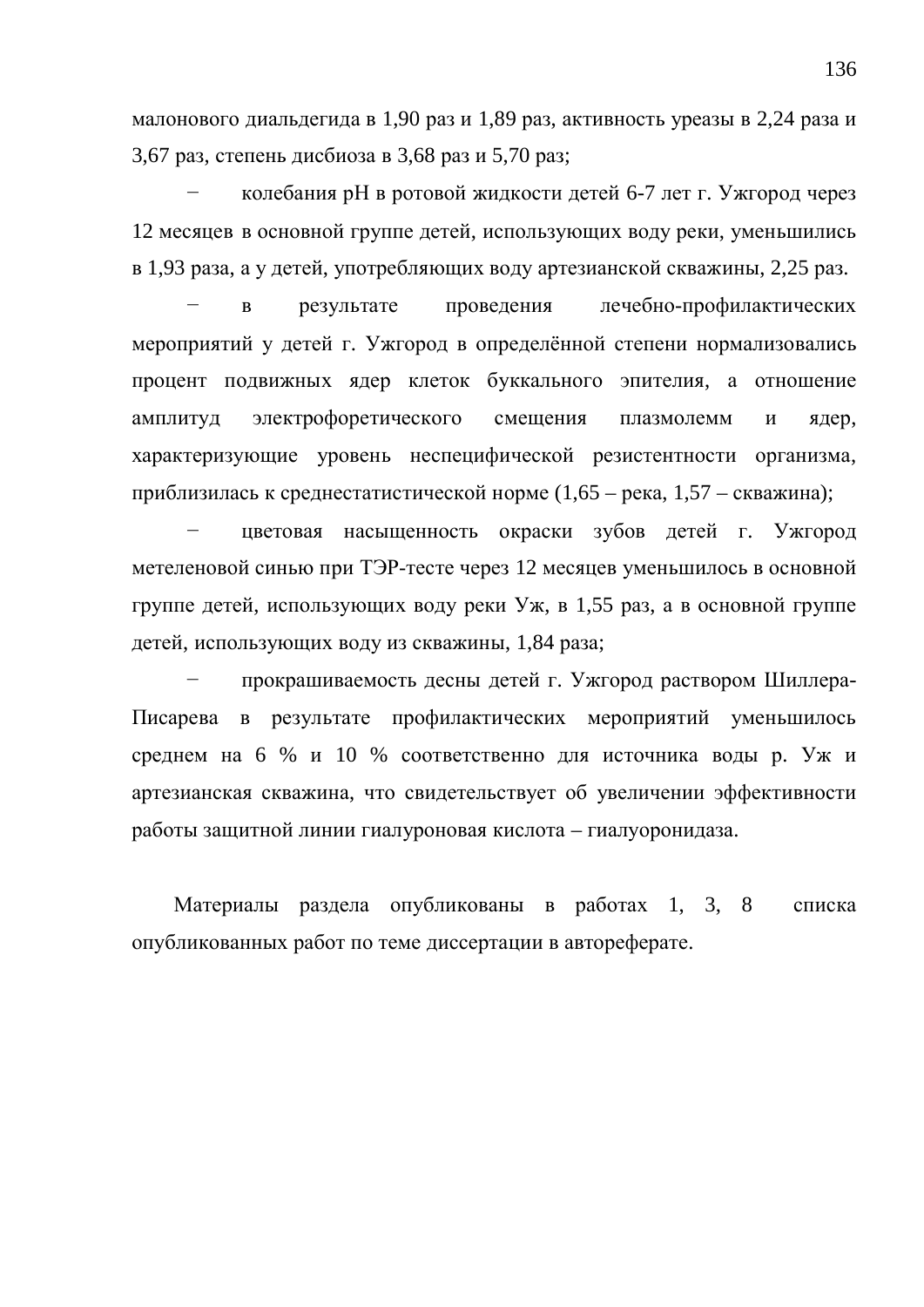малонового диальдегида в 1,90 раз и 1,89 раз, активность уреазы в 2,24 раза и 3,67 раз, степень дисбиоза в 3,68 раз и 5,70 раз;

колебания рН в ротовой жидкости детей 6-7 лет г. Ужгород через 12 месяцев в основной группе детей, использующих воду реки, уменьшились в 1,93 раза, а у детей, употребляющих воду артезианской скважины, 2,25 раз.

в результате проведения лечебно-профилактических мероприятий у детей г. Ужгород в определённой степени нормализовались процент подвижных ядер клеток буккального эпителия, а отношение амплитуд электрофоретического смещения плазмолемм и ядер, характеризующие уровень неспецифической резистентности организма, приблизилась к среднестатистической норме  $(1,65 - \text{peka}, 1,57 - \text{ckважина});$ 

цветовая насыщенность окраски зубов детей г. Ужгород метеленовой синью при ТЭР-тесте через 12 месяцев уменьшилось в основной группе детей, использующих воду реки Уж, в 1,55 раз, а в основной группе детей, использующих воду из скважины, 1,84 раза;

прокрашиваемость десны детей г. Ужгород раствором Шиллера-Писарева в результате профилактических мероприятий уменьшилось среднем на 6 % и 10 % соответственно для источника воды р. Уж и артезианская скважина, что свидетельствует об увеличении эффективности работы защитной линии гиалуроновая кислота – гиалуоронидаза.

Материалы раздела опубликованы в работах 1, 3, 8 списка опубликованных работ по теме диссертации в автореферате.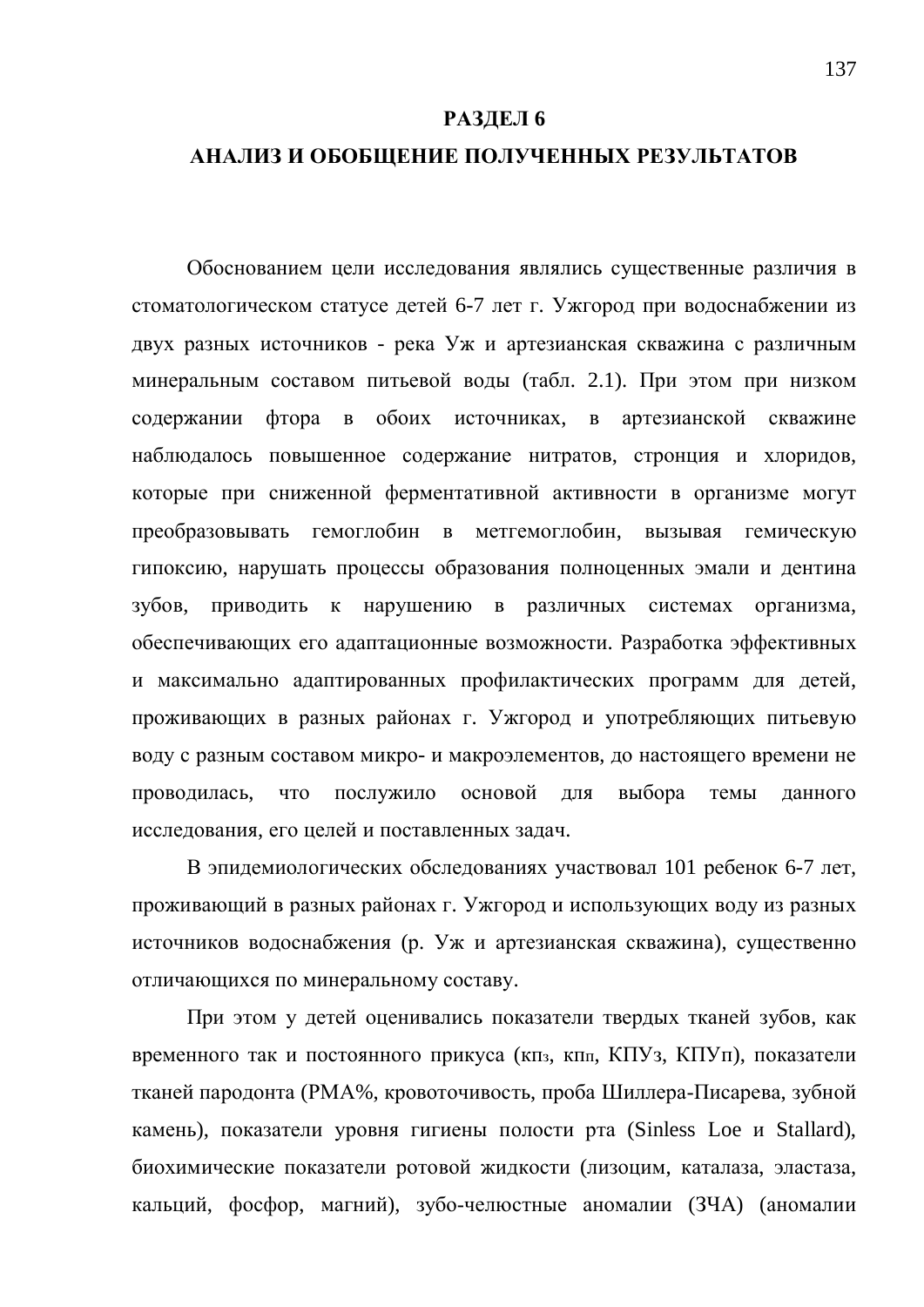#### РАЗДЕЛ 6

#### АНАЛИЗ И ОБОБЩЕНИЕ ПОЛУЧЕННЫХ РЕЗУЛЬТАТОВ

Обоснованием цели исследования являлись существенные различия в стоматологическом статусе детей 6-7 лет г. Ужгород при водоснабжении из двух разных источников - река Уж и артезианская скважина с различным минеральным составом питьевой воды (табл. 2.1). При этом при низком содержании фтора в обоих источниках, в артезианской скважине наблюдалось повышенное содержание нитратов, стронция и хлоридов, которые при сниженной ферментативной активности в организме могут преобразовывать гемоглобин в метгемоглобин, вызывая гемическую гипоксию, нарушать процессы образования полноценных эмали и дентина зубов, приводить к нарушению в различных системах организма, обеспечивающих его адаптационные возможности. Разработка эффективных и максимально адаптированных профилактических программ для детей, проживающих в разных районах г. Ужгород и употребляющих питьевую воду с разным составом микро- и макроэлементов, до настоящего времени не проводилась, что послужило основой для выбора темы данного исследования, его целей и поставленных задач.

В эпидемиологических обследованиях участвовал 101 ребенок 6-7 лет, проживающий в разных районах г. Ужгород и использующих воду из разных источников водоснабжения (р. Уж и артезианская скважина), существенно отличающихся по минеральному составу.

При этом у детей оценивались показатели твердых тканей зубов, как временного так и постоянного прикуса (кпз, кпл, КПУз, КПУп), показатели тканей пародонта (РМА%, кровоточивость, проба Шиллера-Писарева, зубной камень), показатели уровня гигиены полости рта (Sinless Loe и Stallard), биохимические показатели ротовой жидкости (лизоцим, каталаза, эластаза, кальций, фосфор, магний), зубо-челюстные аномалии (ЗЧА) (аномалии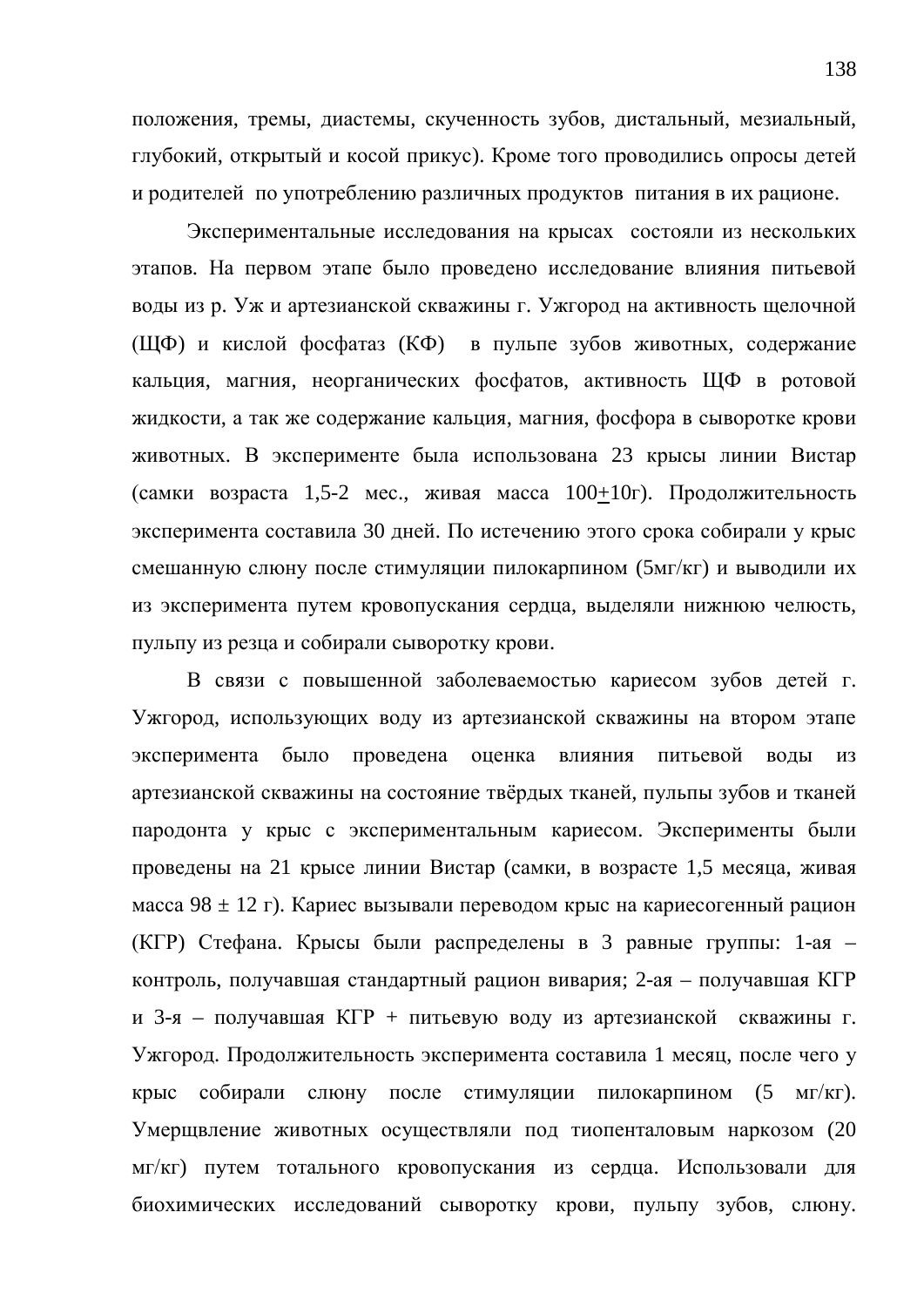положения, тремы, диастемы, скученность зубов, дистальный, мезиальный, глубокий, открытый и косой прикус). Кроме того проводились опросы детей и родителей по употреблению различных продуктов питания в их рационе.

Экспериментальные исследования на крысах состояли из нескольких этапов. На первом этапе было проведено исследование влияния питьевой воды из р. Уж и артезианской скважины г. Ужгород на активность щелочной (ЩФ) и кислой фосфатаз (КФ) в пульпе зубов животных, содержание кальция, магния, неорганических фосфатов, активность ЩФ в ротовой жилкости, а так же содержание кальция, магния, фосфора в сыворотке крови животных. В эксперименте была использована 23 крысы линии Вистар (самки возраста 1,5-2 мес., живая масса  $100+10r$ ). Продолжительность эксперимента составила 30 дней. По истечению этого срока собирали у крыс смешанную слюну после стимуляции пилокарпином (5мг/кг) и выводили их из эксперимента путем кровопускания сердца, выделяли нижнюю челюсть, пульпу из резца и собирали сыворотку крови.

В связи с повышенной заболеваемостью кариесом зубов детей г. Ужгород, использующих воду из артезианской скважины на втором этапе эксперимента было проведена оценка влияния питьевой воды из артезианской скважины на состояние твёрдых тканей, пульпы зубов и тканей пародонта у крыс с экспериментальным кариесом. Эксперименты были проведены на 21 крысе линии Вистар (самки, в возрасте 1,5 месяца, живая масса 98  $\pm$  12 г). Кариес вызывали переводом крыс на кариесогенный рацион (КГР) Стефана. Крысы были распределены в 3 равные группы: 1-ая – контроль, получавшая стандартный рацион вивария; 2-ая – получавшая КГР и 3-я – получавшая КГР + питьевую воду из артезианской скважины г. Ужгород. Продолжительность эксперимента составила 1 месяц, после чего у крыс собирали слюну после стимуляции пилокарпином (5 мг/кг). Умерщвление животных осуществляли под тиопенталовым наркозом (20 мг/кг) путем тотального кровопускания из сердца. Использовали для биохимических исследований сыворотку крови, пульпу зубов, слюну.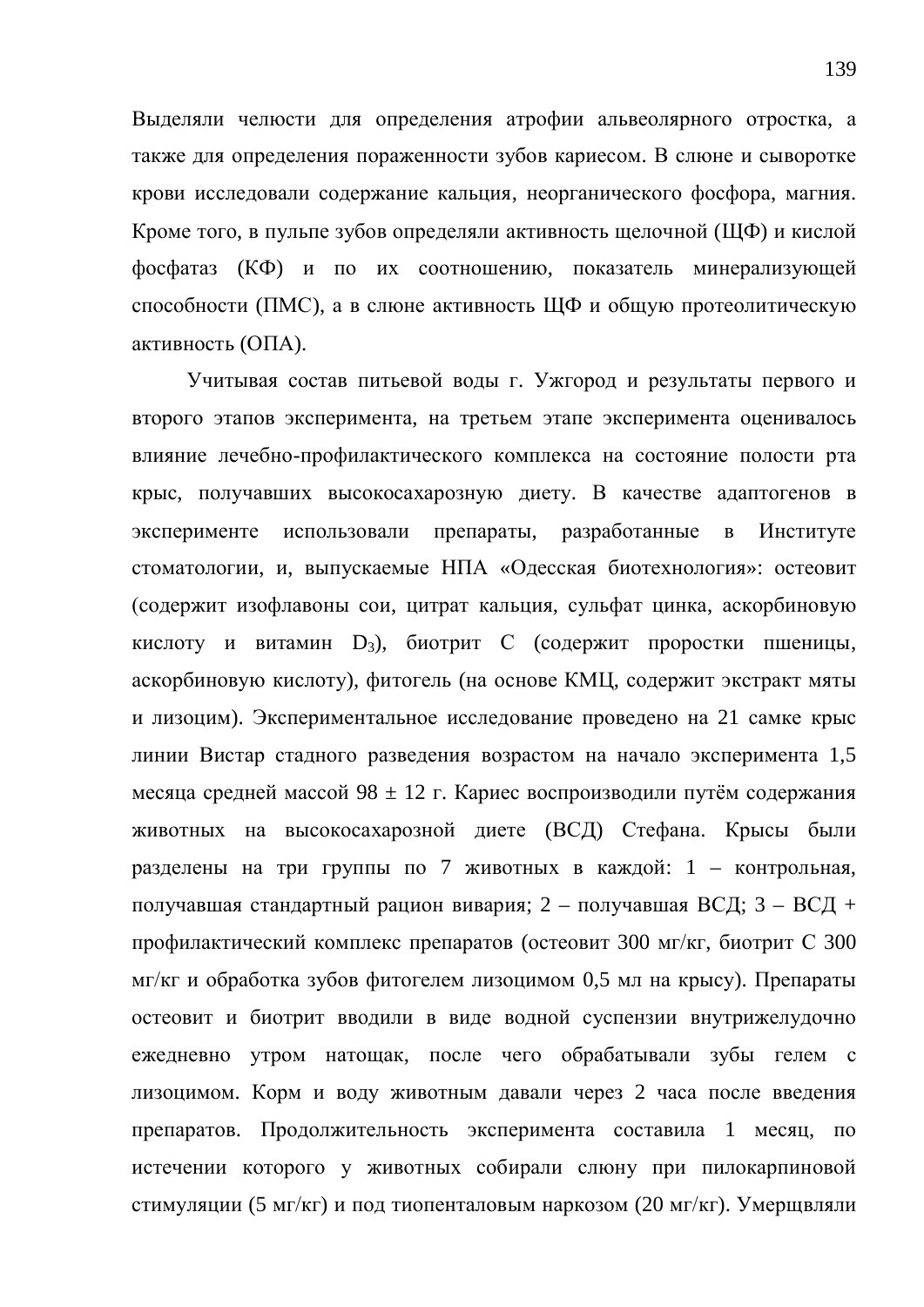Выделяли челюсти для определения атрофии альвеолярного отростка, а также для определения пораженности зубов кариесом. В слюне и сыворотке крови исследовали содержание кальция, неорганического фосфора, магния. Кроме того, в пульпе зубов определяли активность щелочной (ЩФ) и кислой фосфатаз (КФ) и по их соотношению, показатель минерализующей способности (ПМС), а в слюне активность ЩФ и общую протеолитическую активность (ОПА).

Учитывая состав питьевой воды г. Ужгород и результаты первого и второго этапов эксперимента, на третьем этапе эксперимента оценивалось влияние лечебно-профилактического комплекса на состояние полости рта крыс, получавших высокосахарозную диету. В качестве адаптогенов в эксперименте использовали препараты, разработанные в Институте стоматологии, и, выпускаемые НПА «Одесская биотехнология»: остеовит (содержит изофлавоны сои, цитрат кальция, сульфат цинка, аскорбиновую кислоту и витамин D<sub>3</sub>), биотрит С (содержит проростки пшеницы, аскорбиновую кислоту), фитогель (на основе КМЦ, содержит экстракт мяты и лизоцим). Экспериментальное исследование проведено на 21 самке крыс линии Вистар стадного разведения возрастом на начало эксперимента 1,5 месяца средней массой 98 ± 12 г. Кариес воспроизводили путём содержания животных на высокосахарозной диете (ВСД) Стефана. Крысы были разделены на три группы по 7 животных в каждой: 1 – контрольная, получавшая стандартный рацион вивария; 2 – получавшая ВСД; 3 – ВСД + профилактический комплекс препаратов (остеовит 300 мг/кг, биотрит С 300  $\rm{MT}/\rm{KT}$  и обработка зубов фитогелем лизоцимом 0,5 мл на крысу). Препараты остеовит и биотрит вводили в виде водной суспензии внутрижелудочно ежедневно утром натощак, после чего обрабатывали зубы гелем с лизоцимом. Корм и воду животным давали через 2 часа после введения препаратов. Продолжительность эксперимента составила 1 месяц, по истечении которого у животных собирали слюну при пилокарпиновой стимуляции (5 мг/кг) и под тиопенталовым наркозом (20 мг/кг). Умерщвляли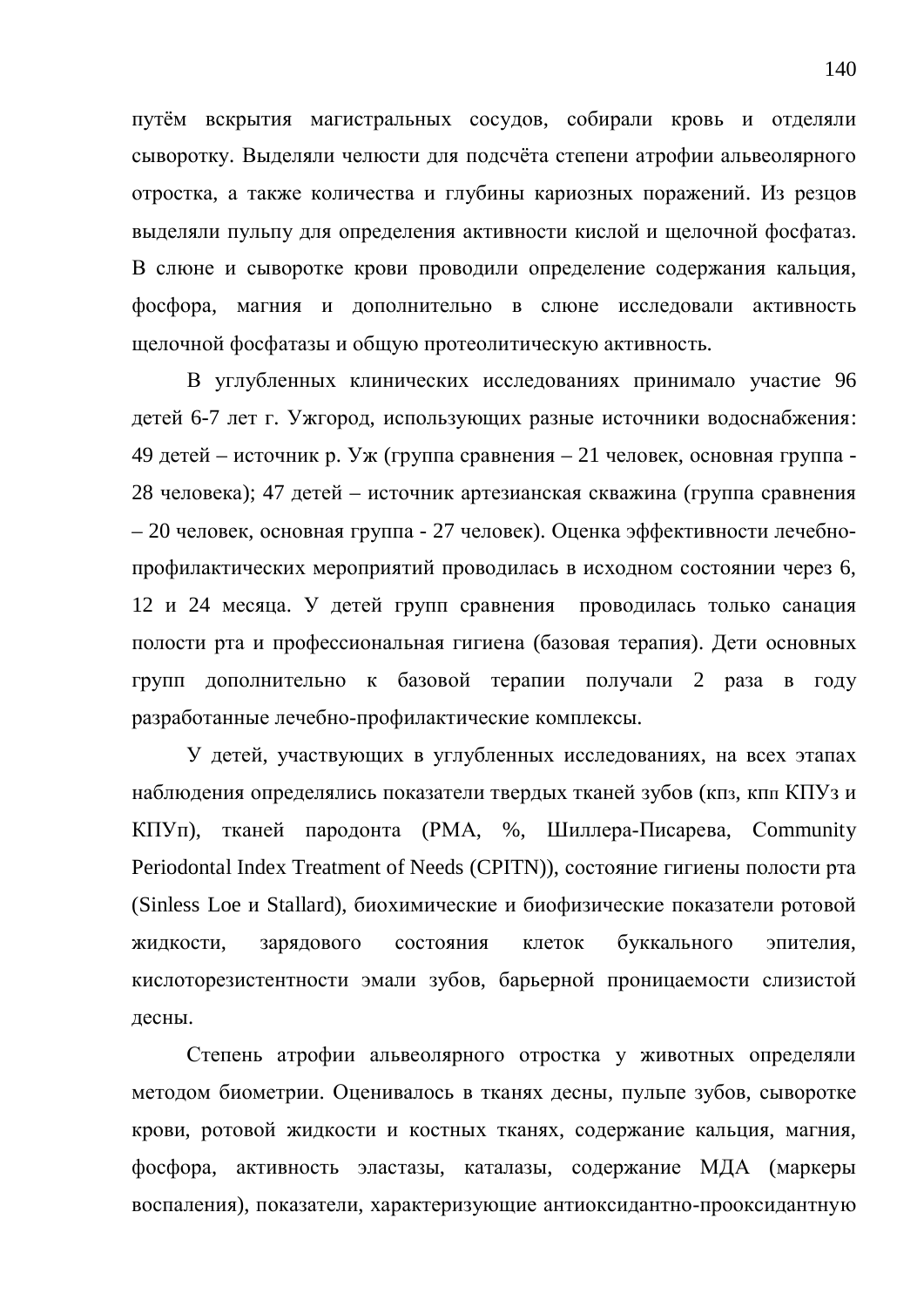путём вскрытия магистральных сосудов, собирали кровь и отделяли сыворотку. Выделяли челюсти для подсчёта степени атрофии альвеолярного отростка, а также количества и глубины кариозных поражений. Из резцов вылеляли пульпу для определения активности кислой и шелочной фосфатаз. В слюне и сыворотке крови проводили определение содержания кальция, фосфора, магния и дополнительно в слюне исследовали активность щелочной фосфатазы и общую протеолитическую активность.

В углубленных клинических исследованиях принимало участие 96 детей 6-7 лет г. Ужгород, использующих разные источники водоснабжения: 49 детей – источник р. Уж (группа сравнения – 21 человек, основная группа -28 человека); 47 детей – источник артезианская скважина (группа сравнения – 20 человек, основная группа - 27 человек). Оценка эффективности лечебнопрофилактических мероприятий проводилась в исходном состоянии через 6, 12 и 24 месяца. У детей групп сравнения проводилась только санация полости рта и профессиональная гигиена (базовая терапия). Дети основных групп дополнительно к базовой терапии получали 2 раза в году разработанные лечебно-профилактические комплексы.

У детей, участвующих в углубленных исследованиях, на всех этапах наблюдения определялись показатели твердых тканей зубов (кпз, кпп КПУз и KПУп), тканей пародонта (PMA, %, Шиллера-Писарева, Community Periodontal Index Treatment of Needs (CPITN)), состояние гигиены полости рта (Sinless Loe и Stallard), биохимические и биофизические показатели ротовой жидкости, зарядового состояния клеток буккального эпителия, кислоторезистентности эмали зубов, барьерной проницаемости слизистой десны.

Степень атрофии альвеолярного отростка у животных определяли методом биометрии. Оценивалось в тканях десны, пульпе зубов, сыворотке крови, ротовой жидкости и костных тканях, содержание кальция, магния, фосфора, активность эластазы, каталазы, содержание МДА (маркеры воспаления), показатели, характеризующие антиоксидантно-прооксидантную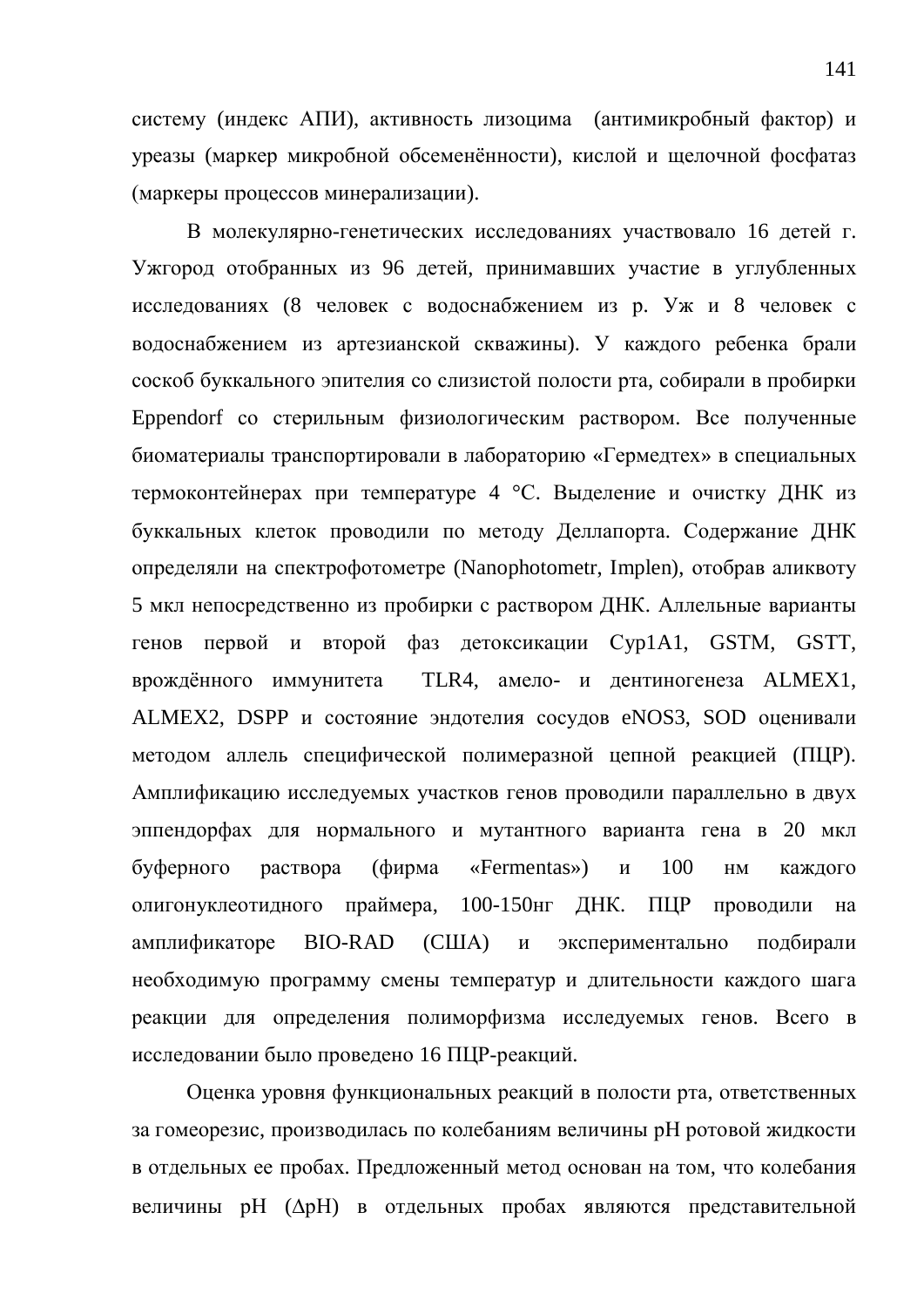систему (индекс АПИ), активность лизоцима (антимикробный фактор) и уреазы (маркер микробной обсеменённости), кислой и щелочной фосфатаз (маркеры процессов минерализации).

В молекулярно-генетических исследованиях участвовало 16 летей г. Ужгород отобранных из 96 детей, принимавших участие в углубленных исследованиях (8 человек с водоснабжением из р. Уж и 8 человек с водоснабжением из артезианской скважины). У каждого ребенка брали соскоб буккального эпителия со слизистой полости рта, собирали в пробирки Eppendorf со стерильным физиологическим раствором. Все полученные биоматериалы транспортировали в лабораторию «Гермедтех» в специальных термоконтейнерах при температуре 4 °С. Выделение и очистку ДНК из буккальных клеток проводили по методу Деллапорта. Содержание ДНК определяли на спектрофотометре (Nanophotometr, Implen), отобрав аликвоту 5 мкл непосредственно из пробирки с раствором ДНК. Аллельные варианты генов первой и второй фаз детоксикации Cyp1A1, GSTM, GSTT, врождённого иммунитета TLR4, амело- и дентиногенеза ALMEX1, ALMEX2, DSPP и состояние эндотелия сосудов eNOS3, SOD оценивали методом аллель специфической полимеразной цепной реакцией (ПЦР). Амплификацию исследуемых участков генов проводили параллельно в двух эппендорфах для нормального и мутантного варианта гена в 20 мкл буферного раствора (фирма «Fermentas») и 100 нм каждого олигонуклеотидного праймера, 100-150нг ДНК. ПЦР проводили на амплификаторе ВІО-RAD (США) и экспериментально подбирали необходимую программу смены температур и длительности каждого шага реакции для определения полиморфизма исследуемых генов. Всего в исследовании было проведено 16 ПЦР-реакций.

Оценка уровня функциональных реакций в полости рта, ответственных за гомеорезис, производилась по колебаниям величины рН ротовой жидкости в отдельных ее пробах. Предложенный метод основан на том, что колебания величины рН ( $\Delta$ рН) в отдельных пробах являются представительной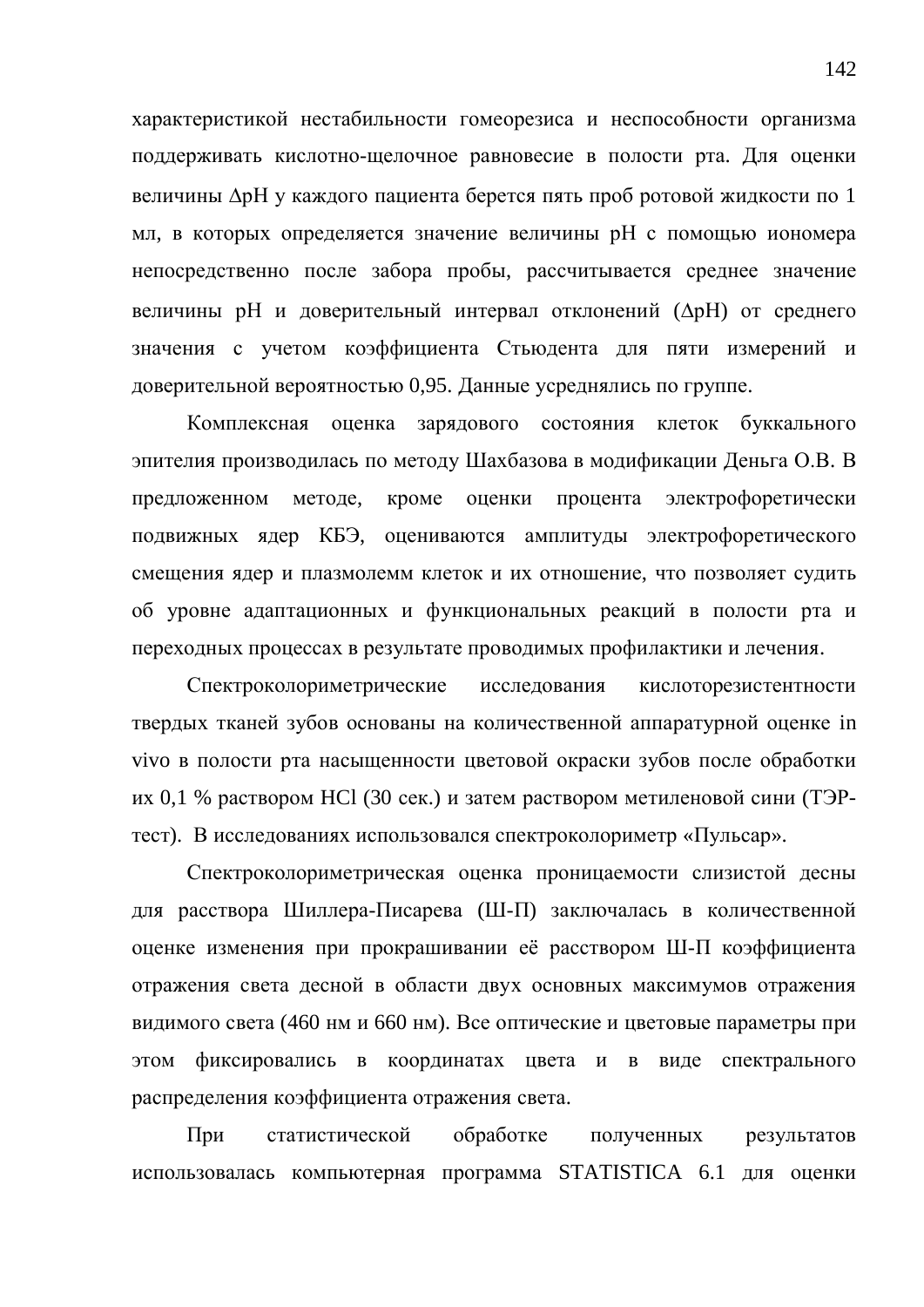характеристикой нестабильности гомеорезиса и неспособности организма поддерживать кислотно-щелочное равновесие в полости рта. Для оценки величины  $\Delta$ рН у каждого пациента берется пять проб ротовой жидкости по 1 мл, в которых определяется значение величины рН с помощью иономера непосредственно после забора пробы, рассчитывается среднее значение величины рН и доверительный интервал отклонений ( $\Delta$ рН) от среднего значения с учетом коэффициента Стьюдента для пяти измерений и доверительной вероятностью 0,95. Данные усреднялись по группе.

Комплексная оценка зарядового состояния клеток буккального эпителия производилась по методу Шахбазова в модификации Деньга О.В. В предложенном методе, кроме оценки процента электрофоретически подвижных ядер КБЭ, оцениваются амплитуды электрофоретического смещения ядер и плазмолемм клеток и их отношение, что позволяет судить об уровне адаптационных и функциональных реакций в полости рта и переходных процессах в результате проводимых профилактики и лечения.

Спектроколориметрические исследования кислоторезистентности твердых тканей зубов основаны на количественной аппаратурной оценке in vivo в полости рта насыщенности цветовой окраски зубов после обработки их 0,1 % раствором HCl (30 сек.) и затем раствором метиленовой сини (ТЭРтест). В исследованиях использовался спектроколориметр «Пульсар».

Спектроколориметрическая оценка проницаемости слизистой десны для расствора Шиллера-Писарева (Ш-П) заключалась в количественной оценке изменения при прокрашивании её расствором Ш-П коэффициента отражения света десной в области двух основных максимумов отражения видимого света (460 нм и 660 нм). Все оптические и цветовые параметры при этом фиксировались в координатах цвета и в виде спектрального распределения коэффициента отражения света.

При статистической обработке полученных результатов использовалась компьютерная программа STATISTICA 6.1 для оценки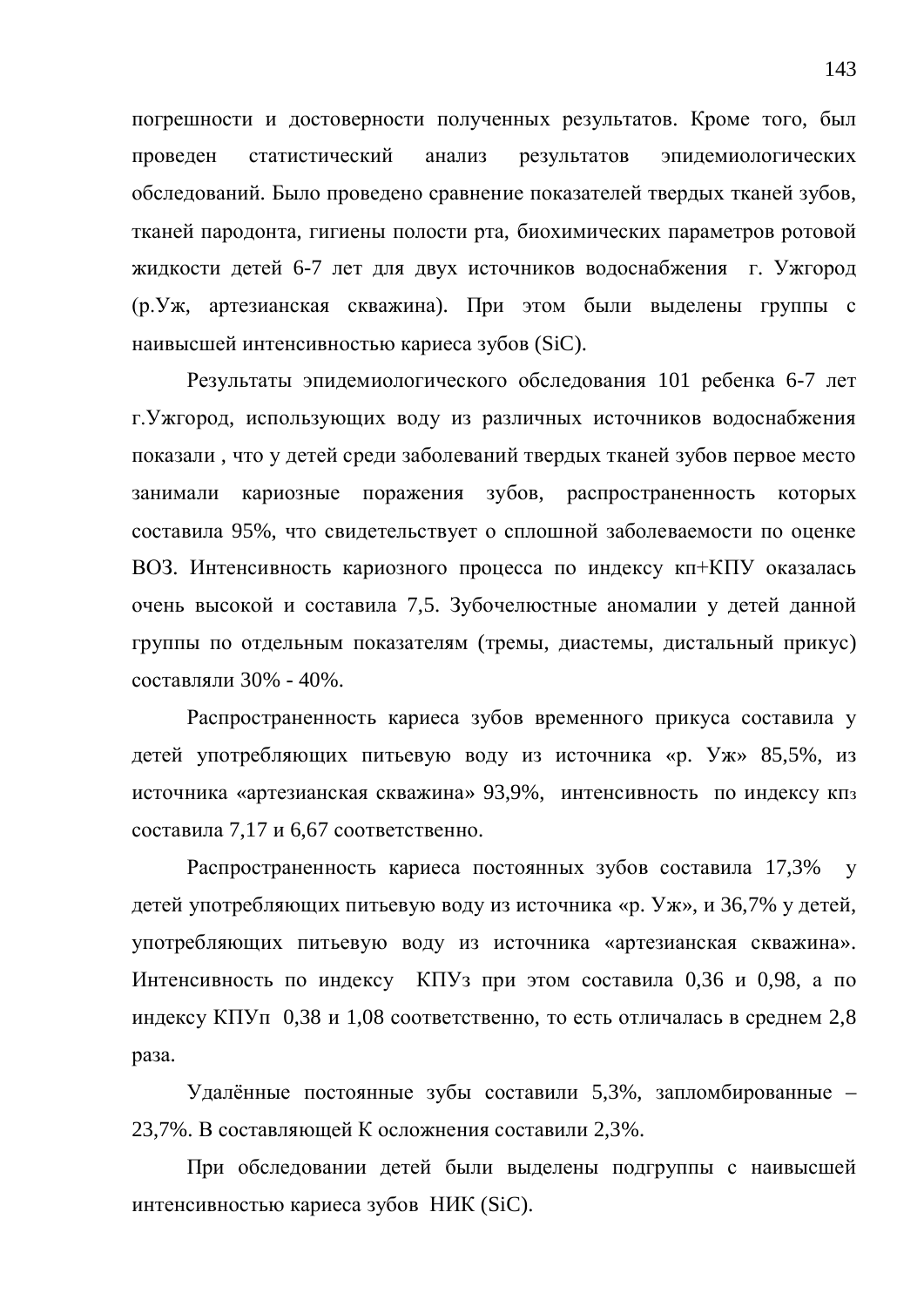погрешности и достоверности полученных результатов. Кроме того, был проведен статистический анализ результатов эпидемиологических обследований. Было проведено сравнение показателей твердых тканей зубов, тканей пародонта, гигиены полости рта, биохимических параметров ротовой жидкости детей 6-7 лет для двух источников водоснабжения г. Ужгород (р. Уж, артезианская скважина). При этом были выделены группы с наивысшей интенсивностью кариеса зубов (SiC).

Результаты эпидемиологического обследования 101 ребенка 6-7 лет г. Ужгород, использующих воду из различных источников водоснабжения показали, что у детей среди заболеваний твердых тканей зубов первое место занимали кариозные поражения зубов, распространенность которых составила 95%, что свидетельствует о сплошной заболеваемости по оценке ВОЗ. Интенсивность кариозного процесса по индексу кп+КПУ оказалась очень высокой и составила 7,5. Зубочелюстные аномалии у детей данной группы по отдельным показателям (тремы, диастемы, дистальный прикус) составляли 30% - 40%.

Распространенность кариеса зубов временного прикуса составила у детей употребляющих питьевую воду из источника «р. Уж» 85,5%, из источника «артезианская скважина» 93,9%, интенсивность по индексу кпз составила 7,17 и 6,67 соответственно.

Распространенность кариеса постоянных зубов составила 17,3% у детей употребляющих питьевую воду из источника «р. Уж», и 36,7% у детей, употребляющих питьевую воду из источника «артезианская скважина». Интенсивность по индексу КПУз при этом составила 0,36 и 0,98, а по индексу КПУп  $0.38$  и 1,08 соответственно, то есть отличалась в среднем 2,8 раза.

Удалённые постоянные зубы составили 5,3%, запломбированные – 23,7%. В составляющей К осложнения составили 2,3%.

При обследовании детей были выделены подгруппы с наивысшей интенсивностью кариеса зубов НИК (SiC).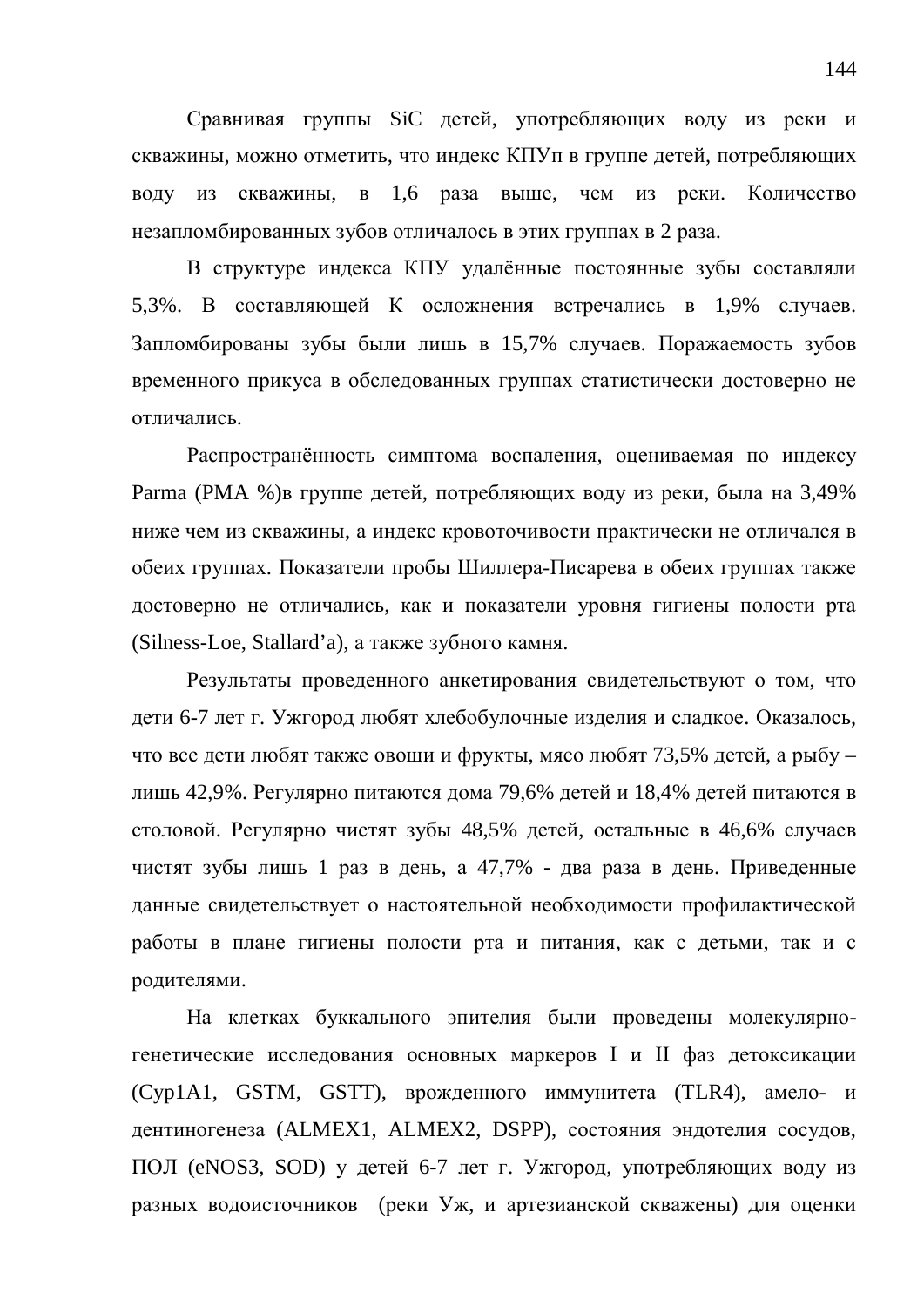Сравнивая группы SiC детей, употребляющих воду из реки и скважины, можно отметить, что индекс КПУп в группе детей, потребляющих воду из скважины, в 1,6 раза выше, чем из реки. Количество незапломбированных зубов отличалось в этих группах в 2 раза.

В структуре индекса КПУ удалённые постоянные зубы составляли 5,3%. В составляющей К осложнения встречались в 1,9% случаев. Запломбированы зубы были лишь в 15,7% случаев. Поражаемость зубов временного прикуса в обследованных группах статистически достоверно не **ОТПИЧАНИСЬ** 

Распространённость симптома воспаления, оцениваемая по индексу Parma (РМА %)в группе детей, потребляющих воду из реки, была на 3,49% ниже чем из скважины, а индекс кровоточивости практически не отличался в обеих группах. Показатели пробы Шиллера-Писарева в обеих группах также достоверно не отличались, как и показатели уровня гигиены полости рта (Silness-Loe, Stallard'a), а также зубного камня.

Результаты проведенного анкетирования свидетельствуют о том, что дети 6-7 лет г. Ужгород любят хлебобулочные изделия и сладкое. Оказалось, что все дети любят также овощи и фрукты, мясо любят 73,5% детей, а рыбу – лишь 42,9%. Регулярно питаются дома 79,6% детей и 18,4% детей питаются в столовой. Регулярно чистят зубы 48,5% детей, остальные в 46,6% случаев чистят зубы лишь 1 раз в день, а 47,7% - два раза в день. Приведенные данные свидетельствует о настоятельной необходимости профилактической работы в плане гигиены полости рта и питания, как с детьми, так и с родителями.

На клетках буккального эпителия были проведены молекулярногенетические исследования основных маркеров I и II фаз детоксикации (Cyp1A1, GSTM, GSTT), врожденного иммунитета (TLR4), амело- и дентиногенеза (ALMEX1, ALMEX2, DSPP), состояния эндотелия сосудов, ПОЛ (eNOS3, SOD) у детей 6-7 лет г. Ужгород, употребляющих воду из разных водоисточников (реки Уж, и артезианской скважены) для оценки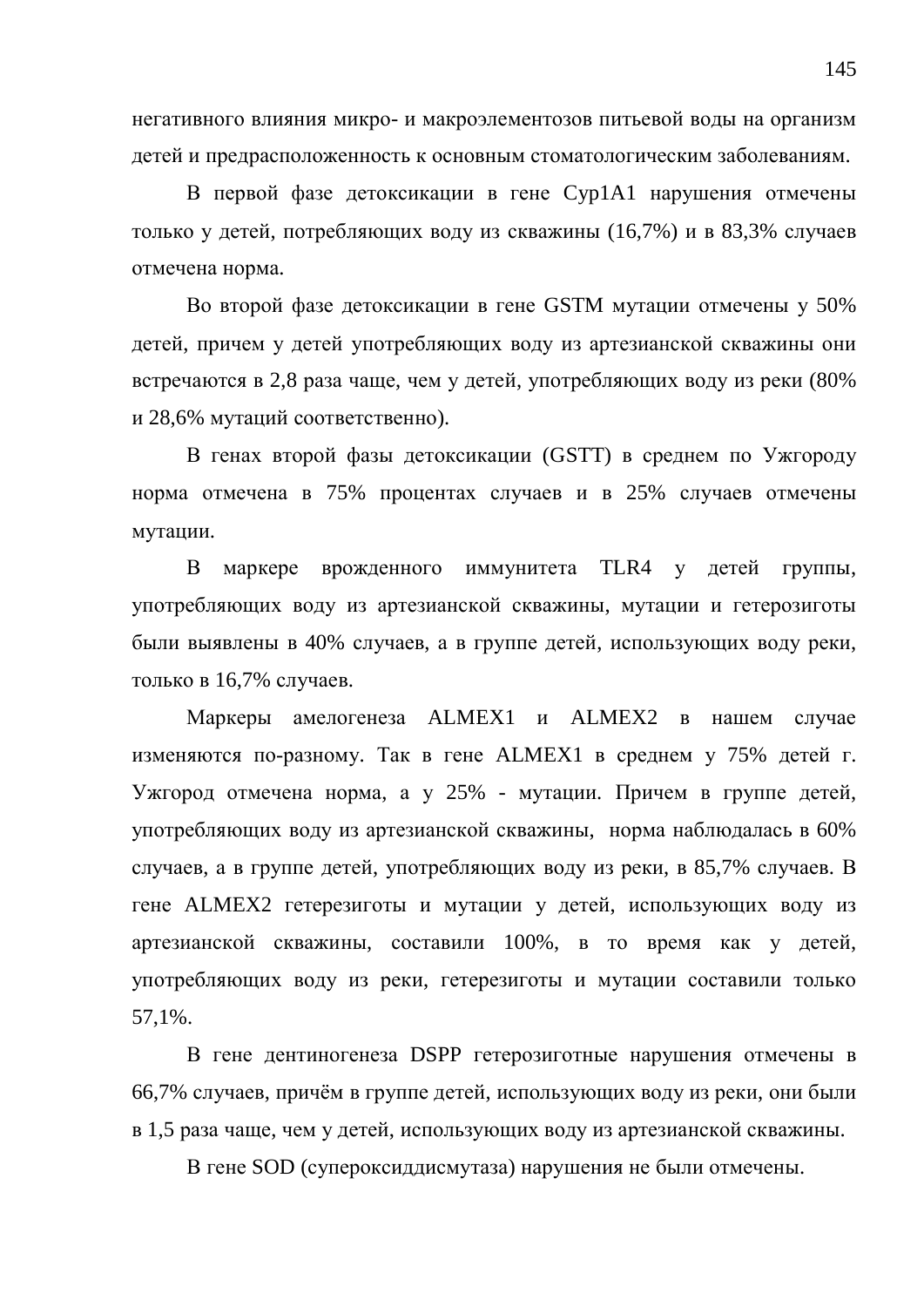негативного влияния микро- и макроэлементозов питьевой воды на организм детей и предрасположенность к основным стоматологическим заболеваниям.

В первой фазе детоксикации в гене Сур1А1 нарушения отмечены только у детей, потребляющих воду из скважины (16,7%) и в 83,3% случаев отмечена норма.

Во второй фазе детоксикации в гене GSTM мутации отмечены у 50% детей, причем у детей употребляющих воду из артезианской скважины они встречаются в 2,8 раза чаще, чем у детей, употребляющих воду из реки (80% и 28,6% мутаций соответственно).

В генах второй фазы детоксикации (GSTT) в среднем по Ужгороду норма отмечена в 75% процентах случаев и в 25% случаев отмечены мутации.

В маркере врожденного иммунитета TLR4 у детей группы, употребляющих воду из артезианской скважины, мутации и гетерозиготы были выявлены в 40% случаев, а в группе детей, использующих воду реки, только в 16,7% случаев.

Маркеры амелогенеза ALMEX1 и ALMEX2 в нашем случае изменяются по-разному. Так в гене ALMEX1 в среднем у 75% детей г. Ужгород отмечена норма, а у 25% - мутации. Причем в группе детей, употребляющих воду из артезианской скважины, норма наблюдалась в 60% случаев, а в группе детей, употребляющих воду из реки, в 85,7% случаев. В гене ALMEX2 гетерезиготы и мутации у детей, использующих воду из артезианской скважины, составили 100%, в то время как у детей, употребляющих воду из реки, гетерезиготы и мутации составили только 57,1%.

В гене дентиногенеза DSPP гетерозиготные нарушения отмечены в 66,7% случаев, причём в группе детей, использующих воду из реки, они были в 1,5 раза чаще, чем у детей, использующих воду из артезианской скважины.

В гене SOD (супероксиддисмутаза) нарушения не были отмечены.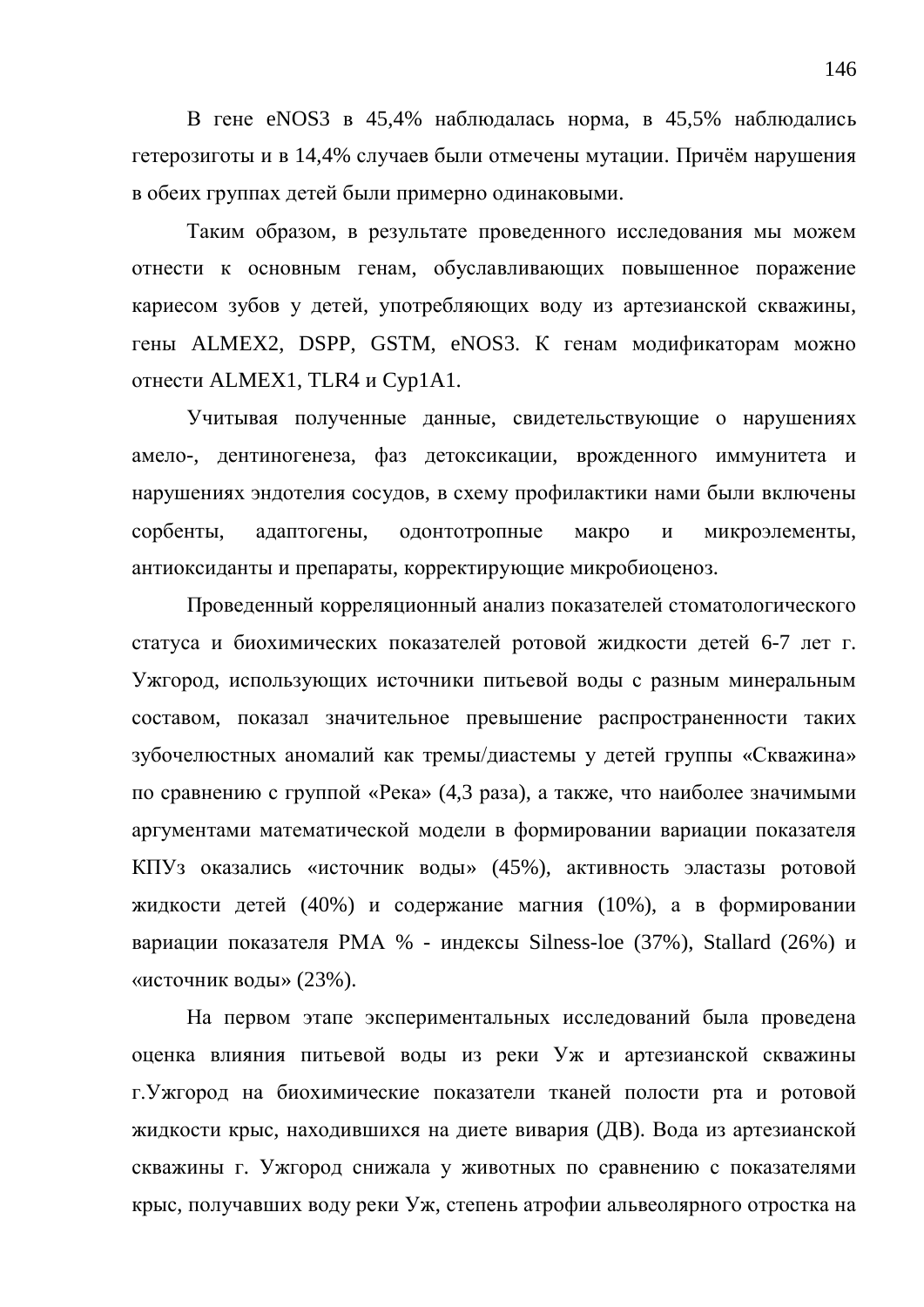В гене eNOS3 в 45,4% наблюдалась норма, в 45,5% наблюдались гетерозиготы и в 14,4% случаев были отмечены мутации. Причём нарушения в обеих группах детей были примерно одинаковыми.

Таким образом, в результате проведенного исследования мы можем отнести к основным генам, обуславливающих повышенное поражение кариесом зубов у детей, употребляющих воду из артезианской скважины, гены ALMEX2, DSPP, GSTM, eNOS3. К генам модификаторам можно отнести ALMEX1, TLR4 и Cyp1A1.

Учитывая полученные данные, свидетельствующие о нарушениях амело-, дентиногенеза, фаз детоксикации, врожденного иммунитета и нарушениях эндотелия сосудов, в схему профилактики нами были включены сорбенты, адаптогены, одонтотропные макро и микроэлементы, антиоксиданты и препараты, корректирующие микробиоценоз.

Проведенный корреляционный анализ показателей стоматологического статуса и биохимических показателей ротовой жидкости детей 6-7 лет г. Ужгород, использующих источники питьевой воды с разным минеральным составом, показал значительное превышение распространенности таких зубочелюстных аномалий как тремы/диастемы у детей группы «Скважина» по сравнению с группой «Река» (4,3 раза), а также, что наиболее значимыми аргументами математической модели в формировании вариации показателя КПУз оказались «источник воды» (45%), активность эластазы ротовой жидкости детей (40%) и содержание магния (10%), а в формировании вариации показателя РМА % - индексы Silness-loe (37%), Stallard (26%) и «источник воды» (23%).

На первом этапе экспериментальных исследований была проведена оценка влияния питьевой воды из реки Уж и артезианской скважины г. Ужгород на биохимические показатели тканей полости рта и ротовой жидкости крыс, находившихся на диете вивария (ДВ). Вода из артезианской скважины г. Ужгород снижала у животных по сравнению с показателями крыс, получавших воду реки Уж, степень атрофии альвеолярного отростка на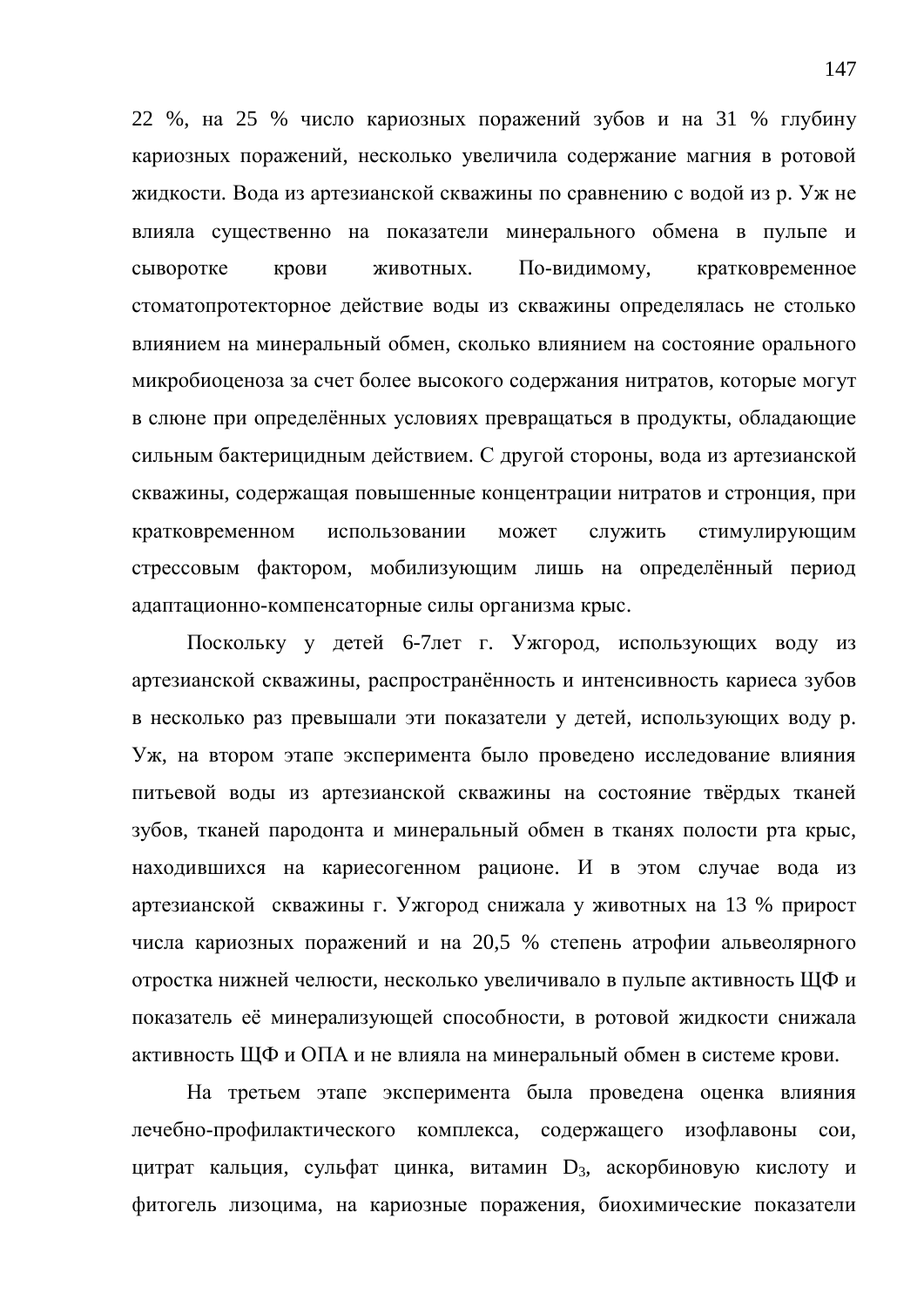22 %, на 25 % число кариозных поражений зубов и на 31 % глубину кариозных поражений, несколько увеличила содержание магния в ротовой жидкости. Вода из артезианской скважины по сравнению с водой из р. Уж не влияла существенно на показатели минерального обмена в пульпе и сыворотке крови животных. По-видимому, кратковременное стоматопротекторное действие воды из скважины определялась не столько влиянием на минеральный обмен, сколько влиянием на состояние орального микробиоценоза за счет более высокого содержания нитратов, которые могут в слюне при определённых условиях превращаться в продукты, обладающие сильным бактерицидным действием. С другой стороны, вода из артезианской скважины, содержащая повышенные концентрации нитратов и стронция, при кратковременном использовании может служить стимулирующим стрессовым фактором, мобилизующим лишь на определённый период адаптационно-компенсаторные силы организма крыс.

Поскольку у детей 6-7лет г. Ужгород, использующих воду из артезианской скважины, распространённость и интенсивность кариеса зубов в несколько раз превышали эти показатели у детей, использующих воду р. Уж, на втором этапе эксперимента было проведено исследование влияния питьевой воды из артезианской скважины на состояние твёрдых тканей зубов, тканей пародонта и минеральный обмен в тканях полости рта крыс, находившихся на кариесогенном рационе. И в этом случае вода из артезианской скважины г. Ужгород снижала у животных на 13 % прирост числа кариозных поражений и на 20,5 % степень атрофии альвеолярного отростка нижней челюсти, несколько увеличивало в пульпе активность ЩФ и показатель её минерализующей способности, в ротовой жидкости снижала активность ЩФ и ОПА и не влияла на минеральный обмен в системе крови.

На третьем этапе эксперимента была проведена оценка влияния лечебно-профилактического комплекса, содержащего изофлавоны сои, цитрат кальция, сульфат цинка, витамин D<sub>3</sub>, аскорбиновую кислоту и фитогель лизоцима, на кариозные поражения, биохимические показатели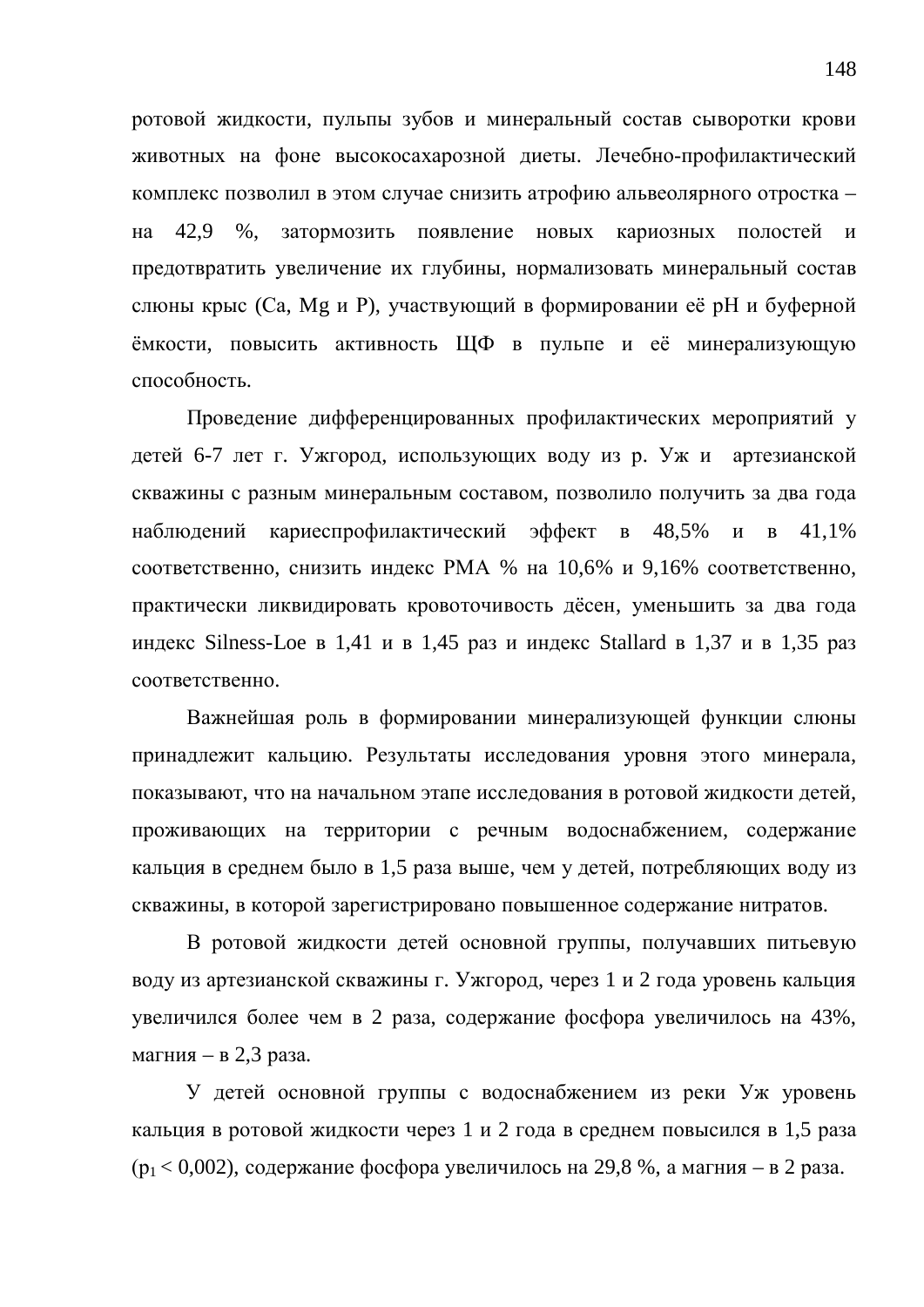ротовой жидкости, пульпы зубов и минеральный состав сыворотки крови животных на фоне высокосахарозной диеты. Лечебно-профилактический комплекс позволил в этом случае снизить атрофию альвеолярного отростка – на 42,9 %, затормозить появление новых кариозных полостей и предотвратить увеличение их глубины, нормализовать минеральный состав слюны крыс (Са, Мg и Р), участвующий в формировании её рН и буферной ёмкости, повысить активность ЩФ в пульпе и её минерализующую способность.

Проведение дифференцированных профилактических мероприятий у детей 6-7 лет г. Ужгород, использующих воду из р. Уж и артезианской скважины с разным минеральным составом, позволило получить за два года наблюдений кариеспрофилактический эффект в 48,5% и в 41,1% соответственно, снизить индекс РМА % на 10,6% и 9,16% соответственно, практически ликвидировать кровоточивость дёсен, уменьшить за два года индекс Silness-Loe в 1,41 и в 1,45 раз и индекс Stallard в 1,37 и в 1,35 раз соответственно.

Важнейшая роль в формировании минерализующей функции слюны принадлежит кальцию. Результаты исследования уровня этого минерала, показывают, что на начальном этапе исследования в ротовой жидкости детей, проживающих на территории с речным водоснабжением, содержание кальция в среднем было в 1,5 раза выше, чем у детей, потребляющих воду из скважины, в которой зарегистрировано повышенное содержание нитратов.

В ротовой жидкости детей основной группы, получавших питьевую воду из артезианской скважины г. Ужгород, через 1 и 2 года уровень кальция увеличился более чем в 2 раза, содержание фосфора увеличилось на 43%, магния – в 2,3 раза.

У детей основной группы с водоснабжением из реки Уж уровень кальция в ротовой жидкости через 1 и 2 года в среднем повысился в 1,5 раза  $(p_1 < 0.002)$ , содержание фосфора увеличилось на 29,8 %, а магния – в 2 раза.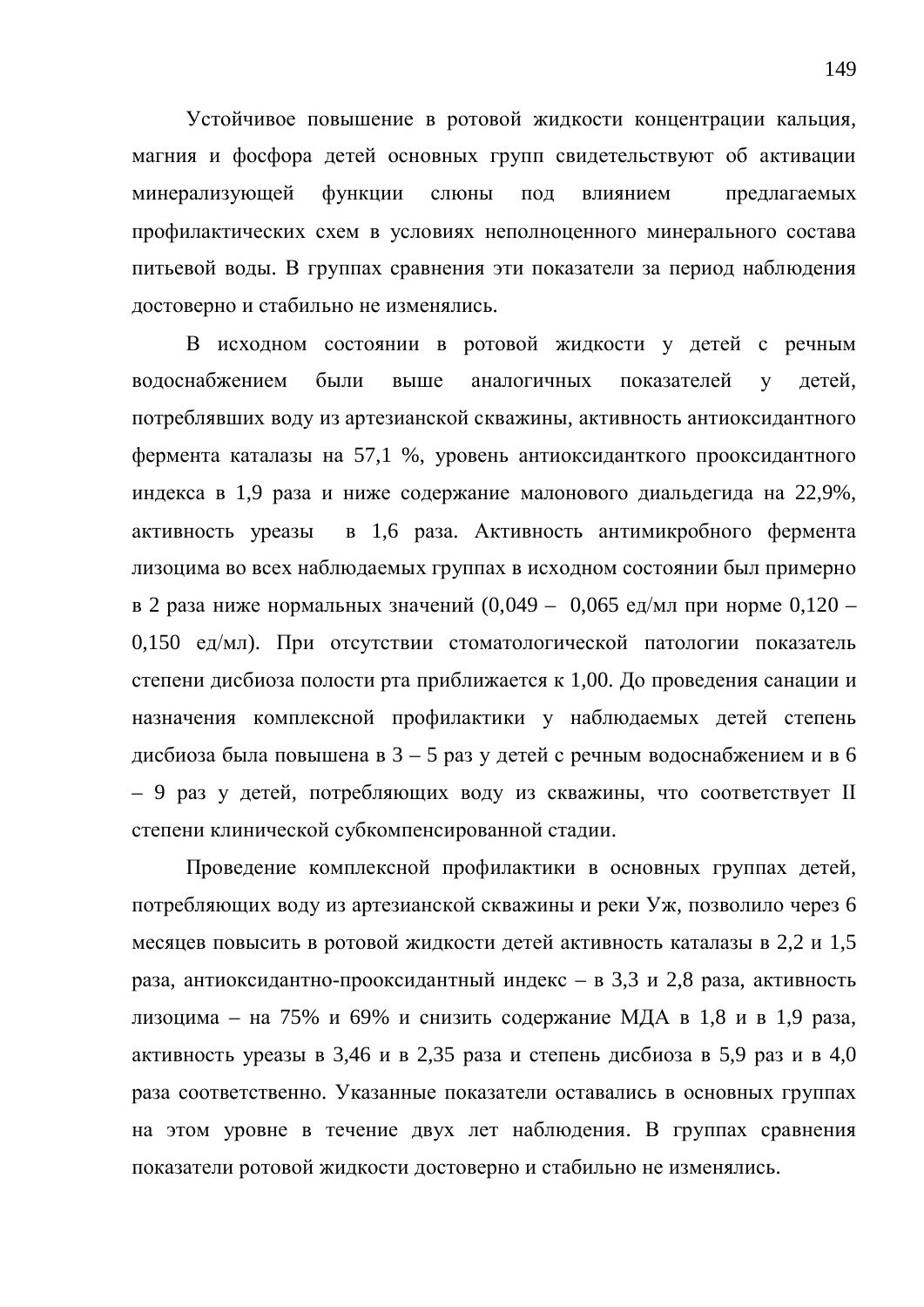Устойчивое повышение в ротовой жидкости концентрации кальция, магния и фосфора детей основных групп свидетельствуют об активации минерализующей функции слюны под влиянием предлагаемых профилактических схем в условиях неполноценного минерального состава питьевой воды. В группах сравнения эти показатели за период наблюдения достоверно и стабильно не изменялись.

В исходном состоянии в ротовой жидкости у детей с речным водоснабжением были выше аналогичных показателей у детей, потреблявших воду из артезианской скважины, активность антиоксидантного фермента каталазы на 57,1 %, уровень антиоксиданткого прооксидантного индекса в 1,9 раза и ниже содержание малонового диальдегида на 22,9%, активность уреазы в 1,6 раза. Активность антимикробного фермента лизоцима во всех наблюдаемых группах в исходном состоянии был примерно в 2 раза ниже нормальных значений  $(0,049 - 0,065 \text{ e}$ д/мл при норме  $0,120 -$ 0,150 ед/мл). При отсутствии стоматологической патологии показатель степени дисбиоза полости рта приближается к 1,00. До проведения санации и назначения комплексной профилактики у наблюдаемых детей степень дисбиоза была повышена в  $3 - 5$  раз у детей с речным водоснабжением и в 6 – 9 раз у детей, потребляющих воду из скважины, что соответствует II степени клинической субкомпенсированной стадии.

Проведение комплексной профилактики в основных группах детей, потребляющих воду из артезианской скважины и реки Уж, позволило через 6 месяцев повысить в ротовой жидкости детей активность каталазы в 2,2 и 1,5 раза, антиоксидантно-прооксидантный индекс - в 3,3 и 2,8 раза, активность лизоцима – на 75% и 69% и снизить содержание МДА в 1,8 и в 1,9 раза, активность уреазы в 3,46 и в 2,35 раза и степень дисбиоза в 5,9 раз и в 4,0 раза соответственно. Указанные показатели оставались в основных группах на этом уровне в течение двух лет наблюдения. В группах сравнения показатели ротовой жидкости достоверно и стабильно не изменялись.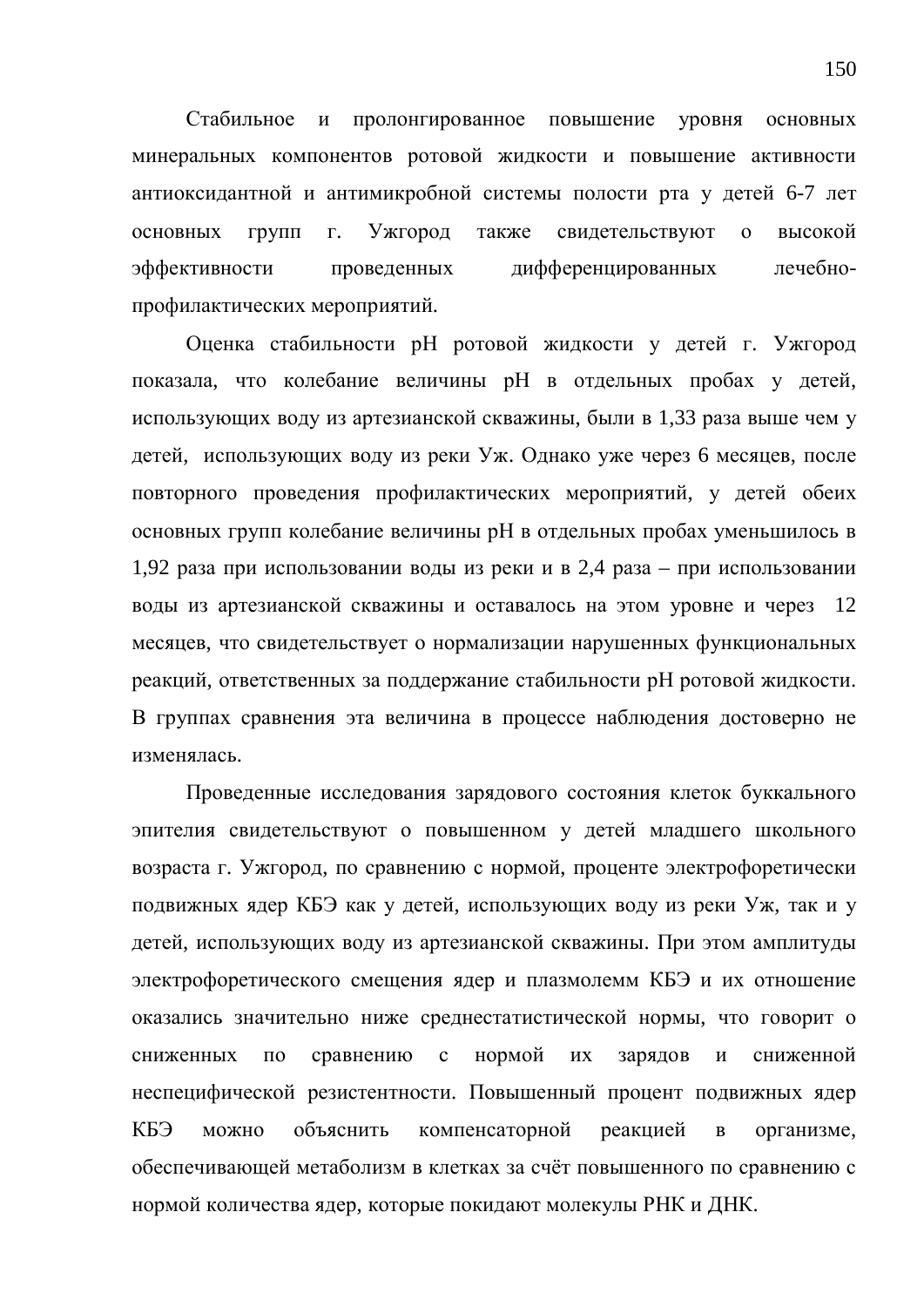Стабильное и пролонгированное повышение уровня основных минеральных компонентов ротовой жидкости и повышение активности антиоксидантной и антимикробной системы полости рта у детей 6-7 лет основных групп г. Ужгород также свидетельствуют о высокой эффективности проведенных дифференцированных лечебнопрофилактических мероприятий.

Оценка стабильности рН ротовой жидкости у детей г. Ужгород показала, что колебание величины рН в отдельных пробах у детей, использующих воду из артезианской скважины. были в 1,33 раза выше чем у детей, использующих воду из реки Уж. Однако уже через 6 месяцев, после повторного проведения профилактических мероприятий, у детей обеих основных групп колебание величины рН в отдельных пробах уменьшилось в 1,92 раза при использовании воды из реки и в 2,4 раза – при использовании воды из артезианской скважины и оставалось на этом уровне и через 12 месяцев, что свидетельствует о нормализации нарушенных функциональных реакций, ответственных за поддержание стабильности рН ротовой жидкости. В группах сравнения эта величина в процессе наблюдения достоверно не изменялась.

Проведенные исследования зарядового состояния клеток буккального эпителия свидетельствуют о повышенном у детей младшего школьного возраста г. Ужгород, по сравнению с нормой, проценте электрофоретически подвижных ядер КБЭ как у детей, использующих воду из реки Уж, так и у детей, использующих воду из артезианской скважины. При этом амплитуды электрофоретического смещения ядер и плазмолемм КБЭ и их отношение оказались значительно ниже среднестатистической нормы, что говорит о сниженных по сравнению с нормой их зарядов и сниженной неспецифической резистентности. Повышенный процент подвижных ядер КБЭ можно объяснить компенсаторной реакцией в организме, обеспечивающей метаболизм в клетках за счёт повышенного по сравнению с нормой количества ядер, которые покидают молекулы РНК и ДНК.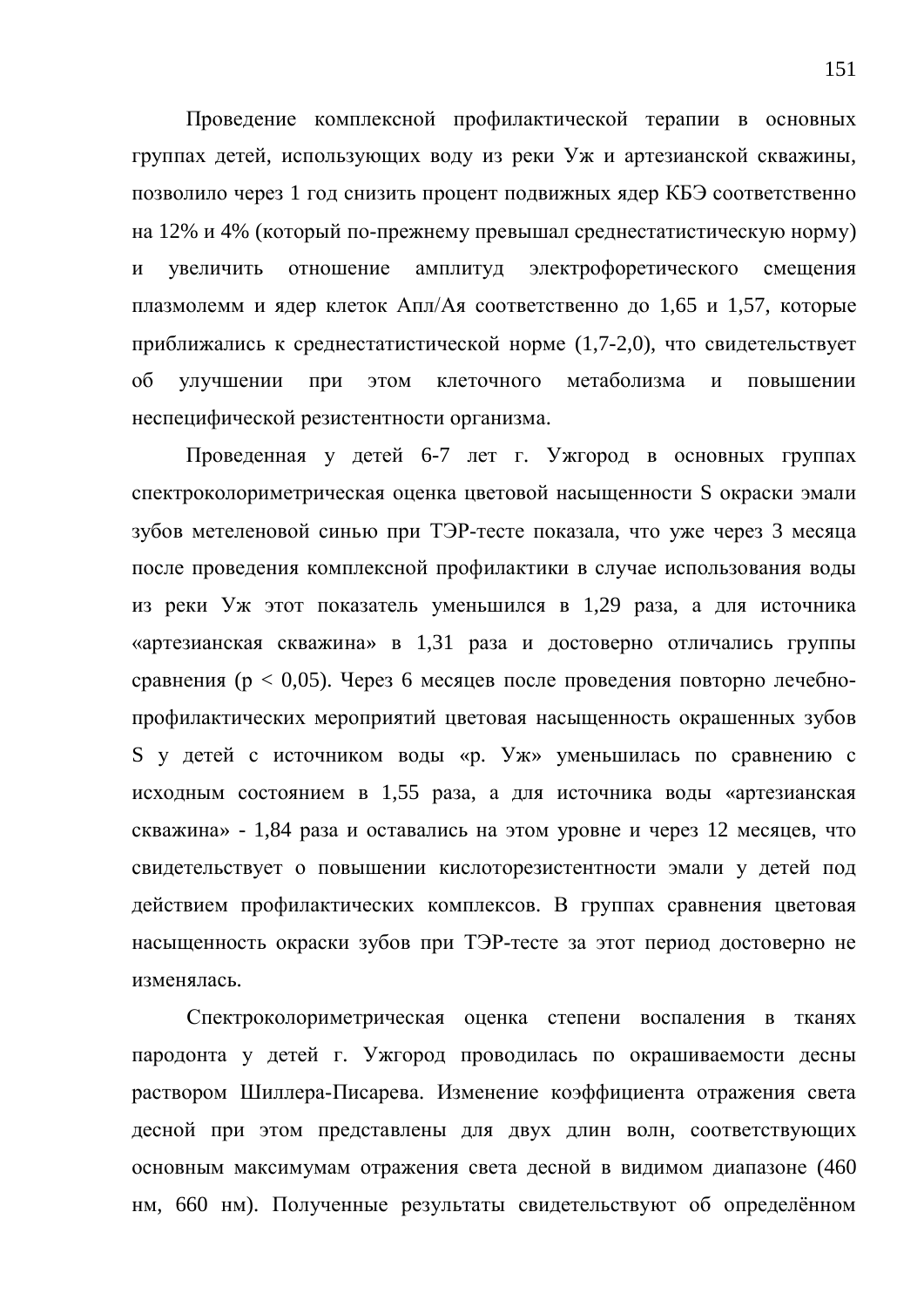Проведение комплексной профилактической терапии в основных группах детей, использующих воду из реки Уж и артезианской скважины, позволило через 1 год снизить процент подвижных ядер КБЭ соответственно на 12% и 4% (который по-прежнему превышал среднестатистическую норму) и увеличить отношение амплитуд электрофоретического смещения плазмолемм и ядер клеток Апл/Ая соответственно до 1,65 и 1,57, которые приближались к среднестатистической норме (1,7-2,0), что свидетельствует об улучшении при этом клеточного метаболизма и повышении неспецифической резистентности организма.

Проведенная у детей 6-7 лет г. Ужгород в основных группах спектроколориметрическая оценка цветовой насыщенности S окраски эмали зубов метеленовой синью при ТЭР-тесте показала, что уже через 3 месяца после проведения комплексной профилактики в случае использования воды из реки Уж этот показатель уменьшился в 1,29 раза, а для источника «артезианская скважина» в 1,31 раза и достоверно отличались группы сравнения ( $p < 0.05$ ). Через 6 месяцев после проведения повторно лечебнопрофилактических мероприятий цветовая насыщенность окрашенных зубов S у детей с источником воды «р. Уж» уменьшилась по сравнению с исходным состоянием в 1,55 раза, а для источника воды «артезианская скважина» - 1,84 раза и оставались на этом уровне и через 12 месяцев, что свидетельствует о повышении кислоторезистентности эмали у детей под действием профилактических комплексов. В группах сравнения цветовая насыщенность окраски зубов при ТЭР-тесте за этот период достоверно не изменялась.

Спектроколориметрическая оценка степени воспаления в тканях пародонта у детей г. Ужгород проводилась по окрашиваемости десны раствором Шиллера-Писарева. Изменение коэффициента отражения света десной при этом представлены для двух длин волн, соответствующих основным максимумам отражения света десной в видимом диапазоне (460 нм, 660 нм). Полученные результаты свидетельствуют об определённом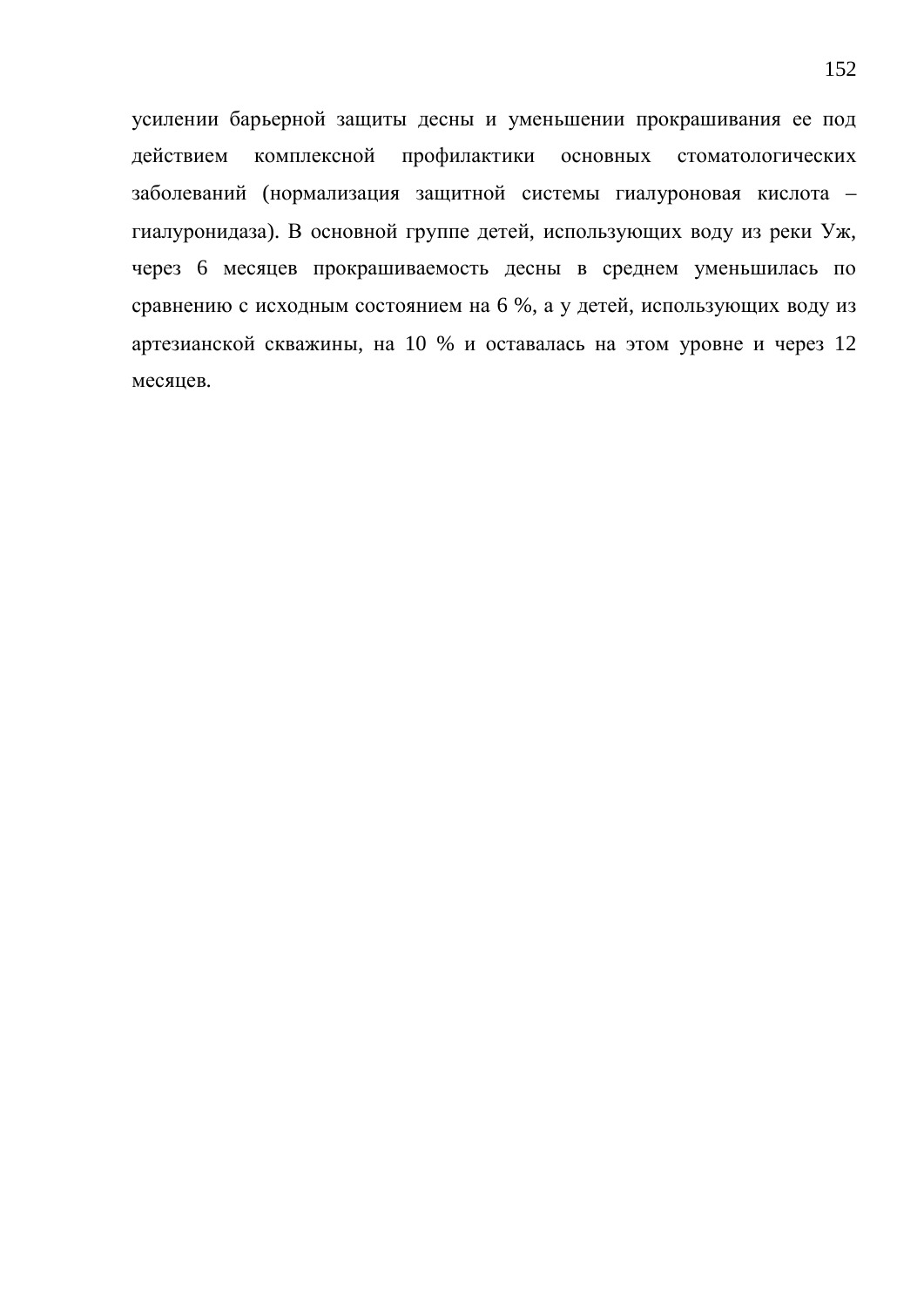усилении барьерной защиты десны и уменьшении прокрашивания ее под действием комплексной профилактики основных стоматологических заболеваний (нормализация защитной системы гиалуроновая кислота гиалуронидаза). В основной группе детей, использующих воду из реки Уж, через 6 месяцев прокрашиваемость десны в среднем уменьшилась по сравнению с исходным состоянием на 6 %, а у детей, использующих воду из артезианской скважины, на 10 % и оставалась на этом уровне и через 12 месяцев.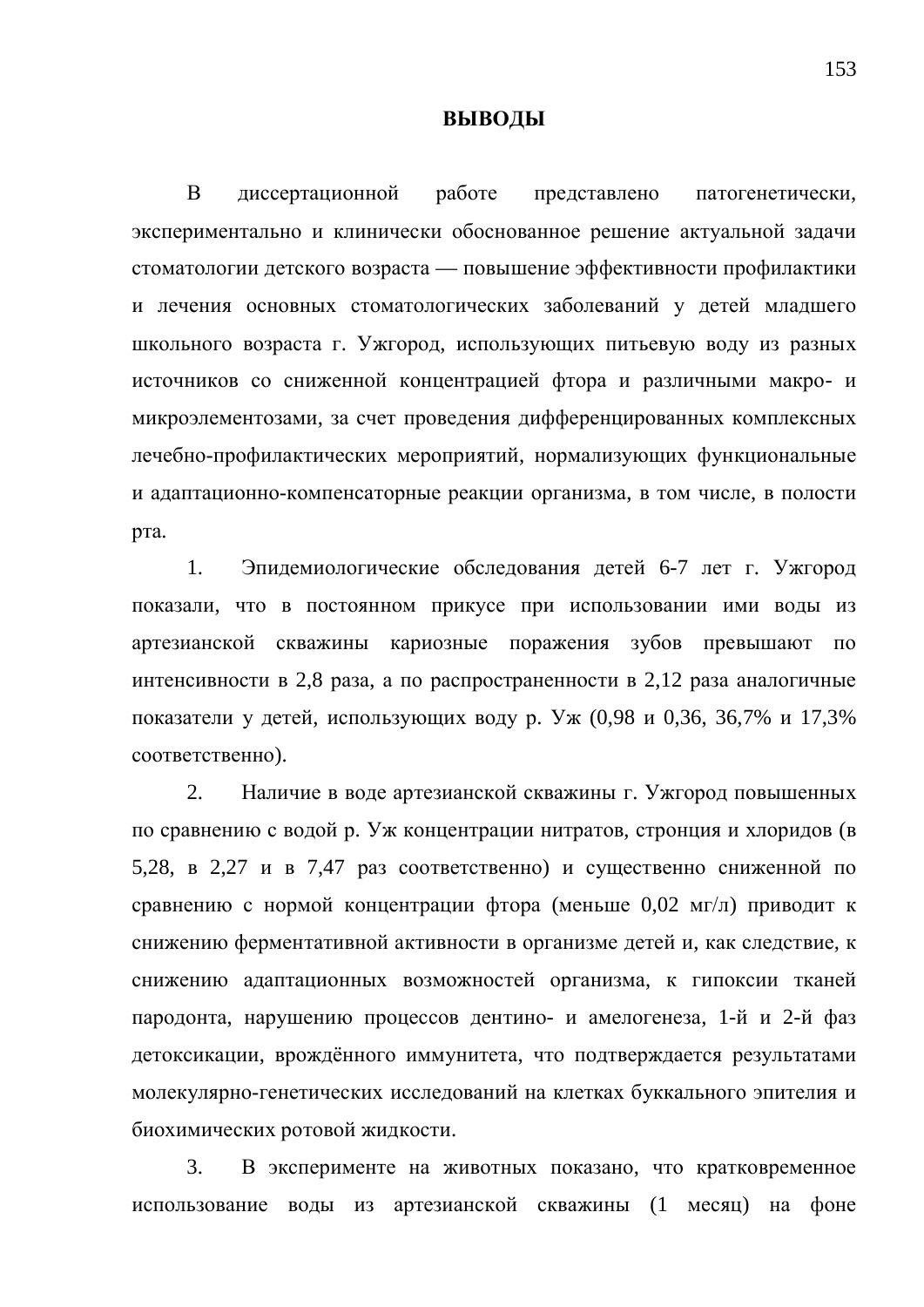## **ВЫВОДЫ**

В диссертационной работе представлено патогенетически, экспериментально и клинически обоснованное решение актуальной задачи стоматологии детского возраста — повышение эффективности профилактики и лечения основных стоматологических заболеваний у детей младшего школьного возраста г. Ужгород, использующих питьевую воду из разных источников со сниженной концентрацией фтора и различными макро- и микроэлементозами, за счет проведения дифференцированных комплексных лечебно-профилактических мероприятий, нормализующих функциональные и адаптационно-компенсаторные реакции организма, в том числе, в полости рта.

1. Эпидемиологические обследования детей 6-7 лет г. Ужгород показали, что в постоянном прикусе при использовании ими воды из артезианской скважины кариозные поражения зубов превышают по интенсивности в 2,8 раза, а по распространенности в 2,12 раза аналогичные показатели у детей, использующих воду р. Уж (0,98 и 0,36, 36,7% и 17,3% соответственно).

2. Наличие в воде артезианской скважины г. Ужгород повышенных по сравнению с водой р. Уж концентрации нитратов, стронция и хлоридов (в 5,28, в 2,27 и в 7,47 раз соответственно) и существенно сниженной по сравнению с нормой концентрации фтора (меньше 0,02 мг/л) приводит к снижению ферментативной активности в организме детей и, как следствие, к снижению адаптационных возможностей организма, к гипоксии тканей пародонта, нарушению процессов дентино- и амелогенеза, 1-й и 2-й фаз детоксикации, врождённого иммунитета, что подтверждается результатами молекулярно-генетических исследований на клетках буккального эпителия и биохимических ротовой жидкости.

3. В эксперименте на животных показано, что кратковременное использование воды из артезианской скважины (1 месяц) на фоне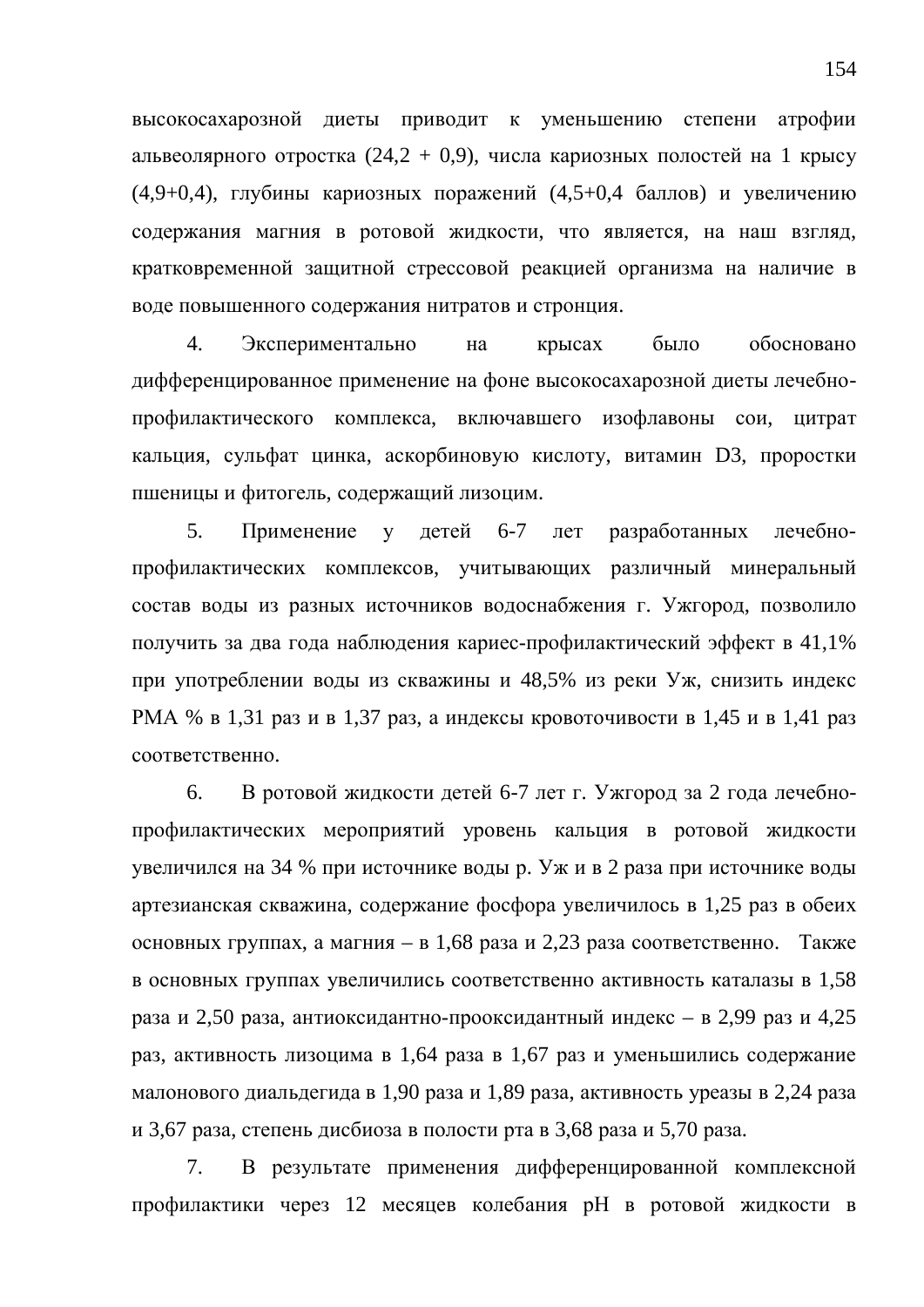высокосахарозной диеты приводит к уменьшению степени атрофии альвеолярного отростка  $(24,2 + 0,9)$ , числа кариозных полостей на 1 крысу (4,9+0,4), глубины кариозных поражений (4,5+0,4 баллов) и увеличению содержания магния в ротовой жидкости, что является, на наш взгляд, кратковременной защитной стрессовой реакцией организма на наличие в воде повышенного содержания нитратов и стронция.

4. Экспериментально на крысах было обосновано дифференцированное применение на фоне высокосахарозной диеты лечебнопрофилактического комплекса, включавшего изофлавоны сои, шитрат кальция, сульфат цинка, аскорбиновую кислоту, витамин D3, проростки пшеницы и фитогель, содержащий лизоцим.

5. Применение у детей 6-7 лет разработанных лечебнопрофилактических комплексов, учитывающих различный минеральный состав воды из разных источников водоснабжения г. Ужгород, позволило получить за два года наблюдения кариес-профилактический эффект в 41,1% при употреблении воды из скважины и 48,5% из реки Уж, снизить индекс РМА % в 1,31 раз и в 1,37 раз, а индексы кровоточивости в 1,45 и в 1,41 раз соответственно.

6. В ротовой жидкости детей 6-7 лет г. Ужгород за 2 года лечебнопрофилактических мероприятий уровень кальция в ротовой жидкости увеличился на 34 % при источнике воды р. Уж и в 2 раза при источнике воды артезианская скважина, содержание фосфора увеличилось в 1,25 раз в обеих основных группах, а магния – в 1,68 раза и 2,23 раза соответственно. Также в основных группах увеличились соответственно активность каталазы в 1,58 раза и 2,50 раза, антиоксидантно-прооксидантный индекс – в 2,99 раз и 4,25 раз, активность лизоцима в 1,64 раза в 1,67 раз и уменьшились содержание малонового диальдегида в 1,90 раза и 1,89 раза, активность уреазы в 2,24 раза и 3,67 раза, степень дисбиоза в полости рта в 3,68 раза и 5,70 раза.

7. В результате применения дифференцированной комплексной профилактики через 12 месяцев колебания рН в ротовой жидкости в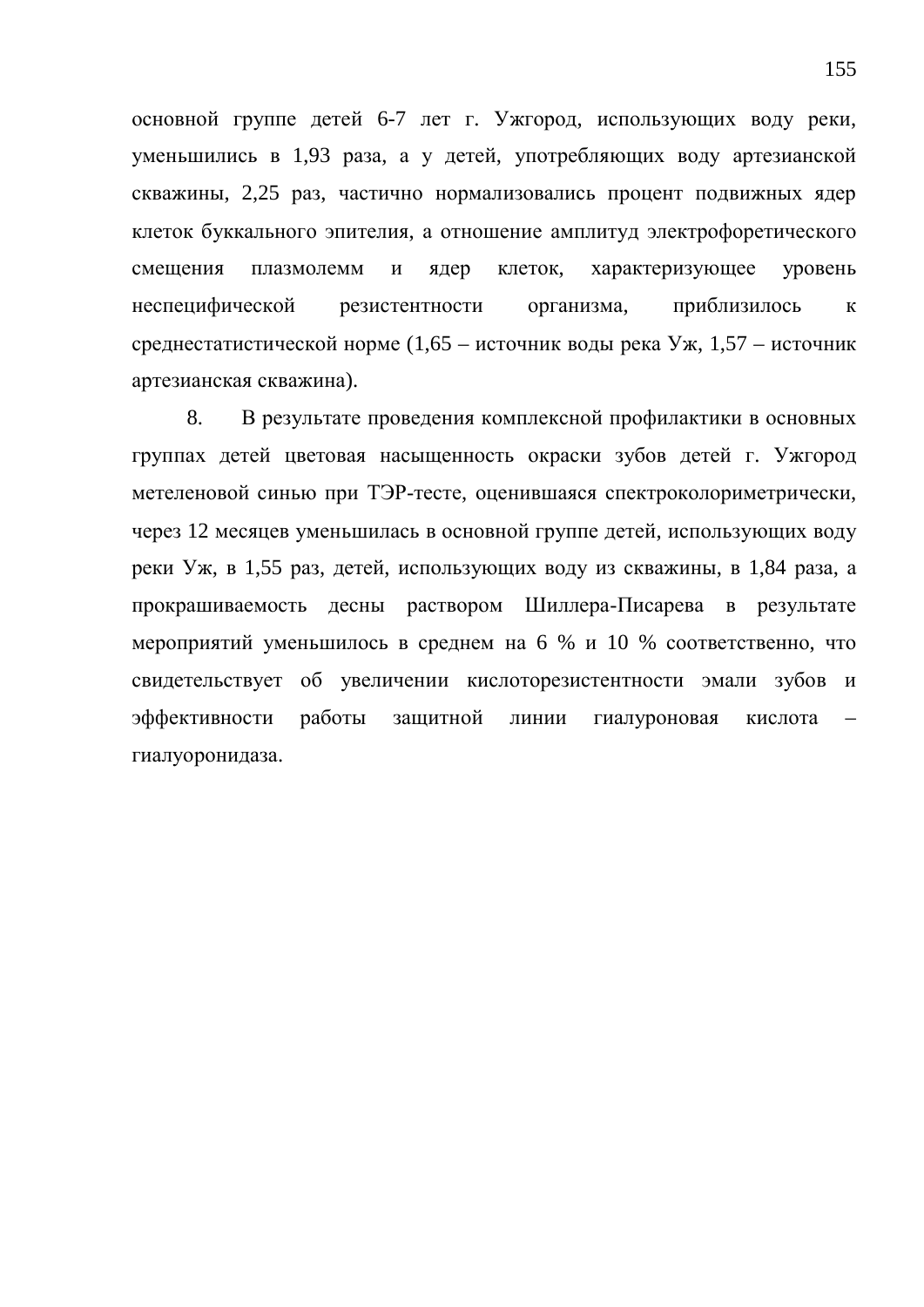основной группе детей 6-7 лет г. Ужгород, использующих воду реки, уменьшились в 1,93 раза, а у детей, употребляющих воду артезианской скважины, 2,25 раз, частично нормализовались процент подвижных ядер клеток буккального эпителия, а отношение амплитуд электрофоретического смещения плазмолемм и ядер клеток, характеризующее уровень неспецифической резистентности организма, приблизилось к среднестатистической норме  $(1,65 - \text{ист}$ очник воды река Уж,  $1,57 - \text{ист}$ очник артезианская скважина).

8. В результате проведения комплексной профилактики в основных группах детей цветовая насыщенность окраски зубов детей г. Ужгород метеленовой синью при ТЭР-тесте, оценившаяся спектроколориметрически, через 12 месяцев уменьшилась в основной группе детей, использующих воду реки Уж, в 1,55 раз, детей, использующих воду из скважины, в 1,84 раза, а прокрашиваемость десны раствором Шиллера-Писарева в результате мероприятий уменьшилось в среднем на 6 % и 10 % соответственно, что свидетельствует об увеличении кислоторезистентности эмали зубов и эффективности работы защитной линии гиалуроновая кислота гиалуоронидаза.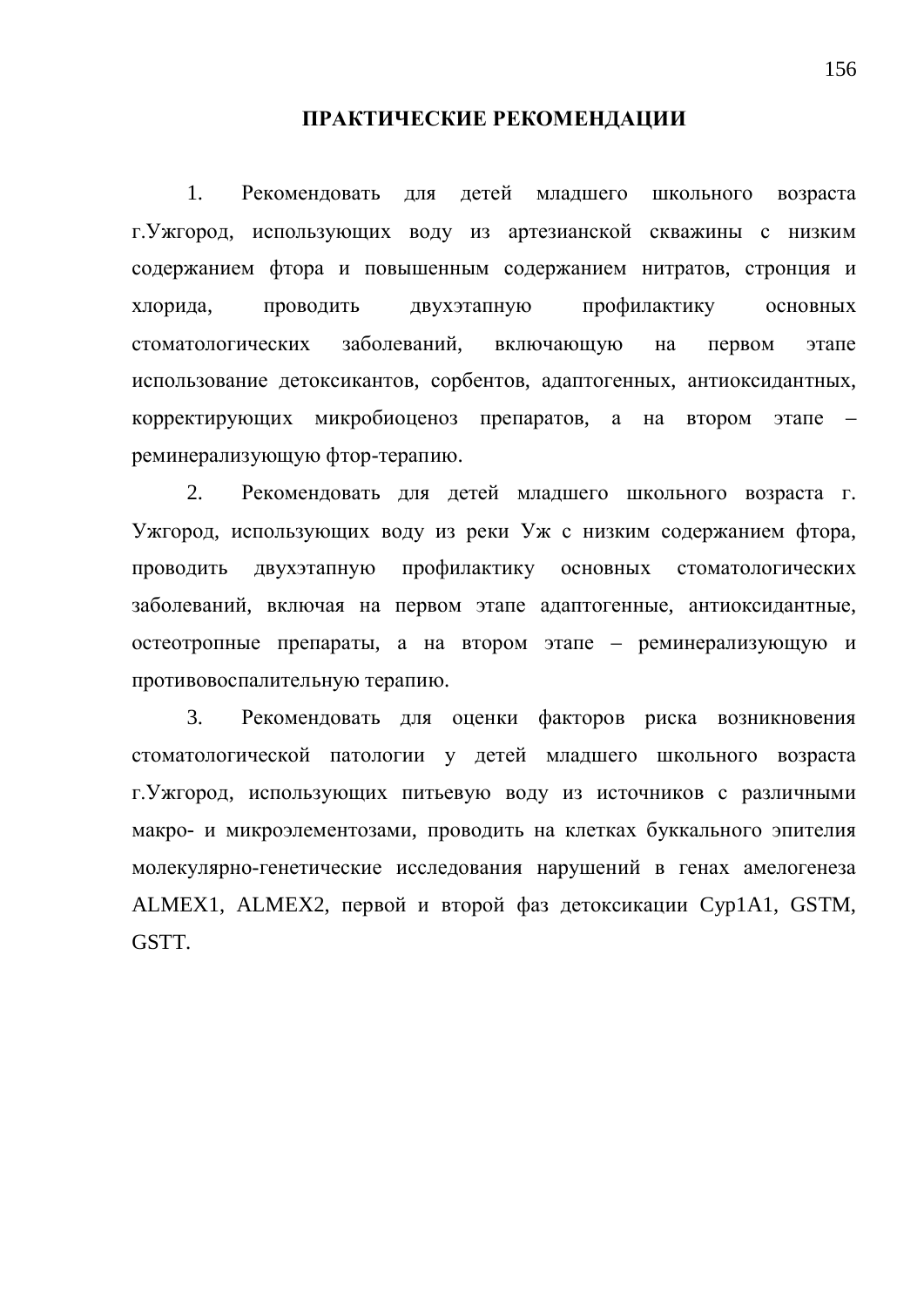## ПРАКТИЧЕСКИЕ РЕКОМЕНДАЦИИ

1. Рекомендовать для детей младшего школьного возраста г. Ужгород, использующих воду из артезианской скважины с низким содержанием фтора и повышенным содержанием нитратов, стронция и хлорида, проводить двухэтапную профилактику основных стоматологических заболеваний, включающую на первом этапе использование детоксикантов, сорбентов, адаптогенных, антиоксидантных, корректирующих микробиоценоз препаратов, а на втором этапе – реминерализующую фтор-терапию.

2. Рекомендовать для детей младшего школьного возраста г. Ужгород, использующих воду из реки Уж с низким содержанием фтора, проводить двухэтапную профилактику основных стоматологических заболеваний, включая на первом этапе адаптогенные, антиоксидантные, остеотропные препараты, а на втором этапе – реминерализующую и противовоспалительную терапию.

3. Рекомендовать для оценки факторов риска возникновения стоматологической патологии у детей младшего школьного возраста г. Ужгород, использующих питьевую воду из источников с различными макро- и микроэлементозами, проводить на клетках буккального эпителия молекулярно-генетические исследования нарушений в генах амелогенеза ALMEX1, ALMEX2, первой и второй фаз детоксикации Cyp1A1, GSTM, GSTT.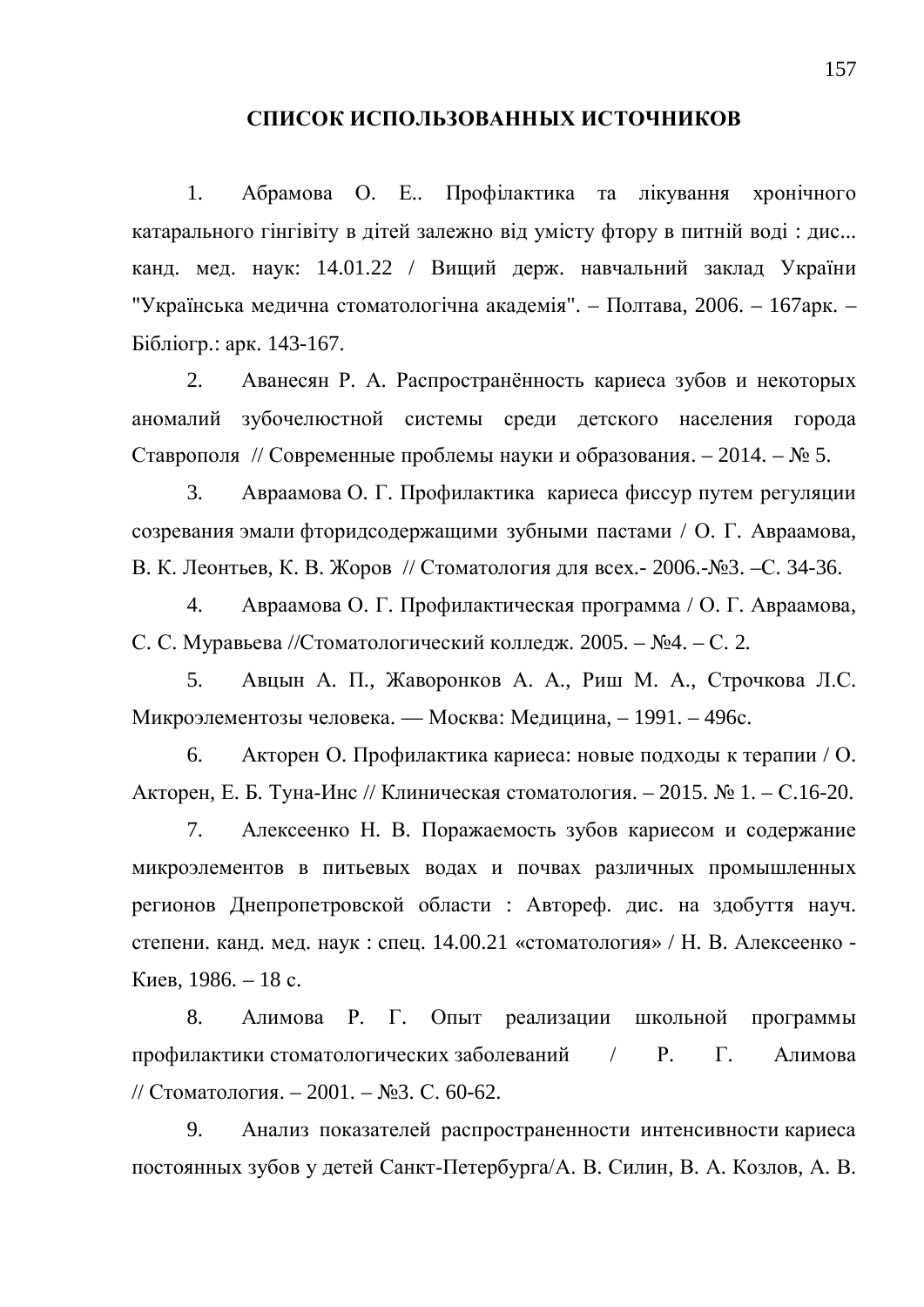## СПИСОК ИСПОЛЬЗОВАННЫХ ИСТОЧНИКОВ

1. Абрамова О. Е.. Профілактика та лікування хронічного катарального гінгівіту в дітей залежно від умісту фтору в питній воді: дис... канд. мед. наук: 14.01.22 / Вищий держ. навчальний заклад України "Українська медична стоматологічна академія". – Полтава, 2006. – 167 арк. – Бібліогр.: арк. 143-167.

2. Аванесян Р. А. Распространённость кариеса зубов и некоторых аномалий зубочелюстной системы среди детского населения города Ставрополя // Современные проблемы науки и образования. – 2014. –  $N_2$  5.

3. Авраамова О. Г. Профилактика кариеса фиссур путем регуляции созревания эмали фторидсодержащими зубными пастами / О. Г. Авраамова, В. К. Леонтьев, К. В. Жоров // Стоматология для всех. - 2006.-№3. –С. 34-36.

4. Авраамова О. Г. Профилактическая программа / О. Г. Авраамова, С. С. Муравьева //Стоматологический колледж. 2005. – №4. – С. 2.

5. Авцын А. П., Жаворонков А. А., Риш М. А., Строчкова Л.С. Микроэлементозы человека. — Москва: Медицина, – 1991. – 496с.

6. Акторен О. Профилактика кариеса: новые подходы к терапии / О. Акторен, Е. Б. Туна-Инс // Клиническая стоматология. – 2015. № 1. – С.16-20.

7. Алексеенко Н. В. Поражаемость зубов кариесом и содержание микроэлементов в питьевых водах и почвах различных промышленных регионов Днепропетровской области : Автореф. дис. на здобуття науч. степени. канд. мед. наук: спец. 14.00.21 «стоматология» / Н. В. Алексеенко -Киев, 1986. – 18 с.

8. Алимова Р. Г. Опыт реализации школьной программы профилактики стоматологических заболеваний / Р. Г. Алимова // Стоматология. – 2001. – №3. С. 60-62.

9. Анализ показателей распространенности интенсивности кариеса постоянных зубов у детей Санкт-Петербурга/А. В. Силин, В. А. Козлов, А. В.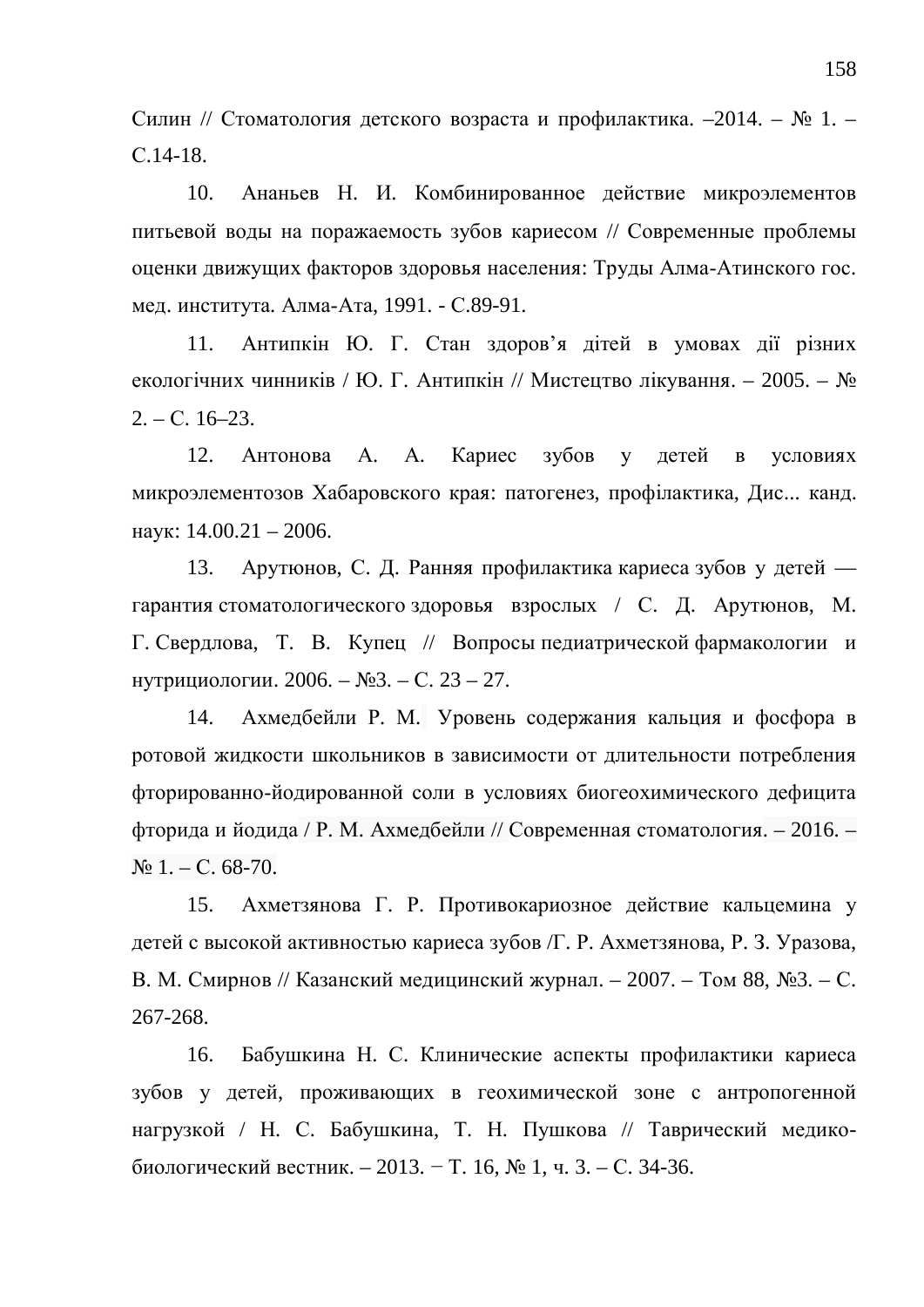Силин // Стоматология детского возраста и профилактика. -2014. – № 1. – C.14-18.

10. Ананьев Н. И. Комбинированное действие микроэлементов питьевой воды на поражаемость зубов кариесом // Современные проблемы оценки движущих факторов здоровья населения: Труды Алма-Атинского гос. мед. института. Алма-Ата, 1991. - С.89-91.

11. Антипкін Ю. Г. Стан здоров'я дітей в умовах дії різних екологічних чинників / Ю. Г. Антипкін // Мистецтво лікування. – 2005. – №  $2. - C. 16 - 23.$ 

12. Антонова А. А. Кариес зубов у летей в условиях микроэлементозов Хабаровского края: патогенез, профілактика, Дис... канд. наук:  $14.00.21 - 2006$ .

13. Арутюнов, С. Д. Ранняя профилактика кариеса зубов у детей гарантия стоматологического здоровья взрослых / С. Д. Арутюнов, М. Г. Свердлова, Т. В. Купец // Вопросы педиатрической фармакологии и нутрициологии. 2006. – №3. – С. 23 – 27.

14. Ахмедбейли Р. М. Уровень содержания кальция и фосфора в ротовой жидкости школьников в зависимости от длительности потребления фторированно-йодированной соли в условиях биогеохимического дефицита фторида и йодида / Р. М. Ахмедбейли // Современная стоматология. – 2016. –  $\mathbb{N} \times 1$ . – C. 68-70.

15. Ахметзянова Г. Р. Противокариозное действие кальцемина у детей с высокой активностью кариеса зубов /Г. Р. Ахметзянова, Р. З. Уразова, В. М. Смирнов // Казанский медицинский журнал. – 2007. – Том 88, №3. – С. 267-268.

16. Бабушкина Н. С. Клинические аспекты профилактики кариеса зубов у детей, проживающих в геохимической зоне с антропогенной нагрузкой / Н. С. Бабушкина, Т. Н. Пушкова // Таврический медикобиологический вестник. – 2013. – Т. 16, № 1, ч. 3. – С. 34-36.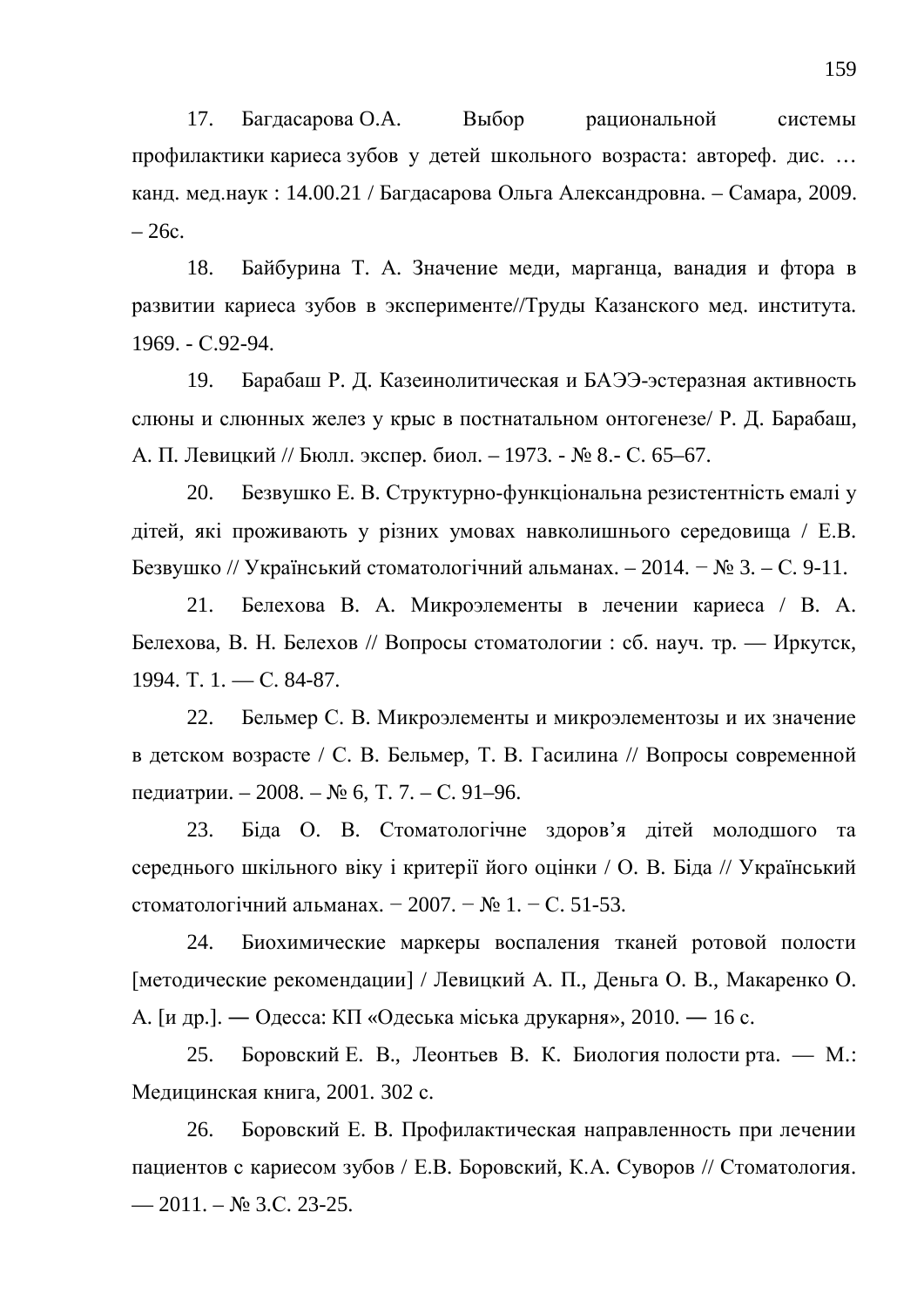17. Багдасарова О.А. Выбор рациональной системы профилактики кариеса зубов у детей школьного возраста: автореф. дис. ... канд. мед.наук: 14.00.21 / Багдасарова Ольга Александровна. – Самара, 2009.  $-26c.$ 

18. Байбурина Т. А. Значение меди, марганца, ванадия и фтора в развитии кариеса зубов в эксперименте//Труды Казанского мед. института. 1969. - C.92-94.

19. Барабаш Р. Д. Казеинолитическая и БАЭЭ-эстеразная активность слюны и слюнных желез у крыс в постнатальном онтогенезе/ Р. Д. Барабаш, А. П. Левицкий // Бюлл. экспер. биол. – 1973. - № 8.- С. 65–67.

20. Безвушко Е. В. Структурно-функціональна резистентність емалі у дітей, які проживають у різних умовах навколишнього середовища / Е.В. Безвушко // Український стоматологічний альманах. – 2014. – № 3. – С. 9-11.

21. Белехова В. А. Микроэлементы в лечении кариеса / В. А. Белехова, В. Н. Белехов // Вопросы стоматологии : сб. науч. тр. — Иркутск, 1994. T. 1. — C. 84-87.

22. Бельмер С. В. Микроэлементы и микроэлементозы и их значение в детском возрасте / С. В. Бельмер, Т. В. Гасилина // Вопросы современной педиатрии. – 2008. – № 6, Т. 7. – С. 91–96.

23. Біда О. В. Стоматологічне здоров'я дітей молодшого та середнього шкільного віку і критерії його оцінки / О. В. Біда // Український стоматологічний альманах. − 2007. – № 1. – С. 51-53.

24. Биохимические маркеры воспаления тканей ротовой полости [методические рекомендации] / Левицкий А. П., Деньга О. В., Макаренко О. А. [и др.]. — Одесса: КП «Одеська міська друкарня», 2010. — 16 с.

25. Боровский Е. В., Леонтьев В. К. Биология полости рта. — М.: Медицинская книга, 2001. 302 с.

26. Боровский Е. В. Профилактическая направленность при лечении пациентов с кариесом зубов / Е.В. Боровский, К.А. Суворов // Стоматология.  $-2011 - N_2$  3.C. 23-25.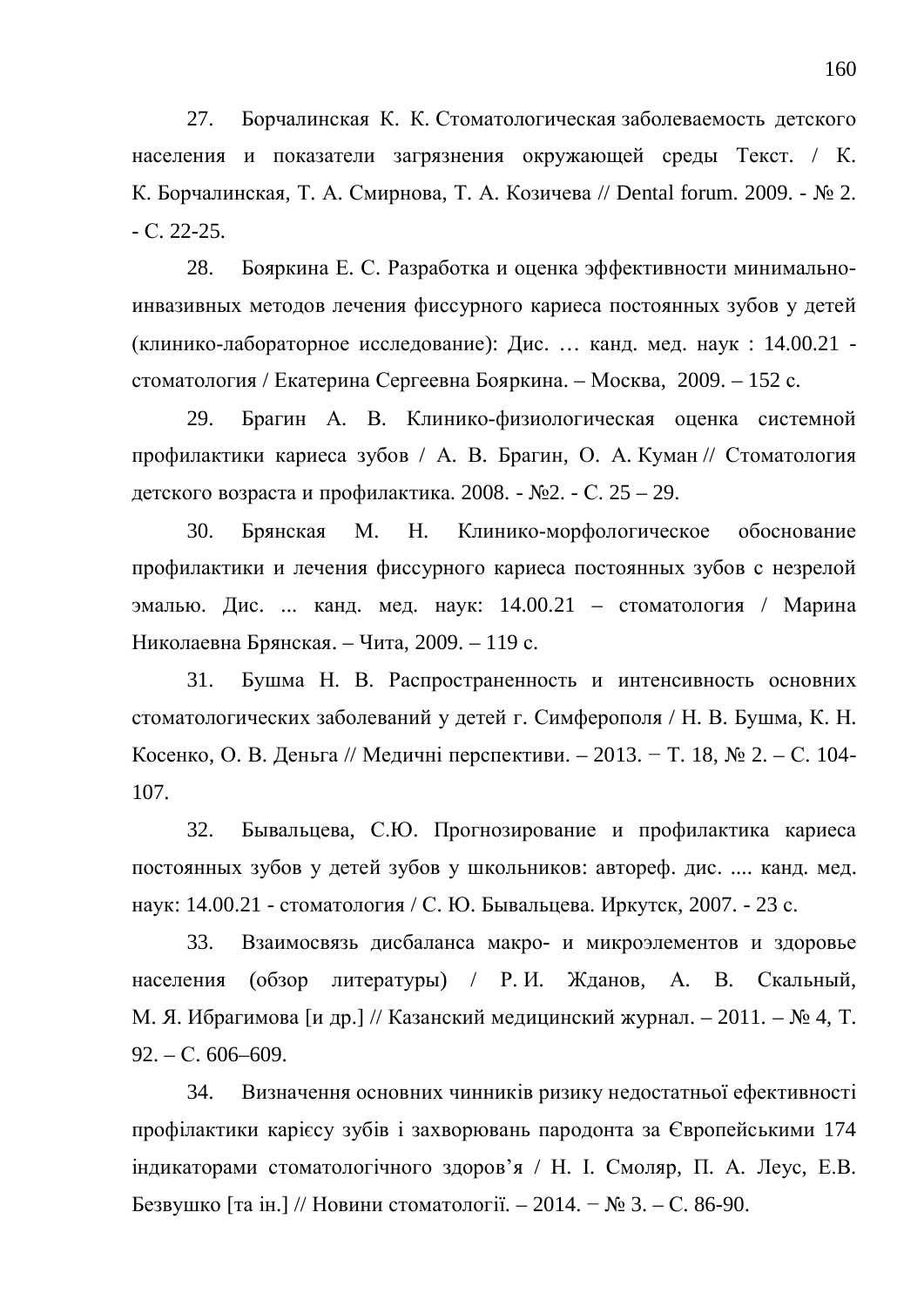27. Борчалинская К. К. Стоматологическая заболеваемость детского населения и показатели загрязнения окружающей среды Текст. / К. К. Борчалинская, Т. А. Смирнова, Т. А. Козичева // Dental forum. 2009. - № 2.  $-C. 22-25.$ 

28. Бояркина Е. С. Разработка и оценка эффективности минимальноинвазивных методов лечения фиссурного кариеса постоянных зубов у детей (клинико-лабораторное исследование): Дис. ... канд. мед. наук : 14.00.21 стоматология / Екатерина Сергеевна Бояркина. – Москва, 2009. – 152 с.

29. Брагин А. В. Клинико-физиологическая оценка системной профилактики кариеса зубов / А. В. Брагин, О. А. Куман // Стоматология детского возраста и профилактика. 2008. - №2. - С. 25 – 29.

30. Брянская М. Н. Клинико-морфологическое обоснование профилактики и лечения фиссурного кариеса постоянных зубов с незрелой эмалью. Дис. ... канд. мед. наук:  $14.00.21$  – стоматология / Марина Николаевна Брянская. – Чита, 2009. – 119 с.

31. Бушма Н. В. Распространенность и интенсивность основних стоматологических заболеваний у детей г. Симферополя / Н. В. Бушма, К. Н. Косенко, О. В. Деньга // Медичні перспективи. – 2013. – Т. 18, № 2. – С. 104-107.

32. Бывальцева, С.Ю. Прогнозирование и профилактика кариеса постоянных зубов у детей зубов у школьников: автореф. дис. .... канд. мед. наук: 14.00.21 - стоматология / С. Ю. Бывальцева. Иркутск, 2007. - 23 с.

33. Взаимосвязь дисбаланса макро- и микроэлементов и здоровье населения (обзор литературы) / Р.И. Жданов, А. В. Скальный, М. Я. Ибрагимова [и др.] // Казанский медицинский журнал. – 2011. – № 4, Т.  $92. - C. 606 - 609.$ 

34. Визначення основних чинників ризику недостатньої ефективності профілактики карієсу зубів і захворювань пародонта за Європейськими 174 індикаторами стоматологічного здоров'я / Н. І. Смоляр, П. А. Леус, Е.В. Безвушко [та ін.] // Новини стоматології. – 2014. − № 3. – С. 86-90.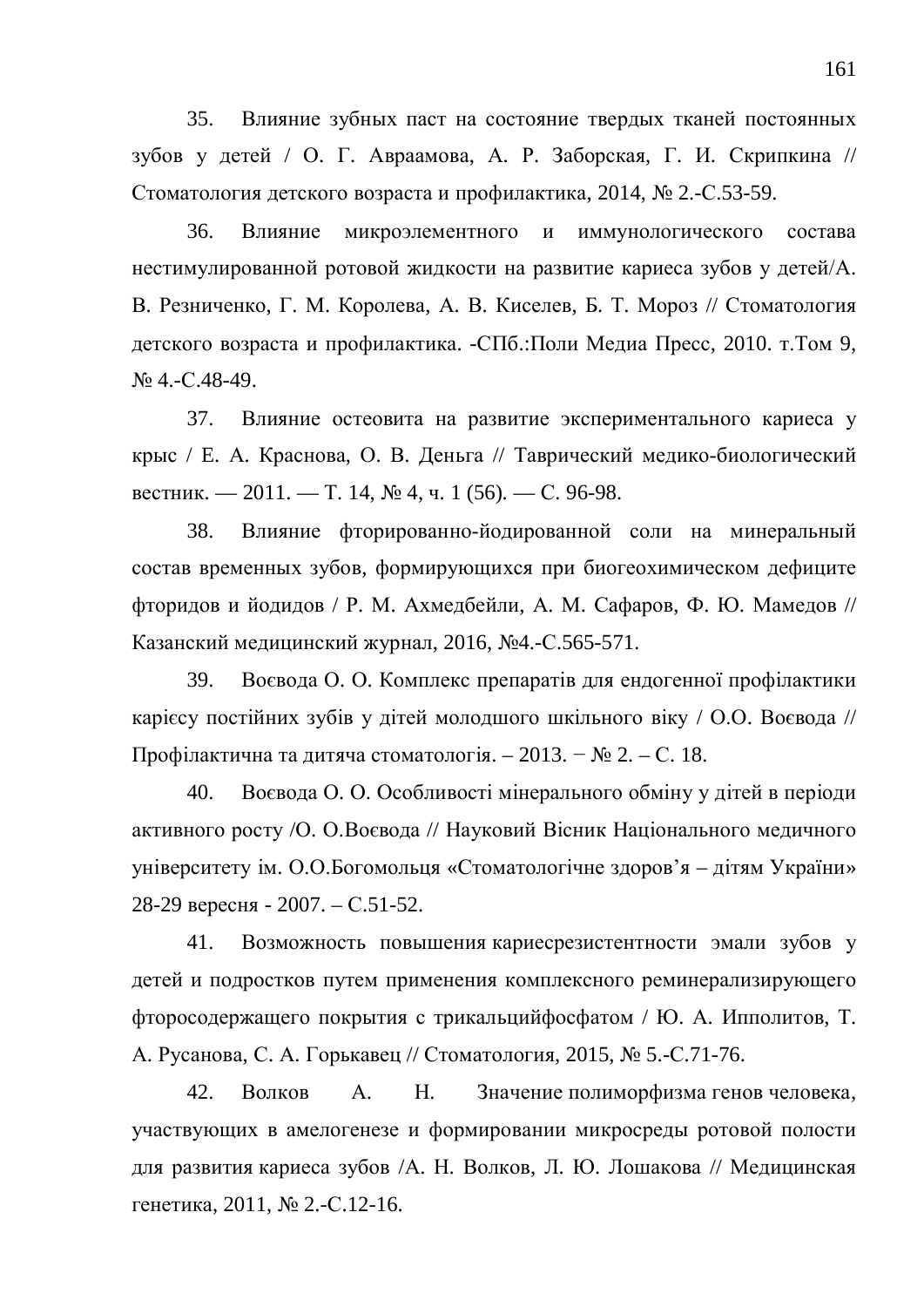35. Влияние зубных паст на состояние твердых тканей постоянных зубов у детей / О. Г. Авраамова, А. Р. Заборская, Г. И. Скрипкина // Стоматология детского возраста и профилактика, 2014, № 2.-С.53-59.

36. Влияние микроэлементного и иммунологического состава нестимулированной ротовой жидкости на развитие кариеса зубов у детей/А. В. Резниченко, Г. М. Королева, А. В. Киселев, Б. Т. Мороз // Стоматология детского возраста и профилактика. -СПб.:Поли Медиа Пресс, 2010. т.Том 9,  $N<sub>2</sub>$  4.-C.48-49.

37. Влияние остеовита на развитие экспериментального кариеса у крыс / Е. А. Краснова, О. В. Деньга // Таврический медико-биологический вестник. — 2011. — Т. 14, № 4, ч. 1 (56). — С. 96-98.

38. Влияние фторированно-йодированной соли на минеральный состав временных зубов, формирующихся при биогеохимическом дефиците фторидов и йодидов / Р. М. Ахмедбейли, А. М. Сафаров, Ф. Ю. Мамедов // Казанский медицинский журнал, 2016, №4.-С.565-571.

39. Воєвода О. О. Комплекс препаратів для ендогенної профілактики карієсу постійних зубів у дітей молодшого шкільного віку / О.О. Воєвода // Профілактична та дитяча стоматологія. – 2013. – № 2. – С. 18.

40. Воєвода О. О. Особливості мінерального обміну у дітей в періоди активного росту /О. О.Воєвода // Науковий Вісник Національного медичного үніверситету ім. О.О.Богомольця «Стоматологічне здоров'я – дітям України» 28-29 вересня - 2007. – С.51-52.

41. Возможность повышения кариесрезистентности эмали зубов у детей и подростков путем применения комплексного реминерализирующего фторосодержащего покрытия с трикальцийфосфатом / Ю. А. Ипполитов, Т. А. Русанова, С. А. Горькавец // Стоматология, 2015, № 5.-С.71-76.

42. Волков А. Н. Значение полиморфизма генов человека, участвующих в амелогенезе и формировании микросреды ротовой полости для развития кариеса зубов /А. Н. Волков, Л. Ю. Лошакова // Медицинская генетика, 2011, № 2.-С.12-16.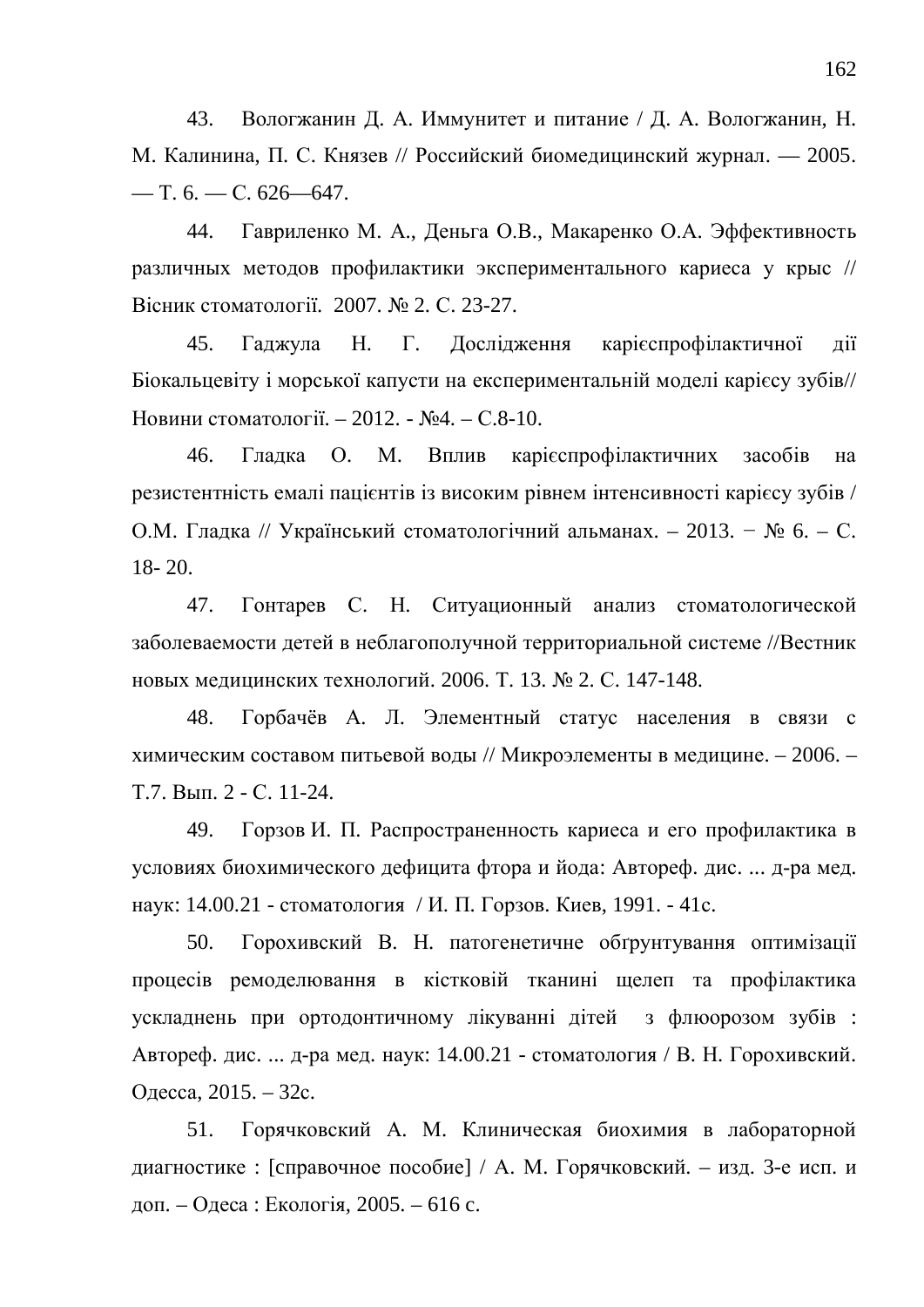43. Вологжанин Д. А. Иммунитет и питание / Д. А. Вологжанин, Н. М. Калинина, П. С. Князев // Российский биомедицинский журнал. — 2005.  $-$  T. 6.  $-$  C. 626–647.

44. Гавриленко М. А., Деньга О.В., Макаренко О.А. Эффективность различных методов профилактики экспериментального кариеса у крыс // Вісник стоматології. 2007. № 2. С. 23-27.

45. Гаджула Н. Г. Дослідження карієспрофілактичної дії Біокальцевіту і морської капусти на експериментальній моделі карієсу зубів// Новини стоматології. – 2012. - №4. – С.8-10.

46. Гладка О. М. Вплив карієспрофілактичних засобів на резистентність емалі пацієнтів із високим рівнем інтенсивності карієсу зубів / О.М. Гладка // Український стоматологічний альманах. – 2013. – № 6. – С. 18- 20.

47. Гонтарев С. Н. Ситуационный анализ стоматологической заболеваемости детей в неблагополучной территориальной системе //Вестник новых медицинских технологий. 2006. Т. 13. № 2. С. 147-148.

48. Горбачёв А. Л. Элементный статус населения в связи с химическим составом питьевой воды // Микроэлементы в медицине. – 2006. – Т.7. Вып. 2 - С. 11-24.

49. Горзов И. П. Распространенность кариеса и его профилактика в условиях биохимического дефицита фтора и йода: Автореф. дис. ... д-ра мед. наук: 14.00.21 - стоматология / И. П. Горзов. Киев, 1991. - 41с.

50. Горохивский В. Н. патогенетичне обтрунтування оптимізації процесів ремоделювання в кістковій тканині щелеп та профілактика ускладнень при ортодонтичному лікуванні дітей з флюорозом зубів: Автореф. дис. ... д-ра мед. наук: 14.00.21 - стоматология / В. Н. Горохивский. Одесса, 2015. – 32с.

51. Горячковский А. М. Клиническая биохимия в лабораторной диагностике : [справочное пособие] / А. М. Горячковский. – изд. 3-е исп. и доп. – Одеса : Екологія, 2005. – 616 с.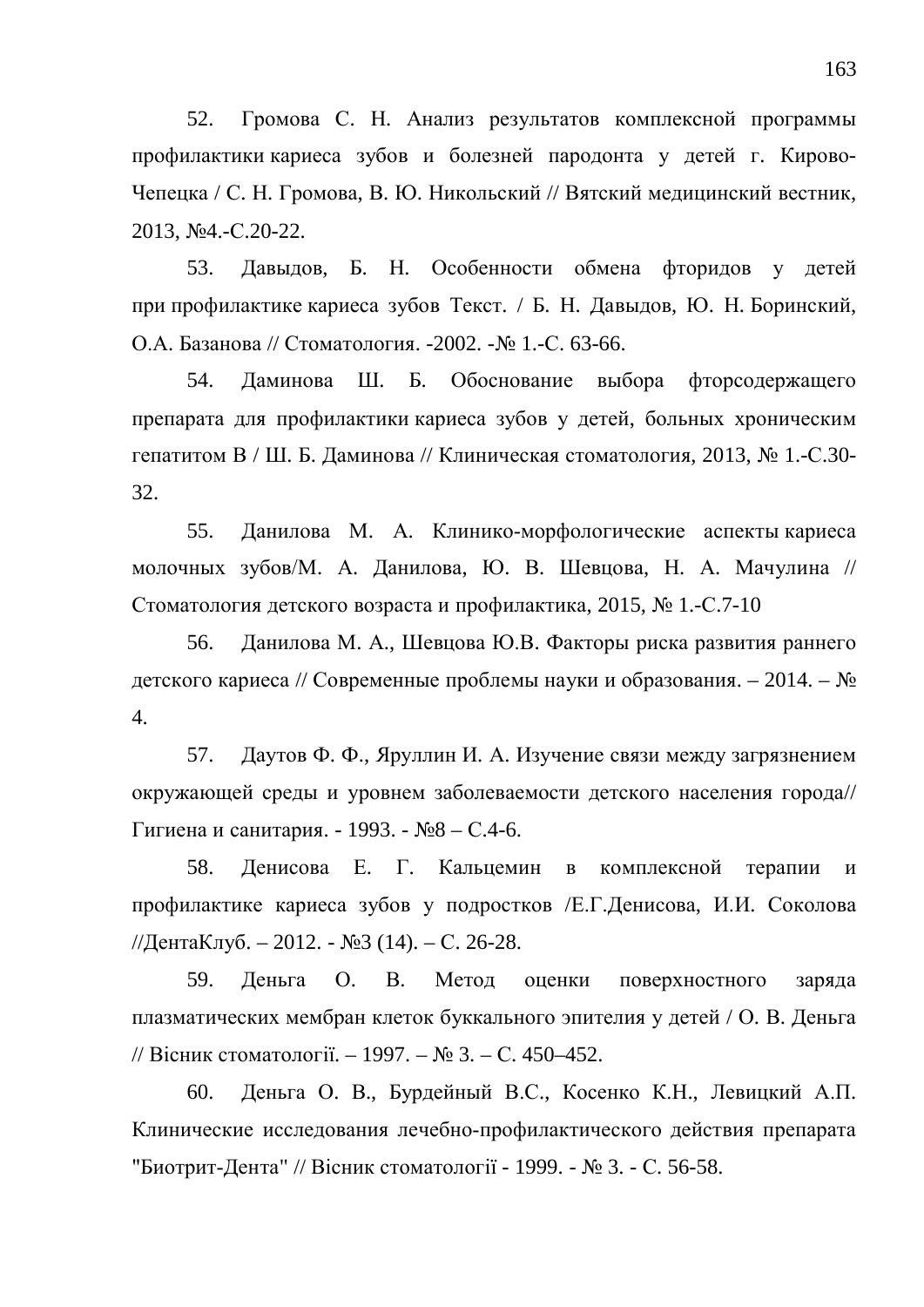52. Громова С. Н. Анализ результатов комплексной программы профилактики кариеса зубов и болезней пародонта у детей г. Кирово-Чепецка / С. Н. Громова, В. Ю. Никольский // Вятский медицинский вестник, 2013, №4.-C.20-22.

53. Давыдов, Б. Н. Особенности обмена фторидов у детей при профилактике кариеса зубов Текст. / Б. Н. Давыдов, Ю. Н. Боринский, О.А. Базанова // Стоматология. -2002. -№ 1.-С. 63-66.

54. Даминова Ш. Б. Обоснование выбора фторсодержащего препарата для профилактики кариеса зубов у детей, больных хроническим гепатитом В / Ш. Б. Даминова // Клиническая стоматология, 2013, № 1.-С.30-32.

55. Данилова М. А. Клинико-морфологические аспекты кариеса молочных зубов/М. А. Данилова, Ю. В. Шевцова, Н. А. Мачулина // Стоматология детского возраста и профилактика, 2015,  $\text{N}_2$  1.-С.7-10

56. Данилова М. А., Шевцова Ю.В. Факторы риска развития раннего детского кариеса // Современные проблемы науки и образования. – 2014. – № 4.

57. Даутов Ф. Ф., Яруллин И. А. Изучение связи между загрязнением окружающей среды и уровнем заболеваемости детского населения города// Гигиена и санитария. - 1993. - №8 – С.4-6.

58. Денисова Е. Г. Кальцемин в комплексной терапии и профилактике кариеса зубов у подростков /Е.Г.Денисова, И.И. Соколова //ДентаКлуб. – 2012. - №3 (14). – С. 26-28.

59. Деньга О. В. Метод оценки поверхностного заряда плазматических мембран клеток буккального эпителия у детей / О. В. Деньга // Вісник стоматології. – 1997. – № 3. – С. 450–452.

60. Деньга О. В., Бурдейный В.С., Косенко К.Н., Левицкий А.П. Клинические исследования лечебно-профилактического действия препарата "Биотрит-Дента" // Вісник стоматології - 1999. - № 3. - С. 56-58.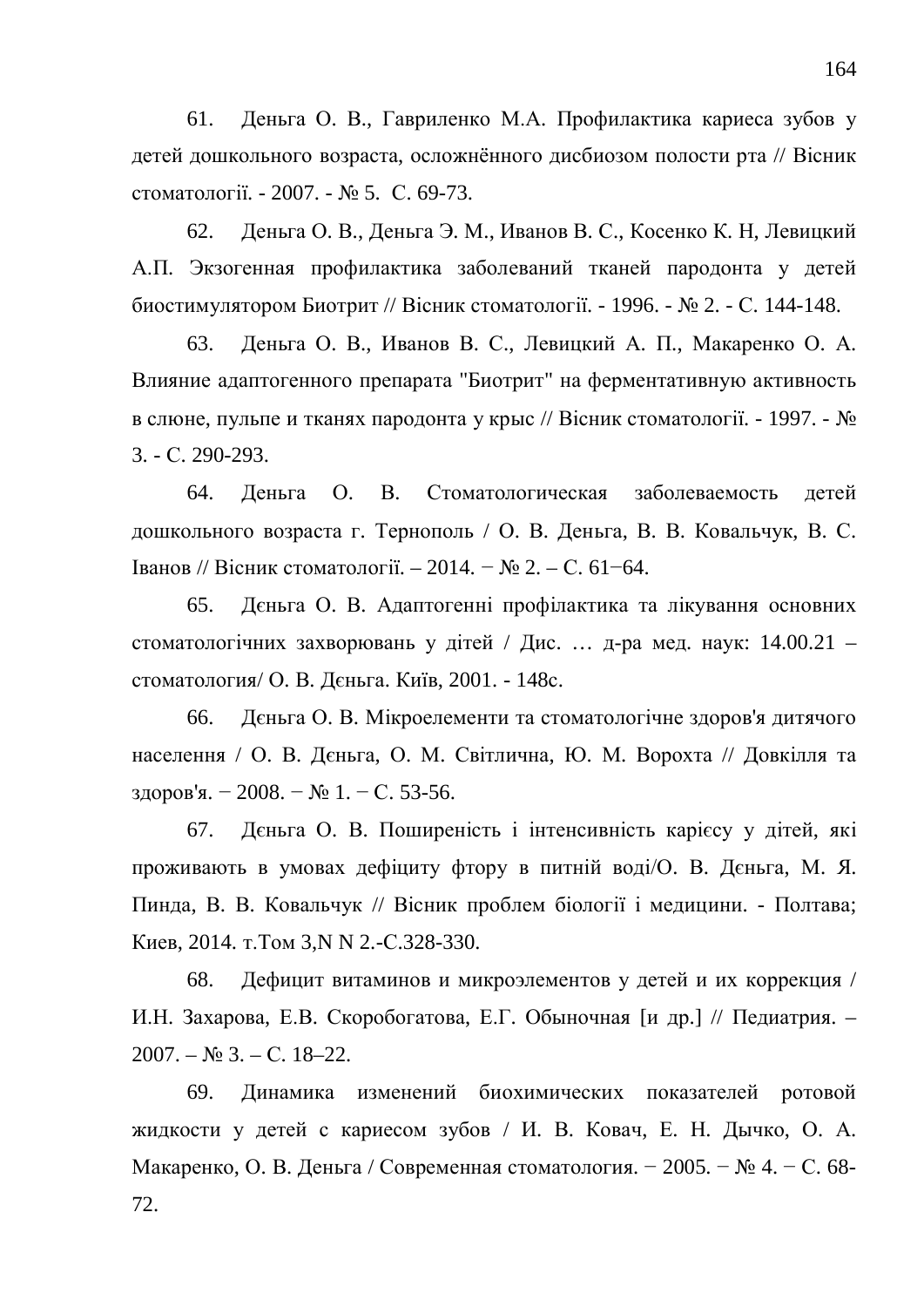61. Деньга О. В., Гавриленко М.А. Профилактика кариеса зубов у детей дошкольного возраста, осложнённого дисбиозом полости рта // Вісник стоматології. - 2007. - № 5. С. 69-73.

62. Деньга О. В., Деньга Э. М., Иванов В. С., Косенко К. Н. Левицкий А.П. Экзогенная профилактика заболеваний тканей пародонта у детей биостимулятором Биотрит // Вісник стоматології. - 1996. - № 2. - С. 144-148.

63. Деньга О. В., Иванов В. С., Левицкий А. П., Макаренко О. А. Влияние адаптогенного препарата "Биотрит" на ферментативную активность в слюне, пульпе и тканях пародонта у крыс // Вісник стоматології. - 1997. -  $\mathbb{N}_2$ 3. - ɋ. 290-293.

64. Деньга О. В. Стоматологическая заболеваемость детей дошкольного возраста г. Тернополь / О. В. Деньга, В. В. Ковальчук, В. С.  $I$ ванов // Вісник стоматології. – 2014. − № 2. – С. 61–64.

65. Дєньга О. В. Адаптогенні профілактика та лікування основних стоматологічних захворювань у дітей / Дис. ... д-ра мед. наук: 14.00.21 – стоматология/ О. В. Деньга. Київ, 2001. - 148с.

66. Деньга О. В. Мікроелементи та стоматологічне здоров'я дитячого населення / О. В. Дєньга, О. М. Світлична, Ю. М. Ворохта // Довкілля та здоров'я. − 2008. – № 1. – С. 53-56.

67. Дєньга О. В. Поширеність і інтенсивність карієсу у дітей, які проживають в умовах дефіциту фтору в питній воді/О. В. Дєньга, М. Я. Пинда, В. В. Ковальчук // Вісник проблем біології і медицини. - Полтава; Киев, 2014. т. Том 3,N N 2.-С.328-330.

68. Дефицит витаминов и микроэлементов у детей и их коррекция / И.Н. Захарова, Е.В. Скоробогатова, Е.Г. Обыночная [и др.] // Педиатрия. –  $2007. - N9.3. - C.18 - 22.$ 

69. Динамика изменений биохимических показателей ротовой жидкости у детей с кариесом зубов / И. В. Ковач, Е. Н. Дычко, О. А. Макаренко, О. В. Деньга / Современная стоматология. – 2005. – № 4. – С. 68-72.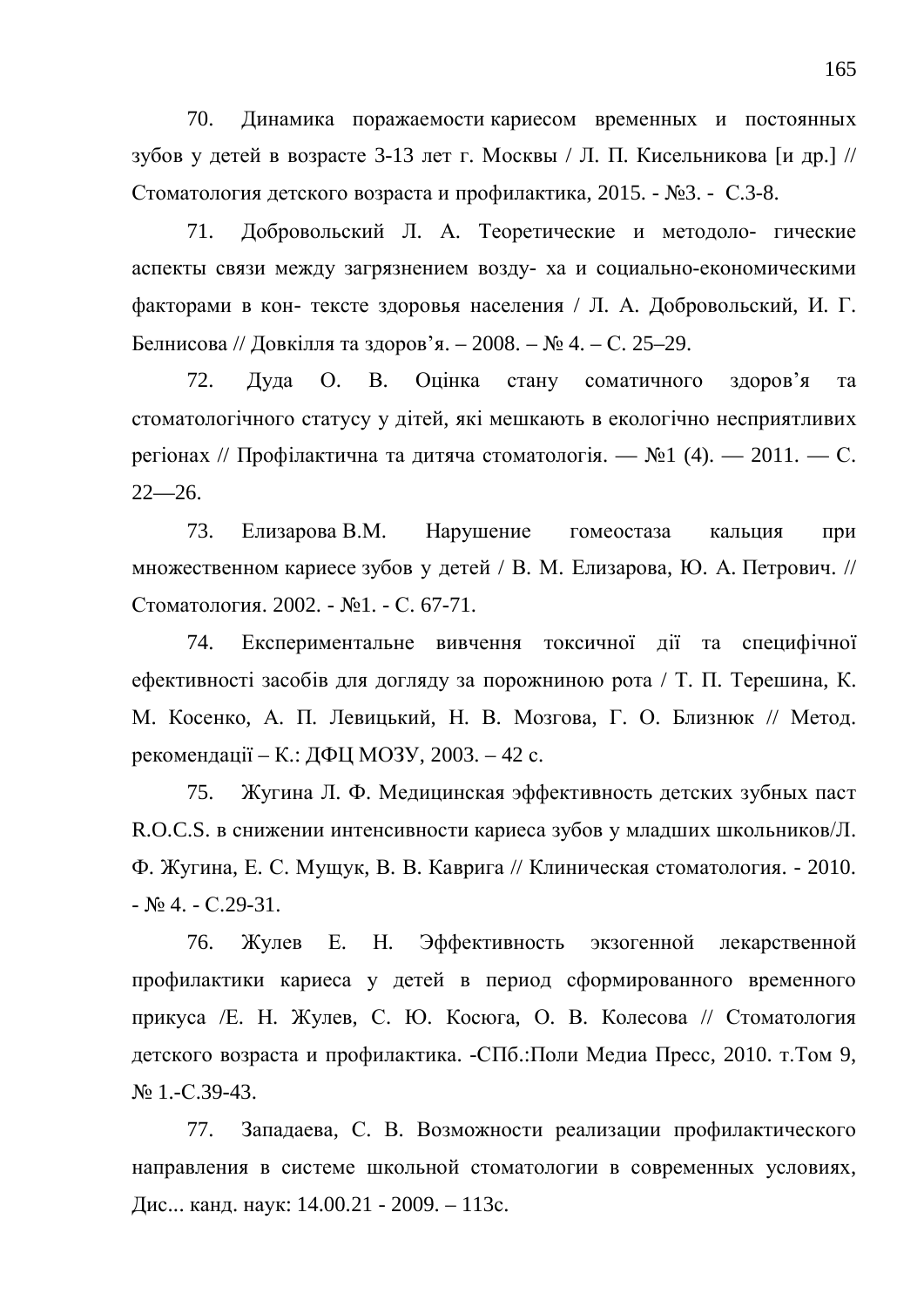70. Динамика поражаемости кариесом временных и постоянных зубов у детей в возрасте 3-13 лет г. Москвы / Л. П. Кисельникова [и др.] // Стоматология детского возраста и профилактика, 2015. - №3. - С.3-8.

71. Добровольский Л. А. Теоретические и методоло- гические аспекты связи между загрязнением возду- ха и социально-економическими факторами в кон- тексте здоровья населения / Л. А. Добровольский, И. Г. Белнисова // Довкілля та здоров'я. – 2008. – № 4. – С. 25–29.

72. Дуда О. В. Оцінка стану соматичного здоров'я та стоматологічного статусу у дітей, які мешкають в екологічно несприятливих регіонах // Профілактична та дитяча стоматологія. — №1 (4). — 2011. — С.  $22 - 26.$ 

73. Елизарова В.М. Нарушение гомеостаза кальция при множественном кариесе зубов у детей / В. М. Елизарова, Ю. А. Петрович. // Стоматология. 2002. - №1. - С. 67-71.

74. Експериментальне вивчення токсичної дії та специфічної ефективності засобів для догляду за порожниною рота / Т. П. Терешина, К. М. Косенко, А. П. Левицький, Н. В. Мозгова, Г. О. Близнюк // Метод. рекомендації – К.: ДФЦ МОЗУ, 2003. – 42 с.

75. Жугина Л. Ф. Медицинская эффективность детских зубных паст R.O.C.S. в снижении интенсивности кариеса зубов у младших школьников/Л. Ф. Жугина, Е. С. Мущук, В. В. Каврига // Клиническая стоматология. - 2010.  $-$  No 4.  $-$  C.29-31.

76. Жулев Е. Н. Эффективность экзогенной лекарственной профилактики кариеса у детей в период сформированного временного прикуса /Е. Н. Жулев, С. Ю. Косюга, О. В. Колесова // Стоматология детского возраста и профилактика. -СПб.:Поли Медиа Пресс, 2010. т.Том 9, N<sub>o</sub> 1.-C.39-43.

77. Западаева, С. В. Возможности реализации профилактического направления в системе школьной стоматологии в современных условиях, Дис... канд. наук: 14.00.21 - 2009. – 113с.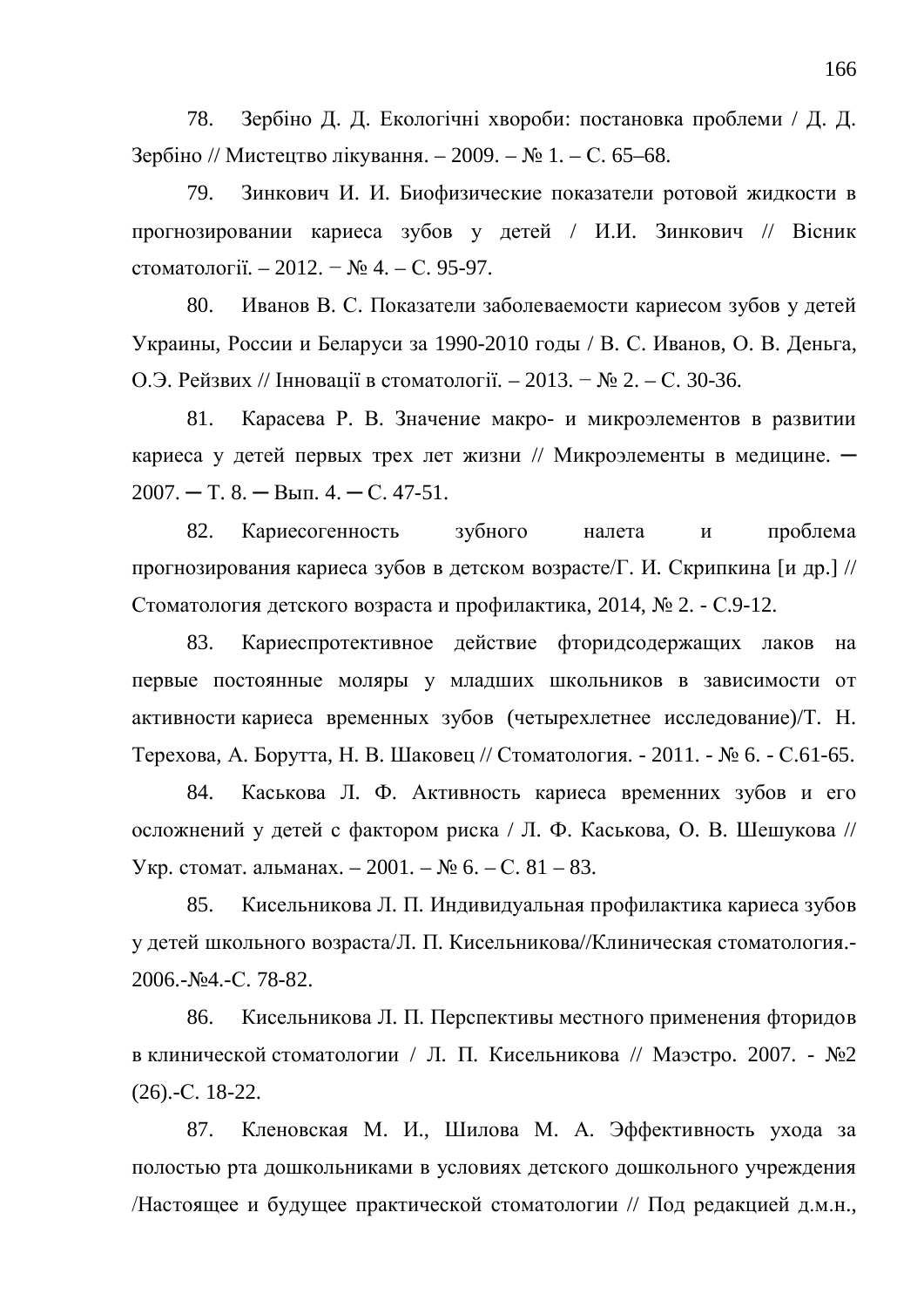78. Зербіно Д. Д. Екологічні хвороби: постановка проблеми / Д. Д. Зербіно // Мистецтво лікування. – 2009. – № 1. – С. 65–68.

79. Зинкович И. И. Биофизические показатели ротовой жидкости в прогнозировании кариеса зубов у детей / И.И. Зинкович // Вісник стоматології. – 2012. − № 4. – С. 95-97.

80. Иванов В. С. Показатели заболеваемости кариесом зубов у детей Украины, России и Беларуси за 1990-2010 годы / В. С. Иванов, О. В. Деньга, О.Э. Рейзвих // Інновації в стоматології. – 2013. − № 2. – С. 30-36.

81. Карасева Р. В. Значение макро- и микроэлементов в развитии кариеса у детей первых трех лет жизни // Микроэлементы в медицине.  $2007. - T. 8. - B<sub>MI</sub>. 4. - C. 47-51.$ 

82. Кариесогенность зубного налета и проблема прогнозирования кариеса зубов в детском возрасте/Г. И. Скрипкина [и др.] // Стоматология детского возраста и профилактика, 2014, № 2. - С.9-12.

83. Кариеспротективное действие фторидсодержащих лаков на первые постоянные моляры у младших школьников в зависимости от активности кариеса временных зубов (четырехлетнее исследование)/Т. Н. Терехова, А. Борутта, Н. В. Шаковец // Стоматология. - 2011. - № 6. - С.61-65.

84. Каськова Л. Ф. Активность кариеса временних зубов и его осложнений у детей с фактором риска / Л. Ф. Каськова, О. В. Шешукова // Укр. стомат. альманах. – 2001. – № 6. – С. 81 – 83.

85. Кисельникова Л. П. Индивидуальная профилактика кариеса зубов у детей школьного возраста/Л. П. Кисельникова//Клиническая стоматология.- $2006.-N<sub>2</sub>4.-C.78-82.$ 

86. Кисельникова Л. П. Перспективы местного применения фторидов в клинической стоматологии / Л. П. Кисельникова // Маэстро. 2007. - №2  $(26)$ .-C. 18-22.

87. Кленовская М. И., Шилова М. А. Эффективность ухода за полостью рта дошкольниками в условиях детского дошкольного учреждения /Настоящее и будущее практической стоматологии // Под редакцией д.м.н.,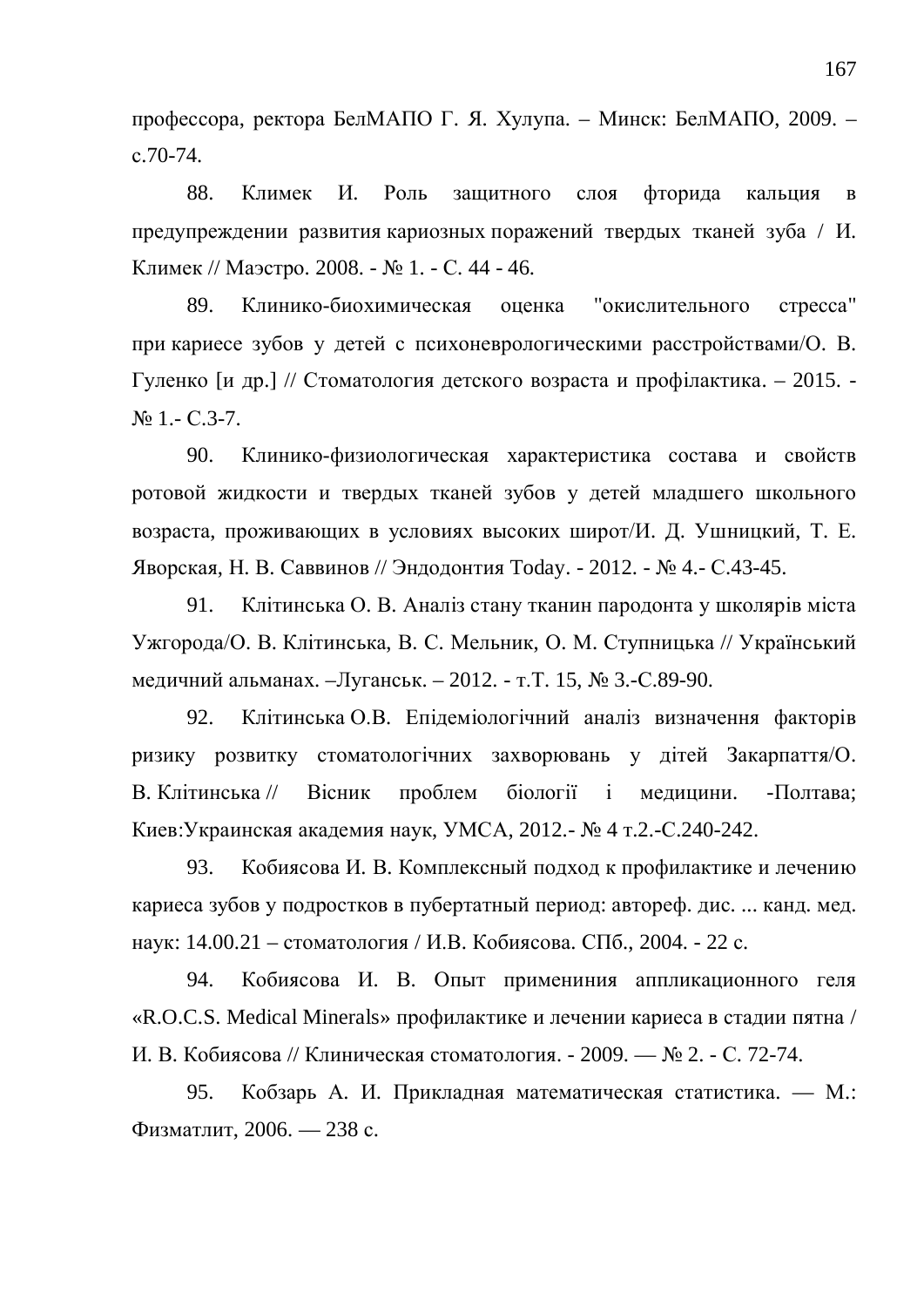профессора, ректора БелМАПО Г. Я. Хулупа. – Минск: БелМАПО, 2009. –  $c.70-74.$ 

88. Климек И. Роль защитного слоя фторида кальция в предупреждении развития кариозных поражений твердых тканей зуба / И. Климек // Маэстро. 2008. - № 1. - С. 44 - 46.

89. Клинико-биохимическая оценка "окислительного стресса" при кариесе зубов у детей с психоневрологическими расстройствами/О. В. Гуленко [и др.] // Стоматология детского возраста и профілактика. – 2015. - $N_2$  1. - C.3-7.

90. Клинико-физиологическая характеристика состава и свойств ротовой жидкости и твердых тканей зубов у детей младшего школьного возраста, проживающих в условиях высоких широт/И. Д. Ушницкий, Т. Е. Яворская, Н. В. Саввинов // Эндодонтия Today. - 2012. - № 4.- С.43-45.

91. Клітинська О. В. Аналіз стану тканин пародонта у школярів міста Ужгорода/О. В. Клітинська, В. С. Мельник, О. М. Ступницька // Український медичний альманах. –Луганськ. – 2012. - т.Т. 15, № 3.-С.89-90.

92. Клітинська О.В. Епідеміологічний аналіз визначення факторів ризику розвитку стоматологічних захворювань у дітей Закарпаття/О. В. Клітинська // Вісник проблем біології і медицини. - Полтава; Киев:Украинская академия наук, УМСА, 2012.- № 4 т.2.-С.240-242.

93. Кобиясова И. В. Комплексный подход к профилактике и лечению кариеса зубов у подростков в пубертатный период: автореф. дис. ... канд. мед. наук: 14.00.21 – стоматология / И.В. Кобиясова. СПб., 2004. - 22 с.

94. Кобиясова И. В. Опыт примениния аппликационного геля «R.O.C.S. Medical Minerals» профилактике и лечении кариеса в стадии пятна / И. В. Кобиясова // Клиническая стоматология. - 2009. — № 2. - С. 72-74.

95. Кобзарь А. И. Прикладная математическая статистика. — М.: Физматлит, 2006. — 238 с.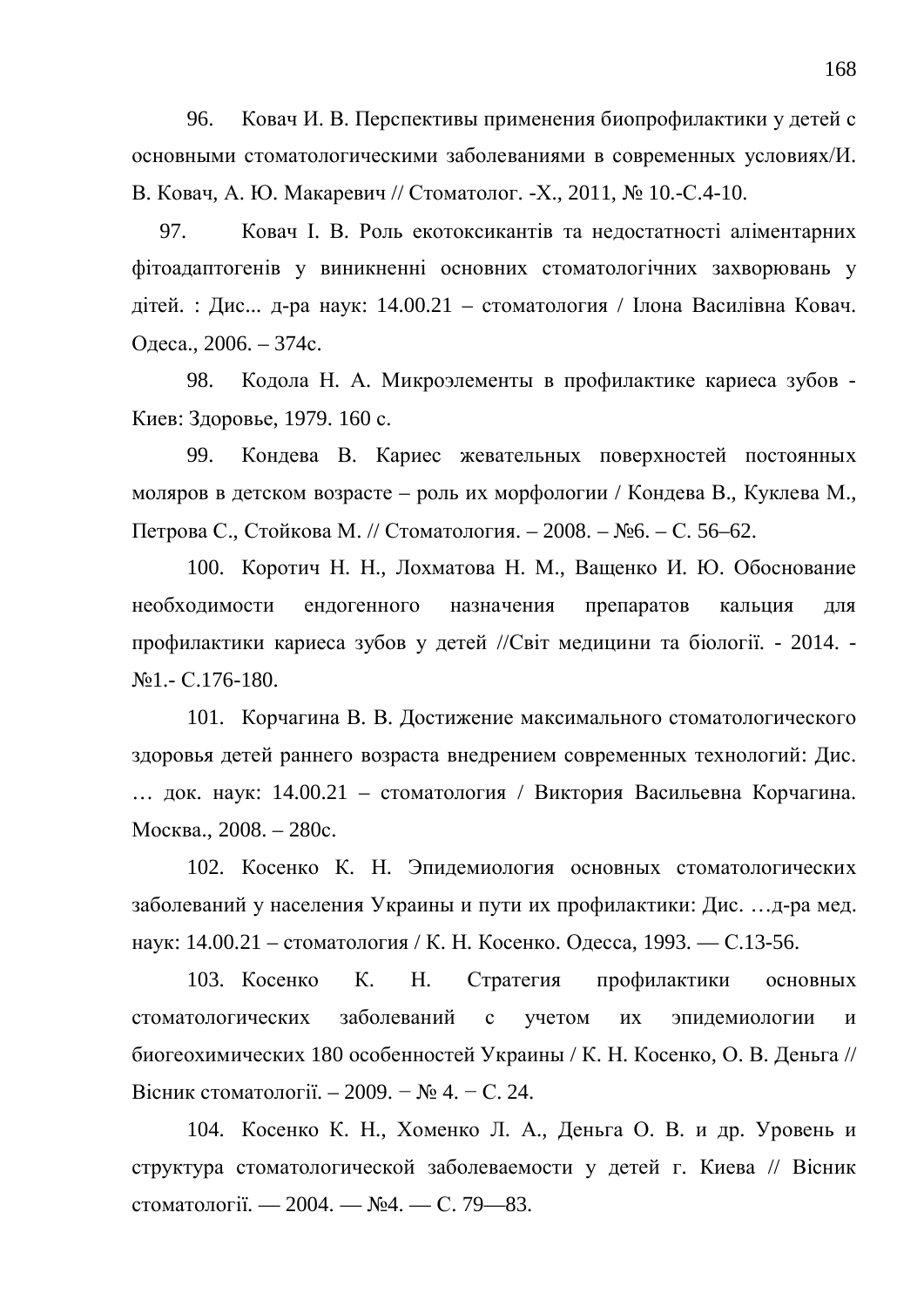96. Ковач И. В. Перспективы применения биопрофилактики у детей с основными стоматологическими заболеваниями в современных условиях/И. В. Ковач, А. Ю. Макаревич // Стоматолог. -Х., 2011, № 10.-С.4-10.

97. Ковач І. В. Роль екотоксикантів та нелостатності аліментарних фітоадаптогенів у виникненні основних стоматологічних захворювань у дітей. : Дис... д-ра наук: 14.00.21 – стоматология / Ілона Василівна Ковач. Одеса., 2006. – 374с.

98. Кодола Н. А. Микроэлементы в профилактике кариеса зубов -Киев: Здоровье, 1979. 160 с.

99. Кондева В. Кариес жевательных поверхностей постоянных моляров в детском возрасте – роль их морфологии / Кондева В., Куклева М., Петрова С., Стойкова М. // Стоматология. – 2008. – №6. – С. 56–62.

100. Коротич Н. Н., Лохматова Н. М., Ващенко И. Ю. Обоснование необходимости ендогенного назначения препаратов кальция для профилактики кариеса зубов у детей //Світ медицини та біології. - 2014. - $N<sub>2</sub>1.-C.176-180.$ 

101. Корчагина В. В. Достижение максимального стоматологического здоровья детей раннего возраста внедрением современных технологий: Дис. … док. наук: 14.00.21 – стоматология / Виктория Васильевна Корчагина. Москва., 2008. – 280с.

102. Косенко К. Н. Эпидемиология основных стоматологических заболеваний у населения Украины и пути их профилактики: Дис. …д-ра мед. наук: 14.00.21 – стоматология / К. Н. Косенко. Одесса, 1993. — С.13-56.

103. Косенко К. Н. Стратегия профилактики основных стоматологических заболеваний с учетом их эпилемиологии и биогеохимических 180 особенностей Украины / К. Н. Косенко, О. В. Деньга // Вісник стоматології. – 2009. − № 4. – С. 24.

104. Косенко К. Н., Хоменко Л. А., Деньга О. В. и др. Уровень и структура стоматологической заболеваемости у детей г. Киева // Вісник стоматології. — 2004. — №4. — С. 79—83.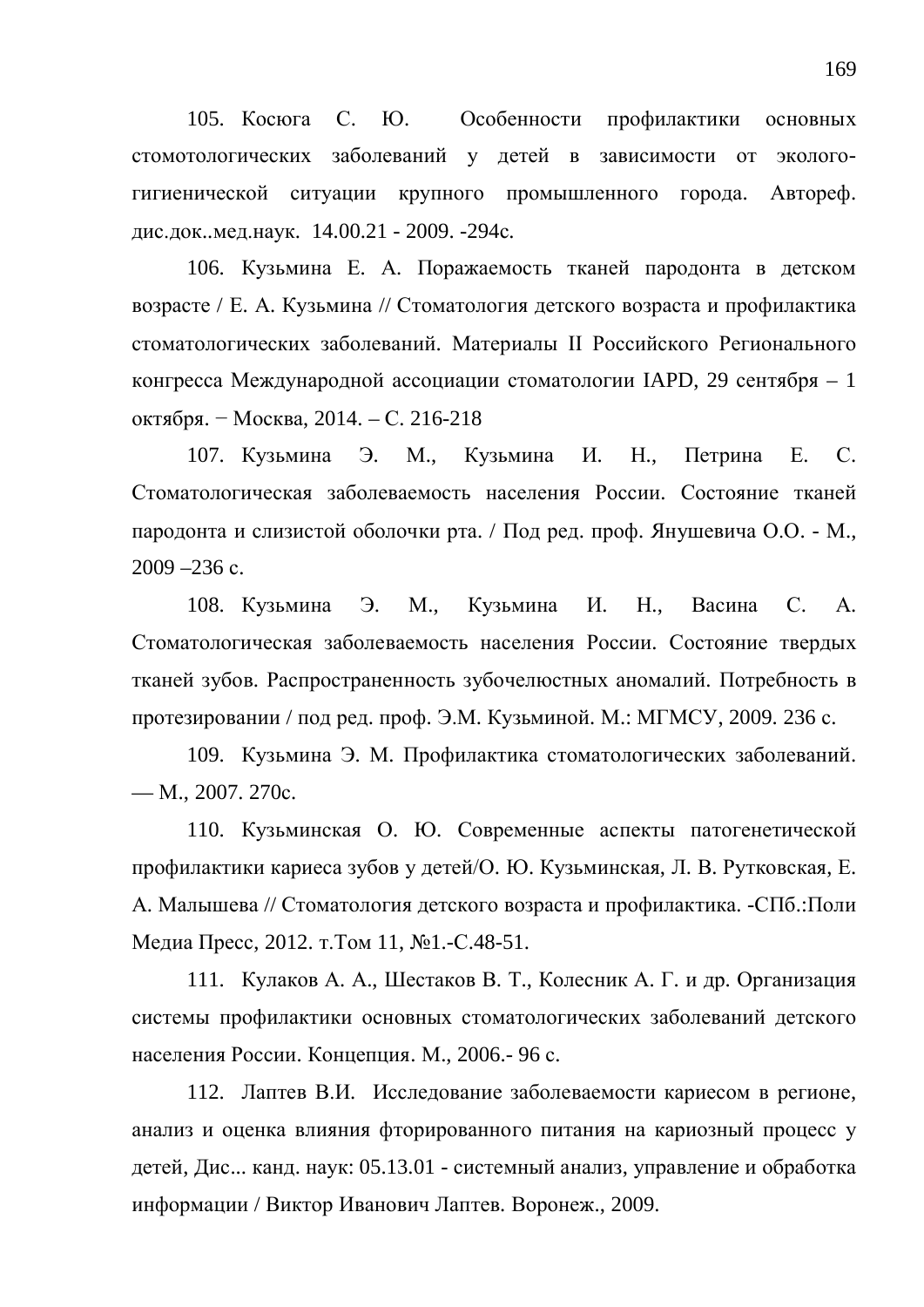105. Косюга С. Ю. Особенности профилактики основных стомотологических заболеваний у детей в зависимости от экологогигиенической ситуации крупного промышленного города. Автореф. дис.док..мед.наук. 14.00.21 - 2009. -294с.

106. Кузьмина Е. А. Поражаемость тканей пародонта в детском возрасте / Е. А. Кузьмина // Стоматология детского возраста и профилактика стоматологических заболеваний. Материалы II Российского Регионального конгресса Международной ассоциации стоматологии IAPD, 29 сентября - 1 октября. – Москва, 2014. – С. 216-218

107. Кузьмина Э. М., Кузьмина И. Н., Петрина Е. С. Стоматологическая заболеваемость населения России. Состояние тканей пародонта и слизистой оболочки рта. / Под ред. проф. Янушевича О.О. - М.,  $2009 - 236$  c.

108. Кузьмина Э. М., Кузьмина И. Н., Васина С. А. Стоматологическая заболеваемость населения России. Состояние твердых тканей зубов. Распространенность зубочелюстных аномалий. Потребность в протезировании / под ред. проф. Э.М. Кузьминой. М.: МГМСУ, 2009. 236 с.

109. Кузьмина Э. М. Профилактика стоматологических заболеваний.  $-$  M., 2007. 270c.

110. Кузьминская О. Ю. Современные аспекты патогенетической профилактики кариеса зубов у детей/О. Ю. Кузьминская, Л. В. Рутковская, Е. А. Малышева // Стоматология детского возраста и профилактика. -СПб.:Поли Медиа Пресс, 2012. т. Том 11, №1.-С.48-51.

111. Кулаков А. А., Шестаков В. Т., Колесник А. Г. и др. Организация системы профилактики основных стоматологических заболеваний детского населения России. Концепция. М., 2006.- 96 с.

112. Лаптев В.И. Исследование заболеваемости кариесом в регионе, анализ и оценка влияния фторированного питания на кариозный процесс у детей, Дис... канд. наук: 05.13.01 - системный анализ, управление и обработка информации / Виктор Иванович Лаптев. Воронеж., 2009.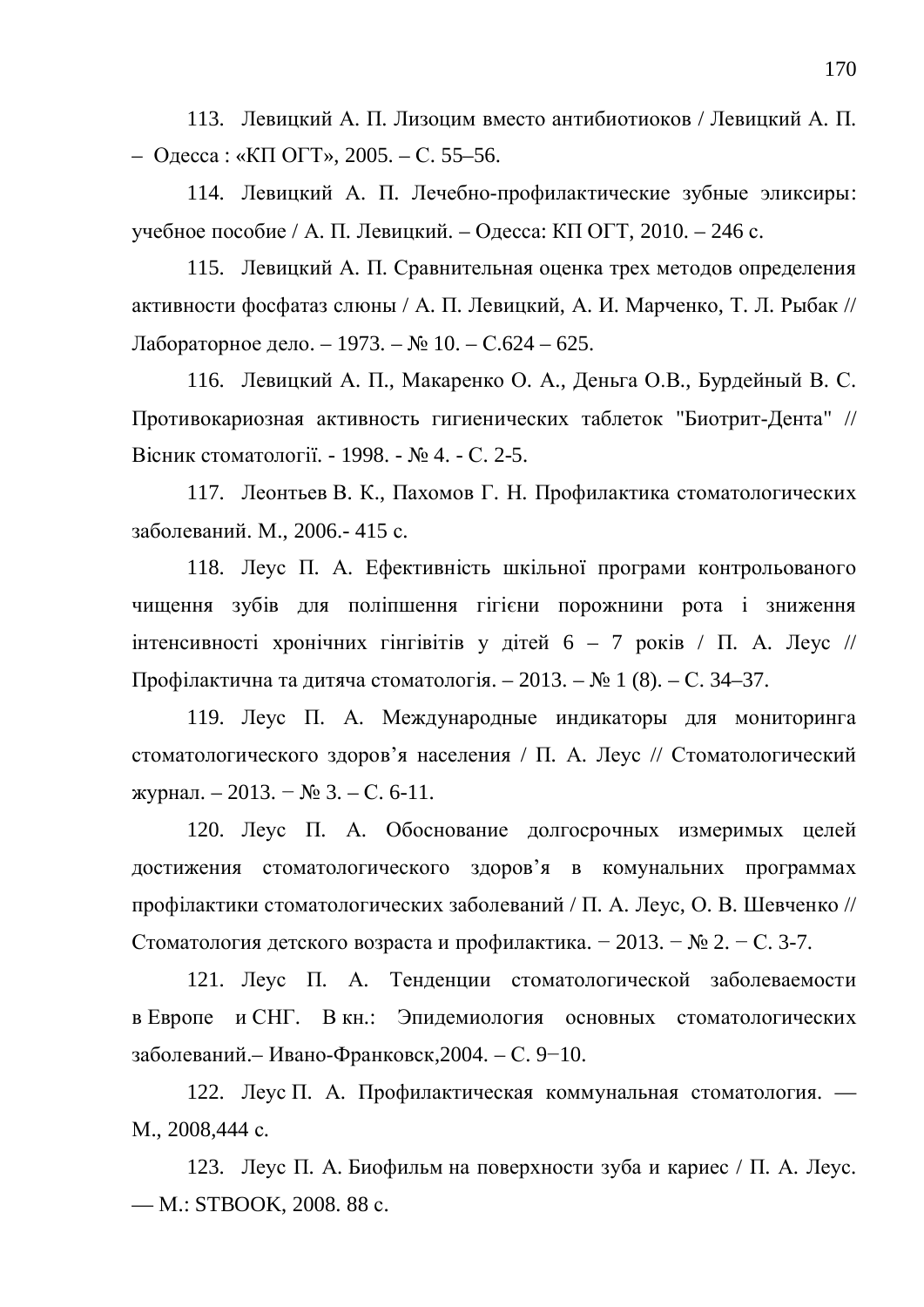113. Левицкий А. П. Лизоцим вместо антибиотиоков / Левицкий А. П. – Одесса: «КП ОГТ», 2005. – С. 55–56.

114. Левицкий А. П. Лечебно-профилактические зубные эликсиры: үчебное пособие / А. П. Левицкий. – Одесса: КП ОГТ, 2010. – 246 с.

115. Левицкий А. П. Сравнительная оценка трех методов определения активности фосфатаз слюны / А. П. Левицкий, А. И. Марченко, Т. Л. Рыбак // Лабораторное дело. – 1973. – № 10. – С.624 – 625.

116. Левицкий А. П., Макаренко О. А., Деньга О.В., Бурдейный В. С. Противокариозная активность гигиенических таблеток "Биотрит-Лента" // Вісник стоматології. - 1998. - № 4. - С. 2-5.

117. Леонтьев В. К., Пахомов Г. Н. Профилактика стоматологических заболеваний. М., 2006.- 415 с.

118. Леус П. А. Ефективність шкільної програми контрольованого чищення зубів для поліпшення гігієни порожнини рота і зниження інтенсивності хронічних гінгівітів у дітей 6 – 7 років / П. А. Леус // Профілактична та дитяча стоматологія. – 2013. –  $N_2$  1 (8). – С. 34–37.

119. Леус П. А. Международные индикаторы для мониторинга стоматологического здоров'я населения / П. А. Леус // Стоматологический журнал. – 2013. − № 3. – С. 6-11.

120. Леус П. А. Обоснование долгосрочных измеримых целей достижения стоматологического здоров'я в комунальних программах профілактики стоматологических заболеваний / П. А. Леус, О. В. Шевченко // Стоматология детского возраста и профилактика. − 2013. – № 2. – С. 3-7.

121. Леус П. А. Тенденции стоматологической заболеваемости в Европе и СНГ. В кн.: Эпидемиология основных стоматологических заболеваний.– Ивано-Франковск, 2004. – С. 9–10.

122. Леус П. А. Профилактическая коммунальная стоматология. — M., 2008,444 c.

123. Леус П. А. Биофильм на поверхности зуба и кариес / П. А. Леус. — M.: STBOOK, 2008. 88 c.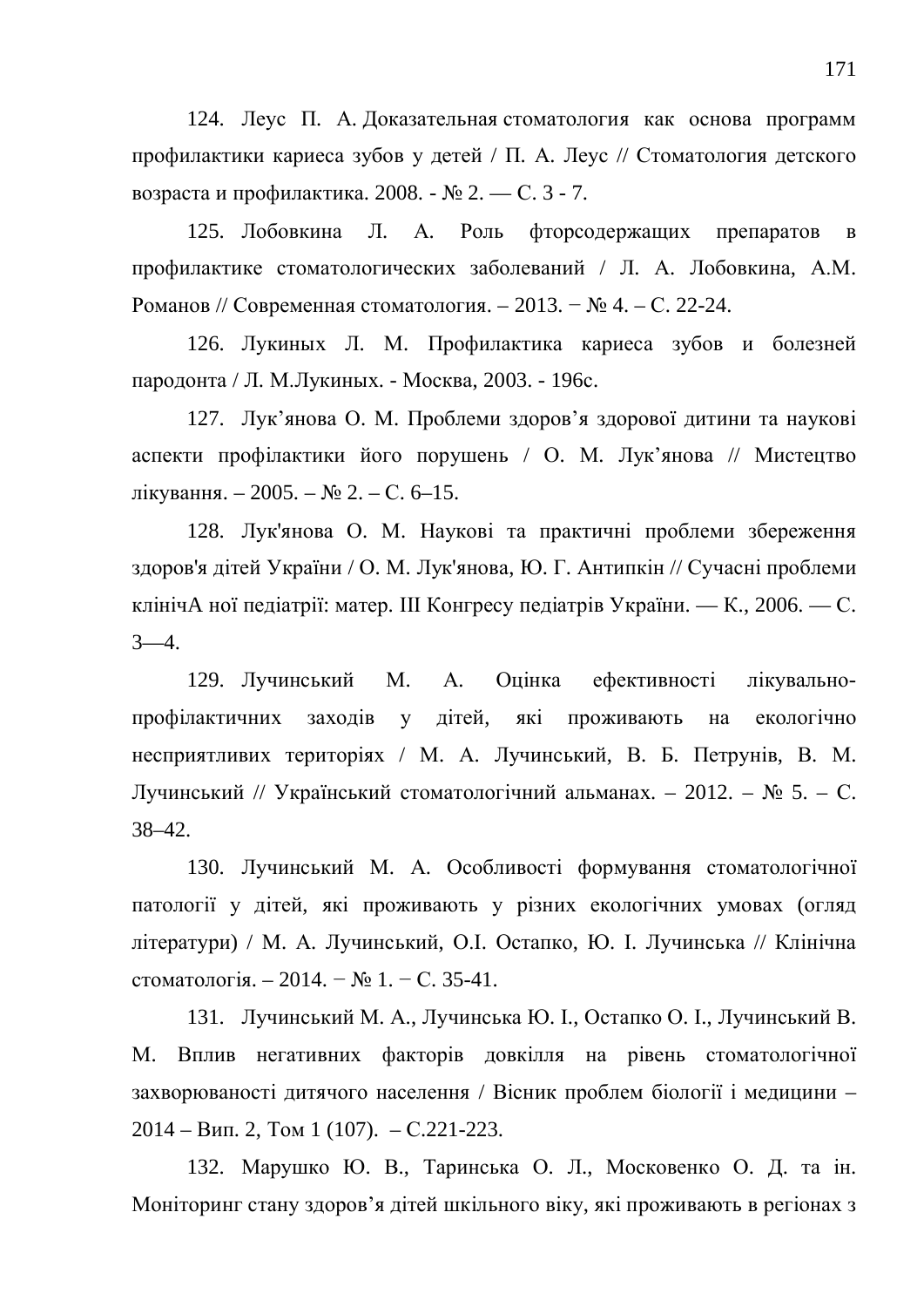124. Леус П. А. Доказательная стоматология как основа программ профилактики кариеса зубов у детей / П. А. Леус // Стоматология детского возраста и профилактика. 2008. - № 2. — С. 3 - 7.

125. Лобовкина Л. А. Роль фторсодержащих препаратов в профилактике стоматологических заболеваний / Л. А. Лобовкина, А.М. Романов // Современная стоматология. – 2013. − № 4. – С. 22-24.

126. Лукиных Л. М. Профилактика кариеса зубов и болезней пародонта / Л. М.Лукиных. - Москва, 2003. - 196с.

127. Лук'янова О. М. Проблеми здоров'я здорової дитини та наукові аспекти профілактики його порушень / О. М. Лук'янова // Мистецтво лікування. − 2005. – № 2. – С. 6–15.

128. Лук'янова О. М. Наукові та практичні проблеми збереження здоров'я дітей України / О. М. Лук'янова, Ю. Г. Антипкін // Сучасні проблеми клінічА ної педіатрії: матер. Ш Конгресу педіатрів України. — К., 2006. — С.  $3-4.$ 

129. Лучинський М. А. Оцінка ефективності лікувальнопрофілактичних заходів у дітей, які проживають на екологічно несприятливих територіях / М. А. Лучинський, В. Б. Петрунів, В. М. Лучинський // Український стоматологічний альманах. – 2012. – № 5. – С. 38–42.

130. Лучинський М. А. Особливості формування стоматологічної патології у дітей, які проживають у різних екологічних умовах (огляд літератури) / М. А. Лучинський, О.І. Остапко, Ю. І. Лучинська // Клінічна стоматологія. – 2014. – № 1. – С. 35-41.

131. Лучинський М. А., Лучинська Ю. I., Остапко О. I., Лучинський В. М. Вплив негативних факторів довкілля на рівень стоматологічної захворюваності дитячого населення / Вісник проблем біології і медицини - $2014 - B$ ип. 2, Том 1 (107).  $-C.221-223$ .

132. Марушко Ю. В., Таринська О. Л., Московенко О. Д. та ін. Моніторинг стану здоров'я дітей шкільного віку, які проживають в регіонах з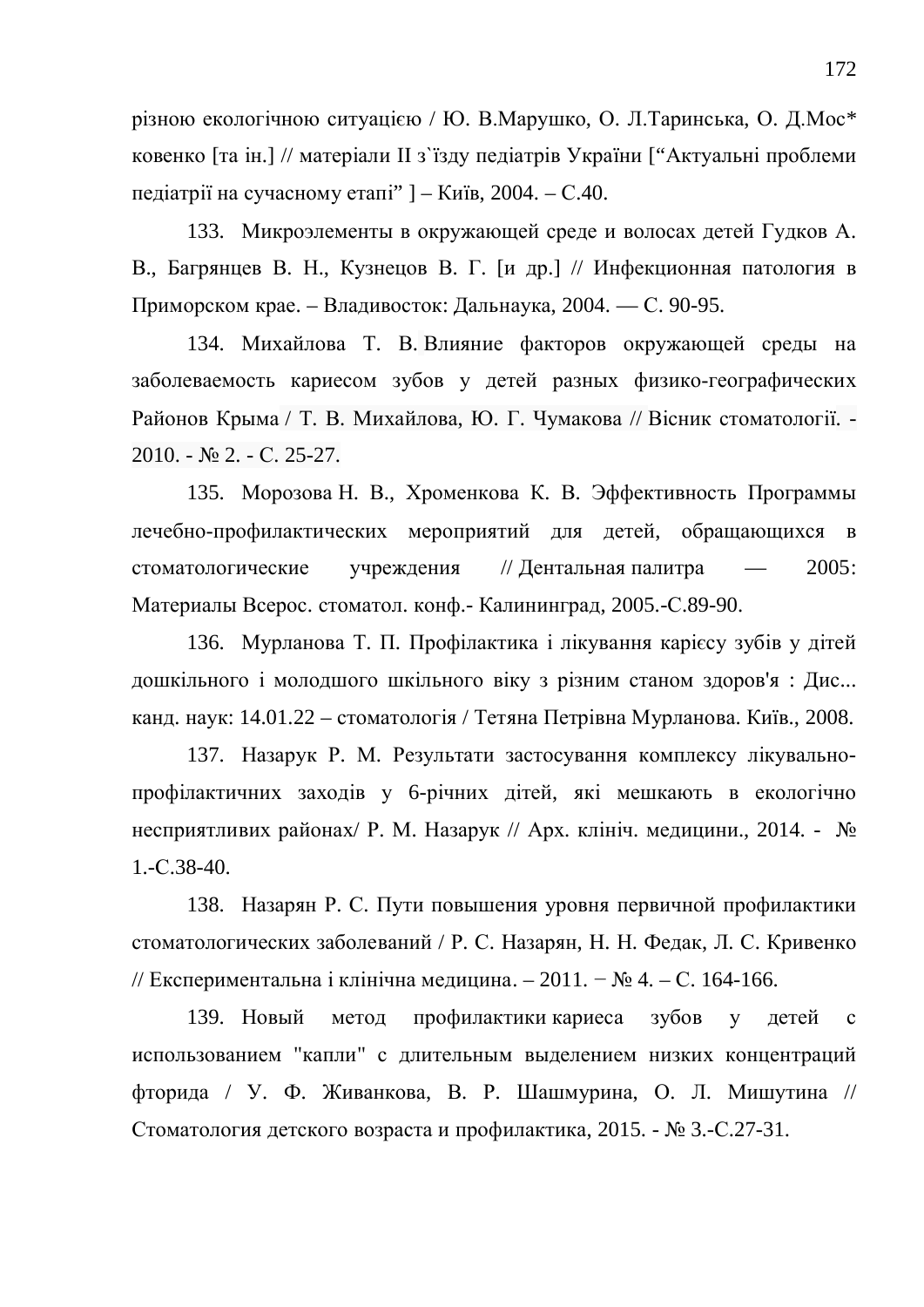різною екологічною ситуацією / Ю. В. Марушко, О. Л. Таринська, О. Д. Мос\* ковенко [та ін.] // матеріали II з'їзду педіатрів України ["Актуальні проблеми педіатрії на сучасному етапі"  $] -$ Київ, 2004. – С.40.

133. Микроэлементы в окружающей среде и волосах детей Гудков А. В., Багрянцев В. Н., Кузнецов В. Г. [и др.] // Инфекционная патология в Приморском крае. – Владивосток: Дальнаука, 2004. — С. 90-95.

134. Михайлова Т. В. Влияние факторов окружающей среды на заболеваемость кариесом зубов у детей разных физико-географических Районов Крыма / Т. В. Михайлова, Ю. Г. Чумакова // Вісник стоматології. - $2010. - N<sub>2</sub> 2. - C. 25-27.$ 

135. Морозова Н. В., Хроменкова К. В. Эффективность Программы лечебно-профилактических мероприятий для детей, обращающихся в стоматологические учреждения // Дентальная палитра — 2005: Материалы Всерос. стоматол. конф. - Калининград, 2005.-С.89-90.

136. Мурланова Т. П. Профілактика і лікування карієсу зубів у дітей дошкільного і молодшого шкільного віку з різним станом здоров'я: Дис... канд. наук:  $14.01.22 -$  стоматологія / Тетяна Петрівна Мурланова. Київ., 2008.

137. Назарук Р. М. Результати застосування комплексу лікувальнопрофілактичних заходів у 6-річних дітей, які мешкають в екологічно несприятливих районах/ Р. М. Назарук // Арх. клініч. медицини., 2014. - № 1.-ɋ.38-40.

138. Назарян Р. С. Пути повышения уровня первичной профилактики стоматологических заболеваний / Р. С. Назарян, Н. Н. Федак, Л. С. Кривенко // Експериментальна і клінічна медицина. – 2011. – № 4. – С. 164-166.

139. Новый метод профилактики кариеса зубов у детей с использованием "капли" с длительным выделением низких концентраций фторида / У. Ф. Живанкова, В. Р. Шашмурина, О. Л. Мишутина // Стоматология детского возраста и профилактика, 2015. - № 3.-С.27-31.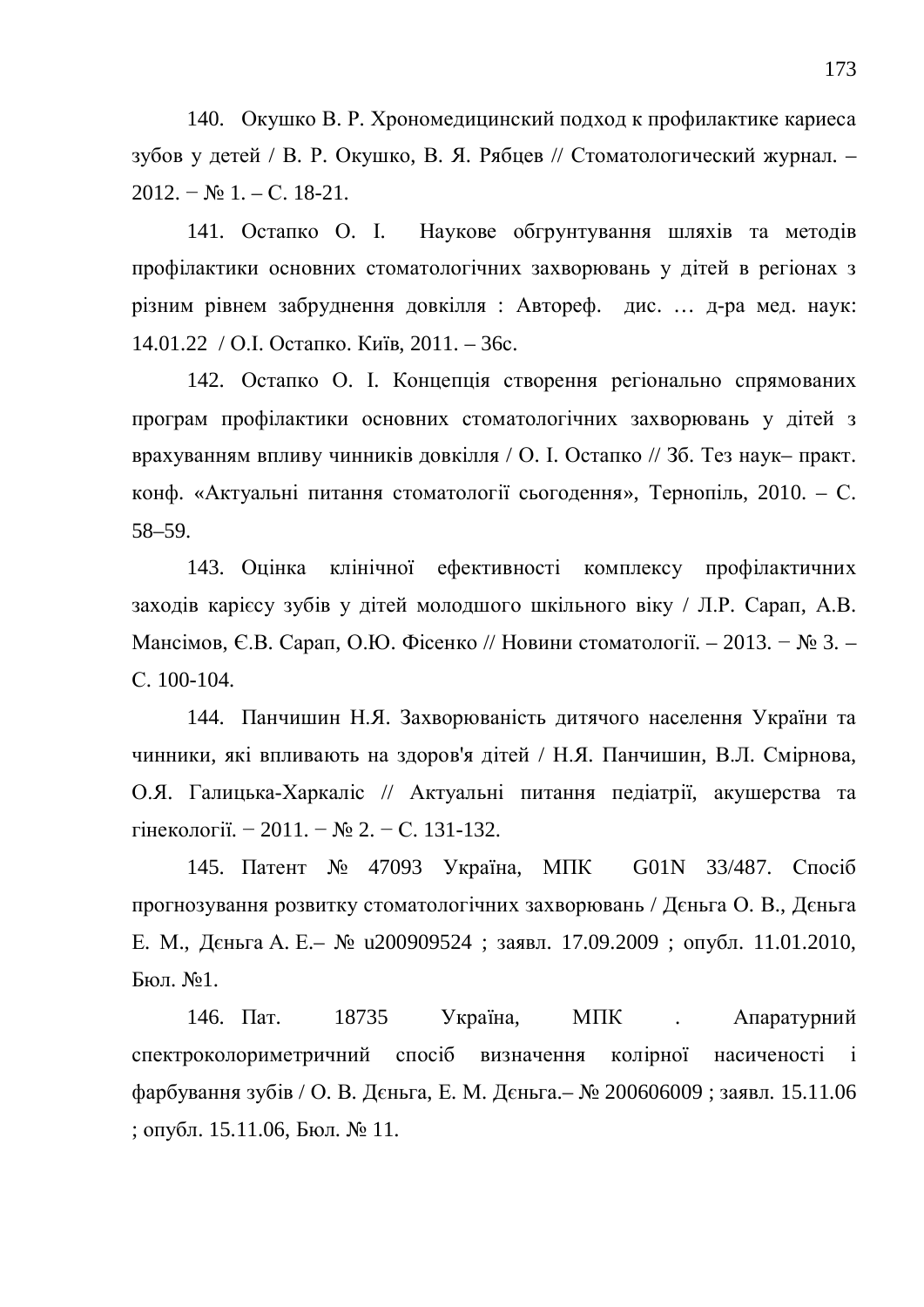140. Окушко В. Р. Хрономедицинский подход к профилактике кариеса зубов у детей / В. Р. Окушко, В. Я. Рябцев // Стоматологический журнал. –  $2012. - N_2 1. - C. 18-21.$ 

141. Остапко О. І. Наукове обгрунтування шляхів та методів профілактики основних стоматологічних захворювань у дітей в регіонах з різним рівнем забруднення довкілля: Автореф. дис. ... д-ра мед. наук: 14.01.22 / О.І. Остапко. Київ, 2011. – 36с.

142. Остапко О. І. Концепція створення регіонально спрямованих програм профілактики основних стоматологічних захворювань у дітей з врахуванням впливу чинників довкілля / О. І. Остапко // Зб. Тез наук– практ. конф. «Актуальні питання стоматології сьогодення», Тернопіль, 2010. – С. 58–59.

143. Оцінка клінічної ефективності комплексу профілактичних заходів карієсу зубів у дітей молодшого шкільного віку / Л.Р. Сарап, А.В. Мансімов, Є.В. Сарап, О.Ю. Фісенко // Новини стоматології. – 2013. − № 3. – C. 100-104.

144. Панчишин Н.Я. Захворюваність дитячого населення України та чинники, які впливають на здоров'я дітей / Н.Я. Панчишин, В.Л. Смірнова, О.Я. Галицька-Харкаліс // Актуальні питання педіатрії, акушерства та гінекології. − 2011. – № 2. – С. 131-132.

145. Патент № 47093 Україна, МПК G01N 33/487. Спосіб прогнозування розвитку стоматологічних захворювань / Дєньга О. В., Дєньга Е. М., Дєньга А. Е.– № u200909524 ; заявл. 17.09.2009 ; опубл. 11.01.2010,  $Бюл. N<sub>2</sub>1.$ 

146. Пат. 18735 Україна, МПК . Апаратурний спектроколориметричний спосіб визначення колірної насиченості і фарбування зубів / О. В. Дєньга, Е. М. Дєньга.– № 200606009; заявл. 15.11.06 ; опубл. 15.11.06, Бюл.  $\mathbb{N}$  11.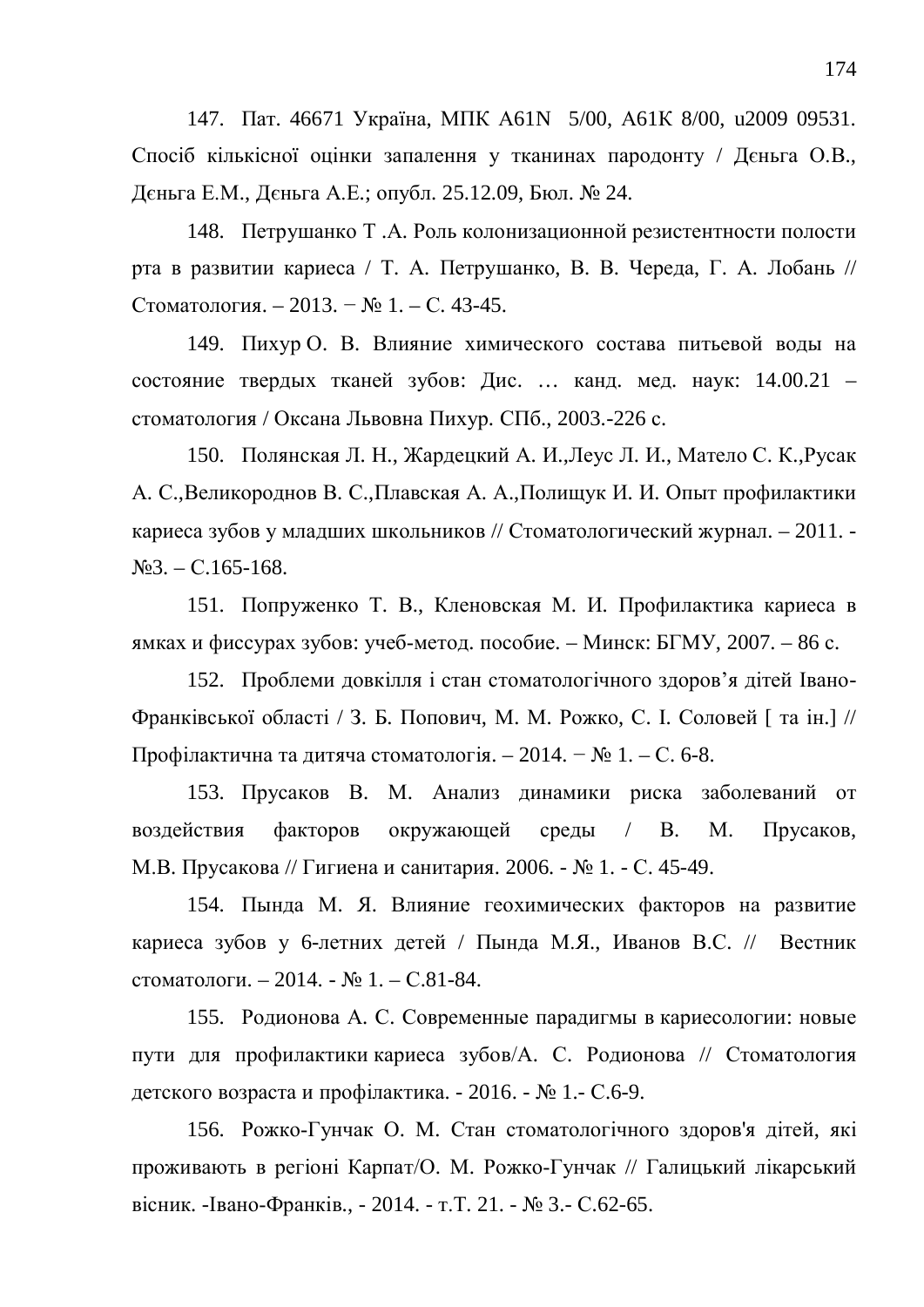147. Пат. 46671 Україна, МПК А61N 5/00, А61К 8/00, и2009 09531. Спосіб кількісної оцінки запалення у тканинах пародонту / Дєньга О.В., Дєньга Е.М., Дєньга А.Е.; опубл. 25.12.09, Бюл. № 24.

148. Петрушанко Т.А. Роль колонизационной резистентности полости рта в развитии кариеса / Т. А. Петрушанко, В. В. Череда, Г. А. Лобань // Стоматология. – 2013. – № 1. – С. 43-45.

149. Пихур О. В. Влияние химического состава питьевой воды на состояние твердых тканей зубов: Дис. ... канд. мед. наук: 14.00.21 – стоматология / Оксана Львовна Пихур. СПб., 2003.-226 с.

150. Полянская Л. Н., Жардецкий А. И., Леус Л. И., Матело С. К., Русак А. С., Великороднов В. С., Плавская А. А., Полищук И. И. Опыт профилактики кариеса зубов у младших школьников // Стоматологический журнал. – 2011. - $N<sub>23</sub> - C.165-168.$ 

151. Попруженко Т. В., Кленовская М. И. Профилактика кариеса в ямках и фиссурах зубов: учеб-метод. пособие. – Минск: БГМУ, 2007. – 86 с.

152. Проблеми довкілля і стан стоматологічного здоров'я дітей Івано-Франківської області / З. Б. Попович, М. М. Рожко, С. І. Соловей [ та ін.] // Профілактична та дитяча стоматологія. – 2014. –  $N_2$  1. – С. 6-8.

153. Прусаков В. М. Анализ динамики риска заболеваний от воздействия факторов окружающей среды / В. М. Прусаков, М.В. Прусакова // Гигиена и санитария. 2006. - № 1. - С. 45-49.

154. Пында М. Я. Влияние геохимических факторов на развитие кариеса зубов у 6-летних детей / Пында М.Я., Иванов В.С. // Вестник стоматологи. – 2014. -  $\mathcal{N}_2$  1. – С.81-84.

155. Родионова А. С. Современные парадигмы в кариесологии: новые пути для профилактики кариеса зубов/А. С. Родионова // Стоматология детского возраста и профілактика. - 2016. - № 1.- С.6-9.

156. Рожко-Гунчак О. М. Стан стоматологічного здоров'я дітей, які проживають в регіоні Карпат/О. М. Рожко-Гунчак // Галицький лікарський вісник. - Івано-Франків., - 2014. - т.Т. 21. - № 3.- С.62-65.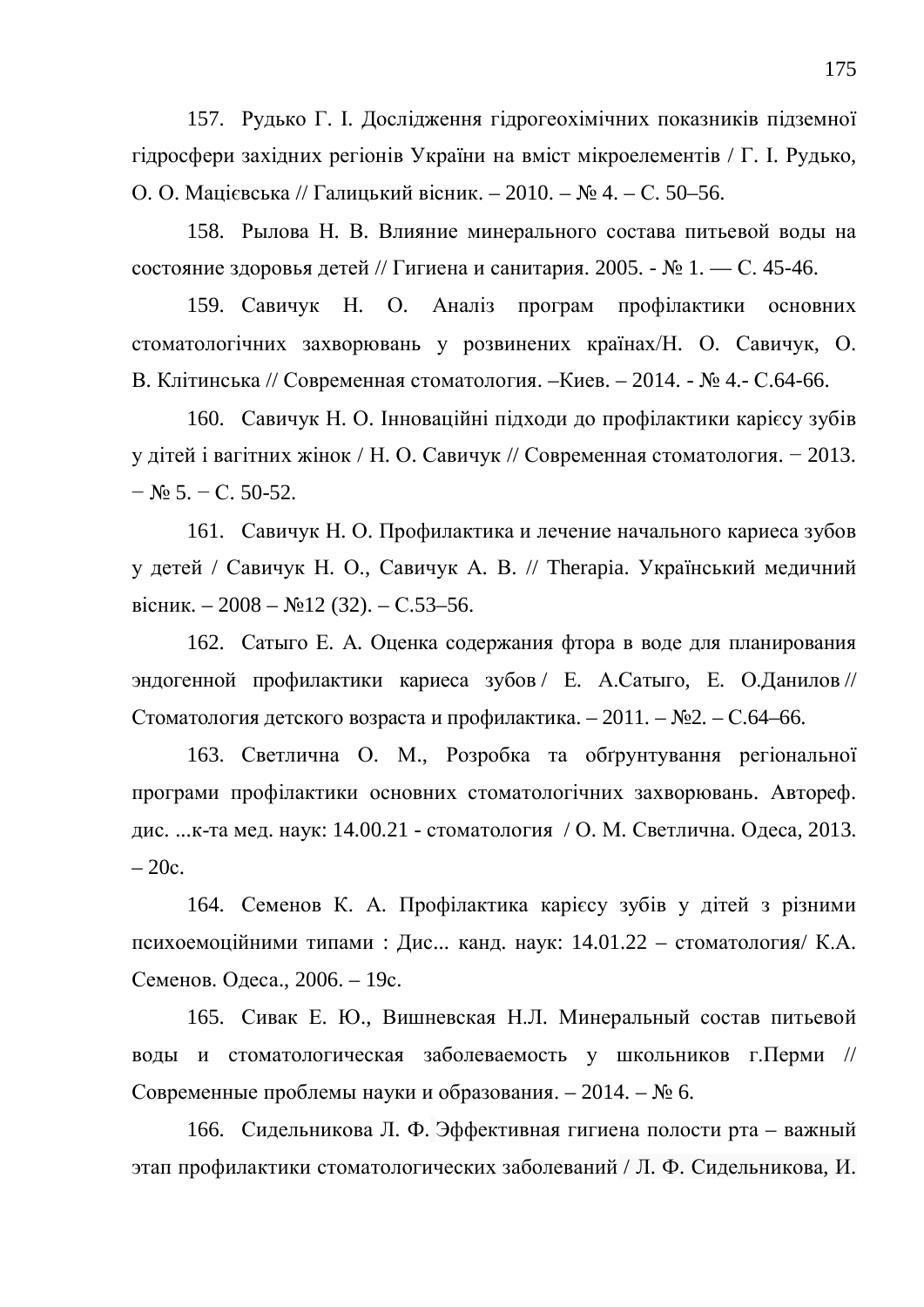157. Рудько Г. І. Дослідження гідрогеохімічних показників підземної гідросфери західних регіонів України на вміст мікроелементів / Г. І. Рудько, О. О. Мацієвська // Галицький вісник. – 2010. – № 4. – С. 50–56.

158. Рылова Н. В. Влияние минерального состава питьевой воды на состояние здоровья детей // Гигиена и санитария. 2005. - № 1. — С. 45-46.

159. Савичук Н. О. Аналіз програм профілактики основних стоматологічних захворювань у розвинених країнах/Н. О. Савичук, О. В. Клітинська // Современная стоматология. –Киев. – 2014. - № 4.- С.64-66.

160. Савичук Н. О. Інноваційні підходи до профілактики карієсу зубів у дітей і вагітних жінок / Н. О. Савичук // Современная стоматология. – 2013.  $-$  No 5. – C. 50-52.

161. Савичук Н. О. Профилактика и лечение начального кариеса зубов у детей / Савичук Н. О., Савичук А. В. // Therapia. Український медичний вісник. – 2008 – №12 (32). – С.53–56.

162. Сатыго Е. А. Оценка содержания фтора в воде для планирования эндогенной профилактики кариеса зубов / Е. А.Сатыго, Е. О.Данилов // Стоматология детского возраста и профилактика. – 2011. – №2. – С.64–66.

163. Светлична О. М., Розробка та обгрунтування регіональної програми профілактики основних стоматологічних захворювань. Автореф. дис. ...к-та мед. наук: 14.00.21 - стоматология / О. М. Светлична. Одеса, 2013.  $-20c.$ 

164. Семенов К. А. Профілактика карієсу зубів у дітей з різними психоемоційними типами : Дис... канд. наук:  $14.01.22 -$  стоматология/ К.А. Семенов. Одеса., 2006. – 19с.

165. Сивак Е. Ю., Вишневская Н.Л. Минеральный состав питьевой воды и стоматологическая заболеваемость у школьников г. Перми // Современные проблемы науки и образования. – 2014. –  $N_2$  6.

166. Сидельникова Л. Ф. Эффективная гигиена полости рта – важный этап профилактики стоматологических заболеваний / Л. Ф. Сидельникова, И.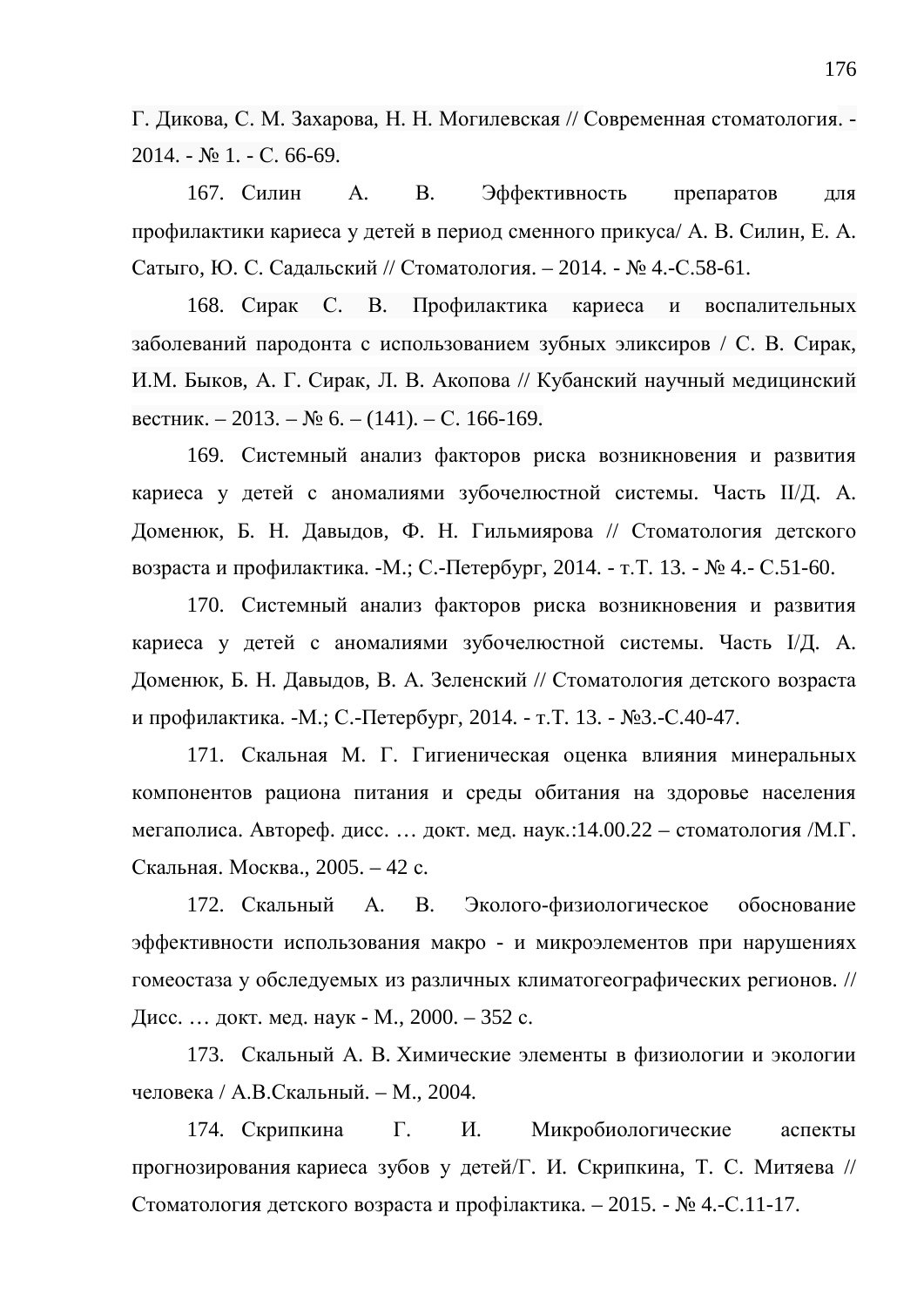Г. Дикова, С. М. Захарова, Н. Н. Могилевская // Современная стоматология. - $2014. - N<sub>2</sub> 1. - C. 66-69.$ 

167. Силин А. В. Эффективность препаратов для профилактики кариеса у детей в период сменного прикуса/ А. В. Силин, Е. А. Сатыго, Ю. С. Садальский // Стоматология. – 2014. - № 4.-С.58-61.

168. Сирак С. В. Профилактика кариеса и воспалительных заболеваний пародонта с использованием зубных эликсиров / С. В. Сирак, И.М. Быков, А. Г. Сирак, Л. В. Акопова // Кубанский научный медицинский вестник. – 2013. – № 6. – (141). – С. 166-169.

169. Системный анализ факторов риска возникновения и развития кариеса у детей с аномалиями зубочелюстной системы. Часть II/Д. А. Доменюк, Б. Н. Давыдов, Ф. Н. Гильмиярова // Стоматология детского возраста и профилактика. -М.; С.-Петербург, 2014. - т.Т. 13. - № 4.- С.51-60.

170. Системный анализ факторов риска возникновения и развития кариеса у детей с аномалиями зубочелюстной системы. Часть I/Д. А. Доменюк, Б. Н. Давыдов, В. А. Зеленский // Стоматология детского возраста и профилактика. -М.; С.-Петербург, 2014. - т.Т. 13. - №3.-С.40-47.

171. Скальная М. Г. Гигиеническая оценка влияния минеральных компонентов рациона питания и среды обитания на здоровье населения мегаполиса. Автореф. дисс. ... докт. мед. наук.:14.00.22 – стоматология /М.Г. Скальная. Москва., 2005. – 42 с.

172. Скальный А. В. Эколого-физиологическое обоснование эффективности использования макро - и микроэлементов при нарушениях гомеостаза у обследуемых из различных климатогеографических регионов. // Дисс. ... докт. мед. наук - М., 2000. – 352 с.

173. Скальный А. В. Химические элементы в физиологии и экологии человека / А.В.Скальный. – М., 2004.

174. Скрипкина Г. И. Микробиологические аспекты прогнозирования кариеса зубов у детей/Г. И. Скрипкина, Т. С. Митяева // Стоматология детского возраста и профілактика. – 2015. - № 4.-С.11-17.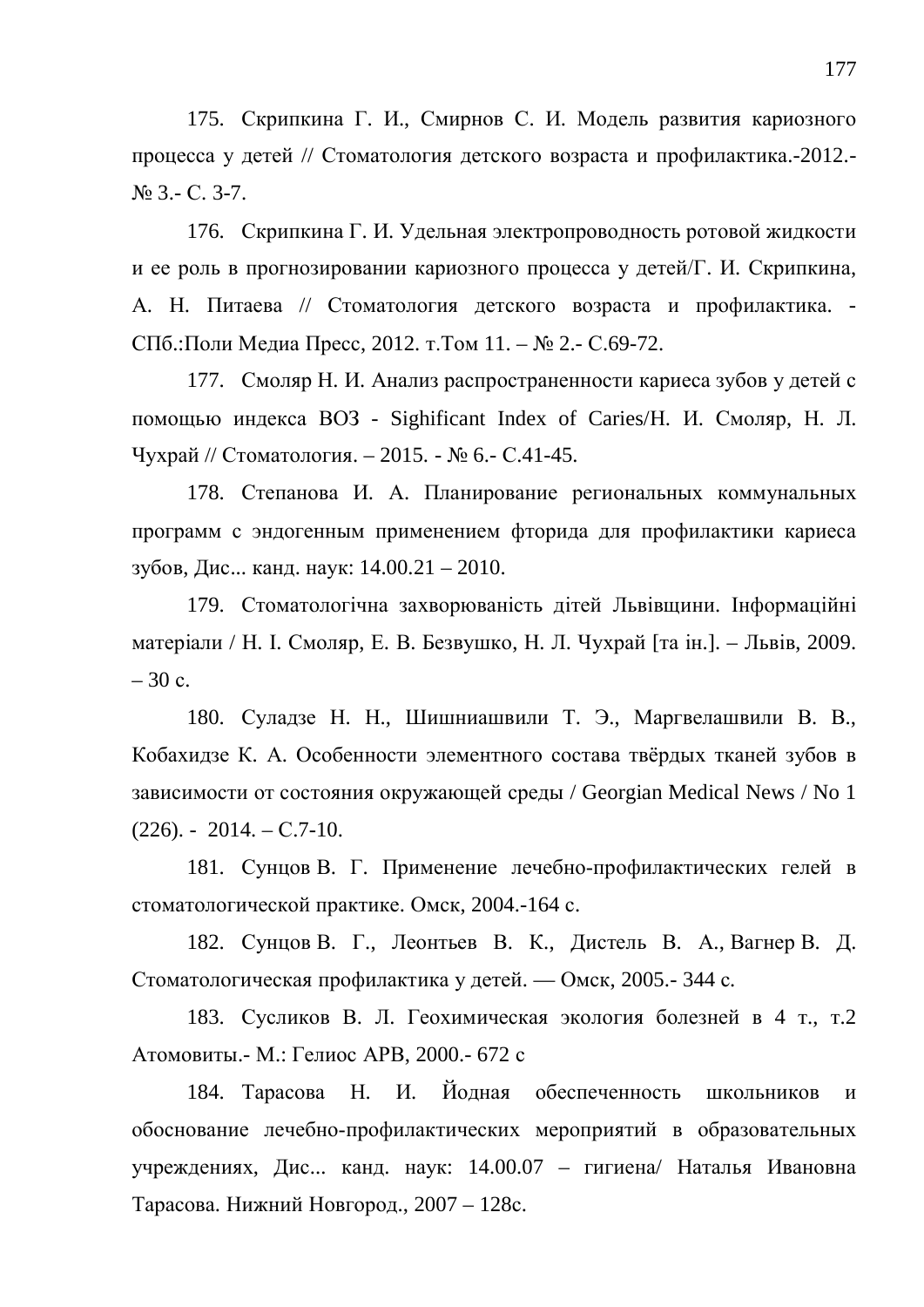175. Скрипкина Г. И., Смирнов С. И. Модель развития кариозного процесса у детей // Стоматология детского возраста и профилактика.-2012.- $N<sub>2</sub>$  3.- C. 3-7.

176. Скрипкина Г. И. Улельная электропроводность ротовой жидкости и ее роль в прогнозировании кариозного процесса у детей/Г. И. Скрипкина, А. Н. Питаева // Стоматология детского возраста и профилактика. -СПб.:Поли Медиа Пресс, 2012. т. Том 11. – № 2.- С.69-72.

177. Смоляр Н. И. Анализ распространенности кариеса зубов у детей с помощью индекса ВОЗ - Sighificant Index of Caries/Н. И. Смоляр, Н. Л. Чухрай // Стоматология. – 2015. - № 6.- С.41-45.

178. Степанова И. А. Планирование региональных коммунальных программ с эндогенным применением фторида для профилактики кариеса зубов, Дис... канд. наук: 14.00.21 – 2010.

179. Стоматологічна захворюваність дітей Львівщини. Інформаційні матеріали / Н. І. Смоляр, Е. В. Безвушко, Н. Л. Чухрай [та ін.]. – Львів, 2009.  $-30$  c.

180. Суладзе Н. Н., Шишниашвили Т. Э., Маргвелашвили В. В., Кобахидзе К. А. Особенности элементного состава твёрдых тканей зубов в зависимости от состояния окружающей среды / Georgian Medical News / No 1  $(226)$ . - 2014. – C.7-10.

181. Сунцов В. Г. Применение лечебно-профилактических гелей в стоматологической практике. Омск, 2004.-164 с.

182. Сунцов В. Г., Леонтьев В. К., Дистель В. А., Вагнер В. Д. Стоматологическая профилактика у детей. — Омск, 2005.- 344 с.

183. Сусликов В. Л. Геохимическая экология болезней в 4 т., т.2 Атомовиты.- М.: Гелиос АРВ, 2000.- 672 с

184. Тарасова Н. И. Йодная обеспеченность школьников и обоснование лечебно-профилактических мероприятий в образовательных учреждениях, Дис... канд. наук: 14.00.07 – гигиена/ Наталья Ивановна Тарасова. Нижний Новгород., 2007 – 128с.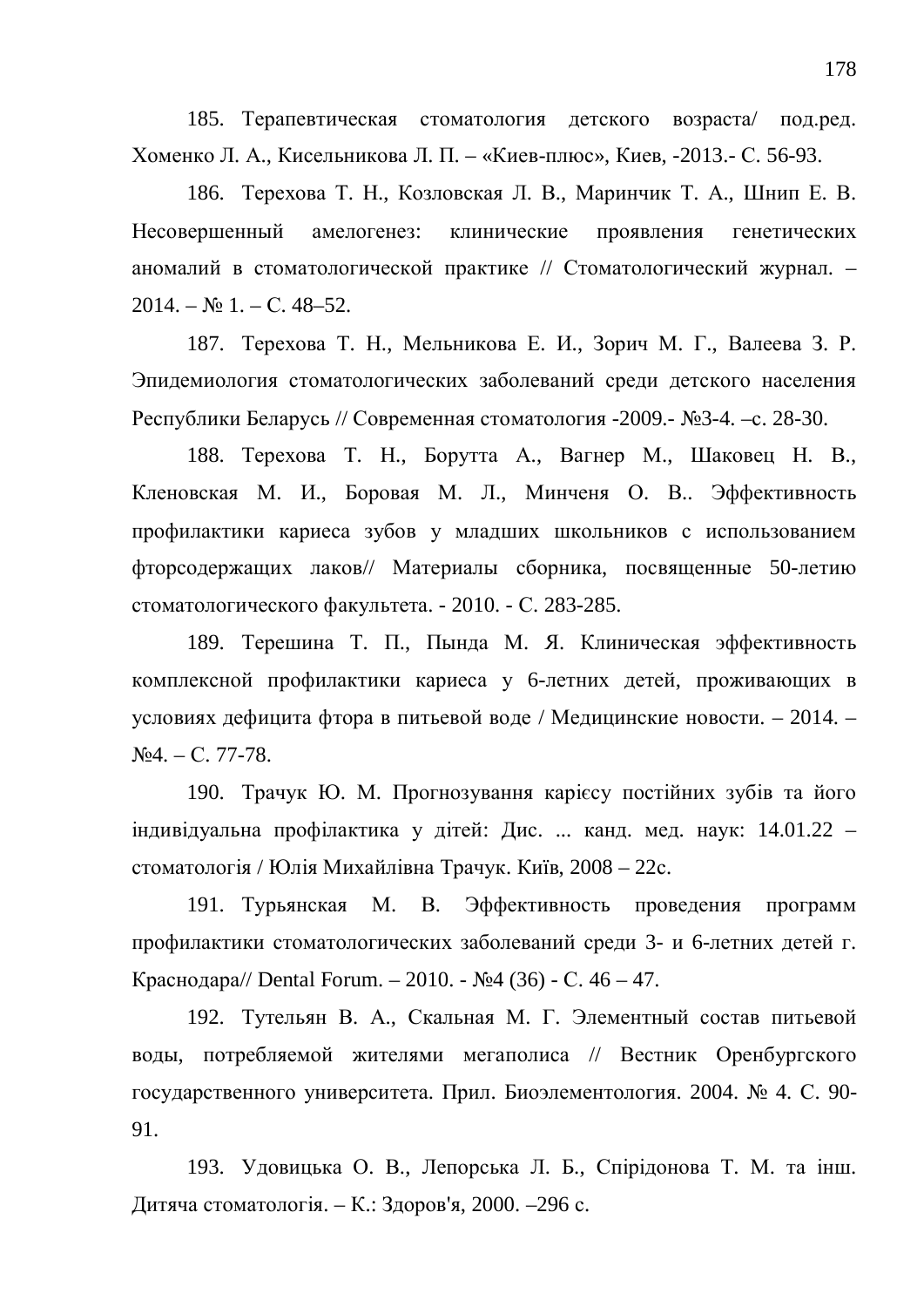185. Терапевтическая стоматология детского возраста/ под.ред. Хоменко Л. А., Кисельникова Л. П. – «Киев-плюс», Киев, -2013.- С. 56-93.

186. Терехова Т. Н., Козловская Л. В., Маринчик Т. А., Шнип Е. В. Несовершенный амелогенез: клинические проявления генетических аномалий в стоматологической практике // Стоматологический журнал. –  $2014. - N_2 1. - C. 48-52.$ 

187. Терехова Т. Н., Мельникова Е. И., Зорич М. Г., Валеева З. Р. Эпидемиология стоматологических заболеваний среди детского населения Республики Беларусь // Современная стоматология -2009.- №3-4. –с. 28-30.

188. Терехова Т. Н., Борутта А., Вагнер М., Шаковец Н. В., Кленовская М. И., Боровая М. Л., Минченя О. В.. Эффективность профилактики кариеса зубов у младших школьников с использованием фторсодержащих лаков// Материалы сборника, посвященные 50-летию стоматологического факультета. - 2010. - С. 283-285.

189. Терешина Т. П., Пында М. Я. Клиническая эффективность комплексной профилактики кариеса у 6-летних детей, проживающих в условиях дефицита фтора в питьевой воде / Медицинские новости. – 2014. –  $\text{Na}4. - \text{C}$ . 77-78.

190. Трачук Ю. М. Прогнозування карієсу постійних зубів та його індивідуальна профілактика у дітей: Дис. ... канд. мед. наук: 14.01.22 – стоматологія / Юлія Михайлівна Трачук. Київ, 2008 – 22с.

191. Турьянская М. В. Эффективность проведения программ профилактики стоматологических заболеваний среди 3- и 6-летних детей г. Краснодара// Dental Forum. – 2010. - №4 (36) - С. 46 – 47.

192. Тутельян В. А., Скальная М. Г. Элементный состав питьевой воды, потребляемой жителями мегаполиса // Вестник Оренбургского государственного университета. Прил. Биоэлементология. 2004. № 4. С. 90-91.

193. Удовицька О. В., Лепорська Л. Б., Спірідонова Т. М. та інш. Дитяча стоматологія. – К.: Здоров'я, 2000. –296 с.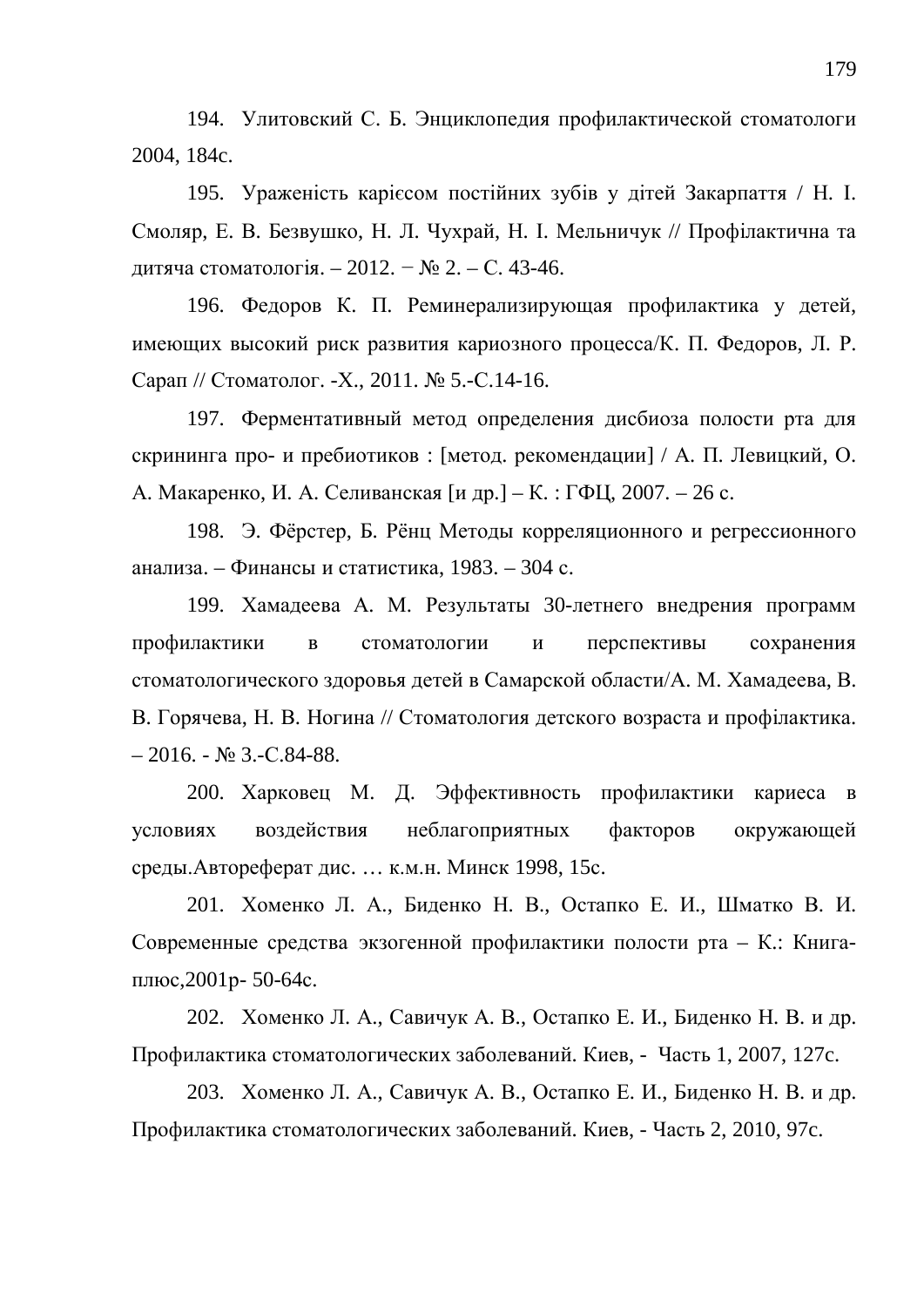194. Улитовский С. Б. Энциклопедия профилактической стоматологи 2004, 184c.

195. Ураженість карієсом постійних зубів у дітей Закарпаття / Н. І. Смоляр, Е. В. Безвушко, Н. Л. Чухрай, Н. І. Мельничук // Профілактична та дитяча стоматологія. – 2012. – № 2. – С. 43-46.

196. Федоров К. П. Реминерализирующая профилактика у детей, имеющих высокий риск развития кариозного процесса/К. П. Федоров, Л. Р. Сарап // Стоматолог. -Х., 2011. № 5.-С.14-16.

197. Ферментативный метод определения дисбиоза полости рта для скрининга про- и пребиотиков: [метод. рекомендации] / А. П. Левицкий, О. А. Макаренко, И. А. Селиванская [и др.] – К.: ГФЦ, 2007. – 26 с.

198. Э. Фёрстер, Б. Рёнц Методы корреляционного и регрессионного анализа. – Финансы и статистика, 1983. – 304 с.

199. Хамадеева А. М. Результаты 30-летнего внедрения программ профилактики в стоматологии и перспективы сохранения стоматологического здоровья детей в Самарской области/А. М. Хамадеева, В. В. Горячева, Н. В. Ногина // Стоматология детского возраста и профілактика.  $-2016. - N_2$  3.-C.84-88.

200. Харковец М. Д. Эффективность профилактики кариеса в условиях воздействия неблагоприятных факторов окружающей среды. Автореферат дис. ... к.м.н. Минск 1998, 15с.

201. Хоменко Л. А., Биденко Н. В., Остапко Е. И., Шматко В. И. Современные средства экзогенной профилактики полости рта – К.: Книгаплюс, 2001 р- 50-64 с.

202. Хоменко Л. А., Савичук А. В., Остапко Е. И., Биденко Н. В. и др. Профилактика стоматологических заболеваний. Киев, - Часть 1, 2007, 127с.

203. Хоменко Л. А., Савичук А. В., Остапко Е. И., Биденко Н. В. и др. Профилактика стоматологических заболеваний. Киев, - Часть 2, 2010, 97с.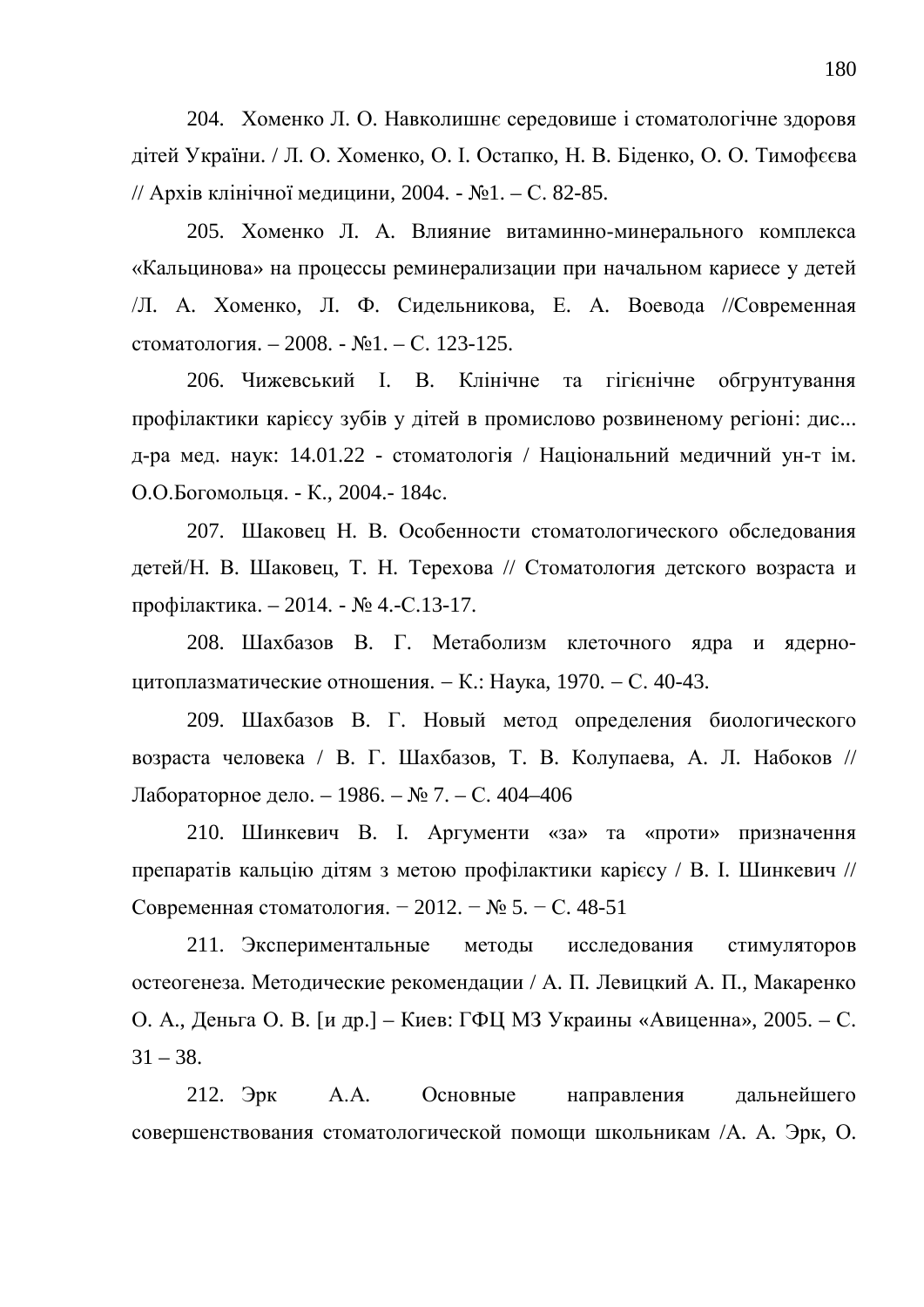204. Хоменко Л. О. Навколишнє середовише і стоматологічне здоровя дітей України. / Л. О. Хоменко, О. І. Остапко, Н. В. Біденко, О. О. Тимофєєва // Архів клінічної медицини, 2004. - №1. – С. 82-85.

205. Хоменко Л. А. Влияние витаминно-минерального комплекса «Кальцинова» на процессы реминерализации при начальном кариесе у детей Д. А. Хоменко, Л. Ф. Сидельникова, Е. А. Воевода //Современная стоматология. – 2008. -  $\mathbb{N}$ <sup>1</sup>. – С. 123-125.

206. Чижевський І. В. Клінічне та гігієнічне обгрунтування профілактики карієсу зубів у дітей в промислово розвиненому регіоні: дис... д-ра мед. наук: 14.01.22 - стоматологія / Національний медичний ун-т ім. О.О.Богомольця. - К., 2004.- 184с.

207. Шаковец Н. В. Особенности стоматологического обследования детей/Н. В. Шаковец, Т. Н. Терехова // Стоматология детского возраста и профілактика. – 2014. - № 4.-С.13-17.

208. Шахбазов В. Г. Метаболизм клеточного ядра и ядерноцитоплазматические отношения. – К.: Наука, 1970. – С. 40-43.

209. Шахбазов В. Г. Новый метод определения биологического возраста человека / В. Г. Шахбазов, Т. В. Колупаева, А. Л. Набоков // Лабораторное дело. – 1986. – № 7. – С. 404–406

210. Шинкевич В. I. Аргументи «за» та «проти» призначення препаратів кальцію дітям з метою профілактики карієсу / В. І. Шинкевич // Современная стоматология. – 2012. – № 5. – С. 48-51

211. Экспериментальные методы исследования стимуляторов остеогенеза. Методические рекомендации / А. П. Левицкий А. П., Макаренко О. А., Деньга О. В. [и др.] – Киев: ГФЦ МЗ Украины «Авиценна», 2005. – С.  $31 - 38.$ 

212. Эрк А.А. Основные направления дальнейшего совершенствования стоматологической помощи школьникам /А. А. Эрк, О.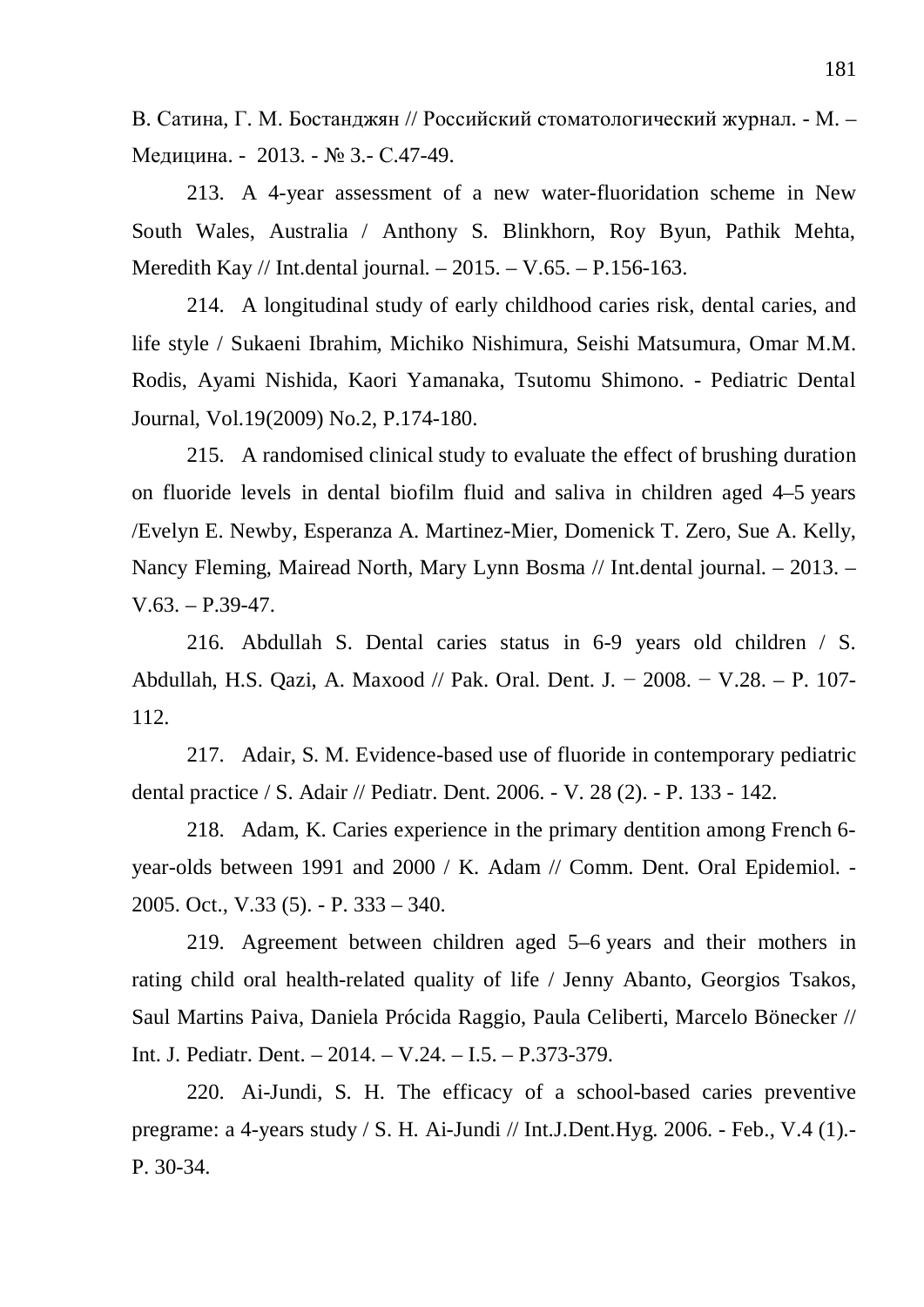В. Сатина, Г. М. Бостанджян // Российский стоматологический журнал. - М. – Медицина. - 2013. - № 3.- С.47-49.

213. A 4-year assessment of a new water-fluoridation scheme in New South Wales, Australia / Anthony S. Blinkhorn, Roy Byun, Pathik Mehta, Meredith Kay // Int.dental journal. – 2015. – V.65. – P.156-163.

214. A longitudinal study of early childhood caries risk, dental caries, and life style / Sukaeni Ibrahim, Michiko Nishimura, Seishi Matsumura, Omar M.M. Rodis, Ayami Nishida, Kaori Yamanaka, Tsutomu Shimono. - Pediatric Dental Journal, Vol.19(2009) No.2, P.174-180.

215. A randomised clinical study to evaluate the effect of brushing duration on fluoride levels in dental biofilm fluid and saliva in children aged 4–5 years /Evelyn E. Newby, Esperanza A. Martinez-Mier, Domenick T. Zero, Sue A. Kelly, Nancy Fleming, Mairead North, Mary Lynn Bosma // Int.dental journal. – 2013. –  $V.63. - P.39-47.$ 

216. Abdullah S. Dental caries status in 6-9 years old children / S. Abdullah, H.S. Qazi, A. Maxood // Pak. Oral. Dent. J.  $-2008. - V.28. - P.$  107-112.

217. Adair, S. Ɇ. Evidence-based use of fluoride in contemporary pediatric dental practice / S. Adair // Pediatr. Dent. 2006. - V. 28 (2). - P. 133 - 142.

218. Adam, K. Caries experience in the primary dentition among French 6 year-olds between 1991 and 2000 / K. Adam // Comm. Dent. Oral Epidemiol. - 2005. Oct., V.33 (5). - P. 333 – 340.

219. Agreement between children aged 5–6 years and their mothers in rating child oral health-related quality of life / Jenny Abanto, Georgios Tsakos, Saul Martins Paiva, Daniela Prócida Raggio, Paula Celiberti, Marcelo Bönecker // Int. J. Pediatr. Dent. – 2014. – V.24. – I.5. – P.373-379.

220. Ai-Jundi, S. H. The efficacy of a school-based caries preventive pregrame: a 4-years study / S. H. Ai-Jundi // Int.J.Dent.Hyg. 2006. - Feb., V.4 (1).- P. 30-34.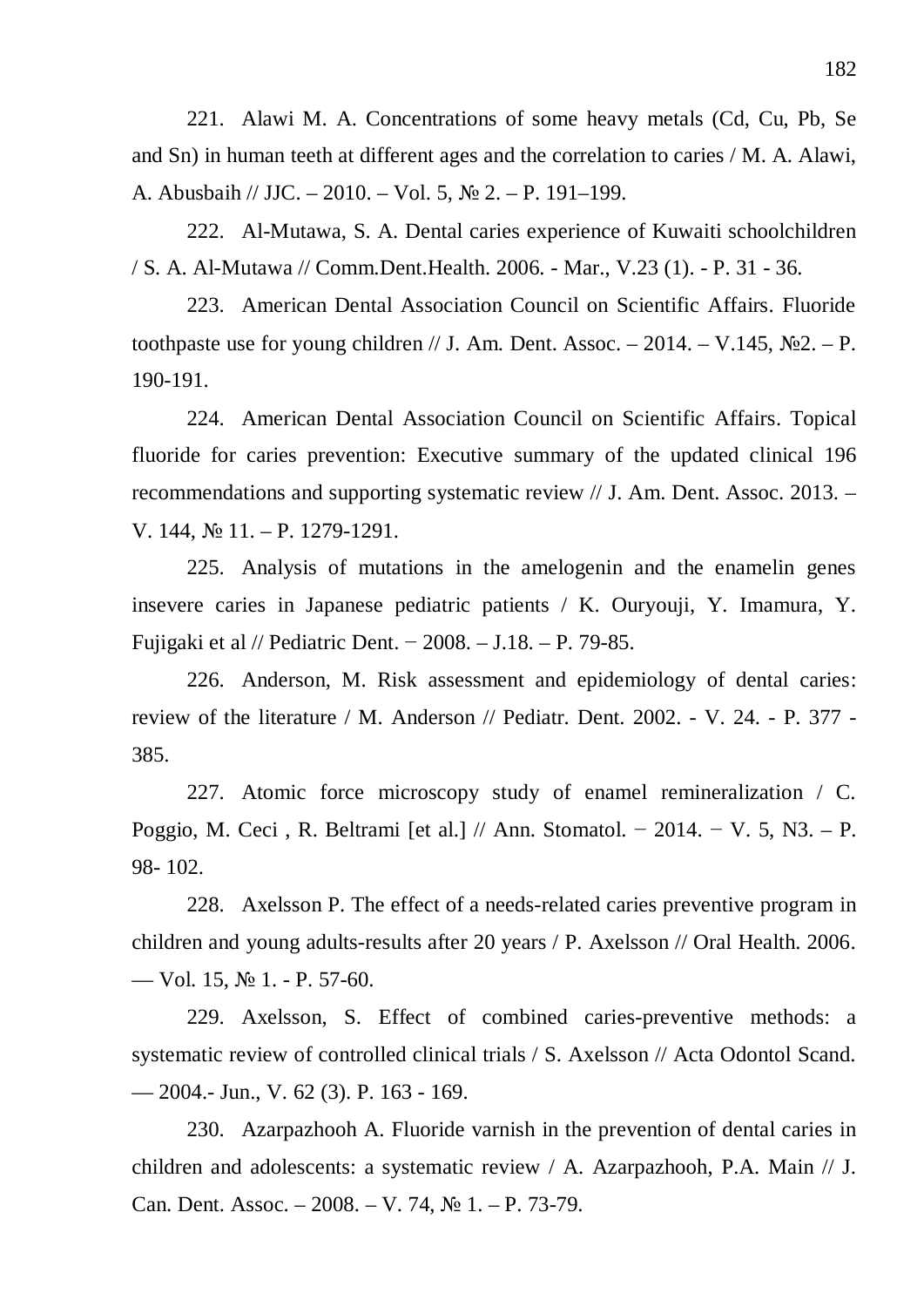221. Alawi M. A. Concentrations of some heavy metals (Cd, Cu, Pb, Se and Sn) in human teeth at different ages and the correlation to caries / M. A. Alawi, A. Abusbaih // JJC. – 2010. – Vol. 5,  $\mathbb{N}^2$  2. – P. 191–199.

222. Al-Mutawa, S. A. Dental caries experience of Kuwaiti schoolchildren / S. A. Al-Mutawa // Comm.Dent.Health. 2006. - Mar., V.23 (1). - P. 31 - 36.

223. American Dental Association Council on Scientific Affairs. Fluoride toothpaste use for young children // J. Am. Dent. Assoc.  $- 2014$ .  $- V.145$ ,  $\mathbb{N}^22$ .  $- P$ . 190-191.

224. American Dental Association Council on Scientific Affairs. Topical fluoride for caries prevention: Executive summary of the updated clinical 196 recommendations and supporting systematic review // J. Am. Dent. Assoc. 2013. – V. 144,  $\mathbb{N}$  11. – P. 1279-1291.

225. Analysis of mutations in the amelogenin and the enamelin genes insevere caries in Japanese pediatric patients / K. Ouryouji, Y. Imamura, Y. Fujigaki et al // Pediatric Dent. – 2008. – J.18. – P. 79-85.

226. Anderson, M. Risk assessment and epidemiology of dental caries: review of the literature / M. Anderson // Pediatr. Dent. 2002. - V. 24. - P. 377 - 385.

227. Atomic force microscopy study of enamel remineralization / C. Poggio, M. Ceci, R. Beltrami [et al.] // Ann. Stomatol. – 2014. – V. 5, N3. – P. 98- 102.

228. Axelsson P. The effect of a needs-related caries preventive program in children and young adults-results after 20 years / P. Axelsson // Oral Health. 2006. — Vol. 15,  $\mathbb{N} \times 1$ . - P. 57-60.

229. Axelsson, S. Effect of combined caries-preventive methods: a systematic review of controlled clinical trials / S. Axelsson // Acta Odontol Scand. — 2004.- Jun., V. 62 (3). P. 163 - 169.

230. Azarpazhooh A. Fluoride varnish in the prevention of dental caries in children and adolescents: a systematic review / A. Azarpazhooh, P.A. Main // J. Can. Dent. Assoc.  $-2008. -V. 74, N_2 1. -P. 73-79.$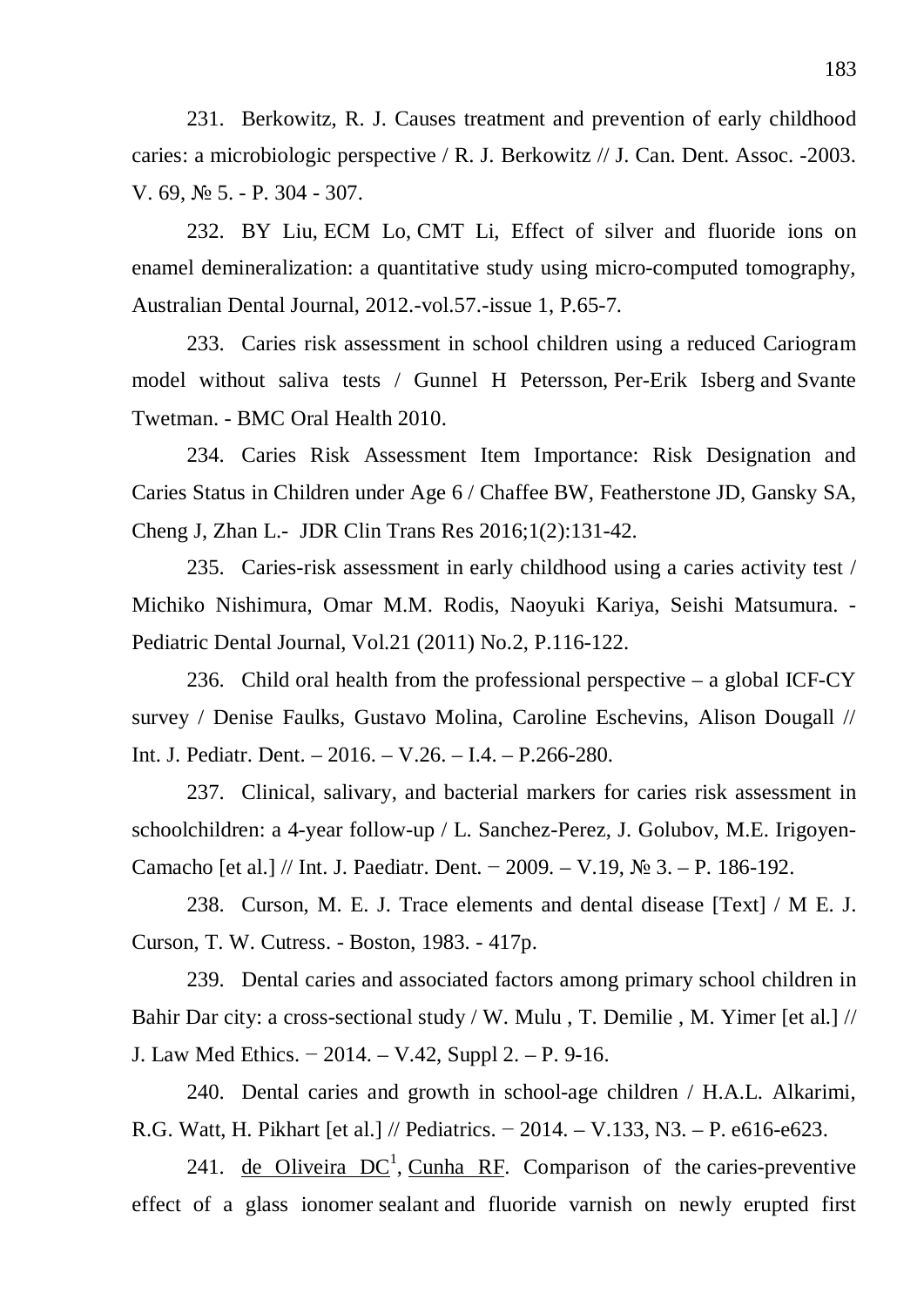231. Berkowitz, R. J. Causes treatment and prevention of early childhood caries: a microbiologic perspective / R. J. Berkowitz // J. Can. Dent. Assoc. -2003. V. 69,  $\mathcal{N}$  5. - P. 304 - 307.

232. BY Liu, ECM Lo, CMT Li, Effect of silver and fluoride ions on enamel demineralization: a quantitative study using micro-computed tomography, Australian Dental Journal, 2012.-vol.57.-issue 1, P.65-7.

233. Caries risk assessment in school children using a reduced Cariogram model without saliva tests / Gunnel H Petersson, Per-Erik Isberg and Svante Twetman. - BMC Oral Health 2010.

234. Caries Risk Assessment Item Importance: Risk Designation and Caries Status in Children under Age 6 / Chaffee BW, Featherstone JD, Gansky SA, Cheng J, Zhan L.- JDR Clin Trans Res 2016;1(2):131-42.

235. Caries-risk assessment in early childhood using a caries activity test / Michiko Nishimura, Omar M.M. Rodis, Naoyuki Kariya, Seishi Matsumura. - Pediatric Dental Journal, Vol.21 (2011) No.2, P.116-122.

236. Child oral health from the professional perspective – a global ICF-CY survey / Denise Faulks, Gustavo Molina, Caroline Eschevins, Alison Dougall // Int. J. Pediatr. Dent. – 2016. – V.26. – I.4. – P.266-280.

237. Clinical, salivary, and bacterial markers for caries risk assessment in schoolchildren: a 4-year follow-up / L. Sanchez-Perez, J. Golubov, M.E. Irigoyen-Camacho [et al.] // Int. J. Paediatr. Dent. – 2009. – V.19,  $\mathcal{N}_2$  3. – P. 186-192.

238. Curson, M. E. J. Trace elements and dental disease [Text] / M E. J. Curson, T. W. Cutress. - Boston, 1983. - 417p.

239. Dental caries and associated factors among primary school children in Bahir Dar city: a cross-sectional study / W. Mulu , T. Demilie , M. Yimer [et al.] // J. Law Med Ethics. – 2014. – V.42, Suppl 2. – P. 9-16.

240. Dental caries and growth in school-age children / H.A.L. Alkarimi, R.G. Watt, H. Pikhart [et al.] // Pediatrics.  $-2014$ .  $- V.133$ , N3.  $- P. e616 - e623$ .

241. de Oliveira  $DC<sup>1</sup>$ , Cunha RF. Comparison of the caries-preventive effect of a glass ionomer sealant and fluoride varnish on newly erupted first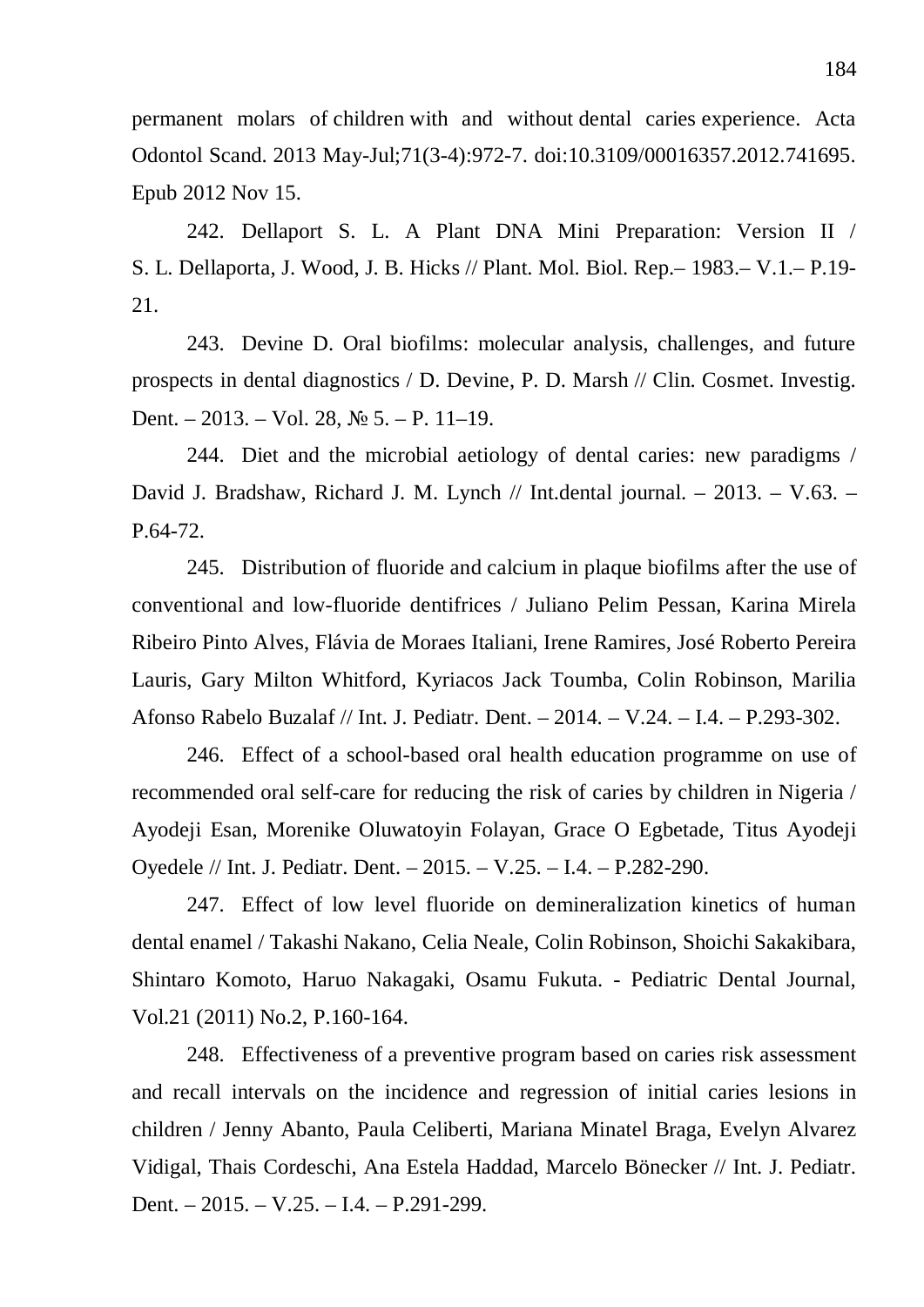permanent molars of children with and without dental caries experience. Acta Odontol Scand. 2013 May-Jul;71(3-4):972-7. doi:10.3109/00016357.2012.741695. Epub 2012 Nov 15.

242. Dellaport S. L. A Plant DNA Mini Preparation: Version II / S. L. Dellaporta, J. Wood, J. B. Hicks // Plant. Mol. Biol. Rep.– 1983.– V.1.– P.19- 21.

243. Devine D. Oral biofilms: molecular analysis, challenges, and future prospects in dental diagnostics / D. Devine, P. D. Marsh // Clin. Cosmet. Investig. Dent. – 2013. – Vol. 28,  $\mathbb{N}^{\circ}$  5. – P. 11–19.

244. Diet and the microbial aetiology of dental caries: new paradigms / David J. Bradshaw, Richard J. M. Lynch // Int.dental journal. – 2013. – V.63. – P.64-72.

245. Distribution of fluoride and calcium in plaque biofilms after the use of conventional and low-fluoride dentifrices / Juliano Pelim Pessan, Karina Mirela Ribeiro Pinto Alves, Flávia de Moraes Italiani, Irene Ramires, José Roberto Pereira Lauris, Gary Milton Whitford, Kyriacos Jack Toumba, Colin Robinson, Marilia Afonso Rabelo Buzalaf // Int. J. Pediatr. Dent. – 2014. – V.24. – I.4. – P.293-302.

246. Effect of a school-based oral health education programme on use of recommended oral self-care for reducing the risk of caries by children in Nigeria / Ayodeji Esan, Morenike Oluwatoyin Folayan, Grace O Egbetade, Titus Ayodeji Oyedele // Int. J. Pediatr. Dent. – 2015. – V.25. – I.4. – P.282-290.

247. Effect of low level fluoride on demineralization kinetics of human dental enamel / Takashi Nakano, Celia Neale, Colin Robinson, Shoichi Sakakibara, Shintaro Komoto, Haruo Nakagaki, Osamu Fukuta. - Pediatric Dental Journal, Vol.21 (2011) No.2, P.160-164.

248. Effectiveness of a preventive program based on caries risk assessment and recall intervals on the incidence and regression of initial caries lesions in children / Jenny Abanto, Paula Celiberti, Mariana Minatel Braga, Evelyn Alvarez Vidigal, Thais Cordeschi, Ana Estela Haddad, Marcelo Bönecker // Int. J. Pediatr. Dent. – 2015. – V.25. – I.4. – P.291-299.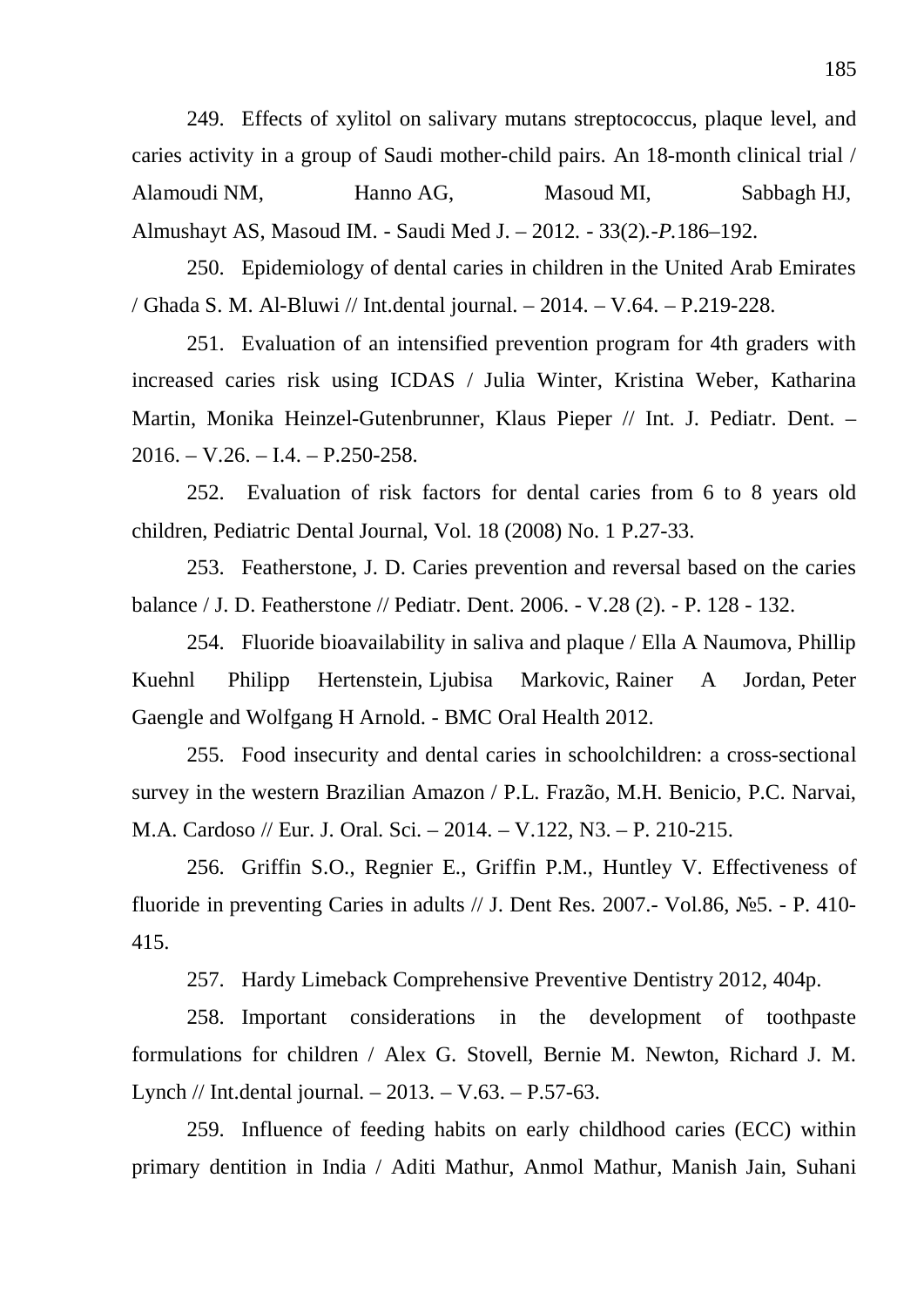249. Effects of xylitol on salivary mutans streptococcus, plaque level, and caries activity in a group of Saudi mother-child pairs. An 18-month clinical trial / Alamoudi NM, Hanno AG, Masoud MI, Sabbagh HJ, Almushayt AS, Masoud IM. - Saudi Med J. *–* 2012*. -* 33(2)*.-P.*186*–*192.

250. Epidemiology of dental caries in children in the United Arab Emirates / Ghada S. M. Al-Bluwi // Int.dental journal. – 2014. – V.64. – P.219-228.

251. Evaluation of an intensified prevention program for 4th graders with increased caries risk using ICDAS / Julia Winter, Kristina Weber, Katharina Martin, Monika Heinzel-Gutenbrunner, Klaus Pieper // Int. J. Pediatr. Dent. –  $2016. - V.26. - I.4. - P.250-258.$ 

252. Evaluation of risk factors for dental caries from 6 to 8 years old children, Pediatric Dental Journal, Vol. 18 (2008) No. 1 P.27-33.

253. Featherstone, J. D. Caries prevention and reversal based on the caries balance / J. D. Featherstone // Pediatr. Dent. 2006. - V.28 (2). - P. 128 - 132.

254. Fluoride bioavailability in saliva and plaque / Ella A Naumova, Phillip Kuehnl Philipp Hertenstein, Ljubisa Markovic, Rainer A Jordan, Peter Gaengle and Wolfgang H Arnold. - BMC Oral Health 2012.

255. Food insecurity and dental caries in schoolchildren: a cross-sectional survey in the western Brazilian Amazon / P.L. Frazão, M.H. Benicio, P.C. Narvai, M.A. Cardoso // Eur. J. Oral. Sci. – 2014. – V.122, N3. – P. 210-215.

256. Griffin S.O., Regnier E., Griffin P.M., Huntley V. Effectiveness of fluoride in preventing Caries in adults  $//$  J. Dent Res. 2007.- Vol.86, N°25. - P. 410-415.

257. Hardy Limeback Comprehensive Preventive Dentistry 2012, 404p.

258. Important considerations in the development of toothpaste formulations for children / Alex G. Stovell, Bernie M. Newton, Richard J. M. Lynch // Int.dental journal. – 2013. – V.63. – P.57-63.

259. Influence of feeding habits on early childhood caries (ECC) within primary dentition in India / Aditi Mathur, Anmol Mathur, Manish Jain, Suhani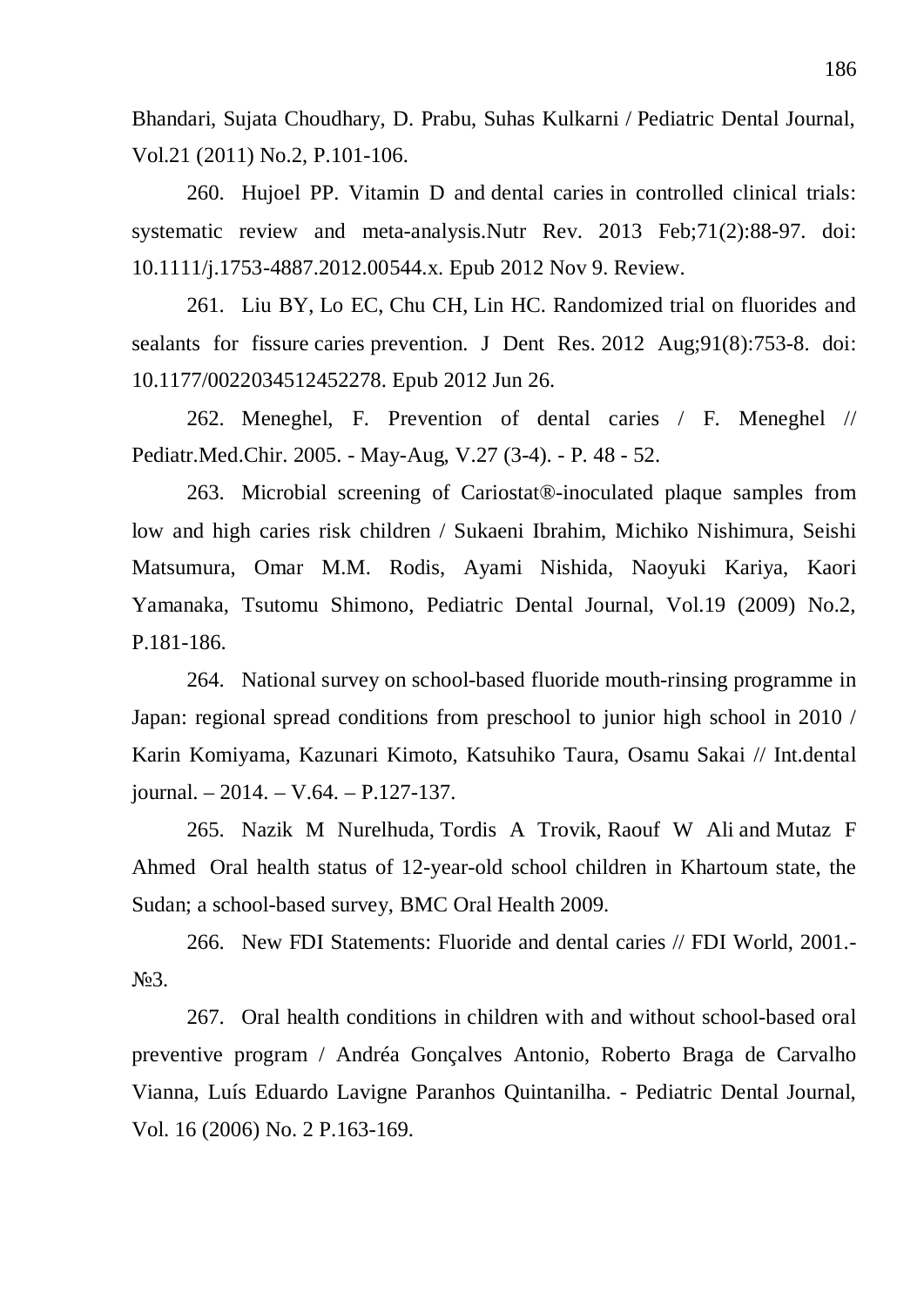Bhandari, Sujata Choudhary, D. Prabu, Suhas Kulkarni / Pediatric Dental Journal, Vol.21 (2011) No.2, P.101-106.

260. Hujoel PP. Vitamin D and dental caries in controlled clinical trials: systematic review and meta-analysis.Nutr Rev. 2013 Feb;71(2):88-97. doi: 10.1111/j.1753-4887.2012.00544.x. Epub 2012 Nov 9. Review.

261. Liu BY, Lo EC, Chu CH, Lin HC. Randomized trial on fluorides and sealants for fissure caries prevention. J Dent Res. 2012 Aug;91(8):753-8. doi: 10.1177/0022034512452278. Epub 2012 Jun 26.

262. Meneghel, F. Prevention of dental caries / F. Meneghel // Pediatr.Med.Chir. 2005. - May-Aug, V.27 (3-4). - P. 48 - 52.

263. Microbial screening of Cariostat®-inoculated plaque samples from low and high caries risk children / Sukaeni Ibrahim, Michiko Nishimura, Seishi Matsumura, Omar M.M. Rodis, Ayami Nishida, Naoyuki Kariya, Kaori Yamanaka, Tsutomu Shimono, Pediatric Dental Journal, Vol.19 (2009) No.2, P.181-186.

264. National survey on school-based fluoride mouth-rinsing programme in Japan: regional spread conditions from preschool to junior high school in 2010 / Karin Komiyama, Kazunari Kimoto, Katsuhiko Taura, Osamu Sakai // Int.dental journal. – 2014. – V.64. – P.127-137.

265. Nazik M Nurelhuda, Tordis A Trovik, Raouf W Ali and Mutaz F Ahmed Oral health status of 12-year-old school children in Khartoum state, the Sudan; a school-based survey, BMC Oral Health 2009.

266. New FDI Statements: Fluoride and dental caries // FDI World, 2001.- N<sub>o</sub>3.

267. Oral health conditions in children with and without school-based oral preventive program / Andréa Gonçalves Antonio, Roberto Braga de Carvalho Vianna, Luís Eduardo Lavigne Paranhos Quintanilha. - Pediatric Dental Journal, Vol. 16 (2006) No. 2 P.163-169.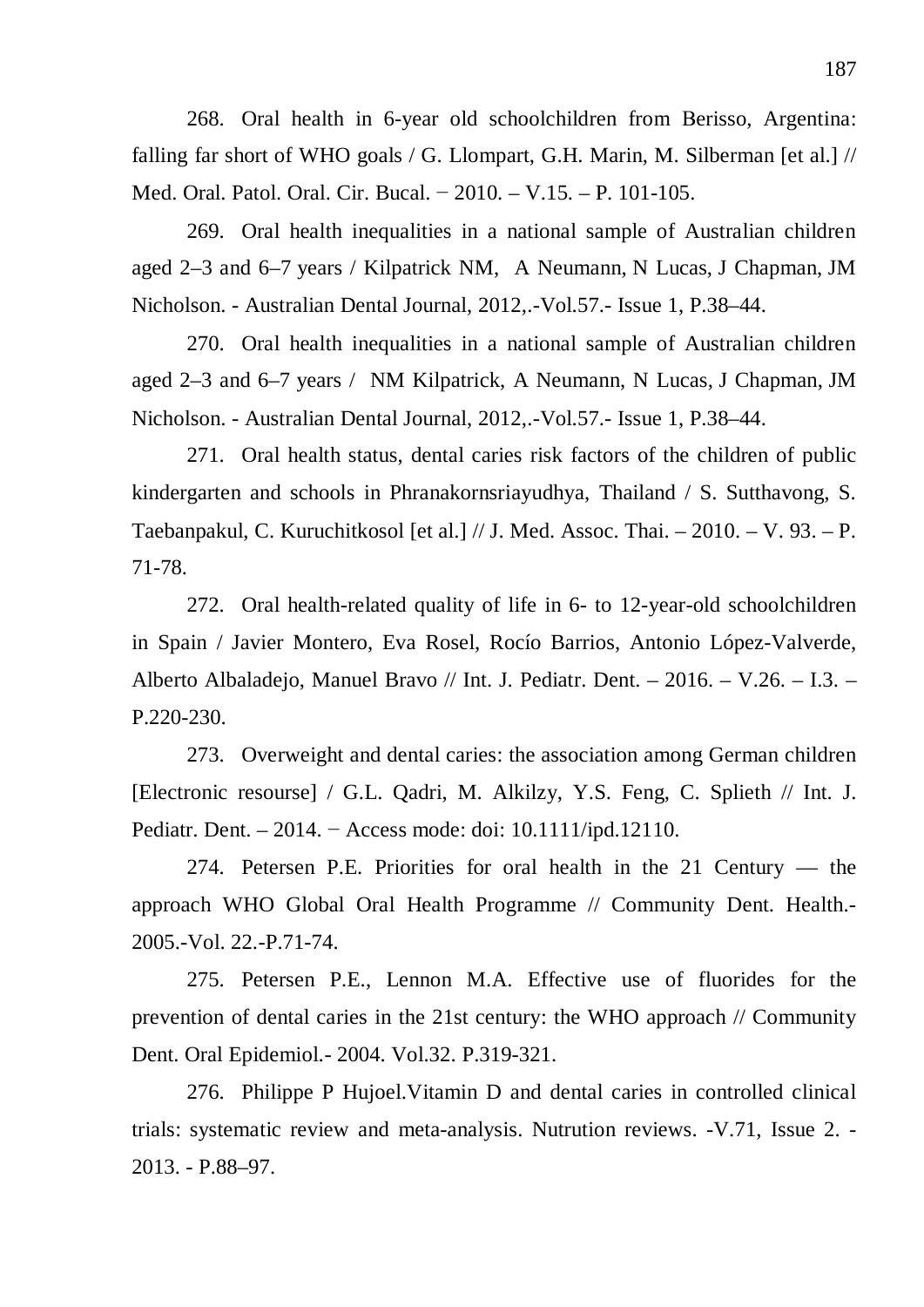268. Oral health in 6-year old schoolchildren from Berisso, Argentina: falling far short of WHO goals / G. Llompart, G.H. Marin, M. Silberman [et al.] // Med. Oral. Patol. Oral. Cir. Bucal. – 2010. – V.15. – P. 101-105.

269. Oral health inequalities in a national sample of Australian children aged 2–3 and 6–7 years / Kilpatrick NM, A Neumann, N Lucas, J Chapman, JM Nicholson. - Australian Dental Journal, 2012,.-Vol.57.- Issue 1, P.38–44.

270. Oral health inequalities in a national sample of Australian children aged 2–3 and 6–7 years / NM Kilpatrick, A Neumann, N Lucas, J Chapman, JM Nicholson. - Australian Dental Journal, 2012,.-Vol.57.- Issue 1, P.38–44.

271. Oral health status, dental caries risk factors of the children of public kindergarten and schools in Phranakornsriayudhya, Thailand / S. Sutthavong, S. Taebanpakul, C. Kuruchitkosol [et al.] // J. Med. Assoc. Thai. – 2010. – V. 93. – P. 71-78.

272. Oral health-related quality of life in 6- to 12-year-old schoolchildren in Spain / Javier Montero, Eva Rosel, Rocío Barrios, Antonio López-Valverde, Alberto Albaladejo, Manuel Bravo // Int. J. Pediatr. Dent. – 2016. – V.26. – I.3. – P.220-230.

273. Overweight and dental caries: the association among German children [Electronic resourse] / G.L. Qadri, M. Alkilzy, Y.S. Feng, C. Splieth // Int. J. Pediatr. Dent. – 2014. – Access mode: doi:  $10.1111$ /ipd.12110.

274. Petersen P.E. Priorities for oral health in the 21 Century — the approach WHO Global Oral Health Programme // Community Dent. Health.- 2005.-Vol. 22.-P.71-74.

275. Petersen P.E., Lennon M.A. Effective use of fluorides for the prevention of dental caries in the 21st century: the WHO approach // Community Dent. Oral Epidemiol.- 2004. Vol.32. P.319-321.

276. Philippe P Hujoel.Vitamin D and dental caries in controlled clinical trials: systematic review and meta-analysis. Nutrution reviews. -V.71, Issue 2. - 2013. - P.88–97.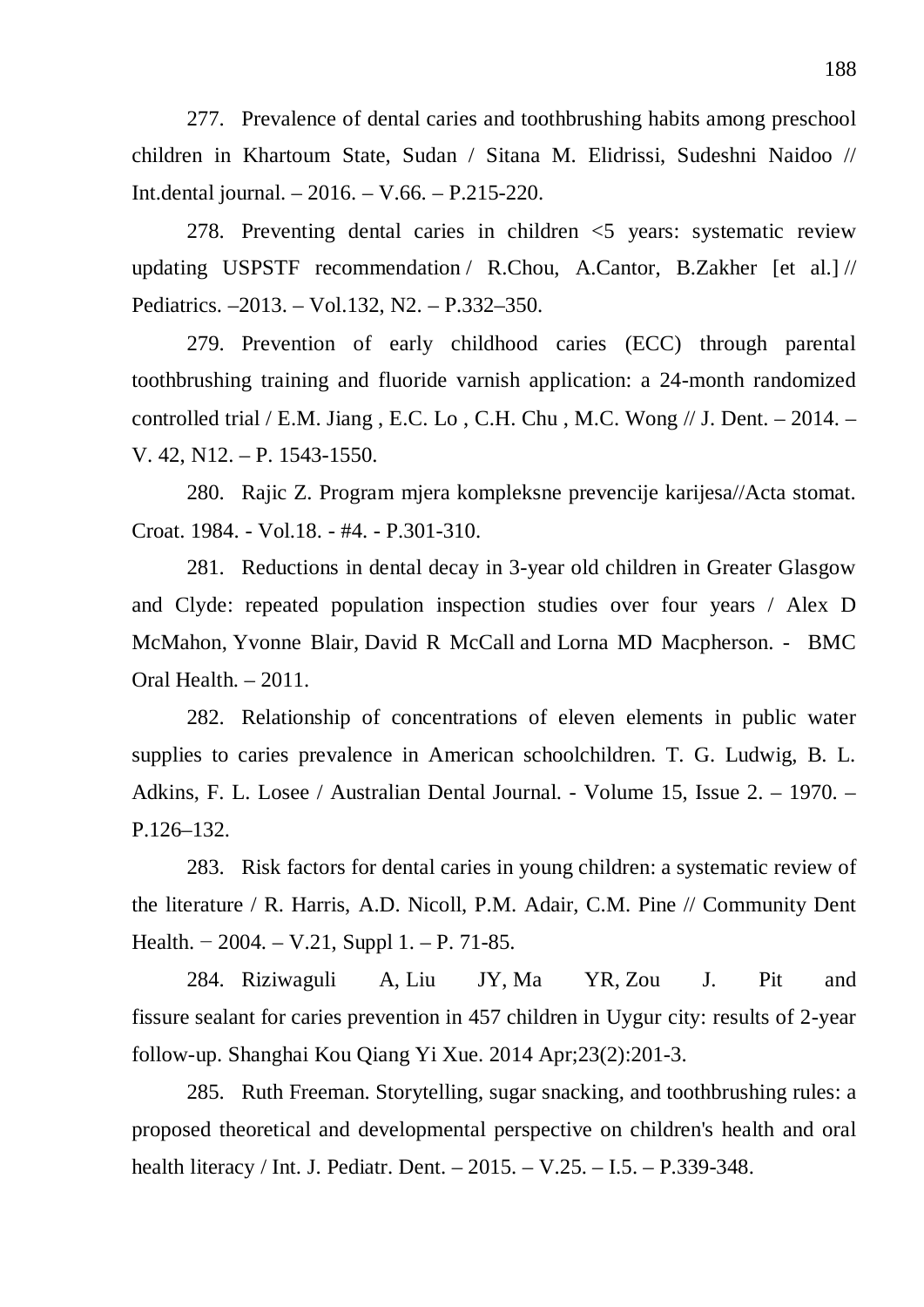277. Prevalence of dental caries and toothbrushing habits among preschool children in Khartoum State, Sudan / Sitana M. Elidrissi, Sudeshni Naidoo // Int.dental journal. – 2016. – V.66. – P.215-220.

278. Preventing dental caries in children <5 years: systematic review updating USPSTF recommendation / R.Chou, A.Cantor, B.Zakher [et al.] // Pediatrics. –2013. – Vol.132, N2. – P.332–350.

279. Prevention of early childhood caries (ECC) through parental toothbrushing training and fluoride varnish application: a 24-month randomized controlled trial / E.M. Jiang , E.C. Lo , C.H. Chu , M.C. Wong // J. Dent. – 2014. – V. 42, N12. – P. 1543-1550.

280. Rajic Z. Program mjera kompleksne prevencije karijesa//Acta stomat. Croat. 1984. - Vol.18. - #4. - P.301-310.

281. Reductions in dental decay in 3-year old children in Greater Glasgow and Clyde: repeated population inspection studies over four years / Alex D McMahon, Yvonne Blair, David R McCall and Lorna MD Macpherson. - BMC Oral Health. *–* 2011.

282. Relationship of concentrations of eleven elements in public water supplies to caries prevalence in American schoolchildren. T. G. Ludwig, B. L. Adkins, F. L. Losee / Australian Dental Journal. - Volume 15, Issue 2. – 1970. – P.126–132.

283. Risk factors for dental caries in young children: a systematic review of the literature / R. Harris, A.D. Nicoll, P.M. Adair, C.M. Pine // Community Dent Health. – 2004. – V.21, Suppl 1. – P. 71-85.

284. Riziwaguli A, Liu JY, Ma YR, Zou J. Pit and fissure sealant for caries prevention in 457 children in Uygur city: results of 2-year follow-up. Shanghai Kou Qiang Yi Xue. 2014 Apr;23(2):201-3.

285. Ruth Freeman. Storytelling, sugar snacking, and toothbrushing rules: a proposed theoretical and developmental perspective on children's health and oral health literacy / Int. J. Pediatr. Dent. – 2015. – V.25. – I.5. – P.339-348.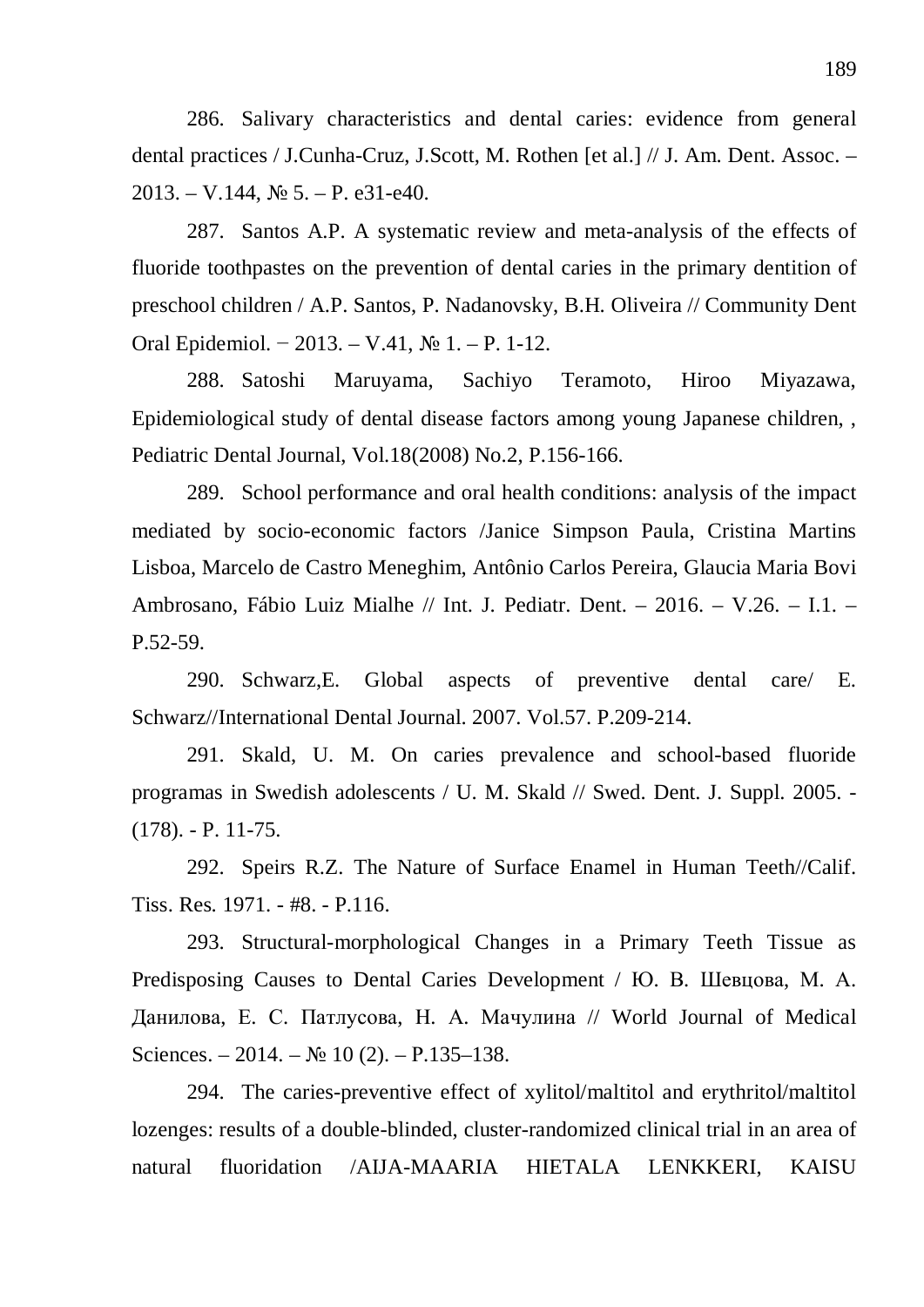286. Salivary characteristics and dental caries: evidence from general dental practices / J.Cunha-Cruz, J.Scott, M. Rothen [et al.] // J. Am. Dent. Assoc. –  $2013. - V.144,$   $N_2$  5.  $-$  P. e31-e40.

287. Santos A.P. A systematic review and meta-analysis of the effects of fluoride toothpastes on the prevention of dental caries in the primary dentition of preschool children / A.P. Santos, P. Nadanovsky, B.H. Oliveira // Community Dent Oral Epidemiol. – 2013. – V.41,  $N_2$  1. – P. 1-12.

288. Satoshi Maruyama, Sachiyo Teramoto, Hiroo Miyazawa, Epidemiological study of dental disease factors among young Japanese children, , Pediatric Dental Journal, Vol.18(2008) No.2, P.156-166.

289. School performance and oral health conditions: analysis of the impact mediated by socio-economic factors /Janice Simpson Paula, Cristina Martins Lisboa, Marcelo de Castro Meneghim, Antônio Carlos Pereira, Glaucia Maria Bovi Ambrosano, Fábio Luiz Mialhe // Int. J. Pediatr. Dent. – 2016. – V.26. – I.1. – P.52-59.

290. Schwarz,E. Global aspects of preventive dental care/ E. Schwarz//International Dental Journal. 2007. Vol.57. P.209-214.

291. Skald, U. M. On caries prevalence and school-based fluoride programas in Swedish adolescents / U. M. Skald // Swed. Dent. J. Suppl. 2005. - (178). - P. 11-75.

292. Speirs R.Z. The Nature of Surface Enamel in Human Teeth//Calif. Tiss. Res. 1971. - #8. - P.116.

293. Structural-morphological Changes in a Primary Teeth Tissue as Predisposing Causes to Dental Caries Development / HO. B. Шевцова, М. А. Данилова, Е. С. Патлусова, Н. А. Мачулина // World Journal of Medical Sciences. – 2014. –  $\mathbb{N}$  10 (2). – P.135–138.

294. The caries-preventive effect of xylitol/maltitol and erythritol/maltitol lozenges: results of a double-blinded, cluster-randomized clinical trial in an area of natural fluoridation /AIJA-MAARIA HIETALA LENKKERI, KAISU